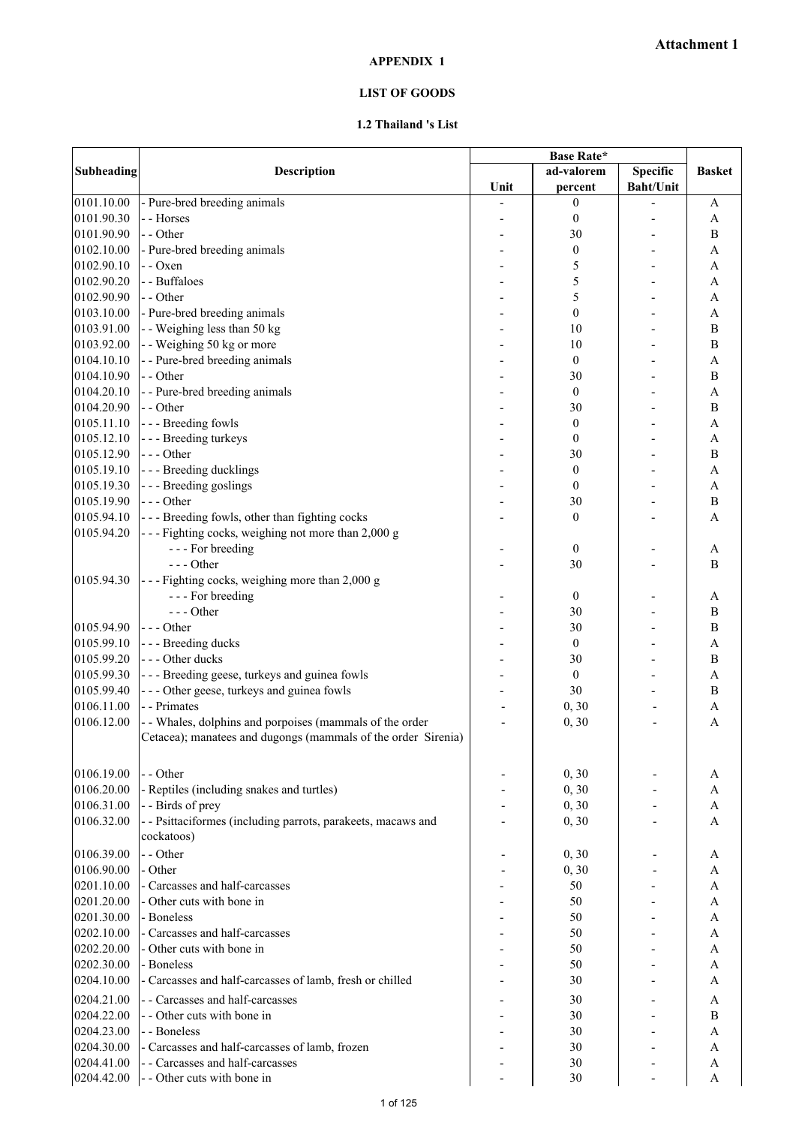## **LIST OF GOODS**

## **1.2 Thailand 's List**

|                   |                                                               | Base Rate* |                  |                  |                       |
|-------------------|---------------------------------------------------------------|------------|------------------|------------------|-----------------------|
| <b>Subheading</b> | Description                                                   |            | ad-valorem       | Specific         | <b>Basket</b>         |
|                   |                                                               | Unit       | percent          | <b>Baht/Unit</b> |                       |
| 0101.10.00        | - Pure-bred breeding animals                                  |            | $\boldsymbol{0}$ |                  | A                     |
| 0101.90.30        | - - Horses                                                    |            | $\boldsymbol{0}$ |                  | A                     |
| 0101.90.90        | - - Other                                                     |            | 30               |                  | B                     |
| 0102.10.00        | - Pure-bred breeding animals                                  |            | $\boldsymbol{0}$ |                  | A                     |
| 0102.90.10        | - - Oxen                                                      |            | 5                |                  | A                     |
| 0102.90.20        | - - Buffaloes                                                 |            | 5                |                  | A                     |
| 0102.90.90        | - - Other                                                     |            | 5                |                  | A                     |
| 0103.10.00        | - Pure-bred breeding animals                                  |            | $\boldsymbol{0}$ |                  | $\mathbf{A}$          |
| 0103.91.00        | - - Weighing less than 50 kg                                  |            | 10               |                  | $\bf{B}$              |
| 0103.92.00        | - - Weighing 50 kg or more                                    |            | 10               |                  | B                     |
| 0104.10.10        | - - Pure-bred breeding animals                                |            | $\boldsymbol{0}$ |                  | A                     |
| 0104.10.90        | - - Other                                                     |            | 30               |                  | B                     |
| 0104.20.10        | - - Pure-bred breeding animals                                |            | $\boldsymbol{0}$ |                  | A                     |
| 0104.20.90        | - - Other                                                     |            | 30               |                  | B                     |
| 0105.11.10        | --- Breeding fowls                                            |            | $\boldsymbol{0}$ |                  | $\boldsymbol{\rm{A}}$ |
| 0105.12.10        | - - - Breeding turkeys                                        |            | $\boldsymbol{0}$ |                  | A                     |
| 0105.12.90        | $--$ Other                                                    |            | 30               |                  | B                     |
| 0105.19.10        | --- Breeding ducklings                                        |            | $\boldsymbol{0}$ |                  | $\mathbf{A}$          |
| 0105.19.30        | --- Breeding goslings                                         |            | $\boldsymbol{0}$ |                  | $\mathbf{A}$          |
| 0105.19.90        | --- Other                                                     |            | 30               |                  | $\, {\bf B}$          |
| 0105.94.10        | --- Breeding fowls, other than fighting cocks                 |            | $\boldsymbol{0}$ |                  | $\overline{A}$        |
| 0105.94.20        | --- Fighting cocks, weighing not more than 2,000 g            |            |                  |                  |                       |
|                   | --- For breeding                                              |            | $\boldsymbol{0}$ |                  | A                     |
|                   | $--- Other$                                                   |            | 30               |                  | B                     |
| 0105.94.30        | --- Fighting cocks, weighing more than 2,000 g                |            |                  |                  |                       |
|                   | - - - For breeding                                            |            | $\boldsymbol{0}$ |                  | A                     |
|                   | --- Other                                                     |            | 30               |                  | $\, {\bf B}$          |
| 0105.94.90        | --- Other                                                     |            | 30               |                  | $\, {\bf B}$          |
| 0105.99.10        | - - - Breeding ducks                                          |            | $\boldsymbol{0}$ |                  | A                     |
| 0105.99.20        | --- Other ducks                                               |            | 30               |                  | $\, {\bf B}$          |
| 0105.99.30        | --- Breeding geese, turkeys and guinea fowls                  |            | $\boldsymbol{0}$ |                  | A                     |
| 0105.99.40        | --- Other geese, turkeys and guinea fowls                     |            | 30               |                  | $\bf{B}$              |
| 0106.11.00        | - - Primates                                                  |            | 0, 30            |                  | A                     |
| 0106.12.00        | - - Whales, dolphins and porpoises (mammals of the order      |            | 0, 30            | L,               | $\mathbf{A}$          |
|                   | Cetacea); manatees and dugongs (mammals of the order Sirenia) |            |                  |                  |                       |
|                   |                                                               |            |                  |                  |                       |
| 0106.19.00        | - - Other                                                     |            | 0, 30            |                  | A                     |
| 0106.20.00        | - Reptiles (including snakes and turtles)                     |            | 0, 30            |                  | A                     |
| 0106.31.00        | - - Birds of prey                                             |            | 0, 30            |                  | A                     |
| 0106.32.00        | - - Psittaciformes (including parrots, parakeets, macaws and  |            | 0, 30            |                  | A                     |
|                   | cockatoos)                                                    |            |                  |                  |                       |
| 0106.39.00        | - - Other                                                     |            |                  |                  |                       |
| 0106.90.00        | - Other                                                       |            | 0, 30            |                  | A                     |
| 0201.10.00        | - Carcasses and half-carcasses                                |            | 0, 30<br>50      |                  | A<br>A                |
| 0201.20.00        | - Other cuts with bone in                                     |            | 50               |                  |                       |
|                   | - Boneless                                                    |            |                  |                  | A                     |
| 0201.30.00        | - Carcasses and half-carcasses                                |            | 50               |                  | A                     |
| 0202.10.00        | - Other cuts with bone in                                     |            | 50               |                  | A                     |
| 0202.20.00        |                                                               |            | 50               |                  | A                     |
| 0202.30.00        | - Boneless                                                    |            | 50               |                  | A                     |
| 0204.10.00        | - Carcasses and half-carcasses of lamb, fresh or chilled      |            | 30               |                  | A                     |
| 0204.21.00        | - - Carcasses and half-carcasses                              |            | 30               |                  | A                     |
| 0204.22.00        | - - Other cuts with bone in                                   |            | 30               |                  | B                     |
| 0204.23.00        | - - Boneless                                                  |            | 30               |                  | A                     |
| 0204.30.00        | - Carcasses and half-carcasses of lamb, frozen                |            | 30               |                  | A                     |
| 0204.41.00        | - - Carcasses and half-carcasses                              |            | 30               |                  | A                     |
| 0204.42.00        | - - Other cuts with bone in                                   |            | 30               |                  | A                     |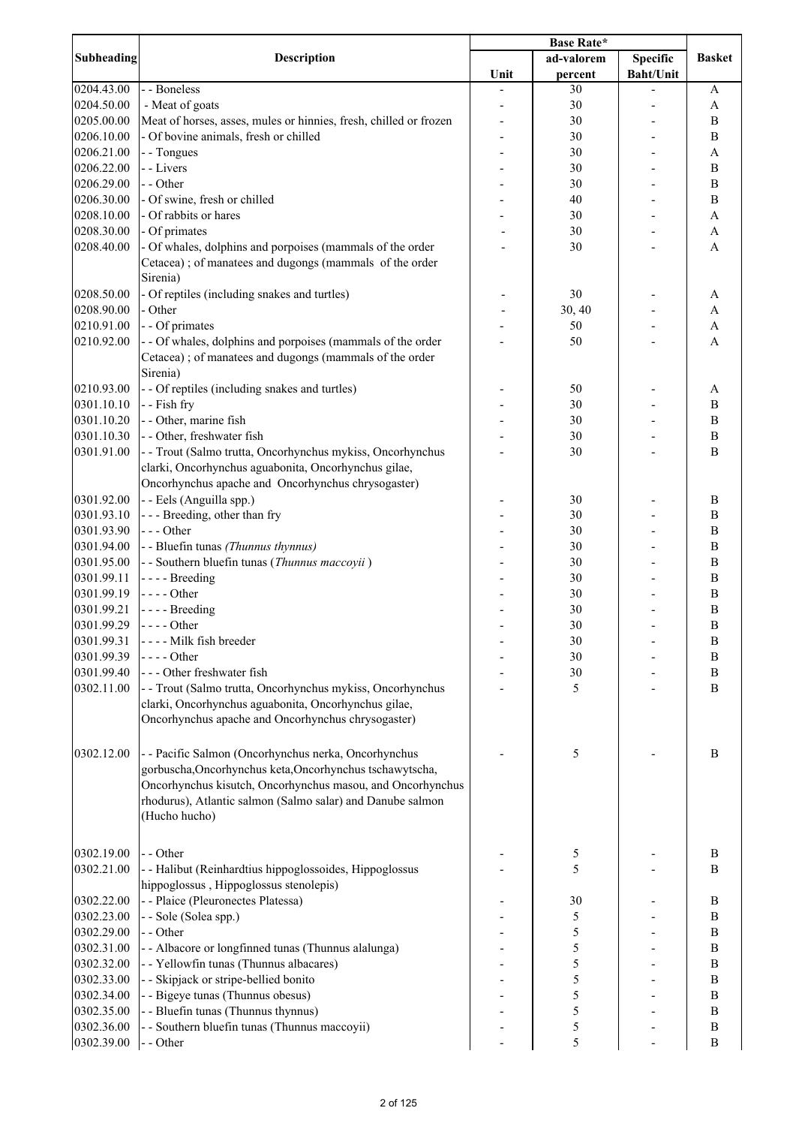| <b>Subheading</b> |                                                                   | <b>Base Rate*</b> |            |                  |                       |
|-------------------|-------------------------------------------------------------------|-------------------|------------|------------------|-----------------------|
|                   | <b>Description</b>                                                |                   | ad-valorem | <b>Specific</b>  | <b>Basket</b>         |
|                   |                                                                   | Unit              | percent    | <b>Baht/Unit</b> |                       |
| 0204.43.00        | - - Boneless                                                      |                   | 30         |                  | A                     |
| 0204.50.00        | - Meat of goats                                                   |                   | 30         |                  | A                     |
| 0205.00.00        | Meat of horses, asses, mules or hinnies, fresh, chilled or frozen |                   | 30         |                  | B                     |
| 0206.10.00        | - Of bovine animals, fresh or chilled                             |                   | 30         |                  | B                     |
| 0206.21.00        | - - Tongues                                                       |                   | 30         |                  | A                     |
| 0206.22.00        | - - Livers                                                        |                   | 30         |                  | $\mathbf B$           |
| 0206.29.00        | - - Other                                                         |                   | 30         |                  | $\, {\bf B}$          |
| 0206.30.00        | - Of swine, fresh or chilled                                      |                   | 40         |                  | $\, {\bf B}$          |
| 0208.10.00        | - Of rabbits or hares                                             |                   | 30         |                  | $\boldsymbol{\rm{A}}$ |
| 0208.30.00        | - Of primates                                                     |                   | 30         |                  | A                     |
| 0208.40.00        | - Of whales, dolphins and porpoises (mammals of the order         |                   | 30         |                  | $\mathbf{A}$          |
|                   | Cetacea); of manatees and dugongs (mammals of the order           |                   |            |                  |                       |
|                   | Sirenia)                                                          |                   |            |                  |                       |
| 0208.50.00        |                                                                   |                   | 30         |                  |                       |
| 0208.90.00        | - Of reptiles (including snakes and turtles)<br>- Other           |                   |            |                  | A<br>A                |
|                   |                                                                   |                   | 30, 40     |                  |                       |
| 0210.91.00        | - - Of primates                                                   |                   | 50         |                  | $\mathbf{A}$          |
| 0210.92.00        | - - Of whales, dolphins and porpoises (mammals of the order       |                   | 50         |                  | $\overline{A}$        |
|                   | Cetacea); of manatees and dugongs (mammals of the order           |                   |            |                  |                       |
|                   | Sirenia)                                                          |                   |            |                  |                       |
| 0210.93.00        | - - Of reptiles (including snakes and turtles)                    |                   | 50         |                  | A                     |
| 0301.10.10        | - - Fish fry                                                      |                   | 30         |                  | $\, {\bf B}$          |
| 0301.10.20        | - - Other, marine fish                                            |                   | 30         |                  | $\, {\bf B}$          |
| 0301.10.30        | - - Other, freshwater fish                                        |                   | 30         |                  | $\, {\bf B}$          |
| 0301.91.00        | - - Trout (Salmo trutta, Oncorhynchus mykiss, Oncorhynchus        |                   | 30         |                  | B                     |
|                   | clarki, Oncorhynchus aguabonita, Oncorhynchus gilae,              |                   |            |                  |                       |
|                   | Oncorhynchus apache and Oncorhynchus chrysogaster)                |                   |            |                  |                       |
| 0301.92.00        | - - Eels (Anguilla spp.)                                          |                   | 30         |                  | B                     |
| 0301.93.10        | --- Breeding, other than fry                                      |                   | 30         |                  | B                     |
| 0301.93.90        | $--$ Other                                                        |                   | 30         |                  | B                     |
| 0301.94.00        | - - Bluefin tunas (Thunnus thynnus)                               |                   | 30         |                  | $\, {\bf B}$          |
| 0301.95.00        | - - Southern bluefin tunas (Thunnus maccoyii)                     |                   | 30         |                  | B                     |
| 0301.99.11        | $--$ Breeding                                                     |                   | 30         |                  | B                     |
| 0301.99.19        | $--$ Other                                                        |                   | 30         |                  | B                     |
| 0301.99.21        | $--$ Breeding                                                     |                   | 30         |                  | B                     |
| 0301.99.29        | $--- Other$                                                       |                   | 30         |                  | $\, {\bf B}$          |
| 0301.99.31        | ---- Milk fish breeder                                            |                   | 30         |                  | B                     |
| 0301.99.39        | - - - - Other                                                     |                   | 30         |                  | $\, {\bf B}$          |
| 0301.99.40        | --- Other freshwater fish                                         |                   | 30         |                  | $\, {\bf B}$          |
| 0302.11.00        | - - Trout (Salmo trutta, Oncorhynchus mykiss, Oncorhynchus        |                   | 5          |                  | $\bf{B}$              |
|                   | clarki, Oncorhynchus aguabonita, Oncorhynchus gilae,              |                   |            |                  |                       |
|                   | Oncorhynchus apache and Oncorhynchus chrysogaster)                |                   |            |                  |                       |
|                   |                                                                   |                   |            |                  |                       |
|                   |                                                                   |                   |            |                  |                       |
| 0302.12.00        | - - Pacific Salmon (Oncorhynchus nerka, Oncorhynchus              |                   | 5          |                  | B                     |
|                   | gorbuscha, Oncorhynchus keta, Oncorhynchus tschawytscha,          |                   |            |                  |                       |
|                   | Oncorhynchus kisutch, Oncorhynchus masou, and Oncorhynchus        |                   |            |                  |                       |
|                   | rhodurus), Atlantic salmon (Salmo salar) and Danube salmon        |                   |            |                  |                       |
|                   | (Hucho hucho)                                                     |                   |            |                  |                       |
|                   |                                                                   |                   |            |                  |                       |
| 0302.19.00        | - - Other                                                         |                   | 5          |                  | B                     |
| 0302.21.00        | - - Halibut (Reinhardtius hippoglossoides, Hippoglossus           |                   | 5          |                  | B                     |
|                   | hippoglossus, Hippoglossus stenolepis)                            |                   |            |                  |                       |
| 0302.22.00        | - - Plaice (Pleuronectes Platessa)                                |                   | 30         |                  | $\, {\bf B}$          |
| 0302.23.00        |                                                                   |                   |            |                  | $\, {\bf B}$          |
| 0302.29.00        | - - Sole (Solea spp.)<br>- - Other                                |                   | 5          |                  | $\, {\bf B}$          |
|                   |                                                                   |                   | 5          |                  |                       |
| 0302.31.00        | - - Albacore or longfinned tunas (Thunnus alalunga)               |                   | 5          |                  | $\, {\bf B}$          |
| 0302.32.00        | - - Yellowfin tunas (Thunnus albacares)                           |                   | 5          |                  | $\, {\bf B}$          |
| 0302.33.00        | - - Skipjack or stripe-bellied bonito                             |                   | 5          |                  | $\, {\bf B}$          |
| 0302.34.00        | - - Bigeye tunas (Thunnus obesus)                                 |                   | 5          |                  | $\, {\bf B}$          |
| 0302.35.00        | - - Bluefin tunas (Thunnus thynnus)                               |                   | 5          |                  | $\, {\bf B}$          |
| 0302.36.00        | - - Southern bluefin tunas (Thunnus maccoyii)                     |                   | 5          |                  | B                     |
| 0302.39.00        | - - Other                                                         |                   | 5          |                  | B                     |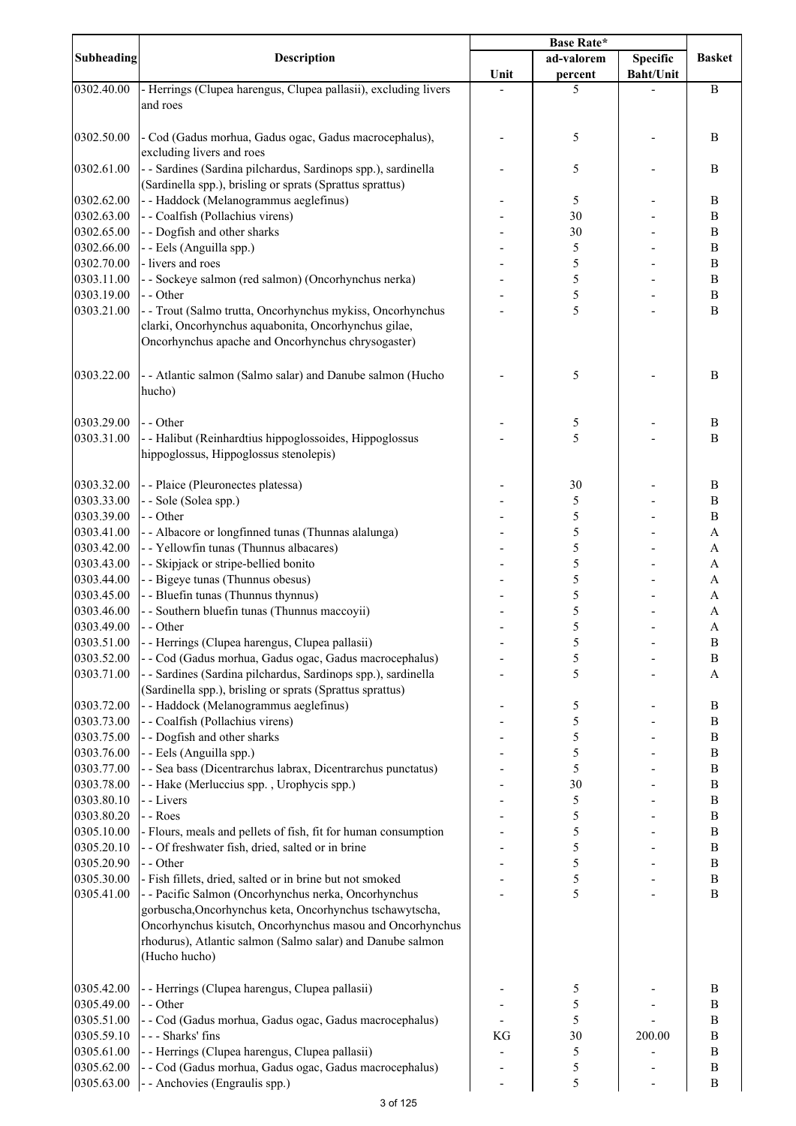| <b>Subheading</b> | <b>Description</b>                                              | <b>Base Rate*</b> |            |                  |                  |
|-------------------|-----------------------------------------------------------------|-------------------|------------|------------------|------------------|
|                   |                                                                 |                   | ad-valorem | <b>Specific</b>  | <b>Basket</b>    |
|                   |                                                                 | Unit              | percent    | <b>Baht/Unit</b> |                  |
| 0302.40.00        | - Herrings (Clupea harengus, Clupea pallasii), excluding livers |                   | 5          |                  | $\, {\bf B}$     |
|                   | and roes                                                        |                   |            |                  |                  |
|                   |                                                                 |                   |            |                  |                  |
| 0302.50.00        | - Cod (Gadus morhua, Gadus ogac, Gadus macrocephalus),          |                   | 5          |                  | B                |
|                   | excluding livers and roes                                       |                   |            |                  |                  |
| 0302.61.00        | - - Sardines (Sardina pilchardus, Sardinops spp.), sardinella   |                   | 5          |                  | B                |
|                   | (Sardinella spp.), brisling or sprats (Sprattus sprattus)       |                   |            |                  |                  |
| 0302.62.00        | - - Haddock (Melanogrammus aeglefinus)                          |                   | 5          |                  | $\, {\bf B}$     |
| 0302.63.00        | - - Coalfish (Pollachius virens)                                |                   | 30         |                  | $\boldsymbol{B}$ |
| 0302.65.00        | - - Dogfish and other sharks                                    |                   | 30         |                  | $\boldsymbol{B}$ |
| 0302.66.00        | - - Eels (Anguilla spp.)                                        |                   | 5          |                  | $\boldsymbol{B}$ |
| 0302.70.00        | - livers and roes                                               |                   | 5          |                  | $\boldsymbol{B}$ |
| 0303.11.00        | - - Sockeye salmon (red salmon) (Oncorhynchus nerka)            |                   | 5          |                  | $\boldsymbol{B}$ |
| 0303.19.00        | - - Other                                                       |                   | 5          |                  | $\, {\bf B}$     |
| 0303.21.00        | - - Trout (Salmo trutta, Oncorhynchus mykiss, Oncorhynchus      |                   | 5          |                  | B                |
|                   | clarki, Oncorhynchus aquabonita, Oncorhynchus gilae,            |                   |            |                  |                  |
|                   | Oncorhynchus apache and Oncorhynchus chrysogaster)              |                   |            |                  |                  |
|                   |                                                                 |                   |            |                  |                  |
| 0303.22.00        | - - Atlantic salmon (Salmo salar) and Danube salmon (Hucho      |                   | 5          |                  | B                |
|                   | hucho)                                                          |                   |            |                  |                  |
|                   |                                                                 |                   |            |                  |                  |
| 0303.29.00        | - - Other                                                       |                   |            |                  |                  |
|                   |                                                                 |                   | 5<br>5     |                  | B                |
| 0303.31.00        | - - Halibut (Reinhardtius hippoglossoides, Hippoglossus         |                   |            |                  | B                |
|                   | hippoglossus, Hippoglossus stenolepis)                          |                   |            |                  |                  |
|                   |                                                                 |                   |            |                  |                  |
| 0303.32.00        | - - Plaice (Pleuronectes platessa)                              |                   | 30         |                  | $\, {\bf B}$     |
| 0303.33.00        | - - Sole (Solea spp.)                                           |                   | 5          |                  | $\, {\bf B}$     |
| 0303.39.00        | - - Other                                                       |                   | 5          |                  | $\bf{B}$         |
| 0303.41.00        | - - Albacore or longfinned tunas (Thunnas alalunga)             |                   | 5          |                  | $\overline{A}$   |
| 0303.42.00        | - - Yellowfin tunas (Thunnus albacares)                         |                   | 5          |                  | $\mathbf{A}$     |
| 0303.43.00        | - - Skipjack or stripe-bellied bonito                           |                   | 5          |                  | $\mathbf{A}$     |
| 0303.44.00        | - - Bigeye tunas (Thunnus obesus)                               |                   | 5          |                  | A                |
| 0303.45.00        | - - Bluefin tunas (Thunnus thynnus)                             |                   | 5          |                  | A                |
| 0303.46.00        | - - Southern bluefin tunas (Thunnus maccoyii)                   |                   | 5          |                  | A                |
| 0303.49.00        | - - Other                                                       |                   | 5          |                  | A                |
| 0303.51.00        | - - Herrings (Clupea harengus, Clupea pallasii)                 |                   | 5          |                  | $\, {\bf B}$     |
| 0303.52.00        | - - Cod (Gadus morhua, Gadus ogac, Gadus macrocephalus)         |                   | 5          |                  | $\boldsymbol{B}$ |
| 0303.71.00        | - - Sardines (Sardina pilchardus, Sardinops spp.), sardinella   |                   | 5          |                  | A                |
|                   | (Sardinella spp.), brisling or sprats (Sprattus sprattus)       |                   |            |                  |                  |
| 0303.72.00        | - - Haddock (Melanogrammus aeglefinus)                          |                   | 5          |                  | $\, {\bf B}$     |
| 0303.73.00        | - - Coalfish (Pollachius virens)                                |                   | 5          |                  | $\boldsymbol{B}$ |
| 0303.75.00        | - - Dogfish and other sharks                                    |                   | 5          |                  | $\boldsymbol{B}$ |
| 0303.76.00        | - - Eels (Anguilla spp.)                                        |                   | 5          |                  | $\, {\bf B}$     |
| 0303.77.00        | - - Sea bass (Dicentrarchus labrax, Dicentrarchus punctatus)    |                   | 5          |                  | $\boldsymbol{B}$ |
| 0303.78.00        | - - Hake (Merluccius spp., Urophycis spp.)                      |                   | 30         |                  | $\boldsymbol{B}$ |
| 0303.80.10        | - - Livers                                                      |                   | 5          |                  | $\, {\bf B}$     |
| 0303.80.20        | - - Roes                                                        |                   | 5          |                  | $\boldsymbol{B}$ |
| 0305.10.00        | - Flours, meals and pellets of fish, fit for human consumption  |                   | 5          |                  | $\, {\bf B}$     |
| 0305.20.10        | - - Of freshwater fish, dried, salted or in brine               |                   | 5          |                  | $\boldsymbol{B}$ |
| 0305.20.90        | - - Other                                                       |                   | 5          |                  | $\, {\bf B}$     |
| 0305.30.00        | - Fish fillets, dried, salted or in brine but not smoked        |                   | 5          |                  | $\, {\bf B}$     |
| 0305.41.00        | - - Pacific Salmon (Oncorhynchus nerka, Oncorhynchus            |                   | 5          |                  | $\, {\bf B}$     |
|                   | gorbuscha, Oncorhynchus keta, Oncorhynchus tschawytscha,        |                   |            |                  |                  |
|                   | Oncorhynchus kisutch, Oncorhynchus masou and Oncorhynchus       |                   |            |                  |                  |
|                   | rhodurus), Atlantic salmon (Salmo salar) and Danube salmon      |                   |            |                  |                  |
|                   |                                                                 |                   |            |                  |                  |
|                   | (Hucho hucho)                                                   |                   |            |                  |                  |
|                   |                                                                 |                   |            |                  |                  |
| 0305.42.00        | - - Herrings (Clupea harengus, Clupea pallasii)                 |                   | 5          |                  | B                |
| 0305.49.00        | - - Other                                                       |                   | 5          |                  | $\, {\bf B}$     |
| 0305.51.00        | - - Cod (Gadus morhua, Gadus ogac, Gadus macrocephalus)         |                   | 5          |                  | $\bf{B}$         |
| 0305.59.10        | --- Sharks' fins                                                | KG                | 30         | 200.00           | $\bf{B}$         |
| 0305.61.00        | - - Herrings (Clupea harengus, Clupea pallasii)                 |                   | 5          |                  | $\boldsymbol{B}$ |
| 0305.62.00        | - - Cod (Gadus morhua, Gadus ogac, Gadus macrocephalus)         |                   | 5          |                  | $\, {\bf B}$     |
| 0305.63.00        | - - Anchovies (Engraulis spp.)                                  |                   | 5          |                  | $\bf{B}$         |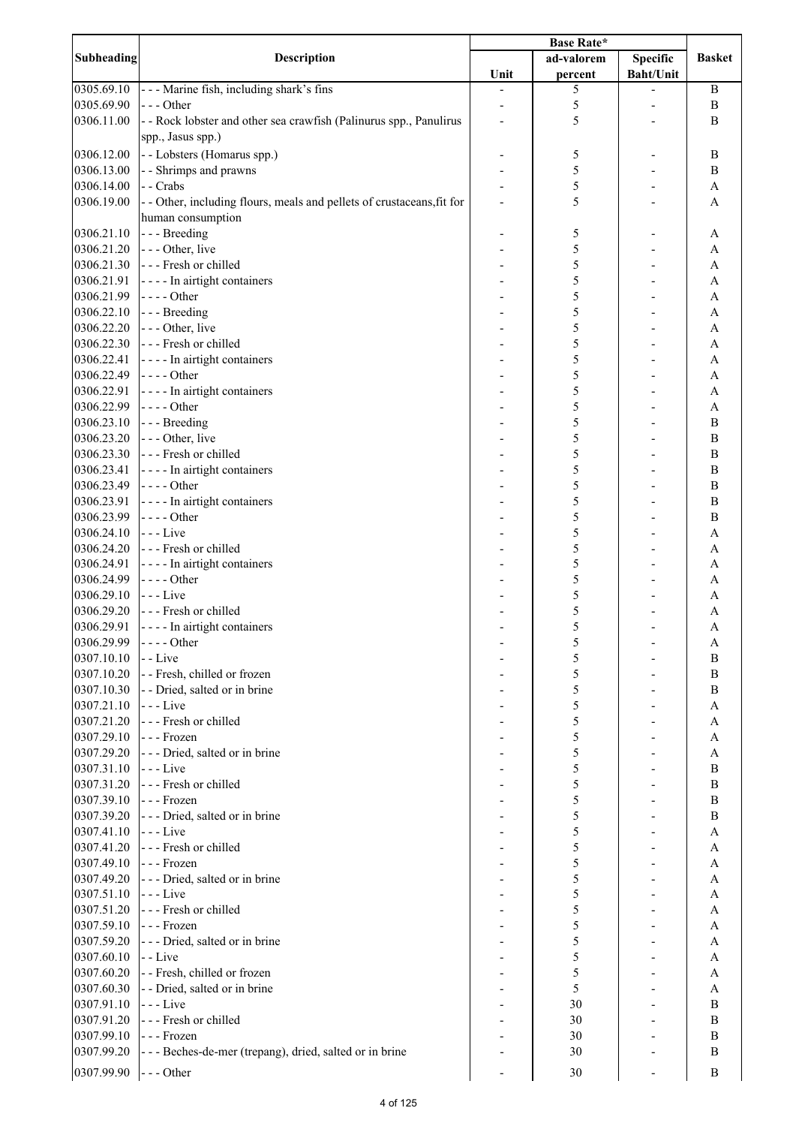| Subheading               | <b>Description</b>                                                     | <b>Base Rate*</b> |            |                  |                  |
|--------------------------|------------------------------------------------------------------------|-------------------|------------|------------------|------------------|
|                          |                                                                        |                   | ad-valorem | <b>Specific</b>  | <b>Basket</b>    |
|                          |                                                                        | Unit              | percent    | <b>Baht/Unit</b> |                  |
| 0305.69.10               | --- Marine fish, including shark's fins                                |                   | 5          |                  | B                |
| 0305.69.90               | --- Other                                                              |                   | 5          |                  | $\, {\bf B}$     |
| 0306.11.00               | - - Rock lobster and other sea crawfish (Palinurus spp., Panulirus     |                   | 5          |                  | B                |
|                          | spp., Jasus spp.)                                                      |                   |            |                  |                  |
| 0306.12.00               | - - Lobsters (Homarus spp.)                                            |                   | 5          |                  | B                |
| 0306.13.00               | - - Shrimps and prawns                                                 |                   | 5          |                  | $\, {\bf B}$     |
| 0306.14.00               | - - Crabs                                                              |                   | 5          |                  | A                |
| 0306.19.00               |                                                                        |                   | 5          |                  | A                |
|                          | - - Other, including flours, meals and pellets of crustaceans, fit for |                   |            |                  |                  |
|                          | human consumption                                                      |                   |            |                  |                  |
| 0306.21.10               | - - - Breeding                                                         |                   | 5          |                  | A                |
| 0306.21.20<br>0306.21.30 | --- Other, live<br>--- Fresh or chilled                                |                   | 5<br>5     |                  | A                |
| 0306.21.91               | - - - - In airtight containers                                         |                   | 5          |                  | A                |
| 0306.21.99               | $--$ Other                                                             |                   | 5          |                  | A<br>A           |
| 0306.22.10               | --- Breeding                                                           |                   | 5          |                  | A                |
| 0306.22.20               | - - - Other, live                                                      |                   |            |                  |                  |
| 0306.22.30               | - - - Fresh or chilled                                                 |                   | 5          |                  | A                |
| 0306.22.41               |                                                                        |                   | 5          |                  | A                |
|                          | - - - - In airtight containers                                         |                   | 5          |                  | A                |
| 0306.22.49               | $\left  - - \right $ - Other                                           |                   | 5          |                  | A                |
| 0306.22.91               | - - - - In airtight containers                                         |                   | 5          |                  | A                |
| 0306.22.99               | $---Other$                                                             |                   | 5          |                  | A                |
| 0306.23.10               | --- Breeding                                                           |                   | 5          |                  | $\bf{B}$         |
| 0306.23.20               | - - - Other, live                                                      |                   | 5          |                  | $\bf{B}$         |
| 0306.23.30               | --- Fresh or chilled                                                   |                   | 5          |                  | $\bf{B}$         |
| 0306.23.41               | - - - - In airtight containers                                         |                   | 5          |                  | $\bf{B}$         |
| 0306.23.49               | $---Other$                                                             |                   | 5          |                  | $\overline{B}$   |
| 0306.23.91               | - - - - In airtight containers                                         |                   | 5          |                  | $\, {\bf B}$     |
| 0306.23.99               | $---Other$                                                             |                   | 5          |                  | $\, {\bf B}$     |
| 0306.24.10               | $--$ Live                                                              |                   | 5          |                  | A                |
| 0306.24.20               | --- Fresh or chilled                                                   |                   | 5          |                  | A                |
| 0306.24.91               | ---- In airtight containers                                            |                   | 5          |                  | A                |
| 0306.24.99               | $---Other$                                                             |                   | 5          |                  | A                |
| 0306.29.10               | - - - Live                                                             |                   | 5          |                  | A                |
| 0306.29.20               | - - - Fresh or chilled                                                 |                   | 5          |                  | A                |
| 0306.29.91               | - - - - In airtight containers                                         |                   | 5          |                  | A                |
| 0306.29.99               | $--$ Other                                                             |                   | 5          |                  | A                |
| 0307.10.10               | $-$ - Live                                                             |                   | 5          |                  | B                |
| 0307.10.20               | - - Fresh, chilled or frozen                                           |                   | 5          |                  | B                |
| 0307.10.30               | - - Dried, salted or in brine                                          |                   | 5          |                  | B                |
| 0307.21.10               | $--$ Live                                                              |                   | 5          |                  | А                |
| 0307.21.20               | --- Fresh or chilled                                                   |                   | 5          |                  | A                |
| 0307.29.10               | --- Frozen                                                             |                   | 5          |                  | А                |
| 0307.29.20               | - - - Dried, salted or in brine                                        |                   | 5          |                  | A                |
| 0307.31.10               | $--$ Live                                                              |                   | 5          |                  | $\boldsymbol{B}$ |
| 0307.31.20               | --- Fresh or chilled                                                   |                   | 5          |                  | $\boldsymbol{B}$ |
| 0307.39.10               | --- Frozen                                                             |                   | 5          |                  | $\boldsymbol{B}$ |
| 0307.39.20               | - - - Dried, salted or in brine                                        |                   | 5          |                  | B                |
| 0307.41.10               | $--$ Live                                                              |                   | 5          |                  | A                |
| 0307.41.20               | --- Fresh or chilled                                                   |                   | 5          |                  | A                |
| 0307.49.10               | --- Frozen                                                             |                   | 5          |                  | A                |
| 0307.49.20               | --- Dried, salted or in brine                                          |                   | 5          |                  | A                |
| 0307.51.10               | - - - Live                                                             |                   | 5          |                  | A                |
| 0307.51.20               | - - - Fresh or chilled                                                 |                   | 5          |                  | A                |
| 0307.59.10               | --- Frozen                                                             |                   | 5          |                  | A                |
| 0307.59.20               | --- Dried, salted or in brine                                          |                   | 5          |                  | A                |
| 0307.60.10               | - - Live                                                               |                   | 5          |                  | A                |
| 0307.60.20               | - - Fresh, chilled or frozen                                           |                   | 5          |                  | A                |
| 0307.60.30               | - - Dried, salted or in brine                                          |                   | 5          |                  | A                |
| 0307.91.10               | $---Live$                                                              |                   | 30         |                  | B                |
| 0307.91.20               | - - - Fresh or chilled                                                 |                   | 30         |                  | $\boldsymbol{B}$ |
| 0307.99.10               | --- Frozen                                                             |                   | 30         |                  | B                |
| 0307.99.20               | - - - Beches-de-mer (trepang), dried, salted or in brine               |                   | 30         |                  | B                |
|                          |                                                                        |                   |            |                  |                  |
| 0307.99.90               | $--$ Other                                                             |                   | 30         |                  | B                |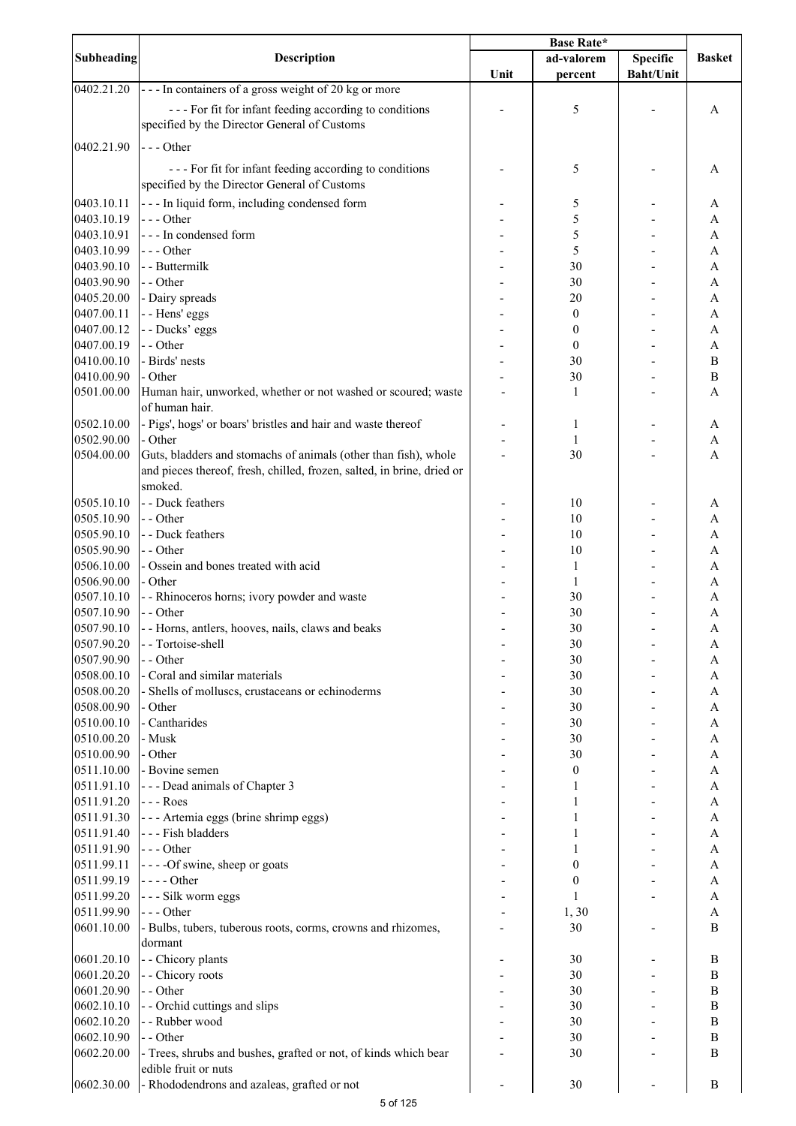| Subheading | <b>Description</b>                                                     | <b>Base Rate*</b> |                  |                  |               |
|------------|------------------------------------------------------------------------|-------------------|------------------|------------------|---------------|
|            |                                                                        |                   | ad-valorem       | <b>Specific</b>  | <b>Basket</b> |
|            |                                                                        | Unit              | percent          | <b>Baht/Unit</b> |               |
| 0402.21.20 | --- In containers of a gross weight of 20 kg or more                   |                   |                  |                  |               |
|            | --- For fit for infant feeding according to conditions                 |                   | 5                |                  | A             |
|            | specified by the Director General of Customs                           |                   |                  |                  |               |
|            |                                                                        |                   |                  |                  |               |
| 0402.21.90 | $--$ Other                                                             |                   |                  |                  |               |
|            | --- For fit for infant feeding according to conditions                 |                   | 5                |                  | A             |
|            | specified by the Director General of Customs                           |                   |                  |                  |               |
| 0403.10.11 | - - - In liquid form, including condensed form                         |                   | 5                |                  | A             |
| 0403.10.19 | --- Other                                                              |                   | 5                |                  | A             |
| 0403.10.91 | --- In condensed form                                                  |                   | 5                |                  | A             |
| 0403.10.99 | --- Other                                                              |                   | 5                |                  | A             |
| 0403.90.10 | - - Buttermilk                                                         |                   | 30               |                  | A             |
| 0403.90.90 | - - Other                                                              |                   | 30               |                  | A             |
| 0405.20.00 | - Dairy spreads                                                        |                   | 20               |                  | A             |
| 0407.00.11 | - - Hens' eggs                                                         |                   | $\boldsymbol{0}$ |                  | A             |
| 0407.00.12 | - - Ducks' eggs                                                        |                   | $\boldsymbol{0}$ |                  | A             |
| 0407.00.19 | - - Other                                                              |                   | $\boldsymbol{0}$ |                  | A             |
|            | - Birds' nests                                                         |                   |                  |                  |               |
| 0410.00.10 |                                                                        |                   | 30               |                  | $\bf{B}$      |
| 0410.00.90 | - Other                                                                |                   | 30               |                  | $\bf{B}$      |
| 0501.00.00 | Human hair, unworked, whether or not washed or scoured; waste          |                   | 1                |                  | A             |
|            | of human hair.                                                         |                   |                  |                  |               |
| 0502.10.00 | - Pigs', hogs' or boars' bristles and hair and waste thereof           |                   | 1                |                  | A             |
| 0502.90.00 | - Other                                                                |                   | 1                |                  | A             |
| 0504.00.00 | Guts, bladders and stomachs of animals (other than fish), whole        |                   | 30               |                  | A             |
|            | and pieces thereof, fresh, chilled, frozen, salted, in brine, dried or |                   |                  |                  |               |
|            | smoked.                                                                |                   |                  |                  |               |
| 0505.10.10 | - - Duck feathers                                                      |                   | 10               |                  | A             |
| 0505.10.90 | - - Other                                                              |                   | 10               |                  | A             |
| 0505.90.10 | - - Duck feathers                                                      |                   | 10               |                  | A             |
| 0505.90.90 | - - Other                                                              |                   | 10               |                  | A             |
| 0506.10.00 | - Ossein and bones treated with acid                                   |                   | 1                |                  | A             |
| 0506.90.00 | - Other                                                                |                   | 1                |                  | A             |
| 0507.10.10 | - - Rhinoceros horns; ivory powder and waste                           |                   | 30               |                  | A             |
| 0507.10.90 | - - Other                                                              |                   | 30               |                  | $\mathbf{A}$  |
|            |                                                                        |                   |                  |                  |               |
| 0507.90.10 | - - Horns, antlers, hooves, nails, claws and beaks                     |                   | 30               |                  | A             |
| 0507.90.20 | - - Tortoise-shell                                                     |                   | 30               |                  | A             |
| 0507.90.90 | - - Other                                                              |                   | 30               |                  | A             |
| 0508.00.10 | - Coral and similar materials                                          |                   | 30               |                  | A             |
| 0508.00.20 | - Shells of molluscs, crustaceans or echinoderms                       |                   | 30               |                  | A             |
| 0508.00.90 | - Other                                                                |                   | 30               |                  | A             |
| 0510.00.10 | - Cantharides                                                          |                   | 30               |                  | A             |
| 0510.00.20 | - Musk                                                                 |                   | 30               |                  | A             |
| 0510.00.90 | - Other                                                                |                   | 30               |                  | A             |
| 0511.10.00 | - Bovine semen                                                         |                   | $\boldsymbol{0}$ |                  | A             |
| 0511.91.10 | ---Dead animals of Chapter 3                                           |                   | 1                |                  | A             |
| 0511.91.20 | - - - Roes                                                             |                   |                  |                  | A             |
| 0511.91.30 | - - - Artemia eggs (brine shrimp eggs)                                 |                   |                  |                  | A             |
| 0511.91.40 | --- Fish bladders                                                      |                   |                  |                  | A             |
| 0511.91.90 | $--$ Other                                                             |                   |                  |                  | A             |
| 0511.99.11 | - - - -Of swine, sheep or goats                                        |                   | 0                |                  | A             |
| 0511.99.19 | $--- Other$                                                            |                   | $\boldsymbol{0}$ |                  | A             |
| 0511.99.20 | - - - Silk worm eggs                                                   |                   | 1                |                  | A             |
| 0511.99.90 | --- Other                                                              |                   | 1,30             |                  | A             |
| 0601.10.00 | - Bulbs, tubers, tuberous roots, corms, crowns and rhizomes,           |                   | 30               |                  | B             |
|            |                                                                        |                   |                  |                  |               |
|            | dormant                                                                |                   |                  |                  |               |
| 0601.20.10 | - - Chicory plants                                                     |                   | 30               |                  | B             |
| 0601.20.20 | - - Chicory roots                                                      |                   | 30               |                  | $\, {\bf B}$  |
| 0601.20.90 | - - Other                                                              |                   | 30               |                  | $\bf{B}$      |
| 0602.10.10 | - - Orchid cuttings and slips                                          |                   | 30               |                  | B             |
| 0602.10.20 | - - Rubber wood                                                        |                   | 30               |                  | $\bf{B}$      |
| 0602.10.90 | - - Other                                                              |                   | 30               |                  | $\, {\bf B}$  |
| 0602.20.00 | - Trees, shrubs and bushes, grafted or not, of kinds which bear        |                   | 30               |                  | $\, {\bf B}$  |
|            | edible fruit or nuts                                                   |                   |                  |                  |               |
| 0602.30.00 | - Rhododendrons and azaleas, grafted or not                            |                   | 30               |                  | $\, {\bf B}$  |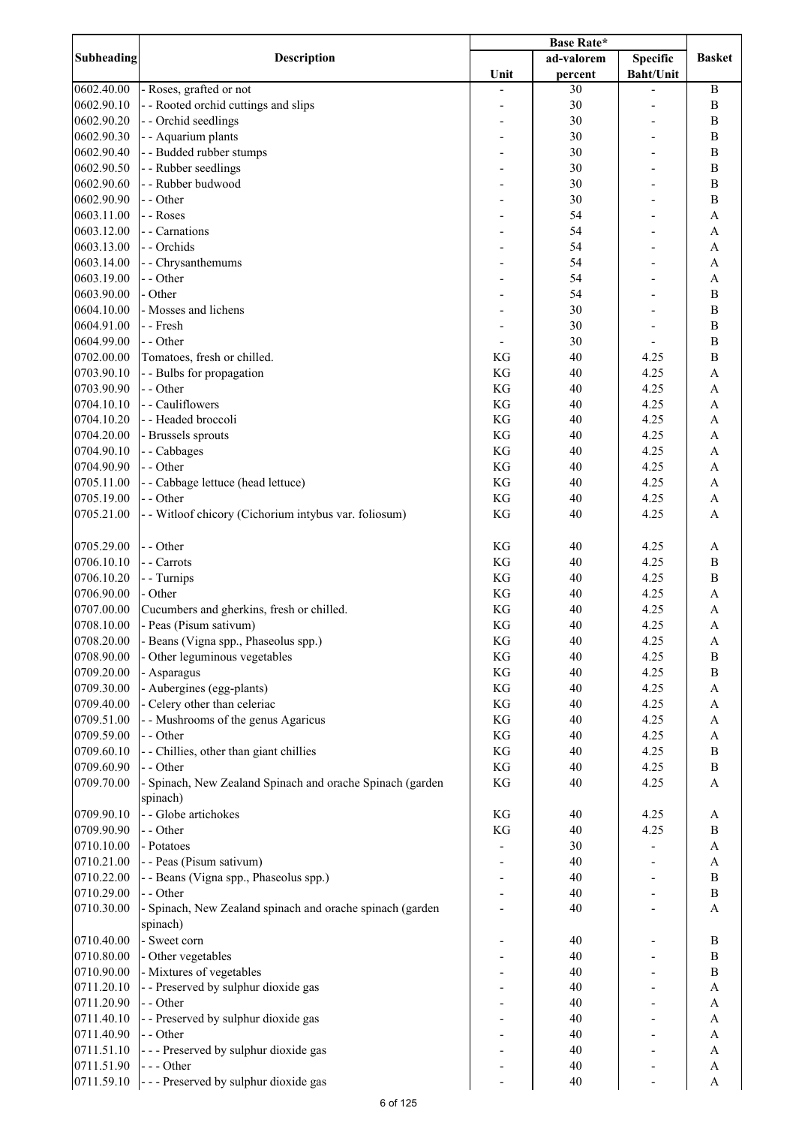|            | <b>Description</b>                                        | <b>Base Rate*</b> |            |                  |                           |
|------------|-----------------------------------------------------------|-------------------|------------|------------------|---------------------------|
| Subheading |                                                           |                   | ad-valorem | <b>Specific</b>  | <b>Basket</b>             |
|            |                                                           | Unit              | percent    | <b>Baht/Unit</b> |                           |
| 0602.40.00 | - Roses, grafted or not                                   |                   | 30         |                  | $\mathbf B$               |
| 0602.90.10 | - - Rooted orchid cuttings and slips                      |                   | 30         |                  | $\bf{B}$                  |
| 0602.90.20 | - - Orchid seedlings                                      |                   | 30         |                  | $\bf{B}$                  |
| 0602.90.30 | - - Aquarium plants                                       |                   | 30         |                  | $\, {\bf B}$              |
| 0602.90.40 | - - Budded rubber stumps                                  |                   | 30         |                  | $\bf{B}$                  |
| 0602.90.50 | - - Rubber seedlings                                      |                   | 30         |                  | $\, {\bf B}$              |
| 0602.90.60 | - - Rubber budwood                                        |                   | 30         |                  | $\, {\bf B}$              |
|            |                                                           |                   |            |                  |                           |
| 0602.90.90 | - - Other                                                 | ۰                 | 30         |                  | $\, {\bf B}$              |
| 0603.11.00 | - - Roses                                                 | ۰                 | 54         |                  | A                         |
| 0603.12.00 | - - Carnations                                            |                   | 54         |                  | $\boldsymbol{\rm{A}}$     |
| 0603.13.00 | - - Orchids                                               |                   | 54         |                  | A                         |
| 0603.14.00 | - - Chrysanthemums                                        |                   | 54         |                  | A                         |
| 0603.19.00 | - - Other                                                 |                   | 54         |                  | $\boldsymbol{\mathsf{A}}$ |
| 0603.90.00 | - Other                                                   |                   | 54         |                  | $\, {\bf B}$              |
| 0604.10.00 | - Mosses and lichens                                      |                   | 30         |                  | $\overline{B}$            |
| 0604.91.00 | - - Fresh                                                 |                   | 30         |                  | $\overline{B}$            |
| 0604.99.00 | - - Other                                                 |                   | 30         |                  | $\, {\bf B}$              |
| 0702.00.00 |                                                           |                   | 40         |                  | $\, {\bf B}$              |
|            | Tomatoes, fresh or chilled.                               | KG                |            | 4.25             |                           |
| 0703.90.10 | - - Bulbs for propagation                                 | KG                | 40         | 4.25             | $\overline{A}$            |
| 0703.90.90 | - - Other                                                 | KG                | 40         | 4.25             | $\mathbf{A}$              |
| 0704.10.10 | - - Cauliflowers                                          | KG                | 40         | 4.25             | $\mathbf{A}$              |
| 0704.10.20 | - - Headed broccoli                                       | KG                | 40         | 4.25             | $\mathbf{A}$              |
| 0704.20.00 | - Brussels sprouts                                        | KG                | 40         | 4.25             | $\mathbf{A}$              |
| 0704.90.10 | - - Cabbages                                              | KG                | 40         | 4.25             | A                         |
| 0704.90.90 | - - Other                                                 | KG                | 40         | 4.25             | A                         |
| 0705.11.00 | - - Cabbage lettuce (head lettuce)                        | KG                | 40         | 4.25             | A                         |
| 0705.19.00 | - - Other                                                 | KG                | 40         | 4.25             | $\boldsymbol{\rm{A}}$     |
| 0705.21.00 | - - Witloof chicory (Cichorium intybus var. foliosum)     | KG                | 40         | 4.25             | A                         |
|            |                                                           |                   |            |                  |                           |
|            |                                                           |                   |            |                  |                           |
| 0705.29.00 | - - Other                                                 | KG                | 40         | 4.25             | A                         |
| 0706.10.10 | - - Carrots                                               | KG                | 40         | 4.25             | $\, {\bf B}$              |
| 0706.10.20 | - - Turnips                                               | KG                | 40         | 4.25             | $\bf{B}$                  |
| 0706.90.00 | - Other                                                   | KG                | 40         | 4.25             | $\boldsymbol{\mathsf{A}}$ |
| 0707.00.00 | Cucumbers and gherkins, fresh or chilled.                 | KG                | 40         | 4.25             | $\mathbf{A}$              |
| 0708.10.00 | - Peas (Pisum sativum)                                    | KG                | 40         | 4.25             | $\mathbf{A}$              |
| 0708.20.00 | Beans (Vigna spp., Phaseolus spp.)                        | KG                | 40         | 4.25             | A                         |
| 0708.90.00 | Other leguminous vegetables                               | KG                | 40         | 4.25             | $\, {\bf B}$              |
| 0709.20.00 |                                                           |                   |            |                  |                           |
|            | - Asparagus                                               | KG                | 40         | 4.25             | $\, {\bf B}$              |
| 0709.30.00 | - Aubergines (egg-plants)                                 | KG                | 40         | 4.25             | A                         |
| 0709.40.00 | - Celery other than celeriac                              | KG                | 40         | 4.25             | A                         |
| 0709.51.00 | - - Mushrooms of the genus Agaricus                       | KG                | 40         | 4.25             | $\mathbf{A}$              |
| 0709.59.00 | - - Other                                                 | KG                | 40         | 4.25             | $\boldsymbol{\mathsf{A}}$ |
| 0709.60.10 | - - Chillies, other than giant chillies                   | KG                | 40         | 4.25             | $\, {\bf B}$              |
| 0709.60.90 | - - Other                                                 | KG                | 40         | 4.25             | $\, {\bf B}$              |
| 0709.70.00 | - Spinach, New Zealand Spinach and orache Spinach (garden | KG                | 40         | 4.25             | $\mathbf{A}$              |
|            | spinach)                                                  |                   |            |                  |                           |
| 0709.90.10 | - - Globe artichokes                                      | KG                | 40         | 4.25             | A                         |
| 0709.90.90 | - - Other                                                 | KG                | 40         | 4.25             | B                         |
|            |                                                           |                   |            |                  |                           |
| 0710.10.00 | - Potatoes                                                |                   | 30         |                  | $\boldsymbol{\rm{A}}$     |
| 0710.21.00 | - - Peas (Pisum sativum)                                  |                   | 40         |                  | $\boldsymbol{\mathsf{A}}$ |
| 0710.22.00 | - - Beans (Vigna spp., Phaseolus spp.)                    |                   | 40         |                  | $\mathbf B$               |
| 0710.29.00 | - - Other                                                 |                   | 40         |                  | $\, {\bf B}$              |
| 0710.30.00 | - Spinach, New Zealand spinach and orache spinach (garden |                   | 40         |                  | $\mathbf{A}$              |
|            | spinach)                                                  |                   |            |                  |                           |
| 0710.40.00 | - Sweet corn                                              |                   | 40         |                  | $\, {\bf B}$              |
| 0710.80.00 | - Other vegetables                                        |                   | 40         |                  | $\mathbf B$               |
| 0710.90.00 | - Mixtures of vegetables                                  |                   | 40         |                  | $\, {\bf B}$              |
| 0711.20.10 | - - Preserved by sulphur dioxide gas                      |                   | 40         |                  | A                         |
| 0711.20.90 | - - Other                                                 |                   | 40         |                  | $\boldsymbol{\mathsf{A}}$ |
|            |                                                           |                   |            |                  |                           |
| 0711.40.10 | - - Preserved by sulphur dioxide gas                      |                   | 40         |                  | A                         |
| 0711.40.90 | - - Other                                                 |                   | 40         |                  | A                         |
| 0711.51.10 | --- Preserved by sulphur dioxide gas                      |                   | 40         |                  | A                         |
| 0711.51.90 | $--- Other$                                               |                   | 40         |                  | A                         |
| 0711.59.10 | --- Preserved by sulphur dioxide gas                      |                   | 40         |                  | $\boldsymbol{\rm{A}}$     |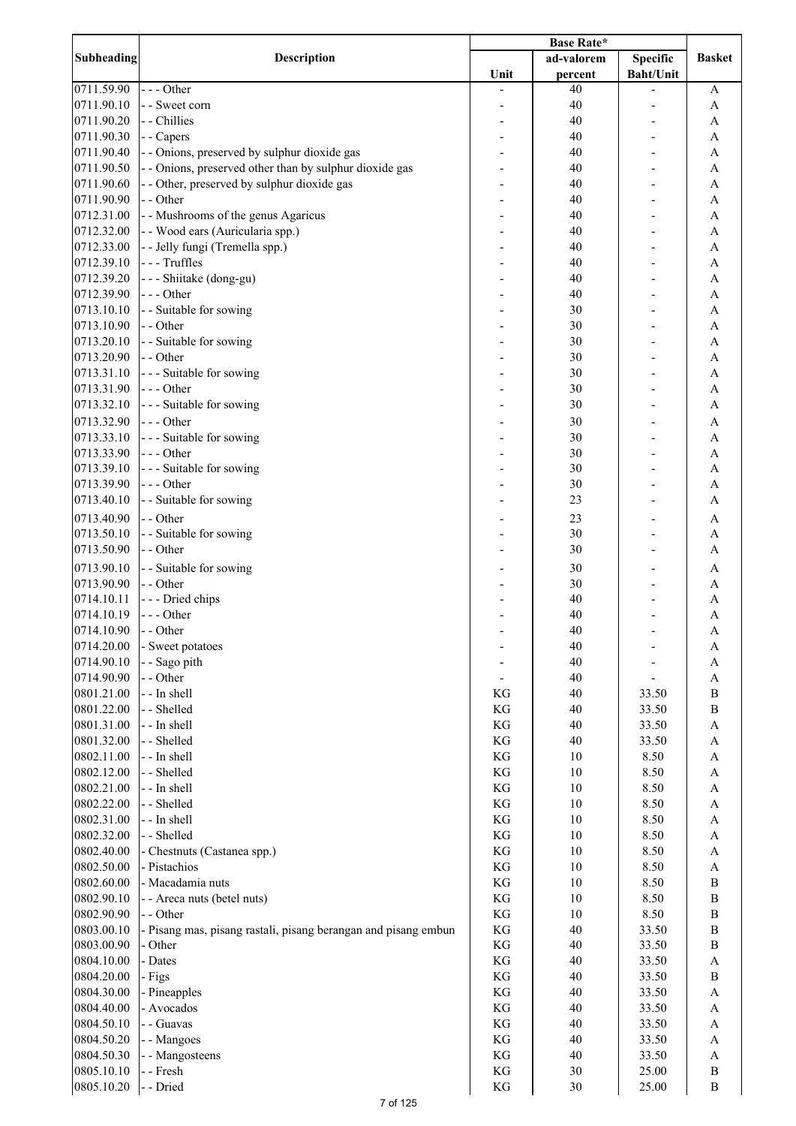| Subheading | Description                                                    |      | ad-valorem | <b>Specific</b>  | <b>Basket</b>             |
|------------|----------------------------------------------------------------|------|------------|------------------|---------------------------|
|            |                                                                | Unit | percent    | <b>Baht/Unit</b> |                           |
| 0711.59.90 | $--$ Other                                                     |      | 40         |                  | A                         |
| 0711.90.10 | - - Sweet corn                                                 |      | 40         |                  | A                         |
| 0711.90.20 | - - Chillies                                                   |      | 40         |                  | A                         |
| 0711.90.30 | - - Capers                                                     |      | 40         |                  | A                         |
| 0711.90.40 | - - Onions, preserved by sulphur dioxide gas                   |      | 40         |                  | A                         |
|            |                                                                |      |            |                  |                           |
| 0711.90.50 | - - Onions, preserved other than by sulphur dioxide gas        |      | 40         |                  | A                         |
| 0711.90.60 | - - Other, preserved by sulphur dioxide gas                    |      | 40         |                  | A                         |
| 0711.90.90 | - - Other                                                      |      | 40         |                  | A                         |
| 0712.31.00 | - - Mushrooms of the genus Agaricus                            |      | 40         |                  | A                         |
| 0712.32.00 | - - Wood ears (Auricularia spp.)                               |      | 40         |                  | A                         |
| 0712.33.00 | - - Jelly fungi (Tremella spp.)                                |      | 40         |                  | A                         |
| 0712.39.10 | --- Truffles                                                   |      | 40         |                  | A                         |
| 0712.39.20 | - - - Shiitake (dong-gu)                                       |      | 40         |                  | A                         |
| 0712.39.90 | --- Other                                                      |      | 40         |                  | $\mathbf{A}$              |
| 0713.10.10 | - - Suitable for sowing                                        |      | 30         |                  | $\overline{A}$            |
| 0713.10.90 | - - Other                                                      |      | 30         |                  | $\overline{A}$            |
| 0713.20.10 | - - Suitable for sowing                                        |      | 30         |                  | $\overline{A}$            |
| 0713.20.90 | - - Other                                                      |      | 30         |                  | A                         |
| 0713.31.10 | --- Suitable for sowing                                        |      | 30         |                  | A                         |
|            |                                                                |      |            |                  |                           |
| 0713.31.90 | $--$ Other                                                     |      | 30         |                  | A                         |
| 0713.32.10 | --- Suitable for sowing                                        |      | 30         |                  | A                         |
| 0713.32.90 | $--$ Other                                                     |      | 30         |                  | $\mathbf{A}$              |
| 0713.33.10 | --- Suitable for sowing                                        |      | 30         |                  | $\mathbf{A}$              |
| 0713.33.90 | $--$ Other                                                     |      | 30         |                  | A                         |
| 0713.39.10 | --- Suitable for sowing                                        |      | 30         |                  | A                         |
| 0713.39.90 | $--$ Other                                                     |      | 30         |                  | A                         |
| 0713.40.10 | - - Suitable for sowing                                        |      | 23         |                  | A                         |
| 0713.40.90 | - - Other                                                      |      | 23         |                  | A                         |
| 0713.50.10 | - - Suitable for sowing                                        |      | 30         |                  | $\mathbf{A}$              |
|            |                                                                |      |            |                  |                           |
| 0713.50.90 | - - Other                                                      |      | 30         |                  | $\mathbf{A}$              |
| 0713.90.10 | - - Suitable for sowing                                        |      | 30         |                  | A                         |
| 0713.90.90 | - - Other                                                      |      | 30         |                  | A                         |
| 0714.10.11 | --- Dried chips                                                |      | 40         |                  | A                         |
| 0714.10.19 | $--$ Other                                                     |      | 40         |                  | $\overline{A}$            |
| 0714.10.90 | - - Other                                                      |      | 40         |                  | A                         |
| 0714.20.00 | - Sweet potatoes                                               |      | 40         |                  | A                         |
| 0714.90.10 | - - Sago pith                                                  |      | 40         |                  | $\boldsymbol{\rm{A}}$     |
| 0714.90.90 | - - Other                                                      |      | 40         |                  | $\boldsymbol{\mathsf{A}}$ |
| 0801.21.00 | - - In shell                                                   | KG   | 40         | 33.50            | $\, {\bf B}$              |
| 0801.22.00 | - - Shelled                                                    | KG   | 40         | 33.50            | $\, {\bf B}$              |
| 0801.31.00 | - - In shell                                                   | KG   | 40         | 33.50            | $\mathbf A$               |
| 0801.32.00 | - - Shelled                                                    | KG   | 40         | 33.50            | $\boldsymbol{\rm{A}}$     |
|            |                                                                |      |            |                  |                           |
| 0802.11.00 | - - In shell                                                   | KG   | 10         | 8.50             | $\boldsymbol{\mathsf{A}}$ |
| 0802.12.00 | - - Shelled                                                    | KG   | $10\,$     | 8.50             | A                         |
| 0802.21.00 | - - In shell                                                   | KG   | $10\,$     | 8.50             | A                         |
| 0802.22.00 | - - Shelled                                                    | KG   | $10\,$     | 8.50             | $\mathbf A$               |
| 0802.31.00 | - - In shell                                                   | KG   | 10         | 8.50             | A                         |
| 0802.32.00 | - - Shelled                                                    | KG   | $10\,$     | 8.50             | $\boldsymbol{\mathsf{A}}$ |
| 0802.40.00 | - Chestnuts (Castanea spp.)                                    | KG   | 10         | 8.50             | A                         |
| 0802.50.00 | - Pistachios                                                   | KG   | $10\,$     | 8.50             | $\boldsymbol{\mathsf{A}}$ |
| 0802.60.00 | - Macadamia nuts                                               | KG   | $10\,$     | 8.50             | $\, {\bf B}$              |
| 0802.90.10 | - - Areca nuts (betel nuts)                                    | KG   | $10\,$     | 8.50             | $\, {\bf B}$              |
| 0802.90.90 | - - Other                                                      | KG   | $10\,$     | 8.50             | $\, {\bf B}$              |
| 0803.00.10 | - Pisang mas, pisang rastali, pisang berangan and pisang embun | KG   | 40         | 33.50            | $\, {\bf B}$              |
| 0803.00.90 | - Other                                                        | KG   | 40         | 33.50            | $\, {\bf B}$              |
| 0804.10.00 | - Dates                                                        | KG   | 40         | 33.50            | $\boldsymbol{\rm{A}}$     |
| 0804.20.00 | - Figs                                                         | KG   | 40         | 33.50            | $\, {\bf B}$              |
| 0804.30.00 |                                                                | KG   | 40         | 33.50            | $\boldsymbol{\rm{A}}$     |
|            | - Pineapples                                                   |      |            |                  |                           |
| 0804.40.00 | - Avocados                                                     | KG   | 40         | 33.50            | $\boldsymbol{\rm{A}}$     |
| 0804.50.10 | - - Guavas                                                     | KG   | 40         | 33.50            | $\boldsymbol{\rm{A}}$     |
| 0804.50.20 | - - Mangoes                                                    | KG   | 40         | 33.50            | $\boldsymbol{\rm{A}}$     |
| 0804.50.30 | - - Mangosteens                                                | KG   | 40         | 33.50            | $\mathbf A$               |
| 0805.10.10 | - - Fresh                                                      | KG   | $30\,$     | 25.00            | $\, {\bf B}$              |
| 0805.10.20 | - - Dried                                                      | KG   | $30\,$     | 25.00            | $\, {\bf B}$              |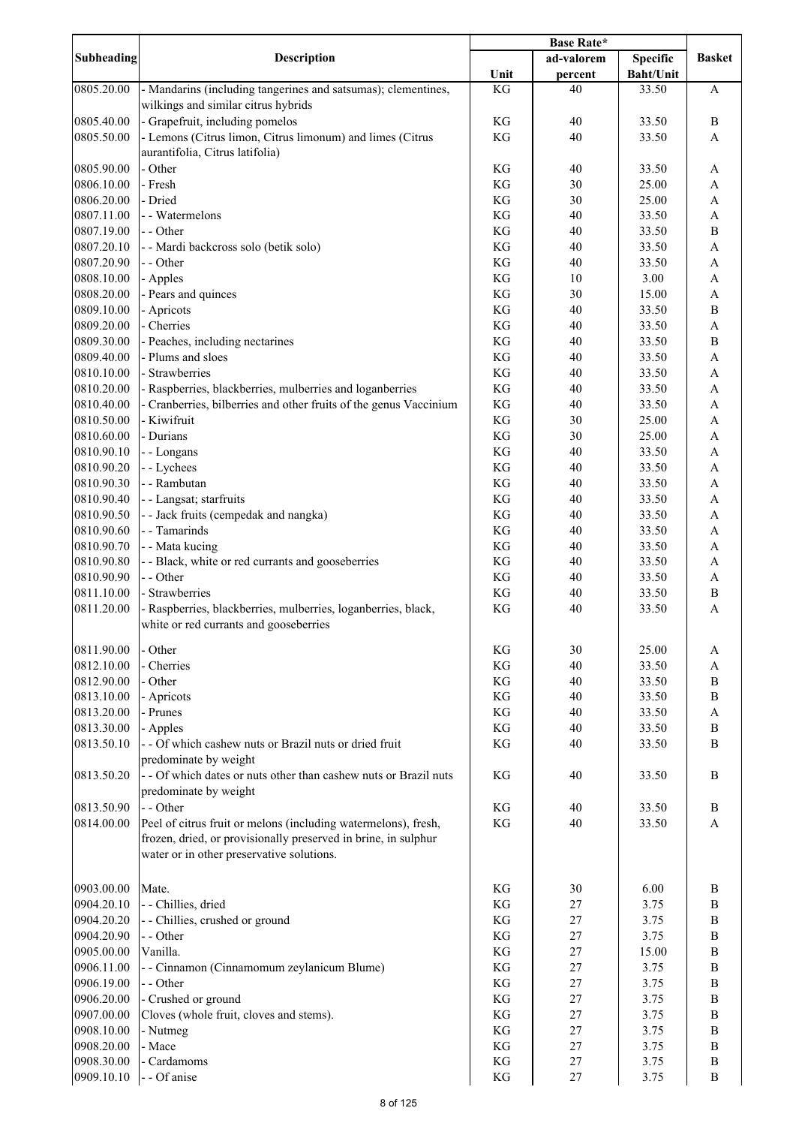|                          | <b>Description</b>                                                | Base Rate* |            |                  |                                |
|--------------------------|-------------------------------------------------------------------|------------|------------|------------------|--------------------------------|
| <b>Subheading</b>        |                                                                   |            | ad-valorem | Specific         | <b>Basket</b>                  |
|                          |                                                                   | Unit       | percent    | <b>Baht/Unit</b> |                                |
| 0805.20.00               | - Mandarins (including tangerines and satsumas); clementines,     | KG         | 40         | 33.50            | $\boldsymbol{\mathsf{A}}$      |
|                          | wilkings and similar citrus hybrids                               |            |            |                  |                                |
| 0805.40.00               | - Grapefruit, including pomelos                                   | KG         | 40         | 33.50            | $\, {\bf B}$                   |
| 0805.50.00               | - Lemons (Citrus limon, Citrus limonum) and limes (Citrus         | KG         | 40         | 33.50            | $\mathbf{A}$                   |
|                          | aurantifolia, Citrus latifolia)                                   |            |            |                  |                                |
| 0805.90.00               | - Other                                                           | KG         | 40         | 33.50            | A                              |
| 0806.10.00<br>0806.20.00 | - Fresh<br>- Dried                                                | KG         | 30         | 25.00            | A                              |
| 0807.11.00               | - - Watermelons                                                   | KG<br>KG   | 30<br>40   | 25.00<br>33.50   | A<br>$\boldsymbol{\mathsf{A}}$ |
| 0807.19.00               | - - Other                                                         | KG         | 40         | 33.50            | $\, {\bf B}$                   |
| 0807.20.10               | - - Mardi backcross solo (betik solo)                             | KG         | 40         | 33.50            | $\boldsymbol{\rm{A}}$          |
| 0807.20.90               | - - Other                                                         | KG         | 40         | 33.50            | $\boldsymbol{\mathsf{A}}$      |
| 0808.10.00               | - Apples                                                          | KG         | 10         | 3.00             | $\boldsymbol{\mathsf{A}}$      |
| 0808.20.00               | - Pears and quinces                                               | KG         | 30         | 15.00            | $\mathbf A$                    |
| 0809.10.00               | - Apricots                                                        | KG         | 40         | 33.50            | $\, {\bf B}$                   |
| 0809.20.00               | - Cherries                                                        | KG         | 40         | 33.50            | $\boldsymbol{\rm{A}}$          |
| 0809.30.00               | - Peaches, including nectarines                                   | KG         | 40         | 33.50            | $\, {\bf B}$                   |
| 0809.40.00               | - Plums and sloes                                                 | KG         | 40         | 33.50            | $\boldsymbol{\mathsf{A}}$      |
| 0810.10.00               | - Strawberries                                                    | KG         | 40         | 33.50            | $\boldsymbol{\rm{A}}$          |
| 0810.20.00               | - Raspberries, blackberries, mulberries and loganberries          | KG         | 40         | 33.50            | $\boldsymbol{\rm{A}}$          |
| 0810.40.00               | - Cranberries, bilberries and other fruits of the genus Vaccinium | KG         | 40         | 33.50            | $\boldsymbol{\mathsf{A}}$      |
| 0810.50.00               | - Kiwifruit                                                       | KG         | 30         | 25.00            | $\boldsymbol{\mathsf{A}}$      |
| 0810.60.00               | - Durians                                                         | KG         | 30         | 25.00            | $\boldsymbol{\mathsf{A}}$      |
| 0810.90.10               | - - Longans                                                       | KG         | 40         | 33.50            | $\boldsymbol{\mathsf{A}}$      |
| 0810.90.20               | - - Lychees                                                       | KG         | 40         | 33.50            | $\boldsymbol{\mathsf{A}}$      |
| 0810.90.30               | - - Rambutan                                                      | KG         | 40         | 33.50            | $\boldsymbol{\mathsf{A}}$      |
| 0810.90.40               | - - Langsat; starfruits                                           | KG         | 40         | 33.50            | $\boldsymbol{\mathsf{A}}$      |
| 0810.90.50               | - - Jack fruits (cempedak and nangka)                             | KG         | 40         | 33.50            | A                              |
| 0810.90.60               | - - Tamarinds                                                     | KG         | 40         | 33.50            | $\boldsymbol{\mathsf{A}}$      |
| 0810.90.70               | - - Mata kucing                                                   | KG         | 40         | 33.50            | $\boldsymbol{\rm{A}}$          |
| 0810.90.80               | - - Black, white or red currants and gooseberries                 | KG         | 40         | 33.50            | $\boldsymbol{\mathsf{A}}$      |
| 0810.90.90               | - - Other                                                         | KG         | 40         | 33.50            | $\mathbf A$                    |
| 0811.10.00               | - Strawberries                                                    | KG         | 40         | 33.50            | $\, {\bf B}$                   |
| 0811.20.00               | - Raspberries, blackberries, mulberries, loganberries, black,     | KG         | 40         | 33.50            | $\boldsymbol{\mathsf{A}}$      |
|                          | white or red currants and gooseberries                            |            |            |                  |                                |
| 0811.90.00               | - Other                                                           | KG         | 30         | 25.00            | A                              |
| 0812.10.00               | - Cherries                                                        | KG         | 40         | 33.50            | A                              |
| 0812.90.00               | - Other                                                           | KG         | 40         | 33.50            | $\bf{B}$                       |
| 0813.10.00               | - Apricots                                                        | KG         | 40         | 33.50            | $\, {\bf B}$                   |
| 0813.20.00               | - Prunes                                                          | KG         | 40         | 33.50            | A                              |
| 0813.30.00               | - Apples                                                          | KG         | 40         | 33.50            | $\, {\bf B}$                   |
| 0813.50.10               | - - Of which cashew nuts or Brazil nuts or dried fruit            | KG         | 40         | 33.50            | $\, {\bf B}$                   |
|                          | predominate by weight                                             |            |            |                  |                                |
| 0813.50.20               | - - Of which dates or nuts other than cashew nuts or Brazil nuts  | KG         | 40         | 33.50            | B                              |
|                          | predominate by weight                                             |            |            |                  |                                |
| 0813.50.90               | - - Other                                                         | KG         | 40         | 33.50            | $\, {\bf B}$                   |
| 0814.00.00               | Peel of citrus fruit or melons (including watermelons), fresh,    | KG         | 40         | 33.50            | A                              |
|                          | frozen, dried, or provisionally preserved in brine, in sulphur    |            |            |                  |                                |
|                          | water or in other preservative solutions.                         |            |            |                  |                                |
|                          |                                                                   |            |            |                  |                                |
| 0903.00.00               | Mate.                                                             | KG         | 30         | 6.00             | B                              |
| 0904.20.10               | - - Chillies, dried                                               | KG         | 27         | 3.75             | $\, {\bf B}$                   |
| 0904.20.20               | - - Chillies, crushed or ground                                   | KG         | 27         | 3.75             | $\, {\bf B}$                   |
| 0904.20.90               | - - Other                                                         | KG         | 27         | 3.75             | $\bf{B}$                       |
| 0905.00.00               | Vanilla.                                                          | KG         | 27         | 15.00            | $\, {\bf B}$                   |
| 0906.11.00               | - - Cinnamon (Cinnamomum zeylanicum Blume)                        | KG         | 27         | 3.75             | $\, {\bf B}$                   |
| 0906.19.00               | - - Other                                                         | KG         | 27         | 3.75             | $\bf{B}$                       |
| 0906.20.00               | - Crushed or ground                                               | KG         | 27         | 3.75             | $\, {\bf B}$                   |
| 0907.00.00               | Cloves (whole fruit, cloves and stems).                           | KG         | 27         | 3.75             | $\, {\bf B}$                   |
| 0908.10.00               | - Nutmeg                                                          | KG         | 27         | 3.75             | $\, {\bf B}$                   |
| 0908.20.00               | - Mace<br>- Cardamoms                                             | KG         | 27         | 3.75             | $\, {\bf B}$                   |
| 0908.30.00<br>0909.10.10 | - - Of anise                                                      | KG<br>KG   | 27<br>27   | 3.75<br>3.75     | $\, {\bf B}$<br>$\, {\bf B}$   |
|                          |                                                                   |            |            |                  |                                |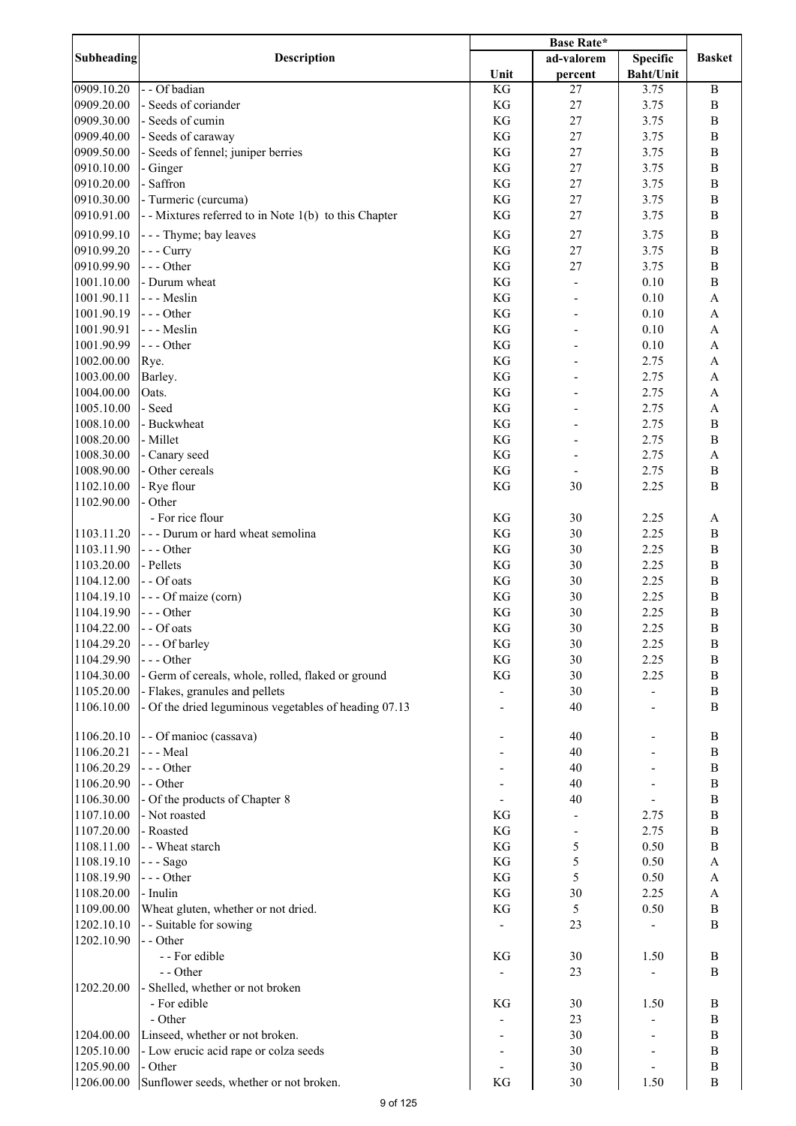| <b>Subheading</b> | <b>Description</b>                                    |      | ad-valorem               | <b>Specific</b> | <b>Basket</b>             |
|-------------------|-------------------------------------------------------|------|--------------------------|-----------------|---------------------------|
|                   |                                                       | Unit | percent                  | Baht/Unit       |                           |
| 0909.10.20        | - - Of badian                                         | KG   | 27                       | 3.75            | $\, {\bf B}$              |
| 0909.20.00        | - Seeds of coriander                                  | KG   | 27                       | 3.75            | $\, {\bf B}$              |
| 0909.30.00        | - Seeds of cumin                                      | KG   | 27                       | 3.75            | $\, {\bf B}$              |
| 0909.40.00        | - Seeds of caraway                                    | KG   | 27                       | 3.75            | $\, {\bf B}$              |
| 0909.50.00        | - Seeds of fennel; juniper berries                    | KG   | 27                       | 3.75            | $\, {\bf B}$              |
| 0910.10.00        | - Ginger                                              | KG   | 27                       | 3.75            | $\, {\bf B}$              |
| 0910.20.00        | - Saffron                                             | KG   | 27                       | 3.75            | $\, {\bf B}$              |
| 0910.30.00        | - Turmeric (curcuma)                                  | KG   | 27                       | 3.75            | $\, {\bf B}$              |
| 0910.91.00        | -- Mixtures referred to in Note 1(b) to this Chapter  | KG   | 27                       | 3.75            | $\bf{B}$                  |
|                   |                                                       |      |                          |                 |                           |
| 0910.99.10        | - - - Thyme; bay leaves                               | KG   | 27                       | 3.75            | $\, {\bf B}$              |
| 0910.99.20        | $-- Curry$                                            | KG   | 27                       | 3.75            | $\, {\bf B}$              |
| 0910.99.90        | --- Other                                             | KG   | 27                       | 3.75            | $\, {\bf B}$              |
| 1001.10.00        | - Durum wheat                                         | KG   |                          | 0.10            | $\, {\bf B}$              |
| 1001.90.11        | --- Meslin                                            | KG   |                          | 0.10            | A                         |
| 1001.90.19        | --- Other                                             | KG   |                          | 0.10            | A                         |
| 1001.90.91        | --- Meslin                                            | KG   |                          | 0.10            | A                         |
| 1001.90.99        | $--$ Other                                            | KG   |                          | 0.10            | A                         |
| 1002.00.00        | Rye.                                                  | KG   |                          | 2.75            | A                         |
| 1003.00.00        | Barley.                                               | KG   |                          | 2.75            | A                         |
| 1004.00.00        | Oats.                                                 | KG   |                          | 2.75            | $\boldsymbol{\mathsf{A}}$ |
| 1005.10.00        | - Seed                                                | KG   |                          | 2.75            | $\boldsymbol{\mathsf{A}}$ |
| 1008.10.00        | - Buckwheat                                           | KG   |                          | 2.75            | $\, {\bf B}$              |
| 1008.20.00        | - Millet                                              | KG   |                          | 2.75            | $\, {\bf B}$              |
| 1008.30.00        | - Canary seed                                         | KG   |                          | 2.75            | $\boldsymbol{\mathsf{A}}$ |
|                   |                                                       |      | $\overline{\phantom{0}}$ |                 |                           |
| 1008.90.00        | - Other cereals                                       | KG   | $\blacksquare$           | 2.75            | $\, {\bf B}$              |
| 1102.10.00        | - Rye flour                                           | KG   | 30                       | 2.25            | $\bf{B}$                  |
| 1102.90.00        | - Other                                               |      |                          |                 |                           |
|                   | - For rice flour                                      | KG   | 30                       | 2.25            | A                         |
| 1103.11.20        | --- Durum or hard wheat semolina                      | KG   | 30                       | 2.25            | $\, {\bf B}$              |
| 1103.11.90        | --- Other                                             | KG   | 30                       | 2.25            | $\, {\bf B}$              |
| 1103.20.00        | - Pellets                                             | KG   | 30                       | 2.25            | $\, {\bf B}$              |
| 1104.12.00        | - - Of oats                                           | KG   | 30                       | 2.25            | $\, {\bf B}$              |
| 1104.19.10        | - - - Of maize (corn)                                 | KG   | 30                       | 2.25            | $\, {\bf B}$              |
| 1104.19.90        | --- Other                                             | KG   | 30                       | 2.25            | $\, {\bf B}$              |
| 1104.22.00        | - - Of oats                                           | KG   | 30                       | 2.25            | $\, {\bf B}$              |
| 1104.29.20        | --- Of barley                                         | KG   | 30                       | 2.25            | $\, {\bf B}$              |
| 1104.29.90        | $--$ Other                                            | KG   | 30                       | 2.25            | $\bf{B}$                  |
| 1104.30.00        | - Germ of cereals, whole, rolled, flaked or ground    | KG   | 30                       | 2.25            | $\, {\bf B}$              |
| 1105.20.00        | - Flakes, granules and pellets                        |      | 30                       |                 | $\, {\bf B}$              |
| 1106.10.00        | - Of the dried leguminous vegetables of heading 07.13 |      | 40                       |                 | B                         |
|                   |                                                       |      |                          |                 |                           |
| 1106.20.10        | - - Of manioc (cassava)                               |      | 40                       |                 | B                         |
| 1106.20.21        | - - - Meal                                            |      | 40                       |                 | $\, {\bf B}$              |
| 1106.20.29        | --- Other                                             |      | 40                       |                 | $\, {\bf B}$              |
| 1106.20.90        | - - Other                                             |      | 40                       |                 | $\, {\bf B}$              |
| 1106.30.00        | - Of the products of Chapter 8                        |      | 40                       |                 | $\, {\bf B}$              |
| 1107.10.00        | - Not roasted                                         | KG   |                          | 2.75            | $\, {\bf B}$              |
| 1107.20.00        | - Roasted                                             | KG   |                          | 2.75            | $\, {\bf B}$              |
| 1108.11.00        | - - Wheat starch                                      | KG   | 5                        | 0.50            | $\, {\bf B}$              |
| 1108.19.10        | - - - Sago                                            | KG   | 5                        | 0.50            | $\mathbf{A}$              |
|                   | --- Other                                             | KG   | 5                        |                 |                           |
| 1108.19.90        |                                                       |      |                          | 0.50            | $\boldsymbol{\mathsf{A}}$ |
| 1108.20.00        | - Inulin                                              | KG   | 30                       | 2.25            | $\boldsymbol{\mathsf{A}}$ |
| 1109.00.00        | Wheat gluten, whether or not dried.                   | KG   | $\sqrt{5}$               | 0.50            | $\, {\bf B}$              |
| 1202.10.10        | - - Suitable for sowing                               |      | 23                       |                 | $\, {\bf B}$              |
| 1202.10.90        | - - Other                                             |      |                          |                 |                           |
|                   | - - For edible                                        | KG   | 30                       | 1.50            | $\bf{B}$                  |
|                   | - - Other                                             |      | 23                       |                 | $\bf{B}$                  |
| 1202.20.00        | - Shelled, whether or not broken                      |      |                          |                 |                           |
|                   | - For edible                                          | KG   | 30                       | 1.50            | $\bf{B}$                  |
|                   | - Other                                               |      | 23                       |                 | B                         |
| 1204.00.00        | Linseed, whether or not broken.                       |      | 30                       |                 | $\, {\bf B}$              |
| 1205.10.00        | - Low erucic acid rape or colza seeds                 |      | 30                       |                 | $\, {\bf B}$              |
| 1205.90.00        | - Other                                               |      | 30                       |                 | $\, {\bf B}$              |
| 1206.00.00        | Sunflower seeds, whether or not broken.               | KG   | 30                       | 1.50            | $\, {\bf B}$              |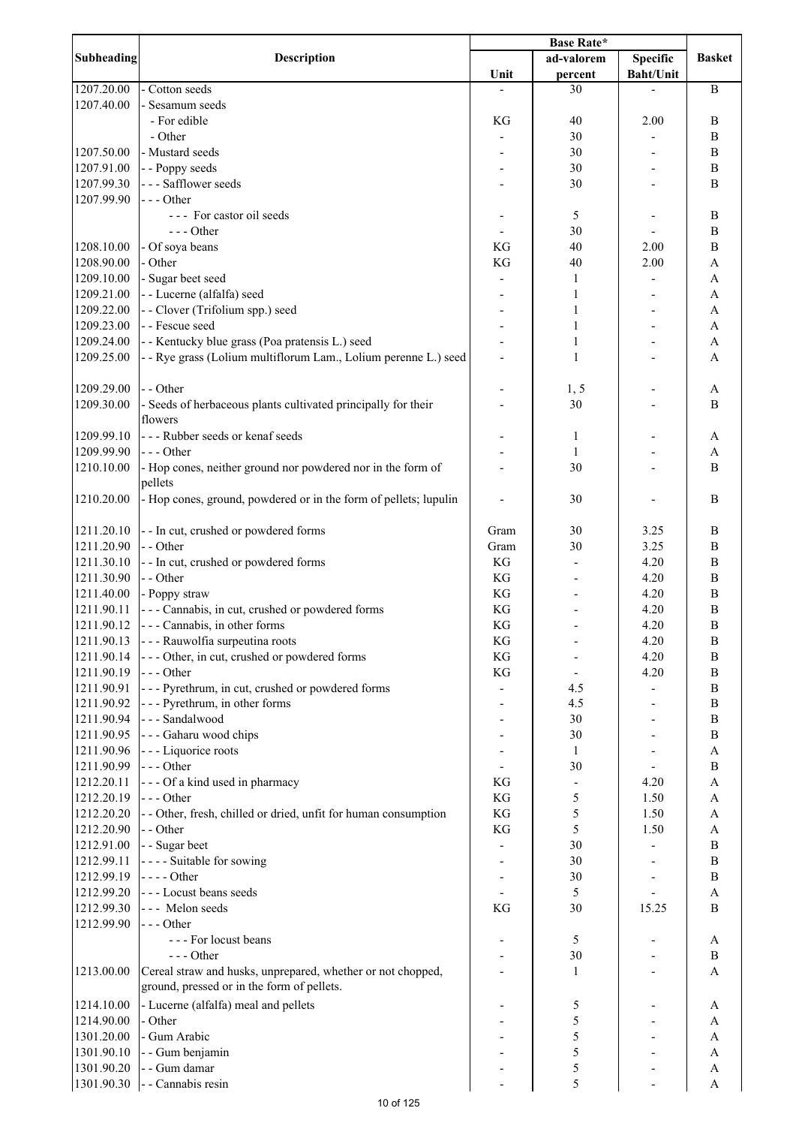|                   |                                                                  | <b>Base Rate*</b> |                          |                  |                           |
|-------------------|------------------------------------------------------------------|-------------------|--------------------------|------------------|---------------------------|
| <b>Subheading</b> | <b>Description</b>                                               |                   | ad-valorem               | <b>Specific</b>  | <b>Basket</b>             |
|                   |                                                                  | Unit              | percent                  | <b>Baht/Unit</b> |                           |
| 1207.20.00        | - Cotton seeds                                                   |                   | 30                       |                  | $\mathbf B$               |
| 1207.40.00        | Sesamum seeds                                                    |                   |                          |                  |                           |
|                   | - For edible                                                     | KG                | 40                       | 2.00             | $\bf{B}$                  |
|                   | - Other                                                          |                   | 30                       |                  | B                         |
| 1207.50.00        | - Mustard seeds                                                  |                   | 30                       |                  | $\bf{B}$                  |
| 1207.91.00        | - - Poppy seeds                                                  |                   | 30                       |                  | $\, {\bf B}$              |
| 1207.99.30        | --- Safflower seeds                                              |                   | 30                       |                  | $\bf{B}$                  |
| 1207.99.90        | $--$ Other                                                       |                   |                          |                  |                           |
|                   | --- For castor oil seeds                                         |                   |                          |                  | $\, {\bf B}$              |
|                   | $---$ Other                                                      |                   | 5                        |                  |                           |
|                   |                                                                  |                   | 30                       |                  | $\bf{B}$                  |
| 1208.10.00        | - Of soya beans                                                  | KG                | 40                       | 2.00             | B                         |
| 1208.90.00        | - Other                                                          | KG                | 40                       | 2.00             | $\boldsymbol{\rm{A}}$     |
| 1209.10.00        | - Sugar beet seed                                                |                   | 1                        |                  | $\boldsymbol{\mathsf{A}}$ |
| 1209.21.00        | - - Lucerne (alfalfa) seed                                       |                   | 1                        |                  | $\boldsymbol{\rm{A}}$     |
| 1209.22.00        | - - Clover (Trifolium spp.) seed                                 |                   | 1                        |                  | $\boldsymbol{\rm{A}}$     |
| 1209.23.00        | - - Fescue seed                                                  |                   | 1                        |                  | $\boldsymbol{\mathsf{A}}$ |
| 1209.24.00        | - - Kentucky blue grass (Poa pratensis L.) seed                  |                   | 1                        |                  | $\mathbf{A}$              |
| 1209.25.00        | - - Rye grass (Lolium multiflorum Lam., Lolium perenne L.) seed  |                   | $\mathbf{1}$             |                  | $\overline{A}$            |
|                   |                                                                  |                   |                          |                  |                           |
| 1209.29.00        | - - Other                                                        |                   | 1, 5                     |                  | A                         |
| 1209.30.00        | - Seeds of herbaceous plants cultivated principally for their    |                   | 30                       |                  | $\bf{B}$                  |
|                   | flowers                                                          |                   |                          |                  |                           |
| 1209.99.10        | --- Rubber seeds or kenaf seeds                                  |                   | $\mathbf{1}$             |                  | A                         |
| 1209.99.90        | $--$ Other                                                       |                   | $\mathbf{1}$             |                  | $\boldsymbol{\rm{A}}$     |
| 1210.10.00        | - Hop cones, neither ground nor powdered nor in the form of      |                   | 30                       |                  | $\bf{B}$                  |
|                   | pellets                                                          |                   |                          |                  |                           |
| 1210.20.00        | - Hop cones, ground, powdered or in the form of pellets; lupulin |                   | 30                       |                  | $\bf{B}$                  |
|                   |                                                                  |                   |                          |                  |                           |
| 1211.20.10        | - - In cut, crushed or powdered forms                            | Gram              | 30                       | 3.25             | $\bf{B}$                  |
| 1211.20.90        | - - Other                                                        | Gram              | 30                       | 3.25             | $\, {\bf B}$              |
| 1211.30.10        | - - In cut, crushed or powdered forms                            | KG                |                          | 4.20             | $\bf{B}$                  |
|                   |                                                                  | KG                |                          |                  | $\, {\bf B}$              |
| 1211.30.90        | - - Other                                                        |                   |                          | 4.20             |                           |
| 1211.40.00        | - Poppy straw                                                    | KG                |                          | 4.20             | B                         |
| 1211.90.11        | --- Cannabis, in cut, crushed or powdered forms                  | KG                |                          | 4.20             | $\boldsymbol{B}$          |
| 1211.90.12        | - - - Cannabis, in other forms                                   | KG                |                          | 4.20             | $\, {\bf B}$              |
| 1211.90.13        | - - - Rauwolfia surpeutina roots                                 | KG                |                          | 4.20             | B                         |
| 1211.90.14        | --- Other, in cut, crushed or powdered forms                     | KG                |                          | 4.20             | $\, {\bf B}$              |
| 1211.90.19        | $--$ Other                                                       | KG                | $\overline{\phantom{a}}$ | 4.20             | $\, {\bf B}$              |
| 1211.90.91        | --- Pyrethrum, in cut, crushed or powdered forms                 |                   | 4.5                      |                  | $\, {\bf B}$              |
| 1211.90.92        | - - - Pyrethrum, in other forms                                  |                   | 4.5                      |                  | $\, {\bf B}$              |
| 1211.90.94        | --- Sandalwood                                                   |                   | 30                       |                  | $\, {\bf B}$              |
| 1211.90.95        | - - - Gaharu wood chips                                          |                   | 30                       |                  | $\, {\bf B}$              |
| 1211.90.96        | - - - Liquorice roots                                            |                   | $\mathbf{1}$             |                  | $\boldsymbol{\rm{A}}$     |
| 1211.90.99        | $--$ Other                                                       |                   | 30                       |                  | $\, {\bf B}$              |
| 1212.20.11        | --- Of a kind used in pharmacy                                   | KG                | $\overline{\phantom{a}}$ | 4.20             | $\mathbf{A}$              |
| 1212.20.19        | $--$ Other                                                       | KG                | $\mathfrak s$            | 1.50             | $\boldsymbol{\mathsf{A}}$ |
| 1212.20.20        | - - Other, fresh, chilled or dried, unfit for human consumption  | KG                | 5                        | 1.50             | $\boldsymbol{\mathsf{A}}$ |
| 1212.20.90        | - - Other                                                        | KG                | 5                        | 1.50             | $\overline{A}$            |
| 1212.91.00        | - - Sugar beet                                                   |                   | 30                       |                  | $\, {\bf B}$              |
| 1212.99.11        | ---- Suitable for sowing                                         |                   | 30                       |                  | $\, {\bf B}$              |
| 1212.99.19        | $--- Other$                                                      |                   | 30                       |                  | $\, {\bf B}$              |
| 1212.99.20        | --- Locust beans seeds                                           |                   | 5                        |                  | $\boldsymbol{\rm{A}}$     |
| 1212.99.30        | --- Melon seeds                                                  | KG                | 30                       | 15.25            | $\, {\bf B}$              |
| 1212.99.90        | $--$ Other                                                       |                   |                          |                  |                           |
|                   | --- For locust beans                                             |                   | 5                        |                  | A                         |
|                   | $--- Other$                                                      |                   | 30                       |                  | $\, {\bf B}$              |
| 1213.00.00        | Cereal straw and husks, unprepared, whether or not chopped,      |                   | $\mathbf{1}$             |                  | A                         |
|                   | ground, pressed or in the form of pellets.                       |                   |                          |                  |                           |
|                   |                                                                  |                   |                          |                  |                           |
| 1214.10.00        | - Lucerne (alfalfa) meal and pellets                             |                   | 5                        |                  | A                         |
| 1214.90.00        | - Other                                                          |                   | 5                        |                  | $\boldsymbol{\rm{A}}$     |
| 1301.20.00        | - Gum Arabic                                                     |                   | 5                        |                  | $\boldsymbol{\rm{A}}$     |
| 1301.90.10        | - - Gum benjamin                                                 |                   | 5                        |                  | A                         |
| 1301.90.20        | - - Gum damar                                                    |                   | 5                        |                  | A                         |
| 1301.90.30        | - - Cannabis resin                                               |                   | 5                        |                  | $\boldsymbol{\mathsf{A}}$ |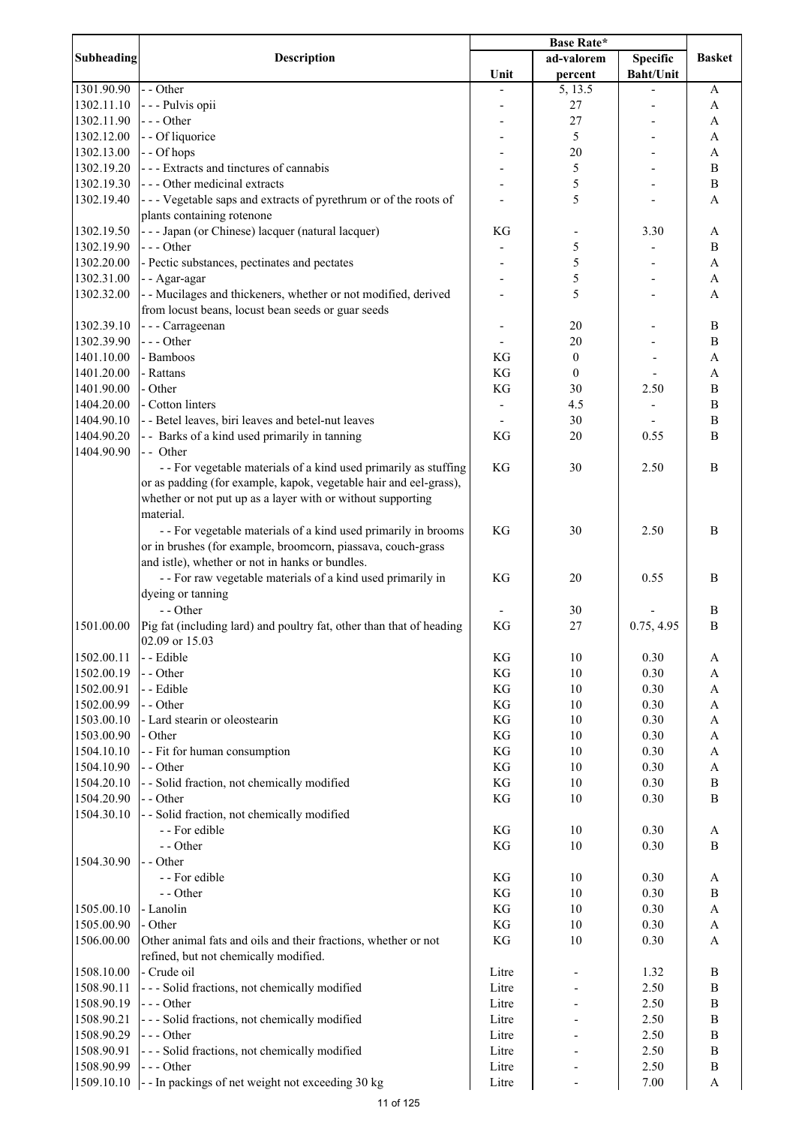|            |                                                                                               | <b>Base Rate*</b> |                  |                  |                           |
|------------|-----------------------------------------------------------------------------------------------|-------------------|------------------|------------------|---------------------------|
| Subheading | <b>Description</b>                                                                            |                   | ad-valorem       | <b>Specific</b>  | <b>Basket</b>             |
|            |                                                                                               | Unit              | percent          | <b>Baht/Unit</b> |                           |
| 1301.90.90 | - - Other                                                                                     |                   | 5, 13.5          |                  | A                         |
| 1302.11.10 | - - - Pulvis opii                                                                             |                   | 27               |                  | A                         |
| 1302.11.90 | --- Other                                                                                     |                   | 27               |                  | A                         |
| 1302.12.00 | - - Of liquorice                                                                              |                   | 5                |                  | A                         |
|            | - - Of hops                                                                                   |                   |                  |                  |                           |
| 1302.13.00 |                                                                                               |                   | 20               |                  | A                         |
| 1302.19.20 | --- Extracts and tinctures of cannabis                                                        |                   | 5                |                  | $\bf{B}$                  |
| 1302.19.30 | --- Other medicinal extracts                                                                  |                   | 5                |                  | $\, {\bf B}$              |
| 1302.19.40 | --- Vegetable saps and extracts of pyrethrum or of the roots of<br>plants containing rotenone |                   | 5                |                  | A                         |
| 1302.19.50 | - - - Japan (or Chinese) lacquer (natural lacquer)                                            | KG                | -                | 3.30             | A                         |
| 1302.19.90 | --- Other                                                                                     |                   | 5                |                  | $\bf{B}$                  |
| 1302.20.00 | - Pectic substances, pectinates and pectates                                                  |                   | 5                |                  | A                         |
| 1302.31.00 | - - Agar-agar                                                                                 |                   | 5                |                  | A                         |
| 1302.32.00 | - - Mucilages and thickeners, whether or not modified, derived                                |                   | 5                |                  | A                         |
|            | from locust beans, locust bean seeds or guar seeds                                            |                   |                  |                  |                           |
|            |                                                                                               |                   |                  |                  |                           |
| 1302.39.10 | - - - Carrageenan                                                                             |                   | 20               |                  | B                         |
| 1302.39.90 | --- Other                                                                                     |                   | 20               |                  | $\, {\bf B}$              |
| 1401.10.00 | - Bamboos                                                                                     | KG                | $\boldsymbol{0}$ |                  | A                         |
| 1401.20.00 | - Rattans                                                                                     | KG                | $\boldsymbol{0}$ |                  | A                         |
| 1401.90.00 | - Other                                                                                       | KG                | 30               | 2.50             | $\, {\bf B}$              |
| 1404.20.00 | - Cotton linters                                                                              |                   | 4.5              |                  | $\, {\bf B}$              |
| 1404.90.10 | - - Betel leaves, biri leaves and betel-nut leaves                                            |                   | 30               |                  | $\, {\bf B}$              |
| 1404.90.20 | - - Barks of a kind used primarily in tanning                                                 | KG                | 20               | 0.55             | B                         |
| 1404.90.90 | - - Other                                                                                     |                   |                  |                  |                           |
|            | - - For vegetable materials of a kind used primarily as stuffing                              | KG                | 30               | 2.50             | B                         |
|            | or as padding (for example, kapok, vegetable hair and eel-grass),                             |                   |                  |                  |                           |
|            | whether or not put up as a layer with or without supporting                                   |                   |                  |                  |                           |
|            | material.                                                                                     |                   |                  |                  |                           |
|            |                                                                                               |                   |                  |                  |                           |
|            | - - For vegetable materials of a kind used primarily in brooms                                | KG                | 30               | 2.50             | B                         |
|            | or in brushes (for example, broomcorn, piassava, couch-grass                                  |                   |                  |                  |                           |
|            | and istle), whether or not in hanks or bundles.                                               |                   |                  |                  |                           |
|            | - - For raw vegetable materials of a kind used primarily in                                   | KG                | 20               | 0.55             | B                         |
|            | dyeing or tanning                                                                             |                   |                  |                  |                           |
|            | - - Other                                                                                     |                   | 30               |                  | B                         |
| 1501.00.00 | Pig fat (including lard) and poultry fat, other than that of heading                          | KG                | 27               | 0.75, 4.95       | $\, {\bf B}$              |
|            | 02.09 or 15.03                                                                                |                   |                  |                  |                           |
| 1502.00.11 | - - Edible                                                                                    | KG                | 10               | 0.30             | A                         |
| 1502.00.19 | - - Other                                                                                     | KG                | 10               | 0.30             | A                         |
| 1502.00.91 | - - Edible                                                                                    | KG                | 10               | 0.30             | A                         |
| 1502.00.99 | - - Other                                                                                     |                   |                  |                  |                           |
|            |                                                                                               | KG                | 10               | 0.30             | A                         |
| 1503.00.10 | - Lard stearin or oleostearin                                                                 | KG                | 10               | 0.30             | A                         |
| 1503.00.90 | - Other                                                                                       | KG                | 10               | 0.30             | A                         |
| 1504.10.10 | - - Fit for human consumption                                                                 | KG                | 10               | 0.30             | A                         |
| 1504.10.90 | - - Other                                                                                     | KG                | 10               | 0.30             | A                         |
| 1504.20.10 | - - Solid fraction, not chemically modified                                                   | KG                | 10               | 0.30             | $\, {\bf B}$              |
| 1504.20.90 | - - Other                                                                                     | KG                | 10               | 0.30             | $\mathbf B$               |
| 1504.30.10 | - - Solid fraction, not chemically modified                                                   |                   |                  |                  |                           |
|            | - - For edible                                                                                | KG                | 10               | 0.30             | A                         |
|            | - - Other                                                                                     | KG                | 10               | 0.30             | $\mathbf B$               |
| 1504.30.90 | - - Other                                                                                     |                   |                  |                  |                           |
|            | - - For edible                                                                                | KG                | 10               | 0.30             | A                         |
|            | - - Other                                                                                     | KG                | 10               | 0.30             | $\mathbf B$               |
| 1505.00.10 | - Lanolin                                                                                     | KG                | 10               | 0.30             | $\mathbf{A}$              |
|            |                                                                                               |                   |                  |                  |                           |
| 1505.00.90 | - Other                                                                                       | KG                | 10               | 0.30             | A                         |
| 1506.00.00 | Other animal fats and oils and their fractions, whether or not                                | KG                | 10               | 0.30             | A                         |
|            | refined, but not chemically modified.                                                         |                   |                  |                  |                           |
| 1508.10.00 | - Crude oil                                                                                   | Litre             |                  | 1.32             | B                         |
| 1508.90.11 | --- Solid fractions, not chemically modified                                                  | Litre             |                  | 2.50             | $\, {\bf B}$              |
| 1508.90.19 | $--$ Other                                                                                    | Litre             |                  | 2.50             | $\, {\bf B}$              |
| 1508.90.21 | --- Solid fractions, not chemically modified                                                  | Litre             |                  | 2.50             | $\, {\bf B}$              |
| 1508.90.29 | $--- Other$                                                                                   | Litre             |                  | 2.50             | $\, {\bf B}$              |
| 1508.90.91 | --- Solid fractions, not chemically modified                                                  | Litre             |                  | 2.50             | B                         |
| 1508.90.99 | $--$ Other                                                                                    | Litre             |                  | 2.50             | B                         |
| 1509.10.10 | -- In packings of net weight not exceeding 30 kg                                              | Litre             |                  | 7.00             | $\boldsymbol{\mathsf{A}}$ |
|            |                                                                                               |                   |                  |                  |                           |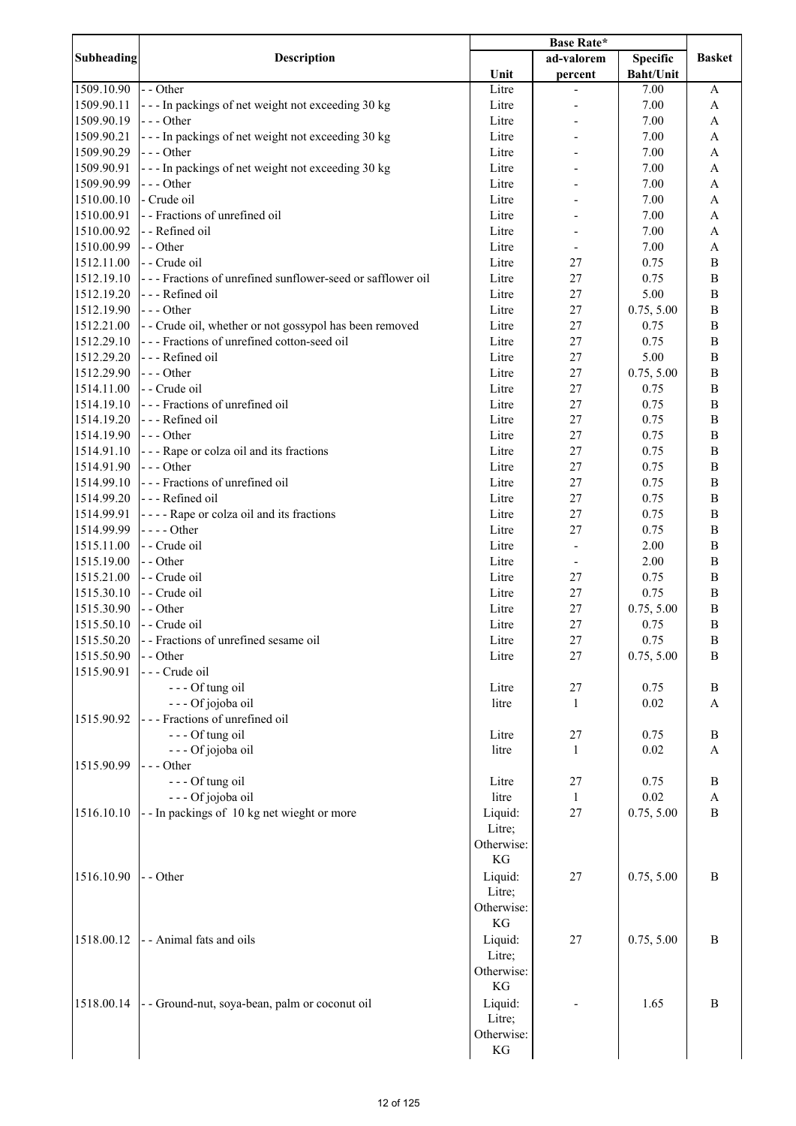|                          |                                                            | <b>Base Rate*</b> |              |                  |                              |
|--------------------------|------------------------------------------------------------|-------------------|--------------|------------------|------------------------------|
| Subheading               | <b>Description</b>                                         |                   | ad-valorem   | <b>Specific</b>  | <b>Basket</b>                |
|                          |                                                            | Unit              | percent      | <b>Baht/Unit</b> |                              |
| 1509.10.90               | - - Other                                                  | Litre             |              | 7.00             | A                            |
| 1509.90.11               | --- In packings of net weight not exceeding 30 kg          | Litre             |              | 7.00             | $\mathbf{A}$                 |
| 1509.90.19               | $--$ Other                                                 | Litre             |              | 7.00             | $\mathbf{A}$                 |
| 1509.90.21               | --- In packings of net weight not exceeding 30 kg          | Litre             |              | 7.00             | $\mathbf{A}$                 |
| 1509.90.29               | $--$ Other                                                 | Litre             |              | 7.00             | A                            |
| 1509.90.91               | --- In packings of net weight not exceeding 30 kg          | Litre             |              | 7.00             | A                            |
| 1509.90.99               | $--- Other$                                                | Litre             |              | 7.00             | A                            |
| 1510.00.10               | - Crude oil                                                | Litre             |              | 7.00             | A                            |
| 1510.00.91               | - - Fractions of unrefined oil                             | Litre             |              | 7.00             | A                            |
| 1510.00.92               | - - Refined oil                                            | Litre             |              | 7.00             | A                            |
| 1510.00.99               | - - Other                                                  | Litre             |              | 7.00             | A                            |
| 1512.11.00               | - - Crude oil                                              | Litre             | 27           | 0.75             | B                            |
| 1512.19.10               | --- Fractions of unrefined sunflower-seed or safflower oil | Litre             | 27           | 0.75             | $\bf{B}$                     |
| 1512.19.20               | --- Refined oil                                            | Litre             | 27           | 5.00             | $\, {\bf B}$                 |
| 1512.19.90               | $--- Other$                                                | Litre             | 27           | 0.75, 5.00       | $\, {\bf B}$                 |
| 1512.21.00               | - - Crude oil, whether or not gossypol has been removed    | Litre             | 27           | 0.75             | $\, {\bf B}$                 |
| 1512.29.10               | --- Fractions of unrefined cotton-seed oil                 | Litre             | 27           | 0.75             | $\, {\bf B}$                 |
| 1512.29.20               | --- Refined oil                                            | Litre             | 27           | 5.00             | $\, {\bf B}$                 |
| 1512.29.90               | $--$ Other                                                 | Litre             | 27           | 0.75, 5.00       | $\, {\bf B}$                 |
| 1514.11.00               | -- Crude oil                                               | Litre             | 27           | 0.75             | $\, {\bf B}$                 |
| 1514.19.10               | --- Fractions of unrefined oil                             | Litre             | 27           | 0.75             | $\, {\bf B}$                 |
| 1514.19.20               | --- Refined oil<br>$\left  - \right $ - - Other            | Litre             | 27           | 0.75             | $\, {\bf B}$                 |
| 1514.19.90               |                                                            | Litre             | 27           | 0.75             | $\, {\bf B}$                 |
| 1514.91.10<br>1514.91.90 | --- Rape or colza oil and its fractions<br>$--$ Other      | Litre<br>Litre    | 27<br>27     | 0.75<br>0.75     | $\, {\bf B}$<br>$\, {\bf B}$ |
| 1514.99.10               | --- Fractions of unrefined oil                             | Litre             | 27           | 0.75             | B                            |
| 1514.99.20               | --- Refined oil                                            | Litre             | 27           | 0.75             | B                            |
| 1514.99.91               | ---- Rape or colza oil and its fractions                   | Litre             | 27           | 0.75             | B                            |
| 1514.99.99               | $--- Other$                                                | Litre             | 27           | 0.75             | B                            |
| 1515.11.00               | - - Crude oil                                              | Litre             |              | 2.00             | $\, {\bf B}$                 |
| 1515.19.00               | - - Other                                                  | Litre             |              | 2.00             | $\bf{B}$                     |
| 1515.21.00               | - - Crude oil                                              | Litre             | 27           | 0.75             | $\bf{B}$                     |
| 1515.30.10               | - - Crude oil                                              | Litre             | 27           | 0.75             | $\bf{B}$                     |
| 1515.30.90               | - - Other                                                  | Litre             | 27           | 0.75, 5.00       | $\bf{B}$                     |
| 1515.50.10               | - - Crude oil                                              | Litre             | 27           | 0.75             | B                            |
| 1515.50.20               | -- Fractions of unrefined sesame oil                       | Litre             | 27           | 0.75             | $\, {\bf B}$                 |
| 1515.50.90               | - - Other                                                  | Litre             | 27           | 0.75, 5.00       | B                            |
| 1515.90.91               | - - - Crude oil                                            |                   |              |                  |                              |
|                          | --- Of tung oil                                            | Litre             | 27           | 0.75             | B                            |
|                          | --- Of jojoba oil                                          | litre             | 1            | 0.02             | A                            |
| 1515.90.92               | --- Fractions of unrefined oil                             |                   |              |                  |                              |
|                          | --- Of tung oil                                            | Litre             | 27           | 0.75             | $\bf{B}$                     |
|                          | --- Of jojoba oil                                          | litre             | 1            | 0.02             | A                            |
| 1515.90.99               | --- Other                                                  |                   |              |                  |                              |
|                          | --- Of tung oil                                            | Litre             | 27           | 0.75             | B                            |
|                          | --- Of jojoba oil                                          | litre             | $\mathbf{1}$ | $0.02\,$         | $\boldsymbol{\mathsf{A}}$    |
| 1516.10.10               | --In packings of 10 kg net wieght or more                  | Liquid:           | 27           | 0.75, 5.00       | $\mathbf B$                  |
|                          |                                                            | Litre;            |              |                  |                              |
|                          |                                                            | Otherwise:        |              |                  |                              |
|                          |                                                            | KG                |              |                  |                              |
| 1516.10.90               | - - Other                                                  | Liquid:           | 27           | 0.75, 5.00       | $\boldsymbol{B}$             |
|                          |                                                            | Litre;            |              |                  |                              |
|                          |                                                            | Otherwise:        |              |                  |                              |
|                          |                                                            | KG                |              |                  |                              |
| 1518.00.12               | - - Animal fats and oils                                   | Liquid:           | 27           | 0.75, 5.00       | $\mathbf B$                  |
|                          |                                                            | Litre;            |              |                  |                              |
|                          |                                                            | Otherwise:        |              |                  |                              |
|                          |                                                            | KG                |              |                  |                              |
| 1518.00.14               | - - Ground-nut, soya-bean, palm or coconut oil             | Liquid:           |              | 1.65             | $\bf{B}$                     |
|                          |                                                            | Litre;            |              |                  |                              |
|                          |                                                            | Otherwise:        |              |                  |                              |
|                          |                                                            | KG                |              |                  |                              |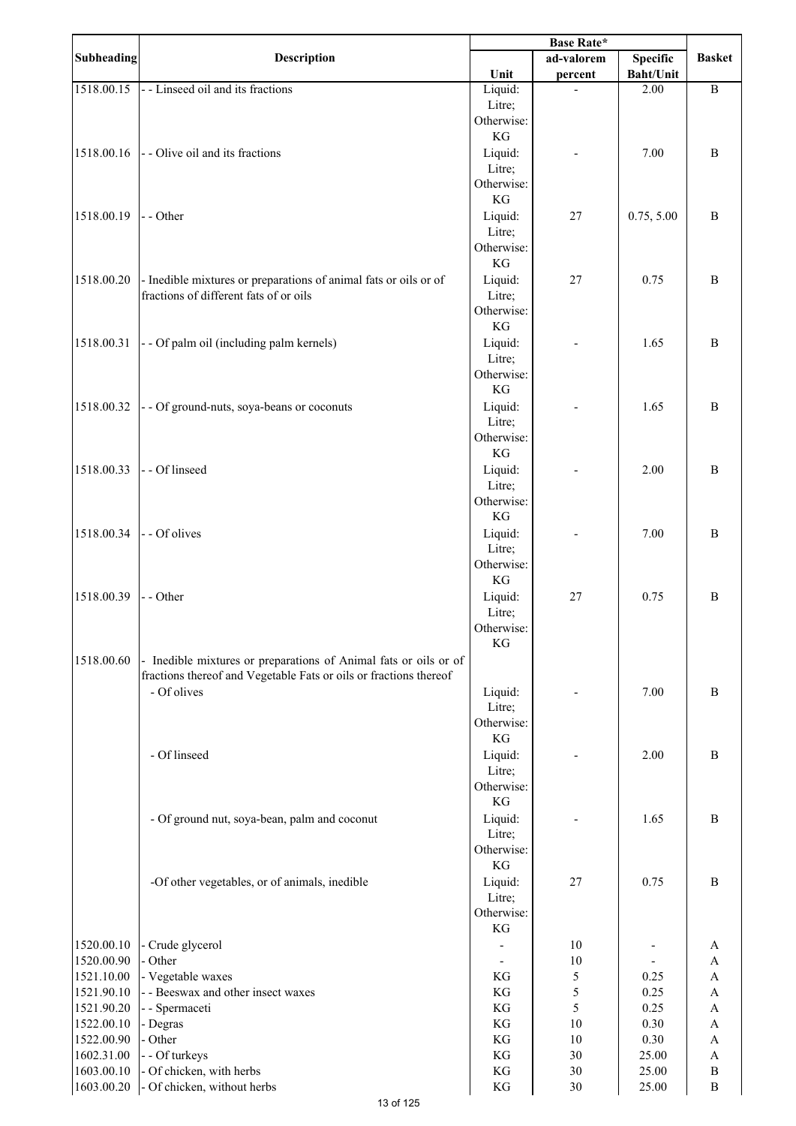|                          |                                                                                                            | Base Rate*           |            |                          |                           |
|--------------------------|------------------------------------------------------------------------------------------------------------|----------------------|------------|--------------------------|---------------------------|
| <b>Subheading</b>        | Description                                                                                                |                      | ad-valorem | <b>Specific</b>          | <b>Basket</b>             |
| 1518.00.15               | - - Linseed oil and its fractions                                                                          | Unit                 | percent    | <b>Baht/Unit</b><br>2.00 | $\, {\bf B}$              |
|                          |                                                                                                            | Liquid:<br>Litre;    |            |                          |                           |
|                          |                                                                                                            | Otherwise:           |            |                          |                           |
|                          |                                                                                                            | KG                   |            |                          |                           |
| 1518.00.16               | - - Olive oil and its fractions                                                                            | Liquid:              |            | 7.00                     | $\bf{B}$                  |
|                          |                                                                                                            | Litre;               |            |                          |                           |
|                          |                                                                                                            | Otherwise:           |            |                          |                           |
|                          |                                                                                                            | KG                   |            |                          |                           |
| 1518.00.19               | - - Other                                                                                                  | Liquid:              | $27\,$     | 0.75, 5.00               | $\bf{B}$                  |
|                          |                                                                                                            | Litre;               |            |                          |                           |
|                          |                                                                                                            | Otherwise:           |            |                          |                           |
|                          |                                                                                                            | KG                   |            |                          |                           |
| 1518.00.20               | - Inedible mixtures or preparations of animal fats or oils or of<br>fractions of different fats of or oils | Liquid:              | 27         | 0.75                     | $\bf{B}$                  |
|                          |                                                                                                            | Litre;<br>Otherwise: |            |                          |                           |
|                          |                                                                                                            | KG                   |            |                          |                           |
| 1518.00.31               | - - Of palm oil (including palm kernels)                                                                   | Liquid:              |            | 1.65                     | $\bf{B}$                  |
|                          |                                                                                                            | Litre;               |            |                          |                           |
|                          |                                                                                                            | Otherwise:           |            |                          |                           |
|                          |                                                                                                            | KG                   |            |                          |                           |
| 1518.00.32               | - - Of ground-nuts, soya-beans or coconuts                                                                 | Liquid:              |            | 1.65                     | $\bf{B}$                  |
|                          |                                                                                                            | Litre;               |            |                          |                           |
|                          |                                                                                                            | Otherwise:           |            |                          |                           |
|                          |                                                                                                            | KG                   |            |                          |                           |
| 1518.00.33               | - Of linseed                                                                                               | Liquid:              |            | 2.00                     | $\bf{B}$                  |
|                          |                                                                                                            | Litre;<br>Otherwise: |            |                          |                           |
|                          |                                                                                                            | KG                   |            |                          |                           |
| 1518.00.34               | - - Of olives                                                                                              | Liquid:              |            | 7.00                     | B                         |
|                          |                                                                                                            | Litre;               |            |                          |                           |
|                          |                                                                                                            | Otherwise:           |            |                          |                           |
|                          |                                                                                                            | KG                   |            |                          |                           |
| 1518.00.39               | - - Other                                                                                                  | Liquid:              | 27         | 0.75                     | B                         |
|                          |                                                                                                            | Litre;               |            |                          |                           |
|                          |                                                                                                            | Otherwise:           |            |                          |                           |
|                          |                                                                                                            | KG                   |            |                          |                           |
| 1518.00.60               | - Inedible mixtures or preparations of Animal fats or oils or of                                           |                      |            |                          |                           |
|                          | fractions thereof and Vegetable Fats or oils or fractions thereof<br>- Of olives                           |                      |            | 7.00                     | B                         |
|                          |                                                                                                            | Liquid:<br>Litre;    |            |                          |                           |
|                          |                                                                                                            | Otherwise:           |            |                          |                           |
|                          |                                                                                                            | KG                   |            |                          |                           |
|                          | - Of linseed                                                                                               | Liquid:              |            | 2.00                     | B                         |
|                          |                                                                                                            | Litre;               |            |                          |                           |
|                          |                                                                                                            | Otherwise:           |            |                          |                           |
|                          |                                                                                                            | KG                   |            |                          |                           |
|                          | - Of ground nut, soya-bean, palm and coconut                                                               | Liquid:              |            | 1.65                     | $\bf{B}$                  |
|                          |                                                                                                            | Litre;               |            |                          |                           |
|                          |                                                                                                            | Otherwise:<br>KG     |            |                          |                           |
|                          | -Of other vegetables, or of animals, inedible                                                              | Liquid:              | 27         | 0.75                     | B                         |
|                          |                                                                                                            | Litre;               |            |                          |                           |
|                          |                                                                                                            | Otherwise:           |            |                          |                           |
|                          |                                                                                                            | KG                   |            |                          |                           |
| 1520.00.10               | - Crude glycerol                                                                                           |                      | 10         |                          | A                         |
| 1520.00.90               | - Other                                                                                                    |                      | 10         |                          | A                         |
| 1521.10.00               | - Vegetable waxes                                                                                          | KG                   | 5          | 0.25                     | $\boldsymbol{\mathsf{A}}$ |
| 1521.90.10               | - - Beeswax and other insect waxes                                                                         | KG                   | 5          | 0.25                     | $\mathbf{A}$              |
| 1521.90.20               | - - Spermaceti                                                                                             | KG                   | 5          | 0.25                     | A                         |
| 1522.00.10<br>1522.00.90 | - Degras<br>- Other                                                                                        | KG<br>KG             | 10<br>10   | 0.30<br>0.30             | A<br>A                    |
| 1602.31.00               | - - Of turkeys                                                                                             | $\mathbf{KG}$        | 30         | 25.00                    | $\boldsymbol{A}$          |
| 1603.00.10               | - Of chicken, with herbs                                                                                   | KG                   | 30         | 25.00                    | $\, {\bf B}$              |
| 1603.00.20               | - Of chicken, without herbs                                                                                | KG                   | 30         | 25.00                    | $\, {\bf B}$              |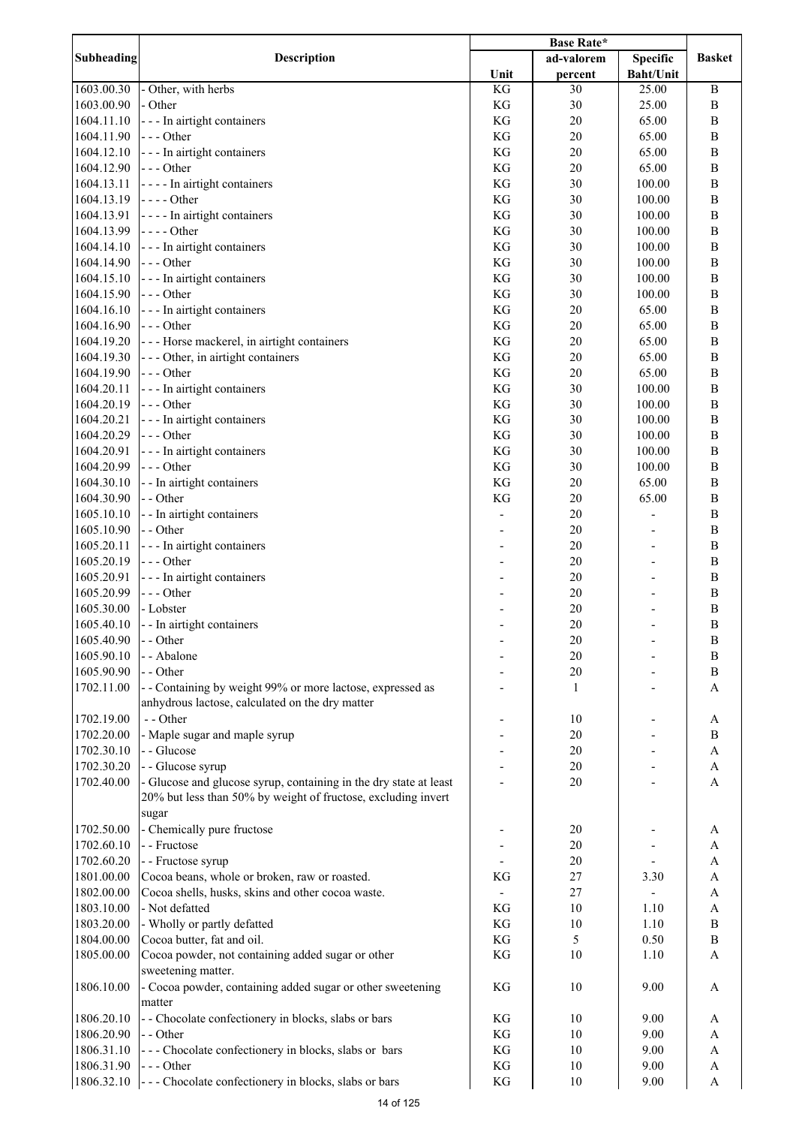| Subheading | <b>Description</b>                                                |      | ad-valorem | <b>Specific</b>  | <b>Basket</b>    |
|------------|-------------------------------------------------------------------|------|------------|------------------|------------------|
|            |                                                                   | Unit | percent    | <b>Baht/Unit</b> |                  |
| 1603.00.30 | - Other, with herbs                                               | KG   | 30         | 25.00            | $\, {\bf B}$     |
| 1603.00.90 | - Other                                                           | KG   | 30         | 25.00            | $\, {\bf B}$     |
| 1604.11.10 | - - - In airtight containers                                      | KG   | 20         | 65.00            | $\, {\bf B}$     |
| 1604.11.90 | $--- Other$                                                       | KG   | 20         | 65.00            | $\, {\bf B}$     |
| 1604.12.10 | --- In airtight containers                                        | KG   | 20         | 65.00            | $\, {\bf B}$     |
| 1604.12.90 | $- -$ Other                                                       | KG   | 20         | 65.00            | $\, {\bf B}$     |
| 1604.13.11 | $\left  \cdot \right $ - - - In airtight containers               | KG   | 30         | 100.00           | B                |
| 1604.13.19 | $- - -$ Other                                                     | KG   | 30         | 100.00           | $\, {\bf B}$     |
| 1604.13.91 | $\left  \cdot \right $ - - - In airtight containers               | KG   | 30         | 100.00           | B                |
| 1604.13.99 | $- - -$ Other                                                     | KG   | 30         | 100.00           | $\, {\bf B}$     |
| 1604.14.10 | --- In airtight containers                                        | KG   | 30         | 100.00           | $\, {\bf B}$     |
| 1604.14.90 | $\left  - \right $ - - Other                                      | KG   | 30         | 100.00           | $\, {\bf B}$     |
| 1604.15.10 | --- In airtight containers                                        | KG   | 30         | 100.00           | $\, {\bf B}$     |
| 1604.15.90 | $\left  - \right $ - - Other                                      | KG   | 30         | 100.00           | $\, {\bf B}$     |
| 1604.16.10 | --- In airtight containers                                        | KG   | 20         | 65.00            | $\, {\bf B}$     |
| 1604.16.90 | --- Other                                                         | KG   | 20         | 65.00            | $\, {\bf B}$     |
| 1604.19.20 | --- Horse mackerel, in airtight containers                        | KG   | 20         | 65.00            | $\, {\bf B}$     |
| 1604.19.30 | --- Other, in airtight containers                                 | KG   | 20         | 65.00            | $\, {\bf B}$     |
| 1604.19.90 | --- Other                                                         | KG   | 20         | 65.00            | $\, {\bf B}$     |
| 1604.20.11 | --- In airtight containers                                        | KG   | 30         | 100.00           | $\boldsymbol{B}$ |
| 1604.20.19 | --- Other                                                         | KG   | 30         | 100.00           | $\boldsymbol{B}$ |
| 1604.20.21 | - - - In airtight containers                                      | KG   | 30         | 100.00           | $\boldsymbol{B}$ |
| 1604.20.29 | $--- Other$                                                       | KG   | 30         | 100.00           | $\boldsymbol{B}$ |
| 1604.20.91 | - - - In airtight containers                                      | KG   | 30         | 100.00           | $\overline{B}$   |
| 1604.20.99 | $--- Other$                                                       | KG   | 30         | 100.00           | $\boldsymbol{B}$ |
| 1604.30.10 | - - In airtight containers                                        | KG   | 20         | 65.00            | $\boldsymbol{B}$ |
| 1604.30.90 | - - Other                                                         | KG   | 20         | 65.00            | $\, {\bf B}$     |
| 1605.10.10 | - - In airtight containers                                        |      | 20         |                  | $\, {\bf B}$     |
| 1605.10.90 | - - Other                                                         |      | 20         |                  | $\, {\bf B}$     |
| 1605.20.11 | - - - In airtight containers                                      |      | 20         |                  | $\, {\bf B}$     |
| 1605.20.19 | $--- Other$                                                       |      | 20         |                  | $\, {\bf B}$     |
| 1605.20.91 | - - - In airtight containers                                      |      | 20         |                  | $\, {\bf B}$     |
| 1605.20.99 | --- Other                                                         |      | 20         |                  | B                |
| 1605.30.00 | - Lobster                                                         |      | 20         |                  | $\, {\bf B}$     |
|            |                                                                   |      |            |                  |                  |
| 1605.40.10 | - - In airtight containers                                        |      | 20         |                  | $\, {\bf B}$     |
| 1605.40.90 | - - Other                                                         |      | 20         |                  | B                |
| 1605.90.10 | - - Abalone                                                       |      | 20         |                  | B                |
| 1605.90.90 | - - Other                                                         |      | $20\,$     |                  | B                |
| 1702.11.00 | - - Containing by weight 99% or more lactose, expressed as        |      | 1          |                  | A                |
|            | anhydrous lactose, calculated on the dry matter                   |      |            |                  |                  |
| 1702.19.00 | - - Other                                                         |      | 10         |                  | A                |
| 1702.20.00 | - Maple sugar and maple syrup                                     |      | 20         |                  | $\, {\bf B}$     |
| 1702.30.10 | - - Glucose                                                       |      | 20         |                  | A                |
| 1702.30.20 | - - Glucose syrup                                                 |      | 20         |                  | A                |
| 1702.40.00 | - Glucose and glucose syrup, containing in the dry state at least |      | $20\,$     |                  | A                |
|            | 20% but less than 50% by weight of fructose, excluding invert     |      |            |                  |                  |
|            | sugar                                                             |      |            |                  |                  |
| 1702.50.00 | - Chemically pure fructose                                        |      | 20         |                  | A                |
| 1702.60.10 | - - Fructose                                                      |      | 20         |                  | A                |
| 1702.60.20 | - - Fructose syrup                                                |      | 20         |                  | A                |
| 1801.00.00 | Cocoa beans, whole or broken, raw or roasted.                     | KG   | 27         | 3.30             | A                |
| 1802.00.00 | Cocoa shells, husks, skins and other cocoa waste.                 |      | 27         |                  | A                |
| 1803.10.00 | - Not defatted                                                    | KG   | 10         | 1.10             | A                |
| 1803.20.00 | - Wholly or partly defatted                                       | KG   | 10         | 1.10             | B                |
| 1804.00.00 | Cocoa butter, fat and oil.                                        | KG   | 5          | 0.50             | B                |
| 1805.00.00 | Cocoa powder, not containing added sugar or other                 | KG   | 10         | 1.10             | A                |
|            | sweetening matter.                                                |      |            |                  |                  |
| 1806.10.00 | - Cocoa powder, containing added sugar or other sweetening        | KG   | 10         | 9.00             | A                |
|            | matter                                                            |      |            |                  |                  |
| 1806.20.10 | - - Chocolate confectionery in blocks, slabs or bars              | KG   | 10         | 9.00             | А                |
| 1806.20.90 | - - Other                                                         | KG   | 10         | 9.00             | A                |
| 1806.31.10 | --- Chocolate confectionery in blocks, slabs or bars              | KG   | 10         | 9.00             | A                |
| 1806.31.90 | $--- Other$                                                       | KG   | 10         | 9.00             | A                |
| 1806.32.10 | --- Chocolate confectionery in blocks, slabs or bars              | KG   | 10         | 9.00             | A                |
|            |                                                                   |      |            |                  |                  |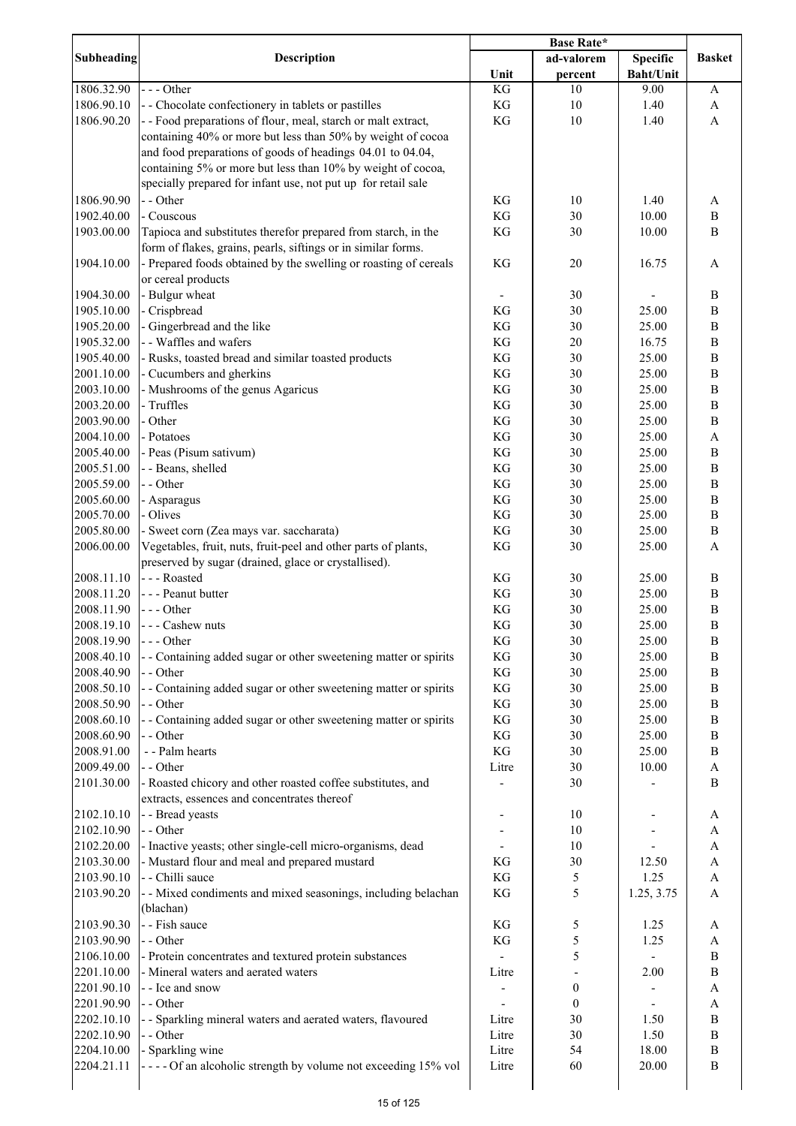|                                        | <b>Base Rate*</b>                                                                                                              |                              |                  |                  |                              |
|----------------------------------------|--------------------------------------------------------------------------------------------------------------------------------|------------------------------|------------------|------------------|------------------------------|
| Subheading                             | Description                                                                                                                    |                              | ad-valorem       | <b>Specific</b>  | <b>Basket</b>                |
|                                        |                                                                                                                                | Unit                         | percent          | <b>Baht/Unit</b> |                              |
| 1806.32.90                             | $--$ Other                                                                                                                     | KG                           | 10               | 9.00             | A                            |
| 1806.90.10                             | - - Chocolate confectionery in tablets or pastilles                                                                            | KG                           | 10               | 1.40             | $\mathbf{A}$                 |
| 1806.90.20                             | - - Food preparations of flour, meal, starch or malt extract,<br>containing 40% or more but less than 50% by weight of cocoa   | KG                           | 10               | 1.40             | A                            |
|                                        | and food preparations of goods of headings 04.01 to 04.04,<br>containing 5% or more but less than 10% by weight of cocoa,      |                              |                  |                  |                              |
|                                        | specially prepared for infant use, not put up for retail sale                                                                  |                              |                  |                  |                              |
| 1806.90.90                             | - - Other                                                                                                                      | KG                           | 10               | 1.40             | A                            |
| 1902.40.00                             | - Couscous                                                                                                                     | KG                           | 30               | 10.00            | $\, {\bf B}$                 |
| 1903.00.00                             | Tapioca and substitutes therefor prepared from starch, in the<br>form of flakes, grains, pearls, siftings or in similar forms. | KG                           | 30               | 10.00            | $\mathbf B$                  |
| 1904.10.00                             | - Prepared foods obtained by the swelling or roasting of cereals<br>or cereal products                                         | KG                           | 20               | 16.75            | A                            |
| 1904.30.00                             | - Bulgur wheat                                                                                                                 | $\qquad \qquad \blacksquare$ | 30               | -                | $\, {\bf B}$                 |
| 1905.10.00                             | - Crispbread                                                                                                                   | KG                           | 30               | 25.00            | $\, {\bf B}$                 |
| 1905.20.00                             | - Gingerbread and the like                                                                                                     | KG                           | 30               | 25.00            | $\, {\bf B}$                 |
| 1905.32.00                             | - - Waffles and wafers                                                                                                         | KG                           | 20               | 16.75            | $\, {\bf B}$                 |
| 1905.40.00                             | - Rusks, toasted bread and similar toasted products                                                                            | KG                           | 30               | 25.00            | $\, {\bf B}$                 |
| 2001.10.00                             | - Cucumbers and gherkins                                                                                                       | KG                           | 30               | 25.00            | $\, {\bf B}$                 |
| 2003.10.00                             | - Mushrooms of the genus Agaricus                                                                                              | KG                           | 30               | 25.00            | $\, {\bf B}$                 |
| 2003.20.00                             | - Truffles                                                                                                                     | KG                           | 30               | 25.00            | $\, {\bf B}$                 |
| 2003.90.00                             | - Other                                                                                                                        | KG                           | 30               | 25.00            | $\, {\bf B}$                 |
| 2004.10.00                             | - Potatoes                                                                                                                     | KG                           | 30               | 25.00            | $\mathbf{A}$                 |
| 2005.40.00                             | - Peas (Pisum sativum)                                                                                                         | KG                           | 30               | 25.00            | $\, {\bf B}$                 |
| 2005.51.00                             | - - Beans, shelled                                                                                                             | KG                           | 30               | 25.00            | $\, {\bf B}$                 |
| 2005.59.00                             | - - Other                                                                                                                      | KG                           | 30               | 25.00            | $\, {\bf B}$                 |
| 2005.60.00                             | - Asparagus                                                                                                                    | KG                           | 30               | 25.00            | $\, {\bf B}$                 |
| 2005.70.00                             | - Olives                                                                                                                       | KG                           | 30               | 25.00            | $\, {\bf B}$                 |
| 2005.80.00                             | - Sweet corn (Zea mays var. saccharata)                                                                                        | KG                           | 30               | 25.00            | $\, {\bf B}$                 |
| 2006.00.00                             | Vegetables, fruit, nuts, fruit-peel and other parts of plants,<br>preserved by sugar (drained, glace or crystallised).         | KG                           | 30               | 25.00            | $\mathbf{A}$                 |
| 2008.11.10                             | --- Roasted                                                                                                                    | KG                           | 30               | 25.00            | $\, {\bf B}$                 |
| 2008.11.20                             | - - - Peanut butter                                                                                                            | KG                           | 30               | 25.00            | $\, {\bf B}$                 |
| 2008.11.90                             | $--$ Other                                                                                                                     | KG                           | 30               | 25.00            | $\, {\bf B}$                 |
| 2008.19.10                             | - - - Cashew nuts                                                                                                              | KG                           | 30               | 25.00            | $\, {\bf B}$                 |
| 2008.19.90                             | $--$ Other                                                                                                                     | KG                           | 30               | 25.00            |                              |
|                                        |                                                                                                                                |                              |                  |                  | B<br>$\, {\bf B}$            |
| 2008.40.10                             | - - Containing added sugar or other sweetening matter or spirits<br>$-$ - Other                                                | KG                           | 30               | 25.00            |                              |
| 2008.40.90                             |                                                                                                                                | KG                           | 30               | 25.00            | $\bf{B}$                     |
| 2008.50.10                             | - - Containing added sugar or other sweetening matter or spirits                                                               | KG                           | 30               | 25.00            | B                            |
| 2008.50.90<br>2008.60.10               | - - Other                                                                                                                      | KG                           | 30               | 25.00            | $\, {\bf B}$<br>$\, {\bf B}$ |
|                                        | - - Containing added sugar or other sweetening matter or spirits                                                               | KG                           | 30               | 25.00            |                              |
| 2008.60.90                             | - - Other                                                                                                                      | KG                           | 30               | 25.00            | $\, {\bf B}$                 |
| 2008.91.00                             | - - Palm hearts                                                                                                                | KG                           | 30<br>30         | 25.00            | $\, {\bf B}$                 |
| 2009.49.00<br>2101.30.00               | - - Other<br>- Roasted chicory and other roasted coffee substitutes, and                                                       | Litre                        | 30               | 10.00            | A<br>$\mathbf B$             |
|                                        | extracts, essences and concentrates thereof                                                                                    |                              |                  |                  |                              |
| 2102.10.10                             | - - Bread yeasts                                                                                                               |                              | 10               |                  | A                            |
| 2102.10.90                             | - - Other                                                                                                                      |                              | 10               |                  | A                            |
| 2102.20.00                             | - Inactive yeasts; other single-cell micro-organisms, dead                                                                     |                              | 10               |                  | $\boldsymbol{\rm{A}}$        |
| 2103.30.00                             | - Mustard flour and meal and prepared mustard                                                                                  | KG                           | 30               | 12.50            | $\boldsymbol{\rm{A}}$        |
| 2103.90.10                             | - - Chilli sauce                                                                                                               | KG                           | 5                | 1.25             | $\mathbf{A}$                 |
| 2103.90.20                             | - Mixed condiments and mixed seasonings, including belachan<br>(blachan)                                                       | KG                           | 5                | 1.25, 3.75       | $\mathbf{A}$                 |
| 2103.90.30                             | - - Fish sauce                                                                                                                 | KG                           | 5                | 1.25             | A                            |
| 2103.90.90                             | - - Other                                                                                                                      | KG                           | 5                | 1.25             | $\mathbf{A}$                 |
| 2106.10.00                             | - Protein concentrates and textured protein substances                                                                         |                              | 5                |                  | $\, {\bf B}$                 |
|                                        | - Mineral waters and aerated waters                                                                                            | Litre                        |                  | 2.00             | $\, {\bf B}$                 |
|                                        | - - Ice and snow                                                                                                               | $\overline{\phantom{a}}$     | $\boldsymbol{0}$ |                  | $\mathbf{A}$                 |
| 2201.10.00<br>2201.90.10               |                                                                                                                                |                              |                  |                  | $\mathbf{A}$                 |
| 2201.90.90                             | - - Other                                                                                                                      |                              | $\boldsymbol{0}$ |                  |                              |
|                                        | - - Sparkling mineral waters and aerated waters, flavoured                                                                     | Litre                        | 30               | 1.50             | $\, {\bf B}$                 |
|                                        | - - Other                                                                                                                      | Litre                        | 30               | 1.50             | $\, {\bf B}$                 |
| 2202.10.10<br>2202.10.90<br>2204.10.00 | - Sparkling wine                                                                                                               | Litre                        | 54               | 18.00            | B                            |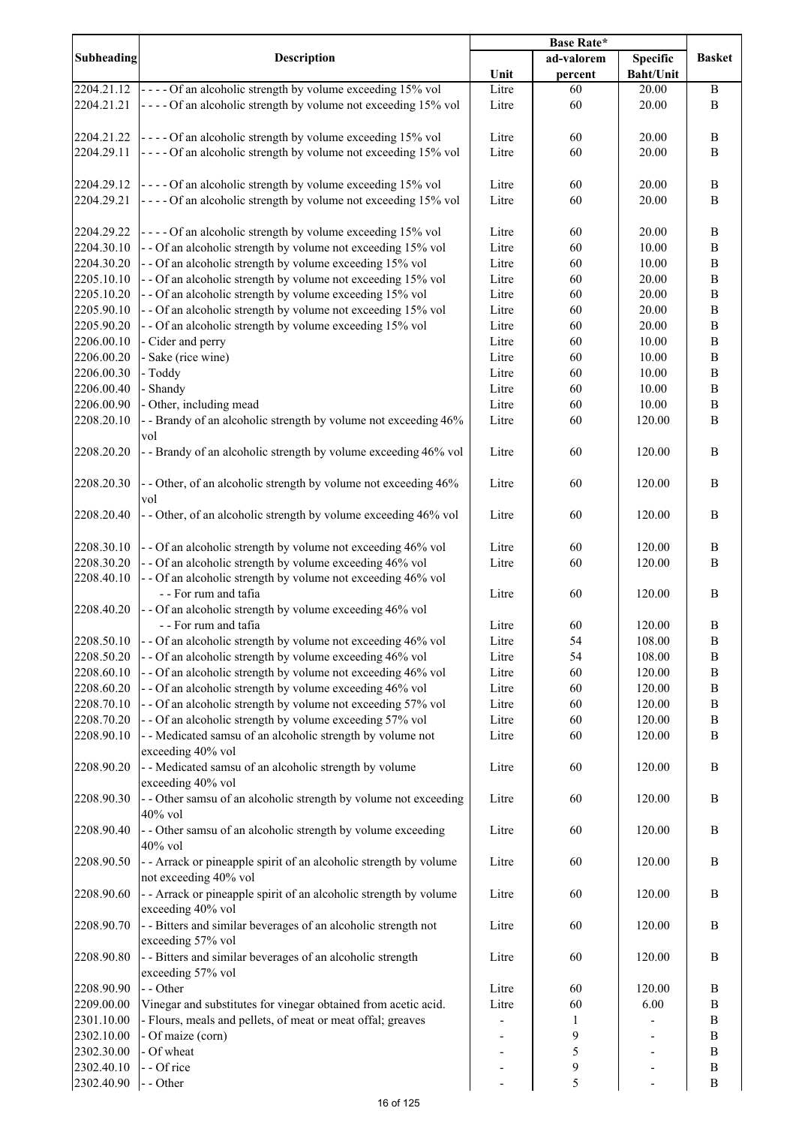|            |                                                                                                      | <b>Base Rate*</b> |            |                  |               |
|------------|------------------------------------------------------------------------------------------------------|-------------------|------------|------------------|---------------|
| Subheading | <b>Description</b>                                                                                   |                   | ad-valorem | <b>Specific</b>  | <b>Basket</b> |
|            |                                                                                                      | Unit              | percent    | <b>Baht/Unit</b> |               |
| 2204.21.12 | $\left[- -\right. - \right. - \left. -\right. 0$ f an alcoholic strength by volume exceeding 15% vol | Litre             | 60         | 20.00            | $\, {\bf B}$  |
| 2204.21.21 | ---- Of an alcoholic strength by volume not exceeding 15% vol                                        | Litre             | 60         | 20.00            | B             |
|            |                                                                                                      |                   |            |                  |               |
|            |                                                                                                      |                   |            |                  |               |
| 2204.21.22 | ---- Of an alcoholic strength by volume exceeding 15% vol                                            | Litre             | 60         | 20.00            | $\, {\bf B}$  |
| 2204.29.11 | ---- Of an alcoholic strength by volume not exceeding 15% vol                                        | Litre             | 60         | 20.00            | $\bf{B}$      |
|            |                                                                                                      |                   |            |                  |               |
| 2204.29.12 | ---- Of an alcoholic strength by volume exceeding 15% vol                                            | Litre             | 60         | 20.00            | $\, {\bf B}$  |
| 2204.29.21 | ---- Of an alcoholic strength by volume not exceeding 15% vol                                        | Litre             | 60         | 20.00            | B             |
|            |                                                                                                      |                   |            |                  |               |
| 2204.29.22 | ---- Of an alcoholic strength by volume exceeding 15% vol                                            | Litre             | 60         | 20.00            | $\, {\bf B}$  |
| 2204.30.10 | - - Of an alcoholic strength by volume not exceeding 15% vol                                         | Litre             | 60         | 10.00            | $\, {\bf B}$  |
|            |                                                                                                      |                   |            |                  |               |
| 2204.30.20 | - - Of an alcoholic strength by volume exceeding 15% vol                                             | Litre             | 60         | 10.00            | $\, {\bf B}$  |
| 2205.10.10 | - - Of an alcoholic strength by volume not exceeding 15% vol                                         | Litre             | 60         | 20.00            | $\, {\bf B}$  |
| 2205.10.20 | - - Of an alcoholic strength by volume exceeding 15% vol                                             | Litre             | 60         | 20.00            | $\, {\bf B}$  |
| 2205.90.10 | - - Of an alcoholic strength by volume not exceeding 15% vol                                         | Litre             | 60         | 20.00            | $\, {\bf B}$  |
| 2205.90.20 | - - Of an alcoholic strength by volume exceeding 15% vol                                             | Litre             | 60         | 20.00            | $\, {\bf B}$  |
| 2206.00.10 | - Cider and perry                                                                                    | Litre             | 60         | 10.00            | $\, {\bf B}$  |
| 2206.00.20 | - Sake (rice wine)                                                                                   | Litre             | 60         | 10.00            | $\, {\bf B}$  |
| 2206.00.30 | - Toddy                                                                                              | Litre             | 60         | 10.00            | $\, {\bf B}$  |
| 2206.00.40 | - Shandy                                                                                             | Litre             | 60         | 10.00            | $\, {\bf B}$  |
| 2206.00.90 | - Other, including mead                                                                              | Litre             | 60         | 10.00            | $\, {\bf B}$  |
|            | - - Brandy of an alcoholic strength by volume not exceeding 46%                                      |                   |            |                  | $\, {\bf B}$  |
| 2208.20.10 |                                                                                                      | Litre             | 60         | 120.00           |               |
|            | vol                                                                                                  |                   |            |                  |               |
| 2208.20.20 | - - Brandy of an alcoholic strength by volume exceeding 46% vol                                      | Litre             | 60         | 120.00           | $\, {\bf B}$  |
|            |                                                                                                      |                   |            |                  |               |
| 2208.20.30 | - - Other, of an alcoholic strength by volume not exceeding 46%                                      | Litre             | 60         | 120.00           | $\, {\bf B}$  |
|            | vol                                                                                                  |                   |            |                  |               |
| 2208.20.40 | - - Other, of an alcoholic strength by volume exceeding 46% vol                                      | Litre             | 60         | 120.00           | $\, {\bf B}$  |
|            |                                                                                                      |                   |            |                  |               |
| 2208.30.10 | -- Of an alcoholic strength by volume not exceeding 46% vol                                          | Litre             | 60         | 120.00           | $\, {\bf B}$  |
|            |                                                                                                      |                   | 60         |                  |               |
| 2208.30.20 | - - Of an alcoholic strength by volume exceeding 46% vol                                             | Litre             |            | 120.00           | B             |
| 2208.40.10 | - - Of an alcoholic strength by volume not exceeding 46% vol                                         |                   |            |                  |               |
|            | - - For rum and tafia                                                                                | Litre             | 60         | 120.00           | $\, {\bf B}$  |
| 2208.40.20 | - - Of an alcoholic strength by volume exceeding 46% vol                                             |                   |            |                  |               |
|            | - - For rum and tafia                                                                                | Litre             | 60         | 120.00           | $\, {\bf B}$  |
| 2208.50.10 | - - Of an alcoholic strength by volume not exceeding 46% vol                                         | Litre             | 54         | 108.00           | B             |
| 2208.50.20 | - - Of an alcoholic strength by volume exceeding 46% vol                                             | Litre             | 54         | 108.00           | $\bf{B}$      |
| 2208.60.10 | - - Of an alcoholic strength by volume not exceeding 46% vol                                         | Litre             | 60         | 120.00           | $\, {\bf B}$  |
| 2208.60.20 | - - Of an alcoholic strength by volume exceeding 46% vol                                             | Litre             | 60         | 120.00           | $\, {\bf B}$  |
| 2208.70.10 | - - Of an alcoholic strength by volume not exceeding 57% vol                                         | Litre             | 60         | 120.00           | $\, {\bf B}$  |
| 2208.70.20 | - - Of an alcoholic strength by volume exceeding 57% vol                                             | Litre             | 60         | 120.00           | $\, {\bf B}$  |
| 2208.90.10 | - - Medicated samsu of an alcoholic strength by volume not                                           | Litre             | 60         | 120.00           | $\bf{B}$      |
|            | exceeding 40% vol                                                                                    |                   |            |                  |               |
|            |                                                                                                      |                   |            |                  |               |
| 2208.90.20 | - - Medicated samsu of an alcoholic strength by volume                                               | Litre             | 60         | 120.00           | $\, {\bf B}$  |
|            | exceeding 40% vol                                                                                    |                   |            |                  |               |
| 2208.90.30 | - - Other samsu of an alcoholic strength by volume not exceeding                                     | Litre             | 60         | 120.00           | B             |
|            | 40% vol                                                                                              |                   |            |                  |               |
| 2208.90.40 | - - Other samsu of an alcoholic strength by volume exceeding                                         | Litre             | 60         | 120.00           | $\, {\bf B}$  |
|            | 40% vol                                                                                              |                   |            |                  |               |
| 2208.90.50 | - - Arrack or pineapple spirit of an alcoholic strength by volume                                    | Litre             | 60         | 120.00           | B             |
|            | not exceeding 40% vol                                                                                |                   |            |                  |               |
| 2208.90.60 | - - Arrack or pineapple spirit of an alcoholic strength by volume                                    | Litre             | 60         | 120.00           | B             |
|            | exceeding 40% vol                                                                                    |                   |            |                  |               |
|            |                                                                                                      |                   |            |                  |               |
| 2208.90.70 | - - Bitters and similar beverages of an alcoholic strength not                                       | Litre             | 60         | 120.00           | $\, {\bf B}$  |
|            | exceeding 57% vol                                                                                    |                   |            |                  |               |
| 2208.90.80 | - - Bitters and similar beverages of an alcoholic strength                                           | Litre             | 60         | 120.00           | $\, {\bf B}$  |
|            | exceeding 57% vol                                                                                    |                   |            |                  |               |
| 2208.90.90 | - - Other                                                                                            | Litre             | 60         | 120.00           | B             |
| 2209.00.00 | Vinegar and substitutes for vinegar obtained from acetic acid.                                       | Litre             | 60         | 6.00             | B             |
| 2301.10.00 | - Flours, meals and pellets, of meat or meat offal; greaves                                          |                   | 1          |                  | B             |
| 2302.10.00 | - Of maize (corn)                                                                                    |                   | 9          |                  | B             |
| 2302.30.00 | - Of wheat                                                                                           |                   | 5          |                  | $\, {\bf B}$  |
| 2302.40.10 | - - Of rice                                                                                          |                   | 9          |                  | B             |
|            |                                                                                                      |                   | 5          |                  | $\, {\bf B}$  |
| 2302.40.90 | - - Other                                                                                            |                   |            | $\blacksquare$   |               |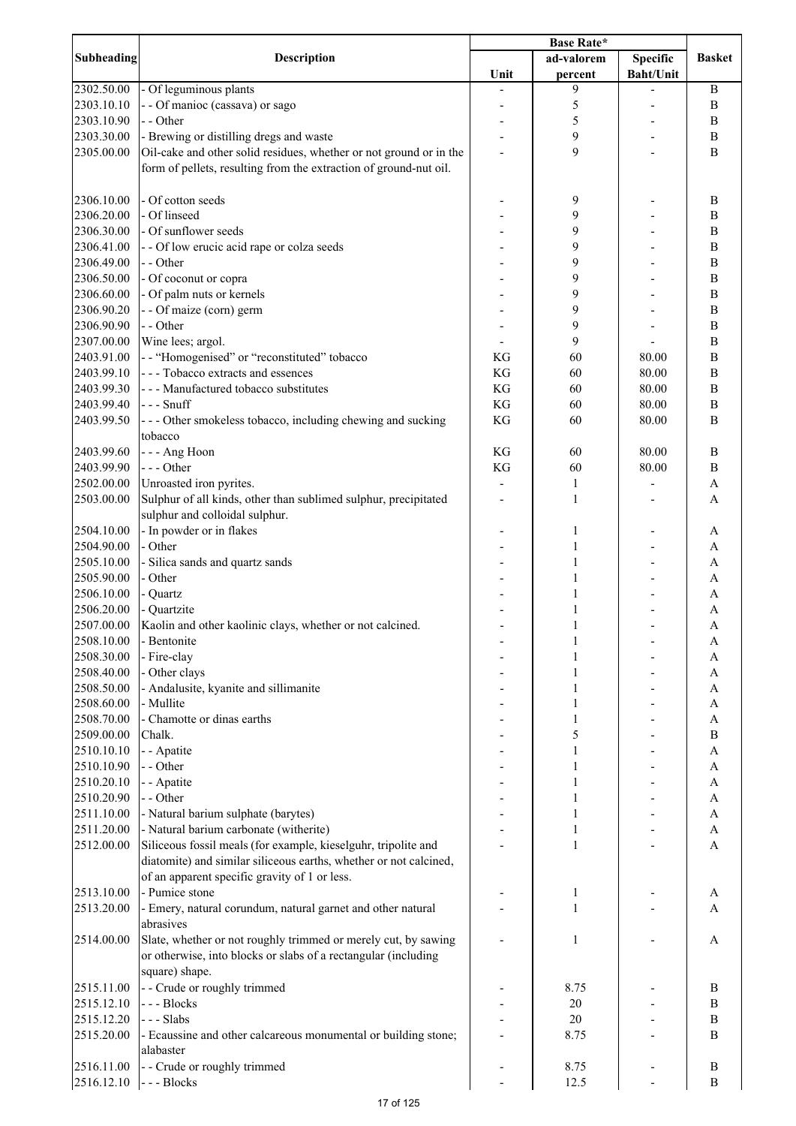|                          |                                                                               | Base Rate* |              |                  |                              |
|--------------------------|-------------------------------------------------------------------------------|------------|--------------|------------------|------------------------------|
| <b>Subheading</b>        | <b>Description</b>                                                            |            | ad-valorem   | <b>Specific</b>  | <b>Basket</b>                |
|                          |                                                                               | Unit       | percent      | <b>Baht/Unit</b> |                              |
| 2302.50.00               | - Of leguminous plants                                                        |            | 9            |                  | $\, {\bf B}$                 |
| 2303.10.10               | - - Of manioc (cassava) or sago                                               |            | 5            |                  | $\boldsymbol{B}$             |
| 2303.10.90               | - - Other                                                                     |            | 5            |                  | $\, {\bf B}$                 |
| 2303.30.00               | - Brewing or distilling dregs and waste                                       |            | 9            |                  | B                            |
| 2305.00.00               | Oil-cake and other solid residues, whether or not ground or in the            |            | 9            |                  | $\, {\bf B}$                 |
|                          | form of pellets, resulting from the extraction of ground-nut oil.             |            |              |                  |                              |
|                          |                                                                               |            |              |                  |                              |
| 2306.10.00               | - Of cotton seeds                                                             |            | 9            |                  | B                            |
| 2306.20.00               | - Of linseed                                                                  |            | 9            |                  | B                            |
| 2306.30.00               | - Of sunflower seeds                                                          |            | 9            |                  | $\, {\bf B}$                 |
| 2306.41.00               | - - Of low erucic acid rape or colza seeds                                    |            | 9            |                  | $\, {\bf B}$                 |
| 2306.49.00<br>2306.50.00 | - - Other                                                                     |            | 9<br>9       |                  | B<br>$\, {\bf B}$            |
| 2306.60.00               | - Of coconut or copra<br>- Of palm nuts or kernels                            |            | 9            |                  | $\, {\bf B}$                 |
| 2306.90.20               | - - Of maize (corn) germ                                                      |            | 9            |                  | $\, {\bf B}$                 |
| 2306.90.90               | - - Other                                                                     |            | 9            |                  | $\bf{B}$                     |
| 2307.00.00               | Wine lees; argol.                                                             |            | 9            |                  | $\overline{B}$               |
| 2403.91.00               | -- "Homogenised" or "reconstituted" tobacco                                   | KG         | 60           | 80.00            | $\, {\bf B}$                 |
| 2403.99.10               | --- Tobacco extracts and essences                                             | KG         | 60           | 80.00            | $\overline{B}$               |
| 2403.99.30               | --- Manufactured tobacco substitutes                                          | KG         | 60           | 80.00            | $\overline{B}$               |
| 2403.99.40               | --- Snuff                                                                     | KG         | 60           | 80.00            | $\overline{B}$               |
| 2403.99.50               | --- Other smokeless tobacco, including chewing and sucking                    | KG         | 60           | 80.00            | $\mathbf B$                  |
|                          | tobacco                                                                       |            |              |                  |                              |
| 2403.99.60               | --- Ang Hoon                                                                  | KG         | 60           | 80.00            | $\, {\bf B}$                 |
| 2403.99.90               | --- Other                                                                     | KG         | 60           | 80.00            | $\, {\bf B}$                 |
| 2502.00.00               | Unroasted iron pyrites.                                                       |            | $\mathbf{1}$ |                  | $\boldsymbol{\rm{A}}$        |
| 2503.00.00               | Sulphur of all kinds, other than sublimed sulphur, precipitated               |            | $\mathbf{1}$ |                  | A                            |
|                          | sulphur and colloidal sulphur.                                                |            |              |                  |                              |
| 2504.10.00               | - In powder or in flakes                                                      |            | 1            |                  | A                            |
| 2504.90.00               | - Other                                                                       |            | 1            |                  | A                            |
| 2505.10.00               | - Silica sands and quartz sands                                               |            | 1            |                  | A                            |
| 2505.90.00               | - Other                                                                       |            | 1            |                  | A                            |
| 2506.10.00               | - Quartz                                                                      |            | 1            |                  | A                            |
| 2506.20.00               | - Quartzite                                                                   |            | 1            |                  | A                            |
| 2507.00.00               | Kaolin and other kaolinic clays, whether or not calcined.                     |            | 1            |                  | A                            |
| 2508.10.00               | - Bentonite                                                                   |            | 1            |                  | A                            |
| 2508.30.00               | - Fire-clay                                                                   |            |              |                  | A                            |
| 2508.40.00               | - Other clays                                                                 |            |              |                  | A                            |
| 2508.50.00               | - Andalusite, kyanite and sillimanite                                         |            | 1            |                  | A                            |
| 2508.60.00               | - Mullite                                                                     |            | 1            |                  | A                            |
| 2508.70.00               | - Chamotte or dinas earths                                                    |            | 1            |                  | A                            |
| 2509.00.00               | Chalk.                                                                        |            | 5            |                  | $\, {\bf B}$                 |
| 2510.10.10               | - - Apatite                                                                   |            | 1            |                  | A                            |
| 2510.10.90               | - - Other                                                                     |            | 1            |                  | A                            |
| 2510.20.10<br>2510.20.90 | - - Apatite<br>- - Other                                                      |            | 1            |                  | $\mathbf{A}$                 |
| 2511.10.00               |                                                                               |            | 1            |                  | $\mathbf{A}$<br>$\mathbf{A}$ |
| 2511.20.00               | - Natural barium sulphate (barytes)<br>- Natural barium carbonate (witherite) |            | 1<br>1       |                  | $\mathbf{A}$                 |
| 2512.00.00               | Siliceous fossil meals (for example, kieselguhr, tripolite and                |            | $\mathbf{1}$ |                  | $\mathbf{A}$                 |
|                          | diatomite) and similar siliceous earths, whether or not calcined,             |            |              |                  |                              |
|                          | of an apparent specific gravity of 1 or less.                                 |            |              |                  |                              |
| 2513.10.00               | - Pumice stone                                                                |            | 1            |                  | A                            |
| 2513.20.00               | - Emery, natural corundum, natural garnet and other natural                   |            | $\mathbf{1}$ |                  | A                            |
|                          | abrasives                                                                     |            |              |                  |                              |
| 2514.00.00               | Slate, whether or not roughly trimmed or merely cut, by sawing                |            | $\mathbf{1}$ |                  | A                            |
|                          | or otherwise, into blocks or slabs of a rectangular (including                |            |              |                  |                              |
|                          | square) shape.                                                                |            |              |                  |                              |
| 2515.11.00               | - - Crude or roughly trimmed                                                  |            | 8.75         |                  | B                            |
| 2515.12.10               | --- Blocks                                                                    |            | $20\,$       |                  | $\, {\bf B}$                 |
| 2515.12.20               | --- Slabs                                                                     |            | 20           |                  | $\, {\bf B}$                 |
| 2515.20.00               | - Ecaussine and other calcareous monumental or building stone;                |            | 8.75         |                  | B                            |
|                          | alabaster                                                                     |            |              |                  |                              |
| 2516.11.00               | - - Crude or roughly trimmed                                                  |            | 8.75         |                  | B                            |
| 2516.12.10               | --- Blocks                                                                    |            | 12.5         |                  | $\, {\bf B}$                 |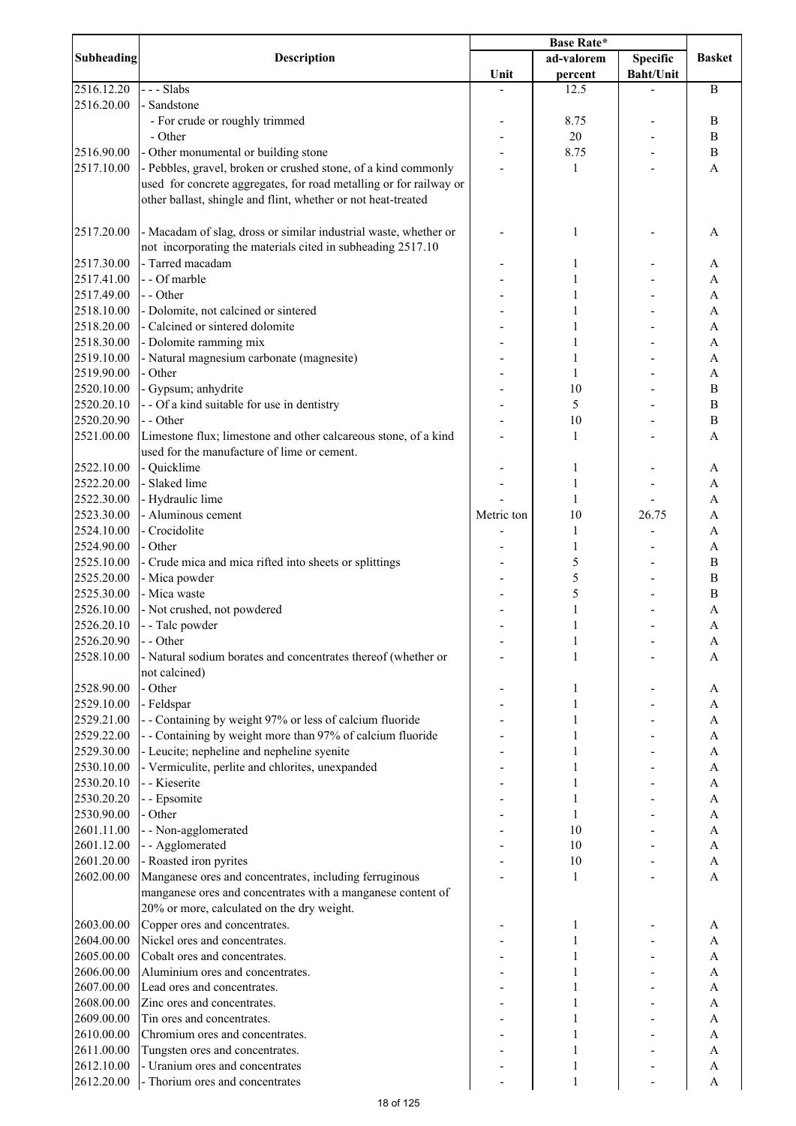|                          | <b>Description</b>                                                                                                              | Base Rate* |            |                  |                              |
|--------------------------|---------------------------------------------------------------------------------------------------------------------------------|------------|------------|------------------|------------------------------|
| <b>Subheading</b>        |                                                                                                                                 |            | ad-valorem | <b>Specific</b>  | <b>Basket</b>                |
|                          | --- Slabs                                                                                                                       | Unit       | percent    | <b>Baht/Unit</b> |                              |
| 2516.12.20<br>2516.20.00 | Sandstone                                                                                                                       |            | 12.5       |                  | $\, {\bf B}$                 |
|                          | - For crude or roughly trimmed                                                                                                  |            | 8.75       |                  | $\, {\bf B}$                 |
|                          | - Other                                                                                                                         |            | 20         |                  | $\, {\bf B}$                 |
| 2516.90.00               | - Other monumental or building stone                                                                                            |            | 8.75       |                  | $\, {\bf B}$                 |
| 2517.10.00               | - Pebbles, gravel, broken or crushed stone, of a kind commonly                                                                  |            | 1          |                  | A                            |
|                          | used for concrete aggregates, for road metalling or for railway or                                                              |            |            |                  |                              |
|                          | other ballast, shingle and flint, whether or not heat-treated                                                                   |            |            |                  |                              |
| 2517.20.00               | - Macadam of slag, dross or similar industrial waste, whether or<br>not incorporating the materials cited in subheading 2517.10 |            | 1          |                  | A                            |
| 2517.30.00               | - Tarred macadam                                                                                                                |            | 1          |                  | A                            |
| 2517.41.00               | - - Of marble                                                                                                                   |            | 1          |                  | A                            |
| 2517.49.00               | - - Other                                                                                                                       |            | 1          |                  | A                            |
| 2518.10.00               | - Dolomite, not calcined or sintered                                                                                            |            |            |                  | A                            |
| 2518.20.00               | - Calcined or sintered dolomite                                                                                                 |            |            |                  | A                            |
| 2518.30.00               | - Dolomite ramming mix                                                                                                          |            | 1          |                  | A                            |
| 2519.10.00               | - Natural magnesium carbonate (magnesite)                                                                                       |            | 1          |                  | A                            |
| 2519.90.00               | - Other                                                                                                                         |            | 1          |                  | A                            |
| 2520.10.00               | - Gypsum; anhydrite                                                                                                             |            | 10         |                  | $\bf{B}$                     |
| 2520.20.10               | - - Of a kind suitable for use in dentistry<br>- - Other                                                                        |            | 5<br>10    |                  | $\, {\bf B}$<br>$\, {\bf B}$ |
| 2520.20.90<br>2521.00.00 |                                                                                                                                 |            |            |                  |                              |
|                          | Limestone flux; limestone and other calcareous stone, of a kind<br>used for the manufacture of lime or cement.                  |            | 1          |                  | A                            |
| 2522.10.00               | - Quicklime                                                                                                                     |            | 1          |                  | A                            |
| 2522.20.00               | - Slaked lime                                                                                                                   |            | 1          |                  | A                            |
| 2522.30.00               | - Hydraulic lime                                                                                                                |            | 1          |                  | $\overline{A}$               |
| 2523.30.00               | - Aluminous cement                                                                                                              | Metric ton | 10         | 26.75            | A                            |
| 2524.10.00               | - Crocidolite                                                                                                                   |            | 1          |                  | A                            |
| 2524.90.00               | - Other                                                                                                                         |            | 1          |                  | A                            |
| 2525.10.00               | - Crude mica and mica rifted into sheets or splittings                                                                          |            | 5          |                  | $\, {\bf B}$                 |
| 2525.20.00               | - Mica powder                                                                                                                   |            | 5          |                  | $\, {\bf B}$                 |
| 2525.30.00<br>2526.10.00 | - Mica waste                                                                                                                    |            | 5          |                  | $\, {\bf B}$                 |
| 2526.20.10               | - Not crushed, not powdered<br>- - Talc powder                                                                                  |            | 1          |                  | A<br>A                       |
| 2526.20.90               | - - Other                                                                                                                       |            |            |                  |                              |
| 2528.10.00               | - Natural sodium borates and concentrates thereof (whether or                                                                   |            | 1          |                  | A<br>A                       |
|                          | not calcined)                                                                                                                   |            |            |                  |                              |
| 2528.90.00               | - Other                                                                                                                         |            | 1          |                  | A                            |
| 2529.10.00               | - Feldspar                                                                                                                      |            | 1          |                  | A                            |
| 2529.21.00               | - - Containing by weight 97% or less of calcium fluoride                                                                        |            |            |                  | A                            |
| 2529.22.00               | - - Containing by weight more than 97% of calcium fluoride                                                                      |            |            |                  | A                            |
| 2529.30.00               | - Leucite; nepheline and nepheline syenite                                                                                      |            |            |                  | A                            |
| 2530.10.00               | - Vermiculite, perlite and chlorites, unexpanded                                                                                |            | 1          |                  | A                            |
| 2530.20.10               | - - Kieserite                                                                                                                   |            | 1          |                  | A                            |
| 2530.20.20<br>2530.90.00 | - - Epsomite<br>- Other                                                                                                         |            | 1          |                  | A                            |
| 2601.11.00               |                                                                                                                                 |            | 1<br>10    |                  | A<br>A                       |
| 2601.12.00               | - - Non-agglomerated<br>- - Agglomerated                                                                                        |            | 10         |                  | A                            |
| 2601.20.00               | - Roasted iron pyrites                                                                                                          |            | 10         |                  | A                            |
| 2602.00.00               | Manganese ores and concentrates, including ferruginous                                                                          |            | 1          |                  | A                            |
|                          | manganese ores and concentrates with a manganese content of                                                                     |            |            |                  |                              |
|                          | 20% or more, calculated on the dry weight.                                                                                      |            |            |                  |                              |
| 2603.00.00               | Copper ores and concentrates.                                                                                                   |            | 1          |                  | A                            |
| 2604.00.00               | Nickel ores and concentrates.                                                                                                   |            |            |                  | A                            |
| 2605.00.00               | Cobalt ores and concentrates.                                                                                                   |            |            |                  | A                            |
| 2606.00.00               | Aluminium ores and concentrates.                                                                                                |            |            |                  | A                            |
| 2607.00.00<br>2608.00.00 | Lead ores and concentrates.<br>Zinc ores and concentrates.                                                                      |            |            |                  | A<br>A                       |
| 2609.00.00               | Tin ores and concentrates.                                                                                                      |            |            |                  | A                            |
| 2610.00.00               | Chromium ores and concentrates.                                                                                                 |            | 1          |                  | A                            |
| 2611.00.00               | Tungsten ores and concentrates.                                                                                                 |            | 1          |                  | A                            |
| 2612.10.00               | - Uranium ores and concentrates                                                                                                 |            | 1          |                  | A                            |
| 2612.20.00               | - Thorium ores and concentrates                                                                                                 |            | 1          |                  | A                            |
|                          |                                                                                                                                 |            |            |                  |                              |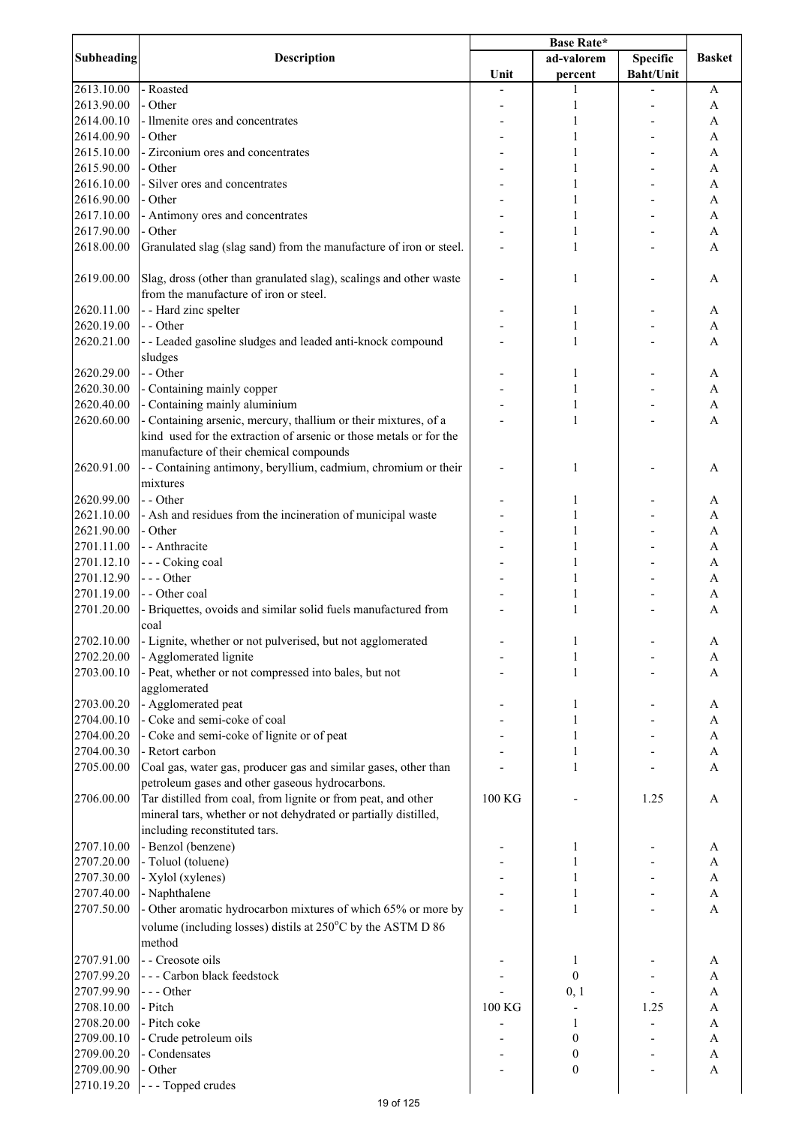|            |                                                                                                                                                                                  | <b>Base Rate*</b> |                       |                                     |                           |
|------------|----------------------------------------------------------------------------------------------------------------------------------------------------------------------------------|-------------------|-----------------------|-------------------------------------|---------------------------|
| Subheading | <b>Description</b>                                                                                                                                                               | Unit              | ad-valorem<br>percent | <b>Specific</b><br><b>Baht/Unit</b> | <b>Basket</b>             |
| 2613.10.00 | - Roasted                                                                                                                                                                        |                   | 1                     |                                     | A                         |
| 2613.90.00 | - Other                                                                                                                                                                          |                   | $\mathbf{1}$          |                                     | $\mathbf{A}$              |
| 2614.00.10 | - Ilmenite ores and concentrates                                                                                                                                                 |                   | 1                     |                                     | $\mathbf{A}$              |
| 2614.00.90 | - Other                                                                                                                                                                          |                   |                       |                                     | A                         |
| 2615.10.00 | - Zirconium ores and concentrates                                                                                                                                                |                   |                       |                                     | $\mathbf{A}$              |
| 2615.90.00 | - Other                                                                                                                                                                          |                   |                       |                                     | A                         |
| 2616.10.00 | - Silver ores and concentrates                                                                                                                                                   |                   |                       |                                     | A                         |
| 2616.90.00 | - Other                                                                                                                                                                          |                   |                       |                                     | A                         |
| 2617.10.00 | - Antimony ores and concentrates                                                                                                                                                 |                   |                       |                                     | A                         |
| 2617.90.00 | - Other                                                                                                                                                                          |                   |                       |                                     | A                         |
| 2618.00.00 | Granulated slag (slag sand) from the manufacture of iron or steel.                                                                                                               |                   | 1                     |                                     | A                         |
| 2619.00.00 | Slag, dross (other than granulated slag), scalings and other waste<br>from the manufacture of iron or steel.                                                                     |                   | 1                     |                                     | A                         |
| 2620.11.00 | - - Hard zinc spelter                                                                                                                                                            |                   | 1                     |                                     | A                         |
| 2620.19.00 | - - Other                                                                                                                                                                        |                   | 1                     |                                     | A                         |
| 2620.21.00 | - - Leaded gasoline sludges and leaded anti-knock compound                                                                                                                       |                   | 1                     |                                     | $\mathbf{A}$              |
|            | sludges                                                                                                                                                                          |                   |                       |                                     |                           |
| 2620.29.00 | - - Other                                                                                                                                                                        |                   | 1                     |                                     | A                         |
| 2620.30.00 | - Containing mainly copper                                                                                                                                                       |                   | 1                     |                                     | $\boldsymbol{\rm{A}}$     |
| 2620.40.00 | - Containing mainly aluminium                                                                                                                                                    |                   | 1                     |                                     | $\mathbf{A}$              |
| 2620.60.00 | - Containing arsenic, mercury, thallium or their mixtures, of a<br>kind used for the extraction of arsenic or those metals or for the<br>manufacture of their chemical compounds |                   | 1                     |                                     | $\mathbf{A}$              |
| 2620.91.00 | - - Containing antimony, beryllium, cadmium, chromium or their<br>mixtures                                                                                                       |                   | 1                     |                                     | A                         |
| 2620.99.00 | - - Other                                                                                                                                                                        |                   | 1                     |                                     | A                         |
| 2621.10.00 | - Ash and residues from the incineration of municipal waste                                                                                                                      |                   | 1                     |                                     | $\mathbf{A}$              |
| 2621.90.00 | - Other                                                                                                                                                                          |                   | 1                     |                                     | $\mathbf{A}$              |
| 2701.11.00 | - - Anthracite                                                                                                                                                                   |                   | 1                     |                                     | A                         |
| 2701.12.10 | --- Coking coal                                                                                                                                                                  |                   | 1                     |                                     | $\mathbf{A}$              |
| 2701.12.90 | $--$ Other                                                                                                                                                                       |                   | 1                     |                                     | A                         |
| 2701.19.00 | - - Other coal                                                                                                                                                                   |                   | 1                     |                                     | A                         |
| 2701.20.00 | - Briquettes, ovoids and similar solid fuels manufactured from<br>coal                                                                                                           |                   | 1                     |                                     | A                         |
| 2702.10.00 | - Lignite, whether or not pulverised, but not agglomerated                                                                                                                       |                   | 1                     |                                     | A                         |
| 2702.20.00 | - Agglomerated lignite                                                                                                                                                           |                   | 1                     |                                     | A                         |
| 2703.00.10 | - Peat, whether or not compressed into bales, but not                                                                                                                            |                   | 1                     |                                     | A                         |
|            | agglomerated                                                                                                                                                                     |                   |                       |                                     |                           |
| 2703.00.20 | - Agglomerated peat                                                                                                                                                              |                   | 1                     |                                     | A                         |
| 2704.00.10 | - Coke and semi-coke of coal                                                                                                                                                     |                   | 1                     |                                     | A                         |
| 2704.00.20 | - Coke and semi-coke of lignite or of peat                                                                                                                                       |                   | 1                     |                                     | A                         |
| 2704.00.30 | - Retort carbon                                                                                                                                                                  |                   | 1                     |                                     | $\boldsymbol{\rm{A}}$     |
| 2705.00.00 | Coal gas, water gas, producer gas and similar gases, other than<br>petroleum gases and other gaseous hydrocarbons.                                                               |                   | $\mathbf{1}$          |                                     | A                         |
| 2706.00.00 | Tar distilled from coal, from lignite or from peat, and other<br>mineral tars, whether or not dehydrated or partially distilled,<br>including reconstituted tars.                | 100 KG            |                       | 1.25                                | $\mathbf{A}$              |
| 2707.10.00 | - Benzol (benzene)                                                                                                                                                               |                   | 1                     |                                     | A                         |
| 2707.20.00 | - Toluol (toluene)                                                                                                                                                               |                   |                       |                                     | $\boldsymbol{\rm{A}}$     |
| 2707.30.00 | - Xylol (xylenes)                                                                                                                                                                |                   |                       |                                     | $\boldsymbol{\mathsf{A}}$ |
| 2707.40.00 | - Naphthalene                                                                                                                                                                    |                   | 1                     |                                     | $\boldsymbol{\mathsf{A}}$ |
| 2707.50.00 | - Other aromatic hydrocarbon mixtures of which 65% or more by                                                                                                                    |                   | $\mathbf{1}$          |                                     | $\mathbf{A}$              |
|            | volume (including losses) distils at 250°C by the ASTM D 86<br>method                                                                                                            |                   |                       |                                     |                           |
| 2707.91.00 | - - Creosote oils                                                                                                                                                                |                   | 1                     |                                     | A                         |
| 2707.99.20 | --- Carbon black feedstock                                                                                                                                                       |                   | $\boldsymbol{0}$      |                                     | A                         |
| 2707.99.90 | --- Other                                                                                                                                                                        |                   | 0, 1                  |                                     | A                         |
| 2708.10.00 | - Pitch                                                                                                                                                                          | 100 KG            |                       | 1.25                                | A                         |
| 2708.20.00 | - Pitch coke                                                                                                                                                                     |                   | 1                     |                                     | A                         |
| 2709.00.10 | - Crude petroleum oils                                                                                                                                                           |                   | $\boldsymbol{0}$      |                                     | $\boldsymbol{\rm{A}}$     |
| 2709.00.20 | - Condensates                                                                                                                                                                    |                   | $\boldsymbol{0}$      |                                     | $\boldsymbol{\rm{A}}$     |
| 2709.00.90 | - Other                                                                                                                                                                          |                   | $\boldsymbol{0}$      |                                     | $\mathbf{A}$              |
| 2710.19.20 | --- Topped crudes                                                                                                                                                                |                   |                       |                                     |                           |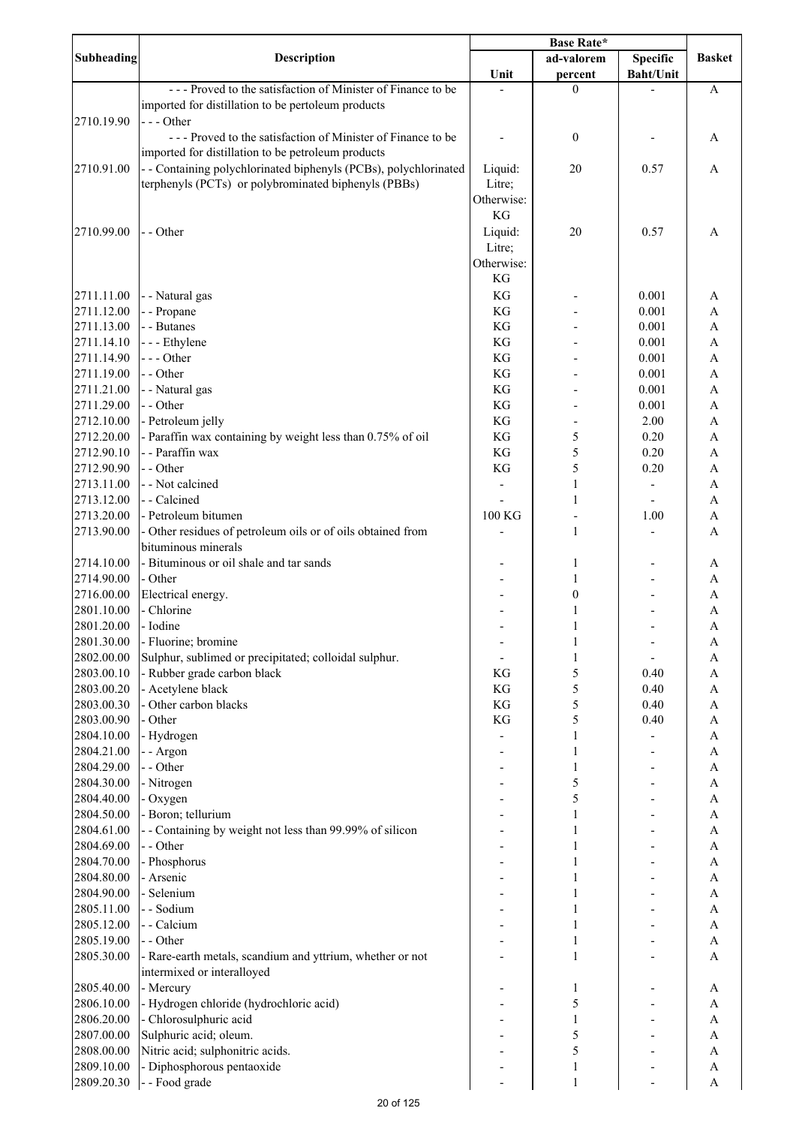|                   |                                                                  | Base Rate* |                  |                  |                           |
|-------------------|------------------------------------------------------------------|------------|------------------|------------------|---------------------------|
| <b>Subheading</b> | <b>Description</b>                                               |            | ad-valorem       | <b>Specific</b>  | <b>Basket</b>             |
|                   |                                                                  | Unit       | percent          | <b>Baht/Unit</b> |                           |
|                   | --- Proved to the satisfaction of Minister of Finance to be      |            | $\theta$         |                  | A                         |
|                   | imported for distillation to be pertoleum products               |            |                  |                  |                           |
| 2710.19.90        | $--$ Other                                                       |            |                  |                  |                           |
|                   | --- Proved to the satisfaction of Minister of Finance to be      |            | $\boldsymbol{0}$ |                  | A                         |
|                   | imported for distillation to be petroleum products               |            |                  |                  |                           |
| 2710.91.00        | - - Containing polychlorinated biphenyls (PCBs), polychlorinated | Liquid:    | 20               | 0.57             | A                         |
|                   | terphenyls (PCTs) or polybrominated biphenyls (PBBs)             | Litre;     |                  |                  |                           |
|                   |                                                                  | Otherwise: |                  |                  |                           |
|                   |                                                                  | KG         |                  |                  |                           |
| 2710.99.00        | - - Other                                                        | Liquid:    | 20               | 0.57             | A                         |
|                   |                                                                  | Litre;     |                  |                  |                           |
|                   |                                                                  | Otherwise: |                  |                  |                           |
|                   |                                                                  | KG         |                  |                  |                           |
| 2711.11.00        | - - Natural gas                                                  | KG         |                  | 0.001            | A                         |
| 2711.12.00        | - - Propane                                                      | KG         |                  | 0.001            | A                         |
| 2711.13.00        | - - Butanes                                                      | KG         |                  | 0.001            | A                         |
| 2711.14.10        | - - - Ethylene                                                   | KG         |                  | 0.001            | $\boldsymbol{\mathsf{A}}$ |
| 2711.14.90        | --- Other                                                        | KG         |                  | 0.001            | $\mathbf{A}$              |
| 2711.19.00        | - - Other                                                        | KG         |                  | 0.001            | $\mathbf{A}$              |
| 2711.21.00        | - - Natural gas                                                  | KG         |                  | 0.001            | $\mathbf{A}$              |
| 2711.29.00        | - - Other                                                        | KG         |                  | 0.001            | $\mathbf{A}$              |
| 2712.10.00        | - Petroleum jelly                                                | KG         |                  | 2.00             | $\mathbf{A}$              |
| 2712.20.00        | - Paraffin wax containing by weight less than 0.75% of oil       | KG         | 5                | 0.20             | $\mathbf{A}$              |
| 2712.90.10        | - - Paraffin wax                                                 | KG         | 5                | 0.20             | $\overline{A}$            |
|                   |                                                                  |            |                  |                  |                           |
| 2712.90.90        | - - Other                                                        | KG         | 5                | 0.20             | $\mathbf{A}$              |
| 2713.11.00        | - - Not calcined                                                 |            | $\mathbf{1}$     |                  | $\mathbf{A}$              |
| 2713.12.00        | - - Calcined                                                     |            | $\mathbf{1}$     |                  | A                         |
| 2713.20.00        | - Petroleum bitumen                                              | 100 KG     |                  | 1.00             | A                         |
| 2713.90.00        | - Other residues of petroleum oils or of oils obtained from      |            | $\mathbf{1}$     |                  | A                         |
|                   | bituminous minerals                                              |            |                  |                  |                           |
| 2714.10.00        | - Bituminous or oil shale and tar sands                          |            | 1                |                  | A                         |
| 2714.90.00        | - Other                                                          |            | 1                |                  | A                         |
| 2716.00.00        | Electrical energy.                                               |            | $\boldsymbol{0}$ |                  | A                         |
| 2801.10.00        | - Chlorine                                                       |            | 1                |                  | A                         |
| 2801.20.00        | - Iodine                                                         |            | 1                |                  | $\mathbf{A}$              |
| 2801.30.00        | - Fluorine; bromine                                              |            | 1                |                  | A                         |
| 2802.00.00        | Sulphur, sublimed or precipitated; colloidal sulphur.            |            | 1                |                  | A                         |
| 2803.00.10        | - Rubber grade carbon black                                      | KG         | 5                | 0.40             | A                         |
| 2803.00.20        | - Acetylene black                                                | KG         | 5                | 0.40             | A                         |
| 2803.00.30        | - Other carbon blacks                                            | KG         | 5                | 0.40             | A                         |
| 2803.00.90        | - Other                                                          | KG         | 5                | 0.40             | A                         |
| 2804.10.00        | - Hydrogen                                                       |            | 1                |                  | A                         |
| 2804.21.00        | - - Argon                                                        |            | 1                |                  | A                         |
| 2804.29.00        | - - Other                                                        |            | 1                |                  | A                         |
| 2804.30.00        | - Nitrogen                                                       |            | 5                |                  | A                         |
| 2804.40.00        | - Oxygen                                                         |            | 5                |                  | $\boldsymbol{\mathsf{A}}$ |
| 2804.50.00        | - Boron; tellurium                                               |            | 1                |                  | $\mathbf{A}$              |
| 2804.61.00        | - - Containing by weight not less than 99.99% of silicon         |            | 1                |                  | $\mathbf{A}$              |
| 2804.69.00        | - - Other                                                        |            | 1                |                  | $\mathbf{A}$              |
| 2804.70.00        | - Phosphorus                                                     |            | 1                |                  | $\overline{A}$            |
| 2804.80.00        | - Arsenic                                                        |            |                  |                  | $\mathbf{A}$              |
|                   |                                                                  |            | 1                |                  |                           |
| 2804.90.00        | - Selenium<br>- - Sodium                                         |            |                  |                  | $\mathbf{A}$              |
| 2805.11.00        |                                                                  |            | $\mathbf{1}$     |                  | $\boldsymbol{\mathsf{A}}$ |
| 2805.12.00        | - - Calcium                                                      |            | 1                |                  | A                         |
| 2805.19.00        | - - Other                                                        |            | $\mathbf{1}$     |                  | $\boldsymbol{\mathsf{A}}$ |
| 2805.30.00        | - Rare-earth metals, scandium and yttrium, whether or not        |            | $\mathbf{1}$     |                  | A                         |
|                   | intermixed or interalloyed                                       |            |                  |                  |                           |
| 2805.40.00        | - Mercury                                                        |            | 1                |                  | A                         |
| 2806.10.00        | - Hydrogen chloride (hydrochloric acid)                          |            | 5                |                  | A                         |
| 2806.20.00        | - Chlorosulphuric acid                                           |            | $\mathbf{1}$     |                  | A                         |
| 2807.00.00        | Sulphuric acid; oleum.                                           |            | 5                |                  | A                         |
| 2808.00.00        | Nitric acid; sulphonitric acids.                                 |            | 5                |                  | A                         |
| 2809.10.00        | - Diphosphorous pentaoxide                                       |            | 1                |                  | A                         |
| 2809.20.30        | - - Food grade                                                   |            | $\mathbf{1}$     |                  | $\mathbf{A}$              |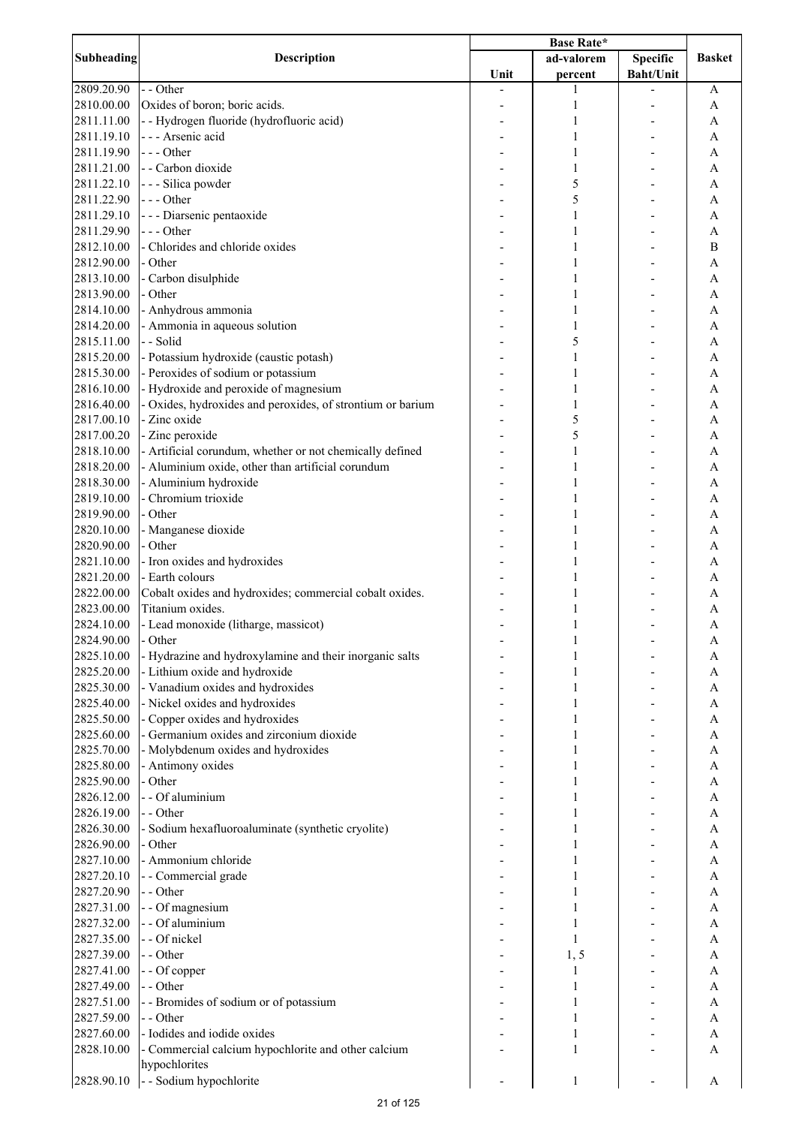|            | <b>Description</b>                                         | <b>Base Rate*</b> |              |                  |               |
|------------|------------------------------------------------------------|-------------------|--------------|------------------|---------------|
| Subheading |                                                            |                   | ad-valorem   | <b>Specific</b>  | <b>Basket</b> |
|            |                                                            | Unit              | percent      | <b>Baht/Unit</b> |               |
| 2809.20.90 | - - Other                                                  |                   | 1            |                  | A             |
| 2810.00.00 | Oxides of boron; boric acids.                              |                   | 1            |                  | A             |
| 2811.11.00 | - - Hydrogen fluoride (hydrofluoric acid)                  |                   | 1            |                  | A             |
| 2811.19.10 | --- Arsenic acid                                           |                   | 1            |                  | A             |
| 2811.19.90 | $--$ Other                                                 |                   | 1            |                  | A             |
| 2811.21.00 | - - Carbon dioxide                                         |                   | 1            |                  | A             |
| 2811.22.10 | - - - Silica powder                                        |                   | 5            |                  | A             |
| 2811.22.90 | --- Other                                                  |                   | 5            |                  | Α             |
| 2811.29.10 | - - - Diarsenic pentaoxide                                 |                   | 1            |                  | A             |
|            | --- Other                                                  |                   |              |                  |               |
| 2811.29.90 |                                                            |                   | 1            |                  | A             |
| 2812.10.00 | - Chlorides and chloride oxides                            |                   | 1            |                  | B             |
| 2812.90.00 | - Other                                                    |                   | 1            |                  | A             |
| 2813.10.00 | - Carbon disulphide                                        |                   | 1            |                  | A             |
| 2813.90.00 | - Other                                                    |                   | 1            |                  | A             |
| 2814.10.00 | - Anhydrous ammonia                                        |                   | 1            |                  | A             |
| 2814.20.00 | - Ammonia in aqueous solution                              |                   | 1            |                  | A             |
| 2815.11.00 | - - Solid                                                  |                   | 5            |                  | A             |
| 2815.20.00 | - Potassium hydroxide (caustic potash)                     |                   | $\mathbf{1}$ |                  | A             |
| 2815.30.00 | - Peroxides of sodium or potassium                         |                   | 1            |                  | A             |
| 2816.10.00 | - Hydroxide and peroxide of magnesium                      |                   | 1            |                  | A             |
| 2816.40.00 | - Oxides, hydroxides and peroxides, of strontium or barium |                   | 1            |                  | A             |
| 2817.00.10 | - Zinc oxide                                               |                   | 5            |                  | A             |
| 2817.00.20 | - Zinc peroxide                                            |                   | 5            |                  | A             |
| 2818.10.00 | - Artificial corundum, whether or not chemically defined   |                   | $\mathbf{1}$ |                  | A             |
| 2818.20.00 | - Aluminium oxide, other than artificial corundum          |                   | 1            |                  | A             |
| 2818.30.00 | - Aluminium hydroxide                                      |                   | 1            |                  | A             |
| 2819.10.00 | - Chromium trioxide                                        |                   | 1            |                  | A             |
| 2819.90.00 | - Other                                                    |                   | 1            |                  | A             |
| 2820.10.00 |                                                            |                   | 1            |                  | A             |
|            | - Manganese dioxide<br>- Other                             |                   |              |                  |               |
| 2820.90.00 |                                                            |                   | 1            |                  | A             |
| 2821.10.00 | - Iron oxides and hydroxides                               |                   | 1            |                  | A             |
| 2821.20.00 | - Earth colours                                            |                   | 1            |                  | A             |
| 2822.00.00 | Cobalt oxides and hydroxides; commercial cobalt oxides.    |                   | 1            |                  | A             |
| 2823.00.00 | Titanium oxides.                                           |                   | 1            |                  | Α             |
| 2824.10.00 | - Lead monoxide (litharge, massicot)                       |                   | 1            |                  | A             |
| 2824.90.00 | - Other                                                    |                   |              |                  | A             |
| 2825.10.00 | - Hydrazine and hydroxylamine and their inorganic salts    |                   |              |                  | A             |
| 2825.20.00 | - Lithium oxide and hydroxide                              |                   | 1            |                  | A             |
| 2825.30.00 | - Vanadium oxides and hydroxides                           |                   | 1            |                  | A             |
| 2825.40.00 | - Nickel oxides and hydroxides                             |                   | 1            |                  | A             |
| 2825.50.00 | - Copper oxides and hydroxides                             |                   | 1            |                  | A             |
| 2825.60.00 | - Germanium oxides and zirconium dioxide                   |                   | 1            |                  | A             |
| 2825.70.00 | - Molybdenum oxides and hydroxides                         |                   |              |                  | A             |
| 2825.80.00 | - Antimony oxides                                          |                   | 1            |                  | A             |
| 2825.90.00 | - Other                                                    |                   |              |                  | A             |
| 2826.12.00 | - - Of aluminium                                           |                   |              |                  | A             |
| 2826.19.00 | - - Other                                                  |                   |              |                  | A             |
| 2826.30.00 | - Sodium hexafluoroaluminate (synthetic cryolite)          |                   |              |                  | A             |
| 2826.90.00 | - Other                                                    |                   | 1            |                  | A             |
| 2827.10.00 | - Ammonium chloride                                        |                   | 1            |                  | A             |
| 2827.20.10 | - - Commercial grade                                       |                   | 1            |                  | A             |
| 2827.20.90 | - - Other                                                  |                   | 1            |                  | A             |
|            |                                                            |                   |              |                  |               |
| 2827.31.00 | - - Of magnesium                                           |                   | 1            |                  | A             |
| 2827.32.00 | - - Of aluminium                                           |                   | 1            |                  | A             |
| 2827.35.00 | - - Of nickel                                              |                   | 1            |                  | A             |
| 2827.39.00 | - - Other                                                  |                   | 1, 5         |                  | A             |
| 2827.41.00 | - - Of copper                                              |                   | 1            |                  | A             |
| 2827.49.00 | - - Other                                                  |                   | 1            |                  | A             |
| 2827.51.00 | - - Bromides of sodium or of potassium                     |                   | 1            |                  | A             |
| 2827.59.00 | - - Other                                                  |                   | 1            |                  | A             |
| 2827.60.00 | - Iodides and iodide oxides                                |                   | 1            |                  | A             |
| 2828.10.00 | - Commercial calcium hypochlorite and other calcium        |                   | $\mathbf{1}$ |                  | A             |
|            | hypochlorites                                              |                   |              |                  |               |
| 2828.90.10 | - - Sodium hypochlorite                                    |                   | 1            |                  | A             |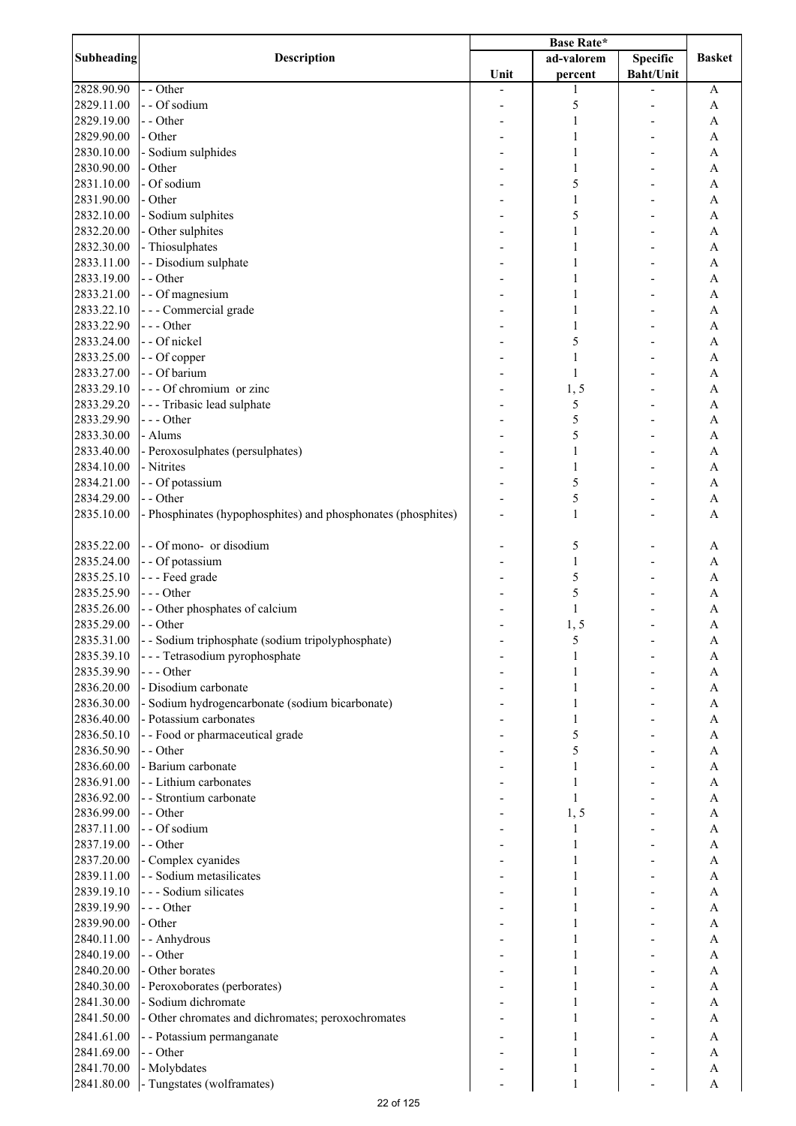| Subheading | <b>Description</b>                                            |      |              |                  |               |
|------------|---------------------------------------------------------------|------|--------------|------------------|---------------|
|            |                                                               |      | ad-valorem   | <b>Specific</b>  | <b>Basket</b> |
|            |                                                               | Unit | percent      | <b>Baht/Unit</b> |               |
| 2828.90.90 | - - Other                                                     |      | 1            |                  | A             |
| 2829.11.00 | - - Of sodium                                                 |      | 5            |                  | A             |
| 2829.19.00 | - - Other                                                     |      | 1            |                  | A             |
| 2829.90.00 | - Other                                                       |      | 1            |                  | A             |
| 2830.10.00 | - Sodium sulphides                                            |      | 1            |                  | A             |
|            | - Other                                                       |      |              |                  |               |
| 2830.90.00 |                                                               |      | 1            |                  | A             |
| 2831.10.00 | - Of sodium                                                   |      | 5            |                  | A             |
| 2831.90.00 | - Other                                                       |      | $\mathbf{1}$ |                  | A             |
| 2832.10.00 | - Sodium sulphites                                            |      | 5            |                  | A             |
| 2832.20.00 | - Other sulphites                                             |      | $\mathbf{1}$ |                  | A             |
| 2832.30.00 | - Thiosulphates                                               |      | 1            |                  | A             |
| 2833.11.00 | - - Disodium sulphate                                         |      | 1            |                  | A             |
| 2833.19.00 | - - Other                                                     |      | 1            |                  | A             |
| 2833.21.00 | - - Of magnesium                                              |      | 1            |                  | A             |
| 2833.22.10 | - - - Commercial grade                                        |      | 1            |                  | A             |
| 2833.22.90 | --- Other                                                     |      | $\mathbf{1}$ |                  | A             |
| 2833.24.00 | - - Of nickel                                                 |      | 5            |                  | A             |
|            |                                                               |      |              |                  |               |
| 2833.25.00 | - - Of copper                                                 |      | $\mathbf{1}$ |                  | A             |
| 2833.27.00 | - - Of barium                                                 |      | $\mathbf{1}$ |                  | A             |
| 2833.29.10 | --- Of chromium or zinc                                       |      | 1, 5         |                  | A             |
| 2833.29.20 | --- Tribasic lead sulphate                                    |      | 5            |                  | A             |
| 2833.29.90 | --- Other                                                     |      | 5            |                  | A             |
| 2833.30.00 | - Alums                                                       |      | 5            |                  | A             |
| 2833.40.00 | - Peroxosulphates (persulphates)                              |      | $\mathbf{1}$ |                  | A             |
| 2834.10.00 | - Nitrites                                                    |      | $\mathbf{1}$ |                  | A             |
| 2834.21.00 |                                                               |      | 5            |                  | A             |
|            | - - Of potassium                                              |      |              |                  |               |
| 2834.29.00 | - - Other                                                     |      | 5            |                  | A             |
| 2835.10.00 | - Phosphinates (hypophosphites) and phosphonates (phosphites) |      | $\mathbf{1}$ |                  | A             |
| 2835.22.00 | - - Of mono- or disodium                                      |      | 5            |                  | A             |
| 2835.24.00 | - - Of potassium                                              |      | 1            |                  | A             |
| 2835.25.10 | --- Feed grade                                                |      | 5            |                  | A             |
| 2835.25.90 | --- Other                                                     |      | 5            |                  |               |
|            |                                                               |      |              |                  | A             |
| 2835.26.00 | - - Other phosphates of calcium                               |      | $\mathbf{1}$ |                  | Α             |
| 2835.29.00 | - - Other                                                     |      | 1, 5         |                  | A             |
| 2835.31.00 | - - Sodium triphosphate (sodium tripolyphosphate)             |      | C            |                  | A             |
| 2835.39.10 | - - - Tetrasodium pyrophosphate                               |      | 1            |                  | Α             |
| 2835.39.90 | --- Other                                                     |      |              |                  | A             |
| 2836.20.00 | - Disodium carbonate                                          |      | 1            |                  | A             |
| 2836.30.00 | - Sodium hydrogencarbonate (sodium bicarbonate)               |      | 1            |                  | A             |
| 2836.40.00 | - Potassium carbonates                                        |      | 1            |                  | A             |
| 2836.50.10 | - - Food or pharmaceutical grade                              |      | 5            |                  | A             |
| 2836.50.90 | - - Other                                                     |      | 5            |                  | A             |
|            |                                                               |      |              |                  |               |
| 2836.60.00 | - Barium carbonate                                            |      | 1            |                  | A             |
| 2836.91.00 | - - Lithium carbonates                                        |      | 1            |                  | A             |
| 2836.92.00 | - - Strontium carbonate                                       |      | $\mathbf{1}$ |                  | A             |
| 2836.99.00 | - - Other                                                     |      | 1, 5         |                  | A             |
| 2837.11.00 | - - Of sodium                                                 |      | 1            |                  | A             |
| 2837.19.00 | - - Other                                                     |      | 1            |                  | A             |
| 2837.20.00 | - Complex cyanides                                            |      | 1            |                  | A             |
| 2839.11.00 | - - Sodium metasilicates                                      |      | 1            |                  | A             |
| 2839.19.10 | - - - Sodium silicates                                        |      | 1            |                  | A             |
| 2839.19.90 | --- Other                                                     |      | 1            |                  | A             |
|            |                                                               |      |              |                  |               |
| 2839.90.00 | - Other                                                       |      | 1            |                  | A             |
| 2840.11.00 | - - Anhydrous                                                 |      |              |                  | A             |
| 2840.19.00 | - - Other                                                     |      | 1            |                  | A             |
| 2840.20.00 | - Other borates                                               |      | 1            |                  | A             |
| 2840.30.00 | - Peroxoborates (perborates)                                  |      | 1            |                  | A             |
| 2841.30.00 | - Sodium dichromate                                           |      | 1            |                  | A             |
| 2841.50.00 | - Other chromates and dichromates; peroxochromates            |      | 1            |                  | A             |
| 2841.61.00 |                                                               |      | 1            |                  |               |
|            | - - Potassium permanganate                                    |      |              |                  | A             |
| 2841.69.00 | - - Other                                                     |      | 1            |                  | A             |
| 2841.70.00 | - Molybdates                                                  |      | 1            |                  | A             |
| 2841.80.00 | - Tungstates (wolframates)                                    |      | $\mathbf{1}$ |                  | $\mathbf{A}$  |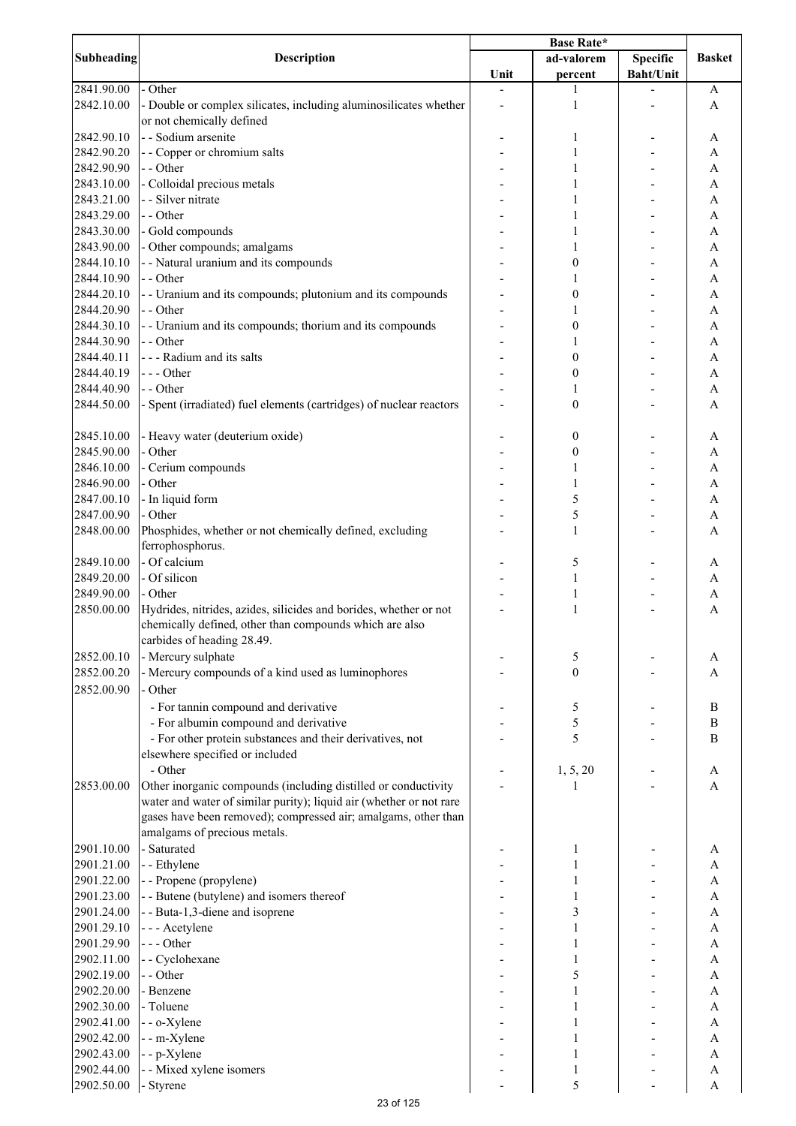|                   |                                                                     | Base Rate* |                  |                          |                           |
|-------------------|---------------------------------------------------------------------|------------|------------------|--------------------------|---------------------------|
| <b>Subheading</b> | <b>Description</b>                                                  |            | ad-valorem       | Specific                 | <b>Basket</b>             |
|                   |                                                                     | Unit       | percent          | <b>Baht/Unit</b>         |                           |
| 2841.90.00        | - Other                                                             |            | 1                |                          | A                         |
| 2842.10.00        | - Double or complex silicates, including aluminosilicates whether   |            | 1                |                          | A                         |
|                   | or not chemically defined                                           |            |                  |                          |                           |
| 2842.90.10        | - - Sodium arsenite                                                 |            | 1                |                          | A                         |
| 2842.90.20        | - - Copper or chromium salts                                        |            | 1                |                          | A                         |
| 2842.90.90        | - - Other                                                           |            | 1                |                          | A                         |
| 2843.10.00        | - Colloidal precious metals                                         |            | 1                |                          | A                         |
| 2843.21.00        | - - Silver nitrate                                                  |            | 1                |                          | A                         |
| 2843.29.00        | - - Other                                                           |            | 1                |                          | A                         |
|                   |                                                                     |            |                  |                          |                           |
| 2843.30.00        | - Gold compounds                                                    |            | 1                |                          | A                         |
| 2843.90.00        | - Other compounds; amalgams                                         |            | 1                |                          | A                         |
| 2844.10.10        | - - Natural uranium and its compounds                               |            | 0                |                          | A                         |
| 2844.10.90        | - - Other                                                           |            | 1                |                          | A                         |
| 2844.20.10        | - - Uranium and its compounds; plutonium and its compounds          |            | $\boldsymbol{0}$ |                          | A                         |
| 2844.20.90        | - - Other                                                           |            | 1                |                          | A                         |
| 2844.30.10        | - - Uranium and its compounds; thorium and its compounds            |            | $\boldsymbol{0}$ |                          | A                         |
| 2844.30.90        | - - Other                                                           |            | 1                |                          | A                         |
| 2844.40.11        | - - - Radium and its salts                                          |            | $\boldsymbol{0}$ |                          | A                         |
| 2844.40.19        | --- Other                                                           |            | $\boldsymbol{0}$ |                          | A                         |
| 2844.40.90        | - - Other                                                           |            | 1                |                          | A                         |
| 2844.50.00        | - Spent (irradiated) fuel elements (cartridges) of nuclear reactors |            | $\boldsymbol{0}$ |                          | A                         |
|                   |                                                                     |            |                  |                          |                           |
| 2845.10.00        | - Heavy water (deuterium oxide)                                     |            | 0                |                          | A                         |
| 2845.90.00        | - Other                                                             |            | $\boldsymbol{0}$ |                          | A                         |
| 2846.10.00        | - Cerium compounds                                                  |            | 1                |                          | A                         |
| 2846.90.00        | - Other                                                             |            | $\mathbf{1}$     |                          | A                         |
| 2847.00.10        | - In liquid form                                                    |            | 5                |                          | A                         |
| 2847.00.90        | - Other                                                             |            | 5                |                          | A                         |
| 2848.00.00        | Phosphides, whether or not chemically defined, excluding            |            | $\mathbf{1}$     |                          | A                         |
|                   | ferrophosphorus.                                                    |            |                  |                          |                           |
|                   | - Of calcium                                                        |            |                  |                          |                           |
| 2849.10.00        |                                                                     |            | 5                |                          | A                         |
| 2849.20.00        | - Of silicon                                                        |            | 1                |                          | A                         |
| 2849.90.00        | - Other                                                             |            | 1                | $\overline{\phantom{a}}$ | $\boldsymbol{\mathsf{A}}$ |
| 2850.00.00        | Hydrides, nitrides, azides, silicides and borides, whether or not   |            | $\mathbf{1}$     |                          | A                         |
|                   | chemically defined, other than compounds which are also             |            |                  |                          |                           |
|                   | carbides of heading 28.49.                                          |            |                  |                          |                           |
| 2852.00.10        | - Mercury sulphate                                                  |            | 5                |                          | A                         |
| 2852.00.20        | - Mercury compounds of a kind used as luminophores                  |            | $\boldsymbol{0}$ |                          | A                         |
| 2852.00.90        | - Other                                                             |            |                  |                          |                           |
|                   | - For tannin compound and derivative                                |            | 5                |                          | $\, {\bf B}$              |
|                   | - For albumin compound and derivative                               |            | 5                |                          | $\, {\bf B}$              |
|                   | - For other protein substances and their derivatives, not           |            | 5                |                          | $\bf{B}$                  |
|                   | elsewhere specified or included                                     |            |                  |                          |                           |
|                   | - Other                                                             |            | 1, 5, 20         |                          | A                         |
| 2853.00.00        | Other inorganic compounds (including distilled or conductivity      |            |                  |                          | A                         |
|                   | water and water of similar purity); liquid air (whether or not rare |            |                  |                          |                           |
|                   | gases have been removed); compressed air; amalgams, other than      |            |                  |                          |                           |
|                   | amalgams of precious metals.                                        |            |                  |                          |                           |
| 2901.10.00        | - Saturated                                                         |            |                  |                          |                           |
|                   |                                                                     |            | 1                |                          | A                         |
| 2901.21.00        | - - Ethylene                                                        |            | 1                |                          | A                         |
| 2901.22.00        | - - Propene (propylene)                                             |            | 1                |                          | A                         |
| 2901.23.00        | - - Butene (butylene) and isomers thereof                           |            | 1                |                          | A                         |
| 2901.24.00        | - - Buta-1,3-diene and isoprene                                     |            | 3                |                          | A                         |
| 2901.29.10        | - - - Acetylene                                                     |            | 1                |                          | $\mathbf{A}$              |
| 2901.29.90        | --- Other                                                           |            | 1                |                          | $\mathbf{A}$              |
| 2902.11.00        | - - Cyclohexane                                                     |            | 1                |                          | $\mathbf{A}$              |
| 2902.19.00        | - - Other                                                           |            | 5                |                          | A                         |
| 2902.20.00        | - Benzene                                                           |            | 1                |                          | $\mathbf{A}$              |
| 2902.30.00        | - Toluene                                                           |            |                  |                          | A                         |
| 2902.41.00        | - - o-Xylene                                                        |            |                  |                          | A                         |
| 2902.42.00        | - - m-Xylene                                                        |            | 1                |                          | A                         |
| 2902.43.00        | - - p-Xylene                                                        |            | 1                |                          | A                         |
| 2902.44.00        | - - Mixed xylene isomers                                            |            | 1                |                          | A                         |
| 2902.50.00        | - Styrene                                                           |            | 5                |                          | A                         |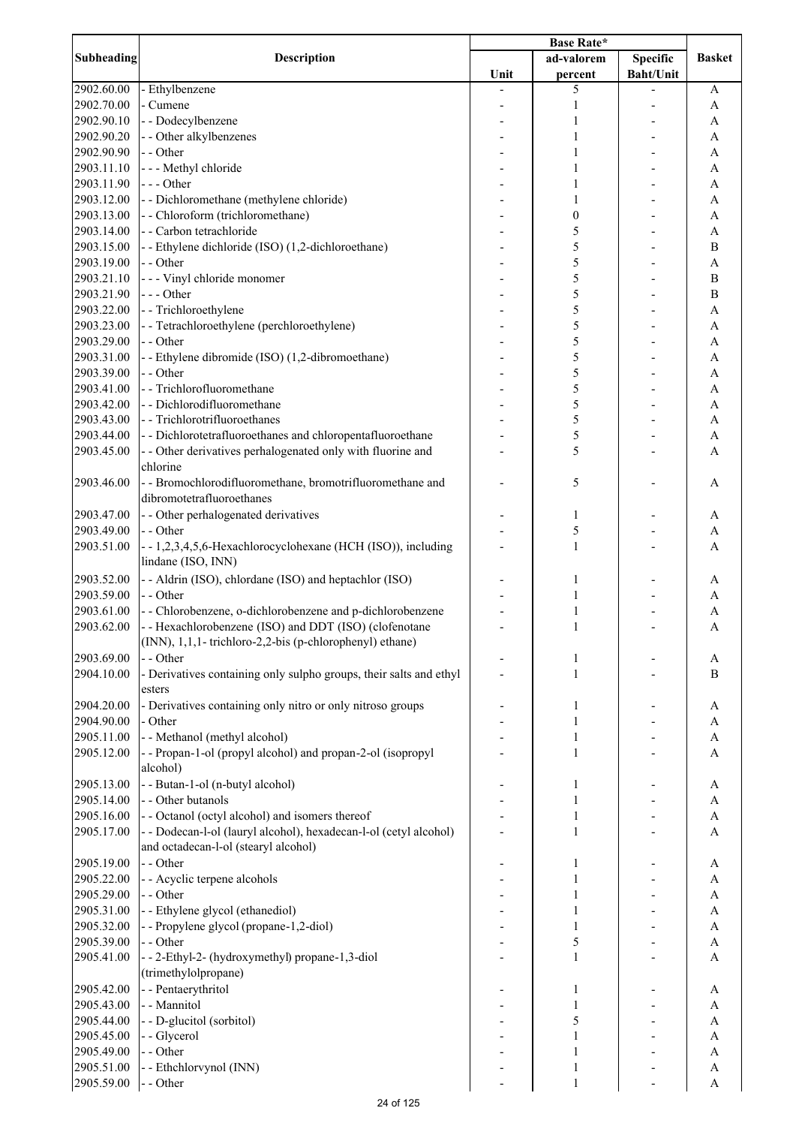|            | <b>Description</b>                                                 | <b>Base Rate*</b> |              |                  |                  |
|------------|--------------------------------------------------------------------|-------------------|--------------|------------------|------------------|
| Subheading |                                                                    |                   | ad-valorem   | <b>Specific</b>  | <b>Basket</b>    |
|            |                                                                    | Unit              | percent      | <b>Baht/Unit</b> |                  |
| 2902.60.00 | - Ethylbenzene                                                     |                   | 5            |                  | A                |
| 2902.70.00 | - Cumene                                                           |                   | 1            |                  | A                |
| 2902.90.10 | - - Dodecylbenzene                                                 |                   | 1            |                  | A                |
| 2902.90.20 | - - Other alkylbenzenes                                            |                   |              |                  | A                |
| 2902.90.90 | - - Other                                                          |                   |              |                  | A                |
| 2903.11.10 | - - - Methyl chloride                                              |                   |              |                  | A                |
| 2903.11.90 | $--- Other$                                                        |                   |              |                  | A                |
|            |                                                                    |                   |              |                  |                  |
| 2903.12.00 | - - Dichloromethane (methylene chloride)                           |                   | 1            |                  | A                |
| 2903.13.00 | - - Chloroform (trichloromethane)                                  |                   | 0            |                  | A                |
| 2903.14.00 | - - Carbon tetrachloride                                           |                   | 5            |                  | A                |
| 2903.15.00 | - - Ethylene dichloride (ISO) (1,2-dichloroethane)                 |                   | 5            |                  | $\boldsymbol{B}$ |
| 2903.19.00 | - - Other                                                          |                   | 5            |                  | $\mathbf{A}$     |
| 2903.21.10 | - - - Vinyl chloride monomer                                       |                   | 5            |                  | $\bf{B}$         |
| 2903.21.90 | --- Other                                                          |                   | 5            |                  | $\overline{B}$   |
| 2903.22.00 | - - Trichloroethylene                                              |                   | 5            |                  | A                |
| 2903.23.00 | -- Tetrachloroethylene (perchloroethylene)                         |                   | 5            |                  | $\mathbf{A}$     |
| 2903.29.00 | - - Other                                                          |                   | 5            |                  | $\mathbf{A}$     |
| 2903.31.00 | - - Ethylene dibromide (ISO) (1,2-dibromoethane)                   |                   | 5            |                  | $\mathbf{A}$     |
| 2903.39.00 | - - Other                                                          |                   | 5            |                  | $\mathbf{A}$     |
| 2903.41.00 | - - Trichlorofluoromethane                                         |                   | 5            |                  | $\mathbf{A}$     |
| 2903.42.00 | - - Dichlorodifluoromethane                                        |                   | 5            |                  | A                |
| 2903.43.00 | - - Trichlorotrifluoroethanes                                      |                   | 5            |                  | A                |
| 2903.44.00 | - - Dichlorotetrafluoroethanes and chloropentafluoroethane         |                   | 5            |                  | A                |
|            |                                                                    |                   |              |                  | $\mathbf{A}$     |
| 2903.45.00 | - - Other derivatives perhalogenated only with fluorine and        |                   | 5            |                  |                  |
|            | chlorine                                                           |                   |              |                  |                  |
| 2903.46.00 | - - Bromochlorodifluoromethane, bromotrifluoromethane and          |                   | 5            |                  | А                |
|            | dibromotetrafluoroethanes                                          |                   |              |                  |                  |
| 2903.47.00 | - - Other perhalogenated derivatives                               |                   | 1            |                  | A                |
| 2903.49.00 | - - Other                                                          |                   | 5            |                  | A                |
| 2903.51.00 | --1,2,3,4,5,6-Hexachlorocyclohexane (HCH (ISO)), including         |                   | $\mathbf{1}$ |                  | A                |
|            | lindane (ISO, INN)                                                 |                   |              |                  |                  |
| 2903.52.00 | - - Aldrin (ISO), chlordane (ISO) and heptachlor (ISO)             |                   | 1            |                  | A                |
| 2903.59.00 | - - Other                                                          |                   | 1            |                  | A                |
| 2903.61.00 | - - Chlorobenzene, o-dichlorobenzene and p-dichlorobenzene         |                   | 1            |                  | A                |
| 2903.62.00 | -- Hexachlorobenzene (ISO) and DDT (ISO) (clofenotane              |                   | 1            |                  | A                |
|            | (INN), 1,1,1- trichloro-2,2-bis (p-chlorophenyl) ethane)           |                   |              |                  |                  |
| 2903.69.00 | - - Other                                                          |                   | 1            |                  |                  |
|            |                                                                    |                   |              |                  | A                |
| 2904.10.00 | - Derivatives containing only sulpho groups, their salts and ethyl |                   | 1            |                  | B                |
|            | esters                                                             |                   |              |                  |                  |
| 2904.20.00 | - Derivatives containing only nitro or only nitroso groups         |                   | 1            |                  | A                |
| 2904.90.00 | - Other                                                            |                   | 1            |                  | A                |
| 2905.11.00 | - - Methanol (methyl alcohol)                                      |                   | 1            |                  | A                |
| 2905.12.00 | - - Propan-1-ol (propyl alcohol) and propan-2-ol (isopropyl        |                   | 1            |                  | A                |
|            | alcohol)                                                           |                   |              |                  |                  |
| 2905.13.00 | - - Butan-1-ol (n-butyl alcohol)                                   |                   | 1            |                  | A                |
| 2905.14.00 | - - Other butanols                                                 |                   | 1            |                  | A                |
| 2905.16.00 | - - Octanol (octyl alcohol) and isomers thereof                    |                   | 1            |                  | A                |
| 2905.17.00 | - - Dodecan-l-ol (lauryl alcohol), hexadecan-l-ol (cetyl alcohol)  |                   | 1            |                  | A                |
|            | and octadecan-l-ol (stearyl alcohol)                               |                   |              |                  |                  |
| 2905.19.00 | - - Other                                                          |                   | 1            |                  | A                |
| 2905.22.00 | - - Acyclic terpene alcohols                                       |                   |              |                  | A                |
| 2905.29.00 | - - Other                                                          |                   |              |                  | $\mathbf{A}$     |
|            |                                                                    |                   |              |                  |                  |
| 2905.31.00 | - - Ethylene glycol (ethanediol)                                   |                   |              |                  | $\mathbf{A}$     |
| 2905.32.00 | - - Propylene glycol (propane-1,2-diol)                            |                   |              |                  | $\mathbf{A}$     |
| 2905.39.00 | - - Other                                                          |                   | 5            |                  | $\mathbf{A}$     |
| 2905.41.00 | - - 2-Ethyl-2- (hydroxymethyl) propane-1,3-diol                    |                   | $\mathbf{1}$ |                  | A                |
|            | (trimethylolpropane)                                               |                   |              |                  |                  |
| 2905.42.00 | - - Pentaerythritol                                                |                   | 1            |                  | A                |
| 2905.43.00 | - - Mannitol                                                       |                   |              |                  | A                |
| 2905.44.00 | - - D-glucitol (sorbitol)                                          |                   | 5            |                  | A                |
| 2905.45.00 | - - Glycerol                                                       |                   |              |                  | A                |
| 2905.49.00 | - - Other                                                          |                   | 1            |                  | A                |
| 2905.51.00 | - - Ethchlorvynol (INN)                                            |                   | 1            |                  | A                |
| 2905.59.00 | - - Other                                                          |                   | 1            |                  | $\mathbf{A}$     |
|            |                                                                    |                   |              |                  |                  |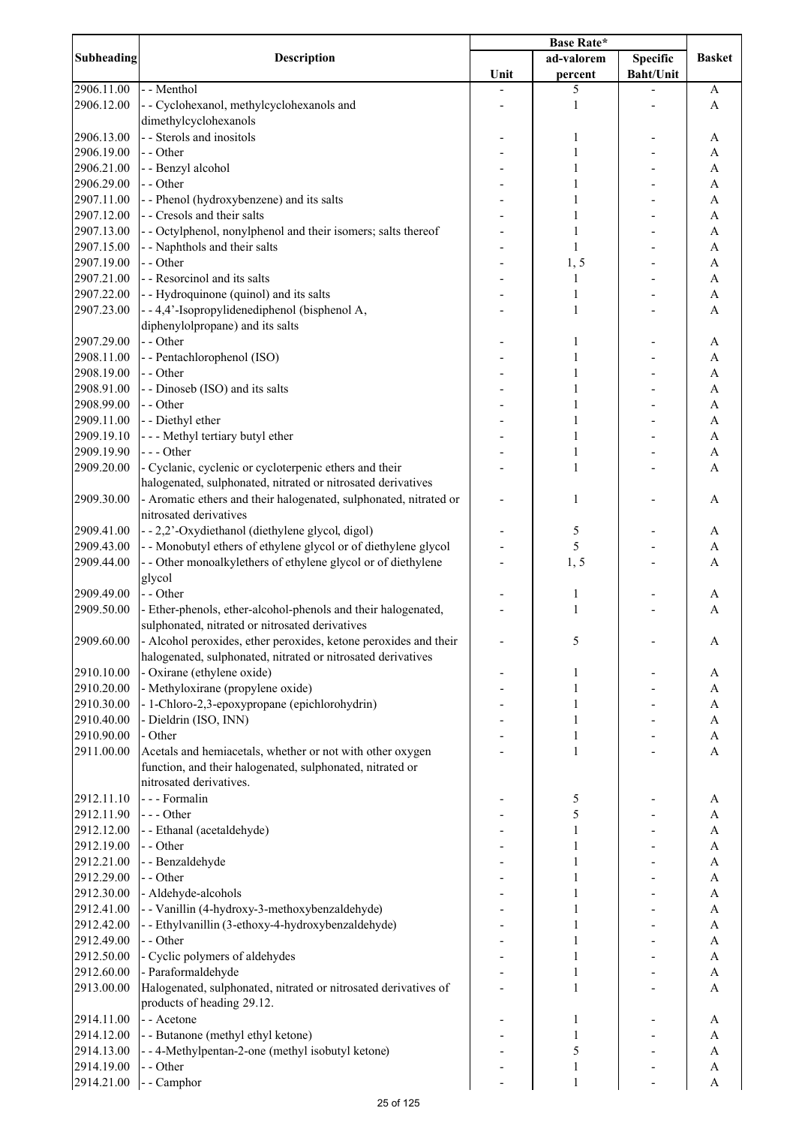| Subheading | <b>Description</b>                                                       |      |              |                  |                       |
|------------|--------------------------------------------------------------------------|------|--------------|------------------|-----------------------|
|            |                                                                          |      | ad-valorem   | <b>Specific</b>  | <b>Basket</b>         |
|            |                                                                          | Unit | percent      | <b>Baht/Unit</b> |                       |
| 2906.11.00 | - - Menthol                                                              |      | 5            |                  | A                     |
| 2906.12.00 | - - Cyclohexanol, methylcyclohexanols and                                |      | 1            |                  | A                     |
|            | dimethylcyclohexanols                                                    |      |              |                  |                       |
| 2906.13.00 | - - Sterols and inositols                                                |      | 1            |                  | A                     |
| 2906.19.00 | - - Other                                                                |      |              |                  | A                     |
| 2906.21.00 | - - Benzyl alcohol                                                       |      | 1            |                  | A                     |
| 2906.29.00 | - - Other                                                                |      |              |                  |                       |
|            |                                                                          |      |              |                  | A                     |
| 2907.11.00 | - - Phenol (hydroxybenzene) and its salts<br>- - Cresols and their salts |      |              |                  | A                     |
| 2907.12.00 |                                                                          |      | 1            |                  | A                     |
| 2907.13.00 | - - Octylphenol, nonylphenol and their isomers; salts thereof            |      | 1            |                  | A                     |
| 2907.15.00 | - - Naphthols and their salts                                            |      | 1            |                  | A                     |
| 2907.19.00 | - - Other                                                                |      | 1, 5         |                  | A                     |
| 2907.21.00 | - - Resorcinol and its salts                                             |      | 1            |                  | A                     |
| 2907.22.00 | - - Hydroquinone (quinol) and its salts                                  |      | 1            |                  | A                     |
| 2907.23.00 | --4,4'-Isopropylidenediphenol (bisphenol A,                              |      | 1            |                  | $\mathbf{A}$          |
|            | diphenylolpropane) and its salts                                         |      |              |                  |                       |
| 2907.29.00 | - - Other                                                                |      | 1            |                  | A                     |
| 2908.11.00 | - - Pentachlorophenol (ISO)                                              |      |              |                  | A                     |
| 2908.19.00 | - - Other                                                                |      |              |                  | $\mathbf{A}$          |
| 2908.91.00 | - - Dinoseb (ISO) and its salts                                          |      |              |                  | $\mathbf{A}$          |
| 2908.99.00 | - - Other                                                                |      |              |                  | A                     |
| 2909.11.00 | - - Diethyl ether                                                        |      |              |                  | A                     |
| 2909.19.10 | --- Methyl tertiary butyl ether                                          |      | 1            |                  | A                     |
|            | --- Other                                                                |      | 1            |                  |                       |
| 2909.19.90 |                                                                          |      |              |                  | A                     |
| 2909.20.00 | - Cyclanic, cyclenic or cycloterpenic ethers and their                   |      | 1            |                  | A                     |
|            | halogenated, sulphonated, nitrated or nitrosated derivatives             |      |              |                  |                       |
| 2909.30.00 | - Aromatic ethers and their halogenated, sulphonated, nitrated or        |      | 1            |                  | A                     |
|            | nitrosated derivatives                                                   |      |              |                  |                       |
| 2909.41.00 | - - 2,2'-Oxydiethanol (diethylene glycol, digol)                         |      | 5            |                  | A                     |
| 2909.43.00 | - - Monobutyl ethers of ethylene glycol or of diethylene glycol          |      | 5            |                  | A                     |
| 2909.44.00 | - - Other monoalkylethers of ethylene glycol or of diethylene            |      | 1, 5         |                  | A                     |
|            | glycol                                                                   |      |              |                  |                       |
| 2909.49.00 | - - Other                                                                |      | 1            |                  | A                     |
| 2909.50.00 | - Ether-phenols, ether-alcohol-phenols and their halogenated,            |      | 1            |                  | A                     |
|            | sulphonated, nitrated or nitrosated derivatives                          |      |              |                  |                       |
| 2909.60.00 | - Alcohol peroxides, ether peroxides, ketone peroxides and their         |      | 5            |                  | A                     |
|            | halogenated, sulphonated, nitrated or nitrosated derivatives             |      |              |                  |                       |
| 2910.10.00 | - Oxirane (ethylene oxide)                                               |      | 1            |                  | A                     |
|            |                                                                          |      |              |                  |                       |
| 2910.20.00 | - Methyloxirane (propylene oxide)                                        |      | 1            |                  | A                     |
| 2910.30.00 | - 1-Chloro-2,3-epoxypropane (epichlorohydrin)                            |      | 1            |                  | A                     |
| 2910.40.00 | - Dieldrin (ISO, INN)                                                    |      | 1            |                  | A                     |
| 2910.90.00 | - Other                                                                  |      | 1            |                  | A                     |
| 2911.00.00 | Acetals and hemiacetals, whether or not with other oxygen                |      | 1            |                  | A                     |
|            | function, and their halogenated, sulphonated, nitrated or                |      |              |                  |                       |
|            | nitrosated derivatives.                                                  |      |              |                  |                       |
| 2912.11.10 | --- Formalin                                                             |      | 5            |                  | A                     |
| 2912.11.90 | --- Other                                                                |      | 5            |                  | $\mathbf{A}$          |
| 2912.12.00 | -- Ethanal (acetaldehyde)                                                |      |              |                  | $\mathbf{A}$          |
| 2912.19.00 | - - Other                                                                |      |              |                  | $\mathbf{A}$          |
| 2912.21.00 | -- Benzaldehyde                                                          |      |              |                  | $\mathbf{A}$          |
| 2912.29.00 | - - Other                                                                |      |              |                  | $\mathbf{A}$          |
| 2912.30.00 | - Aldehyde-alcohols                                                      |      | 1            |                  | A                     |
| 2912.41.00 | - - Vanillin (4-hydroxy-3-methoxybenzaldehyde)                           |      |              |                  | $\mathbf{A}$          |
| 2912.42.00 | - - Ethylvanillin (3-ethoxy-4-hydroxybenzaldehyde)                       |      | 1            |                  | $\mathbf{A}$          |
| 2912.49.00 | - - Other                                                                |      | 1            |                  | A                     |
|            |                                                                          |      | 1            |                  |                       |
| 2912.50.00 | - Cyclic polymers of aldehydes                                           |      |              |                  | A                     |
| 2912.60.00 | - Paraformaldehyde                                                       |      | 1            |                  | A                     |
| 2913.00.00 | Halogenated, sulphonated, nitrated or nitrosated derivatives of          |      | $\mathbf{1}$ |                  | $\mathbf{A}$          |
|            | products of heading 29.12.                                               |      |              |                  |                       |
| 2914.11.00 | - - Acetone                                                              |      | 1            |                  | A                     |
| 2914.12.00 | - - Butanone (methyl ethyl ketone)                                       |      | 1            |                  | A                     |
| 2914.13.00 | - - 4-Methylpentan-2-one (methyl isobutyl ketone)                        |      | 5            |                  | A                     |
| 2914.19.00 | - - Other                                                                |      | 1            |                  | A                     |
| 2914.21.00 | - - Camphor                                                              |      | $\,1$        |                  | $\boldsymbol{\rm{A}}$ |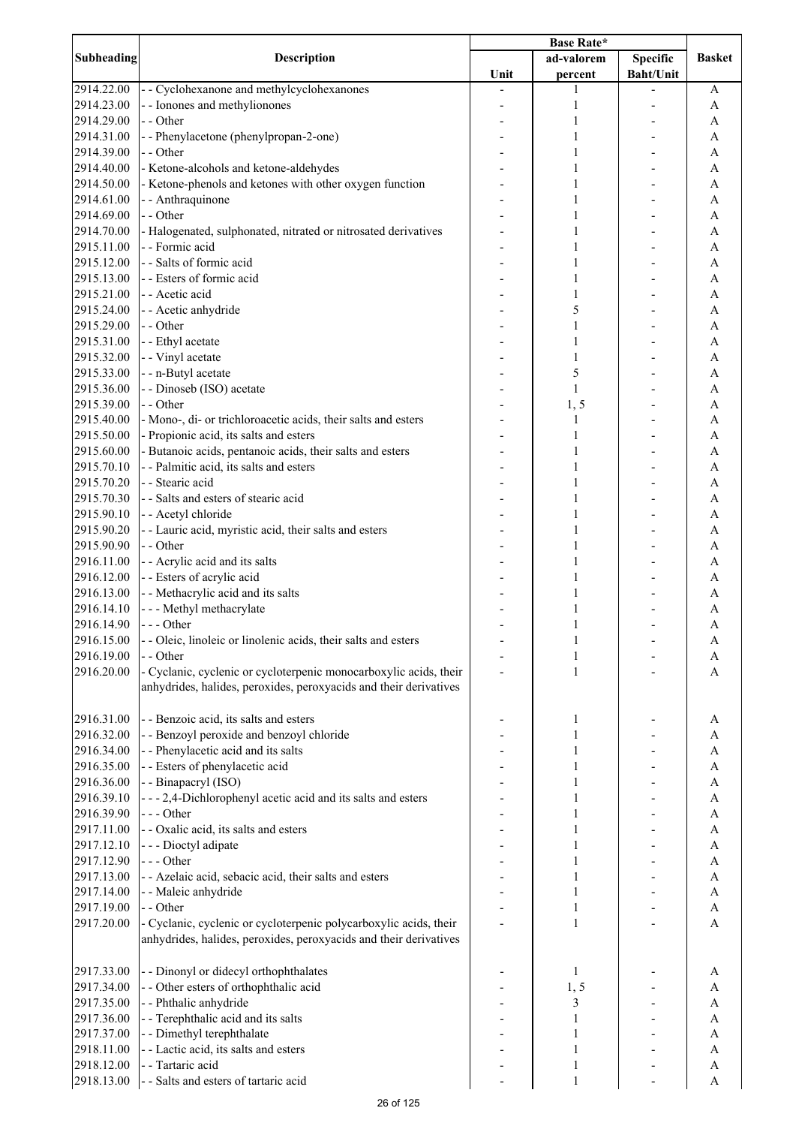|                   | <b>Description</b>                                                |      |              |                  |               |
|-------------------|-------------------------------------------------------------------|------|--------------|------------------|---------------|
| <b>Subheading</b> |                                                                   |      | ad-valorem   | <b>Specific</b>  | <b>Basket</b> |
|                   |                                                                   | Unit | percent      | <b>Baht/Unit</b> |               |
| 2914.22.00        | - - Cyclohexanone and methylcyclohexanones                        |      | 1            |                  | A             |
| 2914.23.00        | - - Ionones and methylionones                                     |      | 1            |                  | A             |
| 2914.29.00        | - - Other                                                         |      | 1            |                  | A             |
| 2914.31.00        | -- Phenylacetone (phenylpropan-2-one)                             |      | 1            |                  | A             |
| 2914.39.00        | - - Other                                                         |      | 1            |                  | A             |
| 2914.40.00        | - Ketone-alcohols and ketone-aldehydes                            |      | 1            |                  | A             |
| 2914.50.00        | - Ketone-phenols and ketones with other oxygen function           |      | 1            |                  | A             |
|                   |                                                                   |      |              |                  |               |
| 2914.61.00        | - - Anthraquinone                                                 |      | 1            |                  | A             |
| 2914.69.00        | - - Other                                                         |      | 1            |                  | A             |
| 2914.70.00        | - Halogenated, sulphonated, nitrated or nitrosated derivatives    |      | 1            |                  | A             |
| 2915.11.00        | - - Formic acid                                                   |      | 1            |                  | A             |
| 2915.12.00        | - - Salts of formic acid                                          |      | 1            |                  | A             |
| 2915.13.00        | - - Esters of formic acid                                         |      | 1            |                  | A             |
| 2915.21.00        | - - Acetic acid                                                   |      | 1            |                  | $\mathbf{A}$  |
| 2915.24.00        | - - Acetic anhydride                                              |      | 5            |                  | $\mathbf{A}$  |
| 2915.29.00        | - - Other                                                         |      | 1            |                  | $\mathbf{A}$  |
| 2915.31.00        | - - Ethyl acetate                                                 |      | 1            |                  | $\mathbf{A}$  |
| 2915.32.00        | - - Vinyl acetate                                                 |      | 1            |                  | A             |
| 2915.33.00        | - - n-Butyl acetate                                               |      | 5            |                  | A             |
| 2915.36.00        | - - Dinoseb (ISO) acetate                                         |      | $\mathbf{1}$ |                  | A             |
| 2915.39.00        | - - Other                                                         |      | 1, 5         |                  | A             |
| 2915.40.00        | - Mono-, di- or trichloroacetic acids, their salts and esters     |      | 1            |                  | A             |
| 2915.50.00        | - Propionic acid, its salts and esters                            |      | $\mathbf{1}$ |                  | A             |
|                   |                                                                   |      |              |                  |               |
| 2915.60.00        | - Butanoic acids, pentanoic acids, their salts and esters         |      | 1            |                  | A             |
| 2915.70.10        | - - Palmitic acid, its salts and esters                           |      | 1            |                  | A             |
| 2915.70.20        | - - Stearic acid                                                  |      | 1            |                  | A             |
| 2915.70.30        | - - Salts and esters of stearic acid                              |      | 1            |                  | A             |
| 2915.90.10        | - - Acetyl chloride                                               |      | 1            |                  | A             |
| 2915.90.20        | - - Lauric acid, myristic acid, their salts and esters            |      | 1            |                  | A             |
| 2915.90.90        | - - Other                                                         |      | 1            |                  | A             |
| 2916.11.00        | - - Acrylic acid and its salts                                    |      | 1            |                  | A             |
| 2916.12.00        | - - Esters of acrylic acid                                        |      | 1            |                  | A             |
| 2916.13.00        | - - Methacrylic acid and its salts                                |      | 1            |                  | A             |
| 2916.14.10        | --- Methyl methacrylate                                           |      | 1            |                  | A             |
| 2916.14.90        | --- Other                                                         |      | 1            |                  | A             |
| 2916.15.00        | - - Oleic, linoleic or linolenic acids, their salts and esters    |      |              |                  | A             |
| 2916.19.00        | - - Other                                                         |      | 1            |                  | A             |
| 2916.20.00        | - Cyclanic, cyclenic or cycloterpenic monocarboxylic acids, their |      | 1            |                  | A             |
|                   | anhydrides, halides, peroxides, peroxyacids and their derivatives |      |              |                  |               |
|                   |                                                                   |      |              |                  |               |
| 2916.31.00        | - - Benzoic acid, its salts and esters                            |      |              |                  |               |
|                   |                                                                   |      | 1            |                  | A             |
| 2916.32.00        | - - Benzoyl peroxide and benzoyl chloride                         |      |              |                  | A             |
| 2916.34.00        | - - Phenylacetic acid and its salts                               |      |              |                  | $\mathbf{A}$  |
| 2916.35.00        | - - Esters of phenylacetic acid                                   |      |              |                  | $\mathbf{A}$  |
| 2916.36.00        | - - Binapacryl (ISO)                                              |      |              |                  | $\mathbf{A}$  |
| 2916.39.10        | - - - 2,4-Dichlorophenyl acetic acid and its salts and esters     |      |              |                  | A             |
| 2916.39.90        | --- Other                                                         |      |              |                  | A             |
| 2917.11.00        | - - Oxalic acid, its salts and esters                             |      | 1            |                  | A             |
| 2917.12.10        | - - - Dioctyl adipate                                             |      |              |                  | A             |
| 2917.12.90        | --- Other                                                         |      |              |                  | A             |
| 2917.13.00        | - - Azelaic acid, sebacic acid, their salts and esters            |      | 1            |                  | A             |
| 2917.14.00        | - - Maleic anhydride                                              |      | 1            |                  | A             |
| 2917.19.00        | - - Other                                                         |      | 1            |                  | A             |
| 2917.20.00        | - Cyclanic, cyclenic or cycloterpenic polycarboxylic acids, their |      | $\mathbf{1}$ |                  | A             |
|                   | anhydrides, halides, peroxides, peroxyacids and their derivatives |      |              |                  |               |
|                   |                                                                   |      |              |                  |               |
| 2917.33.00        | - - Dinonyl or didecyl orthophthalates                            |      | 1            |                  | A             |
| 2917.34.00        | - - Other esters of orthophthalic acid                            |      | 1, 5         |                  | A             |
|                   |                                                                   |      |              |                  |               |
| 2917.35.00        | - - Phthalic anhydride                                            |      | 3            |                  | A             |
| 2917.36.00        | - - Terephthalic acid and its salts                               |      | 1            |                  | A             |
| 2917.37.00        | - - Dimethyl terephthalate                                        |      | 1            |                  | A             |
| 2918.11.00        | - - Lactic acid, its salts and esters                             |      | 1            |                  | A             |
| 2918.12.00        | - - Tartaric acid                                                 |      | 1            |                  | A             |
| 2918.13.00        | - - Salts and esters of tartaric acid                             |      | 1            |                  | A             |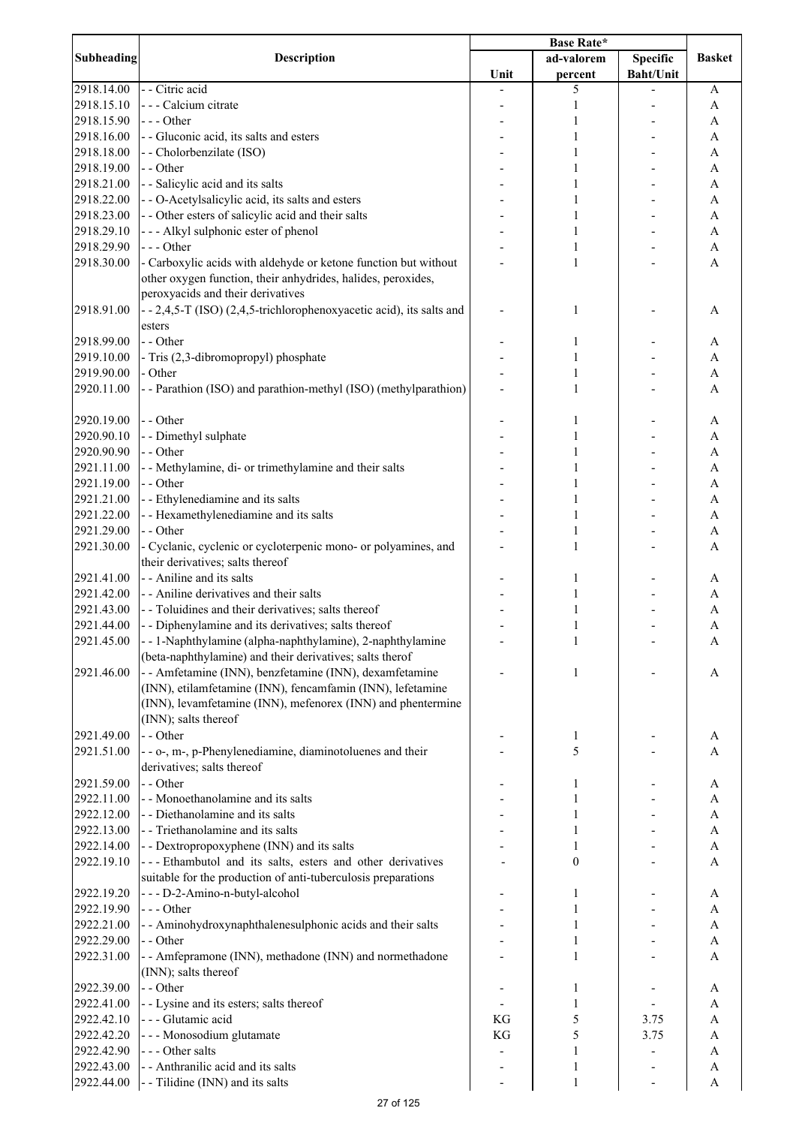| Subheading | <b>Description</b>                                                                                                              |      |                  |                  |                           |
|------------|---------------------------------------------------------------------------------------------------------------------------------|------|------------------|------------------|---------------------------|
|            |                                                                                                                                 |      | ad-valorem       | <b>Specific</b>  | <b>Basket</b>             |
|            |                                                                                                                                 | Unit | percent          | <b>Baht/Unit</b> |                           |
| 2918.14.00 | - - Citric acid                                                                                                                 |      | 5                |                  | A                         |
| 2918.15.10 | - - - Calcium citrate                                                                                                           |      | 1                |                  | A                         |
| 2918.15.90 | $--$ Other                                                                                                                      |      | 1                |                  | A                         |
| 2918.16.00 | - - Gluconic acid, its salts and esters                                                                                         |      | 1                |                  | A                         |
| 2918.18.00 | - - Cholorbenzilate (ISO)                                                                                                       |      |                  |                  | A                         |
| 2918.19.00 | - - Other                                                                                                                       |      |                  |                  | A                         |
| 2918.21.00 | - - Salicylic acid and its salts                                                                                                |      |                  |                  | A                         |
| 2918.22.00 | - - O-Acetylsalicylic acid, its salts and esters                                                                                |      | 1                |                  | A                         |
| 2918.23.00 | - - Other esters of salicylic acid and their salts                                                                              |      | 1                |                  | A                         |
| 2918.29.10 | --- Alkyl sulphonic ester of phenol                                                                                             |      | 1                |                  | A                         |
| 2918.29.90 | --- Other                                                                                                                       |      | 1                |                  | A                         |
| 2918.30.00 | - Carboxylic acids with aldehyde or ketone function but without<br>other oxygen function, their anhydrides, halides, peroxides, |      | 1                |                  | A                         |
|            | peroxyacids and their derivatives                                                                                               |      |                  |                  |                           |
| 2918.91.00 | - - 2,4,5-T (ISO) (2,4,5-trichlorophenoxyacetic acid), its salts and<br>esters                                                  |      | 1                |                  | A                         |
| 2918.99.00 | - - Other                                                                                                                       |      | 1                |                  | А                         |
| 2919.10.00 | - Tris (2,3-dibromopropyl) phosphate                                                                                            |      |                  |                  | A                         |
| 2919.90.00 | - Other                                                                                                                         |      |                  |                  | $\mathbf{A}$              |
| 2920.11.00 | - - Parathion (ISO) and parathion-methyl (ISO) (methylparathion)                                                                |      | 1                |                  | $\overline{A}$            |
| 2920.19.00 | - - Other                                                                                                                       |      | 1                |                  | A                         |
| 2920.90.10 | - - Dimethyl sulphate                                                                                                           |      |                  |                  | A                         |
| 2920.90.90 | - - Other                                                                                                                       |      | 1                |                  | A                         |
| 2921.11.00 | - - Methylamine, di- or trimethylamine and their salts                                                                          |      | 1                |                  | A                         |
| 2921.19.00 | - - Other                                                                                                                       |      | 1                |                  | A                         |
| 2921.21.00 | - - Ethylenediamine and its salts                                                                                               |      | 1                |                  | A                         |
| 2921.22.00 | - - Hexamethylenediamine and its salts                                                                                          |      | 1                |                  | A                         |
| 2921.29.00 | - - Other                                                                                                                       |      | 1                |                  | A                         |
| 2921.30.00 | - Cyclanic, cyclenic or cycloterpenic mono- or polyamines, and<br>their derivatives; salts thereof                              |      | 1                |                  | A                         |
| 2921.41.00 | - - Aniline and its salts                                                                                                       |      | 1                |                  | A                         |
| 2921.42.00 | - - Aniline derivatives and their salts                                                                                         |      | 1                |                  |                           |
|            | - - Toluidines and their derivatives; salts thereof                                                                             |      |                  |                  | A                         |
| 2921.43.00 |                                                                                                                                 |      | 1                |                  | A                         |
| 2921.44.00 | - - Diphenylamine and its derivatives; salts thereof                                                                            |      | 1                |                  | A                         |
| 2921.45.00 | -- 1-Naphthylamine (alpha-naphthylamine), 2-naphthylamine<br>(beta-naphthylamine) and their derivatives; salts therof           |      | 1                |                  | A                         |
| 2921.46.00 | - - Amfetamine (INN), benzfetamine (INN), dexamfetamine<br>(INN), etilamfetamine (INN), fencamfamin (INN), lefetamine           |      | 1                |                  | A                         |
|            | (INN), levamfetamine (INN), mefenorex (INN) and phentermine                                                                     |      |                  |                  |                           |
|            | (INN); salts thereof                                                                                                            |      |                  |                  |                           |
| 2921.49.00 | - - Other                                                                                                                       |      | 1                |                  | A                         |
| 2921.51.00 | - - o-, m-, p-Phenylenediamine, diaminotoluenes and their<br>derivatives; salts thereof                                         |      | 5                |                  | A                         |
| 2921.59.00 | - - Other                                                                                                                       |      | 1                |                  | A                         |
| 2922.11.00 | - - Monoethanolamine and its salts                                                                                              |      |                  |                  | A                         |
| 2922.12.00 | - - Diethanolamine and its salts                                                                                                |      |                  |                  | $\mathbf{A}$              |
| 2922.13.00 | - - Triethanolamine and its salts                                                                                               |      |                  |                  | $\boldsymbol{A}$          |
| 2922.14.00 | - - Dextropropoxyphene (INN) and its salts                                                                                      |      |                  |                  | $\boldsymbol{A}$          |
| 2922.19.10 | --- Ethambutol and its salts, esters and other derivatives<br>suitable for the production of anti-tuberculosis preparations     |      | $\boldsymbol{0}$ |                  | A                         |
| 2922.19.20 | ---D-2-Amino-n-butyl-alcohol                                                                                                    |      | 1                |                  | A                         |
| 2922.19.90 | $--- Other$                                                                                                                     |      |                  |                  | $\boldsymbol{\mathsf{A}}$ |
| 2922.21.00 | - - Aminohydroxynaphthalenesulphonic acids and their salts                                                                      |      | 1                |                  | A                         |
| 2922.29.00 | - - Other                                                                                                                       |      | 1                |                  | $\boldsymbol{\rm{A}}$     |
| 2922.31.00 | - - Amfepramone (INN), methadone (INN) and normethadone                                                                         |      | 1                |                  | A                         |
|            | (INN); salts thereof                                                                                                            |      |                  |                  |                           |
| 2922.39.00 | - - Other                                                                                                                       |      | 1                |                  | A                         |
| 2922.41.00 | - - Lysine and its esters; salts thereof                                                                                        |      | 1                |                  | A                         |
| 2922.42.10 | - - - Glutamic acid                                                                                                             | KG   | 5                | 3.75             | A                         |
| 2922.42.20 | --- Monosodium glutamate                                                                                                        | KG   | 5                | 3.75             | A                         |
| 2922.42.90 | --- Other salts                                                                                                                 |      | 1                |                  | $\boldsymbol{\rm{A}}$     |
| 2922.43.00 | - - Anthranilic acid and its salts                                                                                              |      | 1                |                  | A                         |
| 2922.44.00 | - - Tilidine (INN) and its salts                                                                                                |      | $\mathbf{1}$     |                  | A                         |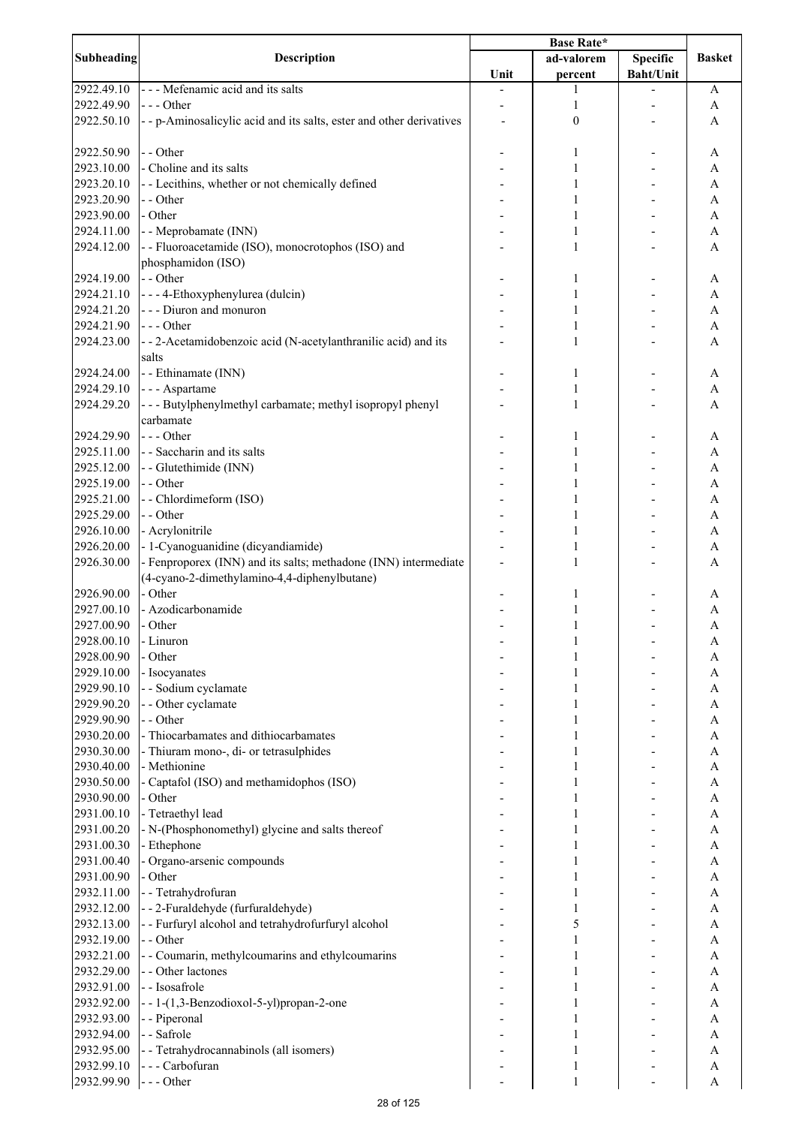| Subheading<br><b>Description</b><br><b>Specific</b><br>ad-valorem<br><b>Basket</b><br><b>Baht/Unit</b><br>Unit<br>percent<br>--- Mefenamic acid and its salts<br>2922.49.10<br>1<br>A<br>2922.49.90<br>--- Other<br>1<br>A<br>2922.50.10<br>$\boldsymbol{0}$<br>- - p-Aminosalicylic acid and its salts, ester and other derivatives<br>A<br>2922.50.90<br>- - Other<br>1<br>A<br>- Choline and its salts<br>2923.10.00<br>1<br>A<br>- - Lecithins, whether or not chemically defined<br>2923.20.10<br>A<br>1<br>2923.20.90<br>- - Other<br>A<br>1<br>- Other<br>2923.90.00<br>A<br>1<br>- - Meprobamate (INN)<br>2924.11.00<br>A<br>1<br>- - Fluoroacetamide (ISO), monocrotophos (ISO) and<br>2924.12.00<br>1<br>A<br>phosphamidon (ISO)<br>- - Other<br>2924.19.00<br>1<br>A<br>- - - 4-Ethoxyphenylurea (dulcin)<br>2924.21.10<br>1<br>A<br>- - - Diuron and monuron<br>2924.21.20<br>1<br>A<br>2924.21.90<br>$- -$ Other<br>1<br>A<br>2924.23.00<br>--2-Acetamidobenzoic acid (N-acetylanthranilic acid) and its<br>A<br>1<br>salts<br>- - Ethinamate (INN)<br>2924.24.00<br>A<br>1<br>- - - Aspartame<br>2924.29.10<br>A<br>- - - Butylphenylmethyl carbamate; methyl isopropyl phenyl<br>2924.29.20<br>A<br>1<br>carbamate<br>$--$ Other<br>2924.29.90<br>A<br>1<br>- - Saccharin and its salts<br>2925.11.00<br>A<br>- - Glutethimide (INN)<br>2925.12.00<br>$\mathbf{A}$<br>2925.19.00<br>- - Other<br>1<br>A<br>-- Chlordimeform (ISO)<br>2925.21.00<br>1<br>A<br>- - Other<br>2925.29.00<br>1<br>A<br>- Acrylonitrile<br>2926.10.00<br>1<br>A<br>- 1-Cyanoguanidine (dicyandiamide)<br>2926.20.00<br>1<br>A<br>- Fenproporex (INN) and its salts; methadone (INN) intermediate<br>2926.30.00<br>1<br>A<br>(4-cyano-2-dimethylamino-4,4-diphenylbutane)<br>- Other<br>2926.90.00<br>1<br>A<br>- Azodicarbonamide<br>2927.00.10<br>1<br>A<br>2927.00.90<br>- Other<br>1<br>A<br>2928.00.10<br>- Linuron<br>1<br>A<br>2928.00.90<br>- Other<br>A<br>2929.10.00<br>- Isocyanates<br>A<br>2929.90.10<br>- - Sodium cyclamate<br>A<br>1<br>2929.90.20<br>- - Other cyclamate<br>A<br>1<br>- - Other<br>2929.90.90<br>A<br>1<br>- Thiocarbamates and dithiocarbamates<br>2930.20.00<br>A<br>1<br>- Thiuram mono-, di- or tetrasulphides<br>2930.30.00<br>A<br>1<br>- Methionine<br>2930.40.00<br>A<br>1<br>- Captafol (ISO) and methamidophos (ISO)<br>2930.50.00<br>A<br>2930.90.00<br>- Other<br>A<br>- Tetraethyl lead<br>2931.00.10<br>$\mathbf{A}$<br>- N-(Phosphonomethyl) glycine and salts thereof<br>A<br>2931.00.20<br>- Ethephone<br>2931.00.30<br>$\mathbf{A}$<br>2931.00.40<br>- Organo-arsenic compounds<br>$\mathbf{A}$<br>2931.00.90<br>- Other<br>1<br>A<br>- - Tetrahydrofuran<br>2932.11.00<br>A<br>--2-Furaldehyde (furfuraldehyde)<br>2932.12.00<br>1<br>A<br>- - Furfuryl alcohol and tetrahydrofurfuryl alcohol<br>5<br>2932.13.00<br>A<br>- - Other<br>2932.19.00<br>$\mathbf{1}$<br>A<br>2932.21.00<br>- - Coumarin, methylcoumarins and ethylcoumarins<br>1<br>A<br>2932.29.00<br>- - Other lactones<br>1<br>A<br>- - Isosafrole<br>2932.91.00<br>1<br>A<br>2932.92.00<br>--1-(1,3-Benzodioxol-5-yl)propan-2-one<br>1<br>A<br>- - Piperonal<br>2932.93.00<br>A<br>- - Safrole<br>2932.94.00<br>A<br>1<br>- - Tetrahydrocannabinols (all isomers)<br>2932.95.00<br>1<br>A<br>2932.99.10<br>--- Carbofuran<br>1<br>A<br>$\,1\,$<br>2932.99.90<br>$--$ Other<br>A |  |  |  |  |  |
|----------------------------------------------------------------------------------------------------------------------------------------------------------------------------------------------------------------------------------------------------------------------------------------------------------------------------------------------------------------------------------------------------------------------------------------------------------------------------------------------------------------------------------------------------------------------------------------------------------------------------------------------------------------------------------------------------------------------------------------------------------------------------------------------------------------------------------------------------------------------------------------------------------------------------------------------------------------------------------------------------------------------------------------------------------------------------------------------------------------------------------------------------------------------------------------------------------------------------------------------------------------------------------------------------------------------------------------------------------------------------------------------------------------------------------------------------------------------------------------------------------------------------------------------------------------------------------------------------------------------------------------------------------------------------------------------------------------------------------------------------------------------------------------------------------------------------------------------------------------------------------------------------------------------------------------------------------------------------------------------------------------------------------------------------------------------------------------------------------------------------------------------------------------------------------------------------------------------------------------------------------------------------------------------------------------------------------------------------------------------------------------------------------------------------------------------------------------------------------------------------------------------------------------------------------------------------------------------------------------------------------------------------------------------------------------------------------------------------------------------------------------------------------------------------------------------------------------------------------------------------------------------------------------------------------------------------------------------------------------------------------------------------------------------------------------------------------------------------------------------------------------------------------------------------------------------------------------------------------------------------------------------------------------------------------------------------------------------------------------------------------------------|--|--|--|--|--|
|                                                                                                                                                                                                                                                                                                                                                                                                                                                                                                                                                                                                                                                                                                                                                                                                                                                                                                                                                                                                                                                                                                                                                                                                                                                                                                                                                                                                                                                                                                                                                                                                                                                                                                                                                                                                                                                                                                                                                                                                                                                                                                                                                                                                                                                                                                                                                                                                                                                                                                                                                                                                                                                                                                                                                                                                                                                                                                                                                                                                                                                                                                                                                                                                                                                                                                                                                                                              |  |  |  |  |  |
|                                                                                                                                                                                                                                                                                                                                                                                                                                                                                                                                                                                                                                                                                                                                                                                                                                                                                                                                                                                                                                                                                                                                                                                                                                                                                                                                                                                                                                                                                                                                                                                                                                                                                                                                                                                                                                                                                                                                                                                                                                                                                                                                                                                                                                                                                                                                                                                                                                                                                                                                                                                                                                                                                                                                                                                                                                                                                                                                                                                                                                                                                                                                                                                                                                                                                                                                                                                              |  |  |  |  |  |
|                                                                                                                                                                                                                                                                                                                                                                                                                                                                                                                                                                                                                                                                                                                                                                                                                                                                                                                                                                                                                                                                                                                                                                                                                                                                                                                                                                                                                                                                                                                                                                                                                                                                                                                                                                                                                                                                                                                                                                                                                                                                                                                                                                                                                                                                                                                                                                                                                                                                                                                                                                                                                                                                                                                                                                                                                                                                                                                                                                                                                                                                                                                                                                                                                                                                                                                                                                                              |  |  |  |  |  |
|                                                                                                                                                                                                                                                                                                                                                                                                                                                                                                                                                                                                                                                                                                                                                                                                                                                                                                                                                                                                                                                                                                                                                                                                                                                                                                                                                                                                                                                                                                                                                                                                                                                                                                                                                                                                                                                                                                                                                                                                                                                                                                                                                                                                                                                                                                                                                                                                                                                                                                                                                                                                                                                                                                                                                                                                                                                                                                                                                                                                                                                                                                                                                                                                                                                                                                                                                                                              |  |  |  |  |  |
|                                                                                                                                                                                                                                                                                                                                                                                                                                                                                                                                                                                                                                                                                                                                                                                                                                                                                                                                                                                                                                                                                                                                                                                                                                                                                                                                                                                                                                                                                                                                                                                                                                                                                                                                                                                                                                                                                                                                                                                                                                                                                                                                                                                                                                                                                                                                                                                                                                                                                                                                                                                                                                                                                                                                                                                                                                                                                                                                                                                                                                                                                                                                                                                                                                                                                                                                                                                              |  |  |  |  |  |
|                                                                                                                                                                                                                                                                                                                                                                                                                                                                                                                                                                                                                                                                                                                                                                                                                                                                                                                                                                                                                                                                                                                                                                                                                                                                                                                                                                                                                                                                                                                                                                                                                                                                                                                                                                                                                                                                                                                                                                                                                                                                                                                                                                                                                                                                                                                                                                                                                                                                                                                                                                                                                                                                                                                                                                                                                                                                                                                                                                                                                                                                                                                                                                                                                                                                                                                                                                                              |  |  |  |  |  |
|                                                                                                                                                                                                                                                                                                                                                                                                                                                                                                                                                                                                                                                                                                                                                                                                                                                                                                                                                                                                                                                                                                                                                                                                                                                                                                                                                                                                                                                                                                                                                                                                                                                                                                                                                                                                                                                                                                                                                                                                                                                                                                                                                                                                                                                                                                                                                                                                                                                                                                                                                                                                                                                                                                                                                                                                                                                                                                                                                                                                                                                                                                                                                                                                                                                                                                                                                                                              |  |  |  |  |  |
|                                                                                                                                                                                                                                                                                                                                                                                                                                                                                                                                                                                                                                                                                                                                                                                                                                                                                                                                                                                                                                                                                                                                                                                                                                                                                                                                                                                                                                                                                                                                                                                                                                                                                                                                                                                                                                                                                                                                                                                                                                                                                                                                                                                                                                                                                                                                                                                                                                                                                                                                                                                                                                                                                                                                                                                                                                                                                                                                                                                                                                                                                                                                                                                                                                                                                                                                                                                              |  |  |  |  |  |
|                                                                                                                                                                                                                                                                                                                                                                                                                                                                                                                                                                                                                                                                                                                                                                                                                                                                                                                                                                                                                                                                                                                                                                                                                                                                                                                                                                                                                                                                                                                                                                                                                                                                                                                                                                                                                                                                                                                                                                                                                                                                                                                                                                                                                                                                                                                                                                                                                                                                                                                                                                                                                                                                                                                                                                                                                                                                                                                                                                                                                                                                                                                                                                                                                                                                                                                                                                                              |  |  |  |  |  |
|                                                                                                                                                                                                                                                                                                                                                                                                                                                                                                                                                                                                                                                                                                                                                                                                                                                                                                                                                                                                                                                                                                                                                                                                                                                                                                                                                                                                                                                                                                                                                                                                                                                                                                                                                                                                                                                                                                                                                                                                                                                                                                                                                                                                                                                                                                                                                                                                                                                                                                                                                                                                                                                                                                                                                                                                                                                                                                                                                                                                                                                                                                                                                                                                                                                                                                                                                                                              |  |  |  |  |  |
|                                                                                                                                                                                                                                                                                                                                                                                                                                                                                                                                                                                                                                                                                                                                                                                                                                                                                                                                                                                                                                                                                                                                                                                                                                                                                                                                                                                                                                                                                                                                                                                                                                                                                                                                                                                                                                                                                                                                                                                                                                                                                                                                                                                                                                                                                                                                                                                                                                                                                                                                                                                                                                                                                                                                                                                                                                                                                                                                                                                                                                                                                                                                                                                                                                                                                                                                                                                              |  |  |  |  |  |
|                                                                                                                                                                                                                                                                                                                                                                                                                                                                                                                                                                                                                                                                                                                                                                                                                                                                                                                                                                                                                                                                                                                                                                                                                                                                                                                                                                                                                                                                                                                                                                                                                                                                                                                                                                                                                                                                                                                                                                                                                                                                                                                                                                                                                                                                                                                                                                                                                                                                                                                                                                                                                                                                                                                                                                                                                                                                                                                                                                                                                                                                                                                                                                                                                                                                                                                                                                                              |  |  |  |  |  |
|                                                                                                                                                                                                                                                                                                                                                                                                                                                                                                                                                                                                                                                                                                                                                                                                                                                                                                                                                                                                                                                                                                                                                                                                                                                                                                                                                                                                                                                                                                                                                                                                                                                                                                                                                                                                                                                                                                                                                                                                                                                                                                                                                                                                                                                                                                                                                                                                                                                                                                                                                                                                                                                                                                                                                                                                                                                                                                                                                                                                                                                                                                                                                                                                                                                                                                                                                                                              |  |  |  |  |  |
|                                                                                                                                                                                                                                                                                                                                                                                                                                                                                                                                                                                                                                                                                                                                                                                                                                                                                                                                                                                                                                                                                                                                                                                                                                                                                                                                                                                                                                                                                                                                                                                                                                                                                                                                                                                                                                                                                                                                                                                                                                                                                                                                                                                                                                                                                                                                                                                                                                                                                                                                                                                                                                                                                                                                                                                                                                                                                                                                                                                                                                                                                                                                                                                                                                                                                                                                                                                              |  |  |  |  |  |
|                                                                                                                                                                                                                                                                                                                                                                                                                                                                                                                                                                                                                                                                                                                                                                                                                                                                                                                                                                                                                                                                                                                                                                                                                                                                                                                                                                                                                                                                                                                                                                                                                                                                                                                                                                                                                                                                                                                                                                                                                                                                                                                                                                                                                                                                                                                                                                                                                                                                                                                                                                                                                                                                                                                                                                                                                                                                                                                                                                                                                                                                                                                                                                                                                                                                                                                                                                                              |  |  |  |  |  |
|                                                                                                                                                                                                                                                                                                                                                                                                                                                                                                                                                                                                                                                                                                                                                                                                                                                                                                                                                                                                                                                                                                                                                                                                                                                                                                                                                                                                                                                                                                                                                                                                                                                                                                                                                                                                                                                                                                                                                                                                                                                                                                                                                                                                                                                                                                                                                                                                                                                                                                                                                                                                                                                                                                                                                                                                                                                                                                                                                                                                                                                                                                                                                                                                                                                                                                                                                                                              |  |  |  |  |  |
|                                                                                                                                                                                                                                                                                                                                                                                                                                                                                                                                                                                                                                                                                                                                                                                                                                                                                                                                                                                                                                                                                                                                                                                                                                                                                                                                                                                                                                                                                                                                                                                                                                                                                                                                                                                                                                                                                                                                                                                                                                                                                                                                                                                                                                                                                                                                                                                                                                                                                                                                                                                                                                                                                                                                                                                                                                                                                                                                                                                                                                                                                                                                                                                                                                                                                                                                                                                              |  |  |  |  |  |
|                                                                                                                                                                                                                                                                                                                                                                                                                                                                                                                                                                                                                                                                                                                                                                                                                                                                                                                                                                                                                                                                                                                                                                                                                                                                                                                                                                                                                                                                                                                                                                                                                                                                                                                                                                                                                                                                                                                                                                                                                                                                                                                                                                                                                                                                                                                                                                                                                                                                                                                                                                                                                                                                                                                                                                                                                                                                                                                                                                                                                                                                                                                                                                                                                                                                                                                                                                                              |  |  |  |  |  |
|                                                                                                                                                                                                                                                                                                                                                                                                                                                                                                                                                                                                                                                                                                                                                                                                                                                                                                                                                                                                                                                                                                                                                                                                                                                                                                                                                                                                                                                                                                                                                                                                                                                                                                                                                                                                                                                                                                                                                                                                                                                                                                                                                                                                                                                                                                                                                                                                                                                                                                                                                                                                                                                                                                                                                                                                                                                                                                                                                                                                                                                                                                                                                                                                                                                                                                                                                                                              |  |  |  |  |  |
|                                                                                                                                                                                                                                                                                                                                                                                                                                                                                                                                                                                                                                                                                                                                                                                                                                                                                                                                                                                                                                                                                                                                                                                                                                                                                                                                                                                                                                                                                                                                                                                                                                                                                                                                                                                                                                                                                                                                                                                                                                                                                                                                                                                                                                                                                                                                                                                                                                                                                                                                                                                                                                                                                                                                                                                                                                                                                                                                                                                                                                                                                                                                                                                                                                                                                                                                                                                              |  |  |  |  |  |
|                                                                                                                                                                                                                                                                                                                                                                                                                                                                                                                                                                                                                                                                                                                                                                                                                                                                                                                                                                                                                                                                                                                                                                                                                                                                                                                                                                                                                                                                                                                                                                                                                                                                                                                                                                                                                                                                                                                                                                                                                                                                                                                                                                                                                                                                                                                                                                                                                                                                                                                                                                                                                                                                                                                                                                                                                                                                                                                                                                                                                                                                                                                                                                                                                                                                                                                                                                                              |  |  |  |  |  |
|                                                                                                                                                                                                                                                                                                                                                                                                                                                                                                                                                                                                                                                                                                                                                                                                                                                                                                                                                                                                                                                                                                                                                                                                                                                                                                                                                                                                                                                                                                                                                                                                                                                                                                                                                                                                                                                                                                                                                                                                                                                                                                                                                                                                                                                                                                                                                                                                                                                                                                                                                                                                                                                                                                                                                                                                                                                                                                                                                                                                                                                                                                                                                                                                                                                                                                                                                                                              |  |  |  |  |  |
|                                                                                                                                                                                                                                                                                                                                                                                                                                                                                                                                                                                                                                                                                                                                                                                                                                                                                                                                                                                                                                                                                                                                                                                                                                                                                                                                                                                                                                                                                                                                                                                                                                                                                                                                                                                                                                                                                                                                                                                                                                                                                                                                                                                                                                                                                                                                                                                                                                                                                                                                                                                                                                                                                                                                                                                                                                                                                                                                                                                                                                                                                                                                                                                                                                                                                                                                                                                              |  |  |  |  |  |
|                                                                                                                                                                                                                                                                                                                                                                                                                                                                                                                                                                                                                                                                                                                                                                                                                                                                                                                                                                                                                                                                                                                                                                                                                                                                                                                                                                                                                                                                                                                                                                                                                                                                                                                                                                                                                                                                                                                                                                                                                                                                                                                                                                                                                                                                                                                                                                                                                                                                                                                                                                                                                                                                                                                                                                                                                                                                                                                                                                                                                                                                                                                                                                                                                                                                                                                                                                                              |  |  |  |  |  |
|                                                                                                                                                                                                                                                                                                                                                                                                                                                                                                                                                                                                                                                                                                                                                                                                                                                                                                                                                                                                                                                                                                                                                                                                                                                                                                                                                                                                                                                                                                                                                                                                                                                                                                                                                                                                                                                                                                                                                                                                                                                                                                                                                                                                                                                                                                                                                                                                                                                                                                                                                                                                                                                                                                                                                                                                                                                                                                                                                                                                                                                                                                                                                                                                                                                                                                                                                                                              |  |  |  |  |  |
|                                                                                                                                                                                                                                                                                                                                                                                                                                                                                                                                                                                                                                                                                                                                                                                                                                                                                                                                                                                                                                                                                                                                                                                                                                                                                                                                                                                                                                                                                                                                                                                                                                                                                                                                                                                                                                                                                                                                                                                                                                                                                                                                                                                                                                                                                                                                                                                                                                                                                                                                                                                                                                                                                                                                                                                                                                                                                                                                                                                                                                                                                                                                                                                                                                                                                                                                                                                              |  |  |  |  |  |
|                                                                                                                                                                                                                                                                                                                                                                                                                                                                                                                                                                                                                                                                                                                                                                                                                                                                                                                                                                                                                                                                                                                                                                                                                                                                                                                                                                                                                                                                                                                                                                                                                                                                                                                                                                                                                                                                                                                                                                                                                                                                                                                                                                                                                                                                                                                                                                                                                                                                                                                                                                                                                                                                                                                                                                                                                                                                                                                                                                                                                                                                                                                                                                                                                                                                                                                                                                                              |  |  |  |  |  |
|                                                                                                                                                                                                                                                                                                                                                                                                                                                                                                                                                                                                                                                                                                                                                                                                                                                                                                                                                                                                                                                                                                                                                                                                                                                                                                                                                                                                                                                                                                                                                                                                                                                                                                                                                                                                                                                                                                                                                                                                                                                                                                                                                                                                                                                                                                                                                                                                                                                                                                                                                                                                                                                                                                                                                                                                                                                                                                                                                                                                                                                                                                                                                                                                                                                                                                                                                                                              |  |  |  |  |  |
|                                                                                                                                                                                                                                                                                                                                                                                                                                                                                                                                                                                                                                                                                                                                                                                                                                                                                                                                                                                                                                                                                                                                                                                                                                                                                                                                                                                                                                                                                                                                                                                                                                                                                                                                                                                                                                                                                                                                                                                                                                                                                                                                                                                                                                                                                                                                                                                                                                                                                                                                                                                                                                                                                                                                                                                                                                                                                                                                                                                                                                                                                                                                                                                                                                                                                                                                                                                              |  |  |  |  |  |
|                                                                                                                                                                                                                                                                                                                                                                                                                                                                                                                                                                                                                                                                                                                                                                                                                                                                                                                                                                                                                                                                                                                                                                                                                                                                                                                                                                                                                                                                                                                                                                                                                                                                                                                                                                                                                                                                                                                                                                                                                                                                                                                                                                                                                                                                                                                                                                                                                                                                                                                                                                                                                                                                                                                                                                                                                                                                                                                                                                                                                                                                                                                                                                                                                                                                                                                                                                                              |  |  |  |  |  |
|                                                                                                                                                                                                                                                                                                                                                                                                                                                                                                                                                                                                                                                                                                                                                                                                                                                                                                                                                                                                                                                                                                                                                                                                                                                                                                                                                                                                                                                                                                                                                                                                                                                                                                                                                                                                                                                                                                                                                                                                                                                                                                                                                                                                                                                                                                                                                                                                                                                                                                                                                                                                                                                                                                                                                                                                                                                                                                                                                                                                                                                                                                                                                                                                                                                                                                                                                                                              |  |  |  |  |  |
|                                                                                                                                                                                                                                                                                                                                                                                                                                                                                                                                                                                                                                                                                                                                                                                                                                                                                                                                                                                                                                                                                                                                                                                                                                                                                                                                                                                                                                                                                                                                                                                                                                                                                                                                                                                                                                                                                                                                                                                                                                                                                                                                                                                                                                                                                                                                                                                                                                                                                                                                                                                                                                                                                                                                                                                                                                                                                                                                                                                                                                                                                                                                                                                                                                                                                                                                                                                              |  |  |  |  |  |
|                                                                                                                                                                                                                                                                                                                                                                                                                                                                                                                                                                                                                                                                                                                                                                                                                                                                                                                                                                                                                                                                                                                                                                                                                                                                                                                                                                                                                                                                                                                                                                                                                                                                                                                                                                                                                                                                                                                                                                                                                                                                                                                                                                                                                                                                                                                                                                                                                                                                                                                                                                                                                                                                                                                                                                                                                                                                                                                                                                                                                                                                                                                                                                                                                                                                                                                                                                                              |  |  |  |  |  |
|                                                                                                                                                                                                                                                                                                                                                                                                                                                                                                                                                                                                                                                                                                                                                                                                                                                                                                                                                                                                                                                                                                                                                                                                                                                                                                                                                                                                                                                                                                                                                                                                                                                                                                                                                                                                                                                                                                                                                                                                                                                                                                                                                                                                                                                                                                                                                                                                                                                                                                                                                                                                                                                                                                                                                                                                                                                                                                                                                                                                                                                                                                                                                                                                                                                                                                                                                                                              |  |  |  |  |  |
|                                                                                                                                                                                                                                                                                                                                                                                                                                                                                                                                                                                                                                                                                                                                                                                                                                                                                                                                                                                                                                                                                                                                                                                                                                                                                                                                                                                                                                                                                                                                                                                                                                                                                                                                                                                                                                                                                                                                                                                                                                                                                                                                                                                                                                                                                                                                                                                                                                                                                                                                                                                                                                                                                                                                                                                                                                                                                                                                                                                                                                                                                                                                                                                                                                                                                                                                                                                              |  |  |  |  |  |
|                                                                                                                                                                                                                                                                                                                                                                                                                                                                                                                                                                                                                                                                                                                                                                                                                                                                                                                                                                                                                                                                                                                                                                                                                                                                                                                                                                                                                                                                                                                                                                                                                                                                                                                                                                                                                                                                                                                                                                                                                                                                                                                                                                                                                                                                                                                                                                                                                                                                                                                                                                                                                                                                                                                                                                                                                                                                                                                                                                                                                                                                                                                                                                                                                                                                                                                                                                                              |  |  |  |  |  |
|                                                                                                                                                                                                                                                                                                                                                                                                                                                                                                                                                                                                                                                                                                                                                                                                                                                                                                                                                                                                                                                                                                                                                                                                                                                                                                                                                                                                                                                                                                                                                                                                                                                                                                                                                                                                                                                                                                                                                                                                                                                                                                                                                                                                                                                                                                                                                                                                                                                                                                                                                                                                                                                                                                                                                                                                                                                                                                                                                                                                                                                                                                                                                                                                                                                                                                                                                                                              |  |  |  |  |  |
|                                                                                                                                                                                                                                                                                                                                                                                                                                                                                                                                                                                                                                                                                                                                                                                                                                                                                                                                                                                                                                                                                                                                                                                                                                                                                                                                                                                                                                                                                                                                                                                                                                                                                                                                                                                                                                                                                                                                                                                                                                                                                                                                                                                                                                                                                                                                                                                                                                                                                                                                                                                                                                                                                                                                                                                                                                                                                                                                                                                                                                                                                                                                                                                                                                                                                                                                                                                              |  |  |  |  |  |
|                                                                                                                                                                                                                                                                                                                                                                                                                                                                                                                                                                                                                                                                                                                                                                                                                                                                                                                                                                                                                                                                                                                                                                                                                                                                                                                                                                                                                                                                                                                                                                                                                                                                                                                                                                                                                                                                                                                                                                                                                                                                                                                                                                                                                                                                                                                                                                                                                                                                                                                                                                                                                                                                                                                                                                                                                                                                                                                                                                                                                                                                                                                                                                                                                                                                                                                                                                                              |  |  |  |  |  |
|                                                                                                                                                                                                                                                                                                                                                                                                                                                                                                                                                                                                                                                                                                                                                                                                                                                                                                                                                                                                                                                                                                                                                                                                                                                                                                                                                                                                                                                                                                                                                                                                                                                                                                                                                                                                                                                                                                                                                                                                                                                                                                                                                                                                                                                                                                                                                                                                                                                                                                                                                                                                                                                                                                                                                                                                                                                                                                                                                                                                                                                                                                                                                                                                                                                                                                                                                                                              |  |  |  |  |  |
|                                                                                                                                                                                                                                                                                                                                                                                                                                                                                                                                                                                                                                                                                                                                                                                                                                                                                                                                                                                                                                                                                                                                                                                                                                                                                                                                                                                                                                                                                                                                                                                                                                                                                                                                                                                                                                                                                                                                                                                                                                                                                                                                                                                                                                                                                                                                                                                                                                                                                                                                                                                                                                                                                                                                                                                                                                                                                                                                                                                                                                                                                                                                                                                                                                                                                                                                                                                              |  |  |  |  |  |
|                                                                                                                                                                                                                                                                                                                                                                                                                                                                                                                                                                                                                                                                                                                                                                                                                                                                                                                                                                                                                                                                                                                                                                                                                                                                                                                                                                                                                                                                                                                                                                                                                                                                                                                                                                                                                                                                                                                                                                                                                                                                                                                                                                                                                                                                                                                                                                                                                                                                                                                                                                                                                                                                                                                                                                                                                                                                                                                                                                                                                                                                                                                                                                                                                                                                                                                                                                                              |  |  |  |  |  |
|                                                                                                                                                                                                                                                                                                                                                                                                                                                                                                                                                                                                                                                                                                                                                                                                                                                                                                                                                                                                                                                                                                                                                                                                                                                                                                                                                                                                                                                                                                                                                                                                                                                                                                                                                                                                                                                                                                                                                                                                                                                                                                                                                                                                                                                                                                                                                                                                                                                                                                                                                                                                                                                                                                                                                                                                                                                                                                                                                                                                                                                                                                                                                                                                                                                                                                                                                                                              |  |  |  |  |  |
|                                                                                                                                                                                                                                                                                                                                                                                                                                                                                                                                                                                                                                                                                                                                                                                                                                                                                                                                                                                                                                                                                                                                                                                                                                                                                                                                                                                                                                                                                                                                                                                                                                                                                                                                                                                                                                                                                                                                                                                                                                                                                                                                                                                                                                                                                                                                                                                                                                                                                                                                                                                                                                                                                                                                                                                                                                                                                                                                                                                                                                                                                                                                                                                                                                                                                                                                                                                              |  |  |  |  |  |
|                                                                                                                                                                                                                                                                                                                                                                                                                                                                                                                                                                                                                                                                                                                                                                                                                                                                                                                                                                                                                                                                                                                                                                                                                                                                                                                                                                                                                                                                                                                                                                                                                                                                                                                                                                                                                                                                                                                                                                                                                                                                                                                                                                                                                                                                                                                                                                                                                                                                                                                                                                                                                                                                                                                                                                                                                                                                                                                                                                                                                                                                                                                                                                                                                                                                                                                                                                                              |  |  |  |  |  |
|                                                                                                                                                                                                                                                                                                                                                                                                                                                                                                                                                                                                                                                                                                                                                                                                                                                                                                                                                                                                                                                                                                                                                                                                                                                                                                                                                                                                                                                                                                                                                                                                                                                                                                                                                                                                                                                                                                                                                                                                                                                                                                                                                                                                                                                                                                                                                                                                                                                                                                                                                                                                                                                                                                                                                                                                                                                                                                                                                                                                                                                                                                                                                                                                                                                                                                                                                                                              |  |  |  |  |  |
|                                                                                                                                                                                                                                                                                                                                                                                                                                                                                                                                                                                                                                                                                                                                                                                                                                                                                                                                                                                                                                                                                                                                                                                                                                                                                                                                                                                                                                                                                                                                                                                                                                                                                                                                                                                                                                                                                                                                                                                                                                                                                                                                                                                                                                                                                                                                                                                                                                                                                                                                                                                                                                                                                                                                                                                                                                                                                                                                                                                                                                                                                                                                                                                                                                                                                                                                                                                              |  |  |  |  |  |
|                                                                                                                                                                                                                                                                                                                                                                                                                                                                                                                                                                                                                                                                                                                                                                                                                                                                                                                                                                                                                                                                                                                                                                                                                                                                                                                                                                                                                                                                                                                                                                                                                                                                                                                                                                                                                                                                                                                                                                                                                                                                                                                                                                                                                                                                                                                                                                                                                                                                                                                                                                                                                                                                                                                                                                                                                                                                                                                                                                                                                                                                                                                                                                                                                                                                                                                                                                                              |  |  |  |  |  |
|                                                                                                                                                                                                                                                                                                                                                                                                                                                                                                                                                                                                                                                                                                                                                                                                                                                                                                                                                                                                                                                                                                                                                                                                                                                                                                                                                                                                                                                                                                                                                                                                                                                                                                                                                                                                                                                                                                                                                                                                                                                                                                                                                                                                                                                                                                                                                                                                                                                                                                                                                                                                                                                                                                                                                                                                                                                                                                                                                                                                                                                                                                                                                                                                                                                                                                                                                                                              |  |  |  |  |  |
|                                                                                                                                                                                                                                                                                                                                                                                                                                                                                                                                                                                                                                                                                                                                                                                                                                                                                                                                                                                                                                                                                                                                                                                                                                                                                                                                                                                                                                                                                                                                                                                                                                                                                                                                                                                                                                                                                                                                                                                                                                                                                                                                                                                                                                                                                                                                                                                                                                                                                                                                                                                                                                                                                                                                                                                                                                                                                                                                                                                                                                                                                                                                                                                                                                                                                                                                                                                              |  |  |  |  |  |
|                                                                                                                                                                                                                                                                                                                                                                                                                                                                                                                                                                                                                                                                                                                                                                                                                                                                                                                                                                                                                                                                                                                                                                                                                                                                                                                                                                                                                                                                                                                                                                                                                                                                                                                                                                                                                                                                                                                                                                                                                                                                                                                                                                                                                                                                                                                                                                                                                                                                                                                                                                                                                                                                                                                                                                                                                                                                                                                                                                                                                                                                                                                                                                                                                                                                                                                                                                                              |  |  |  |  |  |
|                                                                                                                                                                                                                                                                                                                                                                                                                                                                                                                                                                                                                                                                                                                                                                                                                                                                                                                                                                                                                                                                                                                                                                                                                                                                                                                                                                                                                                                                                                                                                                                                                                                                                                                                                                                                                                                                                                                                                                                                                                                                                                                                                                                                                                                                                                                                                                                                                                                                                                                                                                                                                                                                                                                                                                                                                                                                                                                                                                                                                                                                                                                                                                                                                                                                                                                                                                                              |  |  |  |  |  |
|                                                                                                                                                                                                                                                                                                                                                                                                                                                                                                                                                                                                                                                                                                                                                                                                                                                                                                                                                                                                                                                                                                                                                                                                                                                                                                                                                                                                                                                                                                                                                                                                                                                                                                                                                                                                                                                                                                                                                                                                                                                                                                                                                                                                                                                                                                                                                                                                                                                                                                                                                                                                                                                                                                                                                                                                                                                                                                                                                                                                                                                                                                                                                                                                                                                                                                                                                                                              |  |  |  |  |  |
|                                                                                                                                                                                                                                                                                                                                                                                                                                                                                                                                                                                                                                                                                                                                                                                                                                                                                                                                                                                                                                                                                                                                                                                                                                                                                                                                                                                                                                                                                                                                                                                                                                                                                                                                                                                                                                                                                                                                                                                                                                                                                                                                                                                                                                                                                                                                                                                                                                                                                                                                                                                                                                                                                                                                                                                                                                                                                                                                                                                                                                                                                                                                                                                                                                                                                                                                                                                              |  |  |  |  |  |
|                                                                                                                                                                                                                                                                                                                                                                                                                                                                                                                                                                                                                                                                                                                                                                                                                                                                                                                                                                                                                                                                                                                                                                                                                                                                                                                                                                                                                                                                                                                                                                                                                                                                                                                                                                                                                                                                                                                                                                                                                                                                                                                                                                                                                                                                                                                                                                                                                                                                                                                                                                                                                                                                                                                                                                                                                                                                                                                                                                                                                                                                                                                                                                                                                                                                                                                                                                                              |  |  |  |  |  |
|                                                                                                                                                                                                                                                                                                                                                                                                                                                                                                                                                                                                                                                                                                                                                                                                                                                                                                                                                                                                                                                                                                                                                                                                                                                                                                                                                                                                                                                                                                                                                                                                                                                                                                                                                                                                                                                                                                                                                                                                                                                                                                                                                                                                                                                                                                                                                                                                                                                                                                                                                                                                                                                                                                                                                                                                                                                                                                                                                                                                                                                                                                                                                                                                                                                                                                                                                                                              |  |  |  |  |  |
|                                                                                                                                                                                                                                                                                                                                                                                                                                                                                                                                                                                                                                                                                                                                                                                                                                                                                                                                                                                                                                                                                                                                                                                                                                                                                                                                                                                                                                                                                                                                                                                                                                                                                                                                                                                                                                                                                                                                                                                                                                                                                                                                                                                                                                                                                                                                                                                                                                                                                                                                                                                                                                                                                                                                                                                                                                                                                                                                                                                                                                                                                                                                                                                                                                                                                                                                                                                              |  |  |  |  |  |
|                                                                                                                                                                                                                                                                                                                                                                                                                                                                                                                                                                                                                                                                                                                                                                                                                                                                                                                                                                                                                                                                                                                                                                                                                                                                                                                                                                                                                                                                                                                                                                                                                                                                                                                                                                                                                                                                                                                                                                                                                                                                                                                                                                                                                                                                                                                                                                                                                                                                                                                                                                                                                                                                                                                                                                                                                                                                                                                                                                                                                                                                                                                                                                                                                                                                                                                                                                                              |  |  |  |  |  |
|                                                                                                                                                                                                                                                                                                                                                                                                                                                                                                                                                                                                                                                                                                                                                                                                                                                                                                                                                                                                                                                                                                                                                                                                                                                                                                                                                                                                                                                                                                                                                                                                                                                                                                                                                                                                                                                                                                                                                                                                                                                                                                                                                                                                                                                                                                                                                                                                                                                                                                                                                                                                                                                                                                                                                                                                                                                                                                                                                                                                                                                                                                                                                                                                                                                                                                                                                                                              |  |  |  |  |  |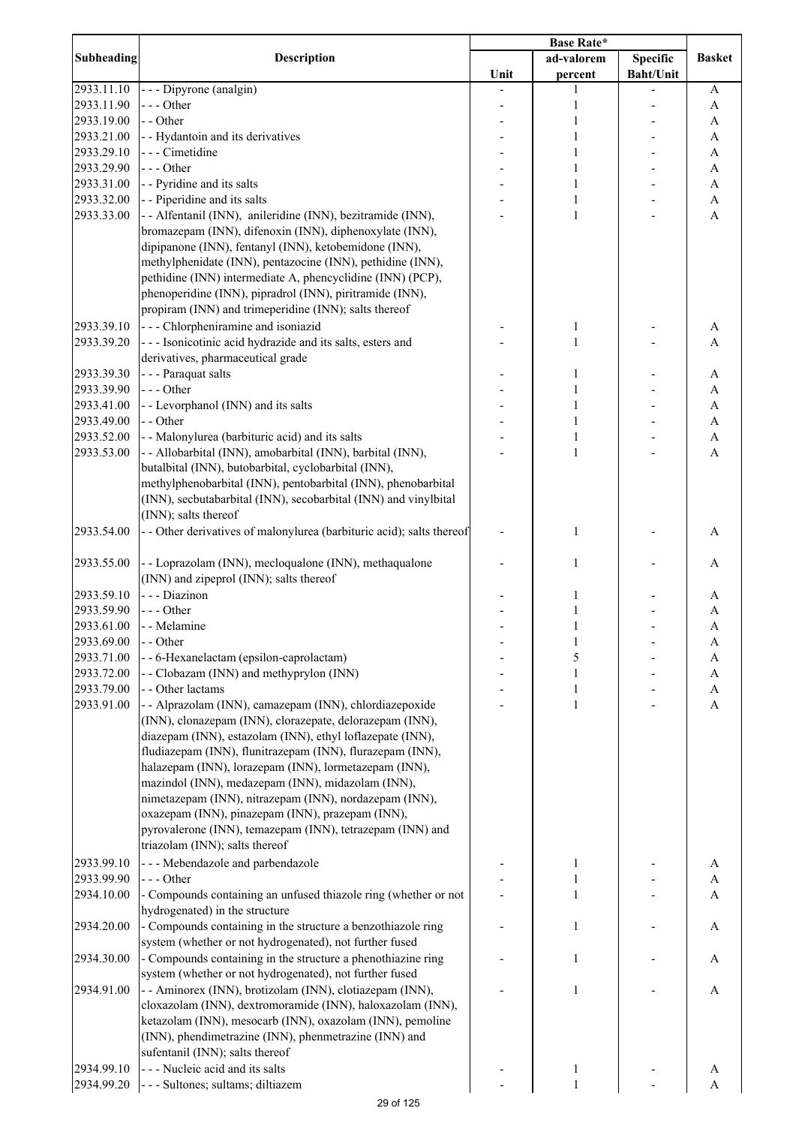| <b>Subheading</b> | <b>Description</b>                                                    |      | ad-valorem   | <b>Specific</b>  | <b>Basket</b> |
|-------------------|-----------------------------------------------------------------------|------|--------------|------------------|---------------|
|                   |                                                                       | Unit | percent      | <b>Baht/Unit</b> |               |
| 2933.11.10        | - - - Dipyrone (analgin)                                              |      | 1            |                  | A             |
| 2933.11.90        | $--- Other$                                                           |      | 1            |                  | A             |
| 2933.19.00        | - - Other                                                             |      | 1            |                  | A             |
| 2933.21.00        | - - Hydantoin and its derivatives                                     |      | 1            |                  | A             |
| 2933.29.10        | - - - Cimetidine                                                      |      | 1            |                  | A             |
| 2933.29.90        | $--$ Other                                                            |      | 1            |                  | A             |
| 2933.31.00        | - - Pyridine and its salts                                            |      | 1            |                  | A             |
| 2933.32.00        | - - Piperidine and its salts                                          |      | 1            |                  |               |
|                   |                                                                       |      | 1            |                  | A             |
| 2933.33.00        | - - Alfentanil (INN), anileridine (INN), bezitramide (INN),           |      |              |                  | A             |
|                   | bromazepam (INN), difenoxin (INN), diphenoxylate (INN),               |      |              |                  |               |
|                   | dipipanone (INN), fentanyl (INN), ketobemidone (INN),                 |      |              |                  |               |
|                   | methylphenidate (INN), pentazocine (INN), pethidine (INN),            |      |              |                  |               |
|                   | pethidine (INN) intermediate A, phencyclidine (INN) (PCP),            |      |              |                  |               |
|                   | phenoperidine (INN), pipradrol (INN), piritramide (INN),              |      |              |                  |               |
|                   | propiram (INN) and trimeperidine (INN); salts thereof                 |      |              |                  |               |
| 2933.39.10        | - - - Chlorpheniramine and isoniazid                                  |      | 1            |                  | A             |
| 2933.39.20        | --- Isonicotinic acid hydrazide and its salts, esters and             |      | 1            |                  | A             |
|                   | derivatives, pharmaceutical grade                                     |      |              |                  |               |
| 2933.39.30        | - - - Paraquat salts                                                  |      | 1            |                  | A             |
| 2933.39.90        | $--- Other$                                                           |      | 1            |                  | $\mathbf{A}$  |
| 2933.41.00        | - - Levorphanol (INN) and its salts                                   |      | $\mathbf{1}$ |                  | $\mathbf{A}$  |
| 2933.49.00        | - - Other                                                             |      | 1            |                  | $\mathbf{A}$  |
| 2933.52.00        | - - Malonylurea (barbituric acid) and its salts                       |      | $\mathbf{1}$ |                  | A             |
| 2933.53.00        | - - Allobarbital (INN), amobarbital (INN), barbital (INN),            |      | $\mathbf{1}$ |                  | A             |
|                   | butalbital (INN), butobarbital, cyclobarbital (INN),                  |      |              |                  |               |
|                   | methylphenobarbital (INN), pentobarbital (INN), phenobarbital         |      |              |                  |               |
|                   | (INN), secbutabarbital (INN), secobarbital (INN) and vinylbital       |      |              |                  |               |
|                   | (INN); salts thereof                                                  |      |              |                  |               |
| 2933.54.00        | - - Other derivatives of malonylurea (barbituric acid); salts thereof |      | 1            |                  |               |
|                   |                                                                       |      |              |                  | A             |
|                   |                                                                       |      |              |                  |               |
| 2933.55.00        | - - Loprazolam (INN), mecloqualone (INN), methaqualone                |      | 1            |                  | A             |
|                   | (INN) and zipeprol (INN); salts thereof                               |      |              |                  |               |
| 2933.59.10        | - - - Diazinon                                                        |      | 1            |                  | A             |
| 2933.59.90        | $--- Other$                                                           |      | 1            |                  | A             |
| 2933.61.00        | - - Melamine                                                          |      | 1            |                  | A             |
| 2933.69.00        | - - Other                                                             |      | 1            |                  | A             |
| 2933.71.00        | - - 6-Hexanelactam (epsilon-caprolactam)                              |      | 5            |                  | A             |
| 2933.72.00        | - - Clobazam (INN) and methyprylon (INN)                              |      | 1            |                  | A             |
| 2933.79.00        | - - Other lactams                                                     |      | 1            |                  | A             |
| 2933.91.00        | - - Alprazolam (INN), camazepam (INN), chlordiazepoxide               |      | $\mathbf{1}$ |                  | A             |
|                   | (INN), clonazepam (INN), clorazepate, delorazepam (INN),              |      |              |                  |               |
|                   | diazepam (INN), estazolam (INN), ethyl loflazepate (INN),             |      |              |                  |               |
|                   | fludiazepam (INN), flunitrazepam (INN), flurazepam (INN),             |      |              |                  |               |
|                   | halazepam (INN), lorazepam (INN), lormetazepam (INN),                 |      |              |                  |               |
|                   | mazindol (INN), medazepam (INN), midazolam (INN),                     |      |              |                  |               |
|                   | nimetazepam (INN), nitrazepam (INN), nordazepam (INN),                |      |              |                  |               |
|                   | oxazepam (INN), pinazepam (INN), prazepam (INN),                      |      |              |                  |               |
|                   | pyrovalerone (INN), temazepam (INN), tetrazepam (INN) and             |      |              |                  |               |
|                   | triazolam (INN); salts thereof                                        |      |              |                  |               |
| 2933.99.10        | - - - Mebendazole and parbendazole                                    |      |              |                  |               |
|                   |                                                                       |      |              |                  | A             |
| 2933.99.90        | --- Other                                                             |      |              |                  | A             |
| 2934.10.00        | - Compounds containing an unfused thiazole ring (whether or not       |      | 1            |                  | $\mathbf{A}$  |
|                   | hydrogenated) in the structure                                        |      |              |                  |               |
| 2934.20.00        | - Compounds containing in the structure a benzothiazole ring          |      | $\mathbf{1}$ |                  | A             |
|                   | system (whether or not hydrogenated), not further fused               |      |              |                  |               |
| 2934.30.00        | - Compounds containing in the structure a phenothiazine ring          |      | $\mathbf{1}$ |                  | A             |
|                   | system (whether or not hydrogenated), not further fused               |      |              |                  |               |
| 2934.91.00        | - - Aminorex (INN), brotizolam (INN), clotiazepam (INN),              |      | $\mathbf{1}$ |                  | A             |
|                   | cloxazolam (INN), dextromoramide (INN), haloxazolam (INN),            |      |              |                  |               |
|                   | ketazolam (INN), mesocarb (INN), oxazolam (INN), pemoline             |      |              |                  |               |
|                   | (INN), phendimetrazine (INN), phenmetrazine (INN) and                 |      |              |                  |               |
|                   | sufentanil (INN); salts thereof                                       |      |              |                  |               |
| 2934.99.10        | --- Nucleic acid and its salts                                        |      | 1            |                  | A             |
| 2934.99.20        | - - - Sultones; sultams; diltiazem                                    |      | $\mathbf{1}$ |                  | A             |
|                   |                                                                       |      |              |                  |               |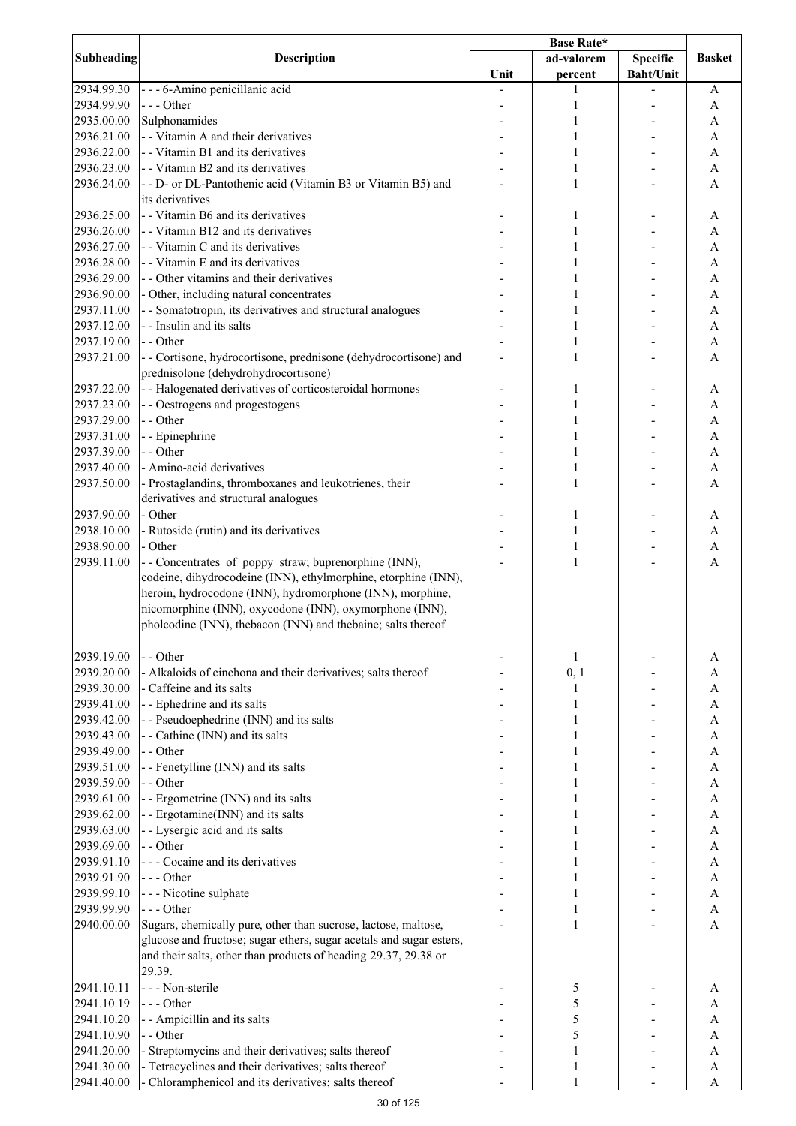| <b>Subheading</b>        | <b>Description</b>                                                                                           |      |              |                  |                                |
|--------------------------|--------------------------------------------------------------------------------------------------------------|------|--------------|------------------|--------------------------------|
|                          |                                                                                                              |      | ad-valorem   | <b>Specific</b>  | <b>Basket</b>                  |
|                          |                                                                                                              | Unit | percent      | <b>Baht/Unit</b> |                                |
| 2934.99.30               | - - - 6-Amino penicillanic acid                                                                              |      | 1            |                  | A                              |
| 2934.99.90               | --- Other                                                                                                    |      | $\mathbf{1}$ |                  | A                              |
| 2935.00.00<br>2936.21.00 | Sulphonamides<br>- - Vitamin A and their derivatives                                                         |      | 1<br>1       |                  | A<br>A                         |
| 2936.22.00               | - - Vitamin B1 and its derivatives                                                                           |      | 1            |                  | $\boldsymbol{\rm{A}}$          |
| 2936.23.00               | - - Vitamin B2 and its derivatives                                                                           |      | 1            |                  | A                              |
| 2936.24.00               | - - D- or DL-Pantothenic acid (Vitamin B3 or Vitamin B5) and                                                 |      | 1            |                  | A                              |
|                          | its derivatives                                                                                              |      |              |                  |                                |
| 2936.25.00               | - - Vitamin B6 and its derivatives                                                                           |      | 1            |                  | A                              |
| 2936.26.00               | - - Vitamin B12 and its derivatives                                                                          |      | 1            |                  | A                              |
| 2936.27.00               | - - Vitamin C and its derivatives                                                                            |      | 1            |                  | A                              |
| 2936.28.00               | - - Vitamin E and its derivatives                                                                            |      | 1            |                  | A                              |
| 2936.29.00               | - - Other vitamins and their derivatives                                                                     |      |              |                  | A                              |
| 2936.90.00               | - Other, including natural concentrates                                                                      |      | 1            |                  | A                              |
| 2937.11.00               | - - Somatotropin, its derivatives and structural analogues                                                   |      | 1            |                  | A                              |
| 2937.12.00               | - - Insulin and its salts                                                                                    |      | 1            |                  | A                              |
| 2937.19.00               | - - Other                                                                                                    |      | 1            |                  | A                              |
| 2937.21.00               | - - Cortisone, hydrocortisone, prednisone (dehydrocortisone) and                                             |      | 1            |                  | A                              |
|                          | prednisolone (dehydrohydrocortisone)                                                                         |      |              |                  |                                |
| 2937.22.00               | - - Halogenated derivatives of corticosteroidal hormones                                                     |      | 1            |                  | A                              |
| 2937.23.00               | - - Oestrogens and progestogens                                                                              |      | 1            |                  | $\boldsymbol{\mathsf{A}}$      |
| 2937.29.00<br>2937.31.00 | - - Other<br>- - Epinephrine                                                                                 |      | 1            |                  | A<br>$\boldsymbol{\mathsf{A}}$ |
| 2937.39.00               | - - Other                                                                                                    |      | 1            |                  | $\boldsymbol{\mathsf{A}}$      |
| 2937.40.00               | - Amino-acid derivatives                                                                                     |      | 1            |                  | A                              |
| 2937.50.00               | - Prostaglandins, thromboxanes and leukotrienes, their                                                       |      | 1            |                  | A                              |
|                          | derivatives and structural analogues                                                                         |      |              |                  |                                |
| 2937.90.00               | - Other                                                                                                      |      | 1            |                  | A                              |
| 2938.10.00               | - Rutoside (rutin) and its derivatives                                                                       |      | 1            |                  | $\boldsymbol{\rm{A}}$          |
| 2938.90.00               | - Other                                                                                                      |      | $\mathbf{1}$ |                  | $\boldsymbol{\mathsf{A}}$      |
| 2939.11.00               | -- Concentrates of poppy straw; buprenorphine (INN),                                                         |      | $\mathbf{1}$ |                  | A                              |
|                          | codeine, dihydrocodeine (INN), ethylmorphine, etorphine (INN),                                               |      |              |                  |                                |
|                          | heroin, hydrocodone (INN), hydromorphone (INN), morphine,                                                    |      |              |                  |                                |
|                          | nicomorphine (INN), oxycodone (INN), oxymorphone (INN),                                                      |      |              |                  |                                |
|                          | pholcodine (INN), thebacon (INN) and thebaine; salts thereof                                                 |      |              |                  |                                |
|                          |                                                                                                              |      |              |                  |                                |
| 2939.19.00               | - - Other                                                                                                    |      | 1            |                  | A                              |
| 2939.20.00               | - Alkaloids of cinchona and their derivatives; salts thereof                                                 |      | 0, 1         |                  | A                              |
| 2939.30.00               | - Caffeine and its salts                                                                                     |      | 1            |                  | A                              |
| 2939.41.00               | - - Ephedrine and its salts                                                                                  |      | 1            |                  | A                              |
| 2939.42.00<br>2939.43.00 | - - Pseudoephedrine (INN) and its salts<br>- - Cathine (INN) and its salts                                   |      | 1<br>1       |                  | A<br>A                         |
| 2939.49.00               | - - Other                                                                                                    |      | 1            |                  | A                              |
| 2939.51.00               | - - Fenetylline (INN) and its salts                                                                          |      | 1            |                  | A                              |
| 2939.59.00               | - - Other                                                                                                    |      | 1            |                  | A                              |
| 2939.61.00               | - - Ergometrine (INN) and its salts                                                                          |      | 1            |                  | A                              |
| 2939.62.00               | - - Ergotamine(INN) and its salts                                                                            |      | 1            |                  | A                              |
| 2939.63.00               | - - Lysergic acid and its salts                                                                              |      | 1            |                  | A                              |
| 2939.69.00               | - - Other                                                                                                    |      | 1            |                  | A                              |
| 2939.91.10               | - - - Cocaine and its derivatives                                                                            |      | 1            |                  | $\boldsymbol{\mathsf{A}}$      |
| 2939.91.90               | --- Other                                                                                                    |      | 1            |                  | A                              |
| 2939.99.10               | - - - Nicotine sulphate                                                                                      |      | 1            |                  | $\boldsymbol{\mathsf{A}}$      |
| 2939.99.90               | $--$ Other                                                                                                   |      | 1            |                  | A                              |
| 2940.00.00               | Sugars, chemically pure, other than sucrose, lactose, maltose,                                               |      | 1            |                  | A                              |
|                          | glucose and fructose; sugar ethers, sugar acetals and sugar esters,                                          |      |              |                  |                                |
|                          | and their salts, other than products of heading 29.37, 29.38 or                                              |      |              |                  |                                |
|                          | 29.39.                                                                                                       |      |              |                  |                                |
| 2941.10.11               | - - - Non-sterile                                                                                            |      | 5            |                  | A                              |
| 2941.10.19               | --- Other                                                                                                    |      | 5            |                  | A                              |
| 2941.10.20               | - - Ampicillin and its salts                                                                                 |      | 5            |                  | A                              |
| 2941.10.90               | - - Other                                                                                                    |      | 5            |                  | A                              |
| 2941.20.00<br>2941.30.00 | - Streptomycins and their derivatives; salts thereof<br>- Tetracyclines and their derivatives; salts thereof |      | 1<br>1       |                  | A<br>A                         |
| 2941.40.00               | - Chloramphenicol and its derivatives; salts thereof                                                         |      | $\mathbf{1}$ |                  | A                              |
|                          |                                                                                                              |      |              |                  |                                |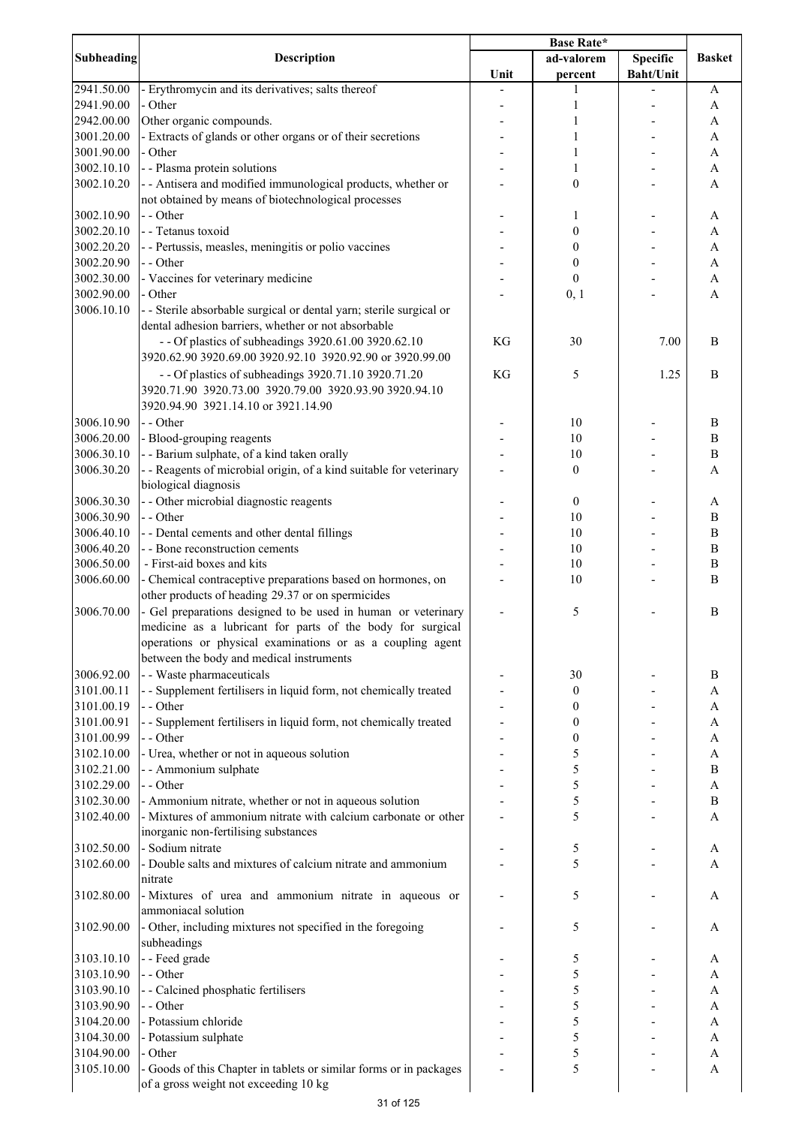| <b>Subheading</b> | <b>Description</b>                                                  |      | ad-valorem       | <b>Specific</b>  | <b>Basket</b>    |
|-------------------|---------------------------------------------------------------------|------|------------------|------------------|------------------|
|                   |                                                                     | Unit | percent          | <b>Baht/Unit</b> |                  |
| 2941.50.00        | - Erythromycin and its derivatives; salts thereof                   |      |                  |                  | A                |
| 2941.90.00        | - Other                                                             |      | 1                |                  | A                |
| 2942.00.00        | Other organic compounds.                                            |      |                  |                  | A                |
| 3001.20.00        | - Extracts of glands or other organs or of their secretions         |      |                  |                  | A                |
| 3001.90.00        | - Other                                                             |      |                  |                  | A                |
|                   |                                                                     |      |                  |                  |                  |
| 3002.10.10        | - - Plasma protein solutions                                        |      |                  |                  | A                |
| 3002.10.20        | - - Antisera and modified immunological products, whether or        |      | $\boldsymbol{0}$ |                  | A                |
|                   | not obtained by means of biotechnological processes                 |      |                  |                  |                  |
| 3002.10.90        | - - Other                                                           |      | 1                |                  | A                |
| 3002.20.10        | - - Tetanus toxoid                                                  |      | 0                |                  | A                |
| 3002.20.20        | - - Pertussis, measles, meningitis or polio vaccines                |      | 0                |                  | A                |
| 3002.20.90        | - - Other                                                           |      | $\boldsymbol{0}$ |                  | A                |
| 3002.30.00        | - Vaccines for veterinary medicine                                  |      | $\boldsymbol{0}$ |                  | $\mathbf{A}$     |
| 3002.90.00        | - Other                                                             |      | 0, 1             |                  | $\overline{A}$   |
| 3006.10.10        | - - Sterile absorbable surgical or dental yarn; sterile surgical or |      |                  |                  |                  |
|                   | dental adhesion barriers, whether or not absorbable                 |      |                  |                  |                  |
|                   | - - Of plastics of subheadings 3920.61.00 3920.62.10                | KG   | 30               | 7.00             | B                |
|                   |                                                                     |      |                  |                  |                  |
|                   | 3920.62.90 3920.69.00 3920.92.10 3920.92.90 or 3920.99.00           |      |                  |                  |                  |
|                   | - - Of plastics of subheadings 3920.71.10 3920.71.20                | KG   | 5                | 1.25             | B                |
|                   | 3920.71.90 3920.73.00 3920.79.00 3920.93.90 3920.94.10              |      |                  |                  |                  |
|                   | 3920.94.90 3921.14.10 or 3921.14.90                                 |      |                  |                  |                  |
| 3006.10.90        | - - Other                                                           |      | 10               |                  | $\boldsymbol{B}$ |
| 3006.20.00        | - Blood-grouping reagents                                           |      | 10               |                  | $\, {\bf B}$     |
| 3006.30.10        | - - Barium sulphate, of a kind taken orally                         |      | 10               |                  | $\bf{B}$         |
| 3006.30.20        | - - Reagents of microbial origin, of a kind suitable for veterinary |      | $\boldsymbol{0}$ |                  | $\overline{A}$   |
|                   | biological diagnosis                                                |      |                  |                  |                  |
|                   |                                                                     |      |                  |                  |                  |
| 3006.30.30        | - - Other microbial diagnostic reagents                             |      | $\boldsymbol{0}$ |                  | A                |
| 3006.30.90        | - - Other                                                           |      | 10               |                  | $\boldsymbol{B}$ |
| 3006.40.10        | - - Dental cements and other dental fillings                        |      | 10               |                  | $\bf{B}$         |
| 3006.40.20        | - - Bone reconstruction cements                                     |      | 10               |                  | $\bf{B}$         |
| 3006.50.00        | - First-aid boxes and kits                                          |      | 10               |                  | B                |
| 3006.60.00        | - Chemical contraceptive preparations based on hormones, on         |      | 10               |                  | B                |
|                   | other products of heading 29.37 or on spermicides                   |      |                  |                  |                  |
| 3006.70.00        | - Gel preparations designed to be used in human or veterinary       |      | 5                |                  | B                |
|                   | medicine as a lubricant for parts of the body for surgical          |      |                  |                  |                  |
|                   | operations or physical examinations or as a coupling agent          |      |                  |                  |                  |
|                   | between the body and medical instruments                            |      |                  |                  |                  |
|                   |                                                                     |      |                  |                  |                  |
| 3006.92.00        | - - Waste pharmaceuticals                                           |      | 30               |                  | B                |
| 3101.00.11        | - - Supplement fertilisers in liquid form, not chemically treated   |      | $\boldsymbol{0}$ |                  | A                |
| 3101.00.19        | - - Other                                                           |      | 0                |                  | A                |
| 3101.00.91        | - - Supplement fertilisers in liquid form, not chemically treated   |      | 0                |                  | A                |
| 3101.00.99        | - - Other                                                           |      | 0                |                  | A                |
| 3102.10.00        | - Urea, whether or not in aqueous solution                          |      | 5                |                  | A                |
| 3102.21.00        | - - Ammonium sulphate                                               |      | 5                |                  | $\, {\bf B}$     |
| 3102.29.00        | - - Other                                                           |      | 5                |                  | A                |
| 3102.30.00        | - Ammonium nitrate, whether or not in aqueous solution              |      | 5                |                  | $\, {\bf B}$     |
| 3102.40.00        | - Mixtures of ammonium nitrate with calcium carbonate or other      |      | 5                |                  | $\mathbf{A}$     |
|                   | inorganic non-fertilising substances                                |      |                  |                  |                  |
|                   | - Sodium nitrate                                                    |      |                  |                  |                  |
| 3102.50.00        |                                                                     |      | 5                |                  | A                |
| 3102.60.00        | - Double salts and mixtures of calcium nitrate and ammonium         |      | 5                |                  | A                |
|                   | nitrate                                                             |      |                  |                  |                  |
| 3102.80.00        | - Mixtures of urea and ammonium nitrate in aqueous or               |      | 5                |                  | A                |
|                   | ammoniacal solution                                                 |      |                  |                  |                  |
| 3102.90.00        | - Other, including mixtures not specified in the foregoing          |      | 5                |                  | A                |
|                   | subheadings                                                         |      |                  |                  |                  |
| 3103.10.10        | - - Feed grade                                                      |      | 5                |                  | A                |
| 3103.10.90        | - - Other                                                           |      | 5                |                  | A                |
| 3103.90.10        | - - Calcined phosphatic fertilisers                                 |      | 5                |                  | A                |
| 3103.90.90        | - - Other                                                           |      | 5                |                  | A                |
|                   |                                                                     |      |                  |                  |                  |
| 3104.20.00        | - Potassium chloride                                                |      | 5                |                  | A                |
| 3104.30.00        | - Potassium sulphate                                                |      | 5                |                  | A                |
| 3104.90.00        | - Other                                                             |      | 5                |                  | A                |
| 3105.10.00        | - Goods of this Chapter in tablets or similar forms or in packages  |      | 5                |                  | A                |
|                   | of a gross weight not exceeding 10 kg                               |      |                  |                  |                  |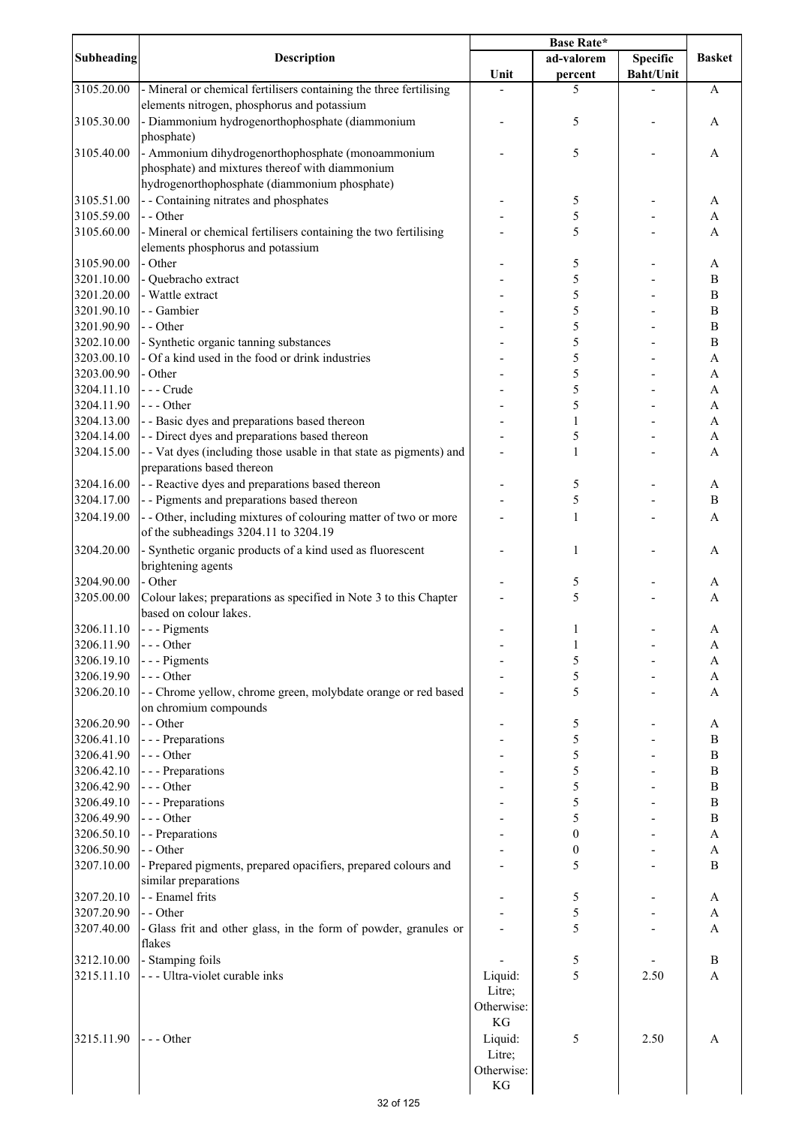| <b>Subheading</b><br><b>Description</b><br><b>Specific</b><br>ad-valorem<br>Unit<br><b>Baht/Unit</b><br>percent<br>3105.20.00<br>- Mineral or chemical fertilisers containing the three fertilising<br>5<br>elements nitrogen, phosphorus and potassium<br>- Diammonium hydrogenorthophosphate (diammonium<br>3105.30.00<br>5 | <b>Basket</b><br>A |
|-------------------------------------------------------------------------------------------------------------------------------------------------------------------------------------------------------------------------------------------------------------------------------------------------------------------------------|--------------------|
|                                                                                                                                                                                                                                                                                                                               |                    |
|                                                                                                                                                                                                                                                                                                                               |                    |
|                                                                                                                                                                                                                                                                                                                               |                    |
|                                                                                                                                                                                                                                                                                                                               | A                  |
| phosphate)                                                                                                                                                                                                                                                                                                                    |                    |
| - Ammonium dihydrogenorthophosphate (monoammonium<br>3105.40.00<br>5                                                                                                                                                                                                                                                          | A                  |
| phosphate) and mixtures thereof with diammonium                                                                                                                                                                                                                                                                               |                    |
| hydrogenorthophosphate (diammonium phosphate)                                                                                                                                                                                                                                                                                 |                    |
| - - Containing nitrates and phosphates<br>3105.51.00<br>5                                                                                                                                                                                                                                                                     | A                  |
| 5<br>3105.59.00<br>- - Other                                                                                                                                                                                                                                                                                                  | A                  |
| - Mineral or chemical fertilisers containing the two fertilising<br>5<br>3105.60.00                                                                                                                                                                                                                                           | A                  |
| elements phosphorus and potassium                                                                                                                                                                                                                                                                                             |                    |
| 3105.90.00<br>- Other<br>5                                                                                                                                                                                                                                                                                                    | A                  |
| 5<br>- Quebracho extract<br>3201.10.00                                                                                                                                                                                                                                                                                        | $\, {\bf B}$       |
| 5<br>3201.20.00<br>- Wattle extract                                                                                                                                                                                                                                                                                           | $\, {\bf B}$       |
| 5<br>- - Gambier<br>3201.90.10                                                                                                                                                                                                                                                                                                | $\, {\bf B}$       |
| 5<br>3201.90.90<br>- - Other                                                                                                                                                                                                                                                                                                  | $\, {\bf B}$       |
| 5<br>3202.10.00<br>- Synthetic organic tanning substances                                                                                                                                                                                                                                                                     | $\, {\bf B}$       |
| 5<br>- Of a kind used in the food or drink industries<br>3203.00.10                                                                                                                                                                                                                                                           | $\mathbf{A}$       |
| 5<br>3203.00.90<br>- Other                                                                                                                                                                                                                                                                                                    | A                  |
| 5<br>--- Crude<br>3204.11.10                                                                                                                                                                                                                                                                                                  | $\mathbf{A}$       |
| $--$ Other<br>5<br>3204.11.90                                                                                                                                                                                                                                                                                                 | A                  |
| - - Basic dyes and preparations based thereon<br>3204.13.00<br>1                                                                                                                                                                                                                                                              | $\mathbf{A}$       |
| - - Direct dyes and preparations based thereon<br>5<br>3204.14.00                                                                                                                                                                                                                                                             | A                  |
| - - Vat dyes (including those usable in that state as pigments) and<br>3204.15.00<br>$\mathbf{1}$                                                                                                                                                                                                                             | A                  |
| preparations based thereon                                                                                                                                                                                                                                                                                                    |                    |
| 3204.16.00<br>- - Reactive dyes and preparations based thereon<br>5                                                                                                                                                                                                                                                           | A                  |
| - - Pigments and preparations based thereon<br>5<br>3204.17.00                                                                                                                                                                                                                                                                | $\, {\bf B}$       |
| - - Other, including mixtures of colouring matter of two or more<br>3204.19.00<br>$\mathbf{1}$                                                                                                                                                                                                                                | A                  |
| of the subheadings 3204.11 to 3204.19                                                                                                                                                                                                                                                                                         |                    |
| Synthetic organic products of a kind used as fluorescent<br>3204.20.00<br>1                                                                                                                                                                                                                                                   | A                  |
| brightening agents                                                                                                                                                                                                                                                                                                            |                    |
| 3204.90.00<br>- Other<br>5                                                                                                                                                                                                                                                                                                    | А                  |
| 5<br>3205.00.00<br>Colour lakes; preparations as specified in Note 3 to this Chapter                                                                                                                                                                                                                                          | A                  |
| based on colour lakes.                                                                                                                                                                                                                                                                                                        |                    |
| - - - Pigments<br>3206.11.10<br>$\mathbf{1}$                                                                                                                                                                                                                                                                                  | А                  |
| 3206.11.90<br>$--$ Other<br>$\mathbf{1}$                                                                                                                                                                                                                                                                                      | A                  |
| - - - Pigments<br>5<br>3206.19.10                                                                                                                                                                                                                                                                                             | A                  |
| 5<br>$--- Other$<br>3206.19.90                                                                                                                                                                                                                                                                                                | A                  |
| 5<br>3206.20.10<br>- - Chrome yellow, chrome green, molybdate orange or red based                                                                                                                                                                                                                                             | A                  |
| on chromium compounds                                                                                                                                                                                                                                                                                                         |                    |
| 3206.20.90<br>- - Other<br>5                                                                                                                                                                                                                                                                                                  | A                  |
| 5<br>3206.41.10<br>- - - Preparations                                                                                                                                                                                                                                                                                         | $\, {\bf B}$       |
| 5<br>3206.41.90<br>$--$ Other                                                                                                                                                                                                                                                                                                 | B                  |
| 5<br>- - - Preparations<br>3206.42.10                                                                                                                                                                                                                                                                                         | $\, {\bf B}$       |
| 5<br>$--$ Other<br>3206.42.90                                                                                                                                                                                                                                                                                                 | B                  |
| 5<br>3206.49.10<br>- - - Preparations                                                                                                                                                                                                                                                                                         | B                  |
| $--- Other$<br>5<br>3206.49.90                                                                                                                                                                                                                                                                                                | B                  |
| 3206.50.10<br>$\boldsymbol{0}$<br>- - Preparations                                                                                                                                                                                                                                                                            | A                  |
| - - Other<br>3206.50.90<br>$\boldsymbol{0}$                                                                                                                                                                                                                                                                                   | A                  |
| - Prepared pigments, prepared opacifiers, prepared colours and<br>5<br>3207.10.00                                                                                                                                                                                                                                             | B                  |
| similar preparations                                                                                                                                                                                                                                                                                                          |                    |
| - - Enamel frits<br>3207.20.10<br>5                                                                                                                                                                                                                                                                                           | A                  |
| 5<br>3207.20.90<br>- - Other                                                                                                                                                                                                                                                                                                  | A                  |
| 5<br>3207.40.00<br>- Glass frit and other glass, in the form of powder, granules or                                                                                                                                                                                                                                           | A                  |
| flakes                                                                                                                                                                                                                                                                                                                        |                    |
| - Stamping foils<br>3212.10.00<br>5                                                                                                                                                                                                                                                                                           | $\, {\bf B}$       |
| 5<br>--- Ultra-violet curable inks<br>3215.11.10<br>Liquid:<br>2.50                                                                                                                                                                                                                                                           | A                  |
| Litre;                                                                                                                                                                                                                                                                                                                        |                    |
| Otherwise:                                                                                                                                                                                                                                                                                                                    |                    |
| KG                                                                                                                                                                                                                                                                                                                            |                    |
| 5<br>3215.11.90<br>$--$ Other<br>Liquid:<br>2.50                                                                                                                                                                                                                                                                              | A                  |
| Litre;                                                                                                                                                                                                                                                                                                                        |                    |
| Otherwise:                                                                                                                                                                                                                                                                                                                    |                    |
| KG                                                                                                                                                                                                                                                                                                                            |                    |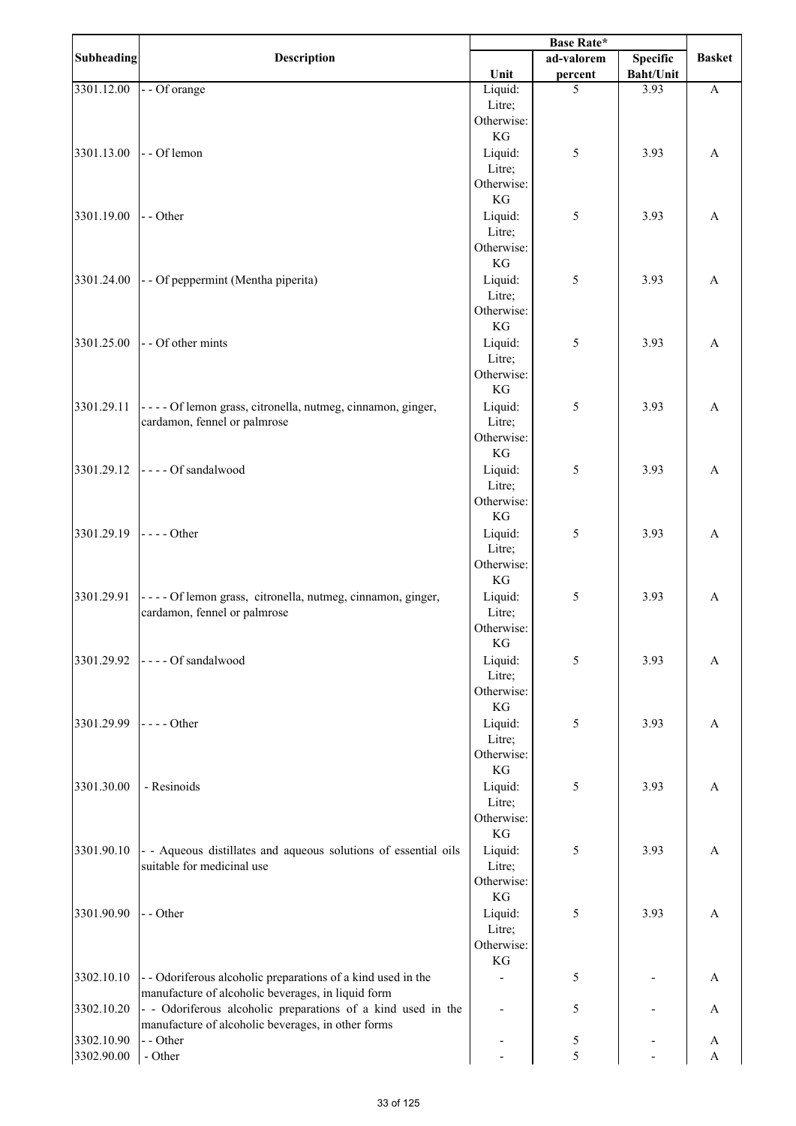| <b>Subheading</b> | Description                                                                                                        |                      | ad-valorem | <b>Specific</b>  | <b>Basket</b> |
|-------------------|--------------------------------------------------------------------------------------------------------------------|----------------------|------------|------------------|---------------|
|                   |                                                                                                                    | Unit                 | percent    | <b>Baht/Unit</b> |               |
| 3301.12.00        | - - Of orange                                                                                                      | Liquid:              | 5          | 3.93             | $\mathbf{A}$  |
|                   |                                                                                                                    | Litre;               |            |                  |               |
|                   |                                                                                                                    | Otherwise:           |            |                  |               |
|                   |                                                                                                                    | KG                   |            |                  |               |
| 3301.13.00        | - - Of lemon                                                                                                       | Liquid:              | 5          | 3.93             | A             |
|                   |                                                                                                                    | Litre;<br>Otherwise: |            |                  |               |
|                   |                                                                                                                    | KG                   |            |                  |               |
| 3301.19.00        | - - Other                                                                                                          | Liquid:              | 5          | 3.93             | A             |
|                   |                                                                                                                    | Litre;               |            |                  |               |
|                   |                                                                                                                    | Otherwise:           |            |                  |               |
|                   |                                                                                                                    | KG                   |            |                  |               |
| 3301.24.00        | - - Of peppermint (Mentha piperita)                                                                                | Liquid:              | 5          | 3.93             | A             |
|                   |                                                                                                                    | Litre;               |            |                  |               |
|                   |                                                                                                                    | Otherwise:           |            |                  |               |
|                   |                                                                                                                    | KG                   |            |                  |               |
| 3301.25.00        | - - Of other mints                                                                                                 | Liquid:              | 5          | 3.93             | A             |
|                   |                                                                                                                    | Litre;               |            |                  |               |
|                   |                                                                                                                    | Otherwise:           |            |                  |               |
|                   |                                                                                                                    | KG                   |            |                  |               |
| 3301.29.11        | ---- Of lemon grass, citronella, nutmeg, cinnamon, ginger,                                                         | Liquid:              | 5          | 3.93             | A             |
|                   | cardamon, fennel or palmrose                                                                                       | Litre;               |            |                  |               |
|                   |                                                                                                                    | Otherwise:           |            |                  |               |
|                   |                                                                                                                    | KG                   |            |                  |               |
| 3301.29.12        | ---- Of sandalwood                                                                                                 | Liquid:<br>Litre;    | 5          | 3.93             | A             |
|                   |                                                                                                                    | Otherwise:           |            |                  |               |
|                   |                                                                                                                    | KG                   |            |                  |               |
| 3301.29.19        | $\left  \text{---}$ Other                                                                                          | Liquid:              | 5          | 3.93             | A             |
|                   |                                                                                                                    | Litre;               |            |                  |               |
|                   |                                                                                                                    | Otherwise:           |            |                  |               |
|                   |                                                                                                                    | KG                   |            |                  |               |
| 3301.29.91        | ---- Of lemon grass, citronella, nutmeg, cinnamon, ginger,                                                         | Liquid:              | 5          | 3.93             | A             |
|                   | cardamon, fennel or palmrose                                                                                       | Litre;               |            |                  |               |
|                   |                                                                                                                    | Otherwise:           |            |                  |               |
|                   |                                                                                                                    | $\mathbf{KG}$        |            |                  |               |
| 3301.29.92        | - - - - Of sandalwood                                                                                              | Liquid:              | 5          | 3.93             | A             |
|                   |                                                                                                                    | Litre;               |            |                  |               |
|                   |                                                                                                                    | Otherwise:<br>KG     |            |                  |               |
|                   |                                                                                                                    |                      |            |                  |               |
| 3301.29.99        | $---Other$                                                                                                         | Liquid:<br>Litre;    | 5          | 3.93             | A             |
|                   |                                                                                                                    | Otherwise:           |            |                  |               |
|                   |                                                                                                                    | KG                   |            |                  |               |
| 3301.30.00        | - Resinoids                                                                                                        | Liquid:              | 5          | 3.93             | A             |
|                   |                                                                                                                    | Litre;               |            |                  |               |
|                   |                                                                                                                    | Otherwise:           |            |                  |               |
|                   |                                                                                                                    | KG                   |            |                  |               |
| 3301.90.10        | - - Aqueous distillates and aqueous solutions of essential oils                                                    | Liquid:              | 5          | 3.93             | A             |
|                   | suitable for medicinal use                                                                                         | Litre;               |            |                  |               |
|                   |                                                                                                                    | Otherwise:           |            |                  |               |
|                   |                                                                                                                    | KG                   |            |                  |               |
| 3301.90.90        | - - Other                                                                                                          | Liquid:              | 5          | 3.93             | A             |
|                   |                                                                                                                    | Litre;               |            |                  |               |
|                   |                                                                                                                    | Otherwise:<br>KG     |            |                  |               |
| 3302.10.10        |                                                                                                                    |                      |            |                  |               |
|                   | - - Odoriferous alcoholic preparations of a kind used in the<br>manufacture of alcoholic beverages, in liquid form |                      | 5          |                  | A             |
| 3302.10.20        | - - Odoriferous alcoholic preparations of a kind used in the                                                       |                      | 5          |                  | A             |
|                   | manufacture of alcoholic beverages, in other forms                                                                 |                      |            |                  |               |
| 3302.10.90        | - - Other                                                                                                          |                      | 5          |                  | A             |
| 3302.90.00        | - Other                                                                                                            |                      | 5          |                  | A             |
|                   |                                                                                                                    |                      |            |                  |               |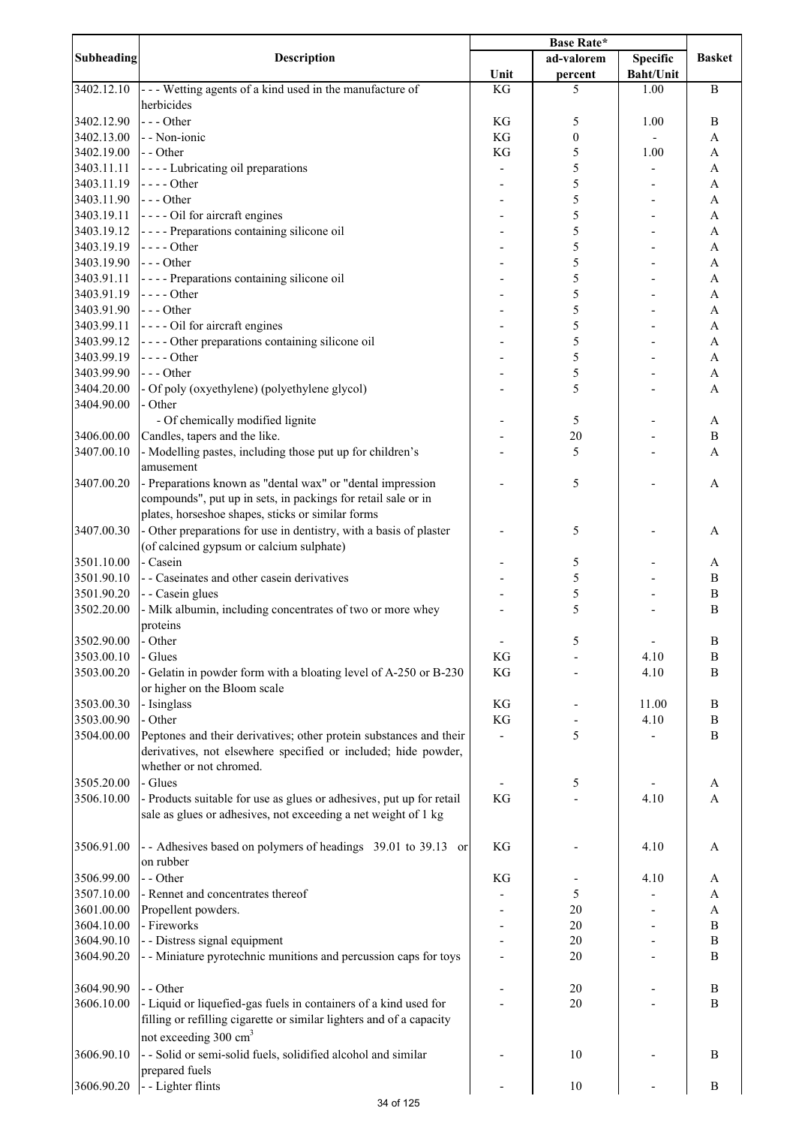| Subheading | Description                                                          |               | ad-valorem       | <b>Specific</b>  | <b>Basket</b>             |
|------------|----------------------------------------------------------------------|---------------|------------------|------------------|---------------------------|
|            |                                                                      | Unit          | percent          | <b>Baht/Unit</b> |                           |
| 3402.12.10 | --- Wetting agents of a kind used in the manufacture of              | KG            | 5                | 1.00             | $\bf{B}$                  |
|            | herbicides                                                           |               |                  |                  |                           |
| 3402.12.90 | $--$ Other                                                           | KG            | 5                | 1.00             | $\bf{B}$                  |
| 3402.13.00 | - - Non-ionic                                                        | KG            | $\boldsymbol{0}$ |                  | A                         |
| 3402.19.00 | - - Other                                                            | KG            | 5                | 1.00             | A                         |
|            |                                                                      |               |                  |                  |                           |
| 3403.11.11 | - - - - Lubricating oil preparations                                 |               | 5                |                  | A                         |
| 3403.11.19 | $---Other$                                                           |               | 5                |                  | A                         |
| 3403.11.90 | --- Other                                                            |               | 5                |                  | A                         |
| 3403.19.11 | ---- Oil for aircraft engines                                        |               | 5                |                  | A                         |
| 3403.19.12 | ---- Preparations containing silicone oil                            |               | 5                |                  | A                         |
| 3403.19.19 | $---Other$                                                           |               | 5                |                  | A                         |
| 3403.19.90 | $--$ Other                                                           |               | 5                |                  | A                         |
| 3403.91.11 | - - - - Preparations containing silicone oil                         |               | 5                |                  | A                         |
| 3403.91.19 | $---Other$                                                           |               | 5                |                  | $\boldsymbol{\mathsf{A}}$ |
| 3403.91.90 | --- Other                                                            |               | 5                |                  | A                         |
| 3403.99.11 | ---- Oil for aircraft engines                                        |               | 5                |                  | $\boldsymbol{\mathsf{A}}$ |
|            |                                                                      |               | 5                |                  |                           |
| 3403.99.12 | - - - - Other preparations containing silicone oil                   |               |                  |                  | $\boldsymbol{\mathsf{A}}$ |
| 3403.99.19 | $---Other$                                                           |               | 5                |                  | $\mathbf{A}$              |
| 3403.99.90 | --- Other                                                            |               | 5                |                  | $\boldsymbol{\rm{A}}$     |
| 3404.20.00 | - Of poly (oxyethylene) (polyethylene glycol)                        |               | 5                |                  | A                         |
| 3404.90.00 | - Other                                                              |               |                  |                  |                           |
|            | - Of chemically modified lignite                                     |               | 5                |                  | A                         |
| 3406.00.00 | Candles, tapers and the like.                                        |               | 20               |                  | $\, {\bf B}$              |
| 3407.00.10 | - Modelling pastes, including those put up for children's            |               | 5                |                  | A                         |
|            | amusement                                                            |               |                  |                  |                           |
| 3407.00.20 | - Preparations known as "dental wax" or "dental impression           |               | 5                |                  |                           |
|            |                                                                      |               |                  |                  | A                         |
|            | compounds", put up in sets, in packings for retail sale or in        |               |                  |                  |                           |
|            | plates, horseshoe shapes, sticks or similar forms                    |               |                  |                  |                           |
| 3407.00.30 | - Other preparations for use in dentistry, with a basis of plaster   |               | 5                |                  | A                         |
|            | (of calcined gypsum or calcium sulphate)                             |               |                  |                  |                           |
| 3501.10.00 | - Casein                                                             |               | 5                |                  | A                         |
| 3501.90.10 | - - Caseinates and other casein derivatives                          |               | 5                |                  | B                         |
| 3501.90.20 | - - Casein glues                                                     |               | 5                |                  | $\, {\bf B}$              |
| 3502.20.00 | - Milk albumin, including concentrates of two or more whey           |               | 5                |                  | $\, {\bf B}$              |
|            |                                                                      |               |                  |                  |                           |
|            | proteins                                                             |               |                  |                  |                           |
| 3502.90.00 | - Other                                                              |               | 5                |                  | $\, {\bf B}$              |
| 3503.00.10 | - Glues                                                              | KG            |                  | 4.10             | $\boldsymbol{B}$          |
| 3503.00.20 | - Gelatin in powder form with a bloating level of A-250 or B-230     | KG            |                  | 4.10             | $\boldsymbol{B}$          |
|            | or higher on the Bloom scale                                         |               |                  |                  |                           |
| 3503.00.30 | - Isinglass                                                          | KG            |                  | 11.00            | $\, {\bf B}$              |
| 3503.00.90 | - Other                                                              | $\mathbf{KG}$ |                  | 4.10             | $\, {\bf B}$              |
| 3504.00.00 | Peptones and their derivatives; other protein substances and their   |               | 5                |                  | $\mathbf B$               |
|            | derivatives, not elsewhere specified or included; hide powder,       |               |                  |                  |                           |
|            |                                                                      |               |                  |                  |                           |
|            | whether or not chromed.                                              |               |                  |                  |                           |
| 3505.20.00 | - Glues                                                              |               | 5                |                  | A                         |
| 3506.10.00 | - Products suitable for use as glues or adhesives, put up for retail | KG            |                  | 4.10             | A                         |
|            | sale as glues or adhesives, not exceeding a net weight of 1 kg       |               |                  |                  |                           |
|            |                                                                      |               |                  |                  |                           |
| 3506.91.00 | - Adhesives based on polymers of headings 39.01 to 39.13 or          | KG            |                  | 4.10             | A                         |
|            | on rubber                                                            |               |                  |                  |                           |
| 3506.99.00 | - - Other                                                            | KG            |                  | 4.10             | A                         |
| 3507.10.00 | - Rennet and concentrates thereof                                    |               | 5                |                  | A                         |
|            |                                                                      |               |                  |                  |                           |
| 3601.00.00 | Propellent powders.                                                  |               | 20               |                  | $\boldsymbol{\rm{A}}$     |
| 3604.10.00 | - Fireworks                                                          |               | 20               |                  | $\, {\bf B}$              |
| 3604.90.10 | - - Distress signal equipment                                        |               | 20               |                  | $\, {\bf B}$              |
| 3604.90.20 | - - Miniature pyrotechnic munitions and percussion caps for toys     |               | 20               |                  | $\boldsymbol{B}$          |
|            |                                                                      |               |                  |                  |                           |
| 3604.90.90 | - - Other                                                            |               | 20               |                  | B                         |
| 3606.10.00 | - Liquid or liquefied-gas fuels in containers of a kind used for     |               | 20               |                  | $\boldsymbol{B}$          |
|            | filling or refilling cigarette or similar lighters and of a capacity |               |                  |                  |                           |
|            | not exceeding 300 cm <sup>3</sup>                                    |               |                  |                  |                           |
|            |                                                                      |               |                  |                  |                           |
| 3606.90.10 | - - Solid or semi-solid fuels, solidified alcohol and similar        |               | 10               |                  | B                         |
|            | prepared fuels                                                       |               |                  |                  |                           |
| 3606.90.20 | - - Lighter flints                                                   |               | 10               |                  | $\boldsymbol{B}$          |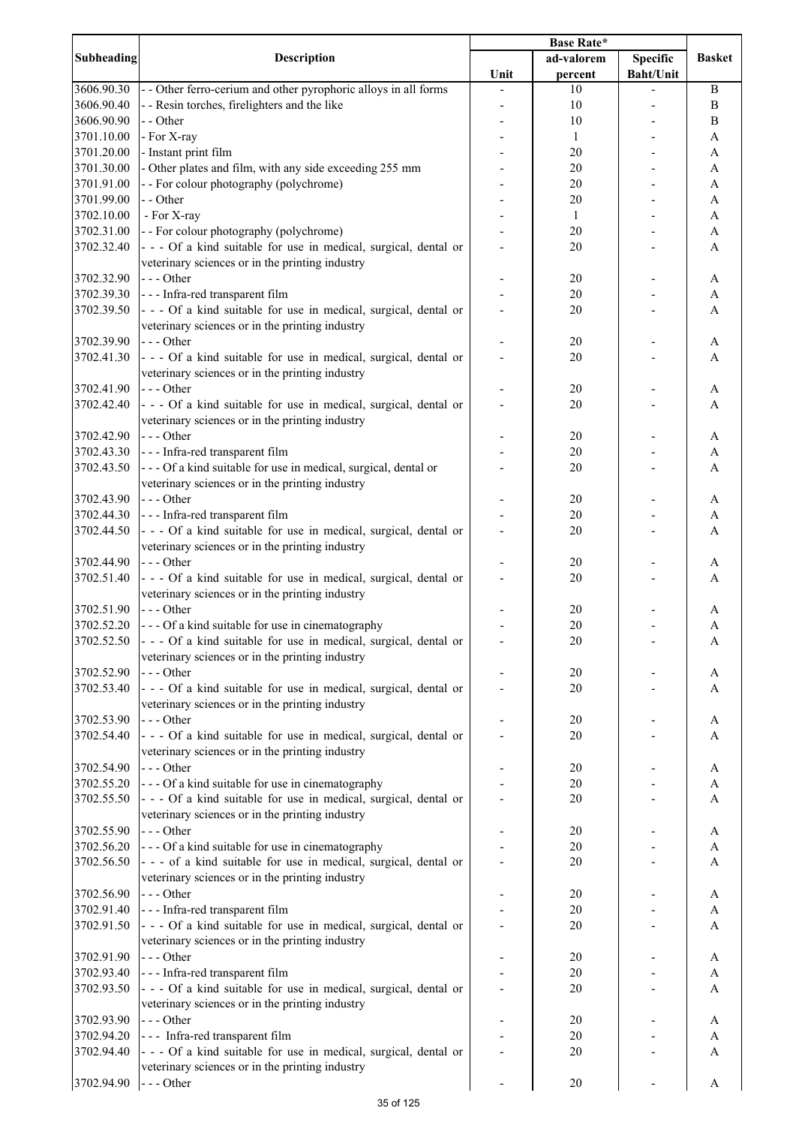| <b>Subheading</b> | <b>Description</b>                                                                                                   | <b>Base Rate*</b> |              |                  |                  |
|-------------------|----------------------------------------------------------------------------------------------------------------------|-------------------|--------------|------------------|------------------|
|                   |                                                                                                                      |                   | ad-valorem   | <b>Specific</b>  | <b>Basket</b>    |
|                   |                                                                                                                      | Unit              | percent      | <b>Baht/Unit</b> |                  |
| 3606.90.30        | - - Other ferro-cerium and other pyrophoric alloys in all forms                                                      |                   | 10           |                  | $\boldsymbol{B}$ |
| 3606.90.40        | - - Resin torches, firelighters and the like                                                                         |                   | 10           |                  | $\boldsymbol{B}$ |
| 3606.90.90        | - - Other                                                                                                            |                   | 10           |                  | B                |
| 3701.10.00        | - For X-ray                                                                                                          |                   | $\mathbf{1}$ |                  | A                |
| 3701.20.00        | - Instant print film                                                                                                 |                   | 20           |                  | A                |
| 3701.30.00        | - Other plates and film, with any side exceeding 255 mm                                                              |                   | 20           |                  | A                |
| 3701.91.00        | - - For colour photography (polychrome)                                                                              |                   | 20           |                  | A                |
| 3701.99.00        | - - Other                                                                                                            |                   | 20           |                  | A                |
| 3702.10.00        | - For X-ray                                                                                                          |                   | $\mathbf{1}$ |                  | A                |
| 3702.31.00        | - - For colour photography (polychrome)                                                                              |                   | 20           |                  | A                |
| 3702.32.40        | - - - Of a kind suitable for use in medical, surgical, dental or                                                     |                   | 20           |                  | A                |
|                   | veterinary sciences or in the printing industry                                                                      |                   |              |                  |                  |
| 3702.32.90        | $--$ Other                                                                                                           |                   | 20           |                  | A                |
| 3702.39.30        | --- Infra-red transparent film                                                                                       |                   | 20           |                  | A                |
| 3702.39.50        | - - - Of a kind suitable for use in medical, surgical, dental or                                                     |                   | 20           |                  | A                |
|                   | veterinary sciences or in the printing industry                                                                      |                   |              |                  |                  |
| 3702.39.90        | $--$ Other                                                                                                           |                   | 20           |                  | A                |
| 3702.41.30        | - - - Of a kind suitable for use in medical, surgical, dental or                                                     |                   | 20           |                  | A                |
|                   | veterinary sciences or in the printing industry                                                                      |                   |              |                  |                  |
| 3702.41.90        | $--$ Other                                                                                                           |                   | 20           |                  | A                |
| 3702.42.40        | - - - Of a kind suitable for use in medical, surgical, dental or                                                     |                   | 20           |                  | A                |
|                   | veterinary sciences or in the printing industry                                                                      |                   |              |                  |                  |
| 3702.42.90        | $--$ Other                                                                                                           |                   | 20           |                  | A                |
| 3702.43.30        | --- Infra-red transparent film                                                                                       |                   | 20           |                  | A                |
| 3702.43.50        | --- Of a kind suitable for use in medical, surgical, dental or                                                       |                   | 20           |                  | A                |
|                   | veterinary sciences or in the printing industry                                                                      |                   |              |                  |                  |
| 3702.43.90        | $--$ Other                                                                                                           |                   | 20           |                  | A                |
| 3702.44.30        | --- Infra-red transparent film                                                                                       |                   | 20           |                  | A                |
| 3702.44.50        | - - - Of a kind suitable for use in medical, surgical, dental or                                                     |                   | 20           |                  | A                |
|                   | veterinary sciences or in the printing industry                                                                      |                   |              |                  |                  |
| 3702.44.90        | $- -$ Other                                                                                                          |                   | 20           |                  | A                |
| 3702.51.40        | - - - Of a kind suitable for use in medical, surgical, dental or                                                     |                   | 20           |                  | A                |
|                   | veterinary sciences or in the printing industry                                                                      |                   |              |                  |                  |
| 3702.51.90        | $--$ Other                                                                                                           |                   | 20           |                  | A                |
| 3702.52.20        | --- Of a kind suitable for use in cinematography                                                                     |                   | 20           |                  | A                |
| 3702.52.50        | - - - Of a kind suitable for use in medical, surgical, dental or                                                     |                   | 20           |                  | A                |
|                   | veterinary sciences or in the printing industry                                                                      |                   |              |                  |                  |
| 3702.52.90        | $--$ Other                                                                                                           |                   | 20           |                  | A                |
|                   |                                                                                                                      |                   |              |                  |                  |
| 3702.53.40        | - - - Of a kind suitable for use in medical, surgical, dental or                                                     |                   | 20           |                  | A                |
|                   | veterinary sciences or in the printing industry                                                                      |                   |              |                  |                  |
| 3702.53.90        | $--- Other$                                                                                                          |                   | 20           |                  | A                |
| 3702.54.40        | - - - Of a kind suitable for use in medical, surgical, dental or                                                     |                   | 20           |                  | A                |
|                   | veterinary sciences or in the printing industry                                                                      |                   |              |                  |                  |
| 3702.54.90        | $--$ Other                                                                                                           |                   | 20           |                  | A                |
| 3702.55.20        | --- Of a kind suitable for use in cinematography<br>- - - Of a kind suitable for use in medical, surgical, dental or |                   | 20           |                  | A                |
| 3702.55.50        |                                                                                                                      |                   | 20           |                  | A                |
|                   | veterinary sciences or in the printing industry                                                                      |                   |              |                  |                  |
| 3702.55.90        | $--$ Other                                                                                                           |                   | 20           |                  | A                |
| 3702.56.20        | --- Of a kind suitable for use in cinematography                                                                     |                   | 20           |                  | $\boldsymbol{A}$ |
| 3702.56.50        | - - - of a kind suitable for use in medical, surgical, dental or                                                     |                   | 20           |                  | A                |
|                   | veterinary sciences or in the printing industry                                                                      |                   |              |                  |                  |
| 3702.56.90        | $--$ Other                                                                                                           |                   | 20           |                  | A                |
| 3702.91.40        | - - - Infra-red transparent film                                                                                     |                   | 20           |                  | A                |
| 3702.91.50        | - - - Of a kind suitable for use in medical, surgical, dental or                                                     |                   | 20           |                  | A                |
|                   | veterinary sciences or in the printing industry                                                                      |                   |              |                  |                  |
| 3702.91.90        | $--$ Other                                                                                                           |                   | 20           |                  | A                |
| 3702.93.40        | - - - Infra-red transparent film                                                                                     |                   | 20           |                  | A                |
| 3702.93.50        | - - - Of a kind suitable for use in medical, surgical, dental or                                                     |                   | 20           |                  | A                |
|                   | veterinary sciences or in the printing industry                                                                      |                   |              |                  |                  |
| 3702.93.90        | $--$ Other                                                                                                           |                   | 20           |                  | A                |
| 3702.94.20        | --- Infra-red transparent film                                                                                       |                   | 20           |                  | A                |
| 3702.94.40        | - - - Of a kind suitable for use in medical, surgical, dental or                                                     |                   | 20           |                  | A                |
|                   | veterinary sciences or in the printing industry                                                                      |                   |              |                  |                  |
| 3702.94.90        | $- -$ Other                                                                                                          |                   | 20           |                  | A                |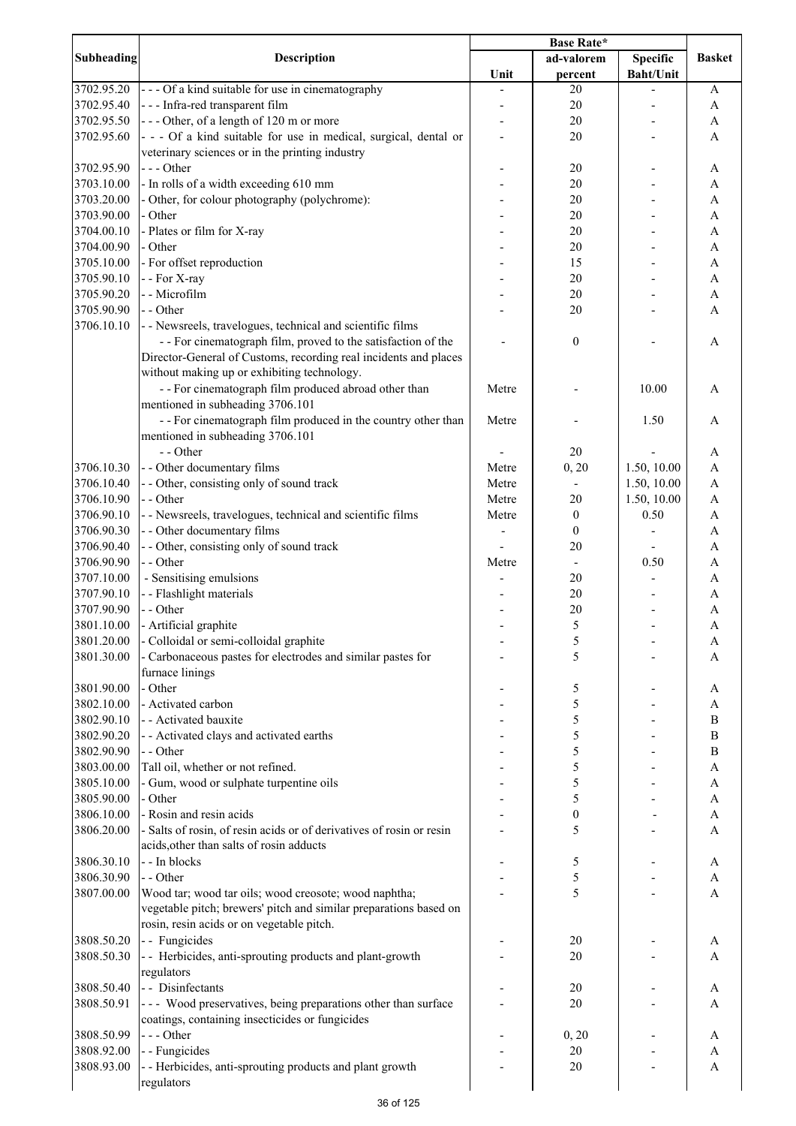| <b>Subheading</b>        | Description                                                              | Unit  | ad-valorem<br>percent    | <b>Specific</b><br><b>Baht/Unit</b> | <b>Basket</b>     |
|--------------------------|--------------------------------------------------------------------------|-------|--------------------------|-------------------------------------|-------------------|
| 3702.95.20               | --- Of a kind suitable for use in cinematography                         |       | $20\,$                   |                                     | A                 |
| 3702.95.40               | --- Infra-red transparent film                                           |       | 20                       |                                     | $\mathbf{A}$      |
| 3702.95.50               | --- Other, of a length of 120 m or more                                  |       | 20                       |                                     | $\mathbf{A}$      |
| 3702.95.60               | - - - Of a kind suitable for use in medical, surgical, dental or         |       | 20                       |                                     | A                 |
|                          | veterinary sciences or in the printing industry                          |       |                          |                                     |                   |
| 3702.95.90               | $--$ Other                                                               |       | 20                       |                                     | A                 |
| 3703.10.00               | - In rolls of a width exceeding 610 mm                                   |       | 20                       |                                     | A                 |
| 3703.20.00               | - Other, for colour photography (polychrome):                            |       | 20                       |                                     | A                 |
| 3703.90.00               | - Other                                                                  |       | 20                       |                                     | A                 |
| 3704.00.10               | - Plates or film for X-ray                                               |       | 20                       |                                     | A                 |
| 3704.00.90               | - Other                                                                  |       | 20                       |                                     | A                 |
| 3705.10.00               | - For offset reproduction                                                |       | 15                       |                                     | A                 |
| 3705.90.10               | - - For X-ray                                                            |       | 20                       |                                     | A                 |
| 3705.90.20               | - - Microfilm                                                            |       | 20                       |                                     | A                 |
| 3705.90.90<br>3706.10.10 | - - Other<br>- - Newsreels, travelogues, technical and scientific films  |       | 20                       |                                     | A                 |
|                          | - - For cinematograph film, proved to the satisfaction of the            |       | $\boldsymbol{0}$         |                                     | A                 |
|                          | Director-General of Customs, recording real incidents and places         |       |                          |                                     |                   |
|                          | without making up or exhibiting technology.                              |       |                          |                                     |                   |
|                          | - - For cinematograph film produced abroad other than                    | Metre |                          | 10.00                               | A                 |
|                          | mentioned in subheading 3706.101                                         |       |                          |                                     |                   |
|                          | - - For cinematograph film produced in the country other than            | Metre |                          | 1.50                                | A                 |
|                          | mentioned in subheading 3706.101                                         |       |                          |                                     |                   |
|                          | - - Other                                                                |       | 20                       |                                     | A                 |
| 3706.10.30               | - - Other documentary films                                              | Metre | 0, 20                    | 1.50, 10.00                         | $\overline{A}$    |
| 3706.10.40               | - - Other, consisting only of sound track                                | Metre | $\overline{\phantom{a}}$ | 1.50, 10.00                         | $\mathbf{A}$      |
| 3706.10.90               | $-$ - Other                                                              | Metre | 20                       | 1.50, 10.00                         | $\mathbf{A}$      |
| 3706.90.10               | - - Newsreels, travelogues, technical and scientific films               | Metre | $\boldsymbol{0}$         | 0.50                                | $\mathbf{A}$      |
| 3706.90.30               | - - Other documentary films                                              |       | $\boldsymbol{0}$         |                                     | $\mathbf{A}$      |
| 3706.90.40               | - - Other, consisting only of sound track                                |       | 20                       |                                     | A                 |
| 3706.90.90               | - - Other                                                                | Metre | $\overline{\phantom{a}}$ | 0.50                                | A                 |
| 3707.10.00               | - Sensitising emulsions                                                  |       | 20                       |                                     | A                 |
| 3707.90.10               | - - Flashlight materials                                                 |       | 20                       |                                     | A                 |
| 3707.90.90               | - - Other                                                                |       | 20                       |                                     | A                 |
| 3801.10.00<br>3801.20.00 | - Artificial graphite<br>- Colloidal or semi-colloidal graphite          |       | 5                        |                                     | A                 |
| 3801.30.00               | - Carbonaceous pastes for electrodes and similar pastes for              |       | 5<br>5                   |                                     | A<br>A            |
|                          | furnace linings                                                          |       |                          |                                     |                   |
| 3801.90.00               | - Other                                                                  |       | 5                        |                                     | A                 |
| 3802.10.00               | - Activated carbon                                                       |       | 5                        |                                     | A                 |
| 3802.90.10               | - - Activated bauxite                                                    |       | 5                        |                                     | $\bf{B}$          |
| 3802.90.20               | - - Activated clays and activated earths                                 |       | 5                        |                                     | $\bf{B}$          |
| 3802.90.90               | - - Other                                                                |       | 5                        |                                     | $\bf{B}$          |
| 3803.00.00               | Tall oil, whether or not refined.                                        |       | 5                        |                                     | A                 |
| 3805.10.00               | - Gum, wood or sulphate turpentine oils                                  |       | 5                        |                                     | A                 |
| 3805.90.00               | - Other                                                                  |       | 5                        |                                     | A                 |
| 3806.10.00               | - Rosin and resin acids                                                  |       | $\boldsymbol{0}$         |                                     | A                 |
| 3806.20.00               | - Salts of rosin, of resin acids or of derivatives of rosin or resin     |       | 5                        |                                     | A                 |
|                          | acids, other than salts of rosin adducts                                 |       |                          |                                     |                   |
| 3806.30.10               | - - In blocks                                                            |       | 5                        |                                     | A                 |
| 3806.30.90               | - - Other                                                                |       | 5                        |                                     | $\mathbf{A}$      |
| 3807.00.00               | Wood tar; wood tar oils; wood creosote; wood naphtha;                    |       | 5                        |                                     | A                 |
|                          | vegetable pitch; brewers' pitch and similar preparations based on        |       |                          |                                     |                   |
|                          | rosin, resin acids or on vegetable pitch.                                |       |                          |                                     |                   |
| 3808.50.20<br>3808.50.30 | - - Fungicides<br>- Herbicides, anti-sprouting products and plant-growth |       | 20<br>20                 |                                     | A<br>$\mathbf{A}$ |
|                          |                                                                          |       |                          |                                     |                   |
| 3808.50.40               | regulators<br>- - Disinfectants                                          |       | 20                       |                                     | A                 |
| 3808.50.91               | --- Wood preservatives, being preparations other than surface            |       | 20                       |                                     | $\mathbf{A}$      |
|                          | coatings, containing insecticides or fungicides                          |       |                          |                                     |                   |
| 3808.50.99               | $--$ Other                                                               |       | 0, 20                    |                                     | A                 |
| 3808.92.00               | - - Fungicides                                                           |       | $20\,$                   |                                     | A                 |
| 3808.93.00               | -- Herbicides, anti-sprouting products and plant growth                  |       | 20                       |                                     | $\mathbf{A}$      |
|                          | regulators                                                               |       |                          |                                     |                   |
|                          |                                                                          |       |                          |                                     |                   |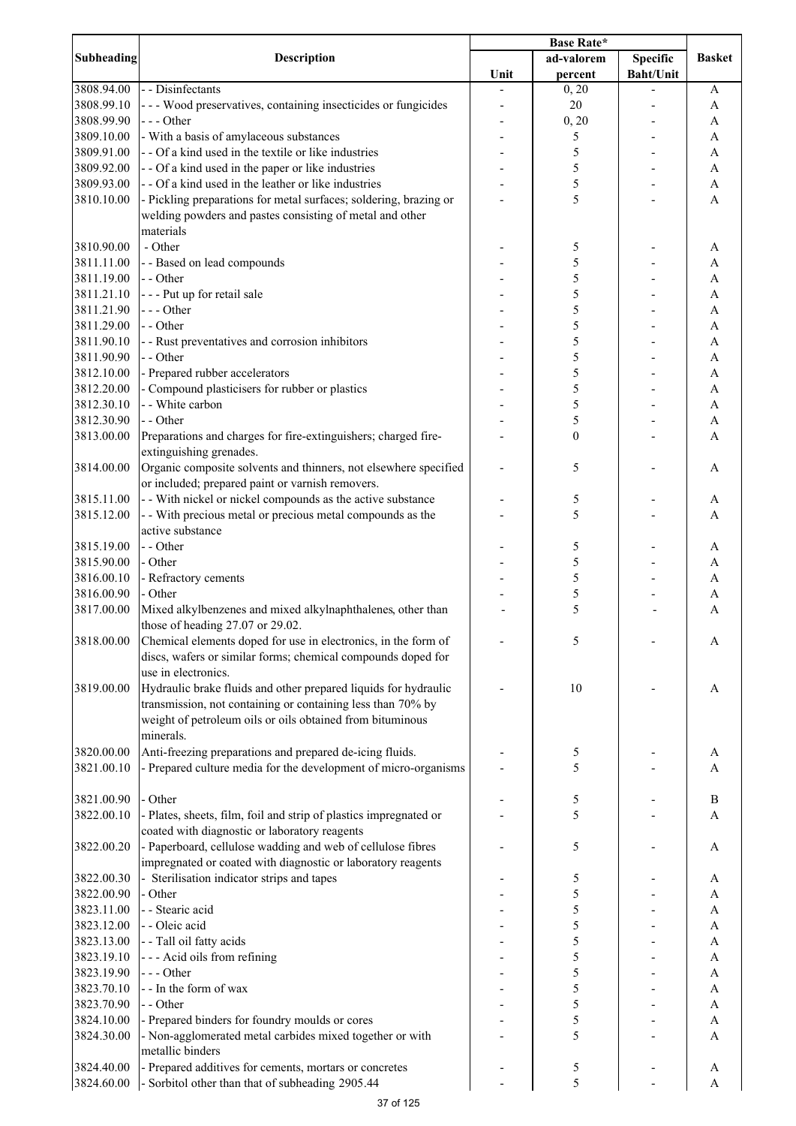|                          |                                                                                                                                                                                                          | <b>Base Rate*</b> |                  |                  |                              |
|--------------------------|----------------------------------------------------------------------------------------------------------------------------------------------------------------------------------------------------------|-------------------|------------------|------------------|------------------------------|
| <b>Subheading</b>        | <b>Description</b>                                                                                                                                                                                       |                   | ad-valorem       | <b>Specific</b>  | <b>Basket</b>                |
|                          |                                                                                                                                                                                                          | Unit              | percent          | <b>Baht/Unit</b> |                              |
| 3808.94.00               | - - Disinfectants                                                                                                                                                                                        |                   | 0, 20            |                  | A                            |
| 3808.99.10               | - - - Wood preservatives, containing insecticides or fungicides                                                                                                                                          |                   | 20               |                  | A                            |
| 3808.99.90               | --- Other                                                                                                                                                                                                |                   | 0, 20            |                  | A                            |
| 3809.10.00               | - With a basis of amylaceous substances                                                                                                                                                                  |                   | 5                |                  | A                            |
| 3809.91.00               | - - Of a kind used in the textile or like industries                                                                                                                                                     |                   | 5                |                  | A                            |
| 3809.92.00               | - - Of a kind used in the paper or like industries                                                                                                                                                       |                   | 5                |                  | A                            |
| 3809.93.00               | - - Of a kind used in the leather or like industries                                                                                                                                                     |                   | 5                |                  | A                            |
| 3810.10.00               | - Pickling preparations for metal surfaces; soldering, brazing or<br>welding powders and pastes consisting of metal and other<br>materials                                                               |                   | 5                |                  | A                            |
| 3810.90.00               | - Other                                                                                                                                                                                                  |                   | 5                |                  | A                            |
| 3811.11.00               | - - Based on lead compounds                                                                                                                                                                              |                   | 5                |                  | A                            |
| 3811.19.00               | - - Other                                                                                                                                                                                                |                   | 5                |                  | A                            |
| 3811.21.10               | --- Put up for retail sale                                                                                                                                                                               |                   | 5                |                  | A                            |
| 3811.21.90               | --- Other                                                                                                                                                                                                |                   | 5                |                  | A                            |
| 3811.29.00               | - - Other                                                                                                                                                                                                |                   | 5                |                  | A                            |
| 3811.90.10               | - - Rust preventatives and corrosion inhibitors                                                                                                                                                          |                   | 5                |                  | A                            |
| 3811.90.90               | - - Other                                                                                                                                                                                                |                   | 5                |                  | A                            |
| 3812.10.00               | - Prepared rubber accelerators                                                                                                                                                                           |                   | 5                |                  | $\mathbf{A}$                 |
| 3812.20.00               | - Compound plasticisers for rubber or plastics                                                                                                                                                           |                   | 5                |                  | $\mathbf{A}$                 |
| 3812.30.10               | - - White carbon                                                                                                                                                                                         |                   | 5                |                  | $\mathbf{A}$                 |
| 3812.30.90               | - - Other                                                                                                                                                                                                |                   | 5                |                  | $\mathbf{A}$                 |
| 3813.00.00               | Preparations and charges for fire-extinguishers; charged fire-<br>extinguishing grenades.                                                                                                                |                   | $\boldsymbol{0}$ |                  | $\overline{A}$               |
| 3814.00.00               | Organic composite solvents and thinners, not elsewhere specified<br>or included; prepared paint or varnish removers.                                                                                     |                   | 5                |                  | A                            |
| 3815.11.00               | - - With nickel or nickel compounds as the active substance                                                                                                                                              |                   | 5                |                  | A                            |
| 3815.12.00               | - - With precious metal or precious metal compounds as the                                                                                                                                               |                   | 5                |                  | A                            |
|                          | active substance                                                                                                                                                                                         |                   |                  |                  |                              |
| 3815.19.00               | - - Other                                                                                                                                                                                                |                   | 5                |                  | A                            |
| 3815.90.00               | - Other                                                                                                                                                                                                  |                   | 5                |                  | A                            |
| 3816.00.10               | - Refractory cements                                                                                                                                                                                     |                   | 5                |                  | A                            |
| 3816.00.90               | - Other                                                                                                                                                                                                  |                   | 5                |                  | A                            |
| 3817.00.00               | Mixed alkylbenzenes and mixed alkylnaphthalenes, other than<br>those of heading 27.07 or 29.02.                                                                                                          |                   | 5                |                  | A                            |
| 3818.00.00               | Chemical elements doped for use in electronics, in the form of<br>discs, wafers or similar forms; chemical compounds doped for<br>use in electronics.                                                    |                   | 5                |                  | A                            |
| 3819.00.00               | Hydraulic brake fluids and other prepared liquids for hydraulic<br>transmission, not containing or containing less than 70% by<br>weight of petroleum oils or oils obtained from bituminous<br>minerals. |                   | 10               |                  | A                            |
|                          |                                                                                                                                                                                                          |                   |                  |                  |                              |
| 3820.00.00<br>3821.00.10 | Anti-freezing preparations and prepared de-icing fluids.<br>- Prepared culture media for the development of micro-organisms                                                                              |                   | 5<br>5           |                  | A<br>A                       |
| 3821.00.90               | - Other                                                                                                                                                                                                  |                   | 5                |                  | $\, {\bf B}$                 |
| 3822.00.10               | - Plates, sheets, film, foil and strip of plastics impregnated or                                                                                                                                        |                   | 5                |                  | A                            |
| 3822.00.20               | coated with diagnostic or laboratory reagents<br>- Paperboard, cellulose wadding and web of cellulose fibres                                                                                             |                   | 5                |                  | A                            |
|                          | impregnated or coated with diagnostic or laboratory reagents                                                                                                                                             |                   |                  |                  |                              |
| 3822.00.30               | - Sterilisation indicator strips and tapes                                                                                                                                                               |                   | 5                |                  | A                            |
| 3822.00.90               | - Other                                                                                                                                                                                                  |                   | 5                |                  | A                            |
| 3823.11.00               | - - Stearic acid<br>- - Oleic acid                                                                                                                                                                       |                   | 5<br>5           |                  | $\mathbf{A}$                 |
| 3823.12.00               |                                                                                                                                                                                                          |                   | 5                |                  | $\mathbf{A}$                 |
| 3823.13.00<br>3823.19.10 | - - Tall oil fatty acids                                                                                                                                                                                 |                   | 5                |                  | $\mathbf{A}$<br>$\mathbf{A}$ |
| 3823.19.90               | --- Acid oils from refining<br>--- Other                                                                                                                                                                 |                   | 5                |                  | A                            |
| 3823.70.10               | - - In the form of wax                                                                                                                                                                                   |                   | 5                |                  | $\mathbf{A}$                 |
| 3823.70.90               | - - Other                                                                                                                                                                                                |                   | 5                |                  | $\boldsymbol{\rm{A}}$        |
| 3824.10.00               | - Prepared binders for foundry moulds or cores                                                                                                                                                           |                   | 5                |                  | A                            |
| 3824.30.00               | - Non-agglomerated metal carbides mixed together or with<br>metallic binders                                                                                                                             |                   | 5                |                  | A                            |
| 3824.40.00               | - Prepared additives for cements, mortars or concretes                                                                                                                                                   |                   | 5                |                  | A                            |
| 3824.60.00               | - Sorbitol other than that of subheading 2905.44                                                                                                                                                         |                   | 5                |                  | A                            |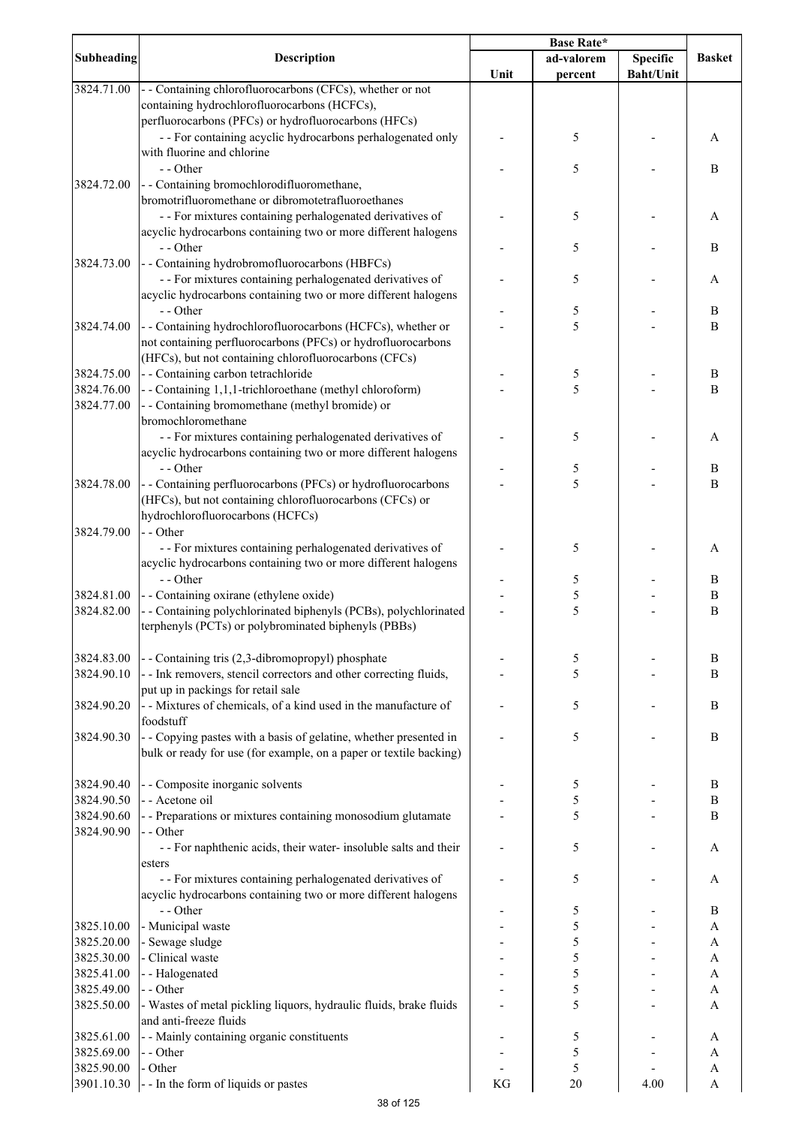|                   |                                                                    | <b>Base Rate*</b> |            |                  |                  |
|-------------------|--------------------------------------------------------------------|-------------------|------------|------------------|------------------|
| <b>Subheading</b> | <b>Description</b>                                                 |                   | ad-valorem | <b>Specific</b>  | <b>Basket</b>    |
|                   |                                                                    | Unit              | percent    | <b>Baht/Unit</b> |                  |
| 3824.71.00        | - - Containing chlorofluorocarbons (CFCs), whether or not          |                   |            |                  |                  |
|                   | containing hydrochlorofluorocarbons (HCFCs),                       |                   |            |                  |                  |
|                   | perfluorocarbons (PFCs) or hydrofluorocarbons (HFCs)               |                   |            |                  |                  |
|                   | - - For containing acyclic hydrocarbons perhalogenated only        |                   | 5          |                  | A                |
|                   | with fluorine and chlorine                                         |                   |            |                  |                  |
|                   | - - Other                                                          |                   | 5          |                  | B                |
| 3824.72.00        | - - Containing bromochlorodifluoromethane,                         |                   |            |                  |                  |
|                   | bromotrifluoromethane or dibromotetrafluoroethanes                 |                   |            |                  |                  |
|                   | - - For mixtures containing perhalogenated derivatives of          |                   | 5          |                  | A                |
|                   | acyclic hydrocarbons containing two or more different halogens     |                   |            |                  |                  |
|                   | - - Other                                                          |                   | 5          |                  | B                |
| 3824.73.00        | - - Containing hydrobromofluorocarbons (HBFCs)                     |                   |            |                  |                  |
|                   | - - For mixtures containing perhalogenated derivatives of          |                   | 5          |                  | A                |
|                   | acyclic hydrocarbons containing two or more different halogens     |                   |            |                  |                  |
|                   | - - Other                                                          |                   | 5          |                  | B                |
| 3824.74.00        | - - Containing hydrochlorofluorocarbons (HCFCs), whether or        |                   | 5          |                  | B                |
|                   | not containing perfluorocarbons (PFCs) or hydrofluorocarbons       |                   |            |                  |                  |
|                   | (HFCs), but not containing chlorofluorocarbons (CFCs)              |                   |            |                  |                  |
| 3824.75.00        |                                                                    |                   |            |                  |                  |
|                   | - - Containing carbon tetrachloride                                |                   | 5<br>5     |                  | B                |
| 3824.76.00        | - - Containing 1,1,1-trichloroethane (methyl chloroform)           |                   |            |                  | B                |
| 3824.77.00        | - - Containing bromomethane (methyl bromide) or                    |                   |            |                  |                  |
|                   | bromochloromethane                                                 |                   |            |                  |                  |
|                   | - - For mixtures containing perhalogenated derivatives of          |                   | 5          |                  | Α                |
|                   | acyclic hydrocarbons containing two or more different halogens     |                   |            |                  |                  |
|                   | - - Other                                                          |                   | 5          |                  | $\boldsymbol{B}$ |
| 3824.78.00        | - - Containing perfluorocarbons (PFCs) or hydrofluorocarbons       |                   | 5          |                  | $\, {\bf B}$     |
|                   | (HFCs), but not containing chlorofluorocarbons (CFCs) or           |                   |            |                  |                  |
|                   | hydrochlorofluorocarbons (HCFCs)                                   |                   |            |                  |                  |
| 3824.79.00        | - - Other                                                          |                   |            |                  |                  |
|                   | - - For mixtures containing perhalogenated derivatives of          |                   | 5          |                  | A                |
|                   | acyclic hydrocarbons containing two or more different halogens     |                   |            |                  |                  |
|                   | - - Other                                                          |                   | 5          |                  | B                |
| 3824.81.00        | - - Containing oxirane (ethylene oxide)                            |                   | 5          |                  | $\, {\bf B}$     |
| 3824.82.00        | - - Containing polychlorinated biphenyls (PCBs), polychlorinated   |                   | 5          |                  | $\bf{B}$         |
|                   | terphenyls (PCTs) or polybrominated biphenyls (PBBs)               |                   |            |                  |                  |
|                   |                                                                    |                   |            |                  |                  |
| 3824.83.00        | - - Containing tris (2,3-dibromopropyl) phosphate                  |                   | 5          |                  | B                |
| 3824.90.10        | - - Ink removers, stencil correctors and other correcting fluids,  |                   | 5          |                  | B                |
|                   | put up in packings for retail sale                                 |                   |            |                  |                  |
| 3824.90.20        | - - Mixtures of chemicals, of a kind used in the manufacture of    |                   | 5          |                  | B                |
|                   | foodstuff                                                          |                   |            |                  |                  |
| 3824.90.30        | - - Copying pastes with a basis of gelatine, whether presented in  |                   | 5          |                  | B                |
|                   | bulk or ready for use (for example, on a paper or textile backing) |                   |            |                  |                  |
|                   |                                                                    |                   |            |                  |                  |
|                   |                                                                    |                   |            |                  |                  |
| 3824.90.40        | - - Composite inorganic solvents                                   |                   | 5          |                  | B                |
| 3824.90.50        | - - Acetone oil                                                    |                   | 5          |                  | B                |
| 3824.90.60        | - - Preparations or mixtures containing monosodium glutamate       |                   | 5          |                  | B                |
| 3824.90.90        | - - Other                                                          |                   |            |                  |                  |
|                   | - - For naphthenic acids, their water- insoluble salts and their   |                   | 5          |                  | A                |
|                   | esters                                                             |                   |            |                  |                  |
|                   | - - For mixtures containing perhalogenated derivatives of          |                   | 5          |                  | A                |
|                   | acyclic hydrocarbons containing two or more different halogens     |                   |            |                  |                  |
|                   | - - Other                                                          |                   | 5          |                  | B                |
| 3825.10.00        | - Municipal waste                                                  |                   | 5          |                  | A                |
| 3825.20.00        | - Sewage sludge                                                    |                   | 5          |                  | A                |
| 3825.30.00        | - Clinical waste                                                   |                   | 5          |                  | $\mathbf{A}$     |
| 3825.41.00        | --Halogenated                                                      |                   | 5          |                  | $\mathbf{A}$     |
| 3825.49.00        | - - Other                                                          |                   | 5          |                  | $\mathbf{A}$     |
| 3825.50.00        | - Wastes of metal pickling liquors, hydraulic fluids, brake fluids |                   | 5          |                  | $\mathbf{A}$     |
|                   | and anti-freeze fluids                                             |                   |            |                  |                  |
| 3825.61.00        | - - Mainly containing organic constituents                         |                   | 5          |                  | A                |
| 3825.69.00        | - - Other                                                          |                   | 5          |                  | A                |
| 3825.90.00        | - Other                                                            |                   | 5          |                  | A                |
| 3901.10.30        | -- In the form of liquids or pastes                                | KG                | 20         | 4.00             | A                |
|                   |                                                                    |                   |            |                  |                  |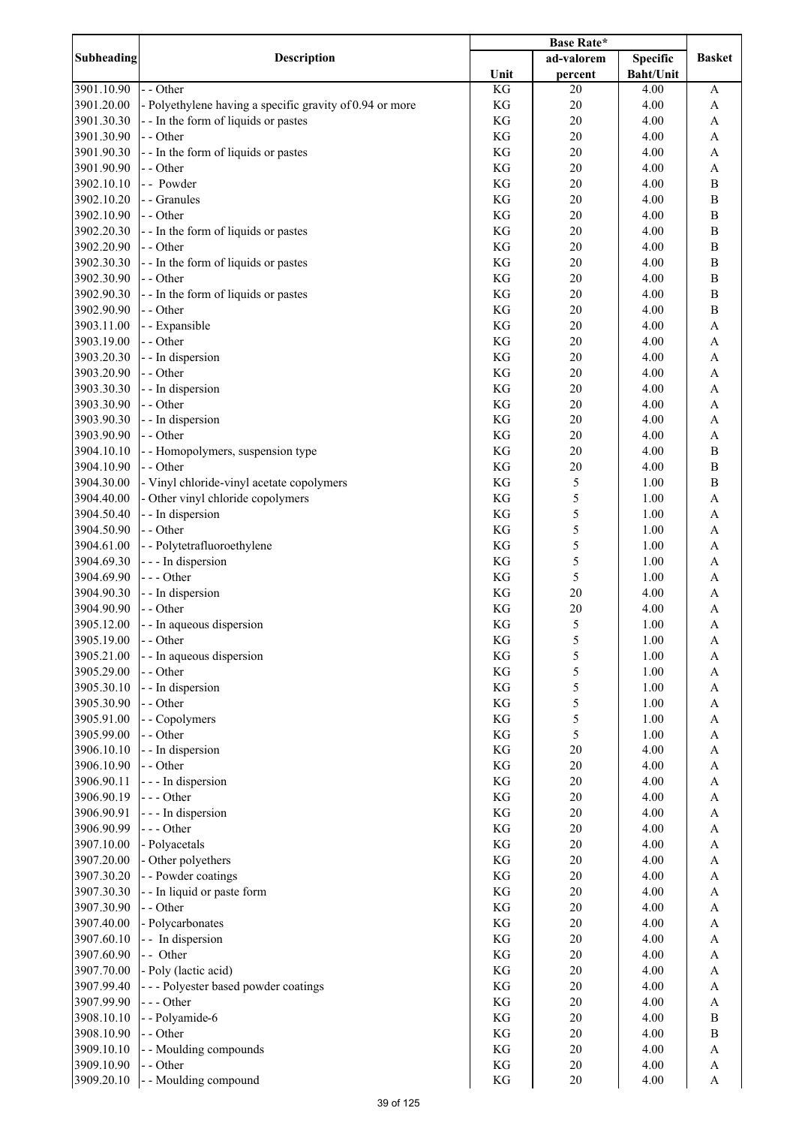|                          |                                                          | Base Rate* |            |                  |                                |
|--------------------------|----------------------------------------------------------|------------|------------|------------------|--------------------------------|
| Subheading               | <b>Description</b>                                       |            | ad-valorem | <b>Specific</b>  | <b>Basket</b>                  |
|                          |                                                          | Unit       | percent    | <b>Baht/Unit</b> |                                |
| 3901.10.90               | - - Other                                                | KG         | 20         | 4.00             | $\boldsymbol{\rm{A}}$          |
| 3901.20.00               | - Polyethylene having a specific gravity of 0.94 or more | KG         | 20         | 4.00             | $\boldsymbol{\rm{A}}$          |
| 3901.30.30               | -- In the form of liquids or pastes                      | KG         | 20         | 4.00             | A                              |
| 3901.30.90               | - - Other                                                | KG         | 20         | 4.00             | $\boldsymbol{\rm{A}}$          |
| 3901.90.30               | - - In the form of liquids or pastes                     | KG         | 20         | 4.00             | A                              |
| 3901.90.90               | - - Other                                                | KG         | 20         | 4.00             | $\boldsymbol{\rm{A}}$          |
| 3902.10.10               | - - Powder                                               | KG         | 20         | 4.00             | $\, {\bf B}$                   |
| 3902.10.20               | - - Granules                                             | KG         | 20         | 4.00             | $\, {\bf B}$                   |
| 3902.10.90               | - - Other                                                | KG         | 20         | 4.00             | $\, {\bf B}$                   |
| 3902.20.30               | - - In the form of liquids or pastes                     | KG         | 20         | 4.00             | $\, {\bf B}$                   |
| 3902.20.90               | - - Other                                                | KG         | 20         | 4.00             | $\, {\bf B}$                   |
| 3902.30.30               | - - In the form of liquids or pastes                     | KG         | 20         | 4.00             | $\, {\bf B}$                   |
| 3902.30.90               | - - Other                                                | KG         | 20         | 4.00             | $\, {\bf B}$                   |
| 3902.90.30               | - - In the form of liquids or pastes                     | KG         | 20         | 4.00             | $\, {\bf B}$                   |
| 3902.90.90               | - - Other                                                | KG         | 20         | 4.00             | $\, {\bf B}$                   |
| 3903.11.00               | - - Expansible                                           | KG         | 20         | 4.00             | $\boldsymbol{\rm{A}}$          |
| 3903.19.00               | - - Other                                                | KG         | 20         | 4.00             | A                              |
| 3903.20.30               | - - In dispersion                                        | KG         | 20         | 4.00             | $\mathbf{A}$                   |
| 3903.20.90               | - - Other                                                | KG         | 20         | 4.00             | A                              |
| 3903.30.30               | - - In dispersion                                        | KG         | 20         | 4.00             | $\mathbf{A}$                   |
| 3903.30.90<br>3903.90.30 | - - Other                                                | KG         | 20         | 4.00             | $\mathbf{A}$                   |
| 3903.90.90               | - - In dispersion<br>- - Other                           | KG<br>KG   | 20<br>20   | 4.00<br>4.00     | $\mathbf{A}$<br>$\overline{A}$ |
| 3904.10.10               |                                                          | KG         | 20         | 4.00             | $\overline{B}$                 |
| 3904.10.90               | - - Homopolymers, suspension type<br>- - Other           | KG         | 20         | 4.00             | $\, {\bf B}$                   |
| 3904.30.00               | - Vinyl chloride-vinyl acetate copolymers                | KG         | 5          | 1.00             | $\, {\bf B}$                   |
| 3904.40.00               | - Other vinyl chloride copolymers                        | KG         | 5          | 1.00             | $\mathbf{A}$                   |
| 3904.50.40               | - - In dispersion                                        | KG         | 5          | 1.00             | $\boldsymbol{\rm{A}}$          |
| 3904.50.90               | - - Other                                                | KG         | 5          | 1.00             | $\boldsymbol{\rm{A}}$          |
| 3904.61.00               | - - Polytetrafluoroethylene                              | KG         | 5          | 1.00             | $\boldsymbol{\rm{A}}$          |
| 3904.69.30               | - - - In dispersion                                      | KG         | 5          | 1.00             | A                              |
| 3904.69.90               | --- Other                                                | KG         | 5          | 1.00             | $\boldsymbol{\mathsf{A}}$      |
| 3904.90.30               | - - In dispersion                                        | KG         | 20         | 4.00             | $\mathbf{A}$                   |
| 3904.90.90               | - - Other                                                | KG         | 20         | 4.00             | $\mathbf{A}$                   |
| 3905.12.00               | - - In aqueous dispersion                                | KG         | 5          | 1.00             | $\mathbf{A}$                   |
| 3905.19.00               | - - Other                                                | KG         | 5          | 1.00             | A                              |
| 3905.21.00               | - - In aqueous dispersion                                | KG         | 5          | 1.00             | A                              |
| 3905.29.00               | - - Other                                                | KG         | 5          | 1.00             | A                              |
| 3905.30.10               | - - In dispersion                                        | KG         | 5          | 1.00             | $\boldsymbol{\rm{A}}$          |
| 3905.30.90               | - - Other                                                | KG         | 5          | 1.00             | A                              |
| 3905.91.00               | - - Copolymers                                           | KG         | 5          | 1.00             | $\boldsymbol{\rm{A}}$          |
| 3905.99.00               | - - Other                                                | KG         | 5          | 1.00             | $\boldsymbol{\rm{A}}$          |
| 3906.10.10               | - - In dispersion                                        | KG         | 20         | 4.00             | A                              |
| 3906.10.90               | - - Other                                                | KG         | 20         | 4.00             | $\boldsymbol{\rm{A}}$          |
| 3906.90.11               | - - - In dispersion                                      | KG         | 20         | 4.00             | $\mathbf{A}$                   |
| 3906.90.19               | --- Other                                                | KG         | 20         | 4.00             | $\mathbf{A}$                   |
| 3906.90.91               | - - - In dispersion                                      | KG         | 20         | 4.00             | $\mathbf{A}$                   |
| 3906.90.99               | --- Other                                                | KG         | 20         | 4.00             | $\mathbf{A}$                   |
| 3907.10.00               | - Polyacetals                                            | KG         | 20         | 4.00             | $\mathbf{A}$                   |
| 3907.20.00               | - Other polyethers                                       | KG         | 20         | 4.00             | $\mathbf{A}$                   |
| 3907.30.20               | - - Powder coatings                                      | KG         | 20         | 4.00             | $\boldsymbol{\mathsf{A}}$      |
| 3907.30.30               | - - In liquid or paste form                              | KG         | 20         | 4.00             | $\mathbf{A}$                   |
| 3907.30.90               | - - Other                                                | KG         | 20         | 4.00             | $\boldsymbol{\mathsf{A}}$      |
| 3907.40.00               | - Polycarbonates                                         | KG         | 20         | 4.00             | $\boldsymbol{\rm{A}}$          |
| 3907.60.10               | - - In dispersion                                        | KG         | 20         | 4.00             | A                              |
| 3907.60.90               | - - Other                                                | KG         | 20         | 4.00             | $\boldsymbol{\rm{A}}$          |
| 3907.70.00               | - Poly (lactic acid)                                     | KG         | 20         | 4.00             | A                              |
| 3907.99.40               | --- Polyester based powder coatings                      | KG         | 20         | 4.00             | $\mathbf{A}$                   |
| 3907.99.90               | $--$ Other                                               | KG         | 20         | 4.00             | $\mathbf{A}$                   |
| 3908.10.10               | -- Polyamide-6                                           | KG         | 20         | 4.00             | $\, {\bf B}$                   |
| 3908.10.90               | - - Other                                                | KG         | 20         | 4.00             | $\, {\bf B}$                   |
| 3909.10.10               | - - Moulding compounds                                   | KG         | $20\,$     | 4.00             | $\boldsymbol{\mathsf{A}}$      |
| 3909.10.90               | - - Other                                                | KG         | $20\,$     | 4.00             | A                              |
| 3909.20.10               | - - Moulding compound                                    | KG         | $20\,$     | 4.00             | $\boldsymbol{\mathsf{A}}$      |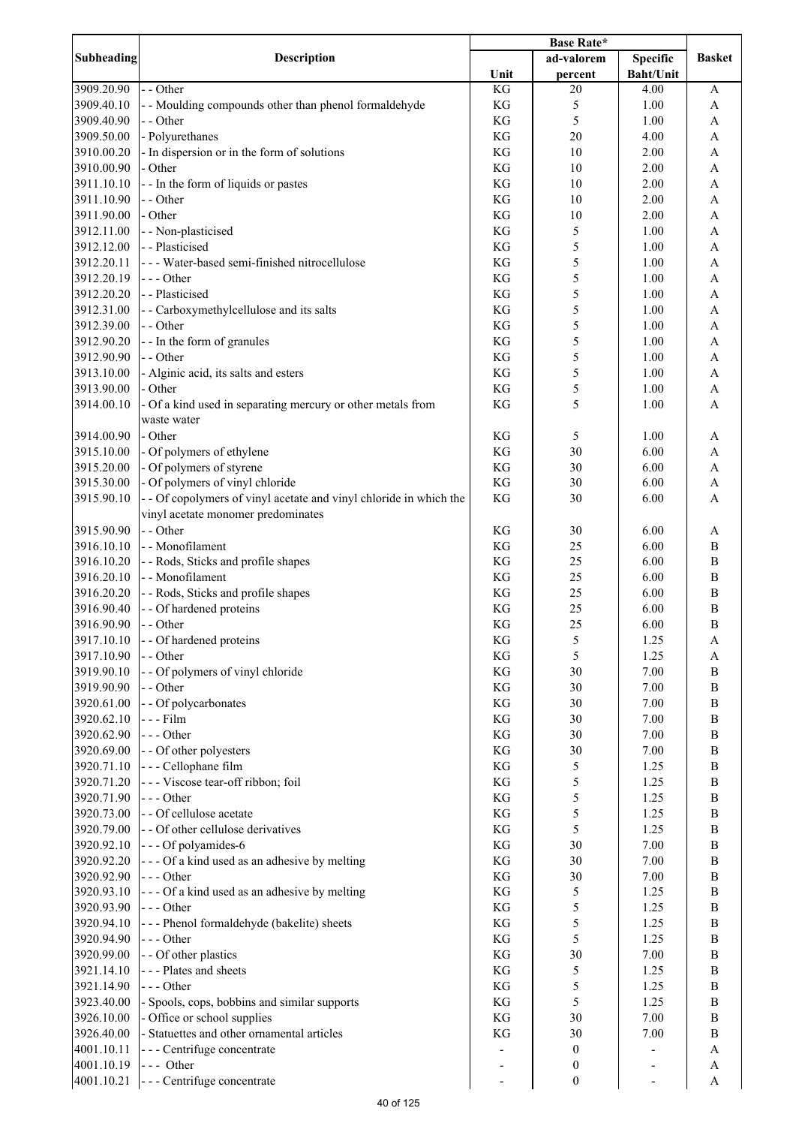|            | <b>Description</b>                                                 | <b>Base Rate*</b>   |                  |                          |                           |
|------------|--------------------------------------------------------------------|---------------------|------------------|--------------------------|---------------------------|
| Subheading |                                                                    |                     | ad-valorem       | <b>Specific</b>          | <b>Basket</b>             |
|            |                                                                    | Unit                | percent          | <b>Baht/Unit</b>         |                           |
| 3909.20.90 | - - Other                                                          | KG                  | 20               | 4.00                     | A                         |
| 3909.40.10 | - - Moulding compounds other than phenol formaldehyde              | KG                  | 5                | 1.00                     | A                         |
| 3909.40.90 | - - Other                                                          | KG                  | 5                | 1.00                     | A                         |
| 3909.50.00 | - Polyurethanes                                                    | KG                  | 20               | 4.00                     | $\boldsymbol{\rm{A}}$     |
| 3910.00.20 | - In dispersion or in the form of solutions                        | KG                  | 10               | 2.00                     | $\boldsymbol{\mathsf{A}}$ |
| 3910.00.90 | - Other                                                            | KG                  | 10               | 2.00                     | $\boldsymbol{\mathsf{A}}$ |
| 3911.10.10 | - - In the form of liquids or pastes                               | KG                  | 10               | 2.00                     | A                         |
| 3911.10.90 | - - Other                                                          | KG                  | 10               | 2.00                     | $\boldsymbol{\rm{A}}$     |
| 3911.90.00 | - Other                                                            | KG                  | 10               | 2.00                     | $\boldsymbol{\rm{A}}$     |
| 3912.11.00 | - - Non-plasticised                                                | KG                  | 5                | 1.00                     | A                         |
| 3912.12.00 | - - Plasticised                                                    | KG                  | 5                | 1.00                     | $\boldsymbol{\mathsf{A}}$ |
| 3912.20.11 | - - - Water-based semi-finished nitrocellulose                     | KG                  | 5                | 1.00                     | A                         |
|            |                                                                    |                     | 5                |                          |                           |
| 3912.20.19 | --- Other                                                          | KG                  | 5                | 1.00                     | A                         |
| 3912.20.20 | - - Plasticised                                                    | KG                  |                  | 1.00                     | $\boldsymbol{\rm{A}}$     |
| 3912.31.00 | - - Carboxymethylcellulose and its salts                           | KG                  | 5                | 1.00                     | $\mathbf{A}$              |
| 3912.39.00 | - - Other                                                          | KG                  | 5                | 1.00                     | $\boldsymbol{\mathsf{A}}$ |
| 3912.90.20 | -- In the form of granules                                         | KG                  | 5                | 1.00                     | $\boldsymbol{\mathsf{A}}$ |
| 3912.90.90 | - - Other                                                          | KG                  | 5                | 1.00                     | $\mathbf{A}$              |
| 3913.10.00 | - Alginic acid, its salts and esters                               | KG                  | 5                | 1.00                     | $\boldsymbol{\mathsf{A}}$ |
| 3913.90.00 | - Other                                                            | KG                  | 5                | 1.00                     | $\mathbf{A}$              |
| 3914.00.10 | - Of a kind used in separating mercury or other metals from        | KG                  | 5                | 1.00                     | $\mathbf{A}$              |
|            | waste water                                                        |                     |                  |                          |                           |
| 3914.00.90 | - Other                                                            | KG                  | 5                | 1.00                     | A                         |
| 3915.10.00 | - Of polymers of ethylene                                          | KG                  | 30               | 6.00                     | $\boldsymbol{\rm{A}}$     |
| 3915.20.00 | - Of polymers of styrene                                           | $\mathbf{KG}$       | 30               | 6.00                     | A                         |
| 3915.30.00 | - Of polymers of vinyl chloride                                    | KG                  | 30               | 6.00                     | A                         |
| 3915.90.10 | - - Of copolymers of vinyl acetate and vinyl chloride in which the | $\mathbf{KG}$       | 30               | 6.00                     | A                         |
|            | vinyl acetate monomer predominates                                 |                     |                  |                          |                           |
| 3915.90.90 | - - Other                                                          | KG                  | 30               | 6.00                     | A                         |
| 3916.10.10 | - - Monofilament                                                   | KG                  | 25               | 6.00                     | $\, {\bf B}$              |
| 3916.10.20 | - - Rods, Sticks and profile shapes                                | KG                  | 25               | 6.00                     | $\bf{B}$                  |
| 3916.20.10 | - - Monofilament                                                   | KG                  | 25               | 6.00                     | $\bf{B}$                  |
| 3916.20.20 | - - Rods, Sticks and profile shapes                                | KG                  | 25               | 6.00                     | $\bf{B}$                  |
| 3916.90.40 | - - Of hardened proteins                                           | KG                  | 25               | 6.00                     | $\, {\bf B}$              |
| 3916.90.90 | - - Other                                                          | KG                  | 25               | 6.00                     | $\, {\bf B}$              |
| 3917.10.10 | - - Of hardened proteins                                           | KG                  | 5                | 1.25                     | A                         |
| 3917.10.90 | - - Other                                                          | KG                  | 5                | 1.25                     | A                         |
| 3919.90.10 | - - Of polymers of vinyl chloride                                  | KG                  | 30               | 7.00                     | $\, {\bf B}$              |
|            |                                                                    |                     |                  |                          | $\, {\bf B}$              |
| 3919.90.90 | - - Other                                                          | KG<br>$\mathbf{KG}$ | 30<br>30         | 7.00                     | $\, {\bf B}$              |
| 3920.61.00 | - - Of polycarbonates                                              |                     |                  | 7.00                     |                           |
| 3920.62.10 | - - - Film                                                         | $\mathbf{KG}$       | 30               | 7.00                     | $\, {\bf B}$              |
| 3920.62.90 | --- Other                                                          | KG                  | 30               | 7.00                     | $\, {\bf B}$              |
| 3920.69.00 | - - Of other polyesters                                            | $\mathbf{KG}$       | 30               | 7.00                     | $\, {\bf B}$              |
| 3920.71.10 | - - - Cellophane film                                              | KG                  | 5                | 1.25                     | $\, {\bf B}$              |
| 3920.71.20 | --- Viscose tear-off ribbon; foil                                  | $\mathbf{KG}$       | 5                | 1.25                     | $\, {\bf B}$              |
| 3920.71.90 | --- Other                                                          | KG                  | 5                | 1.25                     | $\, {\bf B}$              |
| 3920.73.00 | - - Of cellulose acetate                                           | $\mathbf{KG}$       | 5                | 1.25                     | $\, {\bf B}$              |
| 3920.79.00 | - - Of other cellulose derivatives                                 | KG                  | 5                | 1.25                     | $\, {\bf B}$              |
| 3920.92.10 | --- Of polyamides-6                                                | KG                  | 30               | 7.00                     | $\, {\bf B}$              |
| 3920.92.20 | --- Of a kind used as an adhesive by melting                       | KG                  | 30               | 7.00                     | $\, {\bf B}$              |
| 3920.92.90 | $--- Other$                                                        | KG                  | 30               | 7.00                     | $\, {\bf B}$              |
| 3920.93.10 | --- Of a kind used as an adhesive by melting                       | KG                  | 5                | 1.25                     | $\bf{B}$                  |
| 3920.93.90 | $--$ Other                                                         | KG                  | 5                | 1.25                     | $\, {\bf B}$              |
| 3920.94.10 | --- Phenol formaldehyde (bakelite) sheets                          | KG                  | 5                | 1.25                     | $\, {\bf B}$              |
| 3920.94.90 | --- Other                                                          | KG                  | 5                | 1.25                     | $\bf{B}$                  |
| 3920.99.00 | - - Of other plastics                                              | KG                  | 30               | 7.00                     | $\, {\bf B}$              |
| 3921.14.10 | - - - Plates and sheets                                            | KG                  | 5                | 1.25                     | B                         |
| 3921.14.90 | --- Other                                                          | KG                  | 5                | 1.25                     | B                         |
| 3923.40.00 | - Spools, cops, bobbins and similar supports                       | KG                  | 5                | 1.25                     | $\, {\bf B}$              |
| 3926.10.00 | - Office or school supplies                                        | KG                  | 30               | 7.00                     | $\, {\bf B}$              |
| 3926.40.00 | - Statuettes and other ornamental articles                         | KG                  | 30               | 7.00                     | $\bf{B}$                  |
| 4001.10.11 | --- Centrifuge concentrate                                         |                     | $\boldsymbol{0}$ |                          | A                         |
| 4001.10.19 | --- Other                                                          |                     | 0                |                          | A                         |
| 4001.10.21 | --- Centrifuge concentrate                                         |                     | $\boldsymbol{0}$ | $\overline{\phantom{0}}$ | $\boldsymbol{\mathsf{A}}$ |
|            |                                                                    |                     |                  |                          |                           |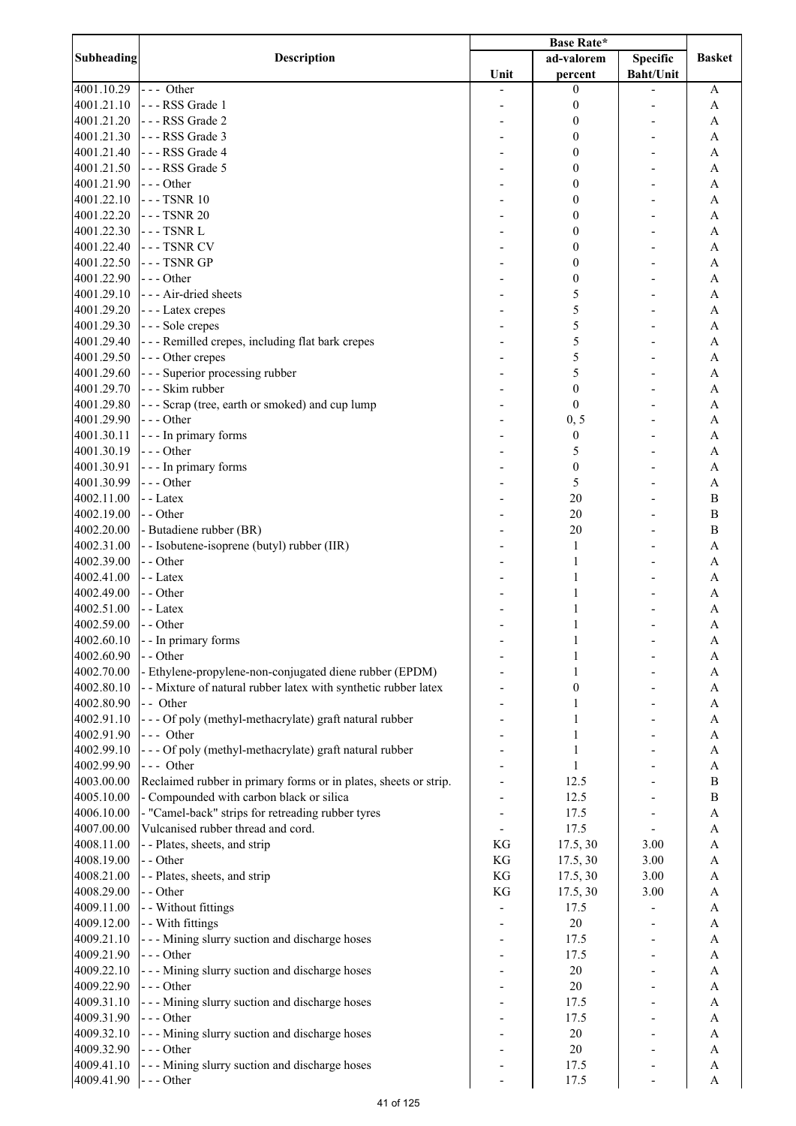|                   |                                                                  | <b>Base Rate*</b> |                  |                  |                       |
|-------------------|------------------------------------------------------------------|-------------------|------------------|------------------|-----------------------|
| <b>Subheading</b> | <b>Description</b>                                               |                   | ad-valorem       | <b>Specific</b>  | <b>Basket</b>         |
|                   |                                                                  | Unit              | percent          | <b>Baht/Unit</b> |                       |
| 4001.10.29        | $--$ Other                                                       |                   | $\mathbf{0}$     |                  | A                     |
| 4001.21.10        | --- RSS Grade 1                                                  |                   | $\boldsymbol{0}$ |                  | A                     |
| 4001.21.20        | --- RSS Grade 2                                                  |                   | $\boldsymbol{0}$ |                  | A                     |
| 4001.21.30        | --- RSS Grade 3                                                  |                   | $\boldsymbol{0}$ |                  | $\mathbf{A}$          |
| 4001.21.40        | --- RSS Grade 4                                                  |                   | $\boldsymbol{0}$ |                  | $\mathbf{A}$          |
| 4001.21.50        | --- RSS Grade 5                                                  |                   | $\boldsymbol{0}$ |                  | A                     |
|                   |                                                                  |                   |                  |                  |                       |
| 4001.21.90        | $--$ Other                                                       |                   | $\boldsymbol{0}$ |                  | A                     |
| 4001.22.10        | --- TSNR 10                                                      |                   | $\boldsymbol{0}$ |                  | A                     |
| 4001.22.20        | --- TSNR 20                                                      |                   | $\boldsymbol{0}$ |                  | A                     |
| 4001.22.30        | $--$ TSNR $L$                                                    |                   | $\boldsymbol{0}$ |                  | A                     |
| 4001.22.40        | --- TSNR CV                                                      |                   | $\boldsymbol{0}$ |                  | A                     |
| 4001.22.50        | --- TSNR GP                                                      |                   | $\boldsymbol{0}$ |                  | A                     |
| 4001.22.90        | $--$ Other                                                       |                   | $\boldsymbol{0}$ |                  | A                     |
| 4001.29.10        | - - - Air-dried sheets                                           |                   | 5                |                  | A                     |
| 4001.29.20        | - - - Latex crepes                                               |                   | 5                |                  | $\mathbf{A}$          |
| 4001.29.30        | --- Sole crepes                                                  |                   | 5                |                  | $\overline{A}$        |
| 4001.29.40        | --- Remilled crepes, including flat bark crepes                  |                   | 5                |                  | $\overline{A}$        |
| 4001.29.50        |                                                                  |                   | 5                |                  | $\overline{A}$        |
|                   | --- Other crepes                                                 |                   |                  |                  |                       |
| 4001.29.60        | --- Superior processing rubber                                   |                   | 5                |                  | $\mathbf{A}$          |
| 4001.29.70        | - - - Skim rubber                                                |                   | $\boldsymbol{0}$ |                  | A                     |
| 4001.29.80        | --- Scrap (tree, earth or smoked) and cup lump                   |                   | $\boldsymbol{0}$ |                  | A                     |
| 4001.29.90        | --- Other                                                        |                   | 0, 5             |                  | A                     |
| 4001.30.11        | - - - In primary forms                                           |                   | $\boldsymbol{0}$ |                  | A                     |
| 4001.30.19        | --- Other                                                        |                   | 5                |                  | A                     |
| 4001.30.91        | - - - In primary forms                                           |                   | $\boldsymbol{0}$ |                  | A                     |
| 4001.30.99        | $--$ Other                                                       |                   | 5                |                  | $\mathbf{A}$          |
| 4002.11.00        | - - Latex                                                        |                   | 20               |                  | $\bf{B}$              |
| 4002.19.00        | - - Other                                                        |                   | 20               |                  | $\bf{B}$              |
| 4002.20.00        | - Butadiene rubber (BR)                                          |                   | 20               |                  | $\bf{B}$              |
|                   |                                                                  |                   |                  |                  |                       |
| 4002.31.00        | - - Isobutene-isoprene (butyl) rubber (IIR)                      |                   | 1                |                  | $\mathbf{A}$          |
| 4002.39.00        | - - Other                                                        |                   | 1                |                  | A                     |
| 4002.41.00        | - - Latex                                                        |                   | 1                |                  | A                     |
| 4002.49.00        | - - Other                                                        |                   | 1                |                  | A                     |
| 4002.51.00        | - - Latex                                                        |                   | 1                |                  | A                     |
| 4002.59.00        | - - Other                                                        |                   | $\mathbf{1}$     |                  | A                     |
| 4002.60.10        | - - In primary forms                                             |                   |                  |                  | A                     |
| 4002.60.90        | - - Other                                                        |                   |                  |                  | A                     |
| 4002.70.00        | - Ethylene-propylene-non-conjugated diene rubber (EPDM)          |                   | 1                |                  | A                     |
| 4002.80.10        | - - Mixture of natural rubber latex with synthetic rubber latex  |                   | $\boldsymbol{0}$ |                  | A                     |
| 4002.80.90        | - - Other                                                        |                   |                  |                  | $\boldsymbol{\rm{A}}$ |
| 4002.91.10        | --- Of poly (methyl-methacrylate) graft natural rubber           |                   |                  |                  |                       |
|                   |                                                                  |                   | 1                |                  | $\mathbf{A}$          |
| 4002.91.90        | $--$ Other                                                       |                   |                  |                  | $\boldsymbol{\rm{A}}$ |
| 4002.99.10        | --- Of poly (methyl-methacrylate) graft natural rubber           |                   |                  |                  | $\boldsymbol{\rm{A}}$ |
| 4002.99.90        | --- Other                                                        |                   |                  |                  | $\mathbf{A}$          |
| 4003.00.00        | Reclaimed rubber in primary forms or in plates, sheets or strip. |                   | 12.5             |                  | $\, {\bf B}$          |
| 4005.10.00        | - Compounded with carbon black or silica                         |                   | 12.5             |                  | $\, {\bf B}$          |
| 4006.10.00        | - "Camel-back" strips for retreading rubber tyres                |                   | 17.5             |                  | $\boldsymbol{\rm{A}}$ |
| 4007.00.00        | Vulcanised rubber thread and cord.                               |                   | 17.5             |                  | A                     |
| 4008.11.00        | - - Plates, sheets, and strip                                    | KG                | 17.5, 30         | 3.00             | A                     |
| 4008.19.00        | - - Other                                                        | KG                | 17.5, 30         | 3.00             | A                     |
| 4008.21.00        | - - Plates, sheets, and strip                                    | KG                | 17.5, 30         | 3.00             | A                     |
| 4008.29.00        | - - Other                                                        | KG                | 17.5, 30         |                  |                       |
|                   |                                                                  |                   |                  | 3.00             | A                     |
| 4009.11.00        | - - Without fittings                                             |                   | 17.5             |                  | A                     |
| 4009.12.00        | - - With fittings                                                |                   | $20\,$           |                  | $\boldsymbol{\rm{A}}$ |
| 4009.21.10        | --- Mining slurry suction and discharge hoses                    |                   | 17.5             |                  | $\boldsymbol{\rm{A}}$ |
| 4009.21.90        | $--- Other$                                                      |                   | 17.5             |                  | $\boldsymbol{\rm{A}}$ |
| 4009.22.10        | --- Mining slurry suction and discharge hoses                    |                   | $20\,$           |                  | A                     |
| 4009.22.90        | $--- Other$                                                      |                   | $20\,$           |                  | A                     |
| 4009.31.10        | --- Mining slurry suction and discharge hoses                    |                   | 17.5             |                  | A                     |
| 4009.31.90        | --- Other                                                        |                   | 17.5             |                  | A                     |
| 4009.32.10        | - - - Mining slurry suction and discharge hoses                  |                   | $20\,$           |                  | A                     |
| 4009.32.90        | --- Other                                                        |                   | $20\,$           |                  | A                     |
| 4009.41.10        | - - - Mining slurry suction and discharge hoses                  |                   | 17.5             |                  | A                     |
|                   |                                                                  |                   |                  |                  |                       |
| 4009.41.90        | $--$ Other                                                       |                   | 17.5             |                  | A                     |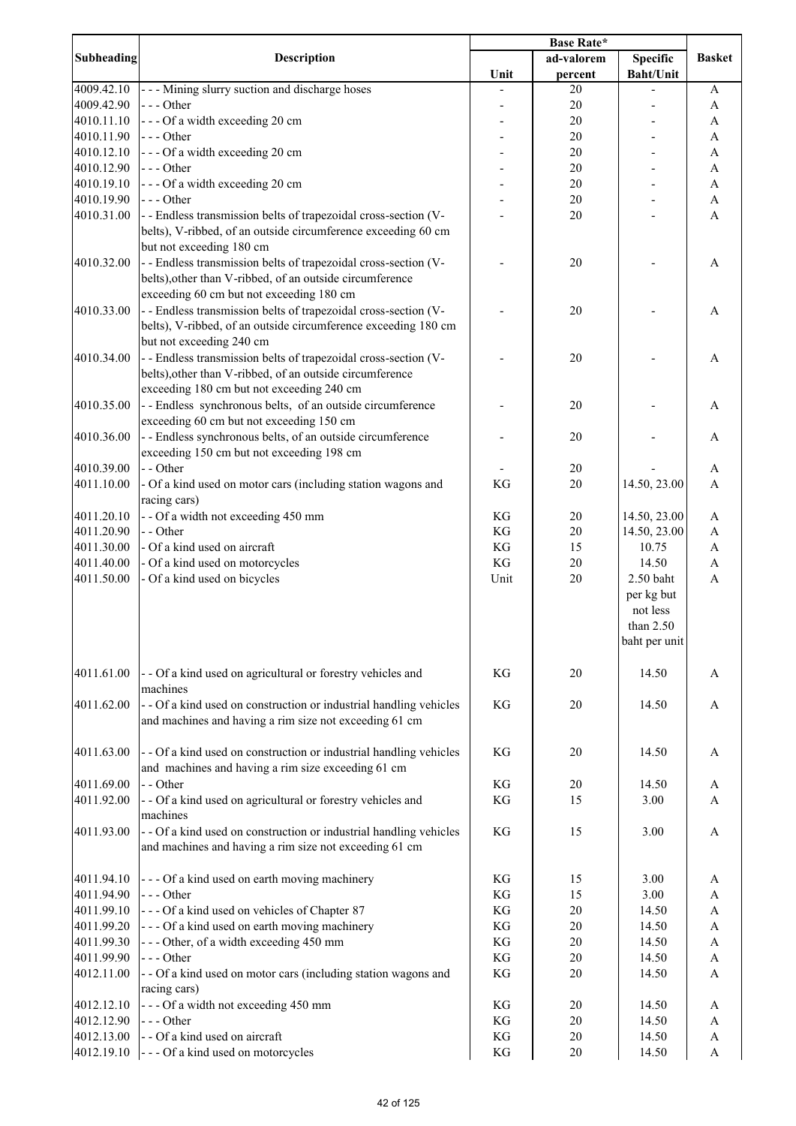|                   |                                                                                                                                                                         |      | <b>Base Rate*</b> |                                                                   |                           |
|-------------------|-------------------------------------------------------------------------------------------------------------------------------------------------------------------------|------|-------------------|-------------------------------------------------------------------|---------------------------|
| <b>Subheading</b> | <b>Description</b>                                                                                                                                                      |      | ad-valorem        | <b>Specific</b>                                                   | <b>Basket</b>             |
|                   |                                                                                                                                                                         | Unit | percent           | <b>Baht/Unit</b>                                                  |                           |
| 4009.42.10        | --- Mining slurry suction and discharge hoses                                                                                                                           |      | 20                |                                                                   | A                         |
| 4009.42.90        | $--$ Other                                                                                                                                                              |      | 20                |                                                                   | A                         |
| 4010.11.10        | --- Of a width exceeding 20 cm                                                                                                                                          |      | 20                |                                                                   | $\boldsymbol{A}$          |
| 4010.11.90        | $--$ Other                                                                                                                                                              |      | 20                |                                                                   | A                         |
| 4010.12.10        | --- Of a width exceeding 20 cm                                                                                                                                          |      | 20                |                                                                   | $\boldsymbol{\mathsf{A}}$ |
| 4010.12.90        | $--$ Other                                                                                                                                                              |      | 20                |                                                                   | $\mathbf A$               |
| 4010.19.10        | --- Of a width exceeding 20 cm                                                                                                                                          |      | 20                |                                                                   | $\boldsymbol{\mathsf{A}}$ |
|                   |                                                                                                                                                                         |      |                   |                                                                   |                           |
| 4010.19.90        | $--- Other$                                                                                                                                                             |      | $20\,$            |                                                                   | $\boldsymbol{\mathsf{A}}$ |
| 4010.31.00        | - - Endless transmission belts of trapezoidal cross-section (V-<br>belts), V-ribbed, of an outside circumference exceeding 60 cm<br>but not exceeding 180 cm            |      | 20                |                                                                   | $\mathbf{A}$              |
| 4010.32.00        | - - Endless transmission belts of trapezoidal cross-section (V-<br>belts), other than V-ribbed, of an outside circumference<br>exceeding 60 cm but not exceeding 180 cm |      | 20                |                                                                   | A                         |
| 4010.33.00        | - - Endless transmission belts of trapezoidal cross-section (V-                                                                                                         |      | 20                |                                                                   | A                         |
|                   | belts), V-ribbed, of an outside circumference exceeding 180 cm<br>but not exceeding 240 cm                                                                              |      |                   |                                                                   |                           |
| 4010.34.00        | -- Endless transmission belts of trapezoidal cross-section (V-<br>belts), other than V-ribbed, of an outside circumference<br>exceeding 180 cm but not exceeding 240 cm |      | 20                |                                                                   | A                         |
| 4010.35.00        | --Endless synchronous belts, of an outside circumference<br>exceeding 60 cm but not exceeding 150 cm                                                                    |      | 20                |                                                                   | A                         |
| 4010.36.00        | - - Endless synchronous belts, of an outside circumference<br>exceeding 150 cm but not exceeding 198 cm                                                                 |      | 20                |                                                                   | A                         |
| 4010.39.00        | - - Other                                                                                                                                                               |      | 20                |                                                                   | A                         |
| 4011.10.00        | - Of a kind used on motor cars (including station wagons and<br>racing cars)                                                                                            | KG   | 20                | 14.50, 23.00                                                      | $\boldsymbol{\mathsf{A}}$ |
| 4011.20.10        | - - Of a width not exceeding 450 mm                                                                                                                                     | KG   | $20\,$            | 14.50, 23.00                                                      | A                         |
| 4011.20.90        | - - Other                                                                                                                                                               | KG   | 20                | 14.50, 23.00                                                      | A                         |
| 4011.30.00        | - Of a kind used on aircraft                                                                                                                                            | KG   | 15                | 10.75                                                             |                           |
|                   |                                                                                                                                                                         |      |                   |                                                                   | $\mathbf A$               |
| 4011.40.00        | - Of a kind used on motorcycles                                                                                                                                         | KG   | 20                | 14.50                                                             | $\mathbf A$               |
| 4011.50.00        | - Of a kind used on bicycles                                                                                                                                            | Unit | $20\,$            | 2.50 baht<br>per kg but<br>not less<br>than 2.50<br>baht per unit | $\boldsymbol{\mathsf{A}}$ |
| 4011.61.00        | - - Of a kind used on agricultural or forestry vehicles and<br>machines                                                                                                 | KG   | 20                | 14.50                                                             | A                         |
| 4011.62.00        | - - Of a kind used on construction or industrial handling vehicles<br>and machines and having a rim size not exceeding 61 cm                                            | KG   | 20                | 14.50                                                             | A                         |
| 4011.63.00        | - - Of a kind used on construction or industrial handling vehicles<br>and machines and having a rim size exceeding 61 cm                                                | KG   | 20                | 14.50                                                             | A                         |
| 4011.69.00        | - - Other                                                                                                                                                               | KG   | 20                | 14.50                                                             | A                         |
| 4011.92.00        | - - Of a kind used on agricultural or forestry vehicles and<br>machines                                                                                                 | KG   | 15                | 3.00                                                              | A                         |
| 4011.93.00        | - - Of a kind used on construction or industrial handling vehicles<br>and machines and having a rim size not exceeding 61 cm                                            | KG   | 15                | 3.00                                                              | $\mathbf{A}$              |
| 4011.94.10        | --- Of a kind used on earth moving machinery                                                                                                                            | KG   | 15                | 3.00                                                              | A                         |
| 4011.94.90        | $--$ Other                                                                                                                                                              | KG   | 15                | 3.00                                                              | A                         |
|                   |                                                                                                                                                                         |      |                   |                                                                   |                           |
| 4011.99.10        | --- Of a kind used on vehicles of Chapter 87                                                                                                                            | KG   | 20                | 14.50                                                             | A                         |
| 4011.99.20        | --- Of a kind used on earth moving machinery                                                                                                                            | KG   | 20                | 14.50                                                             | A                         |
| 4011.99.30        | --- Other, of a width exceeding 450 mm                                                                                                                                  | KG   | 20                | 14.50                                                             | $\boldsymbol{\rm{A}}$     |
| 4011.99.90        | $--$ Other                                                                                                                                                              | KG   | 20                | 14.50                                                             | A                         |
| 4012.11.00        | - - Of a kind used on motor cars (including station wagons and<br>racing cars)                                                                                          | KG   | 20                | 14.50                                                             | A                         |
| 4012.12.10        | --- Of a width not exceeding 450 mm                                                                                                                                     | KG   | 20                | 14.50                                                             | A                         |
| 4012.12.90        | $--- Other$                                                                                                                                                             | KG   | 20                | 14.50                                                             | A                         |
| 4012.13.00        | - - Of a kind used on aircraft                                                                                                                                          | KG   | 20                | 14.50                                                             | $\boldsymbol{A}$          |
| 4012.19.10        | --- Of a kind used on motorcycles                                                                                                                                       | KG   | $20\,$            | 14.50                                                             | $\boldsymbol{\mathsf{A}}$ |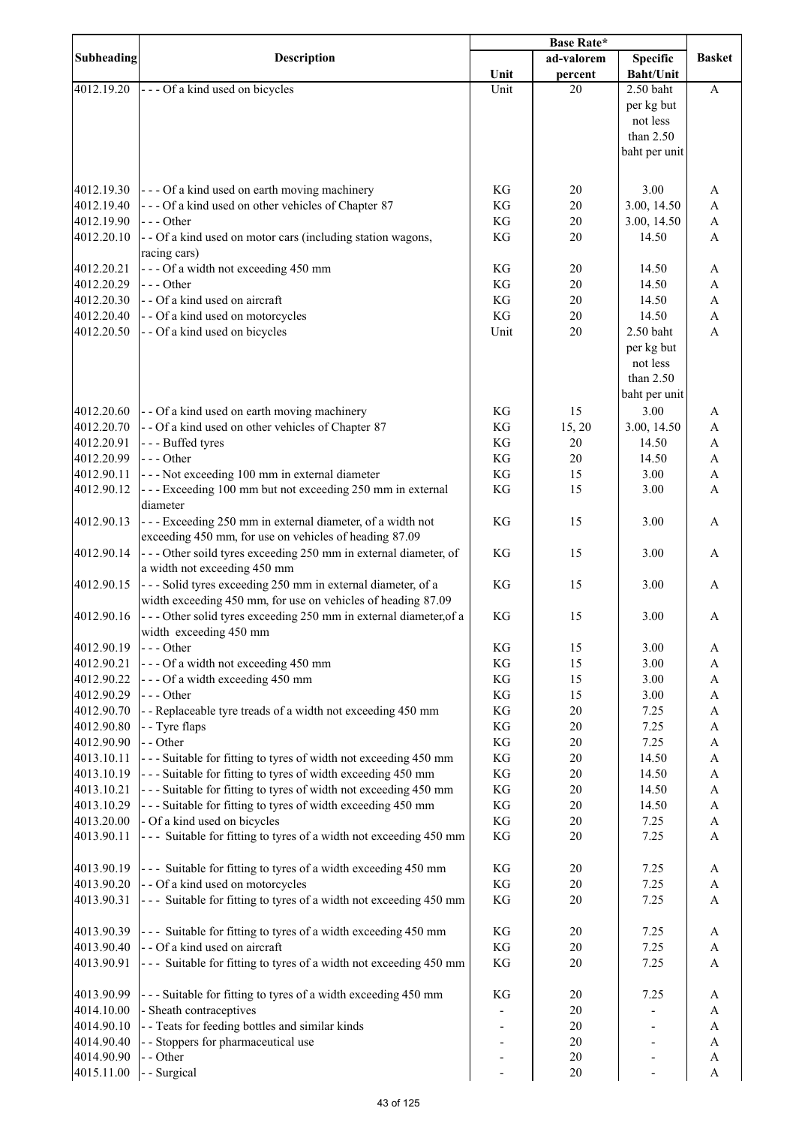|            |                                                                   |      | <b>Base Rate*</b> |                  |               |
|------------|-------------------------------------------------------------------|------|-------------------|------------------|---------------|
| Subheading | <b>Description</b>                                                |      | ad-valorem        | <b>Specific</b>  | <b>Basket</b> |
|            |                                                                   | Unit | percent           | <b>Baht/Unit</b> |               |
| 4012.19.20 | --- Of a kind used on bicycles                                    | Unit | 20                | $2.50$ baht      | A             |
|            |                                                                   |      |                   | per kg but       |               |
|            |                                                                   |      |                   | not less         |               |
|            |                                                                   |      |                   | than $2.50$      |               |
|            |                                                                   |      |                   | baht per unit    |               |
|            |                                                                   |      |                   |                  |               |
|            |                                                                   |      |                   |                  |               |
| 4012.19.30 | --- Of a kind used on earth moving machinery                      | KG   | 20                | 3.00             | A             |
| 4012.19.40 | --- Of a kind used on other vehicles of Chapter 87                | KG   | 20                | 3.00, 14.50      | A             |
| 4012.19.90 | --- Other                                                         | KG   | 20                | 3.00, 14.50      | A             |
| 4012.20.10 | - - Of a kind used on motor cars (including station wagons,       | KG   | 20                | 14.50            | A             |
|            | racing cars)                                                      |      |                   |                  |               |
| 4012.20.21 | --- Of a width not exceeding 450 mm                               | KG   | $20\,$            | 14.50            | A             |
| 4012.20.29 | $--- Other$                                                       | KG   | 20                | 14.50            | A             |
| 4012.20.30 | - - Of a kind used on aircraft                                    | KG   | 20                | 14.50            | $\mathbf{A}$  |
| 4012.20.40 | - - Of a kind used on motorcycles                                 | KG   | 20                | 14.50            | $\mathbf{A}$  |
| 4012.20.50 | - - Of a kind used on bicycles                                    | Unit | 20                | 2.50 baht        | A             |
|            |                                                                   |      |                   | per kg but       |               |
|            |                                                                   |      |                   | not less         |               |
|            |                                                                   |      |                   | than $2.50$      |               |
|            |                                                                   |      |                   | baht per unit    |               |
| 4012.20.60 | - - Of a kind used on earth moving machinery                      | KG   | 15                | 3.00             |               |
|            |                                                                   |      |                   |                  | A             |
| 4012.20.70 | - - Of a kind used on other vehicles of Chapter 87                | KG   | 15, 20            | 3.00, 14.50      | A             |
| 4012.20.91 | --- Buffed tyres                                                  | KG   | 20                | 14.50            | A             |
| 4012.20.99 | $--$ Other                                                        | KG   | 20                | 14.50            | A             |
| 4012.90.11 | --- Not exceeding 100 mm in external diameter                     | KG   | 15                | 3.00             | A             |
| 4012.90.12 | --- Exceeding 100 mm but not exceeding 250 mm in external         | KG   | 15                | 3.00             | A             |
|            | diameter                                                          |      |                   |                  |               |
| 4012.90.13 | --- Exceeding 250 mm in external diameter, of a width not         | KG   | 15                | 3.00             | A             |
|            | exceeding 450 mm, for use on vehicles of heading 87.09            |      |                   |                  |               |
| 4012.90.14 | --- Other soild tyres exceeding 250 mm in external diameter, of   | KG   | 15                | 3.00             | A             |
|            | a width not exceeding 450 mm                                      |      |                   |                  |               |
| 4012.90.15 | --- Solid tyres exceeding 250 mm in external diameter, of a       | KG   | 15                | 3.00             | A             |
|            | width exceeding 450 mm, for use on vehicles of heading 87.09      |      |                   |                  |               |
| 4012.90.16 | --- Other solid tyres exceeding 250 mm in external diameter, of a | KG   | 15                | 3.00             | A             |
|            | width exceeding 450 mm                                            |      |                   |                  |               |
| 4012.90.19 | --- Other                                                         | KG   | 15                | 3.00             | A             |
| 4012.90.21 | --- Of a width not exceeding 450 mm                               | KG   | 15                | 3.00             | A             |
| 4012.90.22 | --- Of a width exceeding 450 mm                                   | KG   | 15                | 3.00             | A             |
| 4012.90.29 | --- Other                                                         | KG   | 15                | 3.00             | A             |
| 4012.90.70 | - - Replaceable tyre treads of a width not exceeding 450 mm       | KG   | 20                | 7.25             | A             |
| 4012.90.80 | - - Tyre flaps                                                    | KG   | 20                | 7.25             | A             |
| 4012.90.90 | - - Other                                                         | KG   | 20                | 7.25             | A             |
| 4013.10.11 | --- Suitable for fitting to tyres of width not exceeding 450 mm   | KG   | 20                | 14.50            | A             |
| 4013.10.19 | --- Suitable for fitting to tyres of width exceeding 450 mm       | KG   | 20                | 14.50            | A             |
| 4013.10.21 | --- Suitable for fitting to tyres of width not exceeding 450 mm   | KG   | 20                | 14.50            | A             |
| 4013.10.29 |                                                                   | KG   | $20\,$            | 14.50            |               |
|            | --- Suitable for fitting to tyres of width exceeding 450 mm       | KG   |                   |                  | A             |
| 4013.20.00 | - Of a kind used on bicycles                                      |      | $20\,$            | 7.25             | A             |
| 4013.90.11 | --- Suitable for fitting to tyres of a width not exceeding 450 mm | KG   | 20                | 7.25             | A             |
|            |                                                                   |      |                   |                  |               |
| 4013.90.19 | --- Suitable for fitting to tyres of a width exceeding 450 mm     | KG   | 20                | 7.25             | A             |
| 4013.90.20 | - - Of a kind used on motorcycles                                 | KG   | 20                | 7.25             | A             |
| 4013.90.31 | --- Suitable for fitting to tyres of a width not exceeding 450 mm | KG   | 20                | 7.25             | A             |
|            |                                                                   |      |                   |                  |               |
| 4013.90.39 | --- Suitable for fitting to tyres of a width exceeding 450 mm     | KG   | 20                | 7.25             | A             |
| 4013.90.40 | - - Of a kind used on aircraft                                    | KG   | 20                | 7.25             | A             |
| 4013.90.91 | --- Suitable for fitting to tyres of a width not exceeding 450 mm | KG   | 20                | 7.25             | A             |
|            |                                                                   |      |                   |                  |               |
| 4013.90.99 | --- Suitable for fitting to tyres of a width exceeding 450 mm     | KG   | 20                | 7.25             | A             |
| 4014.10.00 | - Sheath contraceptives                                           |      | $20\,$            |                  | A             |
| 4014.90.10 | - - Teats for feeding bottles and similar kinds                   |      | 20                |                  | A             |
| 4014.90.40 | - - Stoppers for pharmaceutical use                               |      | $20\,$            |                  | A             |
| 4014.90.90 | - - Other                                                         |      | 20                |                  | A             |
| 4015.11.00 | - Surgical                                                        | ٠    | 20                |                  | A             |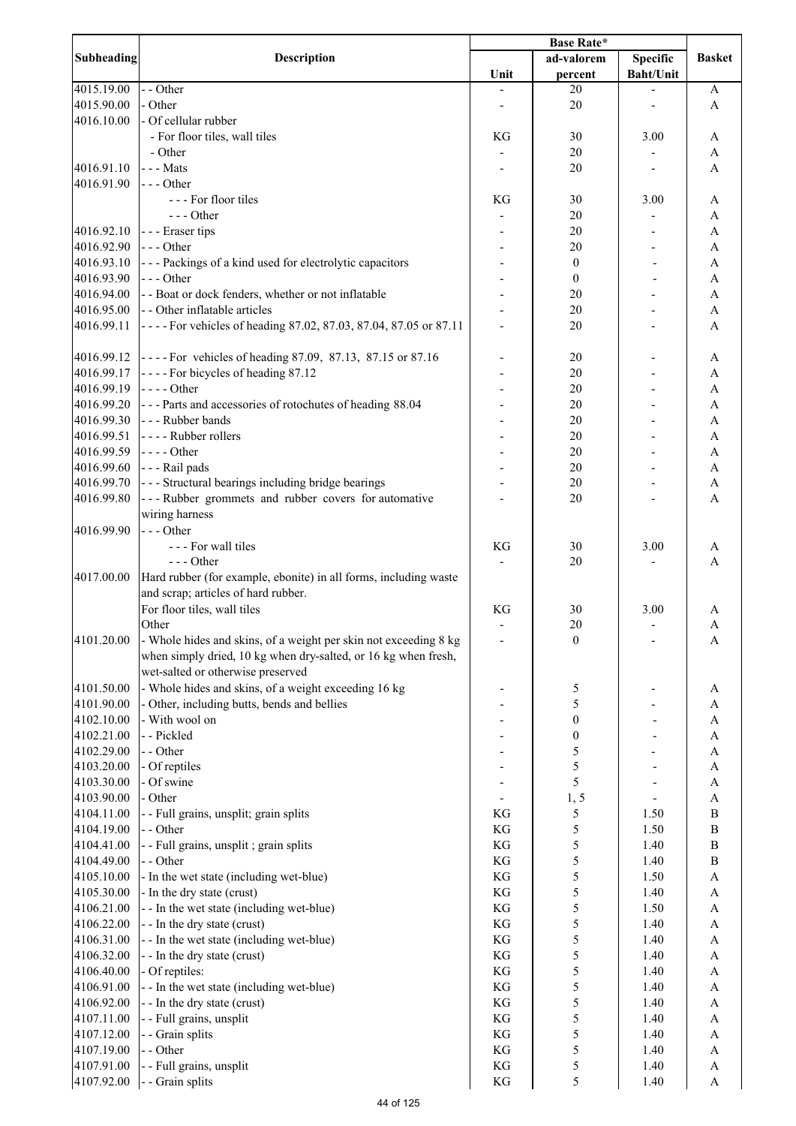|                   |                                                                  | <b>Base Rate*</b>        |                  |                          |                           |
|-------------------|------------------------------------------------------------------|--------------------------|------------------|--------------------------|---------------------------|
| <b>Subheading</b> | <b>Description</b>                                               |                          | ad-valorem       | <b>Specific</b>          | <b>Basket</b>             |
|                   |                                                                  | Unit                     | percent          | <b>Baht/Unit</b>         |                           |
| 4015.19.00        | - - Other                                                        |                          | 20               |                          | A                         |
| 4015.90.00        | - Other                                                          |                          | 20               |                          | A                         |
| 4016.10.00        | - Of cellular rubber                                             |                          |                  |                          |                           |
|                   | - For floor tiles, wall tiles                                    | KG                       | 30               | 3.00                     | A                         |
|                   | - Other                                                          |                          | 20               |                          | A                         |
| 4016.91.10        | - - - Mats                                                       |                          | 20               |                          | A                         |
| 4016.91.90        | $--$ Other                                                       |                          |                  |                          |                           |
|                   | --- For floor tiles                                              |                          |                  |                          |                           |
|                   |                                                                  | KG                       | 30               | 3.00                     | A                         |
|                   | $--- Other$                                                      |                          | 20               |                          | A                         |
| 4016.92.10        | --- Eraser tips                                                  |                          | 20               |                          | A                         |
| 4016.92.90        | $--$ Other                                                       |                          | 20               |                          | A                         |
| 4016.93.10        | --- Packings of a kind used for electrolytic capacitors          |                          | $\boldsymbol{0}$ |                          | A                         |
| 4016.93.90        | $--$ Other                                                       |                          | $\boldsymbol{0}$ |                          | A                         |
| 4016.94.00        | - - Boat or dock fenders, whether or not inflatable              |                          | 20               |                          | A                         |
| 4016.95.00        | - - Other inflatable articles                                    |                          | 20               |                          | A                         |
| 4016.99.11        | ---- For vehicles of heading 87.02, 87.03, 87.04, 87.05 or 87.11 |                          | 20               |                          | $\overline{A}$            |
|                   |                                                                  |                          |                  |                          |                           |
| 4016.99.12        | ---- For vehicles of heading 87.09, 87.13, 87.15 or 87.16        |                          | 20               |                          | A                         |
| 4016.99.17        | ---- For bicycles of heading 87.12                               |                          | 20               |                          | A                         |
| 4016.99.19        | $\left  \text{---}$ Other                                        |                          | 20               |                          | A                         |
| 4016.99.20        | --- Parts and accessories of rotochutes of heading 88.04         |                          | 20               |                          | A                         |
| 4016.99.30        | --- Rubber bands                                                 |                          | 20               |                          | A                         |
| 4016.99.51        | ---- Rubber rollers                                              |                          | 20               |                          | A                         |
| 4016.99.59        | $\left  - - \right $ - Other                                     |                          | 20               |                          | A                         |
| 4016.99.60        | --- Rail pads                                                    |                          | 20               |                          | $\mathbf{A}$              |
| 4016.99.70        | --- Structural bearings including bridge bearings                |                          | 20               |                          | A                         |
| 4016.99.80        | --- Rubber grommets and rubber covers for automative             |                          | 20               |                          | A                         |
|                   |                                                                  |                          |                  |                          |                           |
|                   | wiring harness                                                   |                          |                  |                          |                           |
| 4016.99.90        | $--$ Other                                                       |                          |                  |                          |                           |
|                   | --- For wall tiles                                               | KG                       | 30               | 3.00                     | A                         |
|                   | $--$ Other                                                       |                          | 20               |                          | A                         |
| 4017.00.00        | Hard rubber (for example, ebonite) in all forms, including waste |                          |                  |                          |                           |
|                   | and scrap; articles of hard rubber.                              |                          |                  |                          |                           |
|                   | For floor tiles, wall tiles                                      | KG                       | 30               | 3.00                     | A                         |
|                   | Other                                                            | $\overline{\phantom{a}}$ | 20               | $\overline{\phantom{a}}$ | A                         |
| 4101.20.00        | - Whole hides and skins, of a weight per skin not exceeding 8 kg |                          | $\boldsymbol{0}$ |                          | A                         |
|                   | when simply dried, 10 kg when dry-salted, or 16 kg when fresh,   |                          |                  |                          |                           |
|                   | wet-salted or otherwise preserved                                |                          |                  |                          |                           |
| 4101.50.00        | - Whole hides and skins, of a weight exceeding 16 kg             |                          | 5                |                          | A                         |
| 4101.90.00        | - Other, including butts, bends and bellies                      |                          | 5                |                          | A                         |
| 4102.10.00        | - With wool on                                                   |                          | $\boldsymbol{0}$ |                          | A                         |
| 4102.21.00        | -- Pickled                                                       |                          | $\boldsymbol{0}$ |                          | A                         |
| 4102.29.00        | - - Other                                                        |                          | 5                |                          | $\mathbf{A}$              |
| 4103.20.00        | - Of reptiles                                                    |                          | 5                |                          | $\mathbf{A}$              |
| 4103.30.00        | - Of swine                                                       |                          | 5                |                          | $\mathbf{A}$              |
| 4103.90.00        | - Other                                                          |                          | 1, 5             |                          | $\mathbf{A}$              |
| 4104.11.00        | - - Full grains, unsplit; grain splits                           | KG                       | 5                | 1.50                     | $\, {\bf B}$              |
| 4104.19.00        | - - Other                                                        | KG                       | 5                | 1.50                     | $\, {\bf B}$              |
| 4104.41.00        | - - Full grains, unsplit ; grain splits                          | KG                       | 5                | 1.40                     | $\, {\bf B}$              |
|                   |                                                                  |                          |                  |                          |                           |
| 4104.49.00        | - - Other                                                        | KG                       | 5                | 1.40                     | $\, {\bf B}$              |
| 4105.10.00        | - In the wet state (including wet-blue)                          | KG                       | 5                | 1.50                     | $\mathbf{A}$              |
| 4105.30.00        | - In the dry state (crust)                                       | KG                       | 5                | 1.40                     | $\mathbf{A}$              |
| 4106.21.00        | - - In the wet state (including wet-blue)                        | KG                       | 5                | 1.50                     | $\mathbf{A}$              |
| 4106.22.00        | - - In the dry state (crust)                                     | KG                       | 5                | 1.40                     | A                         |
| 4106.31.00        | - - In the wet state (including wet-blue)                        | $\mathbf{KG}$            | 5                | 1.40                     | A                         |
| 4106.32.00        | - - In the dry state (crust)                                     | KG                       | 5                | 1.40                     | A                         |
| 4106.40.00        | - Of reptiles:                                                   | KG                       | 5                | 1.40                     | $\boldsymbol{\mathsf{A}}$ |
| 4106.91.00        | - - In the wet state (including wet-blue)                        | KG                       | 5                | 1.40                     | A                         |
| 4106.92.00        | - - In the dry state (crust)                                     | KG                       | 5                | 1.40                     | $\mathbf{A}$              |
| 4107.11.00        | - - Full grains, unsplit                                         | KG                       | 5                | 1.40                     | A                         |
| 4107.12.00        | - - Grain splits                                                 | KG                       | 5                | 1.40                     | A                         |
| 4107.19.00        | - - Other                                                        | KG                       | 5                | 1.40                     | A                         |
| 4107.91.00        | - - Full grains, unsplit                                         | KG                       | 5                | 1.40                     | A                         |
| 4107.92.00        | - - Grain splits                                                 | KG                       | 5                | 1.40                     | $\boldsymbol{\rm{A}}$     |
|                   |                                                                  |                          |                  |                          |                           |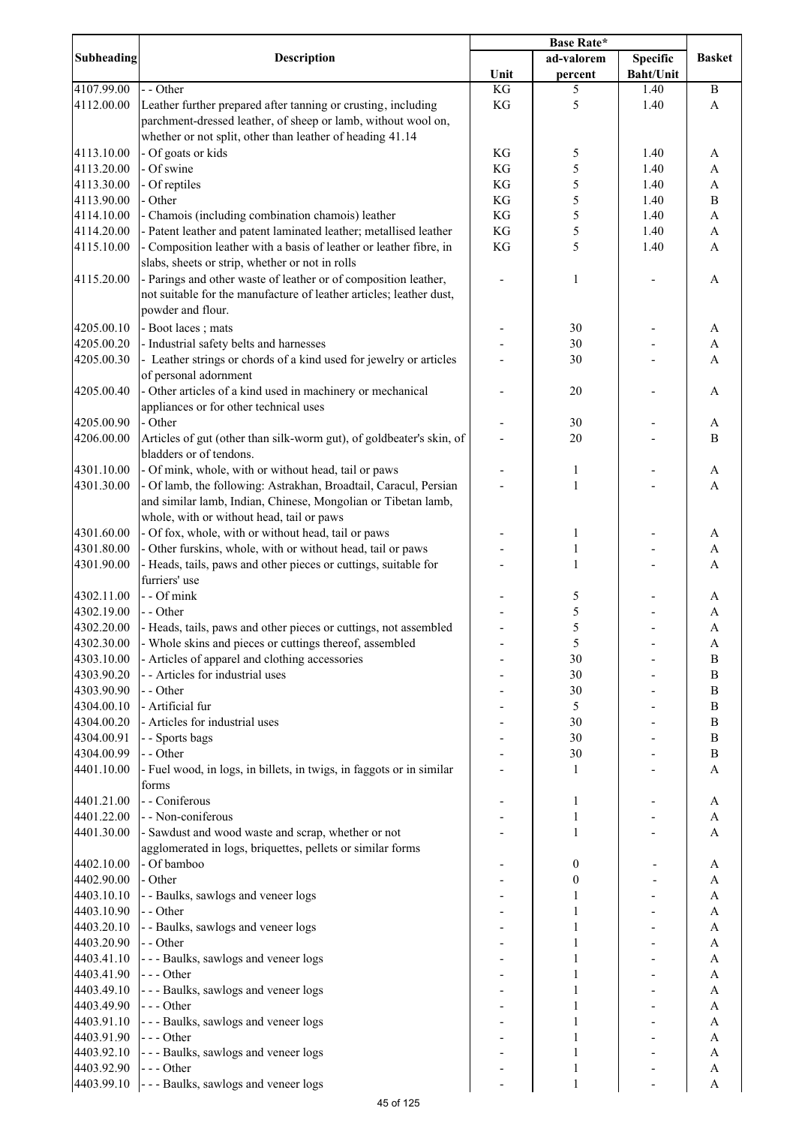|                          |                                                                      | <b>Base Rate*</b> |                  |                  |                           |
|--------------------------|----------------------------------------------------------------------|-------------------|------------------|------------------|---------------------------|
| <b>Subheading</b>        | <b>Description</b>                                                   |                   | ad-valorem       | <b>Specific</b>  | <b>Basket</b>             |
|                          |                                                                      | Unit              | percent          | <b>Baht/Unit</b> |                           |
| 4107.99.00               | - - Other                                                            | KG                | 5                | 1.40             | $\, {\bf B}$              |
| 4112.00.00               | Leather further prepared after tanning or crusting, including        | KG                | 5                | 1.40             | A                         |
|                          | parchment-dressed leather, of sheep or lamb, without wool on,        |                   |                  |                  |                           |
|                          | whether or not split, other than leather of heading 41.14            |                   |                  |                  |                           |
| 4113.10.00               | - Of goats or kids                                                   | KG                | 5                | 1.40             | A                         |
| 4113.20.00               | - Of swine                                                           | KG                | 5                | 1.40             | A                         |
| 4113.30.00               | - Of reptiles                                                        | KG                | 5                | 1.40             | $\boldsymbol{\mathsf{A}}$ |
| 4113.90.00               | - Other                                                              | KG                | 5                | 1.40             | $\, {\bf B}$              |
| 4114.10.00               | - Chamois (including combination chamois) leather                    | KG                | 5                | 1.40             | $\boldsymbol{\rm{A}}$     |
| 4114.20.00               | - Patent leather and patent laminated leather; metallised leather    | KG                | 5                | 1.40             | $\boldsymbol{\mathsf{A}}$ |
| 4115.10.00               | - Composition leather with a basis of leather or leather fibre, in   | KG                | 5                | 1.40             | A                         |
|                          | slabs, sheets or strip, whether or not in rolls                      |                   |                  |                  |                           |
| 4115.20.00               | - Parings and other waste of leather or of composition leather,      |                   | 1                |                  | A                         |
|                          | not suitable for the manufacture of leather articles; leather dust,  |                   |                  |                  |                           |
|                          | powder and flour.                                                    |                   |                  |                  |                           |
| 4205.00.10               | - Boot laces; mats                                                   |                   | 30               |                  | A                         |
| 4205.00.20               | - Industrial safety belts and harnesses                              |                   | 30               |                  | A                         |
| 4205.00.30               | - Leather strings or chords of a kind used for jewelry or articles   |                   | 30               |                  | A                         |
|                          | of personal adornment                                                |                   |                  |                  |                           |
| 4205.00.40               | - Other articles of a kind used in machinery or mechanical           |                   | 20               |                  | A                         |
|                          | appliances or for other technical uses                               |                   |                  |                  |                           |
| 4205.00.90               | - Other                                                              |                   | 30               |                  | A                         |
| 4206.00.00               | Articles of gut (other than silk-worm gut), of goldbeater's skin, of |                   | 20               |                  | $\bf{B}$                  |
|                          | bladders or of tendons.                                              |                   |                  |                  |                           |
| 4301.10.00               | - Of mink, whole, with or without head, tail or paws                 |                   | 1                |                  | A                         |
| 4301.30.00               | - Of lamb, the following: Astrakhan, Broadtail, Caracul, Persian     |                   | 1                |                  | $\mathbf{A}$              |
|                          | and similar lamb, Indian, Chinese, Mongolian or Tibetan lamb,        |                   |                  |                  |                           |
|                          | whole, with or without head, tail or paws                            |                   |                  |                  |                           |
| 4301.60.00               | - Of fox, whole, with or without head, tail or paws                  |                   | 1                |                  | A                         |
| 4301.80.00               | - Other furskins, whole, with or without head, tail or paws          |                   | 1                |                  | $\boldsymbol{\rm{A}}$     |
| 4301.90.00               | - Heads, tails, paws and other pieces or cuttings, suitable for      |                   | $\mathbf{1}$     |                  | A                         |
|                          | furriers' use                                                        |                   |                  |                  |                           |
| 4302.11.00               | - - Of mink                                                          |                   | 5                |                  | A                         |
| 4302.19.00               | - - Other                                                            |                   | 5                |                  | $\mathbf A$               |
| 4302.20.00               | - Heads, tails, paws and other pieces or cuttings, not assembled     |                   | 5                |                  | $\mathbf{A}$              |
| 4302.30.00               | - Whole skins and pieces or cuttings thereof, assembled              |                   | $\sqrt{5}$       |                  | A                         |
| 4303.10.00               | - Articles of apparel and clothing accessories                       |                   | 30               |                  | $\bf{B}$                  |
| 4303.90.20               | - - Articles for industrial uses                                     |                   | 30               |                  | $\, {\bf B}$              |
| 4303.90.90               | - - Other                                                            |                   | 30               |                  | $\, {\bf B}$              |
| 4304.00.10               | - Artificial fur                                                     |                   | 5                |                  | $\bf{B}$                  |
| 4304.00.20               | - Articles for industrial uses                                       |                   | 30               |                  | $\, {\bf B}$              |
| 4304.00.91               | - - Sports bags                                                      |                   | 30               |                  | $\, {\bf B}$              |
| 4304.00.99               | - - Other                                                            |                   | 30               |                  | $\, {\bf B}$              |
| 4401.10.00               | - Fuel wood, in logs, in billets, in twigs, in faggots or in similar |                   | 1                |                  | A                         |
|                          | forms                                                                |                   |                  |                  |                           |
| 4401.21.00               | - - Coniferous                                                       |                   | 1                |                  | A                         |
| 4401.22.00               | - - Non-coniferous                                                   |                   | 1                |                  | A                         |
| 4401.30.00               | - Sawdust and wood waste and scrap, whether or not                   |                   | 1                |                  | A                         |
|                          | agglomerated in logs, briquettes, pellets or similar forms           |                   |                  |                  |                           |
| 4402.10.00               | - Of bamboo                                                          |                   | $\boldsymbol{0}$ |                  | A                         |
| 4402.90.00               | - Other                                                              |                   | $\boldsymbol{0}$ |                  | A                         |
| 4403.10.10               | - - Baulks, sawlogs and veneer logs                                  |                   | 1                |                  | A                         |
| 4403.10.90               | - - Other                                                            |                   |                  |                  | $\boldsymbol{\mathsf{A}}$ |
| 4403.20.10               | - - Baulks, sawlogs and veneer logs                                  |                   |                  |                  | $\boldsymbol{\mathsf{A}}$ |
| 4403.20.90               | - - Other                                                            |                   |                  |                  | $\boldsymbol{\rm{A}}$     |
|                          | --- Baulks, sawlogs and veneer logs                                  |                   |                  |                  | $\boldsymbol{\rm{A}}$     |
| 4403.41.10<br>4403.41.90 | $--- Other$                                                          |                   |                  |                  | A                         |
| 4403.49.10               |                                                                      |                   |                  |                  | $\boldsymbol{\rm{A}}$     |
| 4403.49.90               | --- Baulks, sawlogs and veneer logs<br>$--- Other$                   |                   |                  |                  | A                         |
| 4403.91.10               | --- Baulks, sawlogs and veneer logs                                  |                   | 1                |                  | A                         |
|                          |                                                                      |                   |                  |                  |                           |
| 4403.91.90<br>4403.92.10 | --- Other                                                            |                   | 1                |                  | A<br>A                    |
| 4403.92.90               | --- Baulks, sawlogs and veneer logs<br>$--- Other$                   |                   |                  |                  |                           |
| 4403.99.10               |                                                                      |                   | 1                |                  | $\boldsymbol{A}$          |
|                          | --- Baulks, sawlogs and veneer logs                                  |                   | $\mathbf{1}$     |                  | $\boldsymbol{\mathsf{A}}$ |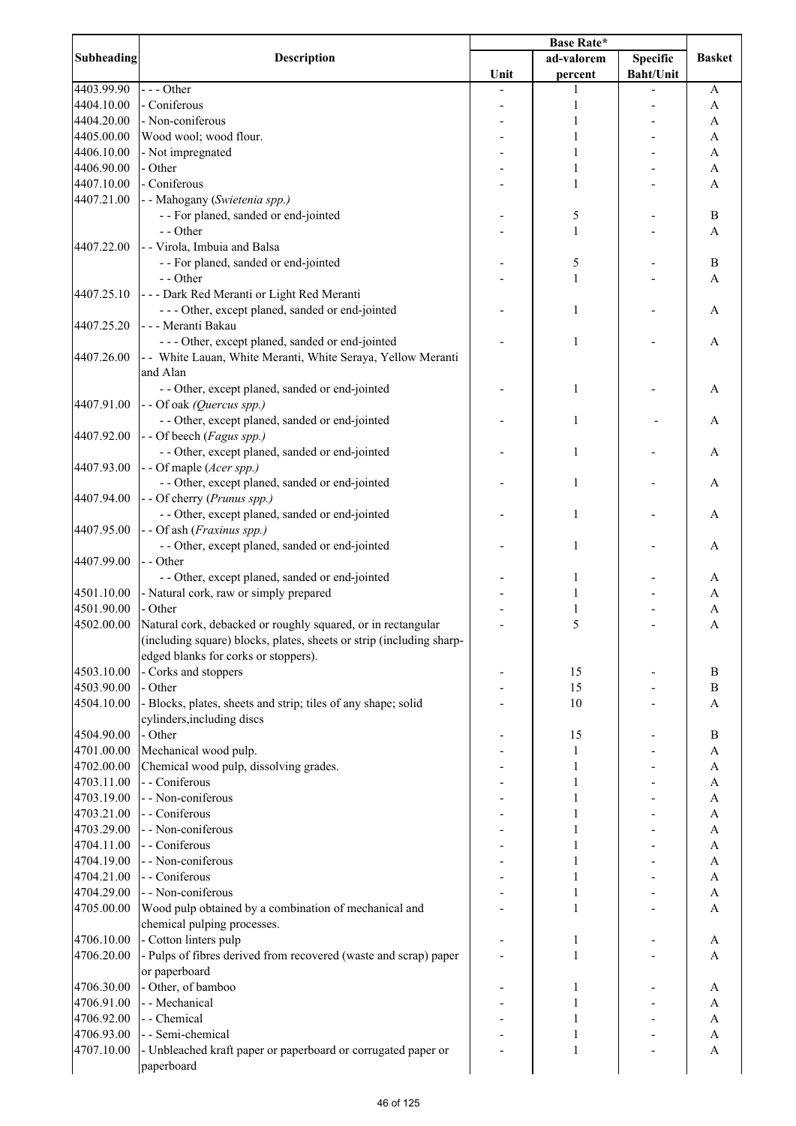|                   |                                                                      | <b>Base Rate*</b> |              |                  |                           |
|-------------------|----------------------------------------------------------------------|-------------------|--------------|------------------|---------------------------|
| <b>Subheading</b> | <b>Description</b>                                                   |                   | ad-valorem   | <b>Specific</b>  | <b>Basket</b>             |
|                   |                                                                      | Unit              | percent      | <b>Baht/Unit</b> |                           |
| 4403.99.90        | $--$ Other                                                           |                   | 1            |                  | A                         |
| 4404.10.00        | - Coniferous                                                         |                   | 1            |                  | A                         |
| 4404.20.00        | - Non-coniferous                                                     |                   | 1            |                  | A                         |
| 4405.00.00        | Wood wool; wood flour.                                               |                   | 1            |                  | A                         |
| 4406.10.00        | - Not impregnated                                                    |                   | 1            |                  | A                         |
| 4406.90.00        | - Other                                                              |                   | 1            |                  | A                         |
| 4407.10.00        | - Coniferous                                                         |                   | 1            |                  | A                         |
| 4407.21.00        | - - Mahogany (Swietenia spp.)                                        |                   |              |                  |                           |
|                   | - - For planed, sanded or end-jointed                                |                   | 5            |                  | $\, {\bf B}$              |
|                   | - - Other                                                            |                   | $\mathbf{1}$ |                  | A                         |
| 4407.22.00        | - - Virola, Imbuia and Balsa                                         |                   |              |                  |                           |
|                   | - - For planed, sanded or end-jointed                                |                   | 5            |                  | $\, {\bf B}$              |
|                   |                                                                      |                   |              |                  |                           |
|                   | - - Other                                                            |                   | 1            |                  | A                         |
| 4407.25.10        | --- Dark Red Meranti or Light Red Meranti                            |                   |              |                  |                           |
|                   | --- Other, except planed, sanded or end-jointed                      |                   | 1            |                  | A                         |
| 4407.25.20        | - - - Meranti Bakau                                                  |                   |              |                  |                           |
|                   | --- Other, except planed, sanded or end-jointed                      |                   | 1            |                  | A                         |
| 4407.26.00        | - - White Lauan, White Meranti, White Seraya, Yellow Meranti         |                   |              |                  |                           |
|                   | and Alan                                                             |                   |              |                  |                           |
|                   | - - Other, except planed, sanded or end-jointed                      |                   | 1            |                  | A                         |
| 4407.91.00        | - - Of oak (Quercus spp.)                                            |                   |              |                  |                           |
|                   | - - Other, except planed, sanded or end-jointed                      |                   | 1            |                  | А                         |
| 4407.92.00        | - - Of beech (Fagus spp.)                                            |                   |              |                  |                           |
|                   | - - Other, except planed, sanded or end-jointed                      |                   | $\mathbf{1}$ |                  | A                         |
| 4407.93.00        | - - Of maple (Acer spp.)                                             |                   |              |                  |                           |
|                   | - - Other, except planed, sanded or end-jointed                      |                   | 1            |                  | A                         |
| 4407.94.00        | - - Of cherry (Prunus spp.)                                          |                   |              |                  |                           |
|                   | - - Other, except planed, sanded or end-jointed                      |                   | 1            |                  | Α                         |
| 4407.95.00        | - - Of ash (Fraxinus spp.)                                           |                   |              |                  |                           |
|                   |                                                                      |                   |              |                  |                           |
|                   | - - Other, except planed, sanded or end-jointed                      |                   | 1            |                  | A                         |
| 4407.99.00        | - - Other                                                            |                   |              |                  |                           |
|                   | - - Other, except planed, sanded or end-jointed                      |                   | 1            |                  | Α                         |
| 4501.10.00        | - Natural cork, raw or simply prepared                               |                   |              |                  | A                         |
| 4501.90.00        | - Other                                                              |                   |              |                  | A                         |
| 4502.00.00        | Natural cork, debacked or roughly squared, or in rectangular         |                   | 5            |                  | A                         |
|                   | (including square) blocks, plates, sheets or strip (including sharp- |                   |              |                  |                           |
|                   | edged blanks for corks or stoppers).                                 |                   |              |                  |                           |
| 4503.10.00        | - Corks and stoppers                                                 |                   | 15           |                  | B                         |
| 4503.90.00        | - Other                                                              |                   | 15           |                  | B                         |
| 4504.10.00        | - Blocks, plates, sheets and strip; tiles of any shape; solid        |                   | 10           |                  | A                         |
|                   | cylinders, including discs                                           |                   |              |                  |                           |
| 4504.90.00        | - Other                                                              |                   | 15           |                  | $\bf{B}$                  |
| 4701.00.00        | Mechanical wood pulp.                                                |                   | 1            |                  | $\boldsymbol{\mathsf{A}}$ |
| 4702.00.00        | Chemical wood pulp, dissolving grades.                               |                   | 1            |                  | A                         |
| 4703.11.00        | - - Coniferous                                                       |                   |              |                  | $\boldsymbol{\mathsf{A}}$ |
| 4703.19.00        | - - Non-coniferous                                                   |                   |              |                  | A                         |
|                   | - - Coniferous                                                       |                   |              |                  |                           |
| 4703.21.00        |                                                                      |                   |              |                  | A                         |
| 4703.29.00        | - - Non-coniferous                                                   |                   |              |                  | A                         |
| 4704.11.00        | - - Coniferous                                                       |                   |              |                  | A                         |
| 4704.19.00        | - - Non-coniferous                                                   |                   |              |                  | A                         |
| 4704.21.00        | - - Coniferous                                                       |                   | 1            |                  | A                         |
| 4704.29.00        | - - Non-coniferous                                                   |                   | 1            |                  | A                         |
| 4705.00.00        | Wood pulp obtained by a combination of mechanical and                |                   | 1            |                  | A                         |
|                   | chemical pulping processes.                                          |                   |              |                  |                           |
| 4706.10.00        | - Cotton linters pulp                                                |                   | 1            |                  | A                         |
| 4706.20.00        | - Pulps of fibres derived from recovered (waste and scrap) paper     |                   | 1            |                  | A                         |
|                   | or paperboard                                                        |                   |              |                  |                           |
| 4706.30.00        | - Other, of bamboo                                                   |                   | 1            |                  | A                         |
| 4706.91.00        | - - Mechanical                                                       |                   | 1            |                  | A                         |
| 4706.92.00        | - - Chemical                                                         |                   |              |                  | A                         |
| 4706.93.00        | - - Semi-chemical                                                    |                   | 1            |                  | A                         |
| 4707.10.00        | - Unbleached kraft paper or paperboard or corrugated paper or        |                   | 1            |                  | A                         |
|                   | paperboard                                                           |                   |              |                  |                           |
|                   |                                                                      |                   |              |                  |                           |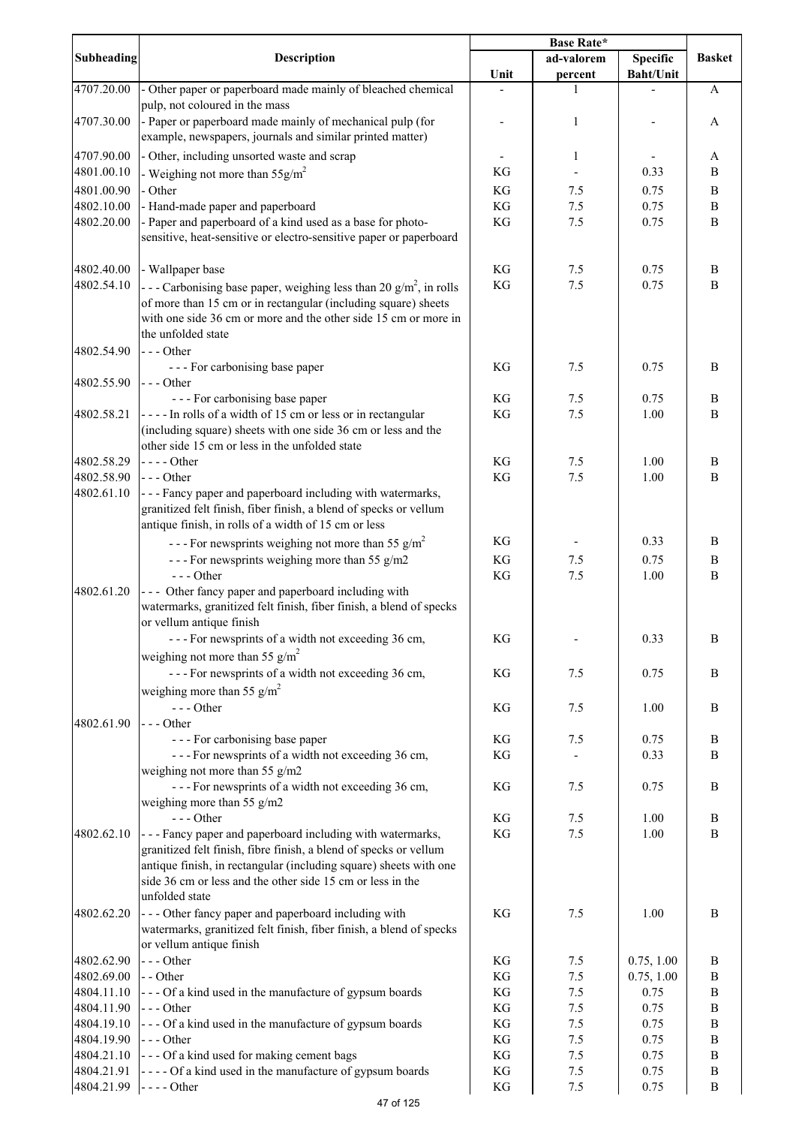|                   |                                                                                                                                                                                                                                                                     | <b>Base Rate*</b> |              |                  |               |
|-------------------|---------------------------------------------------------------------------------------------------------------------------------------------------------------------------------------------------------------------------------------------------------------------|-------------------|--------------|------------------|---------------|
| <b>Subheading</b> | <b>Description</b>                                                                                                                                                                                                                                                  |                   | ad-valorem   | <b>Specific</b>  | <b>Basket</b> |
|                   |                                                                                                                                                                                                                                                                     | Unit              | percent      | <b>Baht/Unit</b> |               |
| 4707.20.00        | - Other paper or paperboard made mainly of bleached chemical<br>pulp, not coloured in the mass                                                                                                                                                                      |                   | 1            |                  | A             |
| 4707.30.00        | - Paper or paperboard made mainly of mechanical pulp (for                                                                                                                                                                                                           |                   | 1            |                  | A             |
|                   | example, newspapers, journals and similar printed matter)                                                                                                                                                                                                           |                   |              |                  |               |
| 4707.90.00        | - Other, including unsorted waste and scrap                                                                                                                                                                                                                         |                   | 1            |                  |               |
| 4801.00.10        |                                                                                                                                                                                                                                                                     | KG                |              | 0.33             | A<br>B        |
|                   | - Weighing not more than $55 \text{g/m}^2$                                                                                                                                                                                                                          |                   |              |                  |               |
| 4801.00.90        | - Other                                                                                                                                                                                                                                                             | KG                | 7.5          | 0.75             | $\, {\bf B}$  |
| 4802.10.00        | - Hand-made paper and paperboard                                                                                                                                                                                                                                    | KG                | 7.5          | 0.75             | $\, {\bf B}$  |
| 4802.20.00        | - Paper and paperboard of a kind used as a base for photo-<br>sensitive, heat-sensitive or electro-sensitive paper or paperboard                                                                                                                                    | KG                | 7.5          | 0.75             | B             |
| 4802.40.00        | - Wallpaper base                                                                                                                                                                                                                                                    | KG                | 7.5          | 0.75             | B             |
| 4802.54.10        | - - - Carbonising base paper, weighing less than 20 g/m <sup>2</sup> , in rolls                                                                                                                                                                                     | KG                | $7.5$        | 0.75             | B             |
|                   | of more than 15 cm or in rectangular (including square) sheets<br>with one side 36 cm or more and the other side 15 cm or more in<br>the unfolded state                                                                                                             |                   |              |                  |               |
| 4802.54.90        | $--$ Other                                                                                                                                                                                                                                                          |                   |              |                  |               |
|                   | --- For carbonising base paper                                                                                                                                                                                                                                      | KG                | 7.5          | 0.75             | B             |
| 4802.55.90        | $--$ Other                                                                                                                                                                                                                                                          |                   |              |                  |               |
|                   | --- For carbonising base paper                                                                                                                                                                                                                                      | KG                | 7.5          | 0.75             | B             |
| 4802.58.21        | ---- In rolls of a width of 15 cm or less or in rectangular<br>(including square) sheets with one side 36 cm or less and the<br>other side 15 cm or less in the unfolded state                                                                                      | KG                | 7.5          | 1.00             | $\, {\bf B}$  |
| 4802.58.29        | $---Other$                                                                                                                                                                                                                                                          | KG                | 7.5          | 1.00             | B             |
| 4802.58.90        | $--$ Other                                                                                                                                                                                                                                                          | KG                | $7.5$        | 1.00             | B             |
| 4802.61.10        | - - - Fancy paper and paperboard including with watermarks,<br>granitized felt finish, fiber finish, a blend of specks or vellum<br>antique finish, in rolls of a width of 15 cm or less                                                                            |                   |              |                  |               |
|                   | - - - For newsprints weighing not more than 55 $g/m^2$                                                                                                                                                                                                              | KG                |              | 0.33             | B             |
|                   | --- For newsprints weighing more than 55 g/m2                                                                                                                                                                                                                       | KG                | 7.5          | 0.75             | B             |
|                   | $---Other$                                                                                                                                                                                                                                                          | KG                | 7.5          | 1.00             | $\, {\bf B}$  |
| 4802.61.20        | - - - Other fancy paper and paperboard including with<br>watermarks, granitized felt finish, fiber finish, a blend of specks<br>or vellum antique finish                                                                                                            |                   |              |                  |               |
|                   | --- For newsprints of a width not exceeding 36 cm,                                                                                                                                                                                                                  | KG                |              | 0.33             | B             |
|                   | weighing not more than 55 $g/m^2$                                                                                                                                                                                                                                   |                   |              |                  |               |
|                   | --- For newsprints of a width not exceeding 36 cm,                                                                                                                                                                                                                  | KG                | 7.5          | 0.75             | B             |
|                   | weighing more than 55 $g/m^2$                                                                                                                                                                                                                                       |                   |              |                  |               |
|                   | --- Other                                                                                                                                                                                                                                                           |                   |              |                  |               |
| 4802.61.90        | $--$ Other                                                                                                                                                                                                                                                          | KG                | 7.5          | 1.00             | $\bf{B}$      |
|                   | --- For carbonising base paper                                                                                                                                                                                                                                      | KG                | 7.5          | 0.75             | $\, {\bf B}$  |
|                   | --- For newsprints of a width not exceeding 36 cm,                                                                                                                                                                                                                  | KG                |              | 0.33             | B             |
|                   | weighing not more than 55 g/m2                                                                                                                                                                                                                                      |                   |              |                  |               |
|                   | --- For newsprints of a width not exceeding 36 cm,                                                                                                                                                                                                                  | KG                | 7.5          | 0.75             | $\bf{B}$      |
|                   | weighing more than 55 g/m2<br>$---Other$                                                                                                                                                                                                                            |                   |              |                  |               |
| 4802.62.10        | - - - Fancy paper and paperboard including with watermarks,<br>granitized felt finish, fibre finish, a blend of specks or vellum<br>antique finish, in rectangular (including square) sheets with one<br>side 36 cm or less and the other side 15 cm or less in the | KG<br>KG          | 7.5<br>$7.5$ | 1.00<br>1.00     | $\bf{B}$<br>B |
|                   | unfolded state                                                                                                                                                                                                                                                      |                   |              |                  |               |
| 4802.62.20        | --- Other fancy paper and paperboard including with<br>watermarks, granitized felt finish, fiber finish, a blend of specks<br>or vellum antique finish                                                                                                              | KG                | 7.5          | 1.00             | B             |
| 4802.62.90        | --- Other                                                                                                                                                                                                                                                           | KG                | 7.5          | 0.75, 1.00       | B             |
| 4802.69.00        | - - Other                                                                                                                                                                                                                                                           | KG                | $7.5$        | 0.75, 1.00       | B             |
| 4804.11.10        | --- Of a kind used in the manufacture of gypsum boards                                                                                                                                                                                                              | KG                | 7.5          | 0.75             | $\, {\bf B}$  |
| 4804.11.90        | --- Other                                                                                                                                                                                                                                                           | KG                | 7.5          | 0.75             | $\, {\bf B}$  |
| 4804.19.10        | --- Of a kind used in the manufacture of gypsum boards                                                                                                                                                                                                              | KG                | 7.5          | 0.75             | $\, {\bf B}$  |
| 4804.19.90        | --- Other                                                                                                                                                                                                                                                           | KG                | 7.5          | 0.75             | $\, {\bf B}$  |
| 4804.21.10        | --- Of a kind used for making cement bags                                                                                                                                                                                                                           | KG                | $7.5$        | 0.75             | $\, {\bf B}$  |
| 4804.21.91        | - - - - Of a kind used in the manufacture of gypsum boards                                                                                                                                                                                                          | KG                | $7.5\,$      | 0.75             | $\, {\bf B}$  |
| 4804.21.99        | $---Other$                                                                                                                                                                                                                                                          | KG                | $7.5\,$      | 0.75             | $\, {\bf B}$  |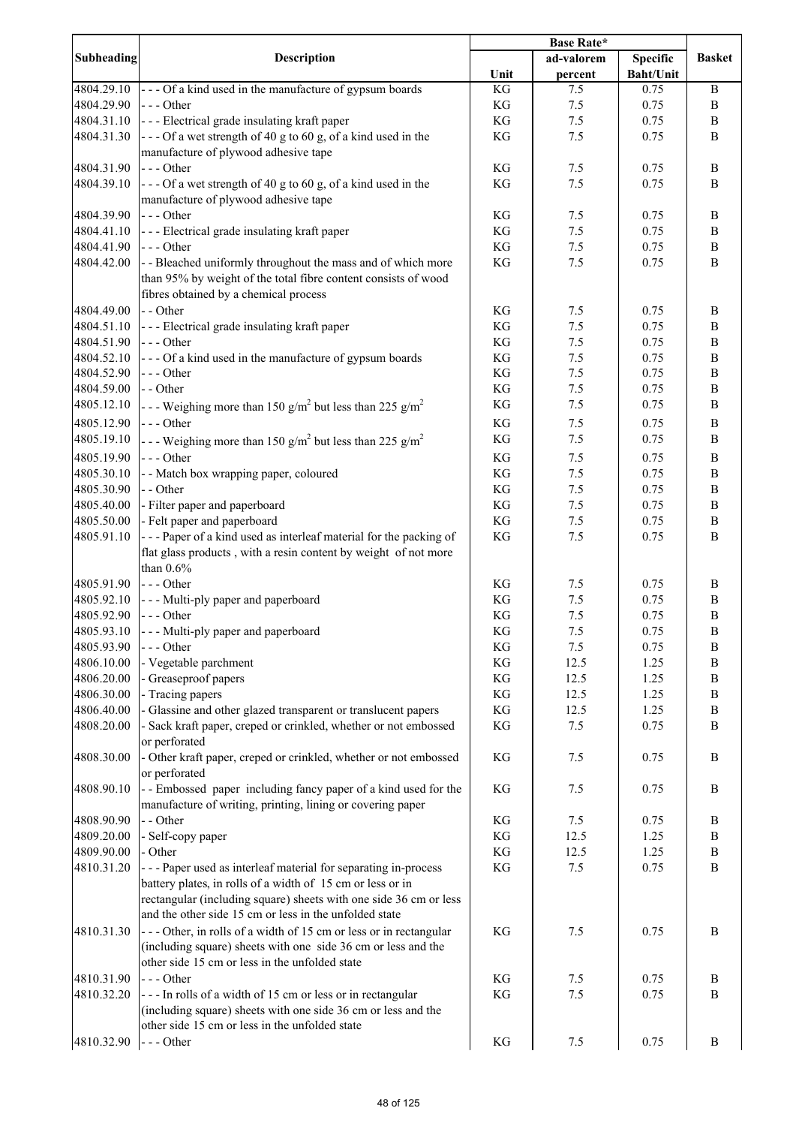|                          |                                                                                           | <b>Base Rate*</b>   |            |                  |                          |
|--------------------------|-------------------------------------------------------------------------------------------|---------------------|------------|------------------|--------------------------|
| <b>Subheading</b>        | Description                                                                               |                     | ad-valorem | <b>Specific</b>  | <b>Basket</b>            |
|                          |                                                                                           | Unit                | percent    | <b>Baht/Unit</b> |                          |
| 4804.29.10               | --- Of a kind used in the manufacture of gypsum boards                                    | KG                  | 7.5        | 0.75             | $\, {\bf B}$             |
| 4804.29.90               | $--$ Other                                                                                | KG                  | 7.5        | 0.75             | B                        |
| 4804.31.10               | --- Electrical grade insulating kraft paper                                               | $\mathbf{KG}$       | 7.5        | 0.75             | B                        |
| 4804.31.30               | $\left  \frac{1}{2} \right $ - - Of a wet strength of 40 g to 60 g, of a kind used in the | KG                  | 7.5        | 0.75             | B                        |
|                          | manufacture of plywood adhesive tape                                                      |                     |            |                  |                          |
| 4804.31.90               | $--$ Other                                                                                | KG                  | 7.5        | 0.75             | $\, {\bf B}$             |
| 4804.39.10               | $\left  -\right $ - - Of a wet strength of 40 g to 60 g, of a kind used in the            | KG                  | 7.5        | 0.75             | B                        |
|                          | manufacture of plywood adhesive tape                                                      |                     |            |                  |                          |
| 4804.39.90               | $--$ Other                                                                                | KG                  | 7.5        | 0.75             | B                        |
| 4804.41.10               | --- Electrical grade insulating kraft paper                                               | KG                  | 7.5        | 0.75             | $\, {\bf B}$             |
| 4804.41.90               | $--$ Other                                                                                | KG                  | 7.5        | 0.75             | $\, {\bf B}$             |
| 4804.42.00               | - - Bleached uniformly throughout the mass and of which more                              | KG                  | 7.5        | 0.75             | $\bf{B}$                 |
|                          | than 95% by weight of the total fibre content consists of wood                            |                     |            |                  |                          |
|                          | fibres obtained by a chemical process                                                     |                     |            |                  |                          |
| 4804.49.00<br>4804.51.10 | - - Other                                                                                 | KG<br>KG            | 7.5<br>7.5 | 0.75<br>0.75     | B<br>$\, {\bf B}$        |
| 4804.51.90               | --- Electrical grade insulating kraft paper<br>$--$ Other                                 | $\mathbf{KG}$       | 7.5        | 0.75             | $\, {\bf B}$             |
| 4804.52.10               | --- Of a kind used in the manufacture of gypsum boards                                    | KG                  | 7.5        | 0.75             | $\, {\bf B}$             |
| 4804.52.90               | $--- Other$                                                                               | $\mathbf{KG}$       | 7.5        | 0.75             | $\, {\bf B}$             |
| 4804.59.00               | - - Other                                                                                 | $\mathbf{KG}$       | 7.5        | 0.75             | $\, {\bf B}$             |
| 4805.12.10               |                                                                                           | $\mathbf{KG}$       | 7.5        | 0.75             | $\, {\bf B}$             |
|                          | - - - Weighing more than 150 g/m <sup>2</sup> but less than 225 g/m <sup>2</sup>          |                     |            |                  |                          |
| 4805.12.90               | $--$ Other                                                                                | $\mathbf{KG}$       | 7.5        | 0.75             | $\, {\bf B}$             |
| 4805.19.10               | - - - Weighing more than 150 g/m <sup>2</sup> but less than 225 g/m <sup>2</sup>          | $\mathbf{KG}$       | 7.5        | 0.75             | $\, {\bf B}$             |
| 4805.19.90               | $--$ Other                                                                                | KG                  | 7.5        | 0.75             | $\, {\bf B}$             |
| 4805.30.10               | - - Match box wrapping paper, coloured                                                    | $\mathbf{KG}$       | 7.5        | 0.75             | $\, {\bf B}$             |
| 4805.30.90               | - - Other                                                                                 | KG                  | 7.5        | 0.75             | $\, {\bf B}$             |
| 4805.40.00               | - Filter paper and paperboard                                                             | $\mathbf{KG}$       | 7.5        | 0.75             | $\, {\bf B}$             |
| 4805.50.00               | - Felt paper and paperboard                                                               | $\mathbf{KG}$       | 7.5        | 0.75             | $\, {\bf B}$             |
| 4805.91.10               | --- Paper of a kind used as interleaf material for the packing of                         | KG                  | 7.5        | 0.75             | $\bf{B}$                 |
|                          | flat glass products, with a resin content by weight of not more                           |                     |            |                  |                          |
|                          | than $0.6\%$                                                                              |                     |            |                  |                          |
| 4805.91.90               | $--$ Other                                                                                | KG                  | 7.5        | 0.75             | B                        |
| 4805.92.10<br>4805.92.90 | - - - Multi-ply paper and paperboard                                                      | KG                  | 7.5        | 0.75             | $\, {\bf B}$             |
|                          | $--$ Other                                                                                | $\mathbf{KG}$<br>KG | 7.5<br>7.5 | 0.75<br>0.75     | $\, {\bf B}$<br>$\bf{B}$ |
| 4805.93.90               | $4805.93.10$ - - Multi-ply paper and paperboard<br>$--$ Other                             | KG                  | 7.5        | 0.75             | B                        |
| 4806.10.00               | - Vegetable parchment                                                                     | KG                  | 12.5       | 1.25             | B                        |
| 4806.20.00               | - Greaseproof papers                                                                      | $\mathbf{KG}$       | 12.5       | 1.25             | $\, {\bf B}$             |
| 4806.30.00               | - Tracing papers                                                                          | $\mathbf{KG}$       | 12.5       | 1.25             | $\, {\bf B}$             |
| 4806.40.00               | Glassine and other glazed transparent or translucent papers                               | $\mathbf{KG}$       | 12.5       | 1.25             | $\, {\bf B}$             |
| 4808.20.00               | - Sack kraft paper, creped or crinkled, whether or not embossed                           | $\mathbf{KG}$       | 7.5        | 0.75             | $\bf{B}$                 |
|                          | or perforated                                                                             |                     |            |                  |                          |
| 4808.30.00               | - Other kraft paper, creped or crinkled, whether or not embossed                          | KG                  | 7.5        | 0.75             | B                        |
|                          | or perforated                                                                             |                     |            |                  |                          |
| 4808.90.10               | -- Embossed paper including fancy paper of a kind used for the                            | KG                  | 7.5        | 0.75             | $\bf{B}$                 |
|                          | manufacture of writing, printing, lining or covering paper                                |                     |            |                  |                          |
| 4808.90.90               | - - Other                                                                                 | KG                  | 7.5        | 0.75             | $\, {\bf B}$             |
| 4809.20.00               | - Self-copy paper                                                                         | $\mathbf{KG}$       | 12.5       | 1.25             | B                        |
| 4809.90.00               | - Other                                                                                   | KG                  | 12.5       | 1.25             | $\, {\bf B}$             |
| 4810.31.20               | --- Paper used as interleaf material for separating in-process                            | KG                  | $7.5\,$    | 0.75             | B                        |
|                          | battery plates, in rolls of a width of 15 cm or less or in                                |                     |            |                  |                          |
|                          | rectangular (including square) sheets with one side 36 cm or less                         |                     |            |                  |                          |
|                          | and the other side 15 cm or less in the unfolded state                                    |                     |            |                  |                          |
| 4810.31.30               | --- Other, in rolls of a width of 15 cm or less or in rectangular                         | KG                  | 7.5        | 0.75             | $\bf{B}$                 |
|                          | (including square) sheets with one side 36 cm or less and the                             |                     |            |                  |                          |
|                          | other side 15 cm or less in the unfolded state                                            |                     |            |                  |                          |
| 4810.31.90               | $--$ Other                                                                                | KG                  | 7.5        | 0.75             | B                        |
| 4810.32.20               | --- In rolls of a width of 15 cm or less or in rectangular                                | KG                  | 7.5        | 0.75             | $\bf{B}$                 |
|                          | (including square) sheets with one side 36 cm or less and the                             |                     |            |                  |                          |
|                          | other side 15 cm or less in the unfolded state                                            |                     |            |                  |                          |
| 4810.32.90               | $--$ Other                                                                                | KG                  | $7.5$      | 0.75             | B                        |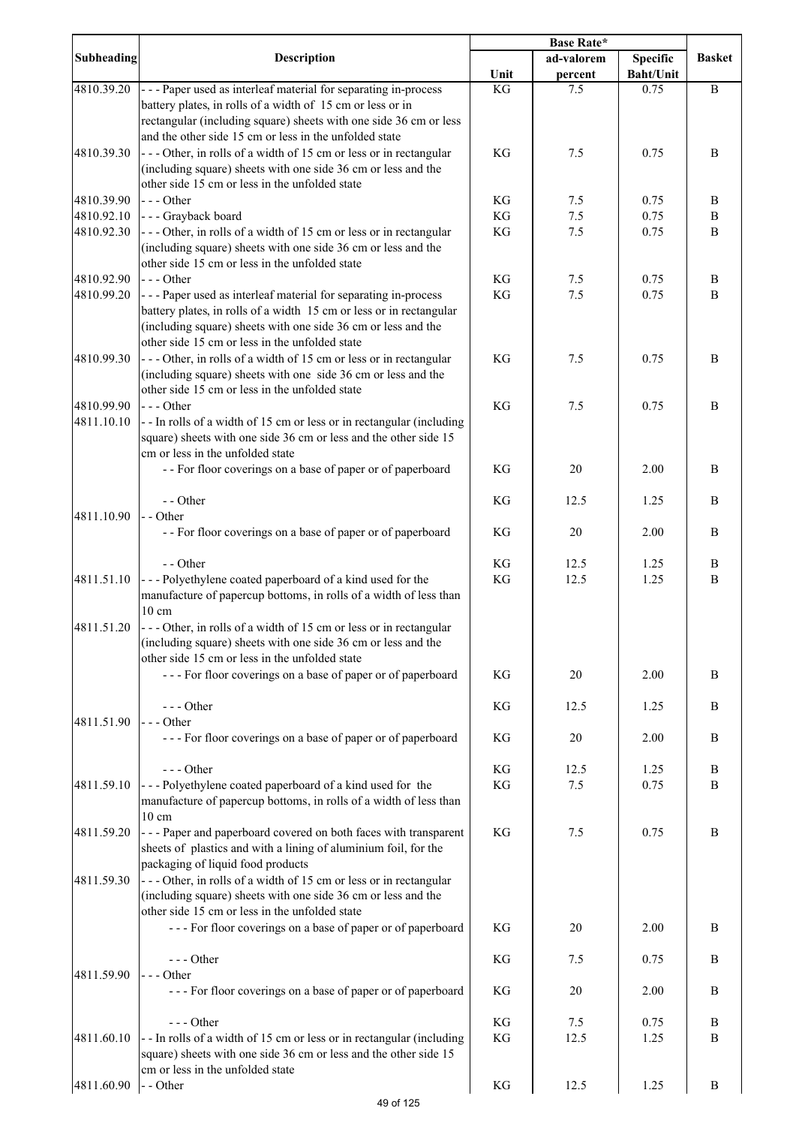| <b>Subheading</b> | <b>Description</b>                                                                                                                   | <b>Base Rate*</b> |             |                  |               |
|-------------------|--------------------------------------------------------------------------------------------------------------------------------------|-------------------|-------------|------------------|---------------|
|                   |                                                                                                                                      |                   | ad-valorem  | <b>Specific</b>  | <b>Basket</b> |
|                   |                                                                                                                                      | Unit              | percent     | <b>Baht/Unit</b> |               |
| 4810.39.20        | --- Paper used as interleaf material for separating in-process                                                                       | KG                | 7.5         | 0.75             | $\, {\bf B}$  |
|                   | battery plates, in rolls of a width of 15 cm or less or in<br>rectangular (including square) sheets with one side 36 cm or less      |                   |             |                  |               |
|                   | and the other side 15 cm or less in the unfolded state                                                                               |                   |             |                  |               |
| 4810.39.30        | --- Other, in rolls of a width of 15 cm or less or in rectangular                                                                    | KG                | 7.5         | 0.75             | B             |
|                   | (including square) sheets with one side 36 cm or less and the                                                                        |                   |             |                  |               |
|                   | other side 15 cm or less in the unfolded state                                                                                       |                   |             |                  |               |
| 4810.39.90        | $--$ Other                                                                                                                           | KG                | 7.5         | 0.75             | B             |
| 4810.92.10        | - - - Grayback board                                                                                                                 | KG                | $7.5$       | 0.75             | $\, {\bf B}$  |
| 4810.92.30        | --- Other, in rolls of a width of 15 cm or less or in rectangular                                                                    | KG                | $7.5$       | 0.75             | $\bf{B}$      |
|                   | (including square) sheets with one side 36 cm or less and the                                                                        |                   |             |                  |               |
|                   | other side 15 cm or less in the unfolded state                                                                                       |                   |             |                  |               |
| 4810.92.90        | $--$ Other                                                                                                                           | KG                | 7.5         | 0.75             | B             |
| 4810.99.20        | --- Paper used as interleaf material for separating in-process                                                                       | KG                | 7.5         | 0.75             | B             |
|                   | battery plates, in rolls of a width 15 cm or less or in rectangular<br>(including square) sheets with one side 36 cm or less and the |                   |             |                  |               |
|                   | other side 15 cm or less in the unfolded state                                                                                       |                   |             |                  |               |
| 4810.99.30        | --- Other, in rolls of a width of 15 cm or less or in rectangular                                                                    | KG                | 7.5         | 0.75             | B             |
|                   | (including square) sheets with one side 36 cm or less and the                                                                        |                   |             |                  |               |
|                   | other side 15 cm or less in the unfolded state                                                                                       |                   |             |                  |               |
| 4810.99.90        | --- Other                                                                                                                            | KG                | 7.5         | 0.75             | B             |
| 4811.10.10        | --In rolls of a width of 15 cm or less or in rectangular (including                                                                  |                   |             |                  |               |
|                   | square) sheets with one side 36 cm or less and the other side 15                                                                     |                   |             |                  |               |
|                   | cm or less in the unfolded state                                                                                                     |                   |             |                  |               |
|                   | - - For floor coverings on a base of paper or of paperboard                                                                          | KG                | 20          | 2.00             | B             |
|                   |                                                                                                                                      |                   |             |                  |               |
| 4811.10.90        | - - Other<br>- - Other                                                                                                               | KG                | 12.5        | 1.25             | B             |
|                   | - - For floor coverings on a base of paper or of paperboard                                                                          | KG                | 20          | 2.00             | B             |
|                   |                                                                                                                                      |                   |             |                  |               |
|                   | - - Other                                                                                                                            | KG                | 12.5        | 1.25             | B             |
| 4811.51.10        | --- Polyethylene coated paperboard of a kind used for the                                                                            | KG                | 12.5        | 1.25             | $\bf{B}$      |
|                   | manufacture of papercup bottoms, in rolls of a width of less than                                                                    |                   |             |                  |               |
|                   | $10 \text{ cm}$                                                                                                                      |                   |             |                  |               |
| 4811.51.20        | --- Other, in rolls of a width of 15 cm or less or in rectangular                                                                    |                   |             |                  |               |
|                   | (including square) sheets with one side 36 cm or less and the                                                                        |                   |             |                  |               |
|                   | other side 15 cm or less in the unfolded state                                                                                       | KG                | 20          | 2.00             | B             |
|                   | --- For floor coverings on a base of paper or of paperboard                                                                          |                   |             |                  |               |
|                   | --- Other                                                                                                                            | KG                | 12.5        | 1.25             | B             |
| 4811.51.90        | $--$ Other                                                                                                                           |                   |             |                  |               |
|                   | --- For floor coverings on a base of paper or of paperboard                                                                          | KG                | 20          | 2.00             | B             |
|                   |                                                                                                                                      |                   |             |                  |               |
|                   | $--$ Other                                                                                                                           | KG                | 12.5        | 1.25             | B             |
| 4811.59.10        | --- Polyethylene coated paperboard of a kind used for the                                                                            | KG                | 7.5         | 0.75             | B             |
|                   | manufacture of papercup bottoms, in rolls of a width of less than                                                                    |                   |             |                  |               |
|                   | $10 \text{ cm}$                                                                                                                      |                   |             |                  |               |
| 4811.59.20        | --- Paper and paperboard covered on both faces with transparent                                                                      | KG                | 7.5         | 0.75             | B             |
|                   | sheets of plastics and with a lining of aluminium foil, for the<br>packaging of liquid food products                                 |                   |             |                  |               |
| 4811.59.30        | --- Other, in rolls of a width of 15 cm or less or in rectangular                                                                    |                   |             |                  |               |
|                   | (including square) sheets with one side 36 cm or less and the                                                                        |                   |             |                  |               |
|                   | other side 15 cm or less in the unfolded state                                                                                       |                   |             |                  |               |
|                   | --- For floor coverings on a base of paper or of paperboard                                                                          | KG                | 20          | 2.00             | B             |
|                   |                                                                                                                                      |                   |             |                  |               |
|                   | $--- Other$                                                                                                                          | KG                | 7.5         | 0.75             | B             |
| 4811.59.90        | $--- Other$                                                                                                                          |                   |             |                  |               |
|                   | --- For floor coverings on a base of paper or of paperboard                                                                          | KG                | 20          | 2.00             | B             |
|                   | $--- Other$                                                                                                                          | KG                |             |                  | B             |
| 4811.60.10        | --In rolls of a width of 15 cm or less or in rectangular (including                                                                  | KG                | 7.5<br>12.5 | 0.75<br>1.25     | B             |
|                   | square) sheets with one side 36 cm or less and the other side 15                                                                     |                   |             |                  |               |
|                   | cm or less in the unfolded state                                                                                                     |                   |             |                  |               |
| 4811.60.90        | - - Other                                                                                                                            | KG                | 12.5        | 1.25             | B             |
|                   | 49 of 125                                                                                                                            |                   |             |                  |               |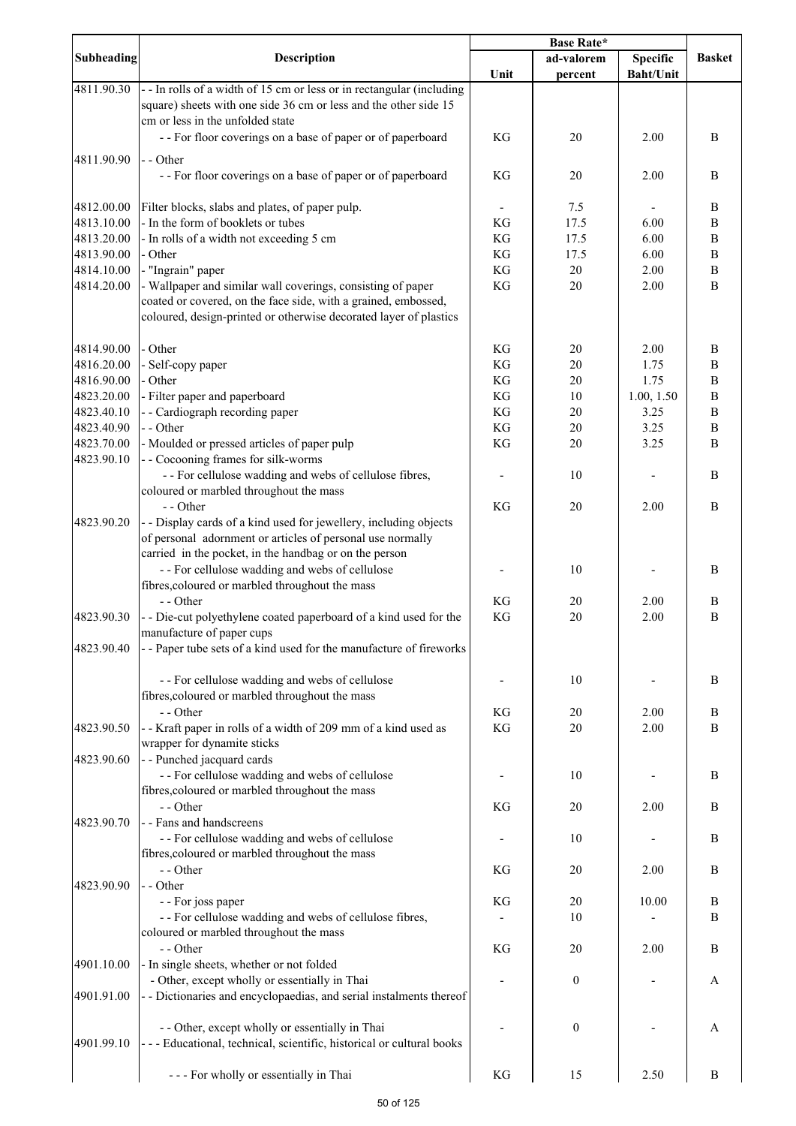|            |                                                                                                                                                                                                    | Base Rate* |                  |                  |               |
|------------|----------------------------------------------------------------------------------------------------------------------------------------------------------------------------------------------------|------------|------------------|------------------|---------------|
| Subheading | Description                                                                                                                                                                                        |            | ad-valorem       | <b>Specific</b>  | <b>Basket</b> |
|            |                                                                                                                                                                                                    | Unit       | percent          | <b>Baht/Unit</b> |               |
| 4811.90.30 | -- In rolls of a width of 15 cm or less or in rectangular (including<br>square) sheets with one side 36 cm or less and the other side 15                                                           |            |                  |                  |               |
|            | cm or less in the unfolded state<br>- - For floor coverings on a base of paper or of paperboard                                                                                                    | <b>KG</b>  | 20               | 2.00             | B             |
| 4811.90.90 | - - Other                                                                                                                                                                                          |            |                  |                  |               |
|            | - - For floor coverings on a base of paper or of paperboard                                                                                                                                        | KG         | 20               | 2.00             | B             |
| 4812.00.00 | Filter blocks, slabs and plates, of paper pulp.                                                                                                                                                    |            | 7.5              |                  | B             |
| 4813.10.00 | - In the form of booklets or tubes                                                                                                                                                                 | KG         | 17.5             | 6.00             | $\, {\bf B}$  |
| 4813.20.00 | - In rolls of a width not exceeding 5 cm                                                                                                                                                           | KG         | 17.5             | 6.00             | $\, {\bf B}$  |
| 4813.90.00 | - Other                                                                                                                                                                                            | KG         | 17.5             | 6.00             | $\, {\bf B}$  |
| 4814.10.00 | - "Ingrain" paper                                                                                                                                                                                  | KG         | $20\,$           | 2.00             | $\, {\bf B}$  |
| 4814.20.00 | - Wallpaper and similar wall coverings, consisting of paper<br>coated or covered, on the face side, with a grained, embossed,<br>coloured, design-printed or otherwise decorated layer of plastics | KG         | 20               | 2.00             | B             |
| 4814.90.00 | - Other                                                                                                                                                                                            | KG         | 20               | 2.00             | B             |
| 4816.20.00 | - Self-copy paper                                                                                                                                                                                  | KG         | 20               | 1.75             | B             |
| 4816.90.00 | - Other                                                                                                                                                                                            | KG         | 20               | 1.75             | $\, {\bf B}$  |
| 4823.20.00 | - Filter paper and paperboard                                                                                                                                                                      | KG         | 10               | 1.00, 1.50       | $\, {\bf B}$  |
| 4823.40.10 | - - Cardiograph recording paper                                                                                                                                                                    | KG         | 20               | 3.25             | $\, {\bf B}$  |
| 4823.40.90 | - - Other                                                                                                                                                                                          | KG         | 20               | 3.25             | $\, {\bf B}$  |
| 4823.70.00 | - Moulded or pressed articles of paper pulp                                                                                                                                                        | KG         | 20               | 3.25             | B             |
| 4823.90.10 | - - Cocooning frames for silk-worms                                                                                                                                                                |            |                  |                  |               |
|            | - - For cellulose wadding and webs of cellulose fibres,<br>coloured or marbled throughout the mass                                                                                                 |            | 10               |                  | $\, {\bf B}$  |
|            | - - Other                                                                                                                                                                                          | KG         | 20               | 2.00             | B             |
| 4823.90.20 | - - Display cards of a kind used for jewellery, including objects<br>of personal adornment or articles of personal use normally                                                                    |            |                  |                  |               |
|            | carried in the pocket, in the handbag or on the person<br>- - For cellulose wadding and webs of cellulose<br>fibres, coloured or marbled throughout the mass                                       |            | 10               |                  | B             |
|            | - - Other                                                                                                                                                                                          | KG         | 20               | 2.00             | B             |
| 4823.90.30 | - - Die-cut polyethylene coated paperboard of a kind used for the<br>manufacture of paper cups                                                                                                     | KG         | 20               | 2.00             | $\, {\bf B}$  |
| 4823.90.40 | - - Paper tube sets of a kind used for the manufacture of fireworks                                                                                                                                |            |                  |                  |               |
|            | - - For cellulose wadding and webs of cellulose<br>fibres, coloured or marbled throughout the mass                                                                                                 |            | 10               |                  | B             |
|            | - - Other                                                                                                                                                                                          | KG         | 20               | 2.00             | B             |
| 4823.90.50 | - - Kraft paper in rolls of a width of 209 mm of a kind used as<br>wrapper for dynamite sticks                                                                                                     | KG         | 20               | 2.00             | B             |
| 4823.90.60 | - - Punched jacquard cards<br>- - For cellulose wadding and webs of cellulose                                                                                                                      |            | 10               |                  | B             |
|            | fibres, coloured or marbled throughout the mass<br>- - Other                                                                                                                                       | KG         | 20               | 2.00             | B             |
| 4823.90.70 | - - Fans and handscreens<br>- - For cellulose wadding and webs of cellulose                                                                                                                        |            | 10               |                  | B             |
|            | fibres, coloured or marbled throughout the mass<br>- - Other                                                                                                                                       | KG         | 20               | 2.00             | B             |
| 4823.90.90 | - - Other                                                                                                                                                                                          |            |                  |                  |               |
|            | - - For joss paper<br>- - For cellulose wadding and webs of cellulose fibres,                                                                                                                      | KG         | 20<br>10         | 10.00            | B<br>B        |
|            | coloured or marbled throughout the mass<br>- - Other                                                                                                                                               | KG         | 20               | 2.00             | B             |
| 4901.10.00 | - In single sheets, whether or not folded                                                                                                                                                          |            |                  |                  |               |
| 4901.91.00 | - Other, except wholly or essentially in Thai<br>- - Dictionaries and encyclopaedias, and serial instalments thereof                                                                               |            | $\boldsymbol{0}$ |                  | A             |
| 4901.99.10 | - - Other, except wholly or essentially in Thai<br>--- Educational, technical, scientific, historical or cultural books                                                                            |            | $\boldsymbol{0}$ |                  | А             |
|            | --- For wholly or essentially in Thai                                                                                                                                                              | KG         | 15               | 2.50             | $\bf{B}$      |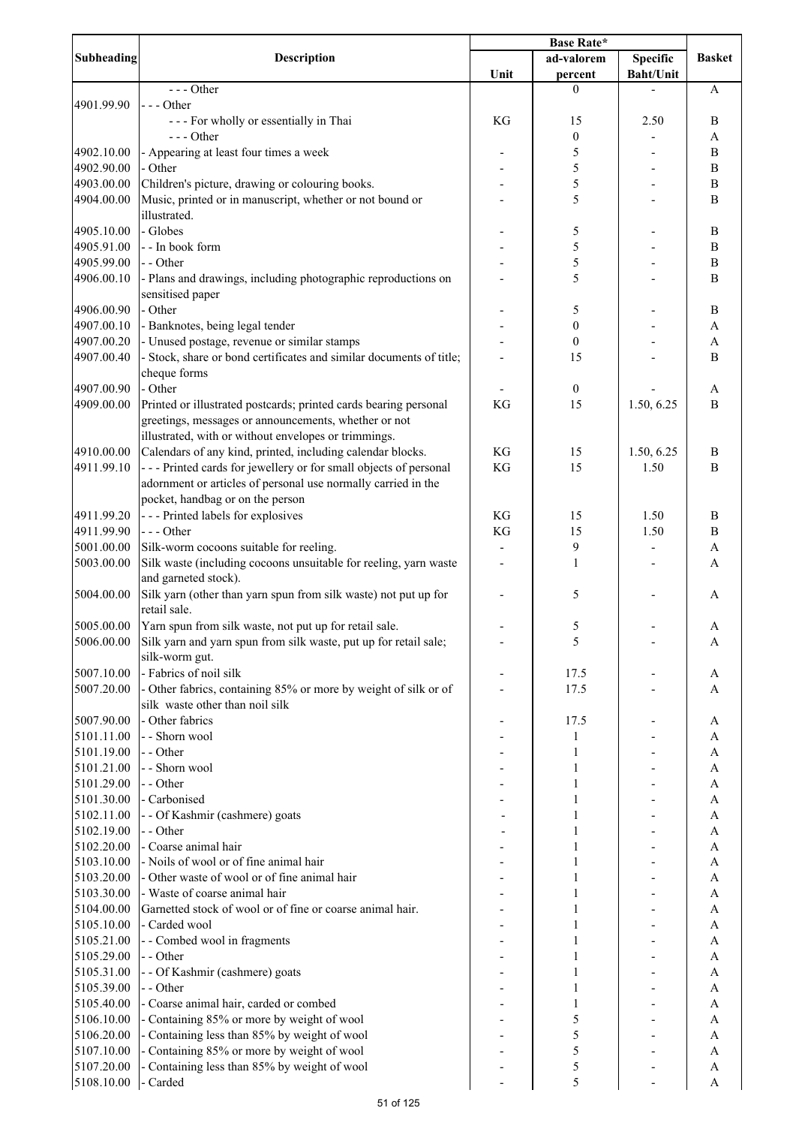|                   | <b>Description</b>                                                  | <b>Base Rate*</b> |                  |                  |                           |
|-------------------|---------------------------------------------------------------------|-------------------|------------------|------------------|---------------------------|
| <b>Subheading</b> |                                                                     |                   | ad-valorem       | <b>Specific</b>  | <b>Basket</b>             |
|                   |                                                                     | Unit              | percent          | <b>Baht/Unit</b> |                           |
|                   | $--- Other$                                                         |                   | $\theta$         |                  | A                         |
| 4901.99.90        | $--$ Other                                                          |                   |                  |                  |                           |
|                   | --- For wholly or essentially in Thai                               | KG                | 15               | 2.50             | $\bf{B}$                  |
|                   | $--$ Other                                                          |                   | $\boldsymbol{0}$ |                  | A                         |
| 4902.10.00        | - Appearing at least four times a week                              |                   | 5                |                  | $\, {\bf B}$              |
| 4902.90.00        | - Other                                                             |                   |                  |                  |                           |
|                   |                                                                     |                   | 5                |                  | B                         |
| 4903.00.00        | Children's picture, drawing or colouring books.                     |                   | 5                |                  | $\bf{B}$                  |
| 4904.00.00        | Music, printed or in manuscript, whether or not bound or            |                   | 5                |                  | B                         |
|                   | illustrated.                                                        |                   |                  |                  |                           |
| 4905.10.00        | - Globes                                                            |                   | 5                |                  | $\bf{B}$                  |
| 4905.91.00        | - - In book form                                                    |                   | 5                |                  | $\, {\bf B}$              |
| 4905.99.00        | - - Other                                                           |                   | 5                |                  | $\, {\bf B}$              |
| 4906.00.10        | - Plans and drawings, including photographic reproductions on       |                   | 5                |                  | B                         |
|                   | sensitised paper                                                    |                   |                  |                  |                           |
| 4906.00.90        | - Other                                                             |                   | 5                |                  | $\, {\bf B}$              |
| 4907.00.10        | - Banknotes, being legal tender                                     |                   | $\boldsymbol{0}$ |                  | $\boldsymbol{\rm{A}}$     |
| 4907.00.20        | - Unused postage, revenue or similar stamps                         |                   | $\boldsymbol{0}$ |                  | $\boldsymbol{\mathsf{A}}$ |
| 4907.00.40        | - Stock, share or bond certificates and similar documents of title; |                   | 15               |                  | $\bf{B}$                  |
|                   | cheque forms                                                        |                   |                  |                  |                           |
|                   |                                                                     |                   |                  |                  |                           |
| 4907.00.90        | - Other                                                             |                   | $\boldsymbol{0}$ |                  | A                         |
| 4909.00.00        | Printed or illustrated postcards; printed cards bearing personal    | KG                | 15               | 1.50, 6.25       | B                         |
|                   | greetings, messages or announcements, whether or not                |                   |                  |                  |                           |
|                   | illustrated, with or without envelopes or trimmings.                |                   |                  |                  |                           |
| 4910.00.00        | Calendars of any kind, printed, including calendar blocks.          | KG                | 15               | 1.50, 6.25       | $\bf{B}$                  |
| 4911.99.10        | --- Printed cards for jewellery or for small objects of personal    | KG                | 15               | 1.50             | $\bf{B}$                  |
|                   | adornment or articles of personal use normally carried in the       |                   |                  |                  |                           |
|                   | pocket, handbag or on the person                                    |                   |                  |                  |                           |
| 4911.99.20        | --- Printed labels for explosives                                   | KG                | 15               | 1.50             | B                         |
| 4911.99.90        | $--- Other$                                                         | KG                | 15               | 1.50             | $\bf{B}$                  |
| 5001.00.00        | Silk-worm cocoons suitable for reeling.                             |                   | 9                |                  | A                         |
|                   |                                                                     |                   |                  |                  |                           |
| 5003.00.00        | Silk waste (including cocoons unsuitable for reeling, yarn waste    |                   | $\mathbf{1}$     |                  | A                         |
|                   | and garneted stock).                                                |                   |                  |                  |                           |
| 5004.00.00        | Silk yarn (other than yarn spun from silk waste) not put up for     |                   | 5                |                  | A                         |
|                   | retail sale.                                                        |                   |                  |                  |                           |
| 5005.00.00        | Yarn spun from silk waste, not put up for retail sale.              |                   | 5                |                  | A                         |
| 5006.00.00        | Silk yarn and yarn spun from silk waste, put up for retail sale;    |                   | 5                |                  | A                         |
|                   | silk-worm gut.                                                      |                   |                  |                  |                           |
| 5007.10.00        | - Fabrics of noil silk                                              |                   | 17.5             |                  | A                         |
| 5007.20.00        | - Other fabrics, containing 85% or more by weight of silk or of     |                   | 17.5             |                  | A                         |
|                   | silk waste other than noil silk                                     |                   |                  |                  |                           |
| 5007.90.00        | - Other fabrics                                                     |                   | 17.5             |                  | A                         |
|                   | - - Shorn wool                                                      |                   |                  |                  |                           |
| 5101.11.00        |                                                                     |                   | 1                |                  | A                         |
| 5101.19.00        | - - Other                                                           |                   | 1                |                  | A                         |
| 5101.21.00        | - - Shorn wool                                                      |                   | 1                |                  | A                         |
| 5101.29.00        | - - Other                                                           |                   |                  |                  | A                         |
| 5101.30.00        | - Carbonised                                                        |                   |                  |                  | A                         |
| 5102.11.00        | - - Of Kashmir (cashmere) goats                                     |                   |                  |                  | $\boldsymbol{\mathsf{A}}$ |
| 5102.19.00        | - - Other                                                           |                   |                  |                  | A                         |
| 5102.20.00        | - Coarse animal hair                                                |                   |                  |                  | $\boldsymbol{\rm{A}}$     |
| 5103.10.00        | - Noils of wool or of fine animal hair                              |                   |                  |                  | A                         |
| 5103.20.00        | - Other waste of wool or of fine animal hair                        |                   |                  |                  | A                         |
| 5103.30.00        | - Waste of coarse animal hair                                       |                   |                  |                  | A                         |
| 5104.00.00        | Garnetted stock of wool or of fine or coarse animal hair.           |                   |                  |                  | A                         |
|                   |                                                                     |                   |                  |                  |                           |
| 5105.10.00        | - Carded wool                                                       |                   |                  |                  | A                         |
| 5105.21.00        | - - Combed wool in fragments                                        |                   |                  |                  | A                         |
| 5105.29.00        | - - Other                                                           |                   |                  |                  | A                         |
| 5105.31.00        | - - Of Kashmir (cashmere) goats                                     |                   |                  |                  | A                         |
| 5105.39.00        | - - Other                                                           |                   | 1                |                  | A                         |
| 5105.40.00        | - Coarse animal hair, carded or combed                              |                   |                  |                  | $\boldsymbol{\rm{A}}$     |
| 5106.10.00        | - Containing 85% or more by weight of wool                          |                   | 5                |                  | A                         |
| 5106.20.00        | - Containing less than 85% by weight of wool                        |                   | 5                |                  | A                         |
| 5107.10.00        | - Containing 85% or more by weight of wool                          |                   | 5                |                  | A                         |
| 5107.20.00        | - Containing less than 85% by weight of wool                        |                   | 5                |                  | A                         |
| 5108.10.00        | - Carded                                                            |                   | 5                |                  | $\boldsymbol{\mathsf{A}}$ |
|                   |                                                                     |                   |                  |                  |                           |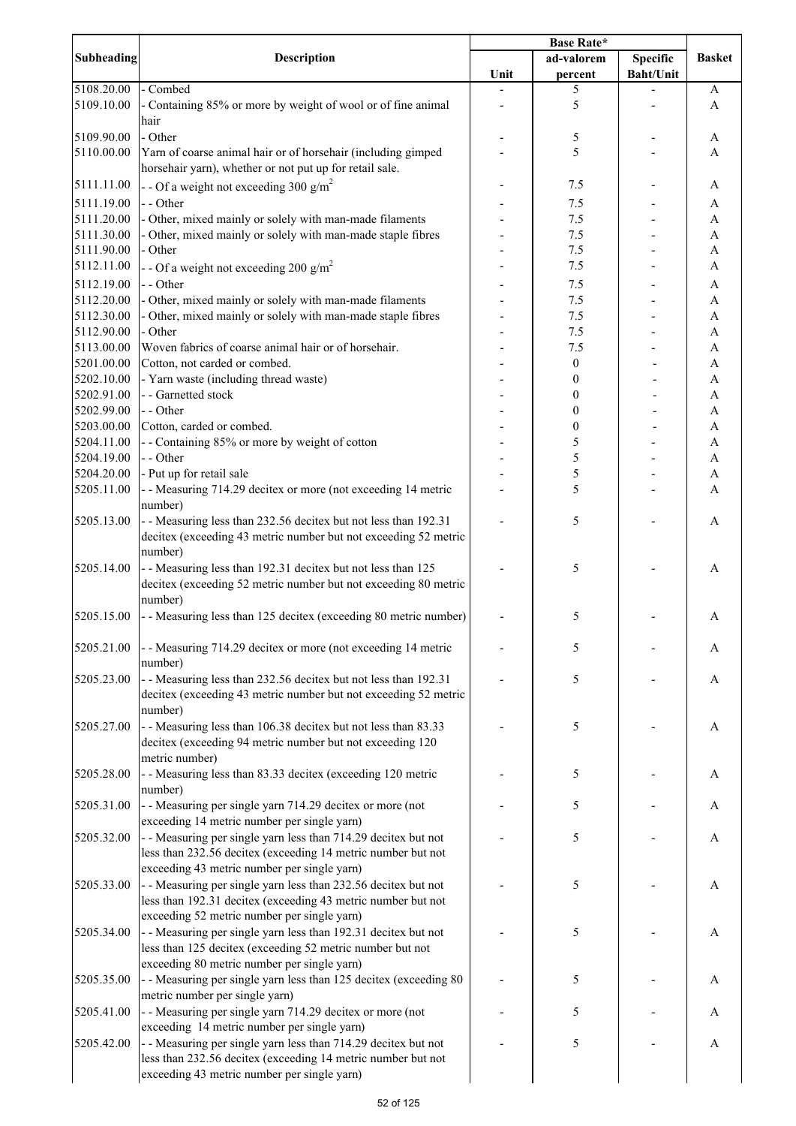| Subheading | Description                                                       |      | ad-valorem       | Specific         | <b>Basket</b> |
|------------|-------------------------------------------------------------------|------|------------------|------------------|---------------|
|            |                                                                   | Unit | percent          | <b>Baht/Unit</b> |               |
| 5108.20.00 | - Combed                                                          |      | 5                |                  | A             |
| 5109.10.00 | - Containing 85% or more by weight of wool or of fine animal      |      | 5                |                  | A             |
|            | hair                                                              |      |                  |                  |               |
| 5109.90.00 | - Other                                                           |      | 5                |                  | A             |
| 5110.00.00 | Yarn of coarse animal hair or of horsehair (including gimped      |      | 5                |                  | A             |
|            | horsehair yarn), whether or not put up for retail sale.           |      |                  |                  |               |
| 5111.11.00 |                                                                   |      | 7.5              |                  | A             |
|            | - - Of a weight not exceeding 300 $g/m^2$                         |      |                  |                  |               |
| 5111.19.00 | - - Other                                                         |      | 7.5              |                  | A             |
| 5111.20.00 | - Other, mixed mainly or solely with man-made filaments           |      | 7.5              |                  | A             |
| 5111.30.00 | - Other, mixed mainly or solely with man-made staple fibres       |      | 7.5              |                  | A             |
| 5111.90.00 | - Other                                                           |      | 7.5              |                  | A             |
| 5112.11.00 | - - Of a weight not exceeding 200 g/m <sup>2</sup>                |      | 7.5              |                  | A             |
| 5112.19.00 | - - Other                                                         |      | 7.5              |                  | A             |
| 5112.20.00 | - Other, mixed mainly or solely with man-made filaments           |      | 7.5              |                  | A             |
| 5112.30.00 | - Other, mixed mainly or solely with man-made staple fibres       |      | 7.5              |                  | A             |
| 5112.90.00 | - Other                                                           |      | 7.5              |                  | A             |
| 5113.00.00 | Woven fabrics of coarse animal hair or of horsehair.              |      | 7.5              |                  | A             |
| 5201.00.00 | Cotton, not carded or combed.                                     |      | $\boldsymbol{0}$ |                  | A             |
| 5202.10.00 |                                                                   |      |                  |                  |               |
|            | - Yarn waste (including thread waste)                             |      | 0                |                  | A             |
| 5202.91.00 | - - Garnetted stock                                               |      | 0                |                  | A             |
| 5202.99.00 | - - Other                                                         |      | 0                |                  | A             |
| 5203.00.00 | Cotton, carded or combed.                                         |      | 0                |                  | A             |
| 5204.11.00 | - - Containing 85% or more by weight of cotton                    |      | 5                |                  | A             |
| 5204.19.00 | - - Other                                                         |      | 5                |                  | A             |
| 5204.20.00 | - Put up for retail sale                                          |      | 5                |                  | A             |
| 5205.11.00 | - - Measuring 714.29 decitex or more (not exceeding 14 metric     |      | 5                |                  | A             |
|            | number)                                                           |      |                  |                  |               |
| 5205.13.00 | - - Measuring less than 232.56 decitex but not less than 192.31   |      | 5                |                  | A             |
|            | decitex (exceeding 43 metric number but not exceeding 52 metric   |      |                  |                  |               |
|            | number)                                                           |      |                  |                  |               |
| 5205.14.00 | - - Measuring less than 192.31 decitex but not less than 125      |      | 5                |                  | A             |
|            | decitex (exceeding 52 metric number but not exceeding 80 metric   |      |                  |                  |               |
|            | number)                                                           |      |                  |                  |               |
| 5205.15.00 | - - Measuring less than 125 decitex (exceeding 80 metric number)  |      | 5                |                  | A             |
|            |                                                                   |      |                  |                  |               |
|            |                                                                   |      |                  |                  |               |
| 5205.21.00 | - Measuring 714.29 decitex or more (not exceeding 14 metric       |      | 5                |                  | A             |
|            | number)                                                           |      |                  |                  |               |
| 5205.23.00 | - - Measuring less than 232.56 decitex but not less than 192.31   |      | 5                |                  | A             |
|            | decitex (exceeding 43 metric number but not exceeding 52 metric   |      |                  |                  |               |
|            | number)                                                           |      |                  |                  |               |
| 5205.27.00 | - - Measuring less than 106.38 decitex but not less than 83.33    |      | 5                |                  | A             |
|            | decitex (exceeding 94 metric number but not exceeding 120         |      |                  |                  |               |
|            | metric number)                                                    |      |                  |                  |               |
| 5205.28.00 | - - Measuring less than 83.33 decitex (exceeding 120 metric       |      | 5                |                  | A             |
|            | number)                                                           |      |                  |                  |               |
| 5205.31.00 | - - Measuring per single yarn 714.29 decitex or more (not         |      | 5                |                  | $\mathbf A$   |
|            | exceeding 14 metric number per single yarn)                       |      |                  |                  |               |
| 5205.32.00 | - - Measuring per single yarn less than 714.29 decitex but not    |      | 5                |                  | A             |
|            | less than 232.56 decitex (exceeding 14 metric number but not      |      |                  |                  |               |
|            | exceeding 43 metric number per single yarn)                       |      |                  |                  |               |
|            |                                                                   |      |                  |                  |               |
| 5205.33.00 | - - Measuring per single yarn less than 232.56 decitex but not    |      | 5                |                  | A             |
|            | less than 192.31 decitex (exceeding 43 metric number but not      |      |                  |                  |               |
|            | exceeding 52 metric number per single yarn)                       |      |                  |                  |               |
| 5205.34.00 | - - Measuring per single yarn less than 192.31 decitex but not    |      | 5                |                  | A             |
|            | less than 125 decitex (exceeding 52 metric number but not         |      |                  |                  |               |
|            | exceeding 80 metric number per single yarn)                       |      |                  |                  |               |
| 5205.35.00 | - - Measuring per single yarn less than 125 decitex (exceeding 80 |      | 5                |                  | A             |
|            | metric number per single yarn)                                    |      |                  |                  |               |
| 5205.41.00 | - - Measuring per single yarn 714.29 decitex or more (not         |      | 5                |                  | A             |
|            | exceeding 14 metric number per single yarn)                       |      |                  |                  |               |
| 5205.42.00 | - - Measuring per single yarn less than 714.29 decitex but not    |      | 5                |                  | A             |
|            | less than 232.56 decitex (exceeding 14 metric number but not      |      |                  |                  |               |
|            | exceeding 43 metric number per single yarn)                       |      |                  |                  |               |
|            |                                                                   |      |                  |                  |               |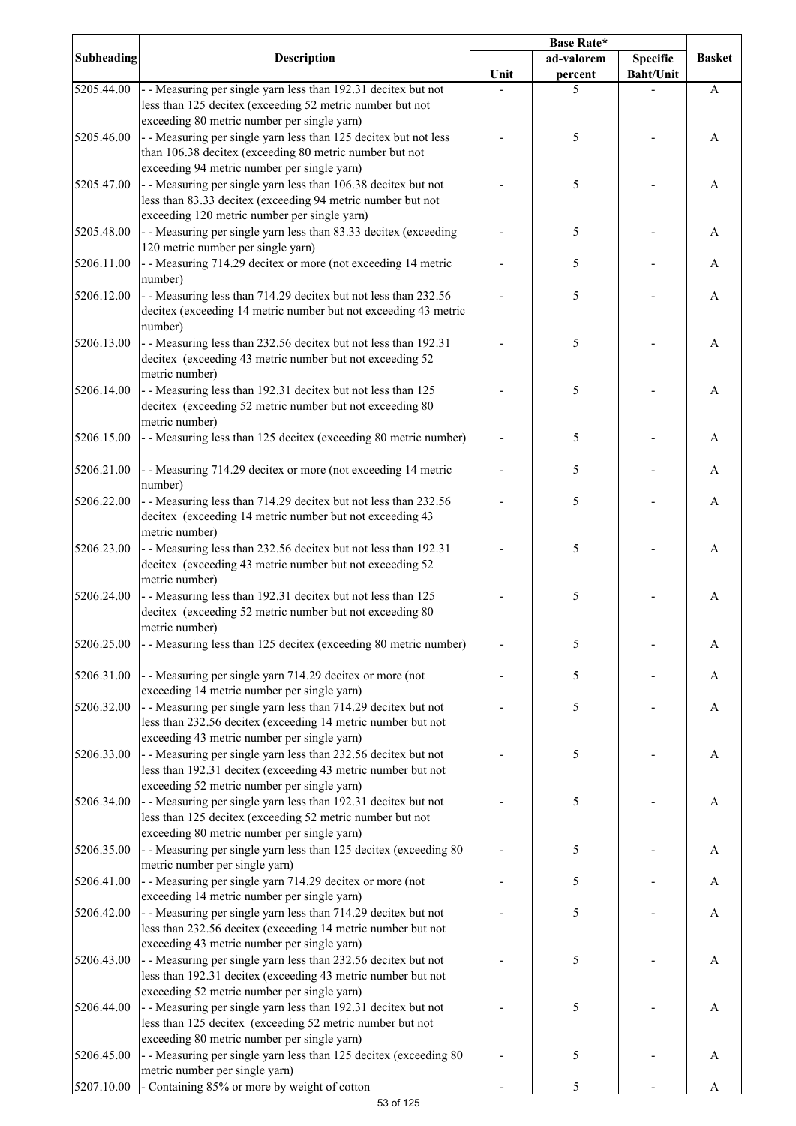|                   |                                                                                                                                                                                                                           | <b>Base Rate*</b> |            |                  |               |
|-------------------|---------------------------------------------------------------------------------------------------------------------------------------------------------------------------------------------------------------------------|-------------------|------------|------------------|---------------|
| <b>Subheading</b> | <b>Description</b>                                                                                                                                                                                                        |                   | ad-valorem | <b>Specific</b>  | <b>Basket</b> |
|                   |                                                                                                                                                                                                                           | Unit              | percent    | <b>Baht/Unit</b> |               |
| 5205.44.00        | - - Measuring per single yarn less than 192.31 decitex but not<br>less than 125 decitex (exceeding 52 metric number but not<br>exceeding 80 metric number per single yarn)                                                |                   | 5          |                  | A             |
| 5205.46.00        | - - Measuring per single yarn less than 125 decitex but not less<br>than 106.38 decitex (exceeding 80 metric number but not                                                                                               |                   | 5          |                  | A             |
| 5205.47.00        | exceeding 94 metric number per single yarn)<br>- - Measuring per single yarn less than 106.38 decitex but not                                                                                                             |                   | 5          |                  | A             |
|                   | less than 83.33 decitex (exceeding 94 metric number but not<br>exceeding 120 metric number per single yarn)                                                                                                               |                   |            |                  |               |
| 5205.48.00        | - - Measuring per single yarn less than 83.33 decitex (exceeding<br>120 metric number per single yarn)                                                                                                                    |                   | 5          |                  | A             |
| 5206.11.00        | - - Measuring 714.29 decitex or more (not exceeding 14 metric<br>number)                                                                                                                                                  |                   | 5          |                  | A             |
| 5206.12.00        | - - Measuring less than 714.29 decitex but not less than 232.56<br>decitex (exceeding 14 metric number but not exceeding 43 metric<br>number)                                                                             |                   | 5          |                  | A             |
| 5206.13.00        | - - Measuring less than 232.56 decitex but not less than 192.31<br>decitex (exceeding 43 metric number but not exceeding 52<br>metric number)                                                                             |                   | 5          |                  | A             |
| 5206.14.00        | - - Measuring less than 192.31 decitex but not less than 125<br>decitex (exceeding 52 metric number but not exceeding 80<br>metric number)                                                                                |                   | 5          |                  | A             |
| 5206.15.00        | - - Measuring less than 125 decitex (exceeding 80 metric number)                                                                                                                                                          |                   | 5          |                  | A             |
| 5206.21.00        | - - Measuring 714.29 decitex or more (not exceeding 14 metric<br>number)                                                                                                                                                  |                   | 5          |                  | A             |
| 5206.22.00        | - - Measuring less than 714.29 decitex but not less than 232.56<br>decitex (exceeding 14 metric number but not exceeding 43                                                                                               |                   | 5          |                  | A             |
| 5206.23.00        | metric number)<br>- - Measuring less than 232.56 decitex but not less than 192.31<br>decitex (exceeding 43 metric number but not exceeding 52                                                                             |                   | 5          |                  | A             |
| 5206.24.00        | metric number)<br>- - Measuring less than 192.31 decitex but not less than 125<br>decitex (exceeding 52 metric number but not exceeding 80                                                                                |                   | 5          |                  | A             |
| 5206.25.00        | metric number)<br>- - Measuring less than 125 decitex (exceeding 80 metric number)                                                                                                                                        |                   | 5          |                  | A             |
| 5206.31.00        | - - Measuring per single yarn 714.29 decitex or more (not<br>exceeding 14 metric number per single yarn)                                                                                                                  |                   | 5          |                  | A             |
| 5206.32.00        | - - Measuring per single yarn less than 714.29 decitex but not<br>less than 232.56 decitex (exceeding 14 metric number but not                                                                                            |                   | 5          |                  | A             |
| 5206.33.00        | exceeding 43 metric number per single yarn)<br>- - Measuring per single yarn less than 232.56 decitex but not<br>less than 192.31 decitex (exceeding 43 metric number but not                                             |                   | 5          |                  | A             |
| 5206.34.00        | exceeding 52 metric number per single yarn)<br>- - Measuring per single yarn less than 192.31 decitex but not<br>less than 125 decitex (exceeding 52 metric number but not                                                |                   | 5          |                  | A             |
| 5206.35.00        | exceeding 80 metric number per single yarn)<br>- - Measuring per single yarn less than 125 decitex (exceeding 80<br>metric number per single yarn)                                                                        |                   | 5          |                  | A             |
| 5206.41.00        | - - Measuring per single yarn 714.29 decitex or more (not<br>exceeding 14 metric number per single yarn)                                                                                                                  |                   | 5          |                  | A             |
| 5206.42.00        | - - Measuring per single yarn less than 714.29 decitex but not<br>less than 232.56 decitex (exceeding 14 metric number but not<br>exceeding 43 metric number per single yarn)                                             |                   | 5          |                  | A             |
| 5206.43.00        | - - Measuring per single yarn less than 232.56 decitex but not<br>less than 192.31 decitex (exceeding 43 metric number but not                                                                                            |                   | 5          |                  | A             |
| 5206.44.00        | exceeding 52 metric number per single yarn)<br>- - Measuring per single yarn less than 192.31 decitex but not<br>less than 125 decitex (exceeding 52 metric number but not<br>exceeding 80 metric number per single yarn) |                   | 5          |                  | A             |
| 5206.45.00        | - - Measuring per single yarn less than 125 decitex (exceeding 80<br>metric number per single yarn)                                                                                                                       |                   | 5          |                  | A             |
| 5207.10.00        | - Containing 85% or more by weight of cotton                                                                                                                                                                              |                   | 5          |                  | A             |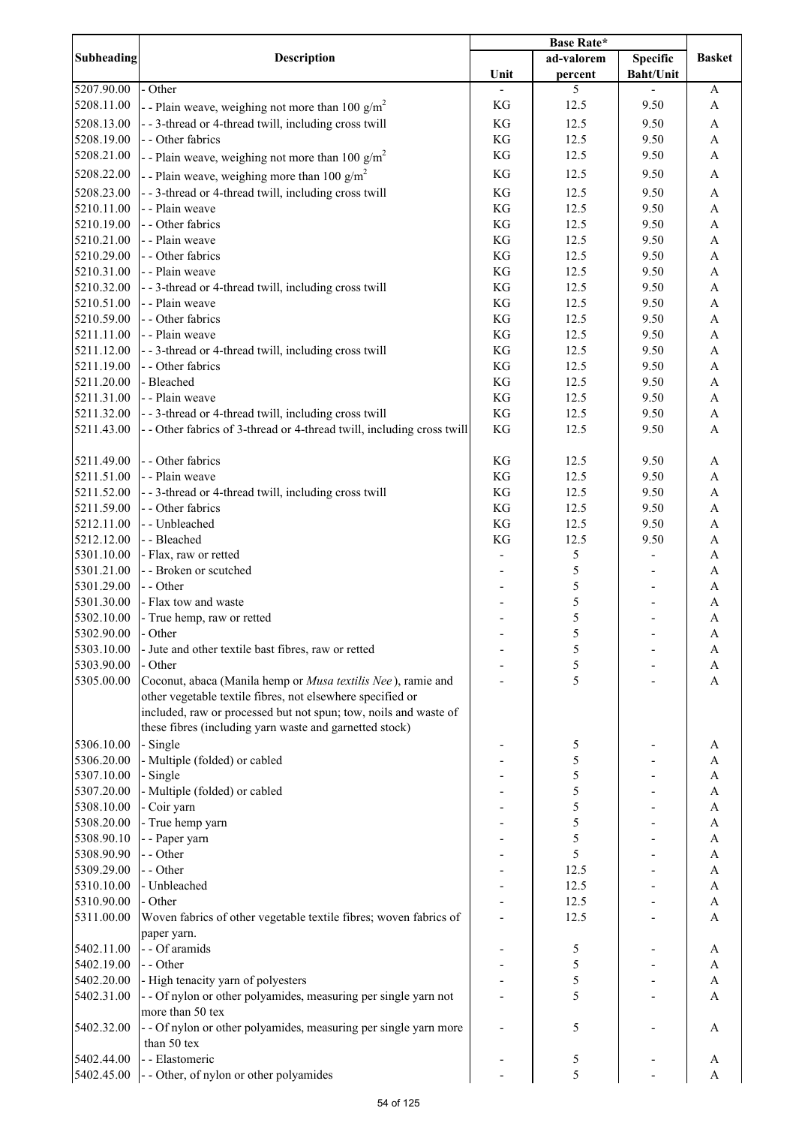|                          |                                                                                                                                 | <b>Base Rate*</b>   |              |                  |                                                        |
|--------------------------|---------------------------------------------------------------------------------------------------------------------------------|---------------------|--------------|------------------|--------------------------------------------------------|
| Subheading               | <b>Description</b>                                                                                                              |                     | ad-valorem   | <b>Specific</b>  | <b>Basket</b>                                          |
|                          |                                                                                                                                 | Unit                | percent      | <b>Baht/Unit</b> |                                                        |
| 5207.90.00               | - Other                                                                                                                         |                     | 5            |                  | A                                                      |
| 5208.11.00               | - - Plain weave, weighing not more than 100 $g/m^2$                                                                             | KG                  | 12.5         | 9.50             | A                                                      |
| 5208.13.00               | --3-thread or 4-thread twill, including cross twill                                                                             | $\mathbf{KG}$       | 12.5         | 9.50             | $\boldsymbol{\mathsf{A}}$                              |
| 5208.19.00               | - - Other fabrics                                                                                                               | $\mathbf{KG}$       | 12.5         | 9.50             | $\boldsymbol{\mathsf{A}}$                              |
| 5208.21.00               | - - Plain weave, weighing not more than 100 $g/m^2$                                                                             | $\mathbf{KG}$       | 12.5         | 9.50             | $\boldsymbol{\rm{A}}$                                  |
| 5208.22.00               | - - Plain weave, weighing more than 100 $g/m^2$                                                                                 | $\mathbf{KG}$       | 12.5         | 9.50             | $\boldsymbol{\mathsf{A}}$                              |
| 5208.23.00               | - - 3-thread or 4-thread twill, including cross twill                                                                           | $\mathbf{KG}$       | 12.5         | 9.50             | $\boldsymbol{\mathsf{A}}$                              |
| 5210.11.00               | - - Plain weave                                                                                                                 | $\mathbf{KG}$       | 12.5         | 9.50             | $\boldsymbol{\rm{A}}$                                  |
| 5210.19.00               | - - Other fabrics                                                                                                               | $\mathbf{KG}$       | 12.5         | 9.50             | $\boldsymbol{\mathsf{A}}$                              |
| 5210.21.00               | - - Plain weave                                                                                                                 | $\mathbf{KG}$       | 12.5         | 9.50             | $\boldsymbol{\mathsf{A}}$                              |
| 5210.29.00               | - - Other fabrics                                                                                                               | $\mathbf{KG}$       | 12.5         | 9.50             | $\boldsymbol{\rm{A}}$                                  |
| 5210.31.00               | - - Plain weave                                                                                                                 | $\mathbf{KG}$       | 12.5         | 9.50             | $\boldsymbol{\rm{A}}$                                  |
| 5210.32.00               | --3-thread or 4-thread twill, including cross twill                                                                             | $\mathbf{KG}$       | 12.5         | 9.50             | $\boldsymbol{\rm{A}}$                                  |
| 5210.51.00               | - - Plain weave                                                                                                                 | KG                  | 12.5         | 9.50             | $\boldsymbol{\mathsf{A}}$                              |
| 5210.59.00               | - - Other fabrics                                                                                                               | $\mathbf{KG}$       | 12.5         | 9.50             | $\mathbf A$                                            |
| 5211.11.00               | - - Plain weave                                                                                                                 | $\mathbf{KG}$       | 12.5         | 9.50             | $\mathbf A$                                            |
| 5211.12.00               | - - 3-thread or 4-thread twill, including cross twill                                                                           | $\mathbf{KG}$       | 12.5         | 9.50             | $\boldsymbol{\mathsf{A}}$                              |
| 5211.19.00               | - - Other fabrics                                                                                                               | $\mathbf{KG}$       | 12.5         | 9.50             | $\boldsymbol{\mathsf{A}}$                              |
| 5211.20.00               | - Bleached                                                                                                                      | $\mathbf{KG}$       | 12.5         | 9.50             | $\boldsymbol{\mathsf{A}}$                              |
| 5211.31.00               | - - Plain weave                                                                                                                 | KG                  | 12.5         | 9.50             | $\boldsymbol{\mathsf{A}}$                              |
| 5211.32.00<br>5211.43.00 | - - 3-thread or 4-thread twill, including cross twill<br>- - Other fabrics of 3-thread or 4-thread twill, including cross twill | $\mathbf{KG}$<br>KG | 12.5<br>12.5 | 9.50<br>9.50     | $\boldsymbol{\mathsf{A}}$<br>$\boldsymbol{\mathsf{A}}$ |
|                          |                                                                                                                                 |                     |              |                  |                                                        |
| 5211.49.00               | - - Other fabrics                                                                                                               | KG                  | 12.5         | 9.50             | A                                                      |
| 5211.51.00               | - - Plain weave                                                                                                                 | $\mathbf{KG}$       | 12.5         | 9.50             | $\mathbf A$                                            |
| 5211.52.00               | --3-thread or 4-thread twill, including cross twill                                                                             | $\mathbf{KG}$       | 12.5         | 9.50             | $\boldsymbol{\mathsf{A}}$                              |
| 5211.59.00               | - - Other fabrics                                                                                                               | $\mathbf{KG}$       | 12.5         | 9.50             | $\boldsymbol{\rm{A}}$                                  |
| 5212.11.00               | - - Unbleached                                                                                                                  | $\mathbf{KG}$       | 12.5         | 9.50             | $\boldsymbol{\mathsf{A}}$                              |
| 5212.12.00               | - - Bleached                                                                                                                    | KG                  | 12.5         | 9.50             | $\boldsymbol{\mathsf{A}}$                              |
| 5301.10.00               | - Flax, raw or retted                                                                                                           |                     | 5            |                  | $\mathbf A$                                            |
| 5301.21.00               | - - Broken or scutched                                                                                                          |                     | 5            |                  | $\boldsymbol{\rm{A}}$                                  |
| 5301.29.00               | - - Other                                                                                                                       |                     | 5            |                  | $\boldsymbol{\rm{A}}$                                  |
| 5301.30.00               | - Flax tow and waste                                                                                                            |                     | 5            |                  | $\boldsymbol{\rm{A}}$                                  |
| 5302.10.00               | - True hemp, raw or retted                                                                                                      |                     | 5            |                  | $\mathbf A$                                            |
| 5302.90.00               | - Other                                                                                                                         |                     | 5            |                  | $\mathbf{A}$                                           |
| 5303.10.00               | - Jute and other textile bast fibres, raw or retted                                                                             |                     | 5            |                  | A                                                      |
| 5303.90.00               | - Other                                                                                                                         |                     | 5            |                  | A                                                      |
| 5305.00.00               | Coconut, abaca (Manila hemp or Musa textilis Nee), ramie and                                                                    |                     | 5            |                  | A                                                      |
|                          | other vegetable textile fibres, not elsewhere specified or                                                                      |                     |              |                  |                                                        |
|                          | included, raw or processed but not spun; tow, noils and waste of                                                                |                     |              |                  |                                                        |
|                          | these fibres (including yarn waste and garnetted stock)                                                                         |                     |              |                  |                                                        |
| 5306.10.00               | - Single                                                                                                                        |                     | 5            |                  | A                                                      |
| 5306.20.00               | - Multiple (folded) or cabled                                                                                                   |                     | 5            |                  | A                                                      |
| 5307.10.00               | - Single<br>- Multiple (folded) or cabled                                                                                       |                     | 5            |                  | A                                                      |
| 5307.20.00<br>5308.10.00 | - Coir yarn                                                                                                                     |                     | 5<br>5       |                  | A<br>A                                                 |
| 5308.20.00               | - True hemp yarn                                                                                                                |                     | 5            |                  | A                                                      |
| 5308.90.10               | - - Paper yarn                                                                                                                  |                     | 5            |                  | A                                                      |
| 5308.90.90               | - - Other                                                                                                                       |                     | 5            |                  | A                                                      |
| 5309.29.00               | - - Other                                                                                                                       |                     | 12.5         |                  | A                                                      |
| 5310.10.00               | - Unbleached                                                                                                                    |                     | 12.5         |                  | A                                                      |
| 5310.90.00               | - Other                                                                                                                         |                     | 12.5         |                  | A                                                      |
| 5311.00.00               | Woven fabrics of other vegetable textile fibres; woven fabrics of                                                               |                     | 12.5         |                  | A                                                      |
|                          | paper yarn.                                                                                                                     |                     |              |                  |                                                        |
| 5402.11.00               | - - Of aramids                                                                                                                  |                     | 5            |                  | A                                                      |
| 5402.19.00               | - - Other                                                                                                                       |                     | 5            |                  | A                                                      |
| 5402.20.00               | - High tenacity yarn of polyesters                                                                                              |                     | 5            |                  | $\mathbf{A}$                                           |
| 5402.31.00               | - - Of nylon or other polyamides, measuring per single yarn not                                                                 |                     | 5            |                  | A                                                      |
|                          | more than 50 tex                                                                                                                |                     |              |                  |                                                        |
| 5402.32.00               | - - Of nylon or other polyamides, measuring per single yarn more                                                                |                     | 5            |                  | A                                                      |
|                          | than 50 tex                                                                                                                     |                     |              |                  |                                                        |
| 5402.44.00               | - - Elastomeric                                                                                                                 |                     | 5            |                  | A                                                      |
| 5402.45.00               | - - Other, of nylon or other polyamides                                                                                         |                     | 5            |                  | A                                                      |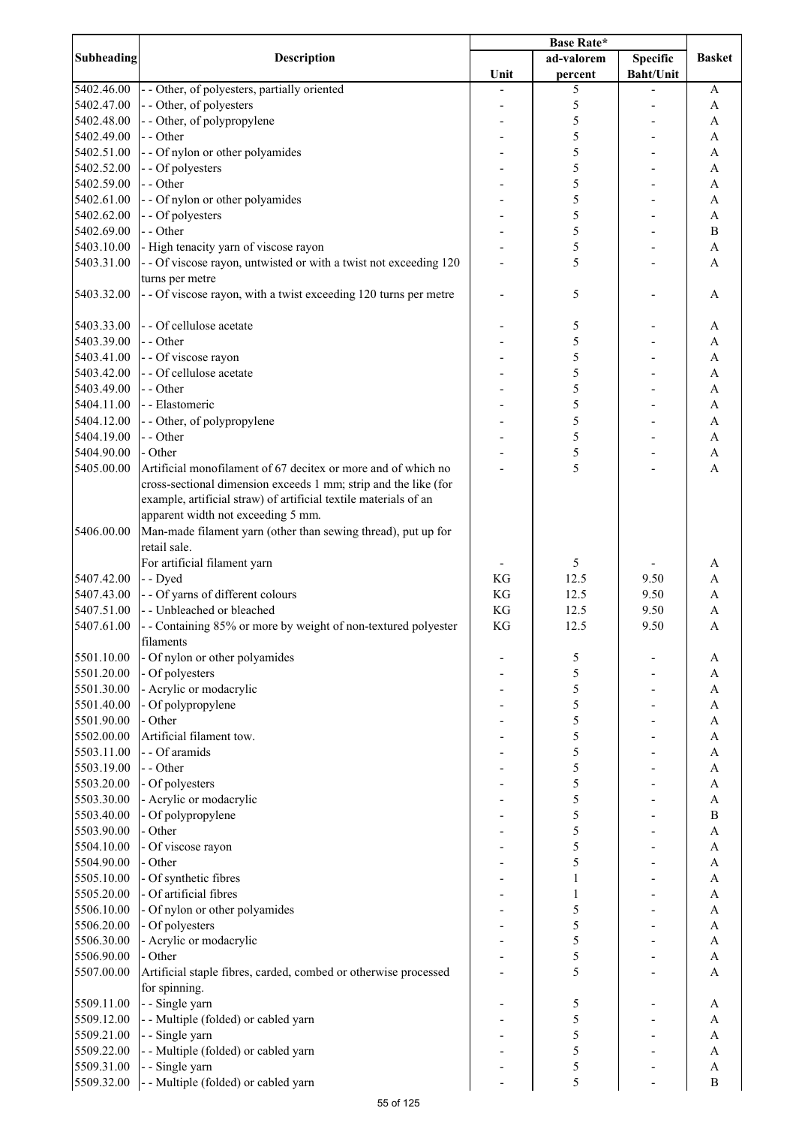|                          |                                                                   | <b>Base Rate*</b> |              |                  |                              |
|--------------------------|-------------------------------------------------------------------|-------------------|--------------|------------------|------------------------------|
| Subheading               | <b>Description</b>                                                |                   | ad-valorem   | <b>Specific</b>  | <b>Basket</b>                |
|                          |                                                                   | Unit              | percent      | <b>Baht/Unit</b> |                              |
| 5402.46.00               | - - Other, of polyesters, partially oriented                      |                   | 5            |                  | A                            |
| 5402.47.00               | - - Other, of polyesters                                          |                   | 5            |                  | A                            |
| 5402.48.00               | - - Other, of polypropylene                                       |                   | 5            |                  | A                            |
| 5402.49.00               | - - Other                                                         |                   | 5            |                  | A                            |
| 5402.51.00               | - - Of nylon or other polyamides                                  |                   | 5            |                  | A                            |
| 5402.52.00               | - - Of polyesters                                                 |                   | 5            |                  | A                            |
| 5402.59.00               | - - Other                                                         |                   | 5            |                  | A                            |
| 5402.61.00               | - - Of nylon or other polyamides                                  |                   | 5            |                  | A                            |
| 5402.62.00               | - - Of polyesters                                                 |                   | 5            |                  | A                            |
| 5402.69.00               | - - Other                                                         |                   | 5            |                  | $\, {\bf B}$                 |
| 5403.10.00               | - High tenacity yarn of viscose rayon                             |                   | 5            |                  | A                            |
| 5403.31.00               | - - Of viscose rayon, untwisted or with a twist not exceeding 120 |                   | 5            |                  | A                            |
|                          | turns per metre                                                   |                   |              |                  |                              |
| 5403.32.00               | - - Of viscose rayon, with a twist exceeding 120 turns per metre  |                   | 5            |                  | A                            |
| 5403.33.00               | - - Of cellulose acetate                                          |                   |              |                  |                              |
|                          | - - Other                                                         |                   | 5            |                  | A                            |
| 5403.39.00<br>5403.41.00 |                                                                   |                   | 5<br>5       |                  | A                            |
| 5403.42.00               | - - Of viscose rayon<br>- - Of cellulose acetate                  |                   | 5            |                  | A<br>A                       |
|                          | - - Other                                                         |                   | 5            |                  |                              |
| 5403.49.00<br>5404.11.00 | - - Elastomeric                                                   |                   | 5            |                  | $\mathbf{A}$<br>$\mathbf{A}$ |
|                          |                                                                   |                   | 5            |                  |                              |
| 5404.12.00               | - - Other, of polypropylene<br>- - Other                          |                   | 5            |                  | A                            |
| 5404.19.00<br>5404.90.00 | - Other                                                           |                   | 5            |                  | A<br>$\mathbf{A}$            |
| 5405.00.00               | Artificial monofilament of 67 decitex or more and of which no     |                   | 5            |                  | $\overline{A}$               |
|                          | cross-sectional dimension exceeds 1 mm; strip and the like (for   |                   |              |                  |                              |
|                          | example, artificial straw) of artificial textile materials of an  |                   |              |                  |                              |
|                          | apparent width not exceeding 5 mm.                                |                   |              |                  |                              |
| 5406.00.00               | Man-made filament yarn (other than sewing thread), put up for     |                   |              |                  |                              |
|                          | retail sale.                                                      |                   |              |                  |                              |
|                          | For artificial filament yarn                                      |                   | 5            |                  | A                            |
| 5407.42.00               | - - Dyed                                                          | KG                | 12.5         | 9.50             | A                            |
| 5407.43.00               | - - Of yarns of different colours                                 | KG                | 12.5         | 9.50             | A                            |
| 5407.51.00               | - - Unbleached or bleached                                        | KG                | 12.5         | 9.50             | A                            |
| 5407.61.00               | - - Containing 85% or more by weight of non-textured polyester    | KG                | 12.5         | 9.50             | A                            |
|                          | filaments                                                         |                   |              |                  |                              |
| 5501.10.00               | - Of nylon or other polyamides                                    |                   | 5            |                  | A                            |
| 5501.20.00               | - Of polyesters                                                   |                   | 5            |                  | A                            |
| 5501.30.00               | - Acrylic or modacrylic                                           |                   | 5            |                  | A                            |
| 5501.40.00               | - Of polypropylene                                                |                   | 5            |                  | A                            |
| 5501.90.00               | - Other                                                           |                   | 5            |                  | A                            |
| 5502.00.00               | Artificial filament tow.                                          |                   | 5            |                  | A                            |
| 5503.11.00               | - - Of aramids                                                    |                   | 5            |                  | A                            |
| 5503.19.00               | - - Other                                                         |                   | 5            |                  | A                            |
| 5503.20.00               | - Of polyesters                                                   |                   | 5            |                  | A                            |
| 5503.30.00               | - Acrylic or modacrylic                                           |                   | 5            |                  | A                            |
| 5503.40.00               | - Of polypropylene                                                |                   | 5            |                  | B                            |
| 5503.90.00               | - Other                                                           |                   | 5            |                  | A                            |
| 5504.10.00               | - Of viscose rayon                                                |                   | 5            |                  | A                            |
| 5504.90.00               | - Other                                                           |                   | 5            |                  | $\mathbf{A}$                 |
| 5505.10.00               | - Of synthetic fibres                                             |                   | $\mathbf{1}$ |                  | A                            |
| 5505.20.00               | - Of artificial fibres                                            |                   | 1            |                  | $\mathbf{A}$                 |
| 5506.10.00               | - Of nylon or other polyamides                                    |                   | 5            |                  | $\mathbf{A}$                 |
| 5506.20.00               | - Of polyesters                                                   |                   | 5            |                  | A                            |
| 5506.30.00               | - Acrylic or modacrylic                                           |                   | 5            |                  | $\mathbf{A}$                 |
| 5506.90.00               | - Other                                                           |                   | 5            |                  | A                            |
| 5507.00.00               | Artificial staple fibres, carded, combed or otherwise processed   |                   | 5            |                  | A                            |
|                          | for spinning.                                                     |                   |              |                  |                              |
| 5509.11.00               | - - Single yarn                                                   |                   | 5            |                  | A                            |
| 5509.12.00               | - - Multiple (folded) or cabled yarn                              |                   | 5            |                  | A                            |
| 5509.21.00               | - - Single yarn                                                   |                   | 5            |                  | A                            |
| 5509.22.00               | - - Multiple (folded) or cabled yarn                              |                   | 5            |                  | A                            |
| 5509.31.00               | - - Single yarn                                                   |                   | 5            |                  | A                            |
| 5509.32.00               | - - Multiple (folded) or cabled yarn                              |                   | 5            |                  | $\bf{B}$                     |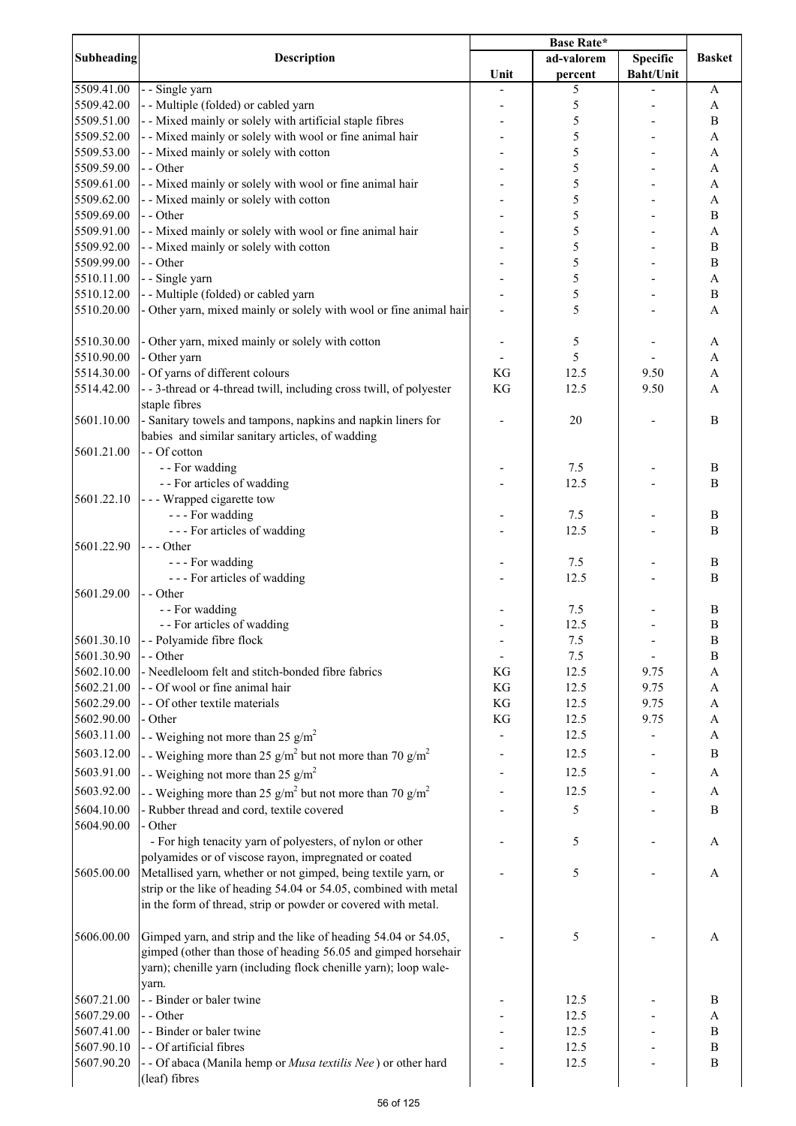|                   |                                                                                | <b>Base Rate*</b> |            |                  |                  |
|-------------------|--------------------------------------------------------------------------------|-------------------|------------|------------------|------------------|
| <b>Subheading</b> | <b>Description</b>                                                             |                   | ad-valorem | Specific         | <b>Basket</b>    |
|                   |                                                                                | Unit              | percent    | <b>Baht/Unit</b> |                  |
| 5509.41.00        | - - Single yarn                                                                |                   | 5          |                  | A                |
| 5509.42.00        | - - Multiple (folded) or cabled yarn                                           |                   | 5          |                  | A                |
| 5509.51.00        | - - Mixed mainly or solely with artificial staple fibres                       |                   | 5          |                  | B                |
| 5509.52.00        | - - Mixed mainly or solely with wool or fine animal hair                       |                   | 5          |                  | A                |
| 5509.53.00        | - - Mixed mainly or solely with cotton                                         |                   | 5          |                  | A                |
| 5509.59.00        | - - Other                                                                      |                   | 5          |                  | A                |
| 5509.61.00        | - - Mixed mainly or solely with wool or fine animal hair                       |                   | 5          |                  | A                |
| 5509.62.00        | - - Mixed mainly or solely with cotton                                         |                   | 5          |                  | A                |
| 5509.69.00        | - - Other                                                                      |                   | 5          |                  | B                |
| 5509.91.00        | - - Mixed mainly or solely with wool or fine animal hair                       |                   | 5          |                  | A                |
| 5509.92.00        | - - Mixed mainly or solely with cotton                                         |                   | 5          |                  | $\boldsymbol{B}$ |
| 5509.99.00        | - - Other                                                                      |                   | 5          |                  | $\bf{B}$         |
| 5510.11.00        | - - Single yarn                                                                |                   | 5          |                  | $\mathbf{A}$     |
| 5510.12.00        | - - Multiple (folded) or cabled yarn                                           |                   | 5          |                  | $\, {\bf B}$     |
| 5510.20.00        | - Other yarn, mixed mainly or solely with wool or fine animal hair             |                   | 5          |                  | $\mathbf{A}$     |
|                   |                                                                                |                   |            |                  |                  |
| 5510.30.00        | - Other yarn, mixed mainly or solely with cotton                               |                   | 5          |                  | A                |
| 5510.90.00        | - Other yarn                                                                   |                   | 5          |                  | A                |
| 5514.30.00        | - Of yarns of different colours                                                | KG                | 12.5       | 9.50             | A                |
| 5514.42.00        | --3-thread or 4-thread twill, including cross twill, of polyester              | KG                | 12.5       | 9.50             | $\overline{A}$   |
|                   | staple fibres                                                                  |                   |            |                  |                  |
| 5601.10.00        | - Sanitary towels and tampons, napkins and napkin liners for                   |                   | 20         |                  | B                |
|                   | babies and similar sanitary articles, of wadding                               |                   |            |                  |                  |
| 5601.21.00        | - - Of cotton                                                                  |                   |            |                  |                  |
|                   | - - For wadding                                                                |                   | 7.5        |                  | B                |
|                   | - - For articles of wadding                                                    |                   | 12.5       |                  | B                |
|                   |                                                                                |                   |            |                  |                  |
| 5601.22.10        | - - - Wrapped cigarette tow                                                    |                   |            |                  |                  |
|                   | --- For wadding                                                                |                   | 7.5        |                  | B                |
|                   | --- For articles of wadding                                                    |                   | 12.5       |                  | B                |
| 5601.22.90        | --- Other                                                                      |                   |            |                  |                  |
|                   | --- For wadding                                                                |                   | 7.5        |                  | B                |
|                   | --- For articles of wadding                                                    |                   | 12.5       |                  | B                |
| 5601.29.00        | - - Other                                                                      |                   |            |                  |                  |
|                   | - - For wadding                                                                |                   | 7.5        |                  | B                |
|                   | - - For articles of wadding                                                    |                   | 12.5       |                  | $\boldsymbol{B}$ |
| 5601.30.10        | - - Polyamide fibre flock                                                      |                   | 7.5        |                  | $\, {\bf B}$     |
| 5601.30.90        | - - Other                                                                      |                   | 7.5        |                  | B                |
| 5602.10.00        | - Needleloom felt and stitch-bonded fibre fabrics                              | KG                | 12.5       | 9.75             | $\mathbf{A}$     |
| 5602.21.00        | - - Of wool or fine animal hair                                                | KG                | 12.5       | 9.75             | A                |
| 5602.29.00        | - - Of other textile materials                                                 | KG                | 12.5       | 9.75             | $\mathbf{A}$     |
| 5602.90.00        | - Other                                                                        | KG                | 12.5       | 9.75             | $\mathbf{A}$     |
| 5603.11.00        | - Weighing not more than 25 g/m <sup>2</sup>                                   |                   | 12.5       |                  | $\mathbf{A}$     |
| 5603.12.00        | - Weighing more than 25 g/m <sup>2</sup> but not more than 70 g/m <sup>2</sup> |                   | 12.5       |                  | B                |
| 5603.91.00        | - Weighing not more than 25 $g/m^2$                                            |                   | 12.5       |                  | A                |
|                   |                                                                                |                   |            |                  |                  |
| 5603.92.00        | - Weighing more than 25 g/m <sup>2</sup> but not more than 70 g/m <sup>2</sup> |                   | 12.5       |                  | A                |
| 5604.10.00        | - Rubber thread and cord, textile covered                                      |                   | 5          |                  | B                |
| 5604.90.00        | - Other                                                                        |                   |            |                  |                  |
|                   | - For high tenacity yarn of polyesters, of nylon or other                      |                   | 5          |                  | A                |
|                   | polyamides or of viscose rayon, impregnated or coated                          |                   |            |                  |                  |
| 5605.00.00        | Metallised yarn, whether or not gimped, being textile yarn, or                 |                   | 5          |                  | A                |
|                   | strip or the like of heading 54.04 or 54.05, combined with metal               |                   |            |                  |                  |
|                   | in the form of thread, strip or powder or covered with metal.                  |                   |            |                  |                  |
|                   |                                                                                |                   |            |                  |                  |
| 5606.00.00        | Gimped yarn, and strip and the like of heading 54.04 or 54.05,                 |                   | 5          |                  | A                |
|                   | gimped (other than those of heading 56.05 and gimped horsehair                 |                   |            |                  |                  |
|                   | yarn); chenille yarn (including flock chenille yarn); loop wale-               |                   |            |                  |                  |
|                   | yarn.                                                                          |                   |            |                  |                  |
| 5607.21.00        | - - Binder or baler twine                                                      |                   | 12.5       |                  | B                |
| 5607.29.00        | - - Other                                                                      |                   | 12.5       |                  | A                |
| 5607.41.00        | - - Binder or baler twine                                                      |                   | 12.5       |                  | $\, {\bf B}$     |
| 5607.90.10        | - - Of artificial fibres                                                       |                   | 12.5       |                  | $\, {\bf B}$     |
| 5607.90.20        | - - Of abaca (Manila hemp or Musa textilis Nee) or other hard                  |                   | 12.5       |                  | B                |
|                   | (leaf) fibres                                                                  |                   |            |                  |                  |
|                   |                                                                                |                   |            |                  |                  |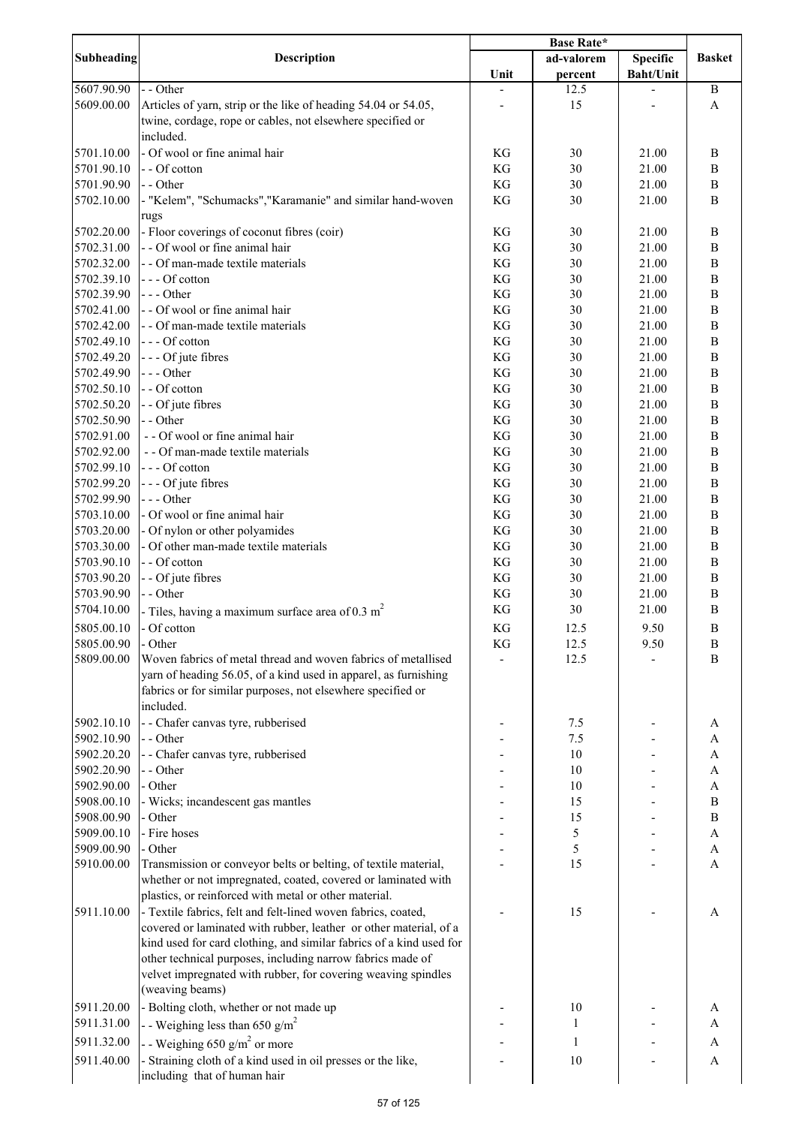|                          |                                                                                                                             | <b>Base Rate*</b> |              |                  |                      |
|--------------------------|-----------------------------------------------------------------------------------------------------------------------------|-------------------|--------------|------------------|----------------------|
| <b>Subheading</b>        | <b>Description</b>                                                                                                          |                   | ad-valorem   | <b>Specific</b>  | <b>Basket</b>        |
|                          |                                                                                                                             | Unit              | percent      | <b>Baht/Unit</b> |                      |
| 5607.90.90               | - - Other                                                                                                                   |                   | 12.5         |                  | $\mathbf B$          |
| 5609.00.00               | Articles of yarn, strip or the like of heading 54.04 or 54.05,                                                              |                   | 15           |                  | A                    |
|                          | twine, cordage, rope or cables, not elsewhere specified or                                                                  |                   |              |                  |                      |
|                          | included.                                                                                                                   |                   |              |                  |                      |
| 5701.10.00               | - Of wool or fine animal hair                                                                                               | KG                | 30           | 21.00            | B                    |
| 5701.90.10               | - - Of cotton                                                                                                               | KG                | 30           | 21.00            | B                    |
| 5701.90.90               | - - Other                                                                                                                   | KG                | 30           | 21.00            | $\bf{B}$             |
| 5702.10.00               | - "Kelem", "Schumacks", "Karamanie" and similar hand-woven                                                                  | KG                | 30           | 21.00            | B                    |
|                          | rugs                                                                                                                        |                   |              |                  |                      |
| 5702.20.00               | - Floor coverings of coconut fibres (coir)<br>- - Of wool or fine animal hair                                               | KG                | 30           | 21.00            | $\, {\bf B}$         |
| 5702.31.00<br>5702.32.00 | - - Of man-made textile materials                                                                                           | KG<br>KG          | 30<br>30     | 21.00<br>21.00   | $\bf{B}$<br>$\bf{B}$ |
| 5702.39.10               | --- Of cotton                                                                                                               | KG                | 30           | 21.00            | $\bf{B}$             |
| 5702.39.90               | $--$ Other                                                                                                                  | KG                | 30           | 21.00            | $\, {\bf B}$         |
| 5702.41.00               | - - Of wool or fine animal hair                                                                                             | KG                | 30           | 21.00            | $\, {\bf B}$         |
| 5702.42.00               | - - Of man-made textile materials                                                                                           | KG                | 30           | 21.00            | $\, {\bf B}$         |
| 5702.49.10               | --- Of cotton                                                                                                               | KG                | 30           | 21.00            | $\mathbf B$          |
| 5702.49.20               | - - - Of jute fibres                                                                                                        | KG                | 30           | 21.00            | $\mathbf B$          |
| 5702.49.90               | --- Other                                                                                                                   | KG                | 30           | 21.00            | $\, {\bf B}$         |
| 5702.50.10               | - - Of cotton                                                                                                               | KG                | 30           | 21.00            | $\mathbf B$          |
| 5702.50.20               | - - Of jute fibres                                                                                                          | KG                | 30           | 21.00            | $\, {\bf B}$         |
| 5702.50.90               | - - Other                                                                                                                   | KG                | 30           | 21.00            | $\, {\bf B}$         |
| 5702.91.00               | - - Of wool or fine animal hair                                                                                             | KG                | 30           | 21.00            | $\, {\bf B}$         |
| 5702.92.00               | - - Of man-made textile materials                                                                                           | KG                | 30           | 21.00            | $\, {\bf B}$         |
| 5702.99.10               | --- Of cotton                                                                                                               | KG                | 30           | 21.00            | $\, {\bf B}$         |
| 5702.99.20               | - - - Of jute fibres                                                                                                        | KG                | 30           | 21.00            | B                    |
| 5702.99.90               | $--$ Other                                                                                                                  | KG                | 30           | 21.00            | B                    |
| 5703.10.00               | - Of wool or fine animal hair                                                                                               | KG                | 30           | 21.00            | B                    |
| 5703.20.00               | - Of nylon or other polyamides                                                                                              | KG                | 30           | 21.00            | $\, {\bf B}$         |
| 5703.30.00               | - Of other man-made textile materials                                                                                       | KG                | 30           | 21.00            | B                    |
| 5703.90.10               | - - Of cotton                                                                                                               | KG                | 30           | 21.00            | B                    |
| 5703.90.20               | - - Of jute fibres                                                                                                          | KG                | 30           | 21.00            | B                    |
| 5703.90.90<br>5704.10.00 | - - Other                                                                                                                   | KG<br>KG          | 30<br>30     | 21.00<br>21.00   | B<br>B               |
|                          | - Tiles, having a maximum surface area of $0.3 \text{ m}^2$                                                                 |                   |              |                  |                      |
| 5805.00.10               | - Of cotton                                                                                                                 | KG                | 12.5         | 9.50             | B                    |
| 5805.00.90<br>5809.00.00 | - Other<br>Woven fabrics of metal thread and woven fabrics of metallised                                                    | KG                | 12.5<br>12.5 | 9.50             | B<br>B               |
|                          | yarn of heading 56.05, of a kind used in apparel, as furnishing                                                             |                   |              |                  |                      |
|                          | fabrics or for similar purposes, not elsewhere specified or                                                                 |                   |              |                  |                      |
|                          | included.                                                                                                                   |                   |              |                  |                      |
| 5902.10.10               | - - Chafer canvas tyre, rubberised                                                                                          |                   | 7.5          |                  | A                    |
| 5902.10.90               | - - Other                                                                                                                   |                   | 7.5          |                  | A                    |
| 5902.20.20               | - - Chafer canvas tyre, rubberised                                                                                          |                   | 10           |                  | A                    |
| 5902.20.90               | - - Other                                                                                                                   |                   | 10           |                  | A                    |
| 5902.90.00               | - Other                                                                                                                     |                   | 10           |                  | A                    |
| 5908.00.10               | - Wicks; incandescent gas mantles                                                                                           |                   | 15           |                  | $\, {\bf B}$         |
| 5908.00.90               | - Other                                                                                                                     |                   | 15           |                  | $\bf{B}$             |
| 5909.00.10               | - Fire hoses                                                                                                                |                   | 5            |                  | A                    |
| 5909.00.90               | - Other                                                                                                                     |                   | 5            |                  | A                    |
| 5910.00.00               | Transmission or conveyor belts or belting, of textile material,                                                             |                   | 15           |                  | A                    |
|                          | whether or not impregnated, coated, covered or laminated with                                                               |                   |              |                  |                      |
|                          | plastics, or reinforced with metal or other material.                                                                       |                   |              |                  |                      |
| 5911.10.00               | - Textile fabrics, felt and felt-lined woven fabrics, coated,                                                               |                   | 15           |                  | A                    |
|                          | covered or laminated with rubber, leather or other material, of a                                                           |                   |              |                  |                      |
|                          | kind used for card clothing, and similar fabrics of a kind used for                                                         |                   |              |                  |                      |
|                          | other technical purposes, including narrow fabrics made of<br>velvet impregnated with rubber, for covering weaving spindles |                   |              |                  |                      |
|                          | (weaving beams)                                                                                                             |                   |              |                  |                      |
| 5911.20.00               | - Bolting cloth, whether or not made up                                                                                     |                   | 10           |                  |                      |
| 5911.31.00               |                                                                                                                             |                   | 1            |                  | A<br>A               |
|                          | - - Weighing less than 650 g/m <sup>2</sup>                                                                                 |                   |              |                  |                      |
| 5911.32.00               | - - Weighing 650 g/m <sup>2</sup> or more                                                                                   |                   | 1            |                  | A                    |
| 5911.40.00               | - Straining cloth of a kind used in oil presses or the like,                                                                |                   | 10           |                  | A                    |
|                          | including that of human hair                                                                                                |                   |              |                  |                      |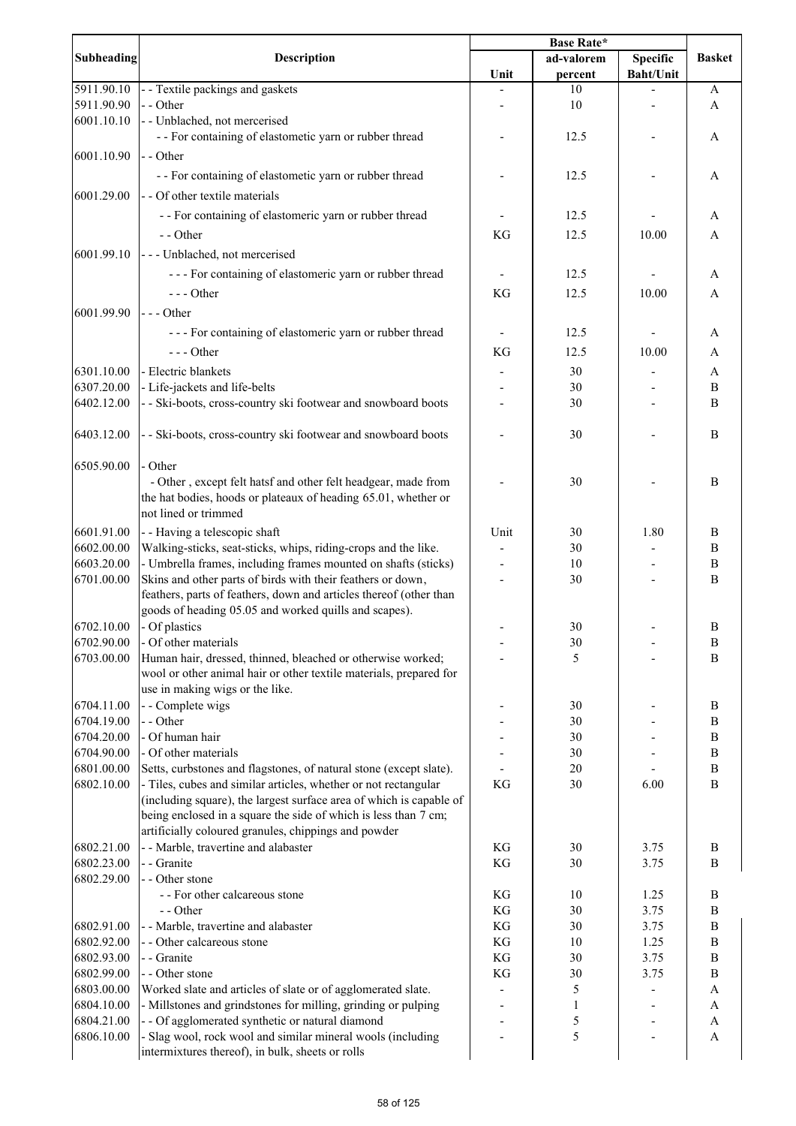|                          |                                                                     | <b>Base Rate*</b> |              |                  |                              |
|--------------------------|---------------------------------------------------------------------|-------------------|--------------|------------------|------------------------------|
| <b>Subheading</b>        | <b>Description</b>                                                  |                   | ad-valorem   | <b>Specific</b>  | <b>Basket</b>                |
|                          |                                                                     | Unit              | percent      | <b>Baht/Unit</b> |                              |
| 5911.90.10               | - Textile packings and gaskets                                      |                   | 10           |                  | A                            |
| 5911.90.90               | - - Other                                                           |                   | 10           |                  | A                            |
| 6001.10.10               | - Unblached, not mercerised                                         |                   |              |                  |                              |
|                          | - - For containing of elastometic yarn or rubber thread             |                   | 12.5         |                  | A                            |
| 6001.10.90               | - - Other                                                           |                   |              |                  |                              |
|                          | - - For containing of elastometic yarn or rubber thread             |                   | 12.5         |                  | A                            |
| 6001.29.00               | - - Of other textile materials                                      |                   |              |                  |                              |
|                          | - - For containing of elastomeric yarn or rubber thread             |                   | 12.5         |                  | A                            |
|                          |                                                                     |                   |              |                  |                              |
|                          | - - Other                                                           | KG                | 12.5         | 10.00            | A                            |
| 6001.99.10               | --- Unblached, not mercerised                                       |                   |              |                  |                              |
|                          | --- For containing of elastomeric yarn or rubber thread             |                   | 12.5         |                  | A                            |
|                          | $--- Other$                                                         | KG                | 12.5         | 10.00            | A                            |
| 6001.99.90               | $--$ Other                                                          |                   |              |                  |                              |
|                          | --- For containing of elastomeric yarn or rubber thread             |                   | 12.5         |                  | A                            |
|                          |                                                                     |                   |              |                  |                              |
|                          | $--$ Other                                                          | KG                | 12.5         | 10.00            | A                            |
| 6301.10.00               | - Electric blankets                                                 |                   | 30           |                  | A                            |
| 6307.20.00               | - Life-jackets and life-belts                                       |                   | 30           |                  | $\, {\bf B}$                 |
| 6402.12.00               | - - Ski-boots, cross-country ski footwear and snowboard boots       |                   | 30           |                  | $\overline{B}$               |
| 6403.12.00               |                                                                     |                   |              |                  | B                            |
|                          | - - Ski-boots, cross-country ski footwear and snowboard boots       |                   | 30           |                  |                              |
| 6505.90.00               | Other                                                               |                   |              |                  |                              |
|                          | - Other, except felt hatsf and other felt headgear, made from       |                   | 30           |                  | B                            |
|                          | the hat bodies, hoods or plateaux of heading 65.01, whether or      |                   |              |                  |                              |
|                          | not lined or trimmed                                                |                   |              |                  |                              |
| 6601.91.00               | - - Having a telescopic shaft                                       | Unit              | 30           | 1.80             | B                            |
| 6602.00.00               | Walking-sticks, seat-sticks, whips, riding-crops and the like.      |                   | 30           |                  | $\, {\bf B}$                 |
| 6603.20.00               | - Umbrella frames, including frames mounted on shafts (sticks)      |                   | 10           |                  | $\, {\bf B}$                 |
| 6701.00.00               | Skins and other parts of birds with their feathers or down,         |                   | 30           |                  | B                            |
|                          | feathers, parts of feathers, down and articles thereof (other than  |                   |              |                  |                              |
|                          | goods of heading 05.05 and worked quills and scapes).               |                   |              |                  |                              |
| 6702.10.00               | - Of plastics                                                       |                   | 30           |                  | B                            |
| 6702.90.00               | - Of other materials                                                |                   | 30           |                  | $\, {\bf B}$                 |
| 6703.00.00               | Human hair, dressed, thinned, bleached or otherwise worked;         |                   | 5            |                  | B                            |
|                          | wool or other animal hair or other textile materials, prepared for  |                   |              |                  |                              |
|                          | use in making wigs or the like.                                     |                   |              |                  |                              |
| 6704.11.00<br>6704.19.00 | - - Complete wigs<br>- - Other                                      |                   | 30<br>30     |                  | B                            |
| 6704.20.00               | - Of human hair                                                     |                   | 30           |                  | B<br>$\, {\bf B}$            |
| 6704.90.00               | - Of other materials                                                |                   | 30           |                  | $\, {\bf B}$                 |
| 6801.00.00               | Setts, curbstones and flagstones, of natural stone (except slate).  |                   | 20           |                  | $\, {\bf B}$                 |
| 6802.10.00               | - Tiles, cubes and similar articles, whether or not rectangular     | KG                | 30           | 6.00             | $\mathbf B$                  |
|                          | (including square), the largest surface area of which is capable of |                   |              |                  |                              |
|                          | being enclosed in a square the side of which is less than 7 cm;     |                   |              |                  |                              |
|                          | artificially coloured granules, chippings and powder                |                   |              |                  |                              |
| 6802.21.00               | - - Marble, travertine and alabaster                                | KG                | 30           | 3.75             | B                            |
| 6802.23.00               | - - Granite                                                         | KG                | 30           | 3.75             | B                            |
| 6802.29.00               | - - Other stone                                                     |                   |              |                  |                              |
|                          | - - For other calcareous stone                                      | KG                | 10           | 1.25             | B                            |
|                          | - - Other                                                           | KG                | 30           | 3.75             | $\, {\bf B}$                 |
| 6802.91.00               | - - Marble, travertine and alabaster                                | KG                | 30           | 3.75             | $\, {\bf B}$                 |
| 6802.92.00               | - - Other calcareous stone                                          | KG                | 10           | 1.25             | $\, {\bf B}$                 |
| 6802.93.00<br>6802.99.00 | - - Granite<br>- - Other stone                                      | KG<br>KG          | 30<br>30     | 3.75<br>3.75     | $\, {\bf B}$<br>$\, {\bf B}$ |
| 6803.00.00               | Worked slate and articles of slate or of agglomerated slate.        |                   | 5            |                  | A                            |
| 6804.10.00               | - Millstones and grindstones for milling, grinding or pulping       |                   | $\mathbf{1}$ |                  | A                            |
| 6804.21.00               | - - Of agglomerated synthetic or natural diamond                    |                   | 5            |                  | A                            |
| 6806.10.00               | - Slag wool, rock wool and similar mineral wools (including         |                   | 5            |                  | A                            |
|                          | intermixtures thereof), in bulk, sheets or rolls                    |                   |              |                  |                              |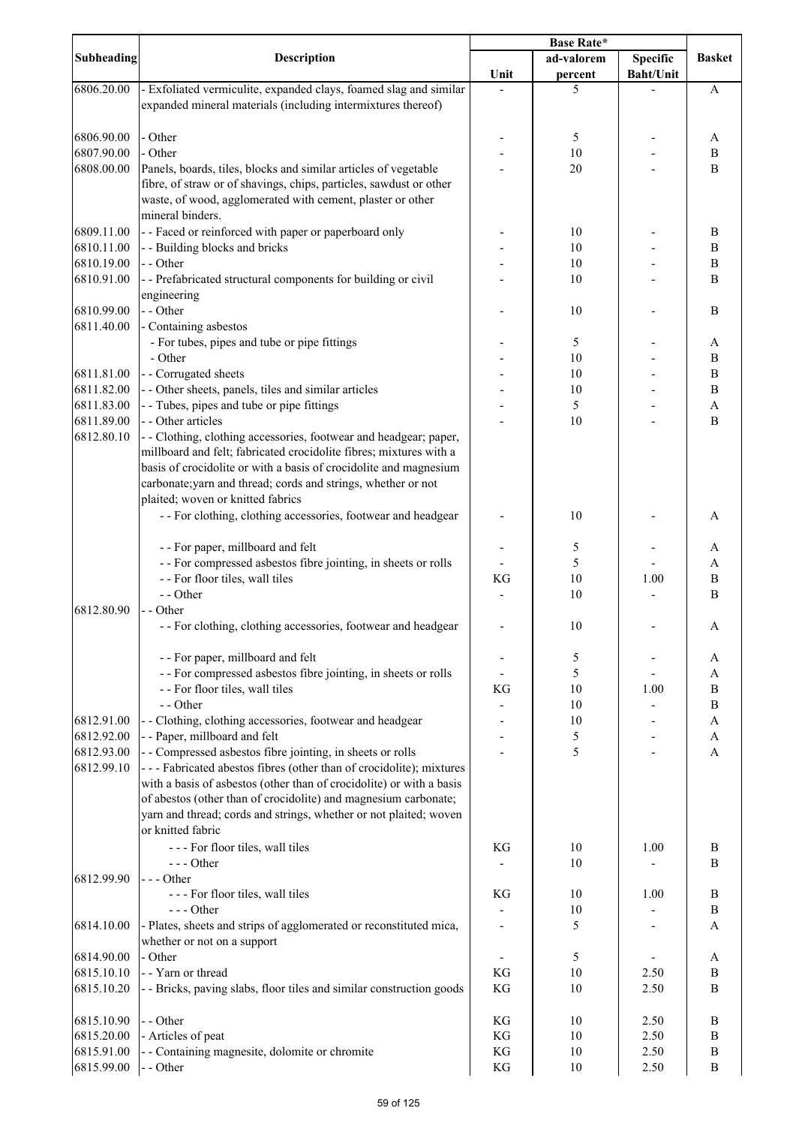| <b>Subheading</b><br>ad-valorem<br><b>Specific</b><br><b>Description</b><br><b>Basket</b><br>Unit<br><b>Baht/Unit</b><br>percent<br>6806.20.00<br>- Exfoliated vermiculite, expanded clays, foamed slag and similar<br>5<br>A<br>expanded mineral materials (including intermixtures thereof)<br>- Other<br>6806.90.00<br>5<br>A<br>6807.90.00<br>- Other<br>10<br>B<br>6808.00.00<br>Panels, boards, tiles, blocks and similar articles of vegetable<br>20<br>B<br>fibre, of straw or of shavings, chips, particles, sawdust or other<br>waste, of wood, agglomerated with cement, plaster or other<br>mineral binders.<br>6809.11.00<br>- - Faced or reinforced with paper or paperboard only<br>10<br>B<br>- - Building blocks and bricks<br>6810.11.00<br>10<br>B<br>6810.19.00<br>- - Other<br>10<br>B<br>6810.91.00<br>- - Prefabricated structural components for building or civil<br>10<br>$\, {\bf B}$<br>engineering<br>6810.99.00<br>- - Other<br>10<br>$\, {\bf B}$<br>6811.40.00<br>- Containing asbestos<br>- For tubes, pipes and tube or pipe fittings<br>5<br>A<br>- Other<br>10<br>B<br>6811.81.00<br>- - Corrugated sheets<br>$\, {\bf B}$<br>10<br>- - Other sheets, panels, tiles and similar articles<br>6811.82.00<br>$\, {\bf B}$<br>10<br>- Tubes, pipes and tube or pipe fittings<br>5<br>6811.83.00<br>$\boldsymbol{\mathsf{A}}$<br>6811.89.00<br>- - Other articles<br>10<br>B<br>6812.80.10<br>- - Clothing, clothing accessories, footwear and headgear; paper,<br>millboard and felt; fabricated crocidolite fibres; mixtures with a<br>basis of crocidolite or with a basis of crocidolite and magnesium<br>carbonate; yarn and thread; cords and strings, whether or not<br>plaited; woven or knitted fabrics<br>- - For clothing, clothing accessories, footwear and headgear<br>10<br>A<br>- - For paper, millboard and felt<br>5<br>A<br>- - For compressed asbestos fibre jointing, in sheets or rolls<br>5<br>A<br>- - For floor tiles, wall tiles<br>KG<br>10<br>1.00<br>$\bf{B}$<br>- - Other<br>10<br>B<br>6812.80.90<br>- - Other<br>- - For clothing, clothing accessories, footwear and headgear<br>10<br>A<br>- - For paper, millboard and felt<br>5<br>A<br>- - For compressed asbestos fibre jointing, in sheets or rolls<br>5<br>A<br>- - For floor tiles, wall tiles<br>KG<br>10<br>B<br>1.00<br>- - Other<br>10<br>B<br>- - Clothing, clothing accessories, footwear and headgear<br>6812.91.00<br>10<br>A<br>6812.92.00<br>- - Paper, millboard and felt<br>5<br>A<br>5<br>6812.93.00<br>- - Compressed asbestos fibre jointing, in sheets or rolls<br>A<br>6812.99.10<br>--- Fabricated abestos fibres (other than of crocidolite); mixtures<br>with a basis of asbestos (other than of crocidolite) or with a basis<br>of abestos (other than of crocidolite) and magnesium carbonate;<br>yarn and thread; cords and strings, whether or not plaited; woven<br>or knitted fabric<br>--- For floor tiles, wall tiles<br>KG<br>10<br>1.00<br>B<br>$--$ Other<br>10<br>B<br>6812.99.90<br>$--$ Other<br>--- For floor tiles, wall tiles<br>KG<br>1.00<br>B<br>10<br>$--$ Other<br>$\, {\bf B}$<br>10<br>5<br>6814.10.00<br>- Plates, sheets and strips of agglomerated or reconstituted mica,<br>A<br>whether or not on a support<br>6814.90.00<br>- Other<br>5<br>A<br>6815.10.10<br>- - Yarn or thread<br>10<br>KG<br>2.50<br>B<br>6815.10.20<br>- - Bricks, paving slabs, floor tiles and similar construction goods<br>KG<br>10<br>2.50<br>B<br>- - Other<br>6815.10.90<br>KG<br>10<br>2.50<br>B<br>6815.20.00<br>- Articles of peat<br>KG<br>2.50<br>10<br>B<br>- - Containing magnesite, dolomite or chromite<br>6815.91.00<br>KG<br>2.50<br>10<br>$\, {\bf B}$<br>6815.99.00<br>- - Other<br>KG<br>2.50<br>$\, {\bf B}$<br>10 |  | <b>Base Rate*</b> |  |  |  |
|-----------------------------------------------------------------------------------------------------------------------------------------------------------------------------------------------------------------------------------------------------------------------------------------------------------------------------------------------------------------------------------------------------------------------------------------------------------------------------------------------------------------------------------------------------------------------------------------------------------------------------------------------------------------------------------------------------------------------------------------------------------------------------------------------------------------------------------------------------------------------------------------------------------------------------------------------------------------------------------------------------------------------------------------------------------------------------------------------------------------------------------------------------------------------------------------------------------------------------------------------------------------------------------------------------------------------------------------------------------------------------------------------------------------------------------------------------------------------------------------------------------------------------------------------------------------------------------------------------------------------------------------------------------------------------------------------------------------------------------------------------------------------------------------------------------------------------------------------------------------------------------------------------------------------------------------------------------------------------------------------------------------------------------------------------------------------------------------------------------------------------------------------------------------------------------------------------------------------------------------------------------------------------------------------------------------------------------------------------------------------------------------------------------------------------------------------------------------------------------------------------------------------------------------------------------------------------------------------------------------------------------------------------------------------------------------------------------------------------------------------------------------------------------------------------------------------------------------------------------------------------------------------------------------------------------------------------------------------------------------------------------------------------------------------------------------------------------------------------------------------------------------------------------------------------------------------------------------------------------------------------------------------------------------------------------------------------------------------------------------------------------------------------------------------------------------------------------------------------------------------------------------------------------------------------------------------------------------------------------------------------------------------------------------------------------------------------------------------------------------------------------------------------------------|--|-------------------|--|--|--|
|                                                                                                                                                                                                                                                                                                                                                                                                                                                                                                                                                                                                                                                                                                                                                                                                                                                                                                                                                                                                                                                                                                                                                                                                                                                                                                                                                                                                                                                                                                                                                                                                                                                                                                                                                                                                                                                                                                                                                                                                                                                                                                                                                                                                                                                                                                                                                                                                                                                                                                                                                                                                                                                                                                                                                                                                                                                                                                                                                                                                                                                                                                                                                                                                                                                                                                                                                                                                                                                                                                                                                                                                                                                                                                                                                                                         |  |                   |  |  |  |
|                                                                                                                                                                                                                                                                                                                                                                                                                                                                                                                                                                                                                                                                                                                                                                                                                                                                                                                                                                                                                                                                                                                                                                                                                                                                                                                                                                                                                                                                                                                                                                                                                                                                                                                                                                                                                                                                                                                                                                                                                                                                                                                                                                                                                                                                                                                                                                                                                                                                                                                                                                                                                                                                                                                                                                                                                                                                                                                                                                                                                                                                                                                                                                                                                                                                                                                                                                                                                                                                                                                                                                                                                                                                                                                                                                                         |  |                   |  |  |  |
|                                                                                                                                                                                                                                                                                                                                                                                                                                                                                                                                                                                                                                                                                                                                                                                                                                                                                                                                                                                                                                                                                                                                                                                                                                                                                                                                                                                                                                                                                                                                                                                                                                                                                                                                                                                                                                                                                                                                                                                                                                                                                                                                                                                                                                                                                                                                                                                                                                                                                                                                                                                                                                                                                                                                                                                                                                                                                                                                                                                                                                                                                                                                                                                                                                                                                                                                                                                                                                                                                                                                                                                                                                                                                                                                                                                         |  |                   |  |  |  |
|                                                                                                                                                                                                                                                                                                                                                                                                                                                                                                                                                                                                                                                                                                                                                                                                                                                                                                                                                                                                                                                                                                                                                                                                                                                                                                                                                                                                                                                                                                                                                                                                                                                                                                                                                                                                                                                                                                                                                                                                                                                                                                                                                                                                                                                                                                                                                                                                                                                                                                                                                                                                                                                                                                                                                                                                                                                                                                                                                                                                                                                                                                                                                                                                                                                                                                                                                                                                                                                                                                                                                                                                                                                                                                                                                                                         |  |                   |  |  |  |
|                                                                                                                                                                                                                                                                                                                                                                                                                                                                                                                                                                                                                                                                                                                                                                                                                                                                                                                                                                                                                                                                                                                                                                                                                                                                                                                                                                                                                                                                                                                                                                                                                                                                                                                                                                                                                                                                                                                                                                                                                                                                                                                                                                                                                                                                                                                                                                                                                                                                                                                                                                                                                                                                                                                                                                                                                                                                                                                                                                                                                                                                                                                                                                                                                                                                                                                                                                                                                                                                                                                                                                                                                                                                                                                                                                                         |  |                   |  |  |  |
|                                                                                                                                                                                                                                                                                                                                                                                                                                                                                                                                                                                                                                                                                                                                                                                                                                                                                                                                                                                                                                                                                                                                                                                                                                                                                                                                                                                                                                                                                                                                                                                                                                                                                                                                                                                                                                                                                                                                                                                                                                                                                                                                                                                                                                                                                                                                                                                                                                                                                                                                                                                                                                                                                                                                                                                                                                                                                                                                                                                                                                                                                                                                                                                                                                                                                                                                                                                                                                                                                                                                                                                                                                                                                                                                                                                         |  |                   |  |  |  |
|                                                                                                                                                                                                                                                                                                                                                                                                                                                                                                                                                                                                                                                                                                                                                                                                                                                                                                                                                                                                                                                                                                                                                                                                                                                                                                                                                                                                                                                                                                                                                                                                                                                                                                                                                                                                                                                                                                                                                                                                                                                                                                                                                                                                                                                                                                                                                                                                                                                                                                                                                                                                                                                                                                                                                                                                                                                                                                                                                                                                                                                                                                                                                                                                                                                                                                                                                                                                                                                                                                                                                                                                                                                                                                                                                                                         |  |                   |  |  |  |
|                                                                                                                                                                                                                                                                                                                                                                                                                                                                                                                                                                                                                                                                                                                                                                                                                                                                                                                                                                                                                                                                                                                                                                                                                                                                                                                                                                                                                                                                                                                                                                                                                                                                                                                                                                                                                                                                                                                                                                                                                                                                                                                                                                                                                                                                                                                                                                                                                                                                                                                                                                                                                                                                                                                                                                                                                                                                                                                                                                                                                                                                                                                                                                                                                                                                                                                                                                                                                                                                                                                                                                                                                                                                                                                                                                                         |  |                   |  |  |  |
|                                                                                                                                                                                                                                                                                                                                                                                                                                                                                                                                                                                                                                                                                                                                                                                                                                                                                                                                                                                                                                                                                                                                                                                                                                                                                                                                                                                                                                                                                                                                                                                                                                                                                                                                                                                                                                                                                                                                                                                                                                                                                                                                                                                                                                                                                                                                                                                                                                                                                                                                                                                                                                                                                                                                                                                                                                                                                                                                                                                                                                                                                                                                                                                                                                                                                                                                                                                                                                                                                                                                                                                                                                                                                                                                                                                         |  |                   |  |  |  |
|                                                                                                                                                                                                                                                                                                                                                                                                                                                                                                                                                                                                                                                                                                                                                                                                                                                                                                                                                                                                                                                                                                                                                                                                                                                                                                                                                                                                                                                                                                                                                                                                                                                                                                                                                                                                                                                                                                                                                                                                                                                                                                                                                                                                                                                                                                                                                                                                                                                                                                                                                                                                                                                                                                                                                                                                                                                                                                                                                                                                                                                                                                                                                                                                                                                                                                                                                                                                                                                                                                                                                                                                                                                                                                                                                                                         |  |                   |  |  |  |
|                                                                                                                                                                                                                                                                                                                                                                                                                                                                                                                                                                                                                                                                                                                                                                                                                                                                                                                                                                                                                                                                                                                                                                                                                                                                                                                                                                                                                                                                                                                                                                                                                                                                                                                                                                                                                                                                                                                                                                                                                                                                                                                                                                                                                                                                                                                                                                                                                                                                                                                                                                                                                                                                                                                                                                                                                                                                                                                                                                                                                                                                                                                                                                                                                                                                                                                                                                                                                                                                                                                                                                                                                                                                                                                                                                                         |  |                   |  |  |  |
|                                                                                                                                                                                                                                                                                                                                                                                                                                                                                                                                                                                                                                                                                                                                                                                                                                                                                                                                                                                                                                                                                                                                                                                                                                                                                                                                                                                                                                                                                                                                                                                                                                                                                                                                                                                                                                                                                                                                                                                                                                                                                                                                                                                                                                                                                                                                                                                                                                                                                                                                                                                                                                                                                                                                                                                                                                                                                                                                                                                                                                                                                                                                                                                                                                                                                                                                                                                                                                                                                                                                                                                                                                                                                                                                                                                         |  |                   |  |  |  |
|                                                                                                                                                                                                                                                                                                                                                                                                                                                                                                                                                                                                                                                                                                                                                                                                                                                                                                                                                                                                                                                                                                                                                                                                                                                                                                                                                                                                                                                                                                                                                                                                                                                                                                                                                                                                                                                                                                                                                                                                                                                                                                                                                                                                                                                                                                                                                                                                                                                                                                                                                                                                                                                                                                                                                                                                                                                                                                                                                                                                                                                                                                                                                                                                                                                                                                                                                                                                                                                                                                                                                                                                                                                                                                                                                                                         |  |                   |  |  |  |
|                                                                                                                                                                                                                                                                                                                                                                                                                                                                                                                                                                                                                                                                                                                                                                                                                                                                                                                                                                                                                                                                                                                                                                                                                                                                                                                                                                                                                                                                                                                                                                                                                                                                                                                                                                                                                                                                                                                                                                                                                                                                                                                                                                                                                                                                                                                                                                                                                                                                                                                                                                                                                                                                                                                                                                                                                                                                                                                                                                                                                                                                                                                                                                                                                                                                                                                                                                                                                                                                                                                                                                                                                                                                                                                                                                                         |  |                   |  |  |  |
|                                                                                                                                                                                                                                                                                                                                                                                                                                                                                                                                                                                                                                                                                                                                                                                                                                                                                                                                                                                                                                                                                                                                                                                                                                                                                                                                                                                                                                                                                                                                                                                                                                                                                                                                                                                                                                                                                                                                                                                                                                                                                                                                                                                                                                                                                                                                                                                                                                                                                                                                                                                                                                                                                                                                                                                                                                                                                                                                                                                                                                                                                                                                                                                                                                                                                                                                                                                                                                                                                                                                                                                                                                                                                                                                                                                         |  |                   |  |  |  |
|                                                                                                                                                                                                                                                                                                                                                                                                                                                                                                                                                                                                                                                                                                                                                                                                                                                                                                                                                                                                                                                                                                                                                                                                                                                                                                                                                                                                                                                                                                                                                                                                                                                                                                                                                                                                                                                                                                                                                                                                                                                                                                                                                                                                                                                                                                                                                                                                                                                                                                                                                                                                                                                                                                                                                                                                                                                                                                                                                                                                                                                                                                                                                                                                                                                                                                                                                                                                                                                                                                                                                                                                                                                                                                                                                                                         |  |                   |  |  |  |
|                                                                                                                                                                                                                                                                                                                                                                                                                                                                                                                                                                                                                                                                                                                                                                                                                                                                                                                                                                                                                                                                                                                                                                                                                                                                                                                                                                                                                                                                                                                                                                                                                                                                                                                                                                                                                                                                                                                                                                                                                                                                                                                                                                                                                                                                                                                                                                                                                                                                                                                                                                                                                                                                                                                                                                                                                                                                                                                                                                                                                                                                                                                                                                                                                                                                                                                                                                                                                                                                                                                                                                                                                                                                                                                                                                                         |  |                   |  |  |  |
|                                                                                                                                                                                                                                                                                                                                                                                                                                                                                                                                                                                                                                                                                                                                                                                                                                                                                                                                                                                                                                                                                                                                                                                                                                                                                                                                                                                                                                                                                                                                                                                                                                                                                                                                                                                                                                                                                                                                                                                                                                                                                                                                                                                                                                                                                                                                                                                                                                                                                                                                                                                                                                                                                                                                                                                                                                                                                                                                                                                                                                                                                                                                                                                                                                                                                                                                                                                                                                                                                                                                                                                                                                                                                                                                                                                         |  |                   |  |  |  |
|                                                                                                                                                                                                                                                                                                                                                                                                                                                                                                                                                                                                                                                                                                                                                                                                                                                                                                                                                                                                                                                                                                                                                                                                                                                                                                                                                                                                                                                                                                                                                                                                                                                                                                                                                                                                                                                                                                                                                                                                                                                                                                                                                                                                                                                                                                                                                                                                                                                                                                                                                                                                                                                                                                                                                                                                                                                                                                                                                                                                                                                                                                                                                                                                                                                                                                                                                                                                                                                                                                                                                                                                                                                                                                                                                                                         |  |                   |  |  |  |
|                                                                                                                                                                                                                                                                                                                                                                                                                                                                                                                                                                                                                                                                                                                                                                                                                                                                                                                                                                                                                                                                                                                                                                                                                                                                                                                                                                                                                                                                                                                                                                                                                                                                                                                                                                                                                                                                                                                                                                                                                                                                                                                                                                                                                                                                                                                                                                                                                                                                                                                                                                                                                                                                                                                                                                                                                                                                                                                                                                                                                                                                                                                                                                                                                                                                                                                                                                                                                                                                                                                                                                                                                                                                                                                                                                                         |  |                   |  |  |  |
|                                                                                                                                                                                                                                                                                                                                                                                                                                                                                                                                                                                                                                                                                                                                                                                                                                                                                                                                                                                                                                                                                                                                                                                                                                                                                                                                                                                                                                                                                                                                                                                                                                                                                                                                                                                                                                                                                                                                                                                                                                                                                                                                                                                                                                                                                                                                                                                                                                                                                                                                                                                                                                                                                                                                                                                                                                                                                                                                                                                                                                                                                                                                                                                                                                                                                                                                                                                                                                                                                                                                                                                                                                                                                                                                                                                         |  |                   |  |  |  |
|                                                                                                                                                                                                                                                                                                                                                                                                                                                                                                                                                                                                                                                                                                                                                                                                                                                                                                                                                                                                                                                                                                                                                                                                                                                                                                                                                                                                                                                                                                                                                                                                                                                                                                                                                                                                                                                                                                                                                                                                                                                                                                                                                                                                                                                                                                                                                                                                                                                                                                                                                                                                                                                                                                                                                                                                                                                                                                                                                                                                                                                                                                                                                                                                                                                                                                                                                                                                                                                                                                                                                                                                                                                                                                                                                                                         |  |                   |  |  |  |
|                                                                                                                                                                                                                                                                                                                                                                                                                                                                                                                                                                                                                                                                                                                                                                                                                                                                                                                                                                                                                                                                                                                                                                                                                                                                                                                                                                                                                                                                                                                                                                                                                                                                                                                                                                                                                                                                                                                                                                                                                                                                                                                                                                                                                                                                                                                                                                                                                                                                                                                                                                                                                                                                                                                                                                                                                                                                                                                                                                                                                                                                                                                                                                                                                                                                                                                                                                                                                                                                                                                                                                                                                                                                                                                                                                                         |  |                   |  |  |  |
|                                                                                                                                                                                                                                                                                                                                                                                                                                                                                                                                                                                                                                                                                                                                                                                                                                                                                                                                                                                                                                                                                                                                                                                                                                                                                                                                                                                                                                                                                                                                                                                                                                                                                                                                                                                                                                                                                                                                                                                                                                                                                                                                                                                                                                                                                                                                                                                                                                                                                                                                                                                                                                                                                                                                                                                                                                                                                                                                                                                                                                                                                                                                                                                                                                                                                                                                                                                                                                                                                                                                                                                                                                                                                                                                                                                         |  |                   |  |  |  |
|                                                                                                                                                                                                                                                                                                                                                                                                                                                                                                                                                                                                                                                                                                                                                                                                                                                                                                                                                                                                                                                                                                                                                                                                                                                                                                                                                                                                                                                                                                                                                                                                                                                                                                                                                                                                                                                                                                                                                                                                                                                                                                                                                                                                                                                                                                                                                                                                                                                                                                                                                                                                                                                                                                                                                                                                                                                                                                                                                                                                                                                                                                                                                                                                                                                                                                                                                                                                                                                                                                                                                                                                                                                                                                                                                                                         |  |                   |  |  |  |
|                                                                                                                                                                                                                                                                                                                                                                                                                                                                                                                                                                                                                                                                                                                                                                                                                                                                                                                                                                                                                                                                                                                                                                                                                                                                                                                                                                                                                                                                                                                                                                                                                                                                                                                                                                                                                                                                                                                                                                                                                                                                                                                                                                                                                                                                                                                                                                                                                                                                                                                                                                                                                                                                                                                                                                                                                                                                                                                                                                                                                                                                                                                                                                                                                                                                                                                                                                                                                                                                                                                                                                                                                                                                                                                                                                                         |  |                   |  |  |  |
|                                                                                                                                                                                                                                                                                                                                                                                                                                                                                                                                                                                                                                                                                                                                                                                                                                                                                                                                                                                                                                                                                                                                                                                                                                                                                                                                                                                                                                                                                                                                                                                                                                                                                                                                                                                                                                                                                                                                                                                                                                                                                                                                                                                                                                                                                                                                                                                                                                                                                                                                                                                                                                                                                                                                                                                                                                                                                                                                                                                                                                                                                                                                                                                                                                                                                                                                                                                                                                                                                                                                                                                                                                                                                                                                                                                         |  |                   |  |  |  |
|                                                                                                                                                                                                                                                                                                                                                                                                                                                                                                                                                                                                                                                                                                                                                                                                                                                                                                                                                                                                                                                                                                                                                                                                                                                                                                                                                                                                                                                                                                                                                                                                                                                                                                                                                                                                                                                                                                                                                                                                                                                                                                                                                                                                                                                                                                                                                                                                                                                                                                                                                                                                                                                                                                                                                                                                                                                                                                                                                                                                                                                                                                                                                                                                                                                                                                                                                                                                                                                                                                                                                                                                                                                                                                                                                                                         |  |                   |  |  |  |
|                                                                                                                                                                                                                                                                                                                                                                                                                                                                                                                                                                                                                                                                                                                                                                                                                                                                                                                                                                                                                                                                                                                                                                                                                                                                                                                                                                                                                                                                                                                                                                                                                                                                                                                                                                                                                                                                                                                                                                                                                                                                                                                                                                                                                                                                                                                                                                                                                                                                                                                                                                                                                                                                                                                                                                                                                                                                                                                                                                                                                                                                                                                                                                                                                                                                                                                                                                                                                                                                                                                                                                                                                                                                                                                                                                                         |  |                   |  |  |  |
|                                                                                                                                                                                                                                                                                                                                                                                                                                                                                                                                                                                                                                                                                                                                                                                                                                                                                                                                                                                                                                                                                                                                                                                                                                                                                                                                                                                                                                                                                                                                                                                                                                                                                                                                                                                                                                                                                                                                                                                                                                                                                                                                                                                                                                                                                                                                                                                                                                                                                                                                                                                                                                                                                                                                                                                                                                                                                                                                                                                                                                                                                                                                                                                                                                                                                                                                                                                                                                                                                                                                                                                                                                                                                                                                                                                         |  |                   |  |  |  |
|                                                                                                                                                                                                                                                                                                                                                                                                                                                                                                                                                                                                                                                                                                                                                                                                                                                                                                                                                                                                                                                                                                                                                                                                                                                                                                                                                                                                                                                                                                                                                                                                                                                                                                                                                                                                                                                                                                                                                                                                                                                                                                                                                                                                                                                                                                                                                                                                                                                                                                                                                                                                                                                                                                                                                                                                                                                                                                                                                                                                                                                                                                                                                                                                                                                                                                                                                                                                                                                                                                                                                                                                                                                                                                                                                                                         |  |                   |  |  |  |
|                                                                                                                                                                                                                                                                                                                                                                                                                                                                                                                                                                                                                                                                                                                                                                                                                                                                                                                                                                                                                                                                                                                                                                                                                                                                                                                                                                                                                                                                                                                                                                                                                                                                                                                                                                                                                                                                                                                                                                                                                                                                                                                                                                                                                                                                                                                                                                                                                                                                                                                                                                                                                                                                                                                                                                                                                                                                                                                                                                                                                                                                                                                                                                                                                                                                                                                                                                                                                                                                                                                                                                                                                                                                                                                                                                                         |  |                   |  |  |  |
|                                                                                                                                                                                                                                                                                                                                                                                                                                                                                                                                                                                                                                                                                                                                                                                                                                                                                                                                                                                                                                                                                                                                                                                                                                                                                                                                                                                                                                                                                                                                                                                                                                                                                                                                                                                                                                                                                                                                                                                                                                                                                                                                                                                                                                                                                                                                                                                                                                                                                                                                                                                                                                                                                                                                                                                                                                                                                                                                                                                                                                                                                                                                                                                                                                                                                                                                                                                                                                                                                                                                                                                                                                                                                                                                                                                         |  |                   |  |  |  |
|                                                                                                                                                                                                                                                                                                                                                                                                                                                                                                                                                                                                                                                                                                                                                                                                                                                                                                                                                                                                                                                                                                                                                                                                                                                                                                                                                                                                                                                                                                                                                                                                                                                                                                                                                                                                                                                                                                                                                                                                                                                                                                                                                                                                                                                                                                                                                                                                                                                                                                                                                                                                                                                                                                                                                                                                                                                                                                                                                                                                                                                                                                                                                                                                                                                                                                                                                                                                                                                                                                                                                                                                                                                                                                                                                                                         |  |                   |  |  |  |
|                                                                                                                                                                                                                                                                                                                                                                                                                                                                                                                                                                                                                                                                                                                                                                                                                                                                                                                                                                                                                                                                                                                                                                                                                                                                                                                                                                                                                                                                                                                                                                                                                                                                                                                                                                                                                                                                                                                                                                                                                                                                                                                                                                                                                                                                                                                                                                                                                                                                                                                                                                                                                                                                                                                                                                                                                                                                                                                                                                                                                                                                                                                                                                                                                                                                                                                                                                                                                                                                                                                                                                                                                                                                                                                                                                                         |  |                   |  |  |  |
|                                                                                                                                                                                                                                                                                                                                                                                                                                                                                                                                                                                                                                                                                                                                                                                                                                                                                                                                                                                                                                                                                                                                                                                                                                                                                                                                                                                                                                                                                                                                                                                                                                                                                                                                                                                                                                                                                                                                                                                                                                                                                                                                                                                                                                                                                                                                                                                                                                                                                                                                                                                                                                                                                                                                                                                                                                                                                                                                                                                                                                                                                                                                                                                                                                                                                                                                                                                                                                                                                                                                                                                                                                                                                                                                                                                         |  |                   |  |  |  |
|                                                                                                                                                                                                                                                                                                                                                                                                                                                                                                                                                                                                                                                                                                                                                                                                                                                                                                                                                                                                                                                                                                                                                                                                                                                                                                                                                                                                                                                                                                                                                                                                                                                                                                                                                                                                                                                                                                                                                                                                                                                                                                                                                                                                                                                                                                                                                                                                                                                                                                                                                                                                                                                                                                                                                                                                                                                                                                                                                                                                                                                                                                                                                                                                                                                                                                                                                                                                                                                                                                                                                                                                                                                                                                                                                                                         |  |                   |  |  |  |
|                                                                                                                                                                                                                                                                                                                                                                                                                                                                                                                                                                                                                                                                                                                                                                                                                                                                                                                                                                                                                                                                                                                                                                                                                                                                                                                                                                                                                                                                                                                                                                                                                                                                                                                                                                                                                                                                                                                                                                                                                                                                                                                                                                                                                                                                                                                                                                                                                                                                                                                                                                                                                                                                                                                                                                                                                                                                                                                                                                                                                                                                                                                                                                                                                                                                                                                                                                                                                                                                                                                                                                                                                                                                                                                                                                                         |  |                   |  |  |  |
|                                                                                                                                                                                                                                                                                                                                                                                                                                                                                                                                                                                                                                                                                                                                                                                                                                                                                                                                                                                                                                                                                                                                                                                                                                                                                                                                                                                                                                                                                                                                                                                                                                                                                                                                                                                                                                                                                                                                                                                                                                                                                                                                                                                                                                                                                                                                                                                                                                                                                                                                                                                                                                                                                                                                                                                                                                                                                                                                                                                                                                                                                                                                                                                                                                                                                                                                                                                                                                                                                                                                                                                                                                                                                                                                                                                         |  |                   |  |  |  |
|                                                                                                                                                                                                                                                                                                                                                                                                                                                                                                                                                                                                                                                                                                                                                                                                                                                                                                                                                                                                                                                                                                                                                                                                                                                                                                                                                                                                                                                                                                                                                                                                                                                                                                                                                                                                                                                                                                                                                                                                                                                                                                                                                                                                                                                                                                                                                                                                                                                                                                                                                                                                                                                                                                                                                                                                                                                                                                                                                                                                                                                                                                                                                                                                                                                                                                                                                                                                                                                                                                                                                                                                                                                                                                                                                                                         |  |                   |  |  |  |
|                                                                                                                                                                                                                                                                                                                                                                                                                                                                                                                                                                                                                                                                                                                                                                                                                                                                                                                                                                                                                                                                                                                                                                                                                                                                                                                                                                                                                                                                                                                                                                                                                                                                                                                                                                                                                                                                                                                                                                                                                                                                                                                                                                                                                                                                                                                                                                                                                                                                                                                                                                                                                                                                                                                                                                                                                                                                                                                                                                                                                                                                                                                                                                                                                                                                                                                                                                                                                                                                                                                                                                                                                                                                                                                                                                                         |  |                   |  |  |  |
|                                                                                                                                                                                                                                                                                                                                                                                                                                                                                                                                                                                                                                                                                                                                                                                                                                                                                                                                                                                                                                                                                                                                                                                                                                                                                                                                                                                                                                                                                                                                                                                                                                                                                                                                                                                                                                                                                                                                                                                                                                                                                                                                                                                                                                                                                                                                                                                                                                                                                                                                                                                                                                                                                                                                                                                                                                                                                                                                                                                                                                                                                                                                                                                                                                                                                                                                                                                                                                                                                                                                                                                                                                                                                                                                                                                         |  |                   |  |  |  |
|                                                                                                                                                                                                                                                                                                                                                                                                                                                                                                                                                                                                                                                                                                                                                                                                                                                                                                                                                                                                                                                                                                                                                                                                                                                                                                                                                                                                                                                                                                                                                                                                                                                                                                                                                                                                                                                                                                                                                                                                                                                                                                                                                                                                                                                                                                                                                                                                                                                                                                                                                                                                                                                                                                                                                                                                                                                                                                                                                                                                                                                                                                                                                                                                                                                                                                                                                                                                                                                                                                                                                                                                                                                                                                                                                                                         |  |                   |  |  |  |
|                                                                                                                                                                                                                                                                                                                                                                                                                                                                                                                                                                                                                                                                                                                                                                                                                                                                                                                                                                                                                                                                                                                                                                                                                                                                                                                                                                                                                                                                                                                                                                                                                                                                                                                                                                                                                                                                                                                                                                                                                                                                                                                                                                                                                                                                                                                                                                                                                                                                                                                                                                                                                                                                                                                                                                                                                                                                                                                                                                                                                                                                                                                                                                                                                                                                                                                                                                                                                                                                                                                                                                                                                                                                                                                                                                                         |  |                   |  |  |  |
|                                                                                                                                                                                                                                                                                                                                                                                                                                                                                                                                                                                                                                                                                                                                                                                                                                                                                                                                                                                                                                                                                                                                                                                                                                                                                                                                                                                                                                                                                                                                                                                                                                                                                                                                                                                                                                                                                                                                                                                                                                                                                                                                                                                                                                                                                                                                                                                                                                                                                                                                                                                                                                                                                                                                                                                                                                                                                                                                                                                                                                                                                                                                                                                                                                                                                                                                                                                                                                                                                                                                                                                                                                                                                                                                                                                         |  |                   |  |  |  |
|                                                                                                                                                                                                                                                                                                                                                                                                                                                                                                                                                                                                                                                                                                                                                                                                                                                                                                                                                                                                                                                                                                                                                                                                                                                                                                                                                                                                                                                                                                                                                                                                                                                                                                                                                                                                                                                                                                                                                                                                                                                                                                                                                                                                                                                                                                                                                                                                                                                                                                                                                                                                                                                                                                                                                                                                                                                                                                                                                                                                                                                                                                                                                                                                                                                                                                                                                                                                                                                                                                                                                                                                                                                                                                                                                                                         |  |                   |  |  |  |
|                                                                                                                                                                                                                                                                                                                                                                                                                                                                                                                                                                                                                                                                                                                                                                                                                                                                                                                                                                                                                                                                                                                                                                                                                                                                                                                                                                                                                                                                                                                                                                                                                                                                                                                                                                                                                                                                                                                                                                                                                                                                                                                                                                                                                                                                                                                                                                                                                                                                                                                                                                                                                                                                                                                                                                                                                                                                                                                                                                                                                                                                                                                                                                                                                                                                                                                                                                                                                                                                                                                                                                                                                                                                                                                                                                                         |  |                   |  |  |  |
|                                                                                                                                                                                                                                                                                                                                                                                                                                                                                                                                                                                                                                                                                                                                                                                                                                                                                                                                                                                                                                                                                                                                                                                                                                                                                                                                                                                                                                                                                                                                                                                                                                                                                                                                                                                                                                                                                                                                                                                                                                                                                                                                                                                                                                                                                                                                                                                                                                                                                                                                                                                                                                                                                                                                                                                                                                                                                                                                                                                                                                                                                                                                                                                                                                                                                                                                                                                                                                                                                                                                                                                                                                                                                                                                                                                         |  |                   |  |  |  |
|                                                                                                                                                                                                                                                                                                                                                                                                                                                                                                                                                                                                                                                                                                                                                                                                                                                                                                                                                                                                                                                                                                                                                                                                                                                                                                                                                                                                                                                                                                                                                                                                                                                                                                                                                                                                                                                                                                                                                                                                                                                                                                                                                                                                                                                                                                                                                                                                                                                                                                                                                                                                                                                                                                                                                                                                                                                                                                                                                                                                                                                                                                                                                                                                                                                                                                                                                                                                                                                                                                                                                                                                                                                                                                                                                                                         |  |                   |  |  |  |
|                                                                                                                                                                                                                                                                                                                                                                                                                                                                                                                                                                                                                                                                                                                                                                                                                                                                                                                                                                                                                                                                                                                                                                                                                                                                                                                                                                                                                                                                                                                                                                                                                                                                                                                                                                                                                                                                                                                                                                                                                                                                                                                                                                                                                                                                                                                                                                                                                                                                                                                                                                                                                                                                                                                                                                                                                                                                                                                                                                                                                                                                                                                                                                                                                                                                                                                                                                                                                                                                                                                                                                                                                                                                                                                                                                                         |  |                   |  |  |  |
|                                                                                                                                                                                                                                                                                                                                                                                                                                                                                                                                                                                                                                                                                                                                                                                                                                                                                                                                                                                                                                                                                                                                                                                                                                                                                                                                                                                                                                                                                                                                                                                                                                                                                                                                                                                                                                                                                                                                                                                                                                                                                                                                                                                                                                                                                                                                                                                                                                                                                                                                                                                                                                                                                                                                                                                                                                                                                                                                                                                                                                                                                                                                                                                                                                                                                                                                                                                                                                                                                                                                                                                                                                                                                                                                                                                         |  |                   |  |  |  |
|                                                                                                                                                                                                                                                                                                                                                                                                                                                                                                                                                                                                                                                                                                                                                                                                                                                                                                                                                                                                                                                                                                                                                                                                                                                                                                                                                                                                                                                                                                                                                                                                                                                                                                                                                                                                                                                                                                                                                                                                                                                                                                                                                                                                                                                                                                                                                                                                                                                                                                                                                                                                                                                                                                                                                                                                                                                                                                                                                                                                                                                                                                                                                                                                                                                                                                                                                                                                                                                                                                                                                                                                                                                                                                                                                                                         |  |                   |  |  |  |
|                                                                                                                                                                                                                                                                                                                                                                                                                                                                                                                                                                                                                                                                                                                                                                                                                                                                                                                                                                                                                                                                                                                                                                                                                                                                                                                                                                                                                                                                                                                                                                                                                                                                                                                                                                                                                                                                                                                                                                                                                                                                                                                                                                                                                                                                                                                                                                                                                                                                                                                                                                                                                                                                                                                                                                                                                                                                                                                                                                                                                                                                                                                                                                                                                                                                                                                                                                                                                                                                                                                                                                                                                                                                                                                                                                                         |  |                   |  |  |  |
|                                                                                                                                                                                                                                                                                                                                                                                                                                                                                                                                                                                                                                                                                                                                                                                                                                                                                                                                                                                                                                                                                                                                                                                                                                                                                                                                                                                                                                                                                                                                                                                                                                                                                                                                                                                                                                                                                                                                                                                                                                                                                                                                                                                                                                                                                                                                                                                                                                                                                                                                                                                                                                                                                                                                                                                                                                                                                                                                                                                                                                                                                                                                                                                                                                                                                                                                                                                                                                                                                                                                                                                                                                                                                                                                                                                         |  |                   |  |  |  |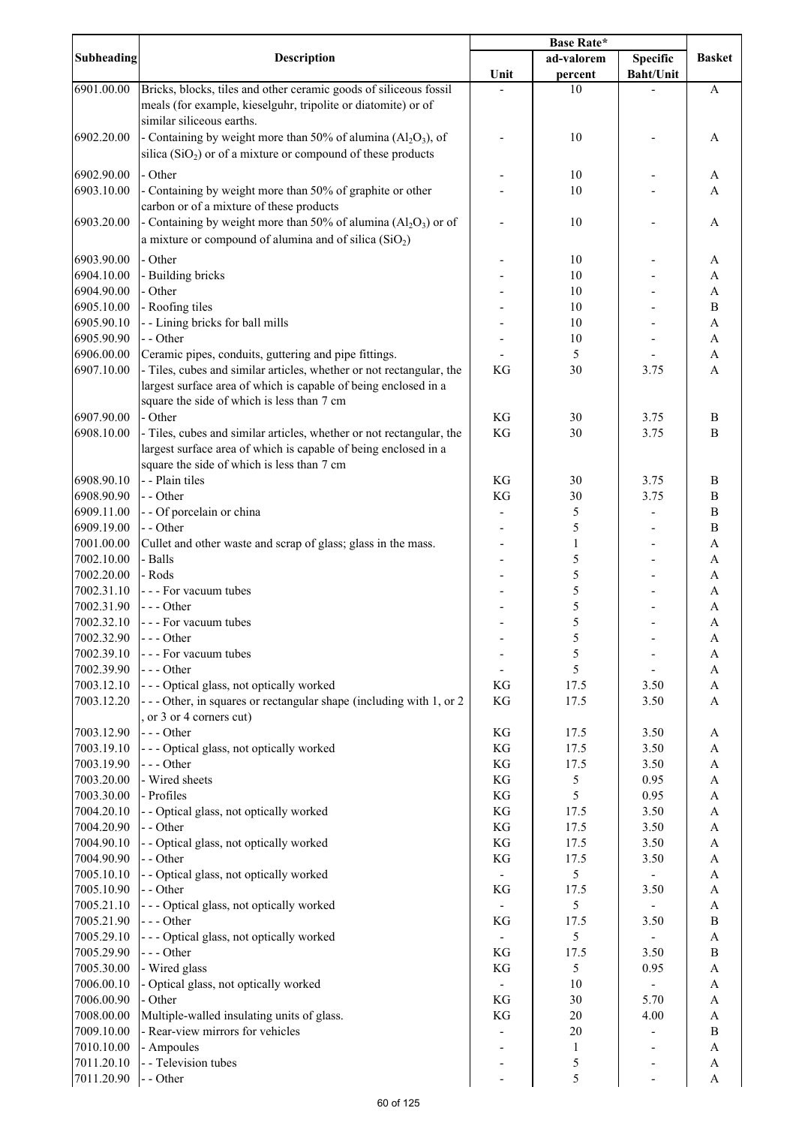|                          |                                                                                                                                                                                       | Base Rate*    |              |                  |                           |
|--------------------------|---------------------------------------------------------------------------------------------------------------------------------------------------------------------------------------|---------------|--------------|------------------|---------------------------|
| <b>Subheading</b>        | <b>Description</b>                                                                                                                                                                    |               | ad-valorem   | <b>Specific</b>  | <b>Basket</b>             |
|                          |                                                                                                                                                                                       | Unit          | percent      | <b>Baht/Unit</b> |                           |
| 6901.00.00               | Bricks, blocks, tiles and other ceramic goods of siliceous fossil<br>meals (for example, kieselguhr, tripolite or diatomite) or of<br>similar siliceous earths.                       |               | 10           |                  | A                         |
| 6902.20.00               | - Containing by weight more than 50% of alumina $(A_1Q_3)$ , of<br>silica ( $SiO2$ ) or of a mixture or compound of these products                                                    |               | 10           |                  | A                         |
| 6902.90.00               | - Other                                                                                                                                                                               |               | 10           |                  | A                         |
| 6903.10.00               | - Containing by weight more than 50% of graphite or other                                                                                                                             |               | 10           |                  | A                         |
|                          | carbon or of a mixture of these products                                                                                                                                              |               |              |                  |                           |
| 6903.20.00               | - Containing by weight more than 50% of alumina $(Al_2O_3)$ or of<br>a mixture or compound of alumina and of silica $(SiO2)$                                                          |               | 10           |                  | A                         |
| 6903.90.00               | - Other                                                                                                                                                                               |               | 10           |                  | A                         |
| 6904.10.00               | - Building bricks                                                                                                                                                                     |               | 10           |                  | A                         |
| 6904.90.00               | - Other                                                                                                                                                                               |               | 10           |                  | $\mathbf{A}$              |
| 6905.10.00               | - Roofing tiles                                                                                                                                                                       |               | 10           |                  | $\, {\bf B}$              |
| 6905.90.10               | - - Lining bricks for ball mills                                                                                                                                                      |               | 10           |                  | $\mathbf{A}$              |
| 6905.90.90               | - - Other                                                                                                                                                                             |               | 10           |                  | A                         |
| 6906.00.00               | Ceramic pipes, conduits, guttering and pipe fittings.                                                                                                                                 |               | 5            |                  | $\boldsymbol{\mathsf{A}}$ |
| 6907.10.00               | - Tiles, cubes and similar articles, whether or not rectangular, the<br>largest surface area of which is capable of being enclosed in a<br>square the side of which is less than 7 cm | KG            | 30           | 3.75             | $\mathbf{A}$              |
| 6907.90.00               | - Other                                                                                                                                                                               | KG            | 30           | 3.75             | B                         |
| 6908.10.00               | - Tiles, cubes and similar articles, whether or not rectangular, the<br>largest surface area of which is capable of being enclosed in a<br>square the side of which is less than 7 cm | KG            | 30           | 3.75             | $\mathbf B$               |
| 6908.90.10               | - - Plain tiles                                                                                                                                                                       | KG            | 30           | 3.75             | B                         |
| 6908.90.90               | - - Other                                                                                                                                                                             | KG            | 30           | 3.75             | $\, {\bf B}$              |
| 6909.11.00               | - - Of porcelain or china                                                                                                                                                             |               | 5            |                  | B                         |
| 6909.19.00               | - - Other                                                                                                                                                                             | ۰             | 5            |                  | $\, {\bf B}$              |
| 7001.00.00               | Cullet and other waste and scrap of glass; glass in the mass.                                                                                                                         |               | 1            |                  | A                         |
| 7002.10.00               | - Balls                                                                                                                                                                               |               | 5            |                  | A                         |
| 7002.20.00               | - Rods                                                                                                                                                                                |               | 5            |                  | A                         |
| 7002.31.10               | - - - For vacuum tubes                                                                                                                                                                |               | 5            |                  | A                         |
| 7002.31.90               | --- Other                                                                                                                                                                             |               | 5<br>5       |                  | A                         |
| 7002.32.10<br>7002.32.90 | - - - For vacuum tubes<br>$- -$ Other                                                                                                                                                 |               |              |                  | A                         |
| 7002.39.10               | - - - For vacuum tubes                                                                                                                                                                |               | 5<br>5       |                  | A<br>A                    |
| 7002.39.90               | $--$ Other                                                                                                                                                                            |               | 5            |                  | $\mathbf{A}$              |
| 7003.12.10               | --- Optical glass, not optically worked                                                                                                                                               | KG            | 17.5         | 3.50             | $\mathbf{A}$              |
| 7003.12.20               | --- Other, in squares or rectangular shape (including with 1, or 2<br>or 3 or 4 corners cut)                                                                                          | KG            | 17.5         | 3.50             | $\overline{A}$            |
| 7003.12.90               | --- Other                                                                                                                                                                             | KG            | 17.5         | 3.50             | A                         |
| 7003.19.10               | --- Optical glass, not optically worked                                                                                                                                               | $\mathbf{KG}$ | 17.5         | 3.50             | $\boldsymbol{\mathsf{A}}$ |
| 7003.19.90               | $--$ Other                                                                                                                                                                            | $\mathbf{KG}$ | 17.5         | 3.50             | $\boldsymbol{\mathsf{A}}$ |
| 7003.20.00               | - Wired sheets                                                                                                                                                                        | $\mathbf{KG}$ | 5            | 0.95             | $\boldsymbol{\mathsf{A}}$ |
| 7003.30.00               | - Profiles                                                                                                                                                                            | $\mathbf{KG}$ | 5            | 0.95             | $\boldsymbol{\mathsf{A}}$ |
| 7004.20.10               | - - Optical glass, not optically worked                                                                                                                                               | $\mathbf{KG}$ | 17.5         | 3.50             | $\boldsymbol{\mathsf{A}}$ |
| 7004.20.90               | - - Other                                                                                                                                                                             | KG            | 17.5         | 3.50             | A                         |
| 7004.90.10               | - - Optical glass, not optically worked                                                                                                                                               | $\mathbf{KG}$ | 17.5         | 3.50             | A                         |
| 7004.90.90<br>7005.10.10 | - - Other<br>- - Optical glass, not optically worked                                                                                                                                  | $\mathbf{KG}$ | 17.5<br>5    | 3.50             | A<br>A                    |
| 7005.10.90               | - - Other                                                                                                                                                                             | KG            | 17.5         | 3.50             | A                         |
| 7005.21.10               | --- Optical glass, not optically worked                                                                                                                                               |               | 5            |                  | A                         |
| 7005.21.90               | $--$ Other                                                                                                                                                                            | KG            | 17.5         | 3.50             | $\, {\bf B}$              |
| 7005.29.10               | --- Optical glass, not optically worked                                                                                                                                               |               | 5            |                  | $\boldsymbol{\rm{A}}$     |
| 7005.29.90               | $--- Other$                                                                                                                                                                           | KG            | 17.5         | 3.50             | $\, {\bf B}$              |
| 7005.30.00               | - Wired glass                                                                                                                                                                         | KG            | 5            | 0.95             | A                         |
| 7006.00.10               | - Optical glass, not optically worked                                                                                                                                                 |               | 10           |                  | A                         |
| 7006.00.90               | - Other                                                                                                                                                                               | KG            | 30           | 5.70             | A                         |
| 7008.00.00               | Multiple-walled insulating units of glass.                                                                                                                                            | KG            | 20           | 4.00             | $\boldsymbol{\rm{A}}$     |
| 7009.10.00               | - Rear-view mirrors for vehicles                                                                                                                                                      |               | 20           |                  | $\, {\bf B}$              |
| 7010.10.00               | - Ampoules                                                                                                                                                                            |               | $\mathbf{1}$ |                  | A                         |
| 7011.20.10               | - - Television tubes                                                                                                                                                                  |               | 5            |                  | A                         |
| 7011.20.90               | - - Other                                                                                                                                                                             |               | 5            |                  | $\mathbf{A}$              |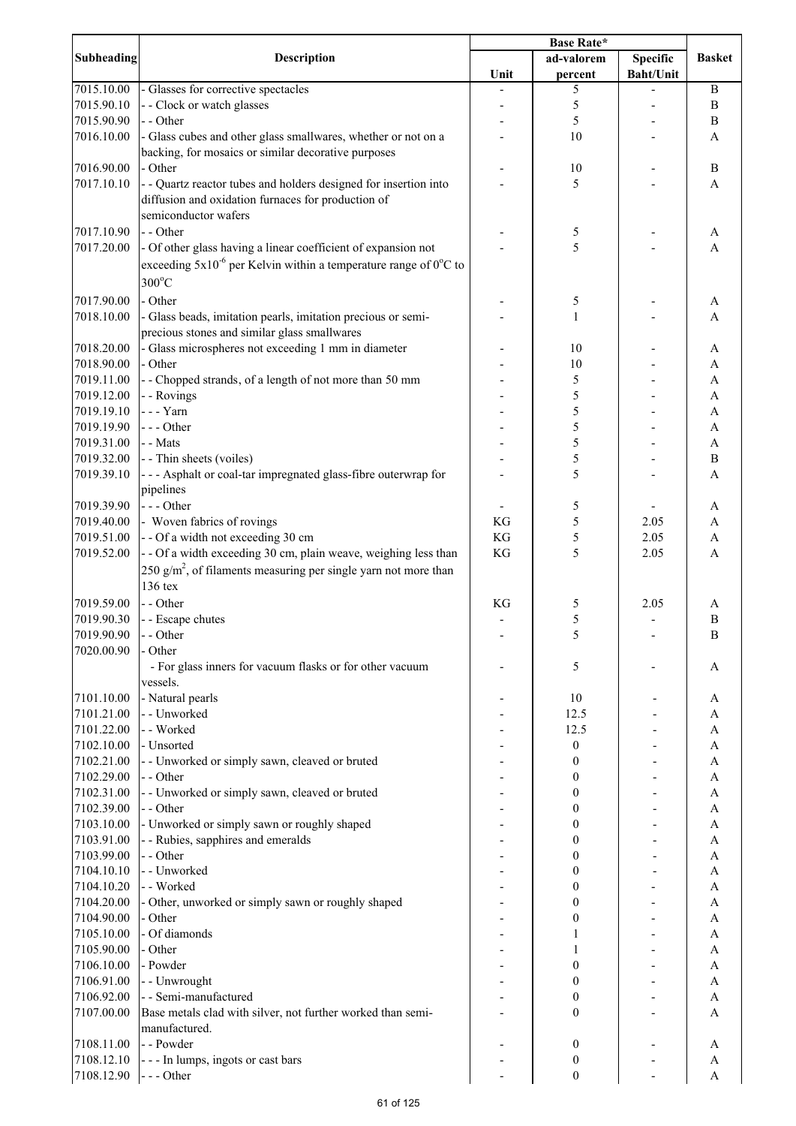|                   |                                                                                 | Base Rate* |                  |                  |                           |
|-------------------|---------------------------------------------------------------------------------|------------|------------------|------------------|---------------------------|
| <b>Subheading</b> | <b>Description</b>                                                              |            | ad-valorem       | Specific         | <b>Basket</b>             |
|                   |                                                                                 | Unit       | percent          | <b>Baht/Unit</b> |                           |
| 7015.10.00        | - Glasses for corrective spectacles                                             |            | 5                |                  | $\bf{B}$                  |
| 7015.90.10        | - - Clock or watch glasses                                                      |            | 5                |                  | $\, {\bf B}$              |
| 7015.90.90        | - - Other                                                                       |            | 5                |                  | $\, {\bf B}$              |
| 7016.10.00        | - Glass cubes and other glass smallwares, whether or not on a                   |            | 10               |                  | A                         |
|                   | backing, for mosaics or similar decorative purposes                             |            |                  |                  |                           |
| 7016.90.00        | - Other                                                                         |            | 10               |                  | $\, {\bf B}$              |
| 7017.10.10        | - - Quartz reactor tubes and holders designed for insertion into                |            | 5                |                  | A                         |
|                   | diffusion and oxidation furnaces for production of                              |            |                  |                  |                           |
|                   | semiconductor wafers                                                            |            |                  |                  |                           |
| 7017.10.90        | - - Other                                                                       |            |                  |                  |                           |
|                   |                                                                                 |            | 5<br>5           |                  | A                         |
| 7017.20.00        | - Of other glass having a linear coefficient of expansion not                   |            |                  |                  | A                         |
|                   | exceeding $5x10^{-6}$ per Kelvin within a temperature range of $0^{\circ}$ C to |            |                  |                  |                           |
|                   | $300^{\circ}$ C                                                                 |            |                  |                  |                           |
| 7017.90.00        | - Other                                                                         |            | 5                |                  | A                         |
| 7018.10.00        | - Glass beads, imitation pearls, imitation precious or semi-                    |            | 1                |                  | A                         |
|                   | precious stones and similar glass smallwares                                    |            |                  |                  |                           |
| 7018.20.00        | - Glass microspheres not exceeding 1 mm in diameter                             |            | 10               |                  | A                         |
| 7018.90.00        | - Other                                                                         |            | 10               |                  | $\boldsymbol{\mathsf{A}}$ |
| 7019.11.00        | -- Chopped strands, of a length of not more than 50 mm                          |            | 5                |                  | A                         |
| 7019.12.00        | - - Rovings                                                                     |            | 5                |                  | A                         |
| 7019.19.10        | - - - Yarn                                                                      |            | 5                |                  | A                         |
| 7019.19.90        | --- Other                                                                       |            | 5                |                  |                           |
|                   | - - Mats                                                                        |            |                  |                  | A                         |
| 7019.31.00        |                                                                                 |            | 5                |                  | A                         |
| 7019.32.00        | - - Thin sheets (voiles)                                                        |            | 5                |                  | B                         |
| 7019.39.10        | --- Asphalt or coal-tar impregnated glass-fibre outerwrap for                   |            | 5                |                  | A                         |
|                   | pipelines                                                                       |            |                  |                  |                           |
| 7019.39.90        | $- -$ Other                                                                     |            | 5                |                  | A                         |
| 7019.40.00        | - Woven fabrics of rovings                                                      | KG         | 5                | 2.05             | A                         |
| 7019.51.00        | -- Of a width not exceeding 30 cm                                               | KG         | 5                | 2.05             | $\mathbf A$               |
| 7019.52.00        | - - Of a width exceeding 30 cm, plain weave, weighing less than                 | KG         | 5                | 2.05             | A                         |
|                   | 250 $g/m^2$ , of filaments measuring per single yarn not more than              |            |                  |                  |                           |
|                   | 136 tex                                                                         |            |                  |                  |                           |
| 7019.59.00        | - - Other                                                                       | KG         | 5                | 2.05             | A                         |
| 7019.90.30        | - - Escape chutes                                                               |            | 5                |                  | $\boldsymbol{B}$          |
| 7019.90.90        | $-$ Other                                                                       |            |                  |                  | B                         |
| 7020.00.90        | - Other                                                                         |            |                  |                  |                           |
|                   | - For glass inners for vacuum flasks or for other vacuum                        |            | 5                |                  | A                         |
|                   | vessels.                                                                        |            |                  |                  |                           |
| 7101.10.00        | - Natural pearls                                                                |            | 10               |                  | A                         |
| 7101.21.00        | - - Unworked                                                                    |            | 12.5             |                  | A                         |
| 7101.22.00        | - - Worked                                                                      |            | 12.5             |                  | A                         |
|                   |                                                                                 |            |                  |                  |                           |
| 7102.10.00        | - Unsorted                                                                      |            | $\boldsymbol{0}$ |                  | A                         |
| 7102.21.00        | - - Unworked or simply sawn, cleaved or bruted                                  |            | 0                |                  | A                         |
| 7102.29.00        | - - Other                                                                       |            | 0                |                  | A                         |
| 7102.31.00        | - - Unworked or simply sawn, cleaved or bruted                                  |            | 0                |                  | A                         |
| 7102.39.00        | - - Other                                                                       |            | 0                |                  | A                         |
| 7103.10.00        | - Unworked or simply sawn or roughly shaped                                     |            | 0                |                  | A                         |
| 7103.91.00        | - - Rubies, sapphires and emeralds                                              |            | 0                |                  | A                         |
| 7103.99.00        | - - Other                                                                       |            | 0                |                  | A                         |
| 7104.10.10        | - - Unworked                                                                    |            | 0                |                  | A                         |
| 7104.10.20        | - - Worked                                                                      |            | 0                |                  | A                         |
| 7104.20.00        | - Other, unworked or simply sawn or roughly shaped                              |            | 0                |                  | A                         |
| 7104.90.00        | - Other                                                                         |            | 0                |                  | A                         |
| 7105.10.00        | - Of diamonds                                                                   |            |                  |                  | A                         |
| 7105.90.00        | - Other                                                                         |            |                  |                  | A                         |
| 7106.10.00        | - Powder                                                                        |            | 0                |                  | A                         |
| 7106.91.00        | - - Unwrought                                                                   |            | 0                |                  | A                         |
| 7106.92.00        | - - Semi-manufactured                                                           |            | 0                |                  | A                         |
| 7107.00.00        | Base metals clad with silver, not further worked than semi-                     |            | $\boldsymbol{0}$ |                  | A                         |
|                   | manufactured.                                                                   |            |                  |                  |                           |
| 7108.11.00        | - - Powder                                                                      |            | 0                |                  | A                         |
| 7108.12.10        | --- In lumps, ingots or cast bars                                               |            | 0                |                  | A                         |
| 7108.12.90        | $--$ Other                                                                      |            | $\boldsymbol{0}$ |                  | A                         |
|                   |                                                                                 |            |                  |                  |                           |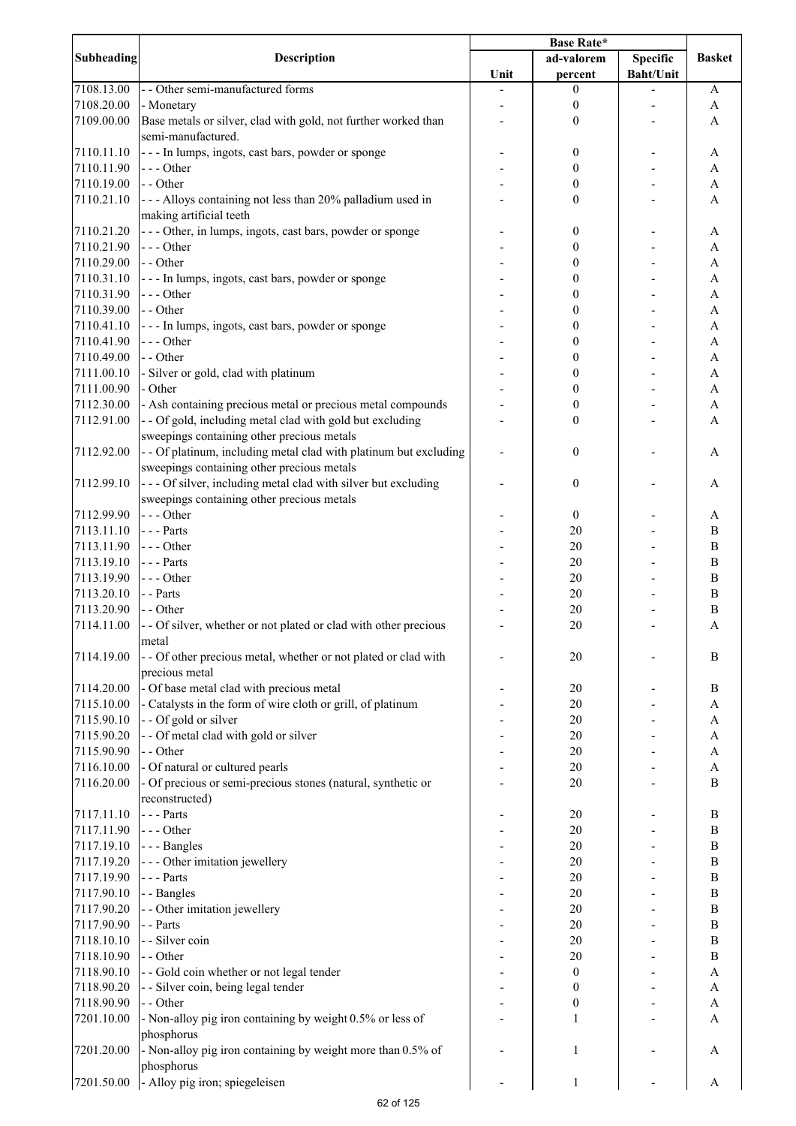| <b>Subheading</b> | <b>Description</b>                                                | <b>Base Rate*</b> |                  |                  |                  |
|-------------------|-------------------------------------------------------------------|-------------------|------------------|------------------|------------------|
|                   |                                                                   |                   | ad-valorem       | <b>Specific</b>  | <b>Basket</b>    |
|                   |                                                                   | Unit              | percent          | <b>Baht/Unit</b> |                  |
| 7108.13.00        | - - Other semi-manufactured forms                                 |                   | $\boldsymbol{0}$ |                  | A                |
| 7108.20.00        | - Monetary                                                        |                   | $\boldsymbol{0}$ |                  | A                |
| 7109.00.00        | Base metals or silver, clad with gold, not further worked than    |                   | $\boldsymbol{0}$ |                  | A                |
|                   | semi-manufactured.                                                |                   |                  |                  |                  |
| 7110.11.10        | --- In lumps, ingots, cast bars, powder or sponge                 |                   | 0                |                  | A                |
| 7110.11.90        | $--$ Other                                                        |                   | 0                |                  | A                |
| 7110.19.00        | - - Other                                                         |                   | 0                |                  | A                |
| 7110.21.10        | - - - Alloys containing not less than 20% palladium used in       |                   | 0                |                  | A                |
|                   | making artificial teeth                                           |                   |                  |                  |                  |
| 7110.21.20        | --- Other, in lumps, ingots, cast bars, powder or sponge          |                   | 0                |                  | A                |
| 7110.21.90        | --- Other                                                         |                   | 0                |                  | A                |
| 7110.29.00        | - - Other                                                         |                   | 0                |                  | A                |
| 7110.31.10        | --- In lumps, ingots, cast bars, powder or sponge                 |                   | 0                |                  | A                |
| 7110.31.90        | --- Other                                                         |                   | 0                |                  | A                |
| 7110.39.00        | - - Other                                                         |                   | 0                |                  | A                |
| 7110.41.10        | --- In lumps, ingots, cast bars, powder or sponge                 |                   | 0                |                  | A                |
| 7110.41.90        | --- Other                                                         |                   | 0                |                  | $\mathbf{A}$     |
| 7110.49.00        | - - Other                                                         |                   | 0                |                  | $\mathbf{A}$     |
| 7111.00.10        | - Silver or gold, clad with platinum                              |                   | 0                |                  | $\mathbf{A}$     |
| 7111.00.90        | - Other                                                           |                   | 0                |                  | $\mathbf{A}$     |
| 7112.30.00        | - Ash containing precious metal or precious metal compounds       |                   | $\boldsymbol{0}$ |                  | A                |
| 7112.91.00        | - - Of gold, including metal clad with gold but excluding         |                   | $\boldsymbol{0}$ |                  | A                |
|                   | sweepings containing other precious metals                        |                   |                  |                  |                  |
|                   |                                                                   |                   |                  |                  |                  |
| 7112.92.00        | - - Of platinum, including metal clad with platinum but excluding |                   | $\boldsymbol{0}$ |                  | A                |
|                   | sweepings containing other precious metals                        |                   |                  |                  |                  |
| 7112.99.10        | --- Of silver, including metal clad with silver but excluding     |                   | $\boldsymbol{0}$ |                  | A                |
|                   | sweepings containing other precious metals                        |                   |                  |                  |                  |
| 7112.99.90        | $--- Other$                                                       |                   | $\boldsymbol{0}$ |                  | A                |
| 7113.11.10        | $--$ Parts                                                        |                   | 20               |                  | $\boldsymbol{B}$ |
| 7113.11.90        | $--$ Other                                                        |                   | 20               |                  | $\bf{B}$         |
| 7113.19.10        | $--$ Parts                                                        |                   | 20               |                  | $\boldsymbol{B}$ |
| 7113.19.90        | $--$ Other                                                        |                   | 20               |                  | B                |
| 7113.20.10        | - - Parts                                                         |                   | 20               |                  | $\bf{B}$         |
| 7113.20.90        | - - Other                                                         |                   | 20               |                  | $\, {\bf B}$     |
| 7114.11.00        | - - Of silver, whether or not plated or clad with other precious  |                   | 20               |                  | A                |
|                   | metal                                                             |                   |                  |                  |                  |
| 7114.19.00        | - - Of other precious metal, whether or not plated or clad with   |                   | 20               |                  | B                |
|                   | precious metal                                                    |                   |                  |                  |                  |
| 7114.20.00        | - Of base metal clad with precious metal                          |                   | 20               |                  | B                |
| 7115.10.00        | - Catalysts in the form of wire cloth or grill, of platinum       |                   | 20               |                  | A                |
| 7115.90.10        | - - Of gold or silver                                             |                   | 20               |                  | A                |
| 7115.90.20        | - - Of metal clad with gold or silver                             |                   | 20               |                  | A                |
| 7115.90.90        | - - Other                                                         |                   | 20               |                  | A                |
| 7116.10.00        | - Of natural or cultured pearls                                   |                   | 20               |                  | $\mathbf{A}$     |
| 7116.20.00        | - Of precious or semi-precious stones (natural, synthetic or      |                   | 20               |                  | $\overline{B}$   |
|                   | reconstructed)                                                    |                   |                  |                  |                  |
| 7117.11.10        | --- Parts                                                         |                   | 20               |                  | B                |
| 7117.11.90        | $--- Other$                                                       |                   | 20               |                  | $\, {\bf B}$     |
| 7117.19.10        | --- Bangles                                                       |                   | 20               |                  | $\, {\bf B}$     |
| 7117.19.20        | - - - Other imitation jewellery                                   |                   | 20               |                  | $\bf{B}$         |
| 7117.19.90        | $--$ Parts                                                        |                   | 20               |                  | $\, {\bf B}$     |
| 7117.90.10        | - - Bangles                                                       |                   | 20               |                  | $\bf{B}$         |
| 7117.90.20        | - - Other imitation jewellery                                     |                   | 20               |                  | $\bf{B}$         |
| 7117.90.90        | - - Parts                                                         |                   | 20               |                  | B                |
| 7118.10.10        | - - Silver coin                                                   |                   | 20               |                  | $\boldsymbol{B}$ |
| 7118.10.90        | - - Other                                                         |                   | 20               |                  | B                |
| 7118.90.10        | - - Gold coin whether or not legal tender                         |                   | $\boldsymbol{0}$ |                  | A                |
| 7118.90.20        | - - Silver coin, being legal tender                               |                   | 0                |                  | A                |
| 7118.90.90        | - - Other                                                         |                   | $\boldsymbol{0}$ |                  | A                |
| 7201.10.00        | - Non-alloy pig iron containing by weight 0.5% or less of         |                   | 1                |                  | A                |
|                   | phosphorus                                                        |                   |                  |                  |                  |
| 7201.20.00        | - Non-alloy pig iron containing by weight more than 0.5% of       |                   | 1                |                  | A                |
|                   | phosphorus                                                        |                   |                  |                  |                  |
| 7201.50.00        | - Alloy pig iron; spiegeleisen                                    |                   | $\mathbf{1}$     |                  | A                |
|                   |                                                                   |                   |                  |                  |                  |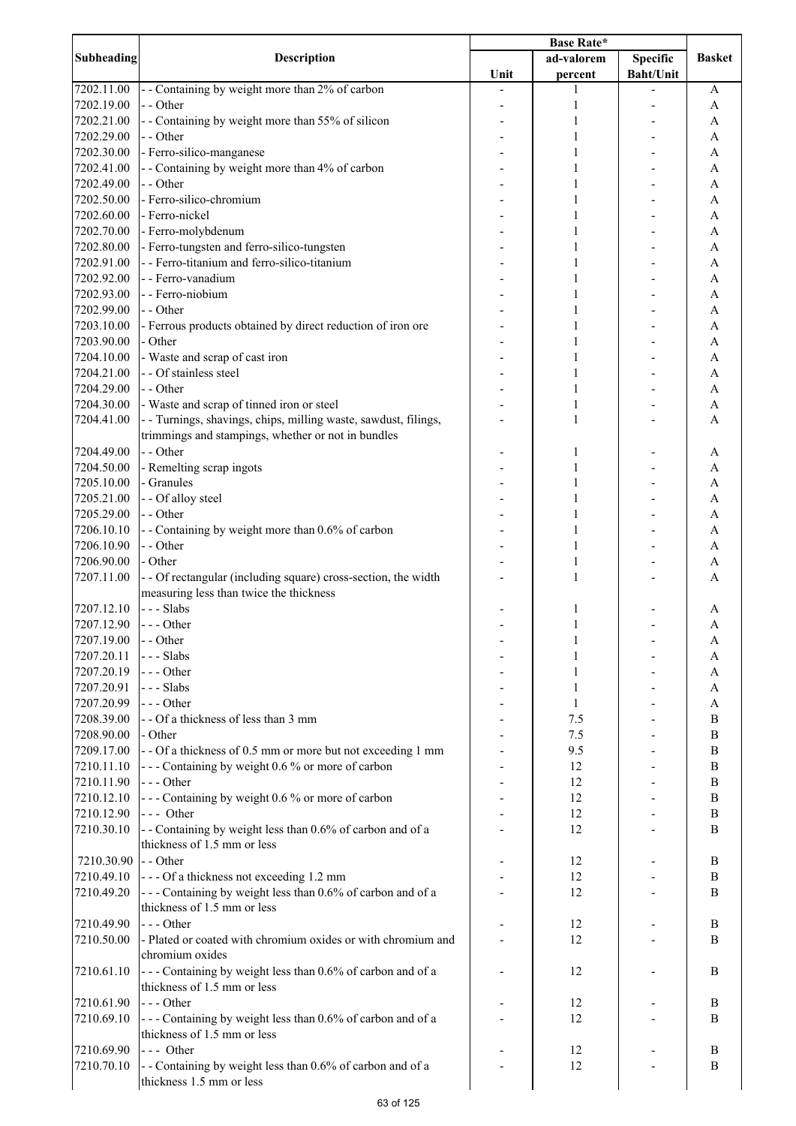| Subheading | <b>Description</b>                                              | <b>Base Rate*</b> |            |                  |                           |
|------------|-----------------------------------------------------------------|-------------------|------------|------------------|---------------------------|
|            |                                                                 |                   | ad-valorem | <b>Specific</b>  | <b>Basket</b>             |
|            |                                                                 | Unit              | percent    | <b>Baht/Unit</b> |                           |
| 7202.11.00 | - - Containing by weight more than 2% of carbon                 |                   | 1          |                  | A                         |
| 7202.19.00 | - - Other                                                       |                   | 1          |                  | A                         |
| 7202.21.00 | - - Containing by weight more than 55% of silicon               |                   | 1          |                  | A                         |
| 7202.29.00 | - - Other                                                       |                   | 1          |                  | A                         |
| 7202.30.00 | - Ferro-silico-manganese                                        |                   | 1          |                  | A                         |
| 7202.41.00 | - - Containing by weight more than 4% of carbon                 |                   | 1          |                  | A                         |
| 7202.49.00 | - - Other                                                       |                   | 1          |                  | A                         |
| 7202.50.00 | - Ferro-silico-chromium                                         |                   | 1          |                  | A                         |
| 7202.60.00 | - Ferro-nickel                                                  |                   | 1          |                  | A                         |
| 7202.70.00 | - Ferro-molybdenum                                              |                   | 1          |                  | A                         |
| 7202.80.00 | - Ferro-tungsten and ferro-silico-tungsten                      |                   | 1          |                  | A                         |
| 7202.91.00 | - - Ferro-titanium and ferro-silico-titanium                    |                   | 1          |                  | A                         |
|            | - - Ferro-vanadium                                              |                   |            |                  |                           |
| 7202.92.00 |                                                                 |                   | 1          |                  | A                         |
| 7202.93.00 | - - Ferro-niobium                                               |                   |            |                  | A                         |
| 7202.99.00 | - - Other                                                       |                   | 1          |                  | A                         |
| 7203.10.00 | - Ferrous products obtained by direct reduction of iron ore     |                   |            |                  | A                         |
| 7203.90.00 | - Other                                                         |                   |            |                  | $\boldsymbol{\mathsf{A}}$ |
| 7204.10.00 | - Waste and scrap of cast iron                                  |                   |            |                  | A                         |
| 7204.21.00 | - - Of stainless steel                                          |                   |            |                  | A                         |
| 7204.29.00 | - - Other                                                       |                   |            |                  | A                         |
| 7204.30.00 | - Waste and scrap of tinned iron or steel                       |                   |            |                  | A                         |
| 7204.41.00 | - - Turnings, shavings, chips, milling waste, sawdust, filings, |                   | 1          |                  | $\overline{A}$            |
|            | trimmings and stampings, whether or not in bundles              |                   |            |                  |                           |
| 7204.49.00 | - - Other                                                       |                   | 1          |                  | A                         |
| 7204.50.00 | - Remelting scrap ingots                                        |                   | 1          |                  | A                         |
| 7205.10.00 | - Granules                                                      |                   | 1          |                  | A                         |
|            |                                                                 |                   |            |                  |                           |
| 7205.21.00 | - - Of alloy steel                                              |                   | 1          |                  | A                         |
| 7205.29.00 | - - Other                                                       |                   | 1          |                  | A                         |
| 7206.10.10 | - - Containing by weight more than 0.6% of carbon               |                   | 1          |                  | A                         |
| 7206.10.90 | - - Other                                                       |                   | 1          |                  | A                         |
| 7206.90.00 | - Other                                                         |                   | 1          |                  | A                         |
| 7207.11.00 | - - Of rectangular (including square) cross-section, the width  |                   | 1          |                  | A                         |
|            | measuring less than twice the thickness                         |                   |            |                  |                           |
| 7207.12.10 | --- Slabs                                                       |                   | 1          |                  | A                         |
| 7207.12.90 | $--- Other$                                                     |                   | 1          |                  | A                         |
| 7207.19.00 | - - Other                                                       |                   | 1          |                  | A                         |
| 7207.20.11 | --- Slabs                                                       |                   | 1          |                  | A                         |
| 7207.20.19 | --- Other                                                       |                   | 1          |                  | A                         |
| 7207.20.91 | --- Slabs                                                       |                   | 1          |                  | A                         |
| 7207.20.99 | --- Other                                                       |                   | 1          |                  | A                         |
| 7208.39.00 | - - Of a thickness of less than 3 mm                            |                   | 7.5        |                  | $\, {\bf B}$              |
| 7208.90.00 |                                                                 |                   |            |                  | $\, {\bf B}$              |
|            | - Other                                                         |                   | 7.5        |                  |                           |
| 7209.17.00 | - - Of a thickness of 0.5 mm or more but not exceeding 1 mm     |                   | 9.5        |                  | $\, {\bf B}$              |
| 7210.11.10 | --- Containing by weight 0.6 % or more of carbon                |                   | 12         |                  | $\, {\bf B}$              |
| 7210.11.90 | --- Other                                                       |                   | 12         |                  | $\, {\bf B}$              |
| 7210.12.10 | --- Containing by weight 0.6 % or more of carbon                |                   | 12         |                  | $\, {\bf B}$              |
| 7210.12.90 | --- Other                                                       |                   | 12         |                  | $\, {\bf B}$              |
| 7210.30.10 | - - Containing by weight less than 0.6% of carbon and of a      |                   | 12         |                  | B                         |
|            | thickness of 1.5 mm or less                                     |                   |            |                  |                           |
| 7210.30.90 | - - Other                                                       |                   | 12         |                  | $\boldsymbol{B}$          |
| 7210.49.10 | --- Of a thickness not exceeding 1.2 mm                         |                   | 12         |                  | $\, {\bf B}$              |
| 7210.49.20 | --- Containing by weight less than 0.6% of carbon and of a      |                   | 12         |                  | B                         |
|            | thickness of 1.5 mm or less                                     |                   |            |                  |                           |
| 7210.49.90 | $--- Other$                                                     |                   | 12         |                  | $\boldsymbol{B}$          |
| 7210.50.00 | - Plated or coated with chromium oxides or with chromium and    |                   | 12         |                  | B                         |
|            | chromium oxides                                                 |                   |            |                  |                           |
|            |                                                                 |                   |            |                  |                           |
| 7210.61.10 | --- Containing by weight less than 0.6% of carbon and of a      |                   | 12         |                  | B                         |
|            | thickness of 1.5 mm or less                                     |                   |            |                  |                           |
| 7210.61.90 | --- Other                                                       |                   | 12         |                  | B                         |
| 7210.69.10 | --- Containing by weight less than 0.6% of carbon and of a      |                   | 12         |                  | B                         |
|            | thickness of 1.5 mm or less                                     |                   |            |                  |                           |
| 7210.69.90 | --- Other                                                       |                   | 12         |                  | B                         |
| 7210.70.10 | - - Containing by weight less than 0.6% of carbon and of a      |                   | 12         |                  | $\, {\bf B}$              |
|            | thickness 1.5 mm or less                                        |                   |            |                  |                           |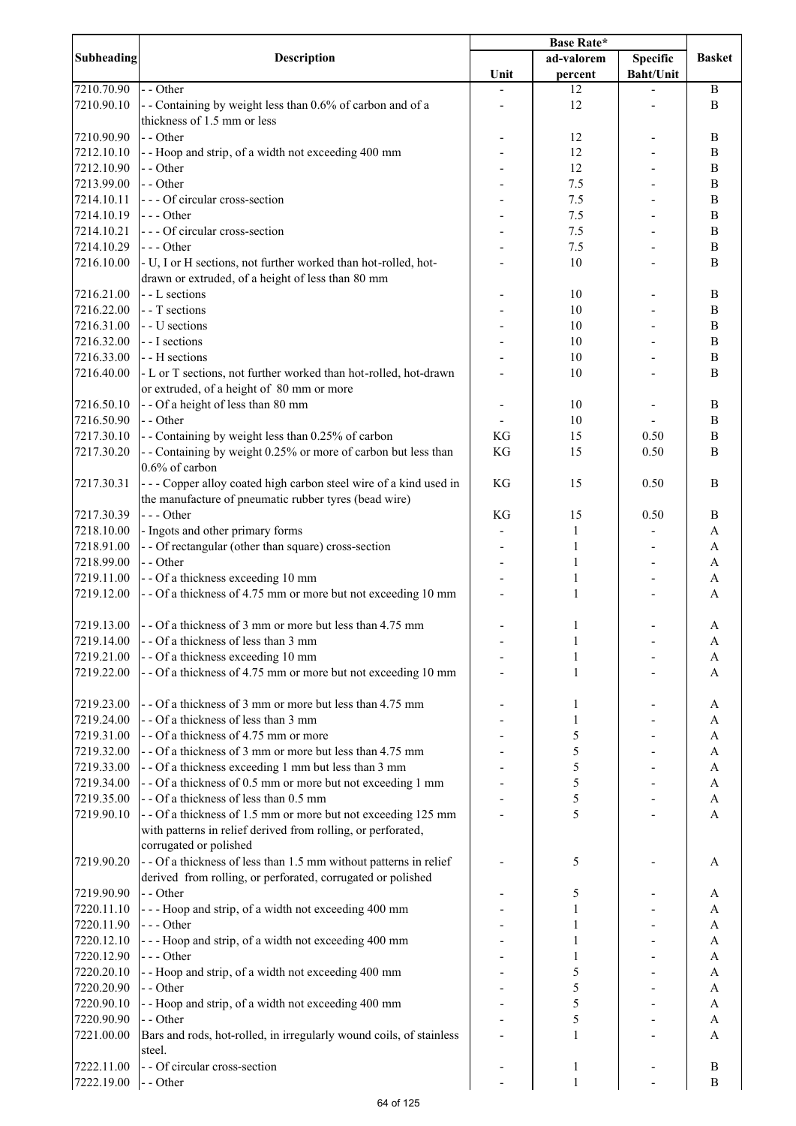|                   |                                                                     | <b>Base Rate*</b> |              |                  |                |
|-------------------|---------------------------------------------------------------------|-------------------|--------------|------------------|----------------|
| <b>Subheading</b> | <b>Description</b>                                                  |                   | ad-valorem   | <b>Specific</b>  | <b>Basket</b>  |
|                   |                                                                     | Unit              | percent      | <b>Baht/Unit</b> |                |
| 7210.70.90        | - - Other                                                           |                   | 12           |                  | $\bf{B}$       |
| 7210.90.10        | - - Containing by weight less than 0.6% of carbon and of a          |                   | 12           |                  | B              |
|                   | thickness of 1.5 mm or less                                         |                   |              |                  |                |
|                   | - - Other                                                           |                   |              |                  |                |
| 7210.90.90        |                                                                     |                   | 12           |                  | $\, {\bf B}$   |
| 7212.10.10        | - - Hoop and strip, of a width not exceeding 400 mm                 |                   | 12           |                  | $\, {\bf B}$   |
| 7212.10.90        | - - Other                                                           |                   | 12           |                  | B              |
| 7213.99.00        | - - Other                                                           |                   | 7.5          |                  | $\, {\bf B}$   |
| 7214.10.11        | --- Of circular cross-section                                       |                   | 7.5          |                  | $\, {\bf B}$   |
| 7214.10.19        | $--$ Other                                                          |                   | 7.5          |                  | $\, {\bf B}$   |
| 7214.10.21        | --- Of circular cross-section                                       |                   | 7.5          |                  | $\, {\bf B}$   |
| 7214.10.29        | $--$ Other                                                          |                   | 7.5          |                  | $\, {\bf B}$   |
| 7216.10.00        | - U, I or H sections, not further worked than hot-rolled, hot-      |                   | 10           |                  | B              |
|                   | drawn or extruded, of a height of less than 80 mm                   |                   |              |                  |                |
| 7216.21.00        | - - L sections                                                      |                   | 10           |                  | $\, {\bf B}$   |
| 7216.22.00        | - - T sections                                                      |                   | 10           |                  | $\, {\bf B}$   |
| 7216.31.00        | - - U sections                                                      |                   | 10           |                  | $\, {\bf B}$   |
|                   | - - I sections                                                      |                   |              |                  | $\, {\bf B}$   |
| 7216.32.00        |                                                                     |                   | 10           |                  |                |
| 7216.33.00        | - - H sections                                                      |                   | 10           |                  | $\overline{B}$ |
| 7216.40.00        | - L or T sections, not further worked than hot-rolled, hot-drawn    |                   | 10           |                  | $\overline{B}$ |
|                   | or extruded, of a height of 80 mm or more                           |                   |              |                  |                |
| 7216.50.10        | - - Of a height of less than 80 mm                                  |                   | 10           |                  | $\, {\bf B}$   |
| 7216.50.90        | - - Other                                                           |                   | 10           |                  | $\, {\bf B}$   |
| 7217.30.10        | - - Containing by weight less than 0.25% of carbon                  | KG                | 15           | 0.50             | $\bf{B}$       |
| 7217.30.20        | - - Containing by weight 0.25% or more of carbon but less than      | KG                | 15           | 0.50             | $\overline{B}$ |
|                   | 0.6% of carbon                                                      |                   |              |                  |                |
| 7217.30.31        | --- Copper alloy coated high carbon steel wire of a kind used in    | KG                | 15           | 0.50             | B              |
|                   | the manufacture of pneumatic rubber tyres (bead wire)               |                   |              |                  |                |
|                   |                                                                     |                   |              |                  |                |
| 7217.30.39        | $--$ Other                                                          | KG                | 15           | 0.50             | B              |
| 7218.10.00        | - Ingots and other primary forms                                    |                   | 1            |                  | A              |
| 7218.91.00        | - - Of rectangular (other than square) cross-section                |                   | 1            |                  | A              |
| 7218.99.00        | - - Other                                                           |                   | 1            |                  | A              |
| 7219.11.00        | - - Of a thickness exceeding 10 mm                                  |                   | 1            |                  | A              |
| 7219.12.00        | - - Of a thickness of 4.75 mm or more but not exceeding 10 mm       |                   | 1            |                  | A              |
|                   |                                                                     |                   |              |                  |                |
| 7219.13.00        | - - Of a thickness of 3 mm or more but less than 4.75 mm            |                   | 1            |                  | A              |
| 7219.14.00        | - - Of a thickness of less than 3 mm                                |                   | $\mathbf{I}$ |                  | A              |
| 7219.21.00        | - - Of a thickness exceeding 10 mm                                  |                   | 1            |                  | A              |
| 7219.22.00        | - - Of a thickness of 4.75 mm or more but not exceeding 10 mm       |                   | 1            |                  | A              |
|                   |                                                                     |                   |              |                  |                |
|                   |                                                                     |                   |              |                  |                |
| 7219.23.00        | - - Of a thickness of 3 mm or more but less than 4.75 mm            |                   | 1            |                  | A              |
| 7219.24.00        | - - Of a thickness of less than 3 mm                                |                   | 1            |                  | A              |
| 7219.31.00        | - - Of a thickness of 4.75 mm or more                               |                   | 5            |                  | A              |
| 7219.32.00        | - - Of a thickness of 3 mm or more but less than 4.75 mm            |                   | 5            |                  | A              |
| 7219.33.00        | - - Of a thickness exceeding 1 mm but less than 3 mm                |                   | 5            |                  | $\mathbf{A}$   |
| 7219.34.00        | - - Of a thickness of 0.5 mm or more but not exceeding 1 mm         |                   | 5            |                  | $\mathbf{A}$   |
| 7219.35.00        | - - Of a thickness of less than 0.5 mm                              |                   | 5            |                  | $\mathbf{A}$   |
| 7219.90.10        | - - Of a thickness of 1.5 mm or more but not exceeding 125 mm       |                   | 5            |                  | $\mathbf{A}$   |
|                   | with patterns in relief derived from rolling, or perforated,        |                   |              |                  |                |
|                   | corrugated or polished                                              |                   |              |                  |                |
| 7219.90.20        | - - Of a thickness of less than 1.5 mm without patterns in relief   |                   | 5            |                  | A              |
|                   | derived from rolling, or perforated, corrugated or polished         |                   |              |                  |                |
|                   |                                                                     |                   |              |                  |                |
| 7219.90.90        | - - Other                                                           |                   | 5            |                  | A              |
| 7220.11.10        | --- Hoop and strip, of a width not exceeding 400 mm                 |                   | 1            |                  | A              |
| 7220.11.90        | --- Other                                                           |                   |              |                  | A              |
| 7220.12.10        | --- Hoop and strip, of a width not exceeding 400 mm                 |                   | 1            |                  | A              |
| 7220.12.90        | $--- Other$                                                         |                   | 1            |                  | A              |
| 7220.20.10        | - - Hoop and strip, of a width not exceeding 400 mm                 |                   | 5            |                  | A              |
| 7220.20.90        | - - Other                                                           |                   | 5            |                  | A              |
| 7220.90.10        | - - Hoop and strip, of a width not exceeding 400 mm                 |                   | 5            |                  | A              |
| 7220.90.90        | - - Other                                                           |                   | 5            |                  | A              |
| 7221.00.00        | Bars and rods, hot-rolled, in irregularly wound coils, of stainless |                   | 1            |                  | A              |
|                   | steel.                                                              |                   |              |                  |                |
|                   | - - Of circular cross-section                                       |                   |              |                  |                |
| 7222.11.00        |                                                                     |                   | 1            |                  | $\, {\bf B}$   |
| 7222.19.00        | - - Other                                                           |                   | $\mathbf{1}$ |                  | B              |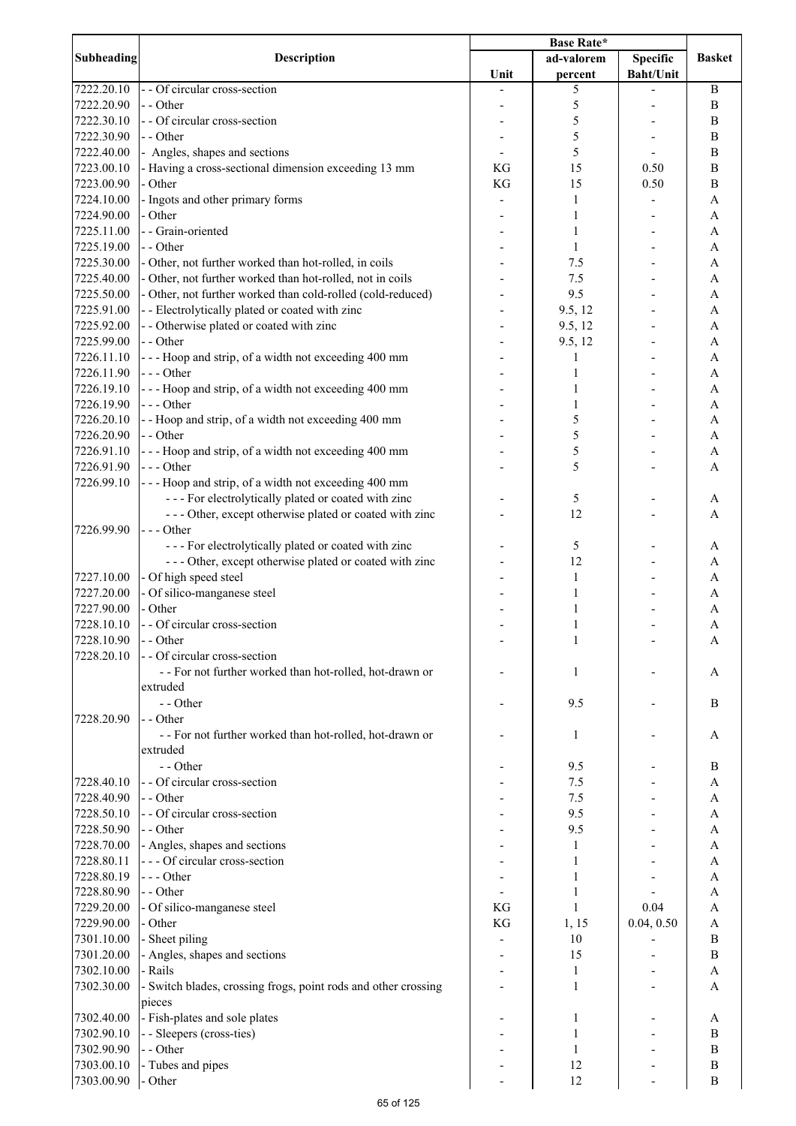| Subheading | <b>Description</b>                                             | <b>Base Rate*</b> |            |                  |               |
|------------|----------------------------------------------------------------|-------------------|------------|------------------|---------------|
|            |                                                                |                   | ad-valorem | <b>Specific</b>  | <b>Basket</b> |
|            |                                                                | Unit              | percent    | <b>Baht/Unit</b> |               |
| 7222.20.10 | - - Of circular cross-section                                  |                   | 5          |                  | $\, {\bf B}$  |
| 7222.20.90 | - - Other                                                      |                   | 5          |                  | B             |
| 7222.30.10 | - - Of circular cross-section                                  |                   | 5          |                  | B             |
| 7222.30.90 | - - Other                                                      |                   | 5          |                  | B             |
| 7222.40.00 | - Angles, shapes and sections                                  |                   | 5          |                  | B             |
| 7223.00.10 | - Having a cross-sectional dimension exceeding 13 mm           | KG                | 15         | 0.50             | B             |
| 7223.00.90 | - Other                                                        | KG                | 15         | 0.50             | B             |
| 7224.10.00 | - Ingots and other primary forms                               |                   | 1          |                  | A             |
| 7224.90.00 | - Other                                                        |                   | 1          |                  | A             |
| 7225.11.00 | - - Grain-oriented                                             |                   | 1          |                  | A             |
| 7225.19.00 | - - Other                                                      |                   | 1          |                  | A             |
| 7225.30.00 | - Other, not further worked than hot-rolled, in coils          |                   | 7.5        |                  | A             |
| 7225.40.00 | - Other, not further worked than hot-rolled, not in coils      |                   | 7.5        |                  | A             |
| 7225.50.00 | - Other, not further worked than cold-rolled (cold-reduced)    |                   | 9.5        |                  | A             |
| 7225.91.00 | - - Electrolytically plated or coated with zinc                |                   | 9.5, 12    |                  | A             |
| 7225.92.00 | - - Otherwise plated or coated with zinc                       |                   | 9.5, 12    |                  | A             |
| 7225.99.00 | - - Other                                                      |                   | 9.5, 12    |                  | A             |
| 7226.11.10 | --- Hoop and strip, of a width not exceeding 400 mm            |                   | 1          |                  | A             |
| 7226.11.90 | --- Other                                                      |                   |            |                  | A             |
| 7226.19.10 | --- Hoop and strip, of a width not exceeding 400 mm            |                   | 1          |                  | A             |
| 7226.19.90 | --- Other                                                      |                   |            |                  | A             |
| 7226.20.10 | - - Hoop and strip, of a width not exceeding 400 mm            |                   | 5          |                  | A             |
| 7226.20.90 | - - Other                                                      |                   | 5          |                  | A             |
| 7226.91.10 | --- Hoop and strip, of a width not exceeding 400 mm            |                   | 5          |                  | A             |
| 7226.91.90 | $--$ Other                                                     |                   | 5          |                  | А             |
| 7226.99.10 | --- Hoop and strip, of a width not exceeding 400 mm            |                   |            |                  |               |
|            | --- For electrolytically plated or coated with zinc            |                   | 5          |                  | A             |
|            | --- Other, except otherwise plated or coated with zinc         |                   | 12         |                  | A             |
| 7226.99.90 | --- Other                                                      |                   |            |                  |               |
|            | --- For electrolytically plated or coated with zinc            |                   | 5          |                  | А             |
|            | --- Other, except otherwise plated or coated with zinc         |                   | 12         |                  | A             |
| 7227.10.00 | - Of high speed steel                                          |                   | 1          |                  | A             |
| 7227.20.00 | - Of silico-manganese steel                                    |                   | 1          |                  | А             |
| 7227.90.00 | - Other                                                        |                   | 1          |                  | A             |
| 7228.10.10 | - - Of circular cross-section                                  |                   | 1          |                  | A             |
| 7228.10.90 | $-$ - Other                                                    |                   | 1          |                  |               |
| 7228.20.10 | - - Of circular cross-section                                  |                   |            |                  | A             |
|            |                                                                |                   |            |                  |               |
|            | - - For not further worked than hot-rolled, hot-drawn or       |                   | 1          |                  | A             |
|            | extruded                                                       |                   |            |                  |               |
|            | - - Other                                                      |                   | 9.5        |                  | B             |
| 7228.20.90 | - - Other                                                      |                   |            |                  |               |
|            | - - For not further worked than hot-rolled, hot-drawn or       |                   | 1          |                  | A             |
|            | extruded                                                       |                   |            |                  |               |
|            | - - Other                                                      |                   | 9.5        |                  | B             |
| 7228.40.10 | - - Of circular cross-section                                  |                   | 7.5        |                  | A             |
| 7228.40.90 | - - Other                                                      |                   | 7.5        |                  | A             |
| 7228.50.10 | - - Of circular cross-section                                  |                   | 9.5        |                  | A             |
| 7228.50.90 | - - Other                                                      |                   | 9.5        |                  | A             |
| 7228.70.00 | - Angles, shapes and sections                                  |                   | 1          |                  | A             |
| 7228.80.11 | --- Of circular cross-section                                  |                   | 1          |                  | A             |
| 7228.80.19 | $--$ Other                                                     |                   | 1          |                  | А             |
| 7228.80.90 | - - Other                                                      |                   | 1          |                  | A             |
| 7229.20.00 | - Of silico-manganese steel                                    | KG                | 1          | 0.04             | A             |
| 7229.90.00 | - Other                                                        | KG                | 1, 15      | 0.04, 0.50       | Α             |
| 7301.10.00 | - Sheet piling                                                 |                   | 10         |                  | B             |
| 7301.20.00 | - Angles, shapes and sections                                  |                   | 15         |                  | B             |
| 7302.10.00 | - Rails                                                        |                   | 1          |                  | A             |
| 7302.30.00 | - Switch blades, crossing frogs, point rods and other crossing |                   | 1          |                  | A             |
|            | pieces                                                         |                   |            |                  |               |
| 7302.40.00 | - Fish-plates and sole plates                                  |                   | 1          |                  | A             |
| 7302.90.10 | - - Sleepers (cross-ties)                                      |                   | 1          |                  | B             |
| 7302.90.90 | - - Other                                                      |                   | 1          |                  | B             |
| 7303.00.10 | - Tubes and pipes                                              |                   | 12         |                  | B             |
| 7303.00.90 | - Other                                                        |                   | 12         |                  | $\bf{B}$      |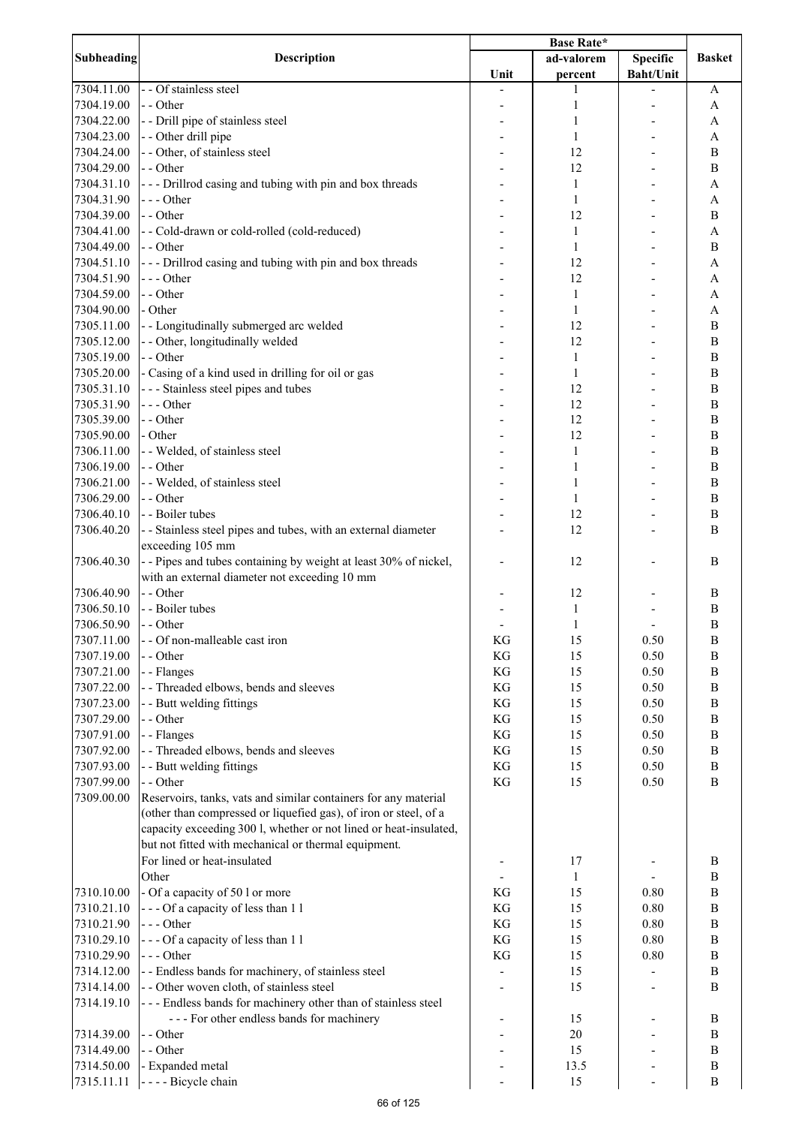|            | <b>Description</b>                                                |               |              |                  |               |
|------------|-------------------------------------------------------------------|---------------|--------------|------------------|---------------|
| Subheading |                                                                   |               | ad-valorem   | <b>Specific</b>  | <b>Basket</b> |
|            |                                                                   | Unit          | percent      | <b>Baht/Unit</b> |               |
| 7304.11.00 | - - Of stainless steel                                            |               | 1            |                  | A             |
| 7304.19.00 | - - Other                                                         |               | 1            |                  | A             |
| 7304.22.00 | - - Drill pipe of stainless steel                                 |               | 1            |                  |               |
|            |                                                                   |               |              |                  | A             |
| 7304.23.00 | - - Other drill pipe                                              |               | 1            |                  | A             |
| 7304.24.00 | - - Other, of stainless steel                                     |               | 12           |                  | $\bf{B}$      |
| 7304.29.00 | - - Other                                                         |               | 12           |                  | $\bf{B}$      |
| 7304.31.10 | --- Drillrod casing and tubing with pin and box threads           |               | 1            |                  | A             |
| 7304.31.90 | --- Other                                                         |               | 1            |                  | A             |
| 7304.39.00 | - - Other                                                         |               | 12           |                  | B             |
| 7304.41.00 | - - Cold-drawn or cold-rolled (cold-reduced)                      |               | 1            |                  | A             |
| 7304.49.00 | - - Other                                                         |               | 1            |                  | B             |
| 7304.51.10 | - - - Drillrod casing and tubing with pin and box threads         |               | 12           |                  | A             |
|            | --- Other                                                         |               | 12           |                  |               |
| 7304.51.90 |                                                                   |               |              |                  | A             |
| 7304.59.00 | - - Other                                                         |               | $\mathbf{1}$ |                  | A             |
| 7304.90.00 | - Other                                                           |               | 1            |                  | A             |
| 7305.11.00 | - - Longitudinally submerged arc welded                           |               | 12           |                  | B             |
| 7305.12.00 | - - Other, longitudinally welded                                  |               | 12           |                  | B             |
| 7305.19.00 | - - Other                                                         |               | 1            |                  | B             |
| 7305.20.00 | - Casing of a kind used in drilling for oil or gas                |               | 1            |                  | B             |
| 7305.31.10 | - - - Stainless steel pipes and tubes                             |               | 12           |                  | $\bf{B}$      |
| 7305.31.90 | --- Other                                                         |               | 12           |                  | B             |
| 7305.39.00 | - - Other                                                         |               | 12           |                  | B             |
|            |                                                                   |               |              |                  |               |
| 7305.90.00 | - Other                                                           |               | 12           |                  | B             |
| 7306.11.00 | - - Welded, of stainless steel                                    |               | 1            |                  | B             |
| 7306.19.00 | - - Other                                                         |               | 1            |                  | B             |
| 7306.21.00 | - - Welded, of stainless steel                                    |               | 1            |                  | B             |
| 7306.29.00 | - - Other                                                         |               | 1            |                  | B             |
| 7306.40.10 | - - Boiler tubes                                                  |               | 12           |                  | B             |
| 7306.40.20 | - - Stainless steel pipes and tubes, with an external diameter    |               | 12           |                  | B             |
|            | exceeding 105 mm                                                  |               |              |                  |               |
| 7306.40.30 | -- Pipes and tubes containing by weight at least 30% of nickel,   |               | 12           |                  | B             |
|            | with an external diameter not exceeding 10 mm                     |               |              |                  |               |
| 7306.40.90 | - - Other                                                         |               | 12           |                  | B             |
|            |                                                                   |               |              |                  |               |
| 7306.50.10 | - - Boiler tubes                                                  |               | $\mathbf{1}$ |                  | B             |
| 7306.50.90 | - - Other                                                         |               | $\mathbf{1}$ |                  | B             |
| 7307.11.00 | - - Of non-malleable cast iron                                    | KG            | 15           | 0.50             | $\, {\bf B}$  |
| 7307.19.00 | - - Other                                                         | KG            | 15           | 0.50             | $\bf{B}$      |
| 7307.21.00 | - - Flanges                                                       | KG            | 15           | 0.50             | $\bf{B}$      |
| 7307.22.00 | - - Threaded elbows, bends and sleeves                            | KG            | 15           | 0.50             | $\bf{B}$      |
| 7307.23.00 | - - Butt welding fittings                                         | KG            | 15           | 0.50             | $\, {\bf B}$  |
| 7307.29.00 | - - Other                                                         | KG            | 15           | 0.50             | $\, {\bf B}$  |
| 7307.91.00 | - - Flanges                                                       | KG            | 15           | 0.50             | $\, {\bf B}$  |
| 7307.92.00 | - - Threaded elbows, bends and sleeves                            | KG            | 15           | 0.50             | $\, {\bf B}$  |
| 7307.93.00 | - - Butt welding fittings                                         | KG            | 15           | 0.50             | $\, {\bf B}$  |
|            |                                                                   | $\mathbf{KG}$ | 15           |                  | $\bf{B}$      |
| 7307.99.00 | - - Other                                                         |               |              | 0.50             |               |
| 7309.00.00 | Reservoirs, tanks, vats and similar containers for any material   |               |              |                  |               |
|            | (other than compressed or liquefied gas), of iron or steel, of a  |               |              |                  |               |
|            | capacity exceeding 300 l, whether or not lined or heat-insulated, |               |              |                  |               |
|            | but not fitted with mechanical or thermal equipment.              |               |              |                  |               |
|            | For lined or heat-insulated                                       |               | 17           |                  | B             |
|            | Other                                                             |               | 1            |                  | $\bf{B}$      |
| 7310.10.00 | - Of a capacity of 50 l or more                                   | KG            | 15           | 0.80             | $\bf{B}$      |
| 7310.21.10 | --- Of a capacity of less than 11                                 | KG            | 15           | 0.80             | $\bf{B}$      |
| 7310.21.90 | --- Other                                                         | KG            | 15           | 0.80             | $\bf{B}$      |
| 7310.29.10 | --- Of a capacity of less than 11                                 | KG            | 15           | 0.80             | $\bf{B}$      |
|            |                                                                   |               |              |                  |               |
| 7310.29.90 | --- Other                                                         | KG            | 15           | 0.80             | $\bf{B}$      |
| 7314.12.00 | - - Endless bands for machinery, of stainless steel               |               | 15           |                  | $\, {\bf B}$  |
| 7314.14.00 | - - Other woven cloth, of stainless steel                         |               | 15           |                  | B             |
| 7314.19.10 | --- Endless bands for machinery other than of stainless steel     |               |              |                  |               |
|            | --- For other endless bands for machinery                         |               | 15           |                  | B             |
| 7314.39.00 | - - Other                                                         |               | $20\,$       |                  | B             |
| 7314.49.00 | - - Other                                                         |               | 15           |                  | B             |
| 7314.50.00 | - Expanded metal                                                  |               | 13.5         |                  | $\, {\bf B}$  |
| 7315.11.11 | - - - - Bicycle chain                                             |               | 15           |                  | $\bf{B}$      |
|            |                                                                   |               |              |                  |               |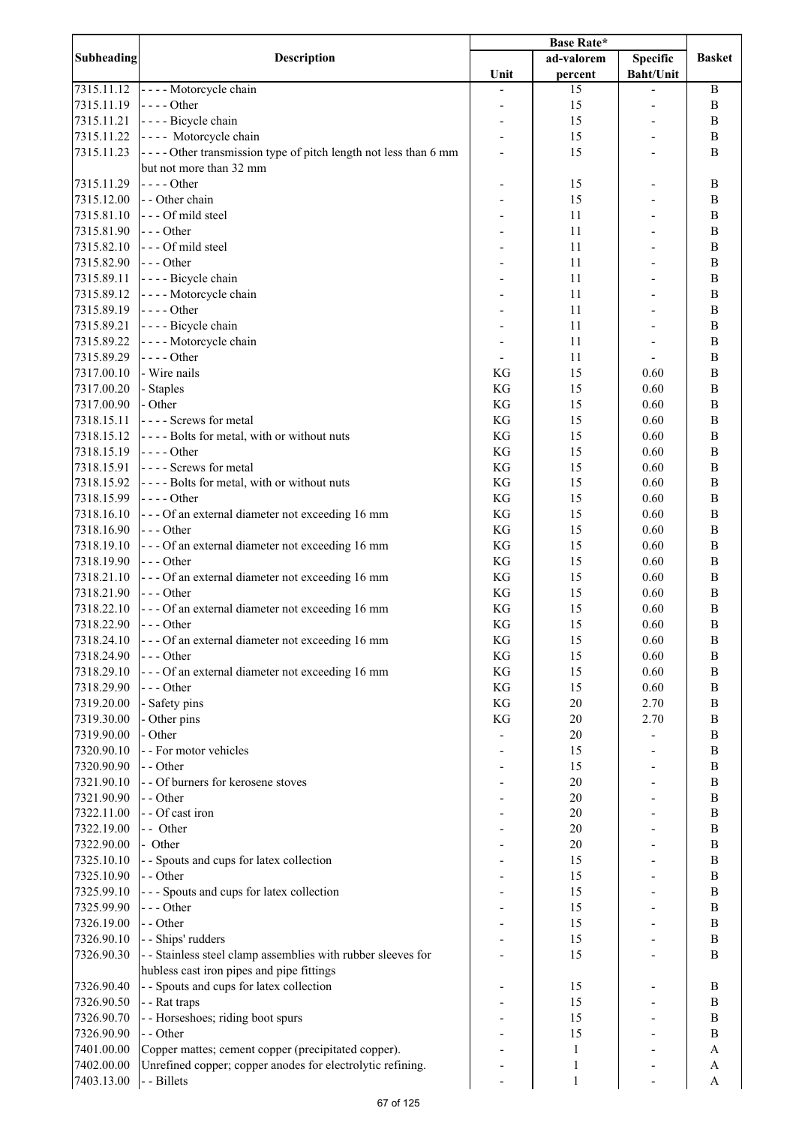| <b>Subheading</b> | <b>Description</b>                                              |      | ad-valorem   | <b>Specific</b>  | <b>Basket</b>    |
|-------------------|-----------------------------------------------------------------|------|--------------|------------------|------------------|
|                   |                                                                 | Unit | percent      | <b>Baht/Unit</b> |                  |
| 7315.11.12        | ---- Motorcycle chain                                           |      | 15           |                  | B                |
| 7315.11.19        | $- - -$ Other                                                   |      | 15           |                  | B                |
| 7315.11.21        | ---- Bicycle chain                                              |      | 15           |                  | B                |
| 7315.11.22        | ---- Motorcycle chain                                           |      | 15           |                  | B                |
|                   |                                                                 |      |              |                  |                  |
| 7315.11.23        | ---- Other transmission type of pitch length not less than 6 mm |      | 15           |                  | B                |
|                   | but not more than 32 mm                                         |      |              |                  |                  |
| 7315.11.29        | $---Other$                                                      |      | 15           |                  | B                |
| 7315.12.00        | - - Other chain                                                 |      | 15           |                  | B                |
| 7315.81.10        | --- Of mild steel                                               |      | 11           |                  | B                |
| 7315.81.90        | $--$ Other                                                      |      | 11           |                  | $\, {\bf B}$     |
| 7315.82.10        | --- Of mild steel                                               |      | 11           |                  | $\, {\bf B}$     |
| 7315.82.90        | $--$ Other                                                      |      | 11           |                  | $\, {\bf B}$     |
| 7315.89.11        | - - - - Bicycle chain                                           |      | 11           |                  | $\, {\bf B}$     |
|                   |                                                                 |      |              |                  |                  |
| 7315.89.12        | - - - - Motorcycle chain                                        |      | 11           |                  | $\overline{B}$   |
| 7315.89.19        | $---Other$                                                      |      | 11           |                  | $\, {\bf B}$     |
| 7315.89.21        | - - - - Bicycle chain                                           |      | 11           |                  | $\overline{B}$   |
| 7315.89.22        | - - - - Motorcycle chain                                        |      | 11           |                  | $\, {\bf B}$     |
| 7315.89.29        | $--$ Other                                                      |      | 11           |                  | $\, {\bf B}$     |
| 7317.00.10        | - Wire nails                                                    | KG   | 15           | 0.60             | $\, {\bf B}$     |
| 7317.00.20        | - Staples                                                       | KG   | 15           | 0.60             | $\, {\bf B}$     |
| 7317.00.90        | - Other                                                         | KG   | 15           | 0.60             | $\, {\bf B}$     |
| 7318.15.11        | ---- Screws for metal                                           | KG   | 15           | 0.60             | $\, {\bf B}$     |
|                   |                                                                 |      |              |                  |                  |
| 7318.15.12        | ---- Bolts for metal, with or without nuts                      | KG   | 15           | 0.60             | $\, {\bf B}$     |
| 7318.15.19        | $\left  \cdot \right $ - - - Other                              | KG   | 15           | 0.60             | $\, {\bf B}$     |
| 7318.15.91        | ---- Screws for metal                                           | KG   | 15           | 0.60             | $\overline{B}$   |
| 7318.15.92        | ---- Bolts for metal, with or without nuts                      | KG   | 15           | 0.60             | $\bf{B}$         |
| 7318.15.99        | $--$ Other                                                      | KG   | 15           | 0.60             | $\bf{B}$         |
| 7318.16.10        | --- Of an external diameter not exceeding 16 mm                 | KG   | 15           | 0.60             | B                |
| 7318.16.90        | $--$ Other                                                      | KG   | 15           | 0.60             | B                |
| 7318.19.10        | --- Of an external diameter not exceeding 16 mm                 | KG   | 15           | 0.60             | B                |
| 7318.19.90        | $--$ Other                                                      | KG   | 15           | 0.60             | B                |
| 7318.21.10        | --- Of an external diameter not exceeding 16 mm                 | KG   | 15           | 0.60             | B                |
|                   |                                                                 |      |              |                  |                  |
| 7318.21.90        | $--$ Other                                                      | KG   | 15           | 0.60             | $\, {\bf B}$     |
| 7318.22.10        | --- Of an external diameter not exceeding 16 mm                 | KG   | 15           | 0.60             | $\, {\bf B}$     |
| 7318.22.90        | $--- Other$                                                     | KG   | 15           | 0.60             | $\, {\bf B}$     |
| 7318.24.10        | --- Of an external diameter not exceeding 16 mm                 | KG   | 15           | 0.60             | B                |
| 7318.24.90        | - - - Other                                                     | KG   | 15           | 0.60             | B                |
| 7318.29.10        | --- Of an external diameter not exceeding 16 mm                 | KG   | 15           | 0.60             | $\, {\bf B}$     |
| 7318.29.90        | $--$ Other                                                      | KG   | 15           | 0.60             | $\, {\bf B}$     |
| 7319.20.00        | - Safety pins                                                   | KG   | 20           | 2.70             | $\, {\bf B}$     |
| 7319.30.00        | - Other pins                                                    | KG   | 20           | 2.70             | $\, {\bf B}$     |
| 7319.90.00        | - Other                                                         |      | 20           |                  | $\, {\bf B}$     |
| 7320.90.10        | - - For motor vehicles                                          |      | 15           |                  | $\, {\bf B}$     |
| 7320.90.90        |                                                                 |      |              |                  | $\, {\bf B}$     |
|                   | - - Other                                                       |      | 15           |                  |                  |
| 7321.90.10        | - - Of burners for kerosene stoves                              |      | 20           |                  | $\, {\bf B}$     |
| 7321.90.90        | - - Other                                                       |      | 20           |                  | $\, {\bf B}$     |
| 7322.11.00        | - - Of cast iron                                                |      | 20           |                  | $\, {\bf B}$     |
| 7322.19.00        | - - Other                                                       |      | 20           |                  | $\, {\bf B}$     |
| 7322.90.00        | - Other                                                         |      | 20           |                  | B                |
| 7325.10.10        | - - Spouts and cups for latex collection                        |      | 15           |                  | B                |
| 7325.10.90        | - - Other                                                       |      | 15           |                  | B                |
| 7325.99.10        | --- Spouts and cups for latex collection                        |      | 15           |                  | B                |
| 7325.99.90        | $--- Other$                                                     |      | 15           |                  | B                |
| 7326.19.00        | - - Other                                                       |      | 15           |                  | B                |
|                   |                                                                 |      |              |                  |                  |
| 7326.90.10        | - - Ships' rudders                                              |      | 15           |                  | $\, {\bf B}$     |
| 7326.90.30        | - - Stainless steel clamp assemblies with rubber sleeves for    |      | 15           |                  | $\boldsymbol{B}$ |
|                   | hubless cast iron pipes and pipe fittings                       |      |              |                  |                  |
| 7326.90.40        | - - Spouts and cups for latex collection                        |      | 15           |                  | B                |
| 7326.90.50        | - - Rat traps                                                   |      | 15           |                  | $\, {\bf B}$     |
| 7326.90.70        | - - Horseshoes; riding boot spurs                               |      | 15           |                  | $\boldsymbol{B}$ |
| 7326.90.90        | - - Other                                                       |      | 15           |                  | B                |
| 7401.00.00        | Copper mattes; cement copper (precipitated copper).             |      | 1            |                  | A                |
| 7402.00.00        | Unrefined copper; copper anodes for electrolytic refining.      |      | 1            |                  | A                |
| 7403.13.00        | - - Billets                                                     |      | $\mathbf{1}$ |                  | A                |
|                   |                                                                 |      |              |                  |                  |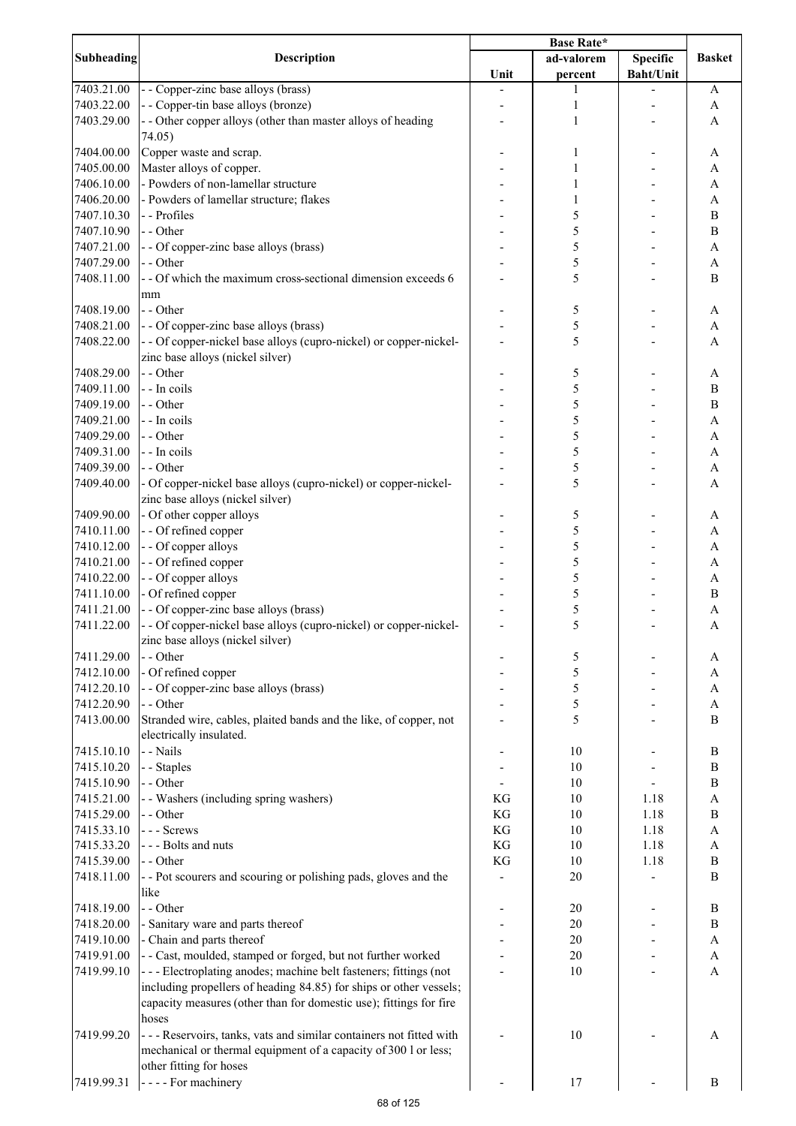| <b>Subheading</b> | <b>Description</b>                                                   | <b>Base Rate*</b> |            |                  |                  |
|-------------------|----------------------------------------------------------------------|-------------------|------------|------------------|------------------|
|                   |                                                                      |                   | ad-valorem | <b>Specific</b>  | <b>Basket</b>    |
|                   |                                                                      | Unit              | percent    | <b>Baht/Unit</b> |                  |
| 7403.21.00        | - - Copper-zinc base alloys (brass)                                  |                   | 1          |                  | A                |
| 7403.22.00        | - - Copper-tin base alloys (bronze)                                  |                   | 1          |                  | A                |
| 7403.29.00        | - - Other copper alloys (other than master alloys of heading         |                   | 1          |                  | A                |
|                   | 74.05)                                                               |                   |            |                  |                  |
| 7404.00.00        | Copper waste and scrap.                                              |                   | 1          |                  | A                |
| 7405.00.00        | Master alloys of copper.                                             |                   | 1          |                  | A                |
| 7406.10.00        | - Powders of non-lamellar structure                                  |                   | 1          |                  | A                |
| 7406.20.00        | - Powders of lamellar structure; flakes                              |                   | 1          |                  | A                |
| 7407.10.30        | - - Profiles                                                         |                   | 5          |                  | B                |
| 7407.10.90        | - - Other                                                            |                   | 5          |                  | B                |
| 7407.21.00        | - - Of copper-zinc base alloys (brass)                               |                   | 5          |                  | A                |
| 7407.29.00        | - - Other                                                            |                   | 5          |                  | A                |
| 7408.11.00        | - - Of which the maximum cross-sectional dimension exceeds 6         |                   | 5          |                  | B                |
|                   | mm                                                                   |                   |            |                  |                  |
| 7408.19.00        | - - Other                                                            |                   | 5          |                  | A                |
| 7408.21.00        | - - Of copper-zinc base alloys (brass)                               |                   | 5          |                  | A                |
| 7408.22.00        | - - Of copper-nickel base alloys (cupro-nickel) or copper-nickel-    |                   | 5          |                  | $\mathbf{A}$     |
|                   | zinc base alloys (nickel silver)                                     |                   |            |                  |                  |
| 7408.29.00        | - - Other                                                            |                   | 5          |                  | A                |
| 7409.11.00        | - - In coils                                                         |                   | 5          |                  | $\, {\bf B}$     |
| 7409.19.00        | - - Other                                                            |                   | 5          |                  | $\overline{B}$   |
| 7409.21.00        | - - In coils                                                         |                   | 5          |                  | A                |
| 7409.29.00        | - - Other                                                            |                   | 5          |                  | A                |
| 7409.31.00        | - - In coils                                                         |                   | 5          |                  | A                |
| 7409.39.00        | - - Other                                                            |                   | 5          |                  | A                |
| 7409.40.00        | - Of copper-nickel base alloys (cupro-nickel) or copper-nickel-      |                   | 5          |                  | $\mathbf{A}$     |
|                   | zinc base alloys (nickel silver)                                     |                   |            |                  |                  |
| 7409.90.00        | - Of other copper alloys                                             |                   | 5          |                  | A                |
| 7410.11.00        | - - Of refined copper                                                |                   | 5          |                  | A                |
| 7410.12.00        | - - Of copper alloys                                                 |                   | 5          |                  | A                |
| 7410.21.00        | - - Of refined copper                                                |                   | 5          |                  | A                |
| 7410.22.00        | - - Of copper alloys                                                 |                   | 5          |                  | A                |
| 7411.10.00        | - Of refined copper                                                  |                   | 5          |                  | $\, {\bf B}$     |
| 7411.21.00        | - - Of copper-zinc base alloys (brass)                               |                   | 5          |                  | A                |
| 7411.22.00        | - - Of copper-nickel base alloys (cupro-nickel) or copper-nickel-    |                   | 5          |                  | A                |
|                   | zinc base alloys (nickel silver)                                     |                   |            |                  |                  |
| 7411.29.00        | - - Other                                                            |                   | 5          |                  | A                |
| 7412.10.00        | - Of refined copper                                                  |                   | 5          |                  | A                |
| 7412.20.10        | - - Of copper-zinc base alloys (brass)                               |                   | 5          |                  | A                |
| 7412.20.90        | - - Other                                                            |                   | 5          |                  | A                |
| 7413.00.00        | Stranded wire, cables, plaited bands and the like, of copper, not    |                   | 5          |                  | B                |
|                   | electrically insulated.                                              |                   |            |                  |                  |
| 7415.10.10        | - - Nails                                                            |                   | 10         |                  | $\boldsymbol{B}$ |
| 7415.10.20        | - - Staples                                                          |                   | 10         |                  | $\, {\bf B}$     |
| 7415.10.90        | - - Other                                                            |                   | 10         |                  | $\overline{B}$   |
| 7415.21.00        | - - Washers (including spring washers)                               | KG                | 10         | 1.18             | $\mathbf{A}$     |
| 7415.29.00        | - - Other                                                            | KG                | 10         | 1.18             | $\bf{B}$         |
| 7415.33.10        | --- Screws                                                           | KG                | 10         | 1.18             | $\mathbf{A}$     |
| 7415.33.20        | --- Bolts and nuts                                                   | KG                | 10         | 1.18             | A                |
| 7415.39.00        | - - Other                                                            | KG                | 10         | 1.18             | $\, {\bf B}$     |
|                   |                                                                      |                   |            |                  | $\bf{B}$         |
| 7418.11.00        | - - Pot scourers and scouring or polishing pads, gloves and the      |                   | 20         |                  |                  |
|                   | like                                                                 |                   |            |                  |                  |
| 7418.19.00        | - - Other                                                            |                   | 20         |                  | $\, {\bf B}$     |
| 7418.20.00        | - Sanitary ware and parts thereof                                    |                   | 20         |                  | $\, {\bf B}$     |
| 7419.10.00        | - Chain and parts thereof                                            |                   | 20         |                  | A                |
| 7419.91.00        | - - Cast, moulded, stamped or forged, but not further worked         |                   | 20         |                  | A                |
| 7419.99.10        | --- Electroplating anodes; machine belt fasteners; fittings (not     |                   | 10         |                  | A                |
|                   | including propellers of heading 84.85) for ships or other vessels;   |                   |            |                  |                  |
|                   | capacity measures (other than for domestic use); fittings for fire   |                   |            |                  |                  |
|                   | hoses                                                                |                   |            |                  |                  |
| 7419.99.20        | - - - Reservoirs, tanks, vats and similar containers not fitted with |                   | 10         |                  | A                |
|                   | mechanical or thermal equipment of a capacity of 300 l or less;      |                   |            |                  |                  |
|                   | other fitting for hoses                                              |                   |            |                  |                  |
| 7419.99.31        | - - - - For machinery                                                |                   | 17         |                  | B                |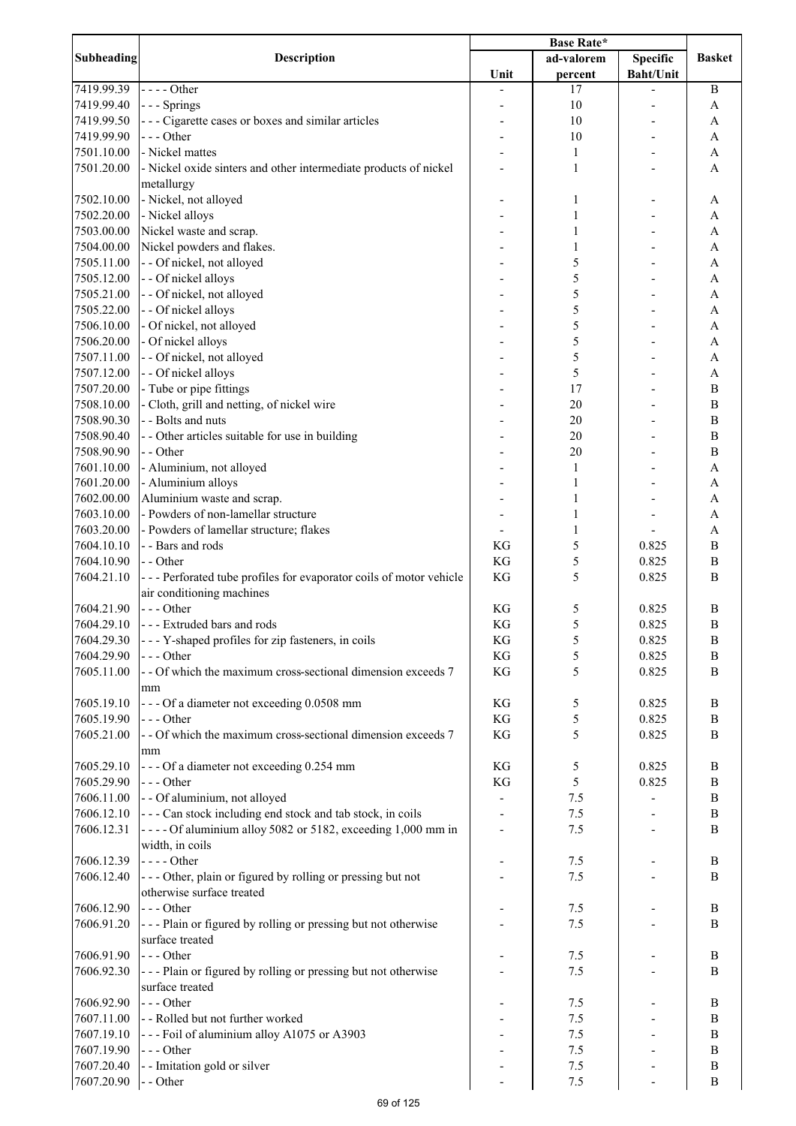| <b>Subheading</b> |                                                                    | <b>Base Rate*</b> |              |                  |                  |
|-------------------|--------------------------------------------------------------------|-------------------|--------------|------------------|------------------|
|                   | <b>Description</b>                                                 |                   | ad-valorem   | <b>Specific</b>  | <b>Basket</b>    |
|                   |                                                                    | Unit              | percent      | <b>Baht/Unit</b> |                  |
| 7419.99.39        | $---Other$                                                         |                   | 17           |                  | $\boldsymbol{B}$ |
| 7419.99.40        | --- Springs                                                        |                   | 10           |                  | A                |
| 7419.99.50        | --- Cigarette cases or boxes and similar articles                  |                   | 10           |                  | A                |
| 7419.99.90        | --- Other                                                          |                   | 10           |                  | A                |
| 7501.10.00        | - Nickel mattes                                                    |                   |              |                  |                  |
|                   |                                                                    |                   | 1            |                  | A                |
| 7501.20.00        | - Nickel oxide sinters and other intermediate products of nickel   |                   | $\mathbf{1}$ |                  | A                |
|                   | metallurgy                                                         |                   |              |                  |                  |
| 7502.10.00        | - Nickel, not alloyed                                              |                   | 1            |                  | A                |
| 7502.20.00        | - Nickel alloys                                                    |                   | $\mathbf{1}$ |                  | A                |
| 7503.00.00        | Nickel waste and scrap.                                            |                   | 1            |                  | A                |
| 7504.00.00        | Nickel powders and flakes.                                         |                   | 1            |                  | A                |
| 7505.11.00        | - - Of nickel, not alloyed                                         |                   | 5            |                  | A                |
| 7505.12.00        | - - Of nickel alloys                                               |                   | 5            |                  | A                |
| 7505.21.00        | - - Of nickel, not alloyed                                         |                   | 5            |                  | A                |
| 7505.22.00        | - - Of nickel alloys                                               |                   | 5            |                  | A                |
| 7506.10.00        | - Of nickel, not alloyed                                           |                   | 5            |                  | A                |
|                   |                                                                    |                   |              |                  |                  |
| 7506.20.00        | - Of nickel alloys                                                 |                   | 5            |                  | $\mathbf{A}$     |
| 7507.11.00        | - - Of nickel, not alloyed                                         |                   | 5            |                  | $\overline{A}$   |
| 7507.12.00        | - - Of nickel alloys                                               |                   | 5            |                  | A                |
| 7507.20.00        | - Tube or pipe fittings                                            |                   | 17           |                  | $\, {\bf B}$     |
| 7508.10.00        | - Cloth, grill and netting, of nickel wire                         |                   | 20           |                  | $\, {\bf B}$     |
| 7508.90.30        | - - Bolts and nuts                                                 |                   | 20           |                  | $\, {\bf B}$     |
| 7508.90.40        | - - Other articles suitable for use in building                    |                   | 20           |                  | $\, {\bf B}$     |
| 7508.90.90        | - - Other                                                          |                   | 20           |                  | $\, {\bf B}$     |
| 7601.10.00        | - Aluminium, not alloyed                                           |                   | 1            |                  | A                |
| 7601.20.00        | - Aluminium alloys                                                 |                   | 1            |                  | A                |
| 7602.00.00        | Aluminium waste and scrap.                                         |                   | 1            |                  | A                |
|                   | - Powders of non-lamellar structure                                |                   |              |                  |                  |
| 7603.10.00        |                                                                    |                   | 1            |                  | A                |
| 7603.20.00        | - Powders of lamellar structure; flakes                            |                   | 1            |                  | A                |
| 7604.10.10        | - - Bars and rods                                                  | KG                | 5            | 0.825            | B                |
| 7604.10.90        | - - Other                                                          | KG                | 5            | 0.825            | B                |
| 7604.21.10        | --- Perforated tube profiles for evaporator coils of motor vehicle | KG                | 5            | 0.825            | B                |
|                   | air conditioning machines                                          |                   |              |                  |                  |
| 7604.21.90        | $--$ Other                                                         | KG                | 5            | 0.825            | B                |
| 7604.29.10        | --- Extruded bars and rods                                         | KG                | 5            | 0.825            | B                |
| 7604.29.30        | - - - Y-shaped profiles for zip fasteners, in coils                | KG                | 5            | 0.825            | $\, {\bf B}$     |
| 7604.29.90        | --- Other                                                          | KG                | 5            | 0.825            | B                |
| 7605.11.00        | - - Of which the maximum cross-sectional dimension exceeds 7       | KG                | 5            | 0.825            | B                |
|                   |                                                                    |                   |              |                  |                  |
|                   | mm                                                                 |                   |              |                  |                  |
| 7605.19.10        | --- Of a diameter not exceeding 0.0508 mm                          | KG                | 5            | 0.825            | $\, {\bf B}$     |
| 7605.19.90        | $--$ Other                                                         | KG                | 5            | 0.825            | $\, {\bf B}$     |
| 7605.21.00        | - - Of which the maximum cross-sectional dimension exceeds 7       | KG                | 5            | 0.825            | $\mathbf B$      |
|                   | mm                                                                 |                   |              |                  |                  |
| 7605.29.10        | --- Of a diameter not exceeding 0.254 mm                           | KG                | 5            | 0.825            | $\boldsymbol{B}$ |
| 7605.29.90        | $--$ Other                                                         | KG                | 5            | 0.825            | B                |
| 7606.11.00        | - - Of aluminium, not alloyed                                      |                   | 7.5          |                  | $\boldsymbol{B}$ |
| 7606.12.10        | --- Can stock including end stock and tab stock, in coils          |                   | 7.5          |                  | $\, {\bf B}$     |
| 7606.12.31        | - - - - Of aluminium alloy 5082 or 5182, exceeding 1,000 mm in     |                   | 7.5          |                  | B                |
|                   | width, in coils                                                    |                   |              |                  |                  |
|                   | - - - - Other                                                      |                   |              |                  |                  |
| 7606.12.39        |                                                                    |                   | 7.5          |                  | B                |
| 7606.12.40        | --- Other, plain or figured by rolling or pressing but not         |                   | 7.5          |                  | B                |
|                   | otherwise surface treated                                          |                   |              |                  |                  |
| 7606.12.90        | $--$ Other                                                         |                   | 7.5          |                  | B                |
| 7606.91.20        | --- Plain or figured by rolling or pressing but not otherwise      |                   | 7.5          |                  | B                |
|                   | surface treated                                                    |                   |              |                  |                  |
| 7606.91.90        | $--- Other$                                                        |                   | 7.5          |                  | B                |
| 7606.92.30        | --- Plain or figured by rolling or pressing but not otherwise      |                   | 7.5          |                  | $\bf{B}$         |
|                   | surface treated                                                    |                   |              |                  |                  |
| 7606.92.90        | $--$ Other                                                         |                   | 7.5          |                  | B                |
| 7607.11.00        | - - Rolled but not further worked                                  |                   | 7.5          |                  | B                |
| 7607.19.10        |                                                                    |                   | 7.5          |                  |                  |
|                   | --- Foil of aluminium alloy A1075 or A3903                         |                   |              |                  | B                |
| 7607.19.90        | $--$ Other                                                         |                   | 7.5          |                  | B                |
| 7607.20.40        | - - Imitation gold or silver                                       |                   | 7.5          |                  | $\, {\bf B}$     |
| 7607.20.90        | - - Other                                                          |                   | 7.5          |                  | $\boldsymbol{B}$ |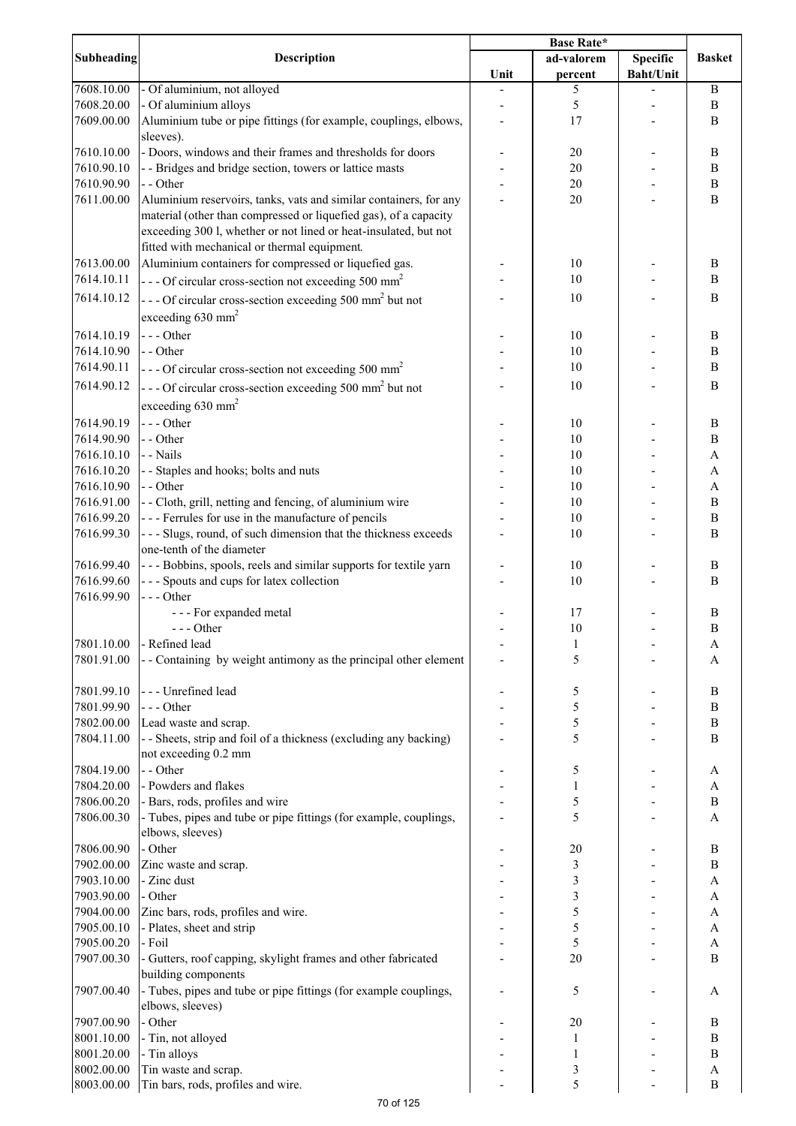|            |                                                                                                                                      | <b>Base Rate*</b> |                         |                  |                  |
|------------|--------------------------------------------------------------------------------------------------------------------------------------|-------------------|-------------------------|------------------|------------------|
| Subheading | <b>Description</b>                                                                                                                   |                   | ad-valorem              | <b>Specific</b>  | <b>Basket</b>    |
|            |                                                                                                                                      | Unit              | percent                 | <b>Baht/Unit</b> |                  |
| 7608.10.00 | - Of aluminium, not alloyed                                                                                                          |                   | 5                       |                  | B                |
| 7608.20.00 | - Of aluminium alloys                                                                                                                |                   | 5                       |                  | B                |
| 7609.00.00 | Aluminium tube or pipe fittings (for example, couplings, elbows,                                                                     |                   | 17                      |                  | B                |
|            | sleeves).                                                                                                                            |                   |                         |                  |                  |
| 7610.10.00 | - Doors, windows and their frames and thresholds for doors                                                                           |                   | 20                      |                  | B                |
| 7610.90.10 | - - Bridges and bridge section, towers or lattice masts                                                                              |                   | 20                      |                  | B                |
| 7610.90.90 | - - Other                                                                                                                            |                   | 20                      |                  | $\, {\bf B}$     |
| 7611.00.00 | Aluminium reservoirs, tanks, vats and similar containers, for any                                                                    |                   | 20                      |                  | B                |
|            | material (other than compressed or liquefied gas), of a capacity<br>exceeding 300 l, whether or not lined or heat-insulated, but not |                   |                         |                  |                  |
|            | fitted with mechanical or thermal equipment.                                                                                         |                   |                         |                  |                  |
| 7613.00.00 | Aluminium containers for compressed or liquefied gas.                                                                                |                   | 10                      |                  | B                |
| 7614.10.11 | --- Of circular cross-section not exceeding 500 mm <sup>2</sup>                                                                      |                   | 10                      |                  | B                |
|            |                                                                                                                                      |                   |                         |                  | B                |
| 7614.10.12 | --- Of circular cross-section exceeding 500 mm <sup>2</sup> but not                                                                  |                   | 10                      |                  |                  |
|            | exceeding $630$ mm <sup>2</sup>                                                                                                      |                   |                         |                  |                  |
| 7614.10.19 | $--$ Other                                                                                                                           |                   | 10                      |                  | B                |
| 7614.10.90 | - - Other                                                                                                                            |                   | 10                      |                  | B                |
| 7614.90.11 | --- Of circular cross-section not exceeding 500 mm <sup>2</sup>                                                                      |                   | 10                      |                  | B                |
| 7614.90.12 | --- Of circular cross-section exceeding 500 mm <sup>2</sup> but not                                                                  |                   | 10                      |                  | B                |
|            | exceeding $630$ mm <sup>2</sup>                                                                                                      |                   |                         |                  |                  |
|            |                                                                                                                                      |                   |                         |                  |                  |
| 7614.90.19 | $--$ Other                                                                                                                           |                   | 10                      |                  | $\, {\bf B}$     |
| 7614.90.90 | - - Other                                                                                                                            |                   | 10                      |                  | B                |
| 7616.10.10 | - - Nails                                                                                                                            |                   | 10                      |                  | A                |
| 7616.10.20 | - - Staples and hooks; bolts and nuts                                                                                                |                   | 10                      |                  | A                |
| 7616.10.90 | - - Other                                                                                                                            |                   | 10                      |                  | $\mathbf{A}$     |
| 7616.91.00 | - - Cloth, grill, netting and fencing, of aluminium wire                                                                             |                   | 10                      |                  | $\, {\bf B}$     |
| 7616.99.20 | --- Ferrules for use in the manufacture of pencils                                                                                   |                   | 10                      |                  | $\overline{B}$   |
| 7616.99.30 | --- Slugs, round, of such dimension that the thickness exceeds<br>one-tenth of the diameter                                          |                   | 10                      |                  | $\mathbf B$      |
| 7616.99.40 | --- Bobbins, spools, reels and similar supports for textile yarn                                                                     |                   | 10                      |                  | B                |
| 7616.99.60 | --- Spouts and cups for latex collection                                                                                             |                   | 10                      |                  | B                |
| 7616.99.90 | --- Other                                                                                                                            |                   |                         |                  |                  |
|            | --- For expanded metal                                                                                                               |                   | 17                      |                  | $\boldsymbol{B}$ |
|            | $--- Other$                                                                                                                          |                   | 10                      |                  | $\bf{B}$         |
| 7801.10.00 | - Refined lead                                                                                                                       |                   | $\mathbf{1}$            |                  | A                |
| 7801.91.00 | - - Containing by weight antimony as the principal other element                                                                     |                   | 5                       |                  | A                |
|            |                                                                                                                                      |                   |                         |                  |                  |
| 7801.99.10 | --- Unrefined lead                                                                                                                   |                   | 5                       |                  | B                |
| 7801.99.90 | --- Other                                                                                                                            |                   | 5                       |                  | $\, {\bf B}$     |
| 7802.00.00 | Lead waste and scrap.                                                                                                                |                   | 5                       |                  | $\, {\bf B}$     |
| 7804.11.00 | - - Sheets, strip and foil of a thickness (excluding any backing)                                                                    |                   | 5                       |                  | B                |
|            | not exceeding 0.2 mm                                                                                                                 |                   |                         |                  |                  |
| 7804.19.00 | - - Other                                                                                                                            |                   | 5                       |                  | A                |
| 7804.20.00 | - Powders and flakes                                                                                                                 |                   | 1                       |                  | A                |
| 7806.00.20 | - Bars, rods, profiles and wire                                                                                                      |                   | 5                       |                  | $\bf{B}$         |
| 7806.00.30 | - Tubes, pipes and tube or pipe fittings (for example, couplings,                                                                    |                   | 5                       |                  | A                |
|            | elbows, sleeves)                                                                                                                     |                   |                         |                  |                  |
| 7806.00.90 | - Other                                                                                                                              |                   | 20                      |                  | $\, {\bf B}$     |
| 7902.00.00 | Zinc waste and scrap.                                                                                                                |                   | $\mathfrak{Z}$          |                  | $\, {\bf B}$     |
| 7903.10.00 | - Zinc dust                                                                                                                          |                   | 3                       |                  | A                |
| 7903.90.00 | - Other                                                                                                                              |                   | $\overline{\mathbf{3}}$ |                  | A                |
| 7904.00.00 | Zinc bars, rods, profiles and wire.                                                                                                  |                   | 5                       |                  | A                |
| 7905.00.10 | - Plates, sheet and strip                                                                                                            |                   | 5                       |                  | $\mathbf{A}$     |
| 7905.00.20 | - Foil                                                                                                                               |                   | 5                       |                  | $\mathbf{A}$     |
| 7907.00.30 | - Gutters, roof capping, skylight frames and other fabricated                                                                        |                   | 20                      |                  | $\mathbf B$      |
|            | building components                                                                                                                  |                   |                         |                  |                  |
| 7907.00.40 | - Tubes, pipes and tube or pipe fittings (for example couplings,                                                                     |                   | 5                       |                  | A                |
|            | elbows, sleeves)                                                                                                                     |                   |                         |                  |                  |
| 7907.00.90 | - Other                                                                                                                              |                   | 20                      |                  | B                |
| 8001.10.00 | - Tin, not alloyed                                                                                                                   |                   | $\mathbf{1}$            |                  | $\, {\bf B}$     |
| 8001.20.00 | - Tin alloys                                                                                                                         |                   | $\mathbf{1}$            |                  | B                |
| 8002.00.00 | Tin waste and scrap.                                                                                                                 |                   | 3                       |                  | A                |
| 8003.00.00 | Tin bars, rods, profiles and wire.                                                                                                   |                   | 5                       |                  | $\, {\bf B}$     |
|            |                                                                                                                                      |                   |                         |                  |                  |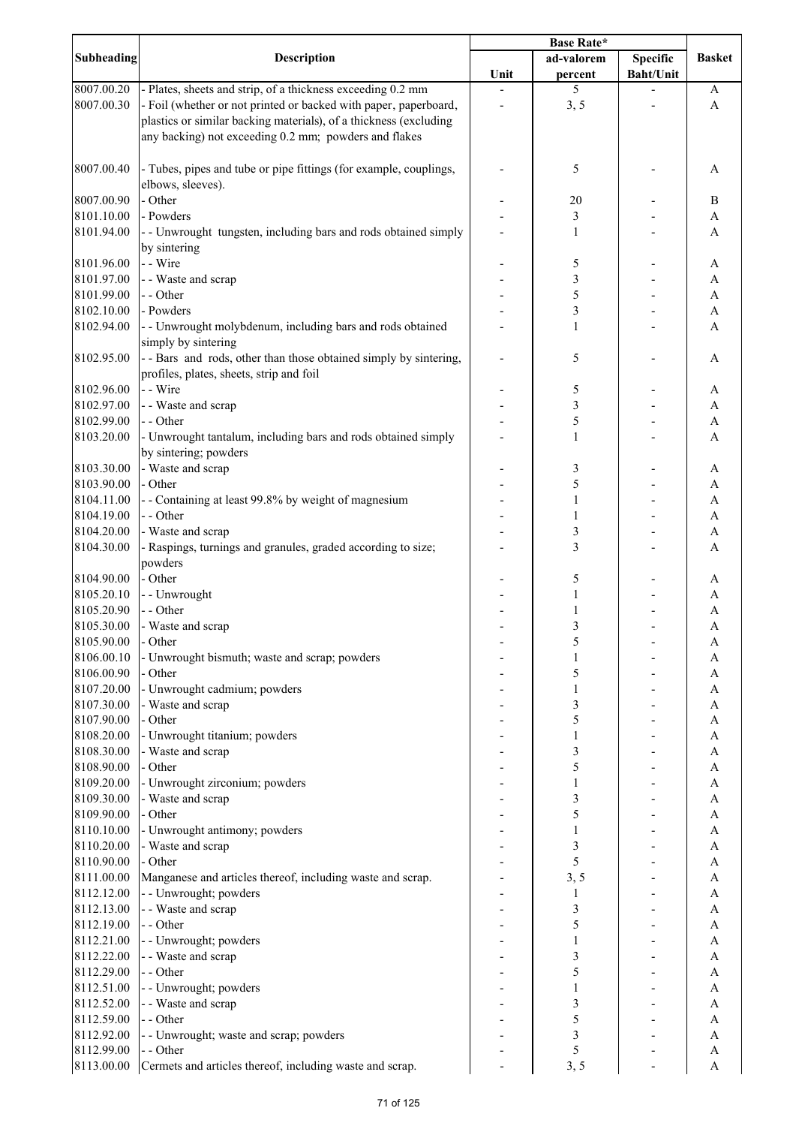|                   |                                                                   | Base Rate* |                |                  |               |
|-------------------|-------------------------------------------------------------------|------------|----------------|------------------|---------------|
| <b>Subheading</b> | <b>Description</b>                                                |            | ad-valorem     | <b>Specific</b>  | <b>Basket</b> |
|                   |                                                                   | Unit       | percent        | <b>Baht/Unit</b> |               |
| 8007.00.20        | - Plates, sheets and strip, of a thickness exceeding 0.2 mm       |            | 5              |                  | A             |
| 8007.00.30        | - Foil (whether or not printed or backed with paper, paperboard,  |            | 3, 5           |                  | A             |
|                   | plastics or similar backing materials), of a thickness (excluding |            |                |                  |               |
|                   | any backing) not exceeding 0.2 mm; powders and flakes             |            |                |                  |               |
|                   |                                                                   |            |                |                  |               |
| 8007.00.40        | - Tubes, pipes and tube or pipe fittings (for example, couplings, |            | 5              |                  | A             |
|                   | elbows, sleeves).                                                 |            |                |                  |               |
| 8007.00.90        | - Other                                                           |            | 20             |                  | B             |
| 8101.10.00        | - Powders                                                         |            | $\mathfrak{Z}$ |                  | A             |
|                   |                                                                   |            |                |                  |               |
| 8101.94.00        | - - Unwrought tungsten, including bars and rods obtained simply   |            | 1              |                  | A             |
|                   | by sintering                                                      |            |                |                  |               |
| 8101.96.00        | - - Wire                                                          |            | 5              |                  | A             |
| 8101.97.00        | - - Waste and scrap                                               |            | 3              |                  | A             |
| 8101.99.00        | - - Other                                                         |            | 5              |                  | A             |
| 8102.10.00        | - Powders                                                         |            | 3              |                  | A             |
| 8102.94.00        | - - Unwrought molybdenum, including bars and rods obtained        |            | 1              |                  | A             |
|                   | simply by sintering                                               |            |                |                  |               |
| 8102.95.00        | - - Bars and rods, other than those obtained simply by sintering, |            | 5              |                  | A             |
|                   | profiles, plates, sheets, strip and foil                          |            |                |                  |               |
| 8102.96.00        | - - Wire                                                          |            | 5              |                  | A             |
| 8102.97.00        | - - Waste and scrap                                               |            | $\mathfrak{Z}$ |                  | A             |
| 8102.99.00        | - - Other                                                         |            | 5              |                  | $\mathbf{A}$  |
| 8103.20.00        | - Unwrought tantalum, including bars and rods obtained simply     |            | $\mathbf{1}$   |                  | A             |
|                   | by sintering; powders                                             |            |                |                  |               |
| 8103.30.00        | - Waste and scrap                                                 |            | $\mathfrak{Z}$ |                  | A             |
| 8103.90.00        | - Other                                                           |            | 5              |                  | A             |
| 8104.11.00        | - - Containing at least 99.8% by weight of magnesium              |            | $\mathbf{1}$   |                  | A             |
|                   | - - Other                                                         |            |                |                  |               |
| 8104.19.00        |                                                                   |            | 1              |                  | A             |
| 8104.20.00        | - Waste and scrap                                                 |            | $\mathfrak{Z}$ |                  | A             |
| 8104.30.00        | - Raspings, turnings and granules, graded according to size;      |            | $\mathfrak{Z}$ |                  | A             |
|                   | powders                                                           |            |                |                  |               |
| 8104.90.00        | - Other                                                           |            | 5              |                  | A             |
| 8105.20.10        | - - Unwrought                                                     |            | 1              |                  | A             |
| 8105.20.90        | - - Other                                                         |            | 1              |                  | A             |
| 8105.30.00        | - Waste and scrap                                                 |            | 3              |                  | A             |
| 8105.90.00        | - Other                                                           |            | 5              |                  | A             |
| 8106.00.10        | - Unwrought bismuth; waste and scrap; powders                     |            |                |                  | A             |
| 8106.00.90        | - Other                                                           |            | 5              |                  | A             |
| 8107.20.00        | - Unwrought cadmium; powders                                      |            | $\mathbf{1}$   |                  | A             |
| 8107.30.00        | - Waste and scrap                                                 |            | 3              |                  | A             |
| 8107.90.00        | - Other                                                           |            | 5              |                  | A             |
| 8108.20.00        | - Unwrought titanium; powders                                     |            | $\mathbf{1}$   |                  | A             |
| 8108.30.00        | - Waste and scrap                                                 |            | $\mathfrak{Z}$ |                  | A             |
| 8108.90.00        | - Other                                                           |            | 5              |                  | A             |
| 8109.20.00        | - Unwrought zirconium; powders                                    |            | $\mathbf{1}$   |                  | A             |
| 8109.30.00        | - Waste and scrap                                                 |            | 3              |                  | $\mathbf{A}$  |
| 8109.90.00        | - Other                                                           |            | 5              |                  | A             |
| 8110.10.00        | - Unwrought antimony; powders                                     |            | 1              |                  | $\mathbf{A}$  |
| 8110.20.00        | - Waste and scrap                                                 |            | $\mathfrak{Z}$ |                  | A             |
| 8110.90.00        | - Other                                                           |            | 5              |                  | A             |
| 8111.00.00        | Manganese and articles thereof, including waste and scrap.        |            | 3, 5           |                  | A             |
| 8112.12.00        | - - Unwrought; powders                                            |            | $\mathbf{1}$   |                  | A             |
| 8112.13.00        | - - Waste and scrap                                               |            | 3              |                  | A             |
| 8112.19.00        | - - Other                                                         |            | 5              |                  | A             |
| 8112.21.00        | - - Unwrought; powders                                            |            | $\mathbf{1}$   |                  | A             |
| 8112.22.00        | - - Waste and scrap                                               |            | 3              |                  | A             |
| 8112.29.00        | - - Other                                                         |            | 5              |                  | A             |
| 8112.51.00        | - - Unwrought; powders                                            |            | 1              |                  | A             |
| 8112.52.00        | - - Waste and scrap                                               |            | 3              |                  |               |
| 8112.59.00        | - - Other                                                         |            | 5              |                  | A<br>A        |
|                   |                                                                   |            |                |                  |               |
| 8112.92.00        | - - Unwrought; waste and scrap; powders                           |            | $\mathfrak{Z}$ |                  | A             |
| 8112.99.00        | - - Other                                                         |            | 5              |                  | A             |
| 8113.00.00        | Cermets and articles thereof, including waste and scrap.          |            | 3, 5           |                  | A             |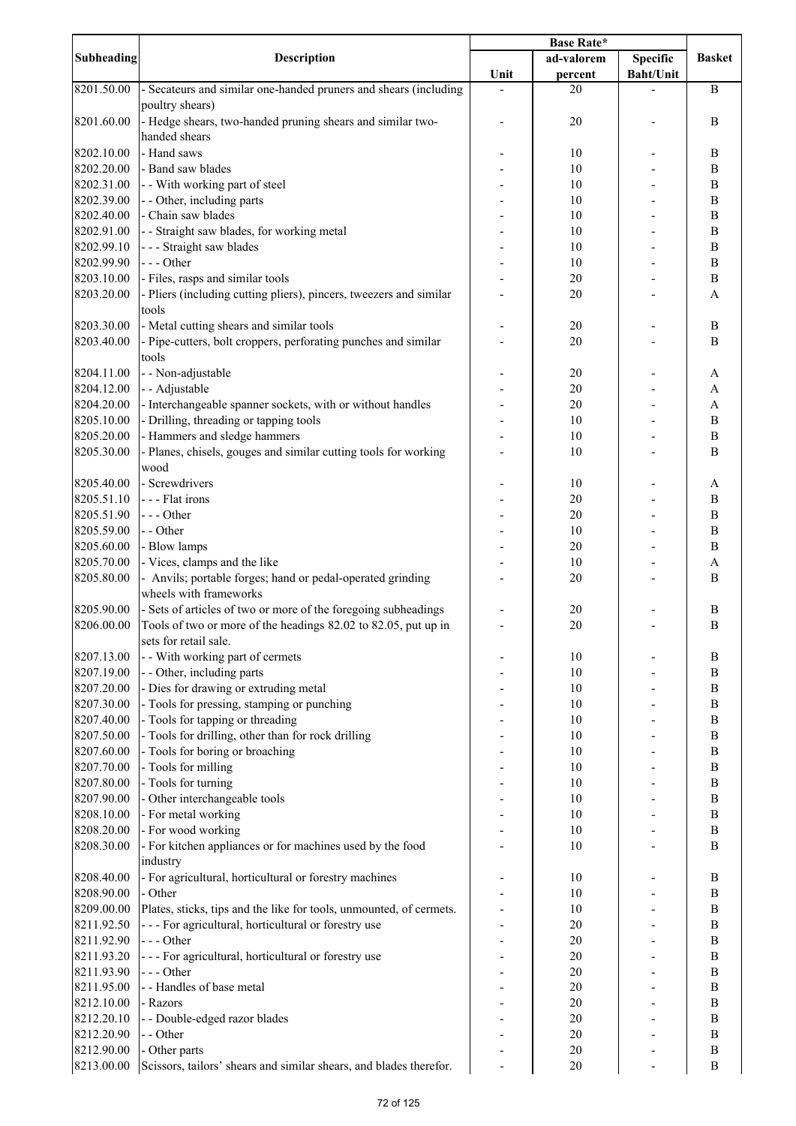|            | <b>Description</b>                                                  | <b>Base Rate*</b> |            |                  |                           |
|------------|---------------------------------------------------------------------|-------------------|------------|------------------|---------------------------|
| Subheading |                                                                     |                   | ad-valorem | <b>Specific</b>  | <b>Basket</b>             |
|            |                                                                     | Unit              | percent    | <b>Baht/Unit</b> |                           |
| 8201.50.00 | - Secateurs and similar one-handed pruners and shears (including    |                   | 20         |                  | $\, {\bf B}$              |
|            | poultry shears)                                                     |                   |            |                  |                           |
| 8201.60.00 | - Hedge shears, two-handed pruning shears and similar two-          |                   | 20         |                  | $\bf{B}$                  |
|            | handed shears                                                       |                   |            |                  |                           |
| 8202.10.00 | - Hand saws                                                         |                   | 10         |                  | $\, {\bf B}$              |
| 8202.20.00 | - Band saw blades                                                   |                   | 10         |                  | $\bf{B}$                  |
| 8202.31.00 | - - With working part of steel                                      |                   | 10         |                  | $\, {\bf B}$              |
| 8202.39.00 | - - Other, including parts                                          |                   | 10         |                  | $\, {\bf B}$              |
| 8202.40.00 | - Chain saw blades                                                  |                   | 10         |                  | $\, {\bf B}$              |
| 8202.91.00 | - - Straight saw blades, for working metal                          |                   | 10         |                  | $\, {\bf B}$              |
| 8202.99.10 | --- Straight saw blades                                             |                   | 10         |                  | $\, {\bf B}$              |
| 8202.99.90 | --- Other                                                           |                   | 10         |                  | $\, {\bf B}$              |
| 8203.10.00 | - Files, rasps and similar tools                                    |                   | 20         |                  | $\, {\bf B}$              |
| 8203.20.00 | - Pliers (including cutting pliers), pincers, tweezers and similar  |                   | 20         |                  | A                         |
|            | tools                                                               |                   |            |                  |                           |
| 8203.30.00 | - Metal cutting shears and similar tools                            |                   | 20         |                  | $\, {\bf B}$              |
| 8203.40.00 | - Pipe-cutters, bolt croppers, perforating punches and similar      |                   | 20         |                  | $\, {\bf B}$              |
|            | tools                                                               |                   |            |                  |                           |
| 8204.11.00 | - - Non-adjustable                                                  |                   | 20         |                  | A                         |
| 8204.12.00 | - - Adjustable                                                      |                   | 20         |                  | $\boldsymbol{\mathsf{A}}$ |
|            |                                                                     |                   |            |                  |                           |
| 8204.20.00 | - Interchangeable spanner sockets, with or without handles          |                   | 20         |                  | $\mathbf{A}$              |
| 8205.10.00 | - Drilling, threading or tapping tools                              |                   | 10         |                  | $\, {\bf B}$              |
| 8205.20.00 | - Hammers and sledge hammers                                        |                   | 10         |                  | $\, {\bf B}$              |
| 8205.30.00 | - Planes, chisels, gouges and similar cutting tools for working     |                   | 10         |                  | $\bf{B}$                  |
|            | wood                                                                |                   |            |                  |                           |
| 8205.40.00 | - Screwdrivers                                                      |                   | 10         |                  | A                         |
| 8205.51.10 | --- Flat irons                                                      |                   | 20         |                  | $\, {\bf B}$              |
| 8205.51.90 | --- Other                                                           |                   | 20         |                  | $\, {\bf B}$              |
| 8205.59.00 | - - Other                                                           |                   | 10         |                  | $\, {\bf B}$              |
| 8205.60.00 | - Blow lamps                                                        |                   | 20         |                  | $\bf{B}$                  |
| 8205.70.00 | - Vices, clamps and the like                                        |                   | 10         |                  | A                         |
| 8205.80.00 | - Anvils; portable forges; hand or pedal-operated grinding          |                   | 20         |                  | $\, {\bf B}$              |
|            | wheels with frameworks                                              |                   |            |                  |                           |
| 8205.90.00 | - Sets of articles of two or more of the foregoing subheadings      |                   | 20         |                  | $\boldsymbol{B}$          |
| 8206.00.00 | Tools of two or more of the headings 82.02 to 82.05, put up in      |                   | 20         |                  | $\boldsymbol{B}$          |
|            | sets for retail sale.                                               |                   |            |                  |                           |
| 8207.13.00 | - - With working part of cermets                                    |                   | 10         |                  | B                         |
|            |                                                                     |                   |            |                  |                           |
| 8207.19.00 | - - Other, including parts                                          |                   | 10         |                  | $\bf{B}$                  |
| 8207.20.00 | - Dies for drawing or extruding metal                               |                   | 10         |                  | $\, {\bf B}$              |
| 8207.30.00 | - Tools for pressing, stamping or punching                          |                   | 10         |                  | $\, {\bf B}$              |
| 8207.40.00 | - Tools for tapping or threading                                    |                   | 10         |                  | $\, {\bf B}$              |
| 8207.50.00 | - Tools for drilling, other than for rock drilling                  |                   | 10         |                  | $\, {\bf B}$              |
| 8207.60.00 | - Tools for boring or broaching                                     |                   | 10         |                  | $\bf{B}$                  |
| 8207.70.00 | - Tools for milling                                                 |                   | 10         |                  | $\, {\bf B}$              |
| 8207.80.00 | - Tools for turning                                                 |                   | 10         |                  | $\, {\bf B}$              |
| 8207.90.00 | - Other interchangeable tools                                       |                   | 10         |                  | $\, {\bf B}$              |
| 8208.10.00 | - For metal working                                                 |                   | 10         |                  | $\, {\bf B}$              |
| 8208.20.00 | - For wood working                                                  |                   | 10         |                  | $\, {\bf B}$              |
| 8208.30.00 | - For kitchen appliances or for machines used by the food           |                   | 10         |                  | $\bf{B}$                  |
|            | industry                                                            |                   |            |                  |                           |
| 8208.40.00 | - For agricultural, horticultural or forestry machines              |                   | 10         |                  | $\bf{B}$                  |
| 8208.90.00 | - Other                                                             |                   | 10         |                  | $\, {\bf B}$              |
| 8209.00.00 | Plates, sticks, tips and the like for tools, unmounted, of cermets. |                   | 10         |                  | $\, {\bf B}$              |
| 8211.92.50 | - - - For agricultural, horticultural or forestry use               |                   | 20         |                  | $\, {\bf B}$              |
|            |                                                                     |                   |            |                  |                           |
| 8211.92.90 | --- Other                                                           |                   | 20         |                  | $\, {\bf B}$              |
| 8211.93.20 | - - - For agricultural, horticultural or forestry use               |                   | 20         |                  | $\bf{B}$                  |
| 8211.93.90 | --- Other                                                           |                   | 20         |                  | $\, {\bf B}$              |
| 8211.95.00 | - - Handles of base metal                                           |                   | 20         |                  | $\, {\bf B}$              |
| 8212.10.00 | - Razors                                                            |                   | 20         |                  | $\bf{B}$                  |
| 8212.20.10 | - - Double-edged razor blades                                       |                   | 20         |                  | $\bf{B}$                  |
| 8212.20.90 | - - Other                                                           |                   | 20         |                  | $\, {\bf B}$              |
| 8212.90.00 | - Other parts                                                       |                   | 20         |                  | $\, {\bf B}$              |
| 8213.00.00 | Scissors, tailors' shears and similar shears, and blades therefor.  |                   | 20         |                  | $\bf{B}$                  |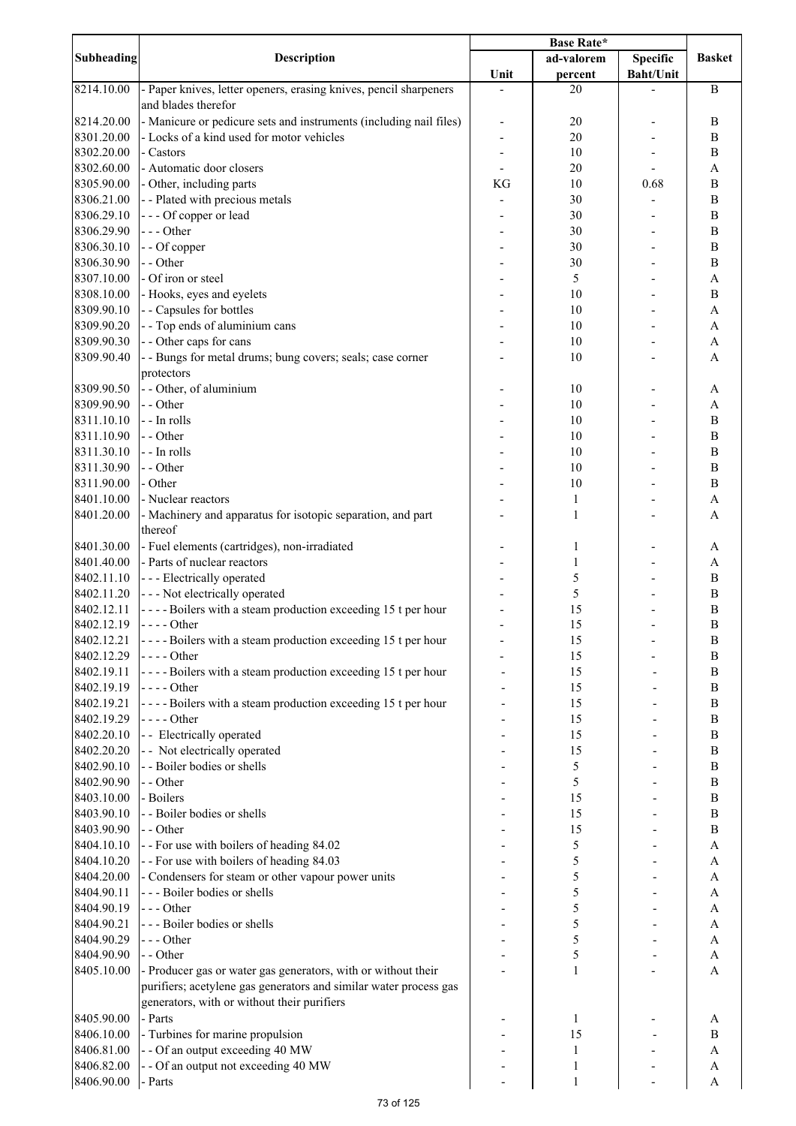|            |                                                                    | Base Rate* |              |                  |                           |
|------------|--------------------------------------------------------------------|------------|--------------|------------------|---------------------------|
| Subheading | Description                                                        |            | ad-valorem   | <b>Specific</b>  | <b>Basket</b>             |
|            |                                                                    | Unit       | percent      | <b>Baht/Unit</b> |                           |
| 8214.10.00 | - Paper knives, letter openers, erasing knives, pencil sharpeners  |            | 20           |                  | $\, {\bf B}$              |
|            | and blades therefor                                                |            |              |                  |                           |
| 8214.20.00 | - Manicure or pedicure sets and instruments (including nail files) |            | 20           |                  | $\, {\bf B}$              |
| 8301.20.00 | - Locks of a kind used for motor vehicles                          |            | 20           |                  | $\bf{B}$                  |
| 8302.20.00 | - Castors                                                          |            | 10           |                  | B                         |
|            |                                                                    |            |              |                  |                           |
| 8302.60.00 | - Automatic door closers                                           |            | 20           |                  | A                         |
| 8305.90.00 | - Other, including parts                                           | KG         | 10           | 0.68             | $\, {\bf B}$              |
| 8306.21.00 | - - Plated with precious metals                                    |            | 30           |                  | $\bf{B}$                  |
| 8306.29.10 | --- Of copper or lead                                              |            | 30           |                  | $\, {\bf B}$              |
| 8306.29.90 | --- Other                                                          |            | 30           |                  | $\, {\bf B}$              |
| 8306.30.10 | - - Of copper                                                      |            | 30           |                  | $\, {\bf B}$              |
| 8306.30.90 | - - Other                                                          |            | 30           |                  | $\, {\bf B}$              |
| 8307.10.00 | - Of iron or steel                                                 |            | 5            |                  | A                         |
| 8308.10.00 | - Hooks, eyes and eyelets                                          |            | 10           |                  | $\, {\bf B}$              |
| 8309.90.10 | - - Capsules for bottles                                           |            | 10           |                  | $\mathbf{A}$              |
| 8309.90.20 | - - Top ends of aluminium cans                                     |            | 10           |                  | $\boldsymbol{\mathsf{A}}$ |
|            |                                                                    |            |              |                  |                           |
| 8309.90.30 | - - Other caps for cans                                            |            | 10           |                  | $\boldsymbol{\mathsf{A}}$ |
| 8309.90.40 | - - Bungs for metal drums; bung covers; seals; case corner         |            | 10           |                  | A                         |
|            | protectors                                                         |            |              |                  |                           |
| 8309.90.50 | - - Other, of aluminium                                            |            | 10           |                  | A                         |
| 8309.90.90 | - - Other                                                          |            | 10           |                  | A                         |
| 8311.10.10 | - - In rolls                                                       |            | 10           |                  | $\, {\bf B}$              |
| 8311.10.90 | - - Other                                                          |            | 10           |                  | $\, {\bf B}$              |
| 8311.30.10 | - - In rolls                                                       |            | 10           |                  | $\bf{B}$                  |
| 8311.30.90 | - - Other                                                          |            | 10           |                  | $\bf{B}$                  |
| 8311.90.00 | - Other                                                            |            | 10           |                  | $\, {\bf B}$              |
| 8401.10.00 | - Nuclear reactors                                                 |            | 1            |                  | A                         |
|            |                                                                    |            |              |                  |                           |
| 8401.20.00 | - Machinery and apparatus for isotopic separation, and part        |            | 1            |                  | A                         |
|            | thereof                                                            |            |              |                  |                           |
| 8401.30.00 | - Fuel elements (cartridges), non-irradiated                       |            | 1            |                  | A                         |
| 8401.40.00 | - Parts of nuclear reactors                                        |            | 1            |                  | A                         |
| 8402.11.10 | --- Electrically operated                                          |            | 5            |                  | $\, {\bf B}$              |
| 8402.11.20 | - - - Not electrically operated                                    |            | 5            |                  | $\, {\bf B}$              |
| 8402.12.11 | ----Boilers with a steam production exceeding 15 t per hour        |            | 15           |                  | $\, {\bf B}$              |
| 8402.12.19 | $---Other$                                                         |            | 15           |                  | $\boldsymbol{B}$          |
| 8402.12.21 | ----Boilers with a steam production exceeding 15 t per hour        |            | 15           |                  | $\, {\bf B}$              |
| 8402.12.29 | - - - - Other                                                      |            | 15           |                  | $\, {\bf B}$              |
| 8402.19.11 | - - - - Boilers with a steam production exceeding 15 t per hour    |            | 15           |                  | $\, {\bf B}$              |
| 8402.19.19 |                                                                    |            |              |                  | $\, {\bf B}$              |
|            | - - - - Other                                                      |            | 15           |                  |                           |
| 8402.19.21 | ----Boilers with a steam production exceeding 15 t per hour        |            | 15           |                  | $\, {\bf B}$              |
| 8402.19.29 | - - - - Other                                                      |            | 15           |                  | $\bf{B}$                  |
| 8402.20.10 | - - Electrically operated                                          |            | 15           |                  | $\, {\bf B}$              |
| 8402.20.20 | - - Not electrically operated                                      |            | 15           |                  | $\, {\bf B}$              |
| 8402.90.10 | - - Boiler bodies or shells                                        |            | 5            |                  | $\, {\bf B}$              |
| 8402.90.90 | - - Other                                                          |            | 5            |                  | $\, {\bf B}$              |
| 8403.10.00 | - Boilers                                                          |            | 15           |                  | $\, {\bf B}$              |
| 8403.90.10 | - - Boiler bodies or shells                                        |            | 15           |                  | $\, {\bf B}$              |
| 8403.90.90 | - - Other                                                          |            | 15           |                  | $\, {\bf B}$              |
| 8404.10.10 | - - For use with boilers of heading 84.02                          |            | 5            |                  | $\boldsymbol{\rm{A}}$     |
| 8404.10.20 | - - For use with boilers of heading 84.03                          |            | 5            |                  | A                         |
|            |                                                                    |            |              |                  |                           |
| 8404.20.00 | - Condensers for steam or other vapour power units                 |            | 5            |                  | A                         |
| 8404.90.11 | --- Boiler bodies or shells                                        |            | 5            |                  | A                         |
| 8404.90.19 | --- Other                                                          |            | 5            |                  | A                         |
| 8404.90.21 | --- Boiler bodies or shells                                        |            | 5            |                  | $\boldsymbol{\mathsf{A}}$ |
| 8404.90.29 | --- Other                                                          |            | 5            |                  | $\boldsymbol{\rm{A}}$     |
| 8404.90.90 | - - Other                                                          |            | 5            |                  | A                         |
| 8405.10.00 | - Producer gas or water gas generators, with or without their      |            | 1            |                  | $\mathbf{A}$              |
|            | purifiers; acetylene gas generators and similar water process gas  |            |              |                  |                           |
|            | generators, with or without their purifiers                        |            |              |                  |                           |
| 8405.90.00 | - Parts                                                            |            | 1            |                  | A                         |
| 8406.10.00 | - Turbines for marine propulsion                                   |            | 15           |                  | $\, {\bf B}$              |
|            |                                                                    |            |              |                  |                           |
| 8406.81.00 | - - Of an output exceeding 40 MW                                   |            | 1            |                  | A                         |
| 8406.82.00 | - - Of an output not exceeding 40 MW                               |            | 1            |                  | A                         |
| 8406.90.00 | - Parts                                                            |            | $\mathbf{1}$ |                  | $\boldsymbol{\rm{A}}$     |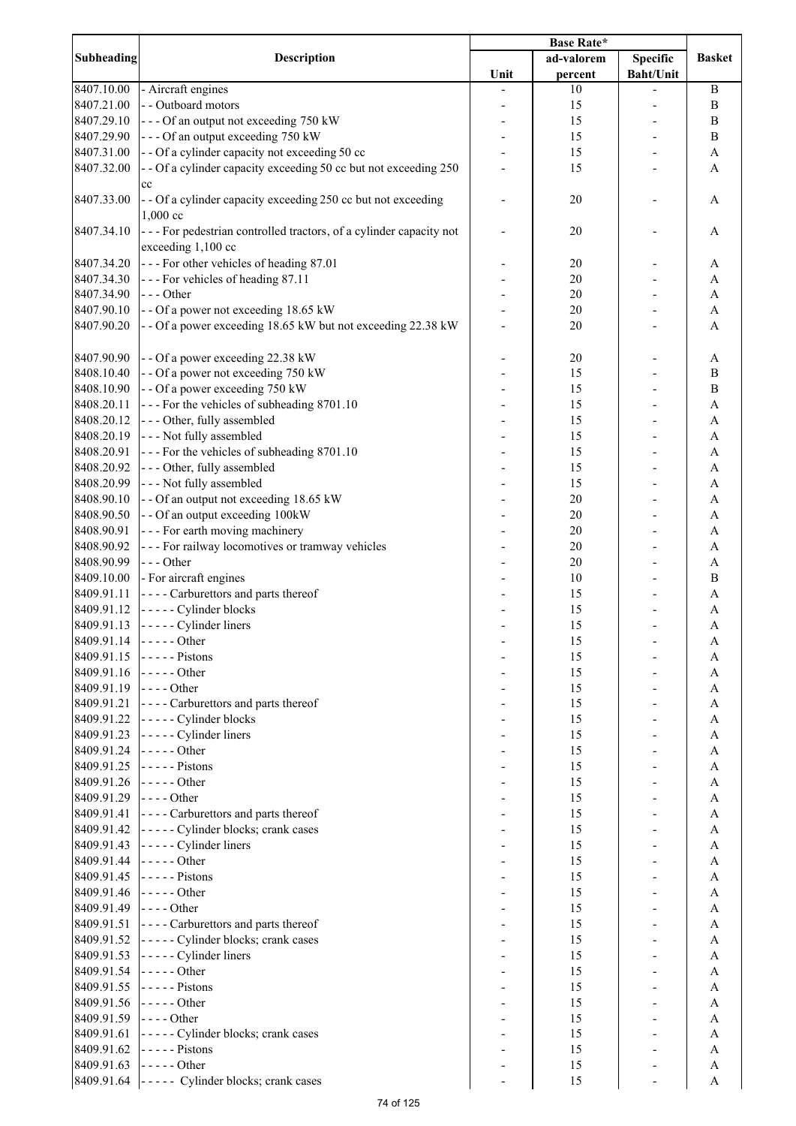|                   |                                                                                                                           | <b>Base Rate*</b> |            |                  |                  |
|-------------------|---------------------------------------------------------------------------------------------------------------------------|-------------------|------------|------------------|------------------|
| <b>Subheading</b> | <b>Description</b>                                                                                                        |                   | ad-valorem | <b>Specific</b>  | <b>Basket</b>    |
|                   |                                                                                                                           | Unit              | percent    | <b>Baht/Unit</b> |                  |
| 8407.10.00        | - Aircraft engines                                                                                                        |                   | 10         |                  | $\, {\bf B}$     |
| 8407.21.00        | - - Outboard motors                                                                                                       |                   | 15         |                  | $\, {\bf B}$     |
| 8407.29.10        | --- Of an output not exceeding 750 kW                                                                                     |                   | 15         |                  | $\boldsymbol{B}$ |
| 8407.29.90        | --- Of an output exceeding 750 kW                                                                                         |                   | 15         |                  | $\bf{B}$         |
| 8407.31.00        | - - Of a cylinder capacity not exceeding 50 cc                                                                            |                   | 15         |                  | A                |
| 8407.32.00        | - - Of a cylinder capacity exceeding 50 cc but not exceeding 250                                                          |                   | 15         |                  | A                |
|                   | cc                                                                                                                        |                   |            |                  |                  |
| 8407.33.00        | - - Of a cylinder capacity exceeding 250 cc but not exceeding                                                             |                   | 20         |                  | A                |
|                   | $1,000$ cc                                                                                                                |                   |            |                  |                  |
| 8407.34.10        | --- For pedestrian controlled tractors, of a cylinder capacity not                                                        |                   | 20         |                  | A                |
|                   | exceeding 1,100 cc                                                                                                        |                   |            |                  |                  |
| 8407.34.20        | --- For other vehicles of heading 87.01                                                                                   |                   | 20         |                  | A                |
| 8407.34.30        | --- For vehicles of heading 87.11                                                                                         |                   | 20         |                  | A                |
| 8407.34.90        | $--- Other$                                                                                                               |                   | 20         |                  | A                |
| 8407.90.10        | - - Of a power not exceeding 18.65 kW                                                                                     |                   | 20         |                  | A                |
| 8407.90.20        | - - Of a power exceeding 18.65 kW but not exceeding 22.38 kW                                                              |                   | 20         |                  | A                |
|                   |                                                                                                                           |                   |            |                  |                  |
| 8407.90.90        | - - Of a power exceeding 22.38 kW                                                                                         |                   | 20         |                  | A                |
| 8408.10.40        | - - Of a power not exceeding 750 kW                                                                                       |                   | 15         |                  | $\boldsymbol{B}$ |
| 8408.10.90        | - - Of a power exceeding 750 kW                                                                                           |                   | 15         |                  | $\bf{B}$         |
| 8408.20.11        | --- For the vehicles of subheading 8701.10                                                                                |                   | 15         |                  | $\overline{A}$   |
| 8408.20.12        | --- Other, fully assembled                                                                                                |                   | 15         |                  | $\mathbf{A}$     |
| 8408.20.19        | --- Not fully assembled                                                                                                   |                   | 15         |                  | $\mathbf{A}$     |
| 8408.20.91        | --- For the vehicles of subheading 8701.10                                                                                |                   | 15         |                  | $\mathbf{A}$     |
| 8408.20.92        | --- Other, fully assembled                                                                                                |                   | 15         |                  | $\mathbf{A}$     |
| 8408.20.99        | --- Not fully assembled                                                                                                   |                   | 15         |                  | A                |
|                   |                                                                                                                           |                   |            |                  |                  |
| 8408.90.10        | -- Of an output not exceeding 18.65 kW                                                                                    |                   | 20         |                  | $\mathbf{A}$     |
| 8408.90.50        | - - Of an output exceeding 100kW                                                                                          |                   | 20         |                  | $\mathbf{A}$     |
| 8408.90.91        | --- For earth moving machinery                                                                                            |                   | 20         |                  | A                |
| 8408.90.92        | --- For railway locomotives or tramway vehicles                                                                           |                   | 20         |                  | A                |
| 8408.90.99        | --- Other                                                                                                                 |                   | 20         |                  | A                |
| 8409.10.00        | - For aircraft engines                                                                                                    |                   | 10         |                  | $\bf{B}$         |
| 8409.91.11        | ---- Carburettors and parts thereof                                                                                       |                   | 15         |                  | A                |
| 8409.91.12        | ----- Cylinder blocks                                                                                                     |                   | 15         |                  | A                |
| 8409.91.13        | - - - - - Cylinder liners                                                                                                 |                   | 15         |                  | $\mathbf{A}$     |
|                   | 8409.91.14 $\vert$ - - - - - Other                                                                                        |                   | 15         |                  | A                |
| 8409.91.15        | $---$ Pistons                                                                                                             |                   | 15         |                  | A                |
| 8409.91.16        | $\left  \cdot \right $ - - - - Other                                                                                      |                   | 15         |                  | A                |
| 8409.91.19        | $- - -$ Other                                                                                                             |                   | 15         |                  | A                |
| 8409.91.21        | ---- Carburettors and parts thereof                                                                                       |                   | 15         |                  | Α                |
| 8409.91.22        | ----- Cylinder blocks                                                                                                     |                   | 15         |                  | A                |
| 8409.91.23        | - - - - - Cylinder liners                                                                                                 |                   | 15         |                  | A                |
| 8409.91.24        | $---Other$                                                                                                                |                   | 15         |                  | A                |
| 8409.91.25        | $---$ Pistons                                                                                                             |                   | 15         |                  | A                |
| 8409.91.26        | $--- Other$                                                                                                               |                   | 15         |                  | A                |
| 8409.91.29        | $---Other$                                                                                                                |                   | 15         |                  | A                |
| 8409.91.41        | - - - - Carburettors and parts thereof                                                                                    |                   | 15         |                  | A                |
| 8409.91.42        | ----- Cylinder blocks; crank cases                                                                                        |                   | 15         |                  | $\mathbf{A}$     |
| 8409.91.43        | - - - - - Cylinder liners                                                                                                 |                   | 15         |                  | $\mathbf{A}$     |
| 8409.91.44        | $---Other$                                                                                                                |                   | 15         |                  | $\mathbf{A}$     |
| 8409.91.45        | $\vert$ - - - - - Pistons                                                                                                 |                   | 15         |                  | $\mathbf{A}$     |
| 8409.91.46        | $\left  \dots \right $ - $\left  \dots \right $ - $\left  \dots \right $                                                  |                   | 15         |                  | $\mathbf{A}$     |
| 8409.91.49        | $\left  \text{---}$ Other                                                                                                 |                   | 15         |                  | $\mathbf{A}$     |
| 8409.91.51        | ---- Carburettors and parts thereof                                                                                       |                   | 15         |                  | A                |
| 8409.91.52        | ----- Cylinder blocks; crank cases                                                                                        |                   | 15         |                  | A                |
| 8409.91.53        | $\vert$ ----- Cylinder liners                                                                                             |                   | 15         |                  | A                |
| 8409.91.54        | $\left  \frac{1}{2} \right $ - $\left  \frac{1}{2} \right $ - $\left  \frac{1}{2} \right $ - $\left  \frac{1}{2} \right $ |                   | 15         |                  | A                |
| 8409.91.55        | $\vert$ - - - - - Pistons                                                                                                 |                   | 15         |                  | A                |
| 8409.91.56        | $--- Other$                                                                                                               |                   | 15         |                  | A                |
| 8409.91.59        | $- - -$ Other                                                                                                             |                   |            |                  |                  |
|                   |                                                                                                                           |                   | 15         |                  | A                |
| 8409.91.61        | ----- Cylinder blocks; crank cases                                                                                        |                   | 15         |                  | A                |
| 8409.91.62        | $---$ Pistons                                                                                                             |                   | 15         |                  | A                |
| 8409.91.63        | $\vert$ -----Other                                                                                                        |                   | 15         |                  | A                |
|                   | 8409.91.64 ----- Cylinder blocks; crank cases                                                                             |                   | 15         |                  | A                |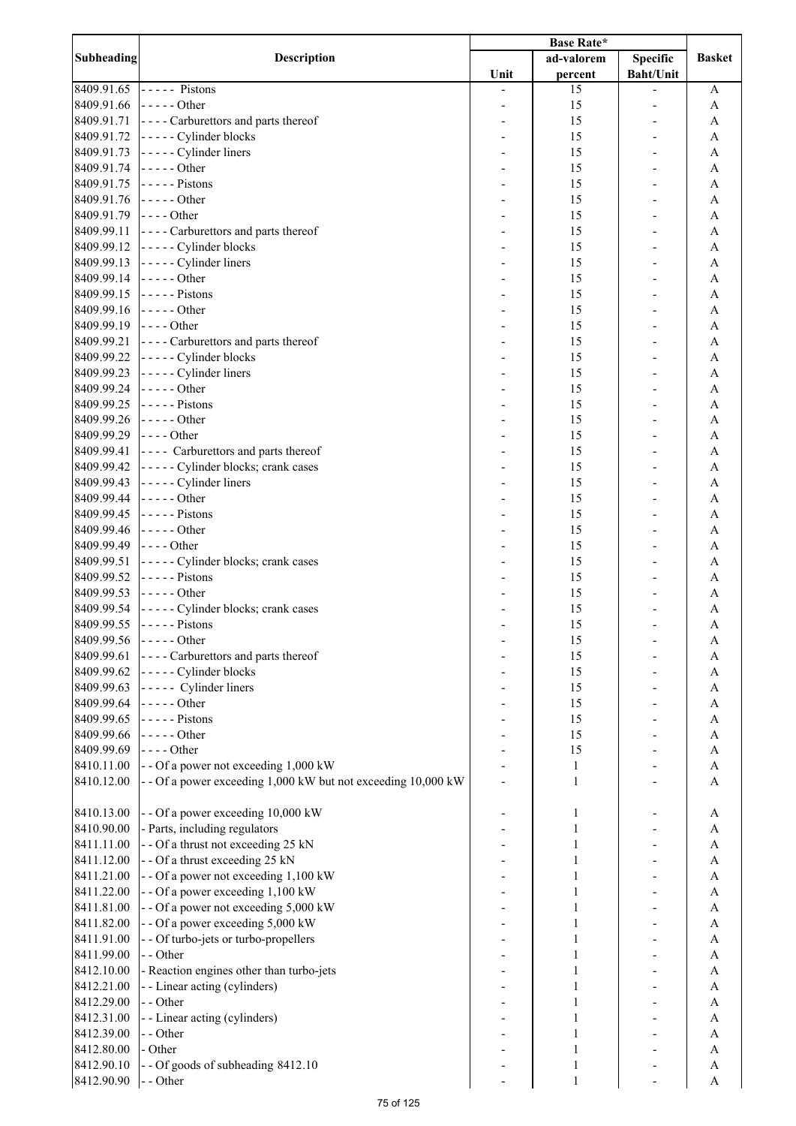|                   | <b>Description</b>                                                                                                        | <b>Base Rate*</b> |              |                  |                |
|-------------------|---------------------------------------------------------------------------------------------------------------------------|-------------------|--------------|------------------|----------------|
| <b>Subheading</b> |                                                                                                                           |                   | ad-valorem   | <b>Specific</b>  | <b>Basket</b>  |
|                   |                                                                                                                           | Unit              | percent      | <b>Baht/Unit</b> |                |
| 8409.91.65        | $\vert$ ----- Pistons                                                                                                     |                   | 15           |                  | A              |
| 8409.91.66        | $\vert$ -----Other                                                                                                        |                   | 15           |                  | A              |
| 8409.91.71        | ---- Carburettors and parts thereof                                                                                       |                   | 15           |                  | A              |
| 8409.91.72        | $\left  \dots \right $ - $\left  \dots \right $ Cylinder blocks                                                           |                   | 15           |                  | A              |
| 8409.91.73        | $\left  \dots \right $ - $\left  \dots \right $ Cylinder liners                                                           |                   | 15           |                  | A              |
| 8409.91.74        | $\left  \dots \right $ - $\left  \dots \right $ - $\left  \dots \right $                                                  |                   | 15           |                  | A              |
| 8409.91.75        | $\vert$ - - - - - Pistons                                                                                                 |                   | 15           |                  | A              |
| 8409.91.76        | $--- Other$                                                                                                               |                   | 15           |                  | A              |
| 8409.91.79        | $--$ Other                                                                                                                |                   | 15           |                  | A              |
|                   |                                                                                                                           |                   |              |                  |                |
| 8409.99.11        | ---- Carburettors and parts thereof                                                                                       |                   | 15           |                  | A              |
| 8409.99.12        | $\left  \dots \right $ - - - - Cylinder blocks                                                                            |                   | 15           |                  | A              |
| 8409.99.13        | $\left  - \right $ - - - - Cylinder liners                                                                                |                   | 15           |                  | A              |
| 8409.99.14        | $\left  \text{---}$ Other                                                                                                 |                   | 15           |                  | $\mathbf{A}$   |
| 8409.99.15        | $\vert$ - - - - - Pistons                                                                                                 |                   | 15           |                  | $\mathbf{A}$   |
| 8409.99.16        | $\left  \dots \right $ - $\left  \dots \right $ - $\left  \dots \right $                                                  |                   | 15           |                  | A              |
| 8409.99.19        | $\left  \text{---}$ Other                                                                                                 |                   | 15           |                  | A              |
| 8409.99.21        | ---- Carburettors and parts thereof                                                                                       |                   | 15           |                  | $\mathbf{A}$   |
| 8409.99.22        | ----- Cylinder blocks                                                                                                     |                   | 15           |                  | $\overline{A}$ |
| 8409.99.23        | $\left  \dots \right $ - $\left  \dots \right $ Cylinder liners                                                           |                   | 15           |                  | $\mathbf{A}$   |
| 8409.99.24        | $\left  \dots \right $ - $\left  \dots \right $ - $\left  \dots \right $                                                  |                   | 15           |                  | A              |
| 8409.99.25        | $\vert$ - - - - Pistons                                                                                                   |                   | 15           |                  | A              |
| 8409.99.26        | $--- Other$                                                                                                               |                   | 15           |                  | A              |
| 8409.99.29        | $\left  \text{---}$ Other                                                                                                 |                   | 15           |                  | A              |
| 8409.99.41        | ---- Carburettors and parts thereof                                                                                       |                   | 15           |                  | A              |
| 8409.99.42        | ----- Cylinder blocks; crank cases                                                                                        |                   | 15           |                  | A              |
| 8409.99.43        | $\left  \dots \right $ - $\left  \dots \right $ Cylinder liners                                                           |                   | 15           |                  | A              |
| 8409.99.44        | $--- Other$                                                                                                               |                   | 15           |                  | A              |
| 8409.99.45        | $\vert$ - - - - - Pistons                                                                                                 |                   | 15           |                  | A              |
|                   |                                                                                                                           |                   |              |                  |                |
| 8409.99.46        | $\left  \frac{1}{2} \right $ - $\left  \frac{1}{2} \right $ - $\left  \frac{1}{2} \right $ - $\left  \frac{1}{2} \right $ |                   | 15           |                  | A              |
| 8409.99.49        | $--- Other$                                                                                                               |                   | 15           |                  | A              |
| 8409.99.51        | ----- Cylinder blocks; crank cases                                                                                        |                   | 15           |                  | A              |
| 8409.99.52        | $\vert$ - - - - Pistons                                                                                                   |                   | 15           |                  | A              |
| 8409.99.53        | $\left  \dots \right $ - $\left  \dots \right $ - $\left  \dots \right $                                                  |                   | 15           |                  | A              |
| 8409.99.54        | ----- Cylinder blocks; crank cases                                                                                        |                   | 15           |                  | A              |
| 8409.99.55        | $\vert$ - - - - - Pistons                                                                                                 |                   | 15           |                  | A              |
| 8409.99.56        | $\left  \frac{1}{2} \right $ - $\left  \frac{1}{2} \right $ - $\left  \frac{1}{2} \right $ - $\left  \frac{1}{2} \right $ |                   | 15           |                  | A              |
| 8409.99.61        | ---- Carburettors and parts thereof                                                                                       |                   | 15           |                  | A              |
| 8409.99.62        | ----- Cylinder blocks                                                                                                     |                   | 15           |                  | A              |
| 8409.99.63        | $---$ Cylinder liners                                                                                                     |                   | 15           |                  | A              |
| 8409.99.64        | $---Other$                                                                                                                |                   | 15           |                  | A              |
| 8409.99.65        | $---$ Pistons                                                                                                             |                   | 15           |                  | A              |
| 8409.99.66        | $---Other$                                                                                                                |                   | 15           |                  | $\mathbf{A}$   |
| 8409.99.69        | $---Other$                                                                                                                |                   | 15           |                  | $\mathbf{A}$   |
| 8410.11.00        | - - Of a power not exceeding 1,000 kW                                                                                     |                   | $\mathbf{1}$ |                  | $\mathbf{A}$   |
| 8410.12.00        | - - Of a power exceeding 1,000 kW but not exceeding 10,000 kW                                                             |                   | 1            |                  | A              |
|                   |                                                                                                                           |                   |              |                  |                |
| 8410.13.00        | - - Of a power exceeding 10,000 kW                                                                                        |                   | 1            |                  | A              |
| 8410.90.00        | - Parts, including regulators                                                                                             |                   | 1            |                  | A              |
| 8411.11.00        | -- Of a thrust not exceeding 25 kN                                                                                        |                   |              |                  | A              |
|                   |                                                                                                                           |                   | 1            |                  |                |
| 8411.12.00        | - - Of a thrust exceeding 25 kN                                                                                           |                   |              |                  | A              |
| 8411.21.00        | - - Of a power not exceeding 1,100 kW                                                                                     |                   |              |                  | A              |
| 8411.22.00        | - - Of a power exceeding 1,100 kW                                                                                         |                   |              |                  | A              |
| 8411.81.00        | - - Of a power not exceeding 5,000 kW                                                                                     |                   | 1            |                  | A              |
| 8411.82.00        | - - Of a power exceeding 5,000 kW                                                                                         |                   | 1            |                  | A              |
| 8411.91.00        | - - Of turbo-jets or turbo-propellers                                                                                     |                   | 1            |                  | A              |
| 8411.99.00        | - - Other                                                                                                                 |                   |              |                  | A              |
| 8412.10.00        | - Reaction engines other than turbo-jets                                                                                  |                   |              |                  | A              |
| 8412.21.00        | - - Linear acting (cylinders)                                                                                             |                   | 1            |                  | A              |
| 8412.29.00        | - - Other                                                                                                                 |                   |              |                  | A              |
| 8412.31.00        | - - Linear acting (cylinders)                                                                                             |                   | 1            |                  | A              |
| 8412.39.00        | - - Other                                                                                                                 |                   |              |                  | A              |
| 8412.80.00        | - Other                                                                                                                   |                   | 1            |                  | A              |
| 8412.90.10        | -- Of goods of subheading 8412.10                                                                                         |                   | 1            |                  | A              |
| 8412.90.90        | - - Other                                                                                                                 |                   | $\mathbf{1}$ |                  | A              |
|                   |                                                                                                                           |                   |              |                  |                |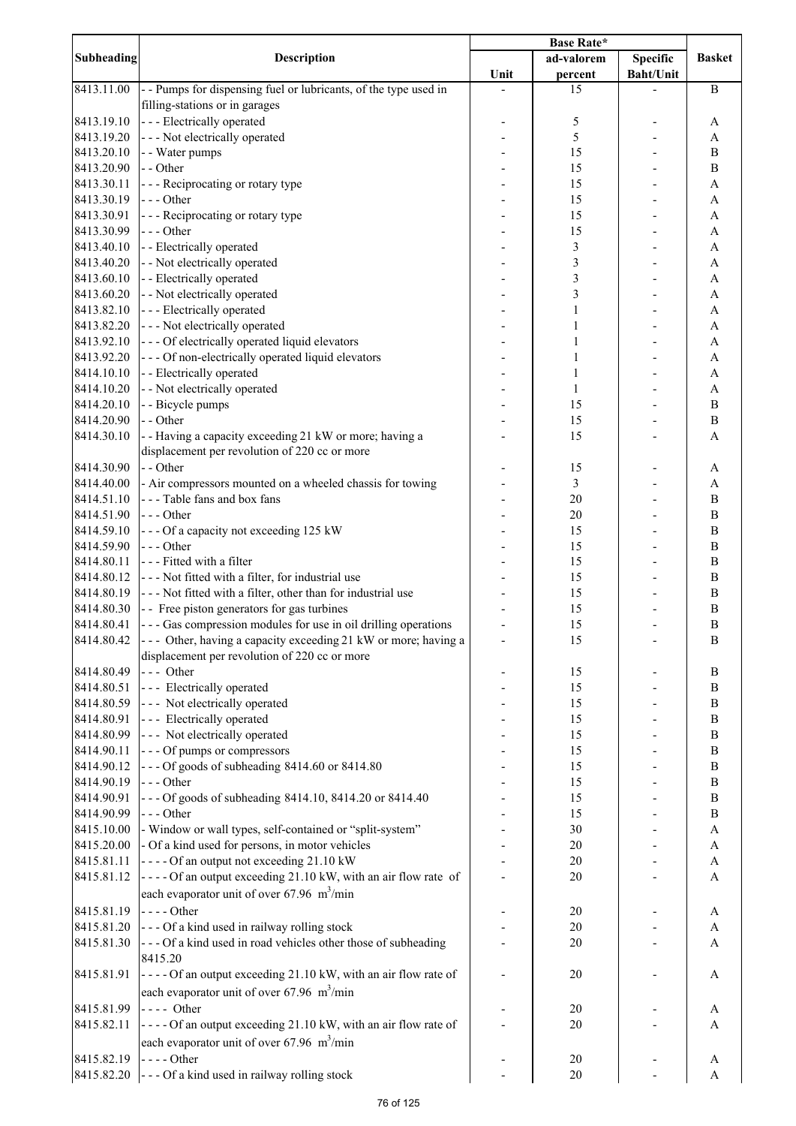|                   |                                                                                | <b>Base Rate*</b> |                |                  |                           |
|-------------------|--------------------------------------------------------------------------------|-------------------|----------------|------------------|---------------------------|
| <b>Subheading</b> | <b>Description</b>                                                             |                   | ad-valorem     | <b>Specific</b>  | <b>Basket</b>             |
|                   |                                                                                | Unit              | percent        | <b>Baht/Unit</b> |                           |
| 8413.11.00        | - - Pumps for dispensing fuel or lubricants, of the type used in               |                   | 15             |                  | $\bf{B}$                  |
|                   | filling-stations or in garages                                                 |                   |                |                  |                           |
| 8413.19.10        | - - - Electrically operated                                                    |                   | 5              |                  | A                         |
| 8413.19.20        | - - - Not electrically operated                                                |                   | 5              |                  | A                         |
| 8413.20.10        |                                                                                |                   |                |                  |                           |
|                   | - - Water pumps                                                                |                   | 15             |                  | $\bf{B}$                  |
| 8413.20.90        | - - Other                                                                      |                   | 15             |                  | $\bf{B}$                  |
| 8413.30.11        | --- Reciprocating or rotary type                                               |                   | 15             |                  | A                         |
| 8413.30.19        | --- Other                                                                      |                   | 15             |                  | A                         |
| 8413.30.91        | --- Reciprocating or rotary type                                               |                   | 15             |                  | A                         |
| 8413.30.99        | $--$ Other                                                                     |                   | 15             |                  | A                         |
| 8413.40.10        | - - Electrically operated                                                      |                   | $\mathfrak{Z}$ |                  | A                         |
| 8413.40.20        | - - Not electrically operated                                                  |                   | 3              |                  | A                         |
| 8413.60.10        | - - Electrically operated                                                      |                   | 3              |                  | A                         |
| 8413.60.20        | - - Not electrically operated                                                  |                   | 3              |                  | A                         |
|                   |                                                                                |                   |                |                  |                           |
| 8413.82.10        | --- Electrically operated                                                      |                   | 1              |                  | A                         |
| 8413.82.20        | - - - Not electrically operated                                                |                   |                |                  | A                         |
| 8413.92.10        | --- Of electrically operated liquid elevators                                  |                   |                |                  | A                         |
| 8413.92.20        | --- Of non-electrically operated liquid elevators                              |                   |                |                  | A                         |
| 8414.10.10        | - - Electrically operated                                                      |                   | 1              |                  | A                         |
| 8414.10.20        | - - Not electrically operated                                                  |                   | $\mathbf{1}$   |                  | A                         |
| 8414.20.10        | - - Bicycle pumps                                                              |                   | 15             |                  | $\, {\bf B}$              |
| 8414.20.90        | - - Other                                                                      |                   | 15             |                  | $\bf{B}$                  |
| 8414.30.10        | -- Having a capacity exceeding 21 kW or more; having a                         |                   | 15             |                  | A                         |
|                   | displacement per revolution of 220 cc or more                                  |                   |                |                  |                           |
| 8414.30.90        | - - Other                                                                      |                   | 15             |                  |                           |
|                   |                                                                                |                   |                |                  | A                         |
| 8414.40.00        | - Air compressors mounted on a wheeled chassis for towing                      |                   | $\mathfrak{Z}$ |                  | A                         |
| 8414.51.10        | --- Table fans and box fans                                                    |                   | 20             |                  | B                         |
| 8414.51.90        | --- Other                                                                      |                   | 20             |                  | B                         |
| 8414.59.10        | --- Of a capacity not exceeding 125 kW                                         |                   | 15             |                  | $\bf{B}$                  |
| 8414.59.90        | $--$ Other                                                                     |                   | 15             |                  | $\bf{B}$                  |
| 8414.80.11        | --- Fitted with a filter                                                       |                   | 15             |                  | $\, {\bf B}$              |
| 8414.80.12        | --- Not fitted with a filter, for industrial use                               |                   | 15             |                  | $\bf{B}$                  |
| 8414.80.19        | --- Not fitted with a filter, other than for industrial use                    |                   | 15             |                  | $\, {\bf B}$              |
| 8414.80.30        | - - Free piston generators for gas turbines                                    |                   | 15             |                  | $\, {\bf B}$              |
| 8414.80.41        | - - - Gas compression modules for use in oil drilling operations               |                   | 15             |                  | B                         |
| 8414.80.42        |                                                                                |                   |                |                  |                           |
|                   | $\left  \text{---}$ Other, having a capacity exceeding 21 kW or more; having a |                   | 15             |                  | B                         |
|                   | displacement per revolution of 220 cc or more                                  |                   |                |                  |                           |
| 8414.80.49        | --- Other                                                                      |                   | 15             |                  | $\, {\bf B}$              |
| 8414.80.51        | --- Electrically operated                                                      |                   | 15             |                  | $\, {\bf B}$              |
| 8414.80.59        | --- Not electrically operated                                                  |                   | 15             |                  | $\, {\bf B}$              |
| 8414.80.91        | --- Electrically operated                                                      |                   | 15             |                  | $\, {\bf B}$              |
| 8414.80.99        | --- Not electrically operated                                                  |                   | 15             |                  | $\, {\bf B}$              |
| 8414.90.11        | --- Of pumps or compressors                                                    |                   | 15             |                  | $\, {\bf B}$              |
| 8414.90.12        | --- Of goods of subheading 8414.60 or 8414.80                                  |                   | 15             |                  | $\, {\bf B}$              |
| 8414.90.19        | $--$ Other                                                                     |                   | 15             |                  | $\, {\bf B}$              |
| 8414.90.91        | --- Of goods of subheading 8414.10, 8414.20 or 8414.40                         |                   | 15             |                  | $\, {\bf B}$              |
|                   |                                                                                |                   |                |                  |                           |
| 8414.90.99        | --- Other                                                                      |                   | 15             |                  | $\bf{B}$                  |
| 8415.10.00        | - Window or wall types, self-contained or "split-system"                       |                   | 30             |                  | $\boldsymbol{\mathsf{A}}$ |
| 8415.20.00        | - Of a kind used for persons, in motor vehicles                                |                   | 20             |                  | A                         |
| 8415.81.11        | ---- Of an output not exceeding 21.10 kW                                       |                   | 20             |                  | A                         |
| 8415.81.12        | ---- Of an output exceeding 21.10 kW, with an air flow rate of                 |                   | 20             |                  | A                         |
|                   | each evaporator unit of over 67.96 $\text{m}^3/\text{min}$                     |                   |                |                  |                           |
| 8415.81.19        | $---Other$                                                                     |                   | 20             |                  | A                         |
| 8415.81.20        |                                                                                |                   | 20             |                  | $\boldsymbol{\mathsf{A}}$ |
|                   | --- Of a kind used in railway rolling stock                                    |                   |                |                  |                           |
| 8415.81.30        | --- Of a kind used in road vehicles other those of subheading                  |                   | 20             |                  | A                         |
|                   | 8415.20                                                                        |                   |                |                  |                           |
| 8415.81.91        | ---- Of an output exceeding 21.10 kW, with an air flow rate of                 |                   | 20             |                  | A                         |
|                   | each evaporator unit of over 67.96 $\text{m}^3/\text{min}$                     |                   |                |                  |                           |
| 8415.81.99        | $---$ Other                                                                    |                   | 20             |                  | A                         |
| 8415.82.11        | ---- Of an output exceeding 21.10 kW, with an air flow rate of                 |                   | 20             |                  | A                         |
|                   | each evaporator unit of over $67.96 \text{ m}^3/\text{min}$                    |                   |                |                  |                           |
|                   |                                                                                |                   |                |                  |                           |
| 8415.82.19        | $--$ Other                                                                     |                   | 20             |                  | A                         |
| 8415.82.20        | --- Of a kind used in railway rolling stock                                    |                   | $20\,$         |                  | A                         |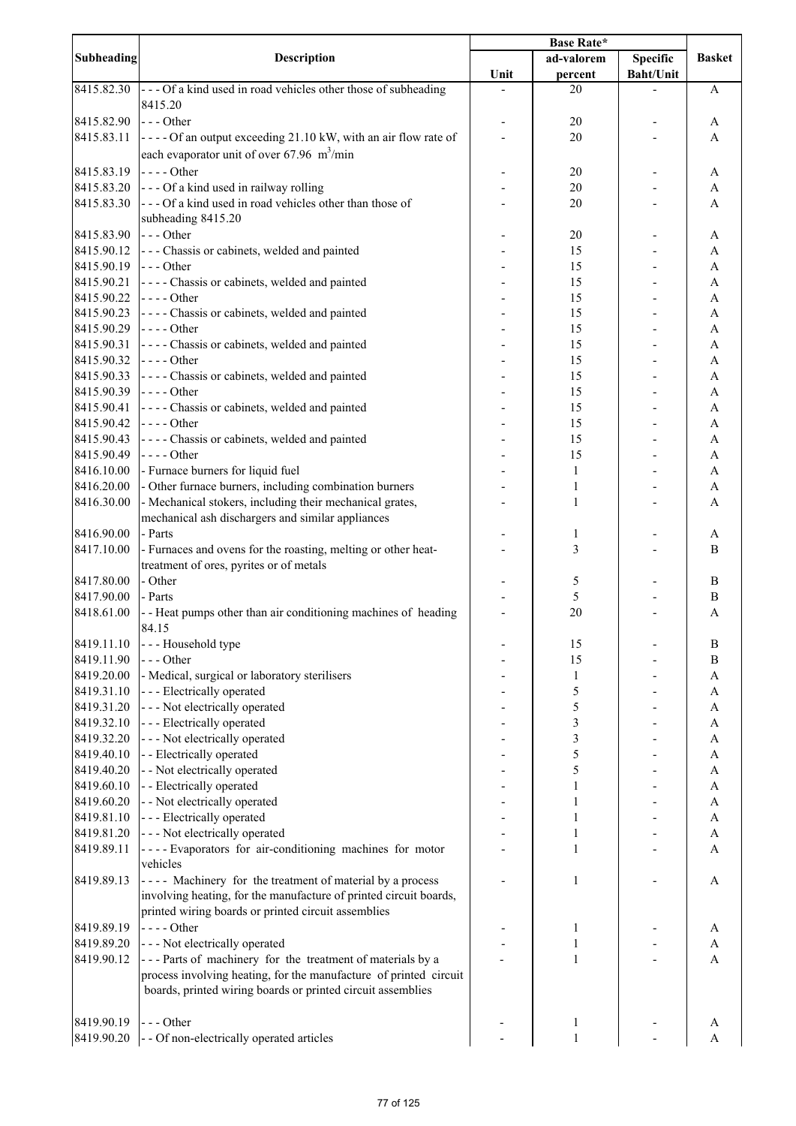| <b>Subheading</b> | <b>Description</b>                                                | <b>Base Rate*</b> |                |                  |                       |
|-------------------|-------------------------------------------------------------------|-------------------|----------------|------------------|-----------------------|
|                   |                                                                   |                   | ad-valorem     | <b>Specific</b>  | <b>Basket</b>         |
|                   |                                                                   | Unit              | percent        | <b>Baht/Unit</b> |                       |
| 8415.82.30        | --- Of a kind used in road vehicles other those of subheading     |                   | 20             |                  | A                     |
|                   | 8415.20                                                           |                   |                |                  |                       |
| 8415.82.90        | $\left  - \right $ - Other                                        |                   | 20             |                  | A                     |
| 8415.83.11        | ---- Of an output exceeding 21.10 kW, with an air flow rate of    |                   | 20             |                  | A                     |
|                   | each evaporator unit of over 67.96 $\text{m}^3/\text{min}$        |                   |                |                  |                       |
|                   |                                                                   |                   |                |                  |                       |
| 8415.83.19        | $\vert$ ----Other                                                 |                   | 20             |                  | A                     |
| 8415.83.20        | --- Of a kind used in railway rolling                             |                   | 20             |                  | A                     |
| 8415.83.30        | --- Of a kind used in road vehicles other than those of           |                   | 20             |                  | A                     |
|                   | subheading 8415.20                                                |                   |                |                  |                       |
| 8415.83.90        | $- -$ Other                                                       |                   | 20             |                  | A                     |
| 8415.90.12        | - - - Chassis or cabinets, welded and painted                     |                   | 15             |                  | A                     |
| 8415.90.19        | $- -$ Other                                                       |                   | 15             |                  | A                     |
| 8415.90.21        | ---- Chassis or cabinets, welded and painted                      |                   | 15             |                  | A                     |
| 8415.90.22        | $\left  \cdot \right $ - - - Other                                |                   | 15             |                  | A                     |
|                   |                                                                   |                   |                |                  |                       |
| 8415.90.23        | ---- Chassis or cabinets, welded and painted                      |                   | 15             |                  | $\boldsymbol{\rm{A}}$ |
| 8415.90.29        | $\left  \text{---}$ Other                                         |                   | 15             |                  | A                     |
| 8415.90.31        | ---- Chassis or cabinets, welded and painted                      |                   | 15             |                  | A                     |
| 8415.90.32        | $\left  \text{---}$ Other                                         |                   | 15             |                  | A                     |
| 8415.90.33        | ---- Chassis or cabinets, welded and painted                      |                   | 15             |                  | A                     |
| 8415.90.39        | $---Other$                                                        |                   | 15             |                  | A                     |
| 8415.90.41        | ---- Chassis or cabinets, welded and painted                      |                   | 15             |                  | A                     |
| 8415.90.42        | $---Other$                                                        |                   | 15             |                  | A                     |
| 8415.90.43        | ---- Chassis or cabinets, welded and painted                      |                   | 15             |                  | A                     |
|                   |                                                                   |                   |                |                  |                       |
| 8415.90.49        | $---Other$                                                        |                   | 15             |                  | $\boldsymbol{\rm{A}}$ |
| 8416.10.00        | - Furnace burners for liquid fuel                                 |                   | $\mathbf{1}$   |                  | A                     |
| 8416.20.00        | - Other furnace burners, including combination burners            |                   | $\mathbf{1}$   |                  | $\mathbf{A}$          |
| 8416.30.00        | - Mechanical stokers, including their mechanical grates,          |                   | 1              |                  | A                     |
|                   | mechanical ash dischargers and similar appliances                 |                   |                |                  |                       |
| 8416.90.00        | - Parts                                                           |                   | 1              |                  | A                     |
| 8417.10.00        | - Furnaces and ovens for the roasting, melting or other heat-     |                   | $\mathfrak{Z}$ |                  | B                     |
|                   | treatment of ores, pyrites or of metals                           |                   |                |                  |                       |
| 8417.80.00        | - Other                                                           |                   | 5              |                  | $\bf{B}$              |
| 8417.90.00        | - Parts                                                           |                   | 5              |                  | $\, {\bf B}$          |
| 8418.61.00        | - - Heat pumps other than air conditioning machines of heading    |                   | 20             |                  |                       |
|                   |                                                                   |                   |                |                  | A                     |
|                   | 84.15                                                             |                   |                |                  |                       |
| 8419.11.10        | --- Household type                                                |                   | 15             |                  | $\, {\bf B}$          |
| 8419.11.90        | --- Other                                                         |                   | 15             |                  | $\, {\bf B}$          |
| 8419.20.00        | - Medical, surgical or laboratory sterilisers                     |                   | 1              |                  | A                     |
| 8419.31.10        | - - - Electrically operated                                       |                   | 5              |                  | A                     |
| 8419.31.20        | --- Not electrically operated                                     |                   | 5              |                  | A                     |
| 8419.32.10        | --- Electrically operated                                         |                   | 3              |                  | A                     |
| 8419.32.20        | - - - Not electrically operated                                   |                   | 3              |                  | A                     |
| 8419.40.10        | - - Electrically operated                                         |                   | 5              |                  | A                     |
|                   | - - Not electrically operated                                     |                   | 5              |                  |                       |
| 8419.40.20        |                                                                   |                   |                |                  | A                     |
| 8419.60.10        | - - Electrically operated                                         |                   |                |                  | A                     |
| 8419.60.20        | - - Not electrically operated                                     |                   | 1              |                  | A                     |
| 8419.81.10        | - - - Electrically operated                                       |                   | 1              |                  | A                     |
| 8419.81.20        | --- Not electrically operated                                     |                   | 1              |                  | A                     |
| 8419.89.11        | ---- Evaporators for air-conditioning machines for motor          |                   | 1              |                  | A                     |
|                   | vehicles                                                          |                   |                |                  |                       |
| 8419.89.13        | ---- Machinery for the treatment of material by a process         |                   | 1              |                  | A                     |
|                   | involving heating, for the manufacture of printed circuit boards, |                   |                |                  |                       |
|                   | printed wiring boards or printed circuit assemblies               |                   |                |                  |                       |
|                   |                                                                   |                   |                |                  |                       |
| 8419.89.19        | $---Other$                                                        |                   | 1              |                  | A                     |
| 8419.89.20        | - - - Not electrically operated                                   |                   | 1              |                  | A                     |
| 8419.90.12        | --- Parts of machinery for the treatment of materials by a        |                   | 1              |                  | $\mathbf{A}$          |
|                   | process involving heating, for the manufacture of printed circuit |                   |                |                  |                       |
|                   | boards, printed wiring boards or printed circuit assemblies       |                   |                |                  |                       |
|                   |                                                                   |                   |                |                  |                       |
| 8419.90.19        | $--- Other$                                                       |                   | 1              |                  | A                     |
| 8419.90.20        | - - Of non-electrically operated articles                         |                   |                |                  | A                     |
|                   |                                                                   |                   |                |                  |                       |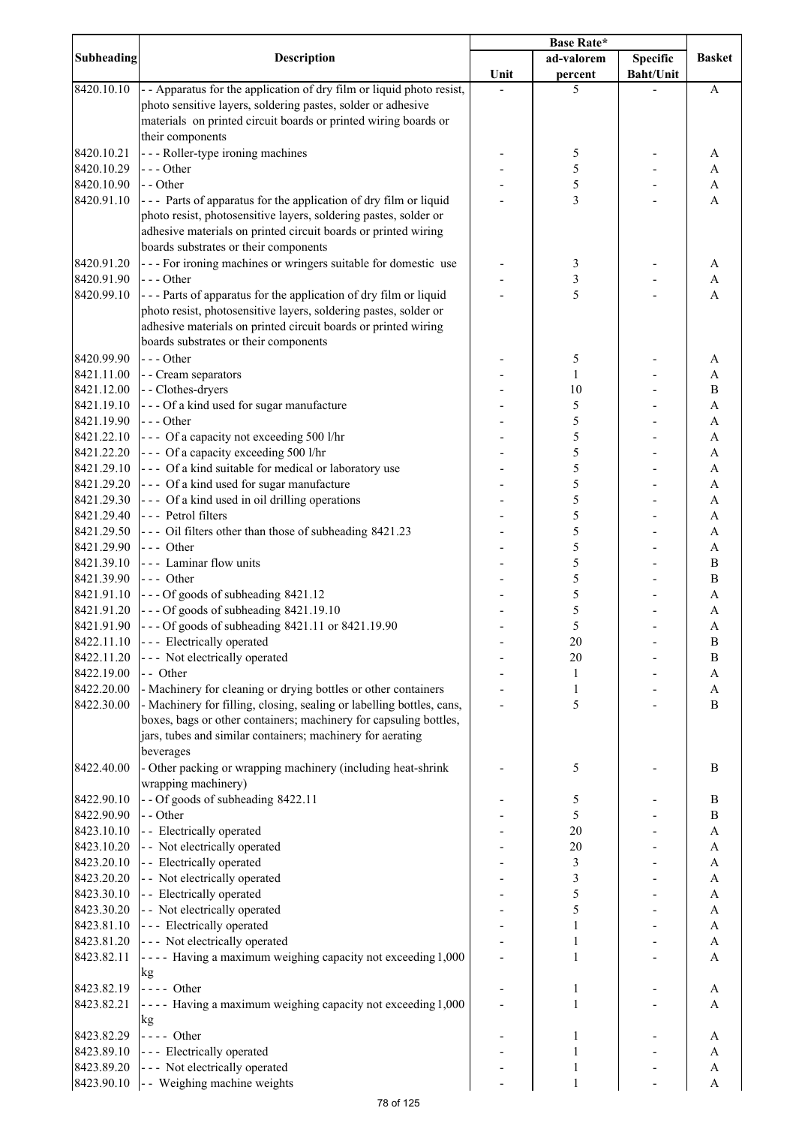|                          |                                                                       | Base Rate* |                         |                  |                                           |
|--------------------------|-----------------------------------------------------------------------|------------|-------------------------|------------------|-------------------------------------------|
| Subheading               | Description                                                           |            | ad-valorem              | <b>Specific</b>  | <b>Basket</b>                             |
|                          |                                                                       | Unit       | percent                 | <b>Baht/Unit</b> |                                           |
| 8420.10.10               | - - Apparatus for the application of dry film or liquid photo resist, |            | 5                       |                  | A                                         |
|                          | photo sensitive layers, soldering pastes, solder or adhesive          |            |                         |                  |                                           |
|                          | materials on printed circuit boards or printed wiring boards or       |            |                         |                  |                                           |
|                          | their components                                                      |            |                         |                  |                                           |
| 8420.10.21               | - - - Roller-type ironing machines                                    |            | 5                       |                  | A                                         |
| 8420.10.29               | --- Other                                                             |            | 5                       |                  | A                                         |
| 8420.10.90               | - - Other                                                             |            | 5                       |                  | A                                         |
| 8420.91.10               | --- Parts of apparatus for the application of dry film or liquid      |            | 3                       |                  | A                                         |
|                          | photo resist, photosensitive layers, soldering pastes, solder or      |            |                         |                  |                                           |
|                          | adhesive materials on printed circuit boards or printed wiring        |            |                         |                  |                                           |
|                          | boards substrates or their components                                 |            |                         |                  |                                           |
| 8420.91.20               | --- For ironing machines or wringers suitable for domestic use        |            | $\mathfrak{Z}$          |                  | A                                         |
| 8420.91.90               | $--$ Other                                                            |            | $\overline{\mathbf{3}}$ |                  | A                                         |
| 8420.99.10               | --- Parts of apparatus for the application of dry film or liquid      |            | 5                       |                  | A                                         |
|                          | photo resist, photosensitive layers, soldering pastes, solder or      |            |                         |                  |                                           |
|                          | adhesive materials on printed circuit boards or printed wiring        |            |                         |                  |                                           |
|                          | boards substrates or their components                                 |            |                         |                  |                                           |
| 8420.99.90               | $--$ Other                                                            |            |                         |                  |                                           |
|                          |                                                                       |            | 5                       |                  | A                                         |
| 8421.11.00               | - - Cream separators                                                  |            | 1                       |                  | $\boldsymbol{\mathsf{A}}$<br>$\, {\bf B}$ |
| 8421.12.00               | - - Clothes-dryers                                                    |            | 10                      |                  |                                           |
| 8421.19.10               | --- Of a kind used for sugar manufacture                              |            | 5                       |                  | $\boldsymbol{\mathsf{A}}$                 |
| 8421.19.90               | $--$ Other                                                            |            | 5                       |                  | $\boldsymbol{\mathsf{A}}$                 |
| 8421.22.10               | --- Of a capacity not exceeding 500 l/hr                              |            | 5                       |                  | A                                         |
| 8421.22.20               | --- Of a capacity exceeding 500 l/hr                                  |            | 5                       |                  | $\boldsymbol{\mathsf{A}}$                 |
| 8421.29.10               | --- Of a kind suitable for medical or laboratory use                  |            | 5                       |                  | A                                         |
| 8421.29.20               | --- Of a kind used for sugar manufacture                              |            | 5                       |                  | A                                         |
| 8421.29.30               | --- Of a kind used in oil drilling operations                         |            | 5                       |                  | A                                         |
| 8421.29.40               | --- Petrol filters                                                    |            | 5<br>5                  |                  | A                                         |
| 8421.29.50<br>8421.29.90 | --- Oil filters other than those of subheading 8421.23<br>--- Other   |            | 5                       |                  | A                                         |
| 8421.39.10               | --- Laminar flow units                                                |            | 5                       |                  | A<br>B                                    |
| 8421.39.90               | --- Other                                                             |            | 5                       |                  | B                                         |
| 8421.91.10               | --- Of goods of subheading 8421.12                                    |            | 5                       |                  | A                                         |
| 8421.91.20               | --- Of goods of subheading 8421.19.10                                 |            | 5                       |                  | A                                         |
| 8421.91.90               | --- Of goods of subheading 8421.11 or 8421.19.90                      |            | 5                       |                  | A                                         |
| 8422.11.10               | --- Electrically operated                                             |            | 20                      |                  | B                                         |
| 8422.11.20               | --- Not electrically operated                                         |            | 20                      |                  | $\, {\bf B}$                              |
| 8422.19.00               | - - Other                                                             |            | 1                       |                  | $\mathbf A$                               |
| 8422.20.00               | - Machinery for cleaning or drying bottles or other containers        |            | 1                       |                  | A                                         |
| 8422.30.00               | - Machinery for filling, closing, sealing or labelling bottles, cans, |            | 5                       |                  | $\bf{B}$                                  |
|                          | boxes, bags or other containers; machinery for capsuling bottles,     |            |                         |                  |                                           |
|                          | jars, tubes and similar containers; machinery for aerating            |            |                         |                  |                                           |
|                          | beverages                                                             |            |                         |                  |                                           |
| 8422.40.00               | - Other packing or wrapping machinery (including heat-shrink          |            | 5                       |                  | B                                         |
|                          | wrapping machinery)                                                   |            |                         |                  |                                           |
| 8422.90.10               | - - Of goods of subheading 8422.11                                    |            | 5                       |                  | $\, {\bf B}$                              |
| 8422.90.90               | - - Other                                                             |            | 5                       |                  | $\, {\bf B}$                              |
| 8423.10.10               | - - Electrically operated                                             |            | 20                      |                  | $\boldsymbol{\mathsf{A}}$                 |
| 8423.10.20               | - - Not electrically operated                                         |            | 20                      |                  | $\boldsymbol{\mathsf{A}}$                 |
| 8423.20.10               | - - Electrically operated                                             |            | $\mathfrak{Z}$          |                  | $\boldsymbol{\mathsf{A}}$                 |
| 8423.20.20               | - - Not electrically operated                                         |            | 3                       |                  | $\boldsymbol{\mathsf{A}}$                 |
| 8423.30.10               | - - Electrically operated                                             |            | 5                       |                  | A                                         |
| 8423.30.20               | - - Not electrically operated                                         |            | 5                       |                  | $\boldsymbol{\mathsf{A}}$                 |
| 8423.81.10               | --- Electrically operated                                             |            | $\mathbf{1}$            |                  | $\boldsymbol{\mathsf{A}}$                 |
| 8423.81.20               | --- Not electrically operated                                         |            | 1                       |                  | A                                         |
| 8423.82.11               | ---- Having a maximum weighing capacity not exceeding 1,000           |            | $\mathbf{1}$            |                  | A                                         |
|                          | kg                                                                    |            |                         |                  |                                           |
| 8423.82.19               | $---$ Other                                                           |            | 1                       |                  | A                                         |
| 8423.82.21               | ---- Having a maximum weighing capacity not exceeding 1,000           |            | 1                       |                  | A                                         |
|                          | kg                                                                    |            |                         |                  |                                           |
| 8423.82.29               | $---$ Other                                                           |            | 1                       |                  | A                                         |
| 8423.89.10               | --- Electrically operated                                             |            | 1                       |                  | A                                         |
| 8423.89.20               | --- Not electrically operated                                         |            | 1                       |                  | $\boldsymbol{A}$                          |
| 8423.90.10               | - - Weighing machine weights                                          |            | 1                       |                  | $\boldsymbol{A}$                          |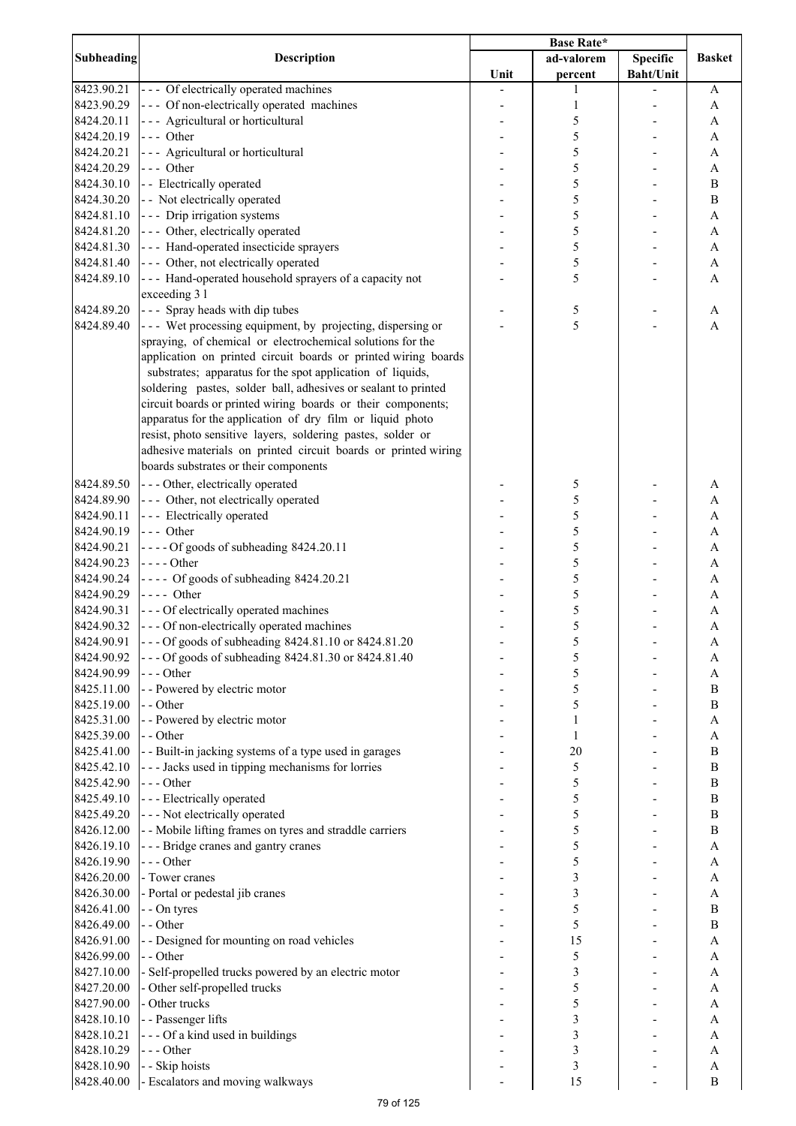|                   |                                                                | Base Rate* |                |                  |               |
|-------------------|----------------------------------------------------------------|------------|----------------|------------------|---------------|
| <b>Subheading</b> | Description                                                    |            | ad-valorem     | <b>Specific</b>  | <b>Basket</b> |
|                   |                                                                | Unit       | percent        | <b>Baht/Unit</b> |               |
| 8423.90.21        | --- Of electrically operated machines                          |            | 1              |                  | A             |
| 8423.90.29        | --- Of non-electrically operated machines                      |            | 1              |                  | A             |
| 8424.20.11        | --- Agricultural or horticultural                              |            | 5              |                  | A             |
| 8424.20.19        | --- Other                                                      |            | 5              |                  | A             |
| 8424.20.21        | --- Agricultural or horticultural                              |            | 5              |                  | A             |
| 8424.20.29        | --- Other                                                      |            | 5              |                  | A             |
| 8424.30.10        | - - Electrically operated                                      |            | 5              |                  | B             |
| 8424.30.20        | - - Not electrically operated                                  |            | 5              |                  | $\, {\bf B}$  |
| 8424.81.10        | --- Drip irrigation systems                                    |            | 5              |                  | A             |
| 8424.81.20        | --- Other, electrically operated                               |            | 5              |                  |               |
|                   |                                                                |            |                |                  | A             |
| 8424.81.30        | --- Hand-operated insecticide sprayers                         |            | 5              |                  | A             |
| 8424.81.40        | --- Other, not electrically operated                           |            | 5              |                  | A             |
| 8424.89.10        | --- Hand-operated household sprayers of a capacity not         |            | 5              |                  | A             |
|                   | exceeding 3 l                                                  |            |                |                  |               |
| 8424.89.20        | --- Spray heads with dip tubes                                 |            | 5              |                  | A             |
| 8424.89.40        | --- Wet processing equipment, by projecting, dispersing or     |            | 5              |                  | $\mathbf{A}$  |
|                   | spraying, of chemical or electrochemical solutions for the     |            |                |                  |               |
|                   | application on printed circuit boards or printed wiring boards |            |                |                  |               |
|                   | substrates; apparatus for the spot application of liquids,     |            |                |                  |               |
|                   | soldering pastes, solder ball, adhesives or sealant to printed |            |                |                  |               |
|                   | circuit boards or printed wiring boards or their components;   |            |                |                  |               |
|                   | apparatus for the application of dry film or liquid photo      |            |                |                  |               |
|                   | resist, photo sensitive layers, soldering pastes, solder or    |            |                |                  |               |
|                   | adhesive materials on printed circuit boards or printed wiring |            |                |                  |               |
|                   | boards substrates or their components                          |            |                |                  |               |
| 8424.89.50        | --- Other, electrically operated                               |            | 5              |                  | A             |
| 8424.89.90        | --- Other, not electrically operated                           |            | 5              |                  | A             |
| 8424.90.11        | --- Electrically operated                                      |            | 5              |                  | A             |
| 8424.90.19        | --- Other                                                      |            | 5              |                  | A             |
|                   |                                                                |            |                |                  |               |
| 8424.90.21        | ---- Of goods of subheading 8424.20.11                         |            | 5              |                  | A             |
| 8424.90.23        | $---Other$                                                     |            | 5              |                  | A             |
| 8424.90.24        | ---- Of goods of subheading 8424.20.21                         |            | 5              |                  | A             |
| 8424.90.29        | $---$ Other                                                    |            | 5              |                  | A             |
| 8424.90.31        | --- Of electrically operated machines                          |            | 5              |                  | A             |
| 8424.90.32        | --- Of non-electrically operated machines                      |            | 5              |                  | A             |
| 8424.90.91        | --- Of goods of subheading 8424.81.10 or 8424.81.20            |            | 5              |                  | A             |
| 8424.90.92        | --- Of goods of subheading 8424.81.30 or 8424.81.40            |            | 5              |                  | A             |
| 8424.90.99        | --- Other                                                      |            | 5              |                  | A             |
| 8425.11.00        | - - Powered by electric motor                                  |            | 5              |                  | B             |
| 8425.19.00        | - - Other                                                      |            | 5              |                  | $\, {\bf B}$  |
| 8425.31.00        | - - Powered by electric motor                                  |            | 1              |                  | A             |
| 8425.39.00        | - - Other                                                      |            | 1              |                  | A             |
| 8425.41.00        | - - Built-in jacking systems of a type used in garages         |            | 20             |                  | $\, {\bf B}$  |
| 8425.42.10        | - - - Jacks used in tipping mechanisms for lorries             |            | 5              |                  | $\, {\bf B}$  |
| 8425.42.90        | --- Other                                                      |            | 5              |                  | $\, {\bf B}$  |
| 8425.49.10        | --- Electrically operated                                      |            | 5              |                  | $\, {\bf B}$  |
| 8425.49.20        | - - - Not electrically operated                                |            | 5              |                  | $\, {\bf B}$  |
| 8426.12.00        | - - Mobile lifting frames on tyres and straddle carriers       |            | 5              |                  | $\, {\bf B}$  |
| 8426.19.10        | --- Bridge cranes and gantry cranes                            |            | 5              |                  | A             |
| 8426.19.90        | --- Other                                                      |            | 5              |                  | A             |
| 8426.20.00        | - Tower cranes                                                 |            | $\mathfrak{Z}$ |                  | A             |
|                   |                                                                |            |                |                  |               |
| 8426.30.00        | - Portal or pedestal jib cranes                                |            | $\mathfrak{Z}$ |                  | A             |
| 8426.41.00        | - - On tyres                                                   |            | 5              |                  | B             |
| 8426.49.00        | - - Other                                                      |            | 5              |                  | B             |
| 8426.91.00        | - - Designed for mounting on road vehicles                     |            | 15             |                  | A             |
| 8426.99.00        | - - Other                                                      |            | 5              |                  | A             |
| 8427.10.00        | - Self-propelled trucks powered by an electric motor           |            | $\mathfrak{Z}$ |                  | A             |
| 8427.20.00        | - Other self-propelled trucks                                  |            | 5              |                  | A             |
| 8427.90.00        | - Other trucks                                                 |            | 5              |                  | A             |
| 8428.10.10        | - - Passenger lifts                                            |            | $\mathfrak{Z}$ |                  | A             |
| 8428.10.21        | --- Of a kind used in buildings                                |            | $\mathfrak{Z}$ |                  | A             |
| 8428.10.29        | --- Other                                                      |            | $\mathfrak{Z}$ |                  | A             |
| 8428.10.90        | - - Skip hoists                                                |            | $\mathfrak{Z}$ |                  | A             |
| 8428.40.00        | - Escalators and moving walkways                               |            | 15             |                  | B             |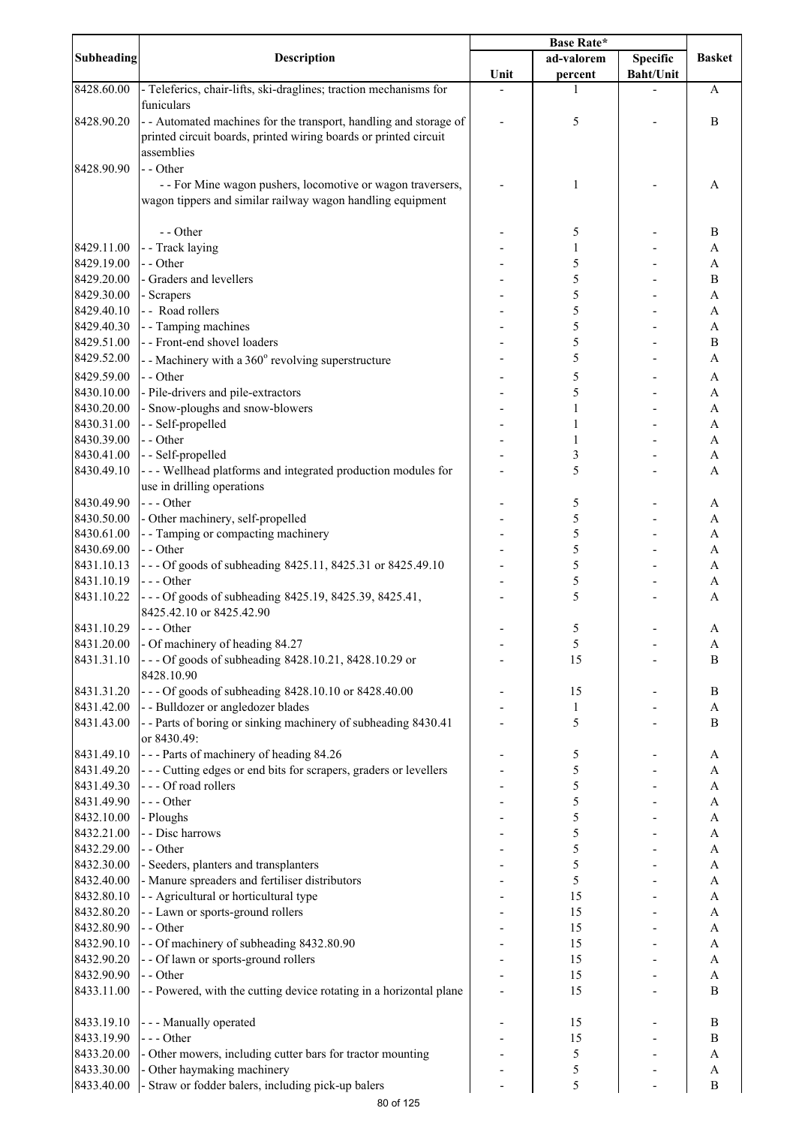|                          | Description                                                                               | <b>Base Rate*</b> |              |                              |                              |
|--------------------------|-------------------------------------------------------------------------------------------|-------------------|--------------|------------------------------|------------------------------|
| Subheading               |                                                                                           |                   | ad-valorem   | Specific<br><b>Baht/Unit</b> | <b>Basket</b>                |
| 8428.60.00               | - Teleferics, chair-lifts, ski-draglines; traction mechanisms for                         | Unit              | percent<br>1 |                              | A                            |
|                          | funiculars                                                                                |                   |              |                              |                              |
| 8428.90.20               | - Automated machines for the transport, handling and storage of                           |                   | 5            |                              | B                            |
|                          | printed circuit boards, printed wiring boards or printed circuit<br>assemblies            |                   |              |                              |                              |
| 8428.90.90               | - - Other                                                                                 |                   |              |                              |                              |
|                          | - - For Mine wagon pushers, locomotive or wagon traversers,                               |                   | 1            |                              | A                            |
|                          | wagon tippers and similar railway wagon handling equipment                                |                   |              |                              |                              |
|                          | - - Other                                                                                 |                   |              |                              |                              |
| 8429.11.00               | - - Track laying                                                                          |                   | 5<br>1       |                              | B<br>A                       |
| 8429.19.00               | - - Other                                                                                 |                   | 5            |                              | A                            |
| 8429.20.00               | - Graders and levellers                                                                   |                   | 5            |                              | B                            |
| 8429.30.00               | - Scrapers                                                                                |                   | 5            |                              | A                            |
| 8429.40.10<br>8429.40.30 | - - Road rollers<br>- - Tamping machines                                                  |                   | 5<br>5       |                              | A<br>A                       |
| 8429.51.00               | - - Front-end shovel loaders                                                              |                   | 5            |                              | $\boldsymbol{B}$             |
| 8429.52.00               | - - Machinery with a 360° revolving superstructure                                        |                   | 5            |                              | A                            |
| 8429.59.00               | - - Other                                                                                 |                   | 5            |                              | A                            |
| 8430.10.00               | - Pile-drivers and pile-extractors                                                        |                   | 5            |                              | A                            |
| 8430.20.00               | - Snow-ploughs and snow-blowers                                                           |                   | 1            |                              | A                            |
| 8430.31.00<br>8430.39.00 | - - Self-propelled<br>- - Other                                                           |                   | 1<br>1       |                              | A<br>A                       |
| 8430.41.00               | - - Self-propelled                                                                        |                   | 3            |                              | A                            |
| 8430.49.10               | - - - Wellhead platforms and integrated production modules for                            |                   | 5            |                              | A                            |
|                          | use in drilling operations                                                                |                   |              |                              |                              |
| 8430.49.90               | $--$ Other                                                                                |                   | 5            |                              | A                            |
| 8430.50.00<br>8430.61.00 | - Other machinery, self-propelled<br>- - Tamping or compacting machinery                  |                   | 5<br>5       |                              | A<br>A                       |
| 8430.69.00               | - - Other                                                                                 |                   | 5            |                              | A                            |
| 8431.10.13               | --- Of goods of subheading 8425.11, 8425.31 or 8425.49.10                                 |                   | 5            |                              | $\mathbf{A}$                 |
| 8431.10.19               | --- Other                                                                                 |                   | 5            |                              | A                            |
| 8431.10.22               | --- Of goods of subheading 8425.19, 8425.39, 8425.41,                                     |                   | 5            |                              | А                            |
| 8431.10.29               | 8425.42.10 or 8425.42.90<br>$--$ Other                                                    |                   | 5            |                              | Α                            |
| 8431.20.00               | - Of machinery of heading 84.27                                                           |                   | 5            |                              | A                            |
| 8431.31.10               | --- Of goods of subheading 8428.10.21, 8428.10.29 or                                      |                   | 15           |                              | B                            |
|                          | 8428.10.90                                                                                |                   |              |                              |                              |
| 8431.31.20               | --- Of goods of subheading 8428.10.10 or 8428.40.00<br>- - Bulldozer or angledozer blades |                   | 15           |                              | B                            |
| 8431.42.00<br>8431.43.00 | -- Parts of boring or sinking machinery of subheading 8430.41                             |                   | 1<br>5       |                              | A<br>B                       |
|                          | or 8430.49:                                                                               |                   |              |                              |                              |
| 8431.49.10               | --- Parts of machinery of heading 84.26                                                   |                   | 5            |                              | A                            |
| 8431.49.20               | --- Cutting edges or end bits for scrapers, graders or levellers                          |                   | 5            |                              | A                            |
| 8431.49.30               | --- Of road rollers<br>--- Other                                                          |                   | 5            |                              | A                            |
| 8431.49.90<br>8432.10.00 | - Ploughs                                                                                 |                   | 5<br>5       |                              | A<br>A                       |
| 8432.21.00               | - - Disc harrows                                                                          |                   | 5            |                              | A                            |
| 8432.29.00               | - - Other                                                                                 |                   | 5            |                              | A                            |
| 8432.30.00               | - Seeders, planters and transplanters                                                     |                   | 5            |                              | A                            |
| 8432.40.00               | - Manure spreaders and fertiliser distributors                                            |                   | 5            |                              | A                            |
| 8432.80.10<br>8432.80.20 | - - Agricultural or horticultural type<br>- - Lawn or sports-ground rollers               |                   | 15<br>15     |                              | A<br>A                       |
| 8432.80.90               | - - Other                                                                                 |                   | 15           |                              | A                            |
| 8432.90.10               | - - Of machinery of subheading 8432.80.90                                                 |                   | 15           |                              | A                            |
| 8432.90.20               | - - Of lawn or sports-ground rollers                                                      |                   | 15           |                              | A                            |
| 8432.90.90<br>8433.11.00 | - - Other<br>- - Powered, with the cutting device rotating in a horizontal plane          |                   | 15<br>15     |                              | $\mathbf{A}$<br>$\, {\bf B}$ |
|                          |                                                                                           |                   |              |                              |                              |
| 8433.19.10               | - - - Manually operated                                                                   |                   | 15           |                              | $\, {\bf B}$                 |
| 8433.19.90               | --- Other                                                                                 |                   | 15           |                              | $\, {\bf B}$                 |
| 8433.20.00               | - Other mowers, including cutter bars for tractor mounting                                |                   | 5            |                              | $\mathbf{A}$                 |
| 8433.30.00<br>8433.40.00 | - Other haymaking machinery<br>- Straw or fodder balers, including pick-up balers         |                   | 5<br>5       |                              | $\boldsymbol{A}$<br>B        |
|                          |                                                                                           |                   |              |                              |                              |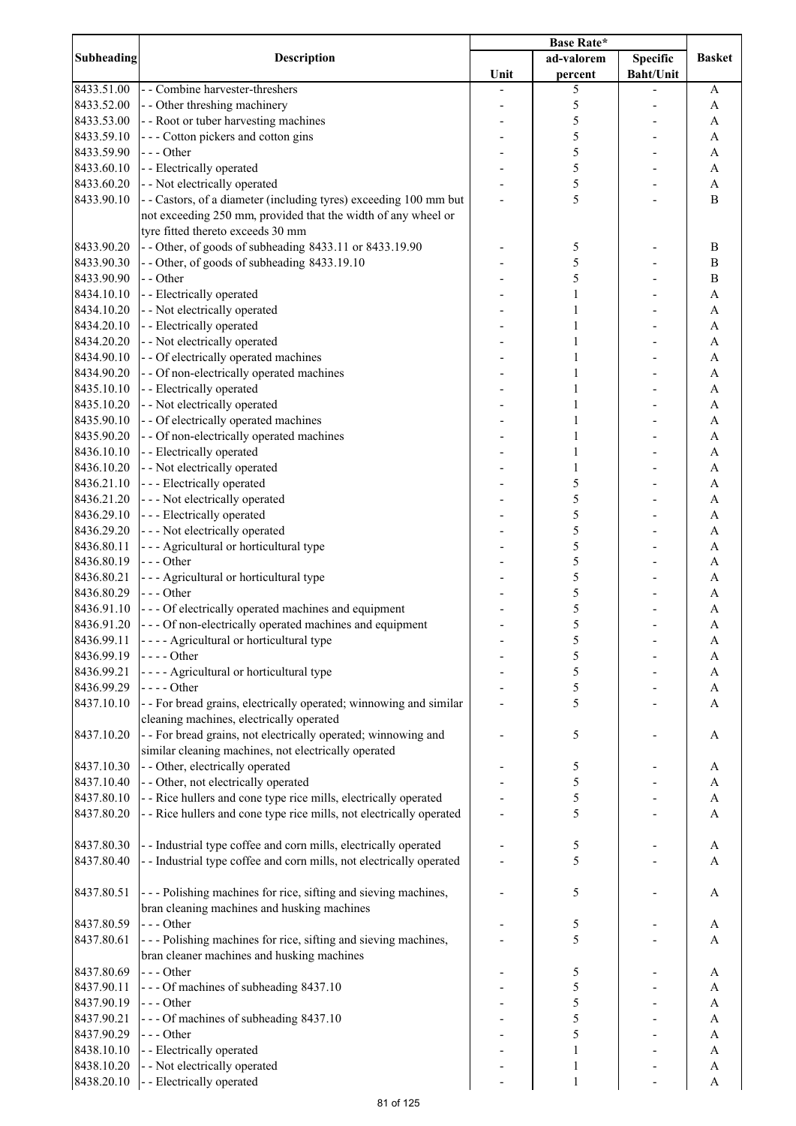| Subheading | Description                                                                                                   | <b>Base Rate*</b> |              |                  |               |
|------------|---------------------------------------------------------------------------------------------------------------|-------------------|--------------|------------------|---------------|
|            |                                                                                                               |                   | ad-valorem   | <b>Specific</b>  | <b>Basket</b> |
|            |                                                                                                               | Unit              | percent      | <b>Baht/Unit</b> |               |
| 8433.51.00 | - - Combine harvester-threshers                                                                               |                   | 5            |                  | A             |
| 8433.52.00 | - - Other threshing machinery                                                                                 |                   | 5            |                  | A             |
| 8433.53.00 | - - Root or tuber harvesting machines                                                                         |                   | 5            |                  | A             |
| 8433.59.10 | --- Cotton pickers and cotton gins                                                                            |                   | 5            |                  | A             |
| 8433.59.90 | --- Other                                                                                                     |                   | 5            |                  | A             |
| 8433.60.10 | - - Electrically operated                                                                                     |                   | 5            |                  | A             |
| 8433.60.20 | - - Not electrically operated                                                                                 |                   | 5            |                  | A             |
| 8433.90.10 | - - Castors, of a diameter (including tyres) exceeding 100 mm but                                             |                   | 5            |                  | $\mathbf B$   |
|            | not exceeding 250 mm, provided that the width of any wheel or<br>tyre fitted thereto exceeds 30 mm            |                   |              |                  |               |
| 8433.90.20 | - - Other, of goods of subheading 8433.11 or 8433.19.90                                                       |                   | 5            |                  | B             |
| 8433.90.30 | - - Other, of goods of subheading 8433.19.10                                                                  |                   | 5            |                  | B             |
| 8433.90.90 | - - Other                                                                                                     |                   | 5            |                  | $\, {\bf B}$  |
| 8434.10.10 | - - Electrically operated                                                                                     |                   | 1            |                  | A             |
| 8434.10.20 | - - Not electrically operated                                                                                 |                   | 1            |                  | A             |
| 8434.20.10 | - - Electrically operated                                                                                     |                   | 1            |                  | A             |
| 8434.20.20 | - - Not electrically operated                                                                                 |                   | 1            |                  | A             |
| 8434.90.10 | - - Of electrically operated machines                                                                         |                   | 1            |                  | A             |
| 8434.90.20 | - - Of non-electrically operated machines                                                                     |                   |              |                  | A             |
| 8435.10.10 | - - Electrically operated                                                                                     |                   |              |                  | A             |
| 8435.10.20 | - - Not electrically operated                                                                                 |                   |              |                  | A             |
|            |                                                                                                               |                   |              |                  |               |
| 8435.90.10 | - - Of electrically operated machines                                                                         |                   | 1            |                  | A             |
| 8435.90.20 | - - Of non-electrically operated machines                                                                     |                   |              |                  | A             |
| 8436.10.10 | - - Electrically operated                                                                                     |                   | $\mathbf{1}$ |                  | A             |
| 8436.10.20 | - - Not electrically operated                                                                                 |                   | $\mathbf{1}$ |                  | A             |
| 8436.21.10 | --- Electrically operated                                                                                     |                   | 5            |                  | A             |
| 8436.21.20 | - - - Not electrically operated                                                                               |                   | 5            |                  | A             |
| 8436.29.10 | --- Electrically operated                                                                                     |                   | 5            |                  | A             |
| 8436.29.20 | - - - Not electrically operated                                                                               |                   | 5            |                  | A             |
| 8436.80.11 | --- Agricultural or horticultural type                                                                        |                   | 5            |                  | A             |
| 8436.80.19 | --- Other                                                                                                     |                   | 5            |                  | A             |
| 8436.80.21 | - - - Agricultural or horticultural type                                                                      |                   | 5            |                  | A             |
| 8436.80.29 | --- Other                                                                                                     |                   | 5            |                  | A             |
| 8436.91.10 | --- Of electrically operated machines and equipment                                                           |                   | 5            |                  | A             |
| 8436.91.20 | - - - Of non-electrically operated machines and equipment                                                     |                   | 5            |                  | A             |
| 8436.99.11 | - - - - Agricultural or horticultural type                                                                    |                   | 5            |                  | A             |
| 8436.99.19 | $---Other$                                                                                                    |                   | 5            |                  | A             |
| 8436.99.21 | - - - - Agricultural or horticultural type                                                                    |                   | 5            |                  | A             |
| 8436.99.29 | $---Other$                                                                                                    |                   | 5            |                  | A             |
| 8437.10.10 | - - For bread grains, electrically operated; winnowing and similar                                            |                   | 5            |                  | A             |
| 8437.10.20 | cleaning machines, electrically operated<br>- - For bread grains, not electrically operated; winnowing and    |                   |              |                  |               |
|            | similar cleaning machines, not electrically operated                                                          |                   | 5            |                  | A             |
| 8437.10.30 | - - Other, electrically operated                                                                              |                   | 5            |                  | A             |
| 8437.10.40 | - - Other, not electrically operated                                                                          |                   | 5            |                  | A             |
| 8437.80.10 | - - Rice hullers and cone type rice mills, electrically operated                                              |                   | 5            |                  | A             |
| 8437.80.20 | - - Rice hullers and cone type rice mills, not electrically operated                                          |                   | 5            |                  | A             |
| 8437.80.30 | - - Industrial type coffee and corn mills, electrically operated                                              |                   | 5            |                  | A             |
| 8437.80.40 | - - Industrial type coffee and corn mills, not electrically operated                                          |                   | 5            |                  | A             |
| 8437.80.51 | --- Polishing machines for rice, sifting and sieving machines,<br>bran cleaning machines and husking machines |                   | 5            |                  | A             |
| 8437.80.59 | --- Other                                                                                                     |                   | 5            |                  | A             |
| 8437.80.61 | --- Polishing machines for rice, sifting and sieving machines,                                                |                   | 5            |                  |               |
|            | bran cleaner machines and husking machines                                                                    |                   |              |                  | A             |
| 8437.80.69 | $--$ Other                                                                                                    |                   | 5            |                  | A             |
| 8437.90.11 | --- Of machines of subheading 8437.10                                                                         |                   | 5            |                  | A             |
| 8437.90.19 | $--- Other$                                                                                                   |                   | 5            |                  | A             |
| 8437.90.21 | --- Of machines of subheading 8437.10                                                                         |                   | 5            |                  | A             |
| 8437.90.29 | --- Other                                                                                                     |                   | 5            |                  | A             |
| 8438.10.10 | - - Electrically operated                                                                                     |                   | 1            |                  | A             |
| 8438.10.20 | - - Not electrically operated                                                                                 |                   | 1            |                  | A             |
| 8438.20.10 | - - Electrically operated                                                                                     |                   | 1            |                  | A             |
|            |                                                                                                               |                   |              |                  |               |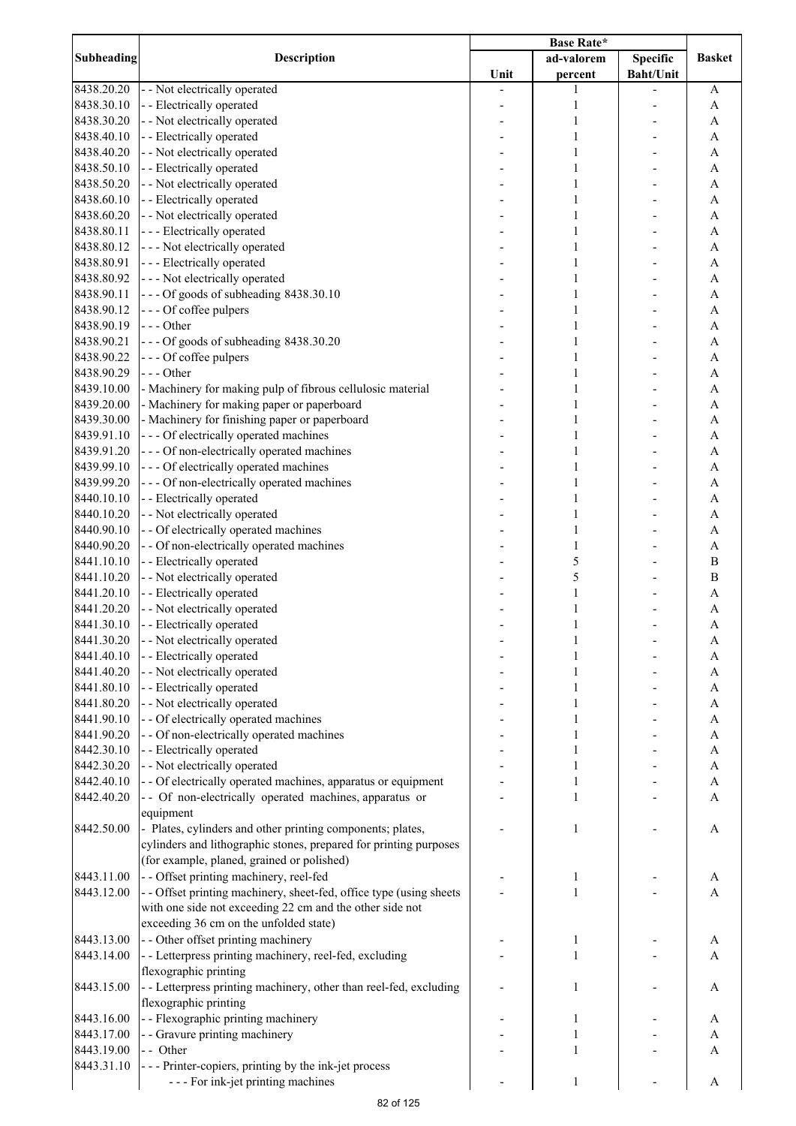|            | <b>Description</b>                                                  | <b>Base Rate*</b> |              |                  |                           |
|------------|---------------------------------------------------------------------|-------------------|--------------|------------------|---------------------------|
| Subheading |                                                                     |                   | ad-valorem   | Specific         | <b>Basket</b>             |
|            |                                                                     | Unit              | percent      | <b>Baht/Unit</b> |                           |
| 8438.20.20 | - - Not electrically operated                                       |                   | 1            |                  | A                         |
| 8438.30.10 | - - Electrically operated                                           |                   | $\mathbf{1}$ |                  | A                         |
| 8438.30.20 | - - Not electrically operated                                       |                   | 1            |                  | A                         |
| 8438.40.10 | - - Electrically operated                                           |                   | 1            |                  | A                         |
| 8438.40.20 | - - Not electrically operated                                       |                   | 1            |                  | A                         |
| 8438.50.10 | - - Electrically operated                                           |                   | 1            |                  | $\mathbf{A}$              |
| 8438.50.20 | - - Not electrically operated                                       |                   | 1            |                  | $\boldsymbol{\mathsf{A}}$ |
| 8438.60.10 | - - Electrically operated                                           |                   | 1            |                  | $\mathbf{A}$              |
| 8438.60.20 | - - Not electrically operated                                       |                   | 1            |                  | $\mathbf{A}$              |
| 8438.80.11 | --- Electrically operated                                           |                   | 1            |                  | A                         |
| 8438.80.12 | --- Not electrically operated                                       |                   | 1            |                  | A                         |
| 8438.80.91 | --- Electrically operated                                           |                   | 1            |                  | A                         |
| 8438.80.92 | --- Not electrically operated                                       |                   | 1            |                  | A                         |
| 8438.90.11 | --- Of goods of subheading 8438.30.10                               |                   | 1            |                  | A                         |
| 8438.90.12 | --- Of coffee pulpers                                               |                   | 1            |                  | $\mathbf{A}$              |
| 8438.90.19 | $- -$ Other                                                         |                   | 1            |                  | $\mathbf{A}$              |
| 8438.90.21 | --- Of goods of subheading 8438.30.20                               |                   | 1            |                  | $\mathbf{A}$              |
| 8438.90.22 | --- Of coffee pulpers                                               |                   | 1            |                  | $\mathbf{A}$              |
| 8438.90.29 | $--$ Other                                                          |                   | 1            |                  | $\overline{A}$            |
| 8439.10.00 | - Machinery for making pulp of fibrous cellulosic material          |                   | 1            |                  | $\overline{A}$            |
| 8439.20.00 | - Machinery for making paper or paperboard                          |                   | 1            |                  | $\mathbf{A}$              |
| 8439.30.00 | - Machinery for finishing paper or paperboard                       |                   | 1            |                  | $\mathbf{A}$              |
| 8439.91.10 | - - - Of electrically operated machines                             |                   | 1            |                  | $\mathbf{A}$              |
| 8439.91.20 | - - - Of non-electrically operated machines                         |                   | 1            |                  | $\mathbf{A}$              |
| 8439.99.10 | - - - Of electrically operated machines                             |                   | $\mathbf{1}$ |                  | $\mathbf{A}$              |
| 8439.99.20 | --- Of non-electrically operated machines                           |                   | $\mathbf{1}$ |                  | A                         |
| 8440.10.10 | - - Electrically operated                                           |                   | $\mathbf{1}$ |                  | $\boldsymbol{\mathsf{A}}$ |
|            |                                                                     |                   |              |                  |                           |
| 8440.10.20 | - - Not electrically operated                                       |                   | $\mathbf{1}$ |                  | $\mathbf{A}$              |
| 8440.90.10 | - - Of electrically operated machines                               |                   | 1            |                  | $\mathbf{A}$              |
| 8440.90.20 | - - Of non-electrically operated machines                           |                   | 1            |                  | A                         |
| 8441.10.10 | - - Electrically operated                                           |                   | 5            |                  | $\bf{B}$                  |
| 8441.10.20 | - - Not electrically operated                                       |                   | 5            |                  | $\bf{B}$                  |
| 8441.20.10 | - - Electrically operated                                           |                   | 1            |                  | A                         |
| 8441.20.20 | - - Not electrically operated                                       |                   | 1            |                  | A                         |
| 8441.30.10 | - - Electrically operated                                           |                   | 1            |                  | A                         |
| 8441.30.20 | - - Not electrically operated                                       |                   | 1            |                  | A                         |
| 8441.40.10 | - - Electrically operated                                           |                   |              |                  | A                         |
| 8441.40.20 | - - Not electrically operated                                       |                   |              |                  | A                         |
| 8441.80.10 | - - Electrically operated                                           |                   | 1            |                  | A                         |
| 8441.80.20 | - - Not electrically operated                                       |                   | 1            |                  | A                         |
| 8441.90.10 | - - Of electrically operated machines                               |                   | 1            |                  | A                         |
| 8441.90.20 | - - Of non-electrically operated machines                           |                   | 1            |                  | A                         |
| 8442.30.10 | - - Electrically operated                                           |                   | 1            |                  | $\boldsymbol{\rm{A}}$     |
| 8442.30.20 | - - Not electrically operated                                       |                   | 1            |                  | $\boldsymbol{\mathsf{A}}$ |
| 8442.40.10 | - - Of electrically operated machines, apparatus or equipment       |                   | 1            |                  | $\boldsymbol{\mathsf{A}}$ |
| 8442.40.20 | -- Of non-electrically operated machines, apparatus or              |                   | 1            |                  | $\mathbf{A}$              |
|            | equipment                                                           |                   |              |                  |                           |
| 8442.50.00 | - Plates, cylinders and other printing components; plates,          |                   | 1            |                  | A                         |
|            | cylinders and lithographic stones, prepared for printing purposes   |                   |              |                  |                           |
|            | (for example, planed, grained or polished)                          |                   |              |                  |                           |
| 8443.11.00 | - - Offset printing machinery, reel-fed                             |                   | 1            |                  | A                         |
| 8443.12.00 | - - Offset printing machinery, sheet-fed, office type (using sheets |                   | 1            |                  | A                         |
|            | with one side not exceeding 22 cm and the other side not            |                   |              |                  |                           |
|            | exceeding 36 cm on the unfolded state)                              |                   |              |                  |                           |
| 8443.13.00 | - - Other offset printing machinery                                 |                   | 1            |                  |                           |
| 8443.14.00 |                                                                     |                   | $\mathbf{1}$ |                  | A                         |
|            | - - Letterpress printing machinery, reel-fed, excluding             |                   |              |                  | A                         |
|            | flexographic printing                                               |                   |              |                  |                           |
| 8443.15.00 | - - Letterpress printing machinery, other than reel-fed, excluding  |                   | 1            |                  | A                         |
|            | flexographic printing                                               |                   |              |                  |                           |
| 8443.16.00 | - - Flexographic printing machinery                                 |                   | 1            |                  | A                         |
| 8443.17.00 | - - Gravure printing machinery                                      |                   |              |                  | A                         |
| 8443.19.00 | - - Other                                                           |                   | 1            |                  | A                         |
| 8443.31.10 | - - - Printer-copiers, printing by the ink-jet process              |                   |              |                  |                           |
|            | --- For ink-jet printing machines                                   |                   | 1            |                  | A                         |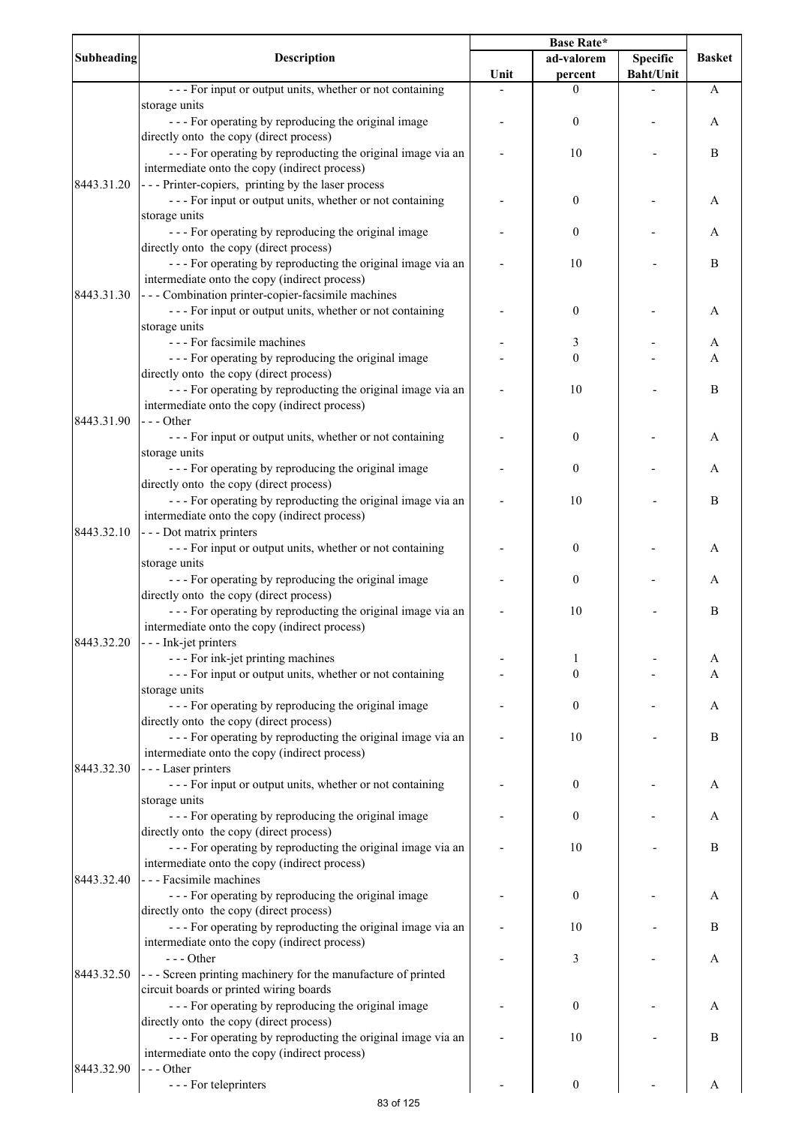|                   |                                                                | <b>Base Rate*</b> |                  |                  |               |
|-------------------|----------------------------------------------------------------|-------------------|------------------|------------------|---------------|
| <b>Subheading</b> | Description                                                    |                   | ad-valorem       | <b>Specific</b>  | <b>Basket</b> |
|                   |                                                                | Unit              | percent          | <b>Baht/Unit</b> |               |
|                   | --- For input or output units, whether or not containing       |                   | 0                |                  | A             |
|                   | storage units                                                  |                   |                  |                  |               |
|                   | - - - For operating by reproducing the original image          |                   | $\boldsymbol{0}$ |                  | A             |
|                   | directly onto the copy (direct process)                        |                   |                  |                  |               |
|                   | --- For operating by reproducting the original image via an    |                   | 10               |                  | B             |
|                   |                                                                |                   |                  |                  |               |
|                   | intermediate onto the copy (indirect process)                  |                   |                  |                  |               |
| 8443.31.20        | --- Printer-copiers, printing by the laser process             |                   |                  |                  |               |
|                   | --- For input or output units, whether or not containing       |                   | $\boldsymbol{0}$ |                  | A             |
|                   | storage units                                                  |                   |                  |                  |               |
|                   | - - - For operating by reproducing the original image          |                   | $\boldsymbol{0}$ |                  | A             |
|                   | directly onto the copy (direct process)                        |                   |                  |                  |               |
|                   | --- For operating by reproducting the original image via an    |                   | 10               |                  | B             |
|                   | intermediate onto the copy (indirect process)                  |                   |                  |                  |               |
| 8443.31.30        | - - - Combination printer-copier-facsimile machines            |                   |                  |                  |               |
|                   | --- For input or output units, whether or not containing       |                   | 0                |                  | Α             |
|                   |                                                                |                   |                  |                  |               |
|                   | storage units                                                  |                   |                  |                  |               |
|                   | - - - For facsimile machines                                   |                   | 3                |                  | A             |
|                   | --- For operating by reproducing the original image            |                   | $\boldsymbol{0}$ |                  | A             |
|                   | directly onto the copy (direct process)                        |                   |                  |                  |               |
|                   | --- For operating by reproducting the original image via an    |                   | 10               |                  | B             |
|                   | intermediate onto the copy (indirect process)                  |                   |                  |                  |               |
| 8443.31.90        | --- Other                                                      |                   |                  |                  |               |
|                   | --- For input or output units, whether or not containing       |                   | 0                |                  | А             |
|                   | storage units                                                  |                   |                  |                  |               |
|                   |                                                                |                   | 0                |                  |               |
|                   | - - - For operating by reproducing the original image          |                   |                  |                  | Α             |
|                   | directly onto the copy (direct process)                        |                   |                  |                  |               |
|                   | --- For operating by reproducting the original image via an    |                   | 10               |                  | B             |
|                   | intermediate onto the copy (indirect process)                  |                   |                  |                  |               |
| 8443.32.10        | - - - Dot matrix printers                                      |                   |                  |                  |               |
|                   | --- For input or output units, whether or not containing       |                   | 0                |                  | A             |
|                   | storage units                                                  |                   |                  |                  |               |
|                   | --- For operating by reproducing the original image            |                   | 0                |                  | Α             |
|                   | directly onto the copy (direct process)                        |                   |                  |                  |               |
|                   | --- For operating by reproducting the original image via an    |                   | 10               |                  | B             |
|                   |                                                                |                   |                  |                  |               |
|                   | intermediate onto the copy (indirect process)                  |                   |                  |                  |               |
| 8443.32.20        | - - - Ink-jet printers                                         |                   |                  |                  |               |
|                   | - - - For ink-jet printing machines                            |                   | 1                |                  | A             |
|                   | --- For input or output units, whether or not containing       |                   | $\boldsymbol{0}$ |                  | A             |
|                   | storage units                                                  |                   |                  |                  |               |
|                   | --- For operating by reproducing the original image            |                   | $\boldsymbol{0}$ |                  | A             |
|                   | directly onto the copy (direct process)                        |                   |                  |                  |               |
|                   | --- For operating by reproducting the original image via an    |                   | 10               |                  | B             |
|                   | intermediate onto the copy (indirect process)                  |                   |                  |                  |               |
| 8443.32.30        | - - - Laser printers                                           |                   |                  |                  |               |
|                   |                                                                |                   |                  |                  |               |
|                   | --- For input or output units, whether or not containing       |                   | 0                |                  | A             |
|                   | storage units                                                  |                   |                  |                  |               |
|                   | - - - For operating by reproducing the original image          |                   | $\boldsymbol{0}$ |                  | A             |
|                   | directly onto the copy (direct process)                        |                   |                  |                  |               |
|                   | --- For operating by reproducting the original image via an    |                   | 10               |                  | B             |
|                   | intermediate onto the copy (indirect process)                  |                   |                  |                  |               |
| 8443.32.40        | - - - Facsimile machines                                       |                   |                  |                  |               |
|                   | - - - For operating by reproducing the original image          |                   | $\boldsymbol{0}$ |                  | Α             |
|                   | directly onto the copy (direct process)                        |                   |                  |                  |               |
|                   | --- For operating by reproducting the original image via an    |                   | 10               |                  | B             |
|                   | intermediate onto the copy (indirect process)                  |                   |                  |                  |               |
|                   |                                                                |                   |                  |                  |               |
|                   | --- Other                                                      |                   | 3                |                  | Α             |
| 8443.32.50        | - - - Screen printing machinery for the manufacture of printed |                   |                  |                  |               |
|                   | circuit boards or printed wiring boards                        |                   |                  |                  |               |
|                   | - - - For operating by reproducing the original image          |                   | $\boldsymbol{0}$ |                  | A             |
|                   | directly onto the copy (direct process)                        |                   |                  |                  |               |
|                   | --- For operating by reproducting the original image via an    |                   | 10               |                  | B             |
|                   | intermediate onto the copy (indirect process)                  |                   |                  |                  |               |
| 8443.32.90        | --- Other                                                      |                   |                  |                  |               |
|                   | - - - For teleprinters                                         |                   | $\boldsymbol{0}$ |                  | A             |
|                   |                                                                |                   |                  |                  |               |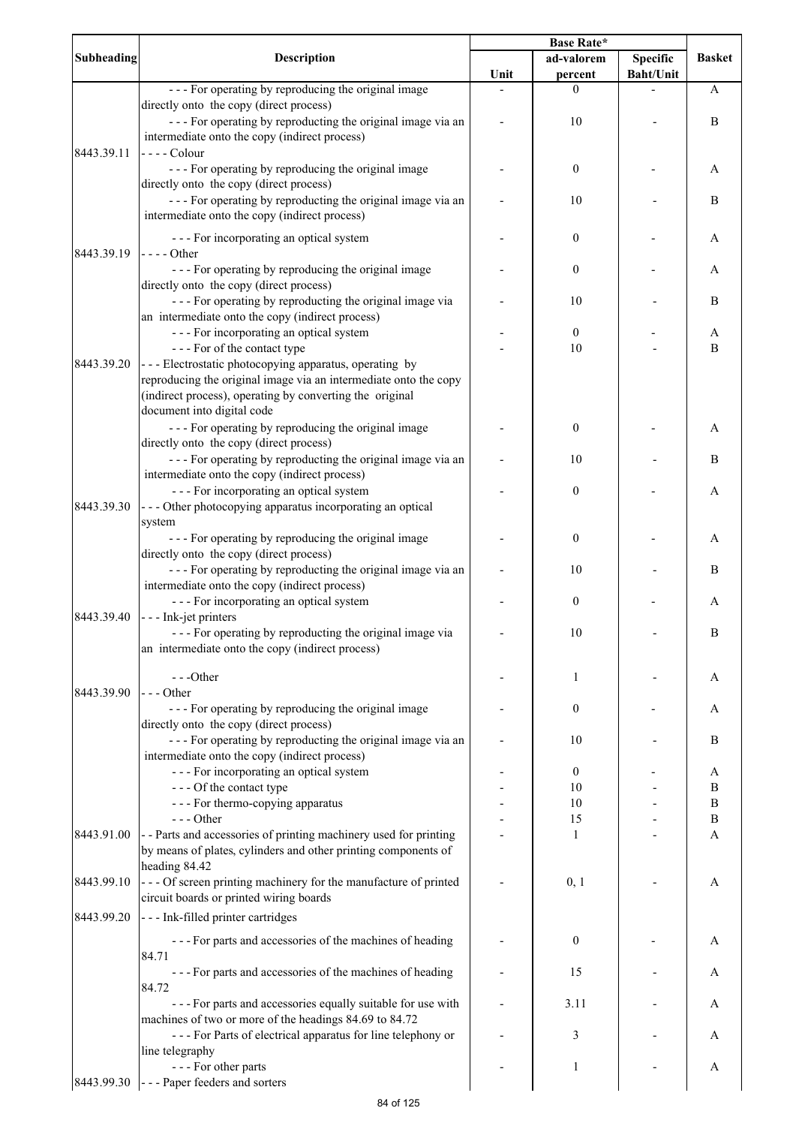| <b>Subheading</b> | <b>Description</b>                                                                                                                                                                                                   | <b>Base Rate*</b> |                        |                  |               |
|-------------------|----------------------------------------------------------------------------------------------------------------------------------------------------------------------------------------------------------------------|-------------------|------------------------|------------------|---------------|
|                   |                                                                                                                                                                                                                      |                   | ad-valorem             | <b>Specific</b>  | <b>Basket</b> |
|                   |                                                                                                                                                                                                                      | Unit              | percent                | <b>Baht/Unit</b> |               |
|                   | --- For operating by reproducing the original image<br>directly onto the copy (direct process)                                                                                                                       |                   | $\theta$               |                  | A             |
|                   | --- For operating by reproducting the original image via an<br>intermediate onto the copy (indirect process)                                                                                                         |                   | 10                     |                  | $\, {\bf B}$  |
| 8443.39.11        | $---$ Colour<br>--- For operating by reproducing the original image                                                                                                                                                  |                   | $\boldsymbol{0}$       |                  | A             |
|                   | directly onto the copy (direct process)<br>--- For operating by reproducting the original image via an                                                                                                               |                   | 10                     |                  | $\bf{B}$      |
|                   | intermediate onto the copy (indirect process)                                                                                                                                                                        |                   |                        |                  |               |
| 8443.39.19        | --- For incorporating an optical system<br>$--- Other$                                                                                                                                                               |                   | $\boldsymbol{0}$       |                  | A             |
|                   | --- For operating by reproducing the original image<br>directly onto the copy (direct process)                                                                                                                       |                   | $\boldsymbol{0}$       |                  | A             |
|                   | --- For operating by reproducting the original image via<br>an intermediate onto the copy (indirect process)                                                                                                         |                   | 10                     |                  | $\, {\bf B}$  |
|                   | --- For incorporating an optical system<br>--- For of the contact type                                                                                                                                               |                   | $\boldsymbol{0}$<br>10 |                  | A<br>B        |
| 8443.39.20        | --- Electrostatic photocopying apparatus, operating by<br>reproducing the original image via an intermediate onto the copy<br>(indirect process), operating by converting the original<br>document into digital code |                   |                        |                  |               |
|                   | - - - For operating by reproducing the original image<br>directly onto the copy (direct process)                                                                                                                     |                   | $\boldsymbol{0}$       |                  | A             |
|                   | --- For operating by reproducting the original image via an<br>intermediate onto the copy (indirect process)                                                                                                         |                   | 10                     |                  | B             |
| 8443.39.30        | --- For incorporating an optical system<br>--- Other photocopying apparatus incorporating an optical                                                                                                                 |                   | $\boldsymbol{0}$       |                  | A             |
|                   | system<br>--- For operating by reproducing the original image                                                                                                                                                        |                   | $\boldsymbol{0}$       |                  | A             |
|                   | directly onto the copy (direct process)<br>--- For operating by reproducting the original image via an                                                                                                               |                   | 10                     |                  | $\, {\bf B}$  |
|                   | intermediate onto the copy (indirect process)<br>--- For incorporating an optical system                                                                                                                             |                   | $\boldsymbol{0}$       |                  | Α             |
| 8443.39.40        | - - - Ink-jet printers<br>--- For operating by reproducting the original image via                                                                                                                                   |                   | 10                     |                  | В             |
|                   | an intermediate onto the copy (indirect process)                                                                                                                                                                     |                   |                        |                  |               |
| 8443.39.90        | ---Other<br>--- Other                                                                                                                                                                                                |                   | 1                      |                  | A             |
|                   | - - - For operating by reproducing the original image<br>directly onto the copy (direct process)                                                                                                                     |                   | $\boldsymbol{0}$       |                  | A             |
|                   | --- For operating by reproducting the original image via an<br>intermediate onto the copy (indirect process)                                                                                                         |                   | 10                     |                  | $\, {\bf B}$  |
|                   | --- For incorporating an optical system                                                                                                                                                                              |                   | $\boldsymbol{0}$       |                  | A             |
|                   | --- Of the contact type                                                                                                                                                                                              |                   | 10                     |                  | B             |
|                   | - - - For thermo-copying apparatus                                                                                                                                                                                   |                   | 10                     |                  | $\bf{B}$      |
|                   | $---$ Other                                                                                                                                                                                                          |                   | 15                     |                  | $\, {\bf B}$  |
| 8443.91.00        | - - Parts and accessories of printing machinery used for printing<br>by means of plates, cylinders and other printing components of                                                                                  |                   | 1                      |                  | A             |
| 8443.99.10        | heading 84.42<br>- - - Of screen printing machinery for the manufacture of printed<br>circuit boards or printed wiring boards                                                                                        |                   | 0, 1                   |                  | A             |
| 8443.99.20        | --- Ink-filled printer cartridges                                                                                                                                                                                    |                   |                        |                  |               |
|                   | --- For parts and accessories of the machines of heading<br>84.71                                                                                                                                                    |                   | $\boldsymbol{0}$       |                  | A             |
|                   | --- For parts and accessories of the machines of heading<br>84.72                                                                                                                                                    |                   | 15                     |                  | A             |
|                   | - - - For parts and accessories equally suitable for use with<br>machines of two or more of the headings 84.69 to 84.72                                                                                              |                   | 3.11                   |                  | Α             |
|                   | --- For Parts of electrical apparatus for line telephony or<br>line telegraphy                                                                                                                                       |                   | 3                      |                  | A             |
|                   | --- For other parts                                                                                                                                                                                                  |                   | 1                      |                  | A             |
| 8443.99.30        | --- Paper feeders and sorters                                                                                                                                                                                        |                   |                        |                  |               |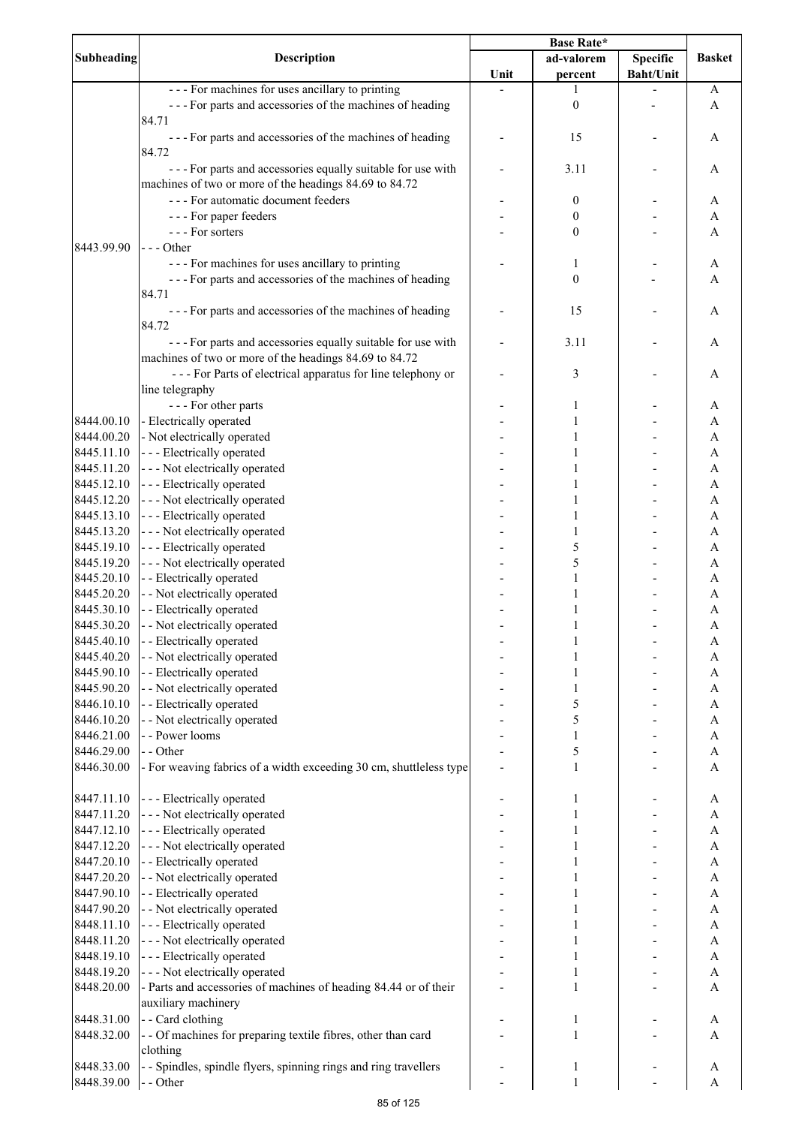|            | <b>Description</b>                                                 | Base Rate* |                  |                  |                |
|------------|--------------------------------------------------------------------|------------|------------------|------------------|----------------|
| Subheading |                                                                    |            | ad-valorem       | <b>Specific</b>  | <b>Basket</b>  |
|            |                                                                    | Unit       | percent          | <b>Baht/Unit</b> |                |
|            | --- For machines for uses ancillary to printing                    |            | 1                |                  | A              |
|            | --- For parts and accessories of the machines of heading           |            | $\boldsymbol{0}$ |                  | A              |
|            | 84.71                                                              |            |                  |                  |                |
|            | --- For parts and accessories of the machines of heading           |            | 15               |                  | A              |
|            | 84.72                                                              |            |                  |                  |                |
|            | - - - For parts and accessories equally suitable for use with      |            | 3.11             |                  | A              |
|            | machines of two or more of the headings 84.69 to 84.72             |            |                  |                  |                |
|            | --- For automatic document feeders                                 |            |                  |                  |                |
|            |                                                                    |            | 0                |                  | A              |
|            | - - - For paper feeders                                            |            | 0                |                  | A              |
|            | --- For sorters                                                    |            | 0                |                  | A              |
| 8443.99.90 | -  - - Other                                                       |            |                  |                  |                |
|            | --- For machines for uses ancillary to printing                    |            | 1                |                  | A              |
|            | --- For parts and accessories of the machines of heading           |            | $\boldsymbol{0}$ |                  | A              |
|            | 84.71                                                              |            |                  |                  |                |
|            | --- For parts and accessories of the machines of heading           |            | 15               |                  | A              |
|            | 84.72                                                              |            |                  |                  |                |
|            | --- For parts and accessories equally suitable for use with        |            | 3.11             |                  | A              |
|            | machines of two or more of the headings 84.69 to 84.72             |            |                  |                  |                |
|            | --- For Parts of electrical apparatus for line telephony or        |            | 3                |                  | A              |
|            | line telegraphy                                                    |            |                  |                  |                |
|            | --- For other parts                                                |            | 1                |                  | A              |
| 8444.00.10 | - Electrically operated                                            |            | 1                |                  | A              |
|            |                                                                    |            |                  |                  |                |
| 8444.00.20 | - Not electrically operated                                        |            | 1                |                  | $\mathbf{A}$   |
| 8445.11.10 | --- Electrically operated                                          |            |                  |                  | $\mathbf{A}$   |
| 8445.11.20 | --- Not electrically operated                                      |            |                  |                  | $\overline{A}$ |
| 8445.12.10 | --- Electrically operated                                          |            |                  |                  | $\mathbf{A}$   |
| 8445.12.20 | --- Not electrically operated                                      |            |                  |                  | A              |
| 8445.13.10 | --- Electrically operated                                          |            | $\mathbf{1}$     |                  | A              |
| 8445.13.20 | --- Not electrically operated                                      |            | $\mathbf{1}$     |                  | A              |
| 8445.19.10 | --- Electrically operated                                          |            | 5                |                  | A              |
| 8445.19.20 | --- Not electrically operated                                      |            | 5                |                  | A              |
| 8445.20.10 | - - Electrically operated                                          |            | $\mathbf{1}$     |                  | A              |
| 8445.20.20 | - - Not electrically operated                                      |            | $\mathbf{1}$     |                  | A              |
| 8445.30.10 | - - Electrically operated                                          |            |                  |                  | A              |
| 8445.30.20 | - - Not electrically operated                                      |            | 1                |                  | $\mathbf{A}$   |
| 8445.40.10 | - - Electrically operated                                          |            | 1                |                  | A              |
| 8445.40.20 | - - Not electrically operated                                      |            |                  |                  | A              |
| 8445.90.10 | - - Electrically operated                                          |            | 1                |                  | A              |
| 8445.90.20 |                                                                    |            |                  |                  |                |
|            | - - Not electrically operated                                      |            | 1                |                  | A              |
| 8446.10.10 | - - Electrically operated                                          |            | 5                |                  | A              |
| 8446.10.20 | - - Not electrically operated                                      |            | 5                |                  | A              |
| 8446.21.00 | - - Power looms                                                    |            | $\mathbf{1}$     |                  | A              |
| 8446.29.00 | - - Other                                                          |            | 5                |                  | A              |
| 8446.30.00 | - For weaving fabrics of a width exceeding 30 cm, shuttleless type |            | $\mathbf{1}$     |                  | A              |
|            |                                                                    |            |                  |                  |                |
| 8447.11.10 | --- Electrically operated                                          |            | 1                |                  | A              |
| 8447.11.20 | --- Not electrically operated                                      |            | 1                |                  | A              |
| 8447.12.10 | --- Electrically operated                                          |            | 1                |                  | $\mathbf{A}$   |
| 8447.12.20 | - - - Not electrically operated                                    |            | 1                |                  | $\mathbf{A}$   |
| 8447.20.10 | - - Electrically operated                                          |            |                  |                  | $\mathbf{A}$   |
| 8447.20.20 | - - Not electrically operated                                      |            | 1                |                  | $\mathbf{A}$   |
| 8447.90.10 | - - Electrically operated                                          |            | 1                |                  | $\mathbf{A}$   |
| 8447.90.20 | - - Not electrically operated                                      |            |                  |                  | $\mathbf{A}$   |
| 8448.11.10 | --- Electrically operated                                          |            | 1                |                  | $\mathbf{A}$   |
| 8448.11.20 | --- Not electrically operated                                      |            | 1                |                  | $\mathbf{A}$   |
|            |                                                                    |            |                  |                  |                |
| 8448.19.10 | --- Electrically operated                                          |            | 1                |                  | A              |
| 8448.19.20 | --- Not electrically operated                                      |            | $\mathbf{1}$     |                  | A              |
| 8448.20.00 | - Parts and accessories of machines of heading 84.44 or of their   |            | $\mathbf{1}$     |                  | A              |
|            | auxiliary machinery                                                |            |                  |                  |                |
| 8448.31.00 | - - Card clothing                                                  |            | 1                |                  | A              |
| 8448.32.00 | - - Of machines for preparing textile fibres, other than card      |            | $\mathbf{1}$     |                  | A              |
|            | clothing                                                           |            |                  |                  |                |
| 8448.33.00 | - - Spindles, spindle flyers, spinning rings and ring travellers   |            | 1                |                  | A              |
| 8448.39.00 | - - Other                                                          |            | $\mathbf{1}$     |                  | A              |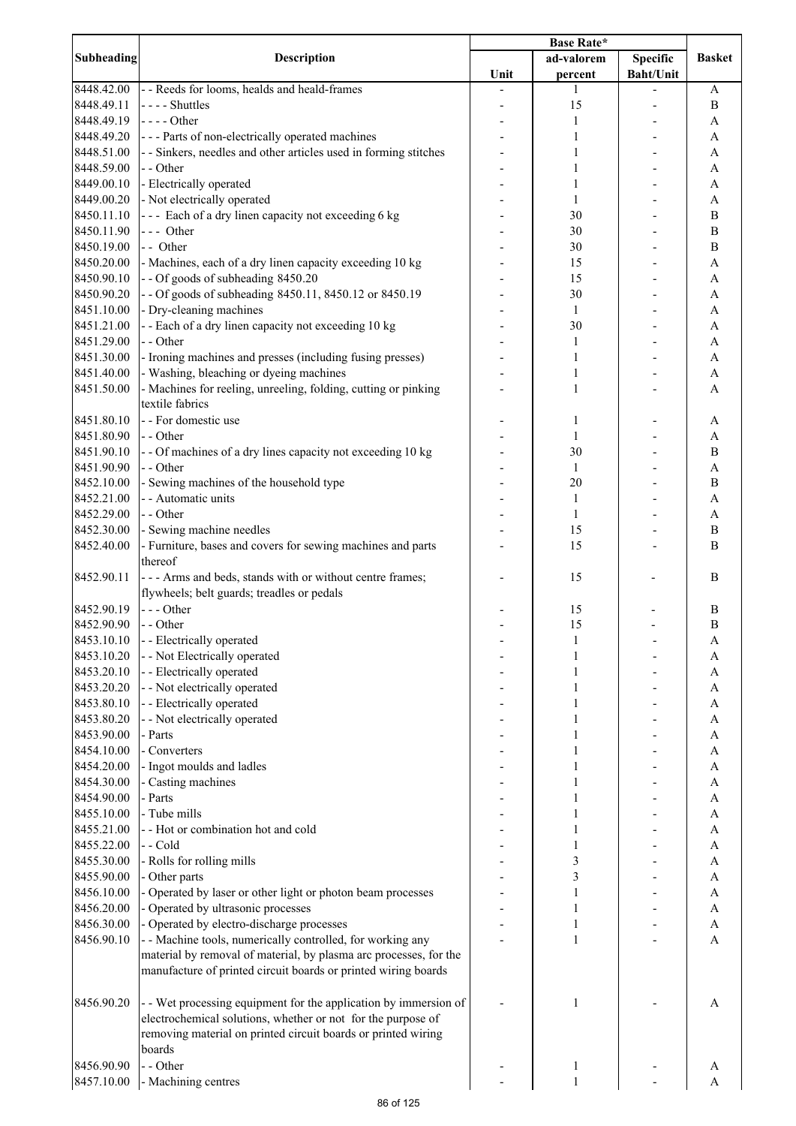|                   | <b>Description</b>                                                | <b>Base Rate*</b> |              |                  |                           |
|-------------------|-------------------------------------------------------------------|-------------------|--------------|------------------|---------------------------|
| <b>Subheading</b> |                                                                   |                   | ad-valorem   | Specific         | <b>Basket</b>             |
|                   |                                                                   | Unit              | percent      | <b>Baht/Unit</b> |                           |
| 8448.42.00        | - - Reeds for looms, healds and heald-frames                      |                   | 1            |                  | A                         |
| 8448.49.11        | $---$ Shuttles                                                    |                   | 15           |                  | $\bf{B}$                  |
| 8448.49.19        | $---Other$                                                        |                   | 1            |                  | A                         |
| 8448.49.20        | --- Parts of non-electrically operated machines                   |                   | 1            |                  | A                         |
| 8448.51.00        | - - Sinkers, needles and other articles used in forming stitches  |                   | 1            |                  | A                         |
| 8448.59.00        | - - Other                                                         |                   | 1            |                  | A                         |
| 8449.00.10        | - Electrically operated                                           |                   | 1            |                  | A                         |
| 8449.00.20        | - Not electrically operated                                       |                   | 1            |                  | A                         |
| 8450.11.10        | --- Each of a dry linen capacity not exceeding 6 kg               |                   | 30           |                  | $\, {\bf B}$              |
|                   |                                                                   |                   |              |                  | $\, {\bf B}$              |
| 8450.11.90        | --- Other                                                         |                   | 30           |                  |                           |
| 8450.19.00        | -- Other                                                          |                   | 30           |                  | $\, {\bf B}$              |
| 8450.20.00        | - Machines, each of a dry linen capacity exceeding 10 kg          |                   | 15           |                  | A                         |
| 8450.90.10        | -- Of goods of subheading 8450.20                                 |                   | 15           |                  | $\boldsymbol{\mathsf{A}}$ |
| 8450.90.20        | - - Of goods of subheading 8450.11, 8450.12 or 8450.19            |                   | 30           |                  | A                         |
| 8451.10.00        | - Dry-cleaning machines                                           |                   | $\mathbf{1}$ |                  | A                         |
| 8451.21.00        | - - Each of a dry linen capacity not exceeding 10 kg              |                   | 30           |                  | A                         |
| 8451.29.00        | - - Other                                                         |                   | $\mathbf{1}$ |                  | A                         |
| 8451.30.00        | - Ironing machines and presses (including fusing presses)         |                   | 1            |                  | A                         |
| 8451.40.00        | - Washing, bleaching or dyeing machines                           |                   | 1            |                  | A                         |
| 8451.50.00        | - Machines for reeling, unreeling, folding, cutting or pinking    |                   | $\mathbf{1}$ |                  | A                         |
|                   | textile fabrics                                                   |                   |              |                  |                           |
| 8451.80.10        | - - For domestic use                                              |                   | 1            |                  | A                         |
| 8451.80.90        | - - Other                                                         |                   | 1            |                  | A                         |
| 8451.90.10        | - - Of machines of a dry lines capacity not exceeding 10 kg       |                   | 30           |                  | $\bf{B}$                  |
| 8451.90.90        | - - Other                                                         |                   | 1            |                  | A                         |
| 8452.10.00        | - Sewing machines of the household type                           |                   | 20           |                  | B                         |
| 8452.21.00        | - - Automatic units                                               |                   | 1            |                  | A                         |
| 8452.29.00        | - - Other                                                         |                   | 1            |                  |                           |
|                   |                                                                   |                   |              |                  | A                         |
| 8452.30.00        | - Sewing machine needles                                          |                   | 15           |                  | $\, {\bf B}$              |
| 8452.40.00        | - Furniture, bases and covers for sewing machines and parts       |                   | 15           |                  | B                         |
|                   | thereof                                                           |                   |              |                  |                           |
| 8452.90.11        | --- Arms and beds, stands with or without centre frames;          |                   | 15           |                  | B                         |
|                   | flywheels; belt guards; treadles or pedals                        |                   |              |                  |                           |
| 8452.90.19        | $--$ Other                                                        |                   | 15           |                  | B                         |
| 8452.90.90        | - - Other                                                         |                   | 15           |                  | $\, {\bf B}$              |
| 8453.10.10        | - - Electrically operated                                         |                   |              |                  | A                         |
| 8453.10.20        | - - Not Electrically operated                                     |                   |              |                  | A                         |
| 8453.20.10        | - - Electrically operated                                         |                   |              |                  | $\boldsymbol{\mathsf{A}}$ |
| 8453.20.20        | - - Not electrically operated                                     |                   |              |                  | $\boldsymbol{\mathsf{A}}$ |
| 8453.80.10        | - - Electrically operated                                         |                   |              |                  | $\boldsymbol{\mathsf{A}}$ |
| 8453.80.20        | - - Not electrically operated                                     |                   |              |                  | $\boldsymbol{\mathsf{A}}$ |
| 8453.90.00        | - Parts                                                           |                   |              |                  | A                         |
| 8454.10.00        | - Converters                                                      |                   |              |                  | A                         |
| 8454.20.00        | - Ingot moulds and ladles                                         |                   |              |                  | A                         |
| 8454.30.00        | - Casting machines                                                |                   |              |                  | A                         |
| 8454.90.00        | - Parts                                                           |                   |              |                  | $\boldsymbol{\rm{A}}$     |
| 8455.10.00        | - Tube mills                                                      |                   |              |                  | A                         |
|                   |                                                                   |                   |              |                  |                           |
| 8455.21.00        | - - Hot or combination hot and cold                               |                   |              |                  | A                         |
| 8455.22.00        | - - Cold                                                          |                   |              |                  | A                         |
| 8455.30.00        | - Rolls for rolling mills                                         |                   | 3            |                  | A                         |
| 8455.90.00        | - Other parts                                                     |                   | 3            |                  | $\boldsymbol{\mathsf{A}}$ |
| 8456.10.00        | - Operated by laser or other light or photon beam processes       |                   | 1            |                  | A                         |
| 8456.20.00        | - Operated by ultrasonic processes                                |                   | 1            |                  | A                         |
| 8456.30.00        | - Operated by electro-discharge processes                         |                   | 1            |                  | A                         |
| 8456.90.10        | - - Machine tools, numerically controlled, for working any        |                   | 1            |                  | A                         |
|                   | material by removal of material, by plasma arc processes, for the |                   |              |                  |                           |
|                   | manufacture of printed circuit boards or printed wiring boards    |                   |              |                  |                           |
|                   |                                                                   |                   |              |                  |                           |
| 8456.90.20        | - Wet processing equipment for the application by immersion of    |                   | 1            |                  | A                         |
|                   | electrochemical solutions, whether or not for the purpose of      |                   |              |                  |                           |
|                   | removing material on printed circuit boards or printed wiring     |                   |              |                  |                           |
|                   | boards                                                            |                   |              |                  |                           |
| 8456.90.90        | - - Other                                                         |                   | 1            |                  | A                         |
| 8457.10.00        | - Machining centres                                               |                   | 1            |                  | A                         |
|                   |                                                                   |                   |              |                  |                           |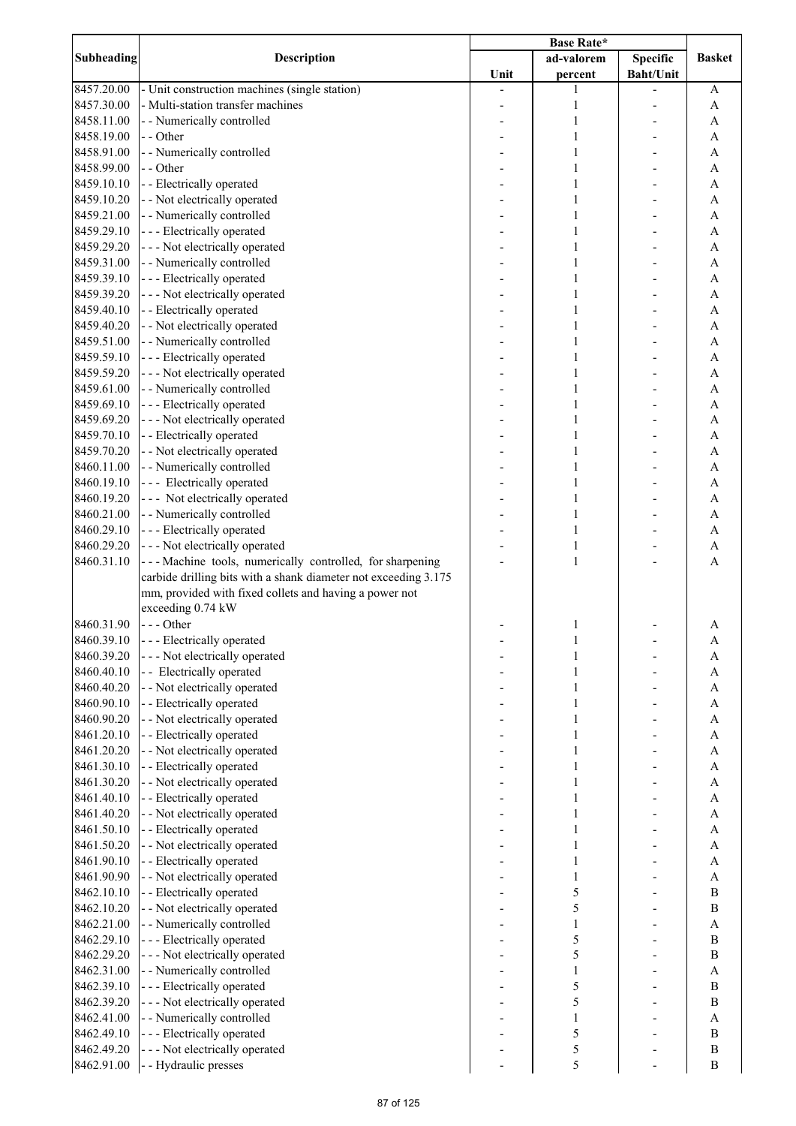| Subheading | <b>Description</b>                                              |      |              |                  |                  |
|------------|-----------------------------------------------------------------|------|--------------|------------------|------------------|
|            |                                                                 |      | ad-valorem   | <b>Specific</b>  | <b>Basket</b>    |
|            |                                                                 | Unit | percent      | <b>Baht/Unit</b> |                  |
| 8457.20.00 | - Unit construction machines (single station)                   |      | 1            |                  | A                |
| 8457.30.00 | - Multi-station transfer machines                               |      | 1            |                  | A                |
| 8458.11.00 | - - Numerically controlled                                      |      | 1            |                  | A                |
| 8458.19.00 | - - Other                                                       |      | 1            |                  | A                |
| 8458.91.00 | - - Numerically controlled                                      |      | 1            |                  | A                |
|            |                                                                 |      |              |                  |                  |
| 8458.99.00 | - - Other                                                       |      | 1            |                  | A                |
| 8459.10.10 | - - Electrically operated                                       |      | 1            |                  | A                |
| 8459.10.20 | - - Not electrically operated                                   |      | 1            |                  | $\mathbf{A}$     |
| 8459.21.00 | - - Numerically controlled                                      |      | 1            |                  | A                |
| 8459.29.10 | --- Electrically operated                                       |      | 1            |                  | $\mathbf{A}$     |
| 8459.29.20 | --- Not electrically operated                                   |      | 1            |                  | $\mathbf{A}$     |
| 8459.31.00 | - - Numerically controlled                                      |      |              |                  | $\overline{A}$   |
| 8459.39.10 | --- Electrically operated                                       |      | 1            |                  | $\mathbf{A}$     |
| 8459.39.20 | --- Not electrically operated                                   |      | 1            |                  | $\mathbf{A}$     |
| 8459.40.10 | - - Electrically operated                                       |      |              |                  | $\mathbf{A}$     |
| 8459.40.20 | - - Not electrically operated                                   |      | 1            |                  | $\mathbf{A}$     |
| 8459.51.00 | - - Numerically controlled                                      |      | 1            |                  | $\mathbf{A}$     |
| 8459.59.10 | --- Electrically operated                                       |      | 1            |                  | A                |
| 8459.59.20 | --- Not electrically operated                                   |      | $\mathbf{1}$ |                  | A                |
| 8459.61.00 | - - Numerically controlled                                      |      | 1            |                  | A                |
|            |                                                                 |      |              |                  |                  |
| 8459.69.10 | - - - Electrically operated                                     |      | 1            |                  | A                |
| 8459.69.20 | --- Not electrically operated                                   |      | 1            |                  | A                |
| 8459.70.10 | - - Electrically operated                                       |      | 1            |                  | $\mathbf{A}$     |
| 8459.70.20 | - - Not electrically operated                                   |      | 1            |                  | $\mathbf{A}$     |
| 8460.11.00 | - - Numerically controlled                                      |      | 1            |                  | $\mathbf{A}$     |
| 8460.19.10 | --- Electrically operated                                       |      | 1            |                  | A                |
| 8460.19.20 | --- Not electrically operated                                   |      | 1            |                  | A                |
| 8460.21.00 | - - Numerically controlled                                      |      | 1            |                  | A                |
| 8460.29.10 | --- Electrically operated                                       |      | 1            |                  | A                |
| 8460.29.20 | --- Not electrically operated                                   |      | $\mathbf{1}$ |                  | A                |
| 8460.31.10 | --- Machine tools, numerically controlled, for sharpening       |      | $\mathbf{1}$ |                  | A                |
|            | carbide drilling bits with a shank diameter not exceeding 3.175 |      |              |                  |                  |
|            | mm, provided with fixed collets and having a power not          |      |              |                  |                  |
|            | exceeding 0.74 kW                                               |      |              |                  |                  |
| 8460.31.90 | --- Other                                                       |      | 1            |                  | A                |
| 8460.39.10 | - - - Electrically operated                                     |      |              |                  | A                |
| 8460.39.20 | --- Not electrically operated                                   |      |              |                  | $\mathbf{A}$     |
| 8460.40.10 | -- Electrically operated                                        |      |              |                  | $\mathbf{A}$     |
|            |                                                                 |      |              |                  |                  |
| 8460.40.20 | - - Not electrically operated                                   |      |              |                  | $\overline{A}$   |
| 8460.90.10 | - - Electrically operated                                       |      |              |                  | $\overline{A}$   |
| 8460.90.20 | - - Not electrically operated                                   |      |              |                  | $\overline{A}$   |
| 8461.20.10 | - - Electrically operated                                       |      |              |                  | $\mathbf{A}$     |
| 8461.20.20 | - - Not electrically operated                                   |      |              |                  | $\mathbf{A}$     |
| 8461.30.10 | - - Electrically operated                                       |      |              |                  | $\mathbf{A}$     |
| 8461.30.20 | - - Not electrically operated                                   |      | 1            |                  | $\mathbf{A}$     |
| 8461.40.10 | - - Electrically operated                                       |      | 1            |                  | $\mathbf{A}$     |
| 8461.40.20 | - - Not electrically operated                                   |      | 1            |                  | $\mathbf{A}$     |
| 8461.50.10 | - - Electrically operated                                       |      | 1            |                  | $\mathbf{A}$     |
| 8461.50.20 | - - Not electrically operated                                   |      | 1            |                  | $\mathbf{A}$     |
| 8461.90.10 | - - Electrically operated                                       |      | 1            |                  | $\mathbf{A}$     |
| 8461.90.90 | - - Not electrically operated                                   |      | 1            |                  | $\mathbf{A}$     |
| 8462.10.10 | - - Electrically operated                                       |      | 5            |                  | $\bf{B}$         |
| 8462.10.20 | - - Not electrically operated                                   |      | 5            |                  | B                |
| 8462.21.00 | - - Numerically controlled                                      |      | 1            |                  | $\mathbf{A}$     |
| 8462.29.10 | --- Electrically operated                                       |      | 5            |                  | $\bf{B}$         |
|            |                                                                 |      |              |                  |                  |
| 8462.29.20 | --- Not electrically operated                                   |      | 5            |                  | $\bf{B}$         |
| 8462.31.00 | - - Numerically controlled                                      |      | $\mathbf{1}$ |                  | $\mathbf{A}$     |
| 8462.39.10 | --- Electrically operated                                       |      | 5            |                  | $\boldsymbol{B}$ |
| 8462.39.20 | - - - Not electrically operated                                 |      | 5            |                  | $\boldsymbol{B}$ |
| 8462.41.00 | - - Numerically controlled                                      |      | 1            |                  | $\mathbf{A}$     |
| 8462.49.10 | --- Electrically operated                                       |      | 5            |                  | $\bf{B}$         |
| 8462.49.20 | --- Not electrically operated                                   |      | 5            |                  | $\, {\bf B}$     |
| 8462.91.00 | - - Hydraulic presses                                           |      | 5            |                  | $\bf{B}$         |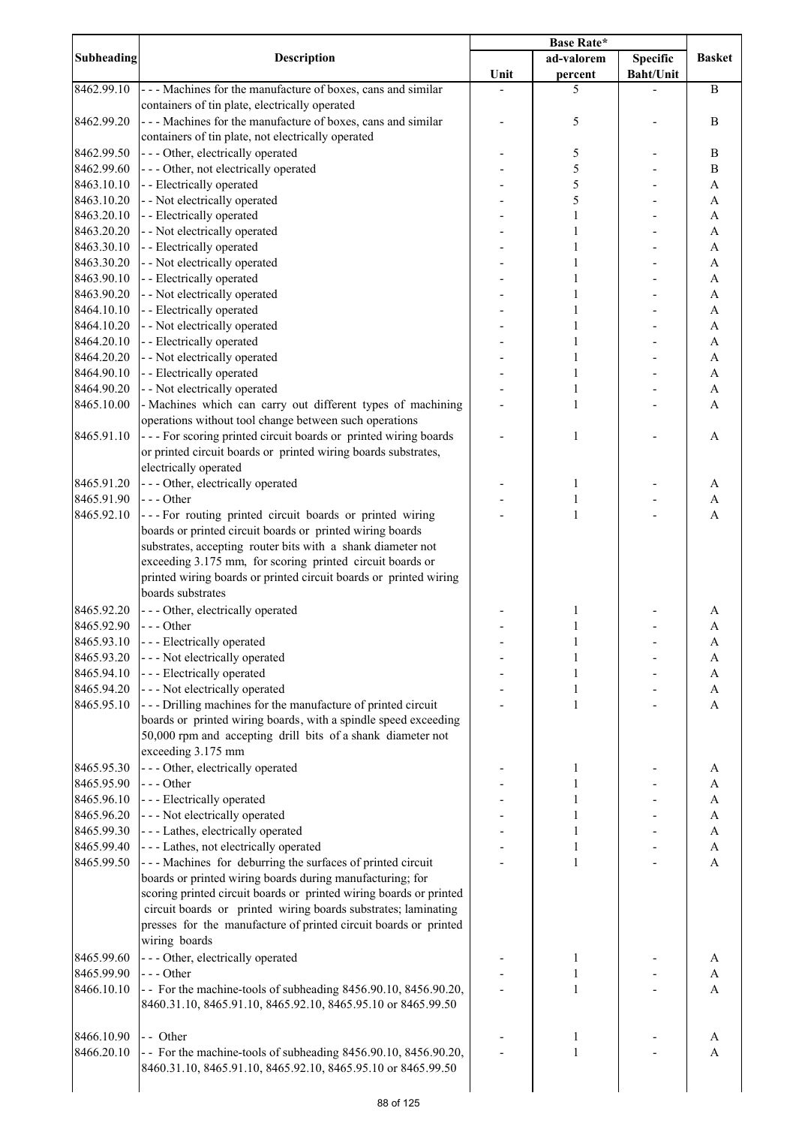|                   |                                                                                                                               | <b>Base Rate*</b> |              |                  |               |
|-------------------|-------------------------------------------------------------------------------------------------------------------------------|-------------------|--------------|------------------|---------------|
| <b>Subheading</b> | Description                                                                                                                   |                   | ad-valorem   | Specific         | <b>Basket</b> |
|                   |                                                                                                                               | Unit              | percent      | <b>Baht/Unit</b> |               |
| 8462.99.10        | --- Machines for the manufacture of boxes, cans and similar                                                                   |                   | 5            |                  | $\bf{B}$      |
|                   | containers of tin plate, electrically operated                                                                                |                   |              |                  |               |
| 8462.99.20        | --- Machines for the manufacture of boxes, cans and similar                                                                   |                   | 5            |                  | $\bf{B}$      |
|                   | containers of tin plate, not electrically operated                                                                            |                   |              |                  |               |
| 8462.99.50        | --- Other, electrically operated                                                                                              |                   | 5            |                  | B             |
| 8462.99.60        | --- Other, not electrically operated                                                                                          |                   | 5            |                  | $\, {\bf B}$  |
| 8463.10.10        | - - Electrically operated                                                                                                     |                   | 5            |                  | A             |
| 8463.10.20        | - - Not electrically operated                                                                                                 |                   | 5            |                  | A             |
| 8463.20.10        | - - Electrically operated                                                                                                     |                   | $\mathbf{1}$ |                  | A             |
| 8463.20.20        | - - Not electrically operated                                                                                                 |                   | 1            |                  | A             |
| 8463.30.10        | - - Electrically operated                                                                                                     |                   | 1            |                  | A             |
| 8463.30.20        | - - Not electrically operated                                                                                                 |                   |              |                  | A             |
| 8463.90.10        | - - Electrically operated                                                                                                     |                   |              |                  | A             |
| 8463.90.20        | - - Not electrically operated                                                                                                 |                   |              |                  | A             |
| 8464.10.10        | - - Electrically operated                                                                                                     |                   |              |                  | A             |
| 8464.10.20        | - - Not electrically operated                                                                                                 |                   |              |                  | $\mathbf{A}$  |
| 8464.20.10        | - - Electrically operated                                                                                                     |                   | 1            |                  | $\mathbf{A}$  |
| 8464.20.20        | - - Not electrically operated                                                                                                 |                   | 1            |                  | $\mathbf{A}$  |
| 8464.90.10        | - - Electrically operated                                                                                                     |                   | 1            |                  | A             |
| 8464.90.20        | - - Not electrically operated                                                                                                 |                   | $\mathbf{1}$ |                  | A             |
| 8465.10.00        | - Machines which can carry out different types of machining                                                                   |                   | $\mathbf{1}$ |                  | A             |
|                   | operations without tool change between such operations                                                                        |                   |              |                  |               |
| 8465.91.10        | --- For scoring printed circuit boards or printed wiring boards                                                               |                   | $\mathbf{1}$ |                  | A             |
|                   | or printed circuit boards or printed wiring boards substrates,                                                                |                   |              |                  |               |
|                   | electrically operated                                                                                                         |                   |              |                  |               |
| 8465.91.20        | --- Other, electrically operated                                                                                              |                   | 1            |                  | A             |
| 8465.91.90        | $--$ Other                                                                                                                    |                   | $\mathbf{1}$ |                  | A             |
| 8465.92.10        | --- For routing printed circuit boards or printed wiring                                                                      |                   | $\mathbf{1}$ |                  | $\mathbf{A}$  |
|                   | boards or printed circuit boards or printed wiring boards                                                                     |                   |              |                  |               |
|                   | substrates, accepting router bits with a shank diameter not                                                                   |                   |              |                  |               |
|                   | exceeding 3.175 mm, for scoring printed circuit boards or                                                                     |                   |              |                  |               |
|                   | printed wiring boards or printed circuit boards or printed wiring                                                             |                   |              |                  |               |
|                   | boards substrates                                                                                                             |                   |              |                  |               |
| 8465.92.20        | --- Other, electrically operated                                                                                              |                   | 1            |                  | A             |
| 8465.92.90        | $--$ Other                                                                                                                    |                   | $\mathbf{1}$ |                  | A             |
| 8465.93.10        | - - - Electrically operated                                                                                                   |                   | 1            |                  | A             |
| 8465.93.20        | --- Not electrically operated                                                                                                 |                   |              |                  | A             |
| 8465.94.10        | --- Electrically operated                                                                                                     |                   | 1            |                  | A             |
| 8465.94.20        | --- Not electrically operated                                                                                                 |                   | 1            |                  | A             |
| 8465.95.10        | --- Drilling machines for the manufacture of printed circuit                                                                  |                   | 1            |                  | A             |
|                   | boards or printed wiring boards, with a spindle speed exceeding                                                               |                   |              |                  |               |
|                   | 50,000 rpm and accepting drill bits of a shank diameter not                                                                   |                   |              |                  |               |
|                   | exceeding 3.175 mm                                                                                                            |                   |              |                  |               |
|                   |                                                                                                                               |                   |              |                  |               |
| 8465.95.30        | --- Other, electrically operated                                                                                              |                   | 1            |                  | A             |
| 8465.95.90        | --- Other                                                                                                                     |                   |              |                  | A             |
| 8465.96.10        | - - - Electrically operated                                                                                                   |                   |              |                  | A             |
| 8465.96.20        | --- Not electrically operated                                                                                                 |                   |              |                  | A             |
| 8465.99.30        | - - - Lathes, electrically operated                                                                                           |                   |              |                  | A             |
| 8465.99.40        | --- Lathes, not electrically operated                                                                                         |                   | $\mathbf{1}$ |                  | A             |
| 8465.99.50        | --- Machines for deburring the surfaces of printed circuit                                                                    |                   | $\mathbf{1}$ |                  | A             |
|                   | boards or printed wiring boards during manufacturing; for                                                                     |                   |              |                  |               |
|                   | scoring printed circuit boards or printed wiring boards or printed                                                            |                   |              |                  |               |
|                   | circuit boards or printed wiring boards substrates; laminating                                                                |                   |              |                  |               |
|                   | presses for the manufacture of printed circuit boards or printed                                                              |                   |              |                  |               |
|                   | wiring boards                                                                                                                 |                   |              |                  |               |
| 8465.99.60        | - - - Other, electrically operated                                                                                            |                   | 1            |                  | A             |
| 8465.99.90        | $--$ Other                                                                                                                    |                   | 1            |                  | A             |
|                   | - For the machine-tools of subheading 8456.90.10, 8456.90.20,                                                                 |                   | 1            |                  | A             |
|                   |                                                                                                                               |                   |              |                  |               |
| 8466.10.10        | 8460.31.10, 8465.91.10, 8465.92.10, 8465.95.10 or 8465.99.50                                                                  |                   |              |                  |               |
|                   |                                                                                                                               |                   |              |                  |               |
| 8466.10.90        | - - Other                                                                                                                     |                   | 1            |                  | A             |
| 8466.20.10        | - For the machine-tools of subheading 8456.90.10, 8456.90.20,<br>8460.31.10, 8465.91.10, 8465.92.10, 8465.95.10 or 8465.99.50 |                   | 1            |                  | $\mathbf{A}$  |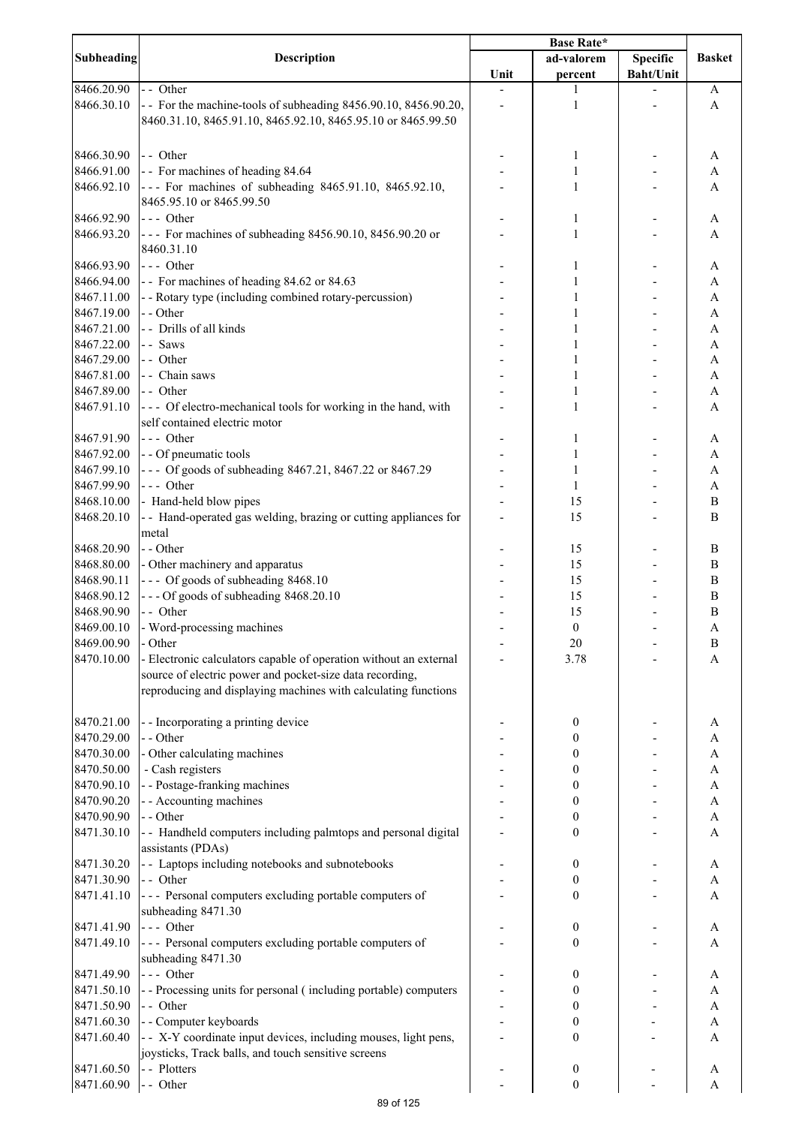| <b>Subheading</b>        | <b>Description</b>                                                           | Unit | ad-valorem<br>percent | <b>Specific</b><br><b>Baht/Unit</b> | <b>Basket</b>  |
|--------------------------|------------------------------------------------------------------------------|------|-----------------------|-------------------------------------|----------------|
| 8466.20.90               | - - Other                                                                    |      |                       |                                     | A              |
| 8466.30.10               | - For the machine-tools of subheading 8456.90.10, 8456.90.20,                |      | 1                     |                                     | A              |
|                          | 8460.31.10, 8465.91.10, 8465.92.10, 8465.95.10 or 8465.99.50                 |      |                       |                                     |                |
|                          |                                                                              |      |                       |                                     |                |
| 8466.30.90               | - - Other                                                                    |      | 1                     |                                     | A              |
| 8466.91.00               | - For machines of heading 84.64                                              |      | $\mathbf{1}$          |                                     | A              |
| 8466.92.10               | --- For machines of subheading 8465.91.10, 8465.92.10,                       |      | 1                     |                                     | A              |
|                          | 8465.95.10 or 8465.99.50                                                     |      |                       |                                     |                |
| 8466.92.90               | $\left  - - \right $ Other                                                   |      | 1                     |                                     | A              |
| 8466.93.20               | --- For machines of subheading 8456.90.10, 8456.90.20 or                     |      | 1                     |                                     | A              |
|                          | 8460.31.10                                                                   |      |                       |                                     |                |
| 8466.93.90               | $\left  - - \right $ Other                                                   |      | 1                     |                                     | A              |
| 8466.94.00               | - For machines of heading 84.62 or 84.63                                     |      | 1                     |                                     | A              |
| 8467.11.00               | - - Rotary type (including combined rotary-percussion)                       |      | 1                     |                                     | A              |
| 8467.19.00               | - - Other                                                                    |      |                       |                                     | A              |
| 8467.21.00               | - - Drills of all kinds                                                      |      |                       |                                     | A              |
| 8467.22.00               | -- Saws                                                                      |      |                       |                                     | A              |
| 8467.29.00               | - - Other                                                                    |      | 1                     |                                     | A              |
| 8467.81.00               | - - Chain saws                                                               |      | 1                     |                                     | A              |
| 8467.89.00               | - - Other                                                                    |      | 1                     |                                     | A              |
| 8467.91.10               | --- Of electro-mechanical tools for working in the hand, with                |      | 1                     |                                     | A              |
|                          | self contained electric motor                                                |      |                       |                                     |                |
| 8467.91.90               | $--$ Other                                                                   |      | 1                     |                                     | A              |
| 8467.92.00               | - - Of pneumatic tools                                                       |      | 1                     |                                     | A              |
| 8467.99.10               | --- Of goods of subheading 8467.21, 8467.22 or 8467.29                       |      | 1                     |                                     | A              |
| 8467.99.90               | --- Other                                                                    |      | 1                     |                                     | A              |
| 8468.10.00               | - Hand-held blow pipes                                                       |      | 15                    |                                     | $\, {\bf B}$   |
| 8468.20.10               | - - Hand-operated gas welding, brazing or cutting appliances for             |      | 15                    |                                     | $\overline{B}$ |
|                          | metal                                                                        |      |                       |                                     |                |
| 8468.20.90               | - - Other                                                                    |      | 15                    |                                     | B              |
| 8468.80.00               | - Other machinery and apparatus                                              |      | 15                    |                                     | $\, {\bf B}$   |
| 8468.90.11               | --- Of goods of subheading 8468.10                                           |      | 15                    |                                     | $\, {\bf B}$   |
| 8468.90.12               | --- Of goods of subheading 8468.20.10                                        |      | 15                    |                                     | $\, {\bf B}$   |
| 8468.90.90               | - - Other                                                                    |      | 15                    |                                     | $\bf{B}$       |
| 8469.00.10               | - Word-processing machines                                                   |      | $\boldsymbol{0}$      |                                     | $\mathbf{A}$   |
| 8469.00.90<br>8470.10.00 | - Other<br>- Electronic calculators capable of operation without an external |      | $20\,$                |                                     | $\, {\bf B}$   |
|                          | source of electric power and pocket-size data recording,                     |      | 3.78                  |                                     | A              |
|                          | reproducing and displaying machines with calculating functions               |      |                       |                                     |                |
| 8470.21.00               | - - Incorporating a printing device                                          |      | 0                     |                                     | A              |
| 8470.29.00               | - - Other                                                                    |      | 0                     |                                     | A              |
| 8470.30.00               | - Other calculating machines                                                 |      | 0                     |                                     | A              |
| 8470.50.00               | - Cash registers                                                             |      | 0                     |                                     | A              |
| 8470.90.10               | - - Postage-franking machines                                                |      | 0                     |                                     | A              |
| 8470.90.20               | - - Accounting machines                                                      |      | 0                     |                                     | A              |
| 8470.90.90               | - - Other                                                                    |      | 0                     |                                     | A              |
| 8471.30.10               | - - Handheld computers including palmtops and personal digital               |      | 0                     |                                     | A              |
|                          | assistants (PDAs)                                                            |      |                       |                                     |                |
| 8471.30.20               | - - Laptops including notebooks and subnotebooks                             |      | 0                     |                                     | A              |
| 8471.30.90               | - - Other                                                                    |      | 0                     |                                     | A              |
| 8471.41.10               | --- Personal computers excluding portable computers of                       |      | 0                     |                                     | A              |
|                          | subheading 8471.30                                                           |      |                       |                                     |                |
| 8471.41.90               | --- Other                                                                    |      | 0                     |                                     | A              |
| 8471.49.10               | --- Personal computers excluding portable computers of<br>subheading 8471.30 |      | 0                     |                                     | A              |
| 8471.49.90               | --- Other                                                                    |      | 0                     |                                     | A              |
| 8471.50.10               | - - Processing units for personal (including portable) computers             |      | 0                     |                                     | A              |
| 8471.50.90               | - - Other                                                                    |      | 0                     |                                     | $\mathbf{A}$   |
| 8471.60.30               | - - Computer keyboards                                                       |      | 0                     |                                     | $\mathbf{A}$   |
| 8471.60.40               | - - X-Y coordinate input devices, including mouses, light pens,              |      | $\boldsymbol{0}$      |                                     | A              |
|                          | joysticks, Track balls, and touch sensitive screens                          |      |                       |                                     |                |
| 8471.60.50               | - - Plotters                                                                 |      | $\boldsymbol{0}$      |                                     | A              |
| 8471.60.90               | - - Other                                                                    |      | $\boldsymbol{0}$      |                                     | A              |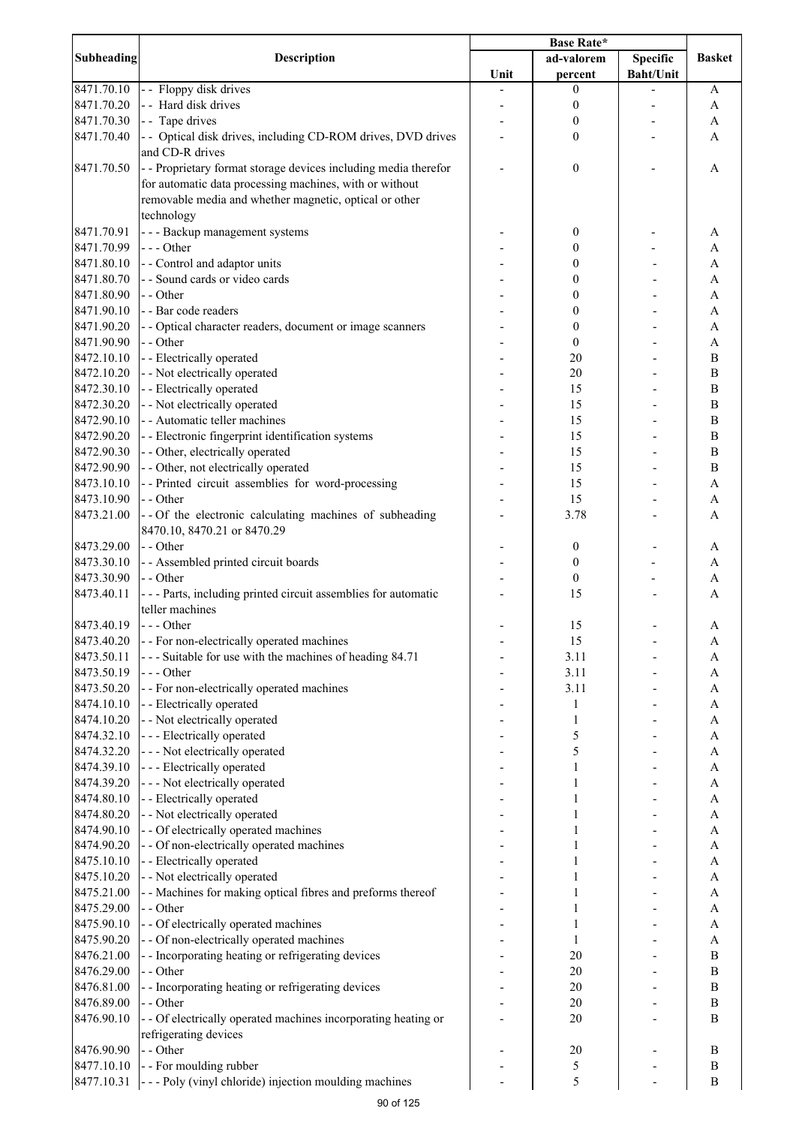| Subheading | <b>Description</b>                                              | <b>Base Rate*</b> |                  |                  |                  |
|------------|-----------------------------------------------------------------|-------------------|------------------|------------------|------------------|
|            |                                                                 |                   | ad-valorem       | <b>Specific</b>  | <b>Basket</b>    |
|            |                                                                 | Unit              | percent          | <b>Baht/Unit</b> |                  |
| 8471.70.10 | - - Floppy disk drives                                          |                   | 0                |                  | A                |
| 8471.70.20 | - - Hard disk drives                                            |                   | 0                |                  | A                |
| 8471.70.30 | - Tape drives                                                   |                   | 0                |                  | A                |
| 8471.70.40 | - - Optical disk drives, including CD-ROM drives, DVD drives    |                   | 0                |                  | A                |
|            | and CD-R drives                                                 |                   |                  |                  |                  |
|            |                                                                 |                   |                  |                  |                  |
| 8471.70.50 | - - Proprietary format storage devices including media therefor |                   | $\boldsymbol{0}$ |                  | Α                |
|            | for automatic data processing machines, with or without         |                   |                  |                  |                  |
|            | removable media and whether magnetic, optical or other          |                   |                  |                  |                  |
|            | technology                                                      |                   |                  |                  |                  |
| 8471.70.91 | - - - Backup management systems                                 |                   | 0                |                  | A                |
| 8471.70.99 | $--$ Other                                                      |                   | 0                |                  | A                |
| 8471.80.10 | - - Control and adaptor units                                   |                   | 0                |                  | A                |
| 8471.80.70 | - - Sound cards or video cards                                  |                   | 0                |                  | A                |
| 8471.80.90 | - - Other                                                       |                   | 0                |                  | A                |
| 8471.90.10 | - - Bar code readers                                            |                   | 0                |                  | A                |
| 8471.90.20 | - - Optical character readers, document or image scanners       |                   | 0                |                  | A                |
| 8471.90.90 | - - Other                                                       |                   | $\boldsymbol{0}$ |                  | $\mathbf{A}$     |
| 8472.10.10 | - - Electrically operated                                       |                   | 20               |                  | $\bf{B}$         |
| 8472.10.20 | - - Not electrically operated                                   |                   | 20               |                  | $\, {\bf B}$     |
| 8472.30.10 | - - Electrically operated                                       |                   | 15               |                  | $\overline{B}$   |
| 8472.30.20 | - - Not electrically operated                                   |                   | 15               |                  | $\bf{B}$         |
|            |                                                                 |                   |                  |                  |                  |
| 8472.90.10 | - - Automatic teller machines                                   |                   | 15               |                  | $\bf{B}$         |
| 8472.90.20 | - - Electronic fingerprint identification systems               |                   | 15               |                  | $\bf{B}$         |
| 8472.90.30 | - - Other, electrically operated                                |                   | 15               |                  | $\bf{B}$         |
| 8472.90.90 | - - Other, not electrically operated                            |                   | 15               |                  | $\bf{B}$         |
| 8473.10.10 | -- Printed circuit assemblies for word-processing               |                   | 15               |                  | A                |
| 8473.10.90 | -- Other                                                        |                   | 15               |                  | A                |
| 8473.21.00 | -- Of the electronic calculating machines of subheading         |                   | 3.78             |                  | A                |
|            | 8470.10, 8470.21 or 8470.29                                     |                   |                  |                  |                  |
| 8473.29.00 | - - Other                                                       |                   | 0                |                  | A                |
| 8473.30.10 | - - Assembled printed circuit boards                            |                   | $\boldsymbol{0}$ |                  | A                |
| 8473.30.90 | - - Other                                                       |                   | $\boldsymbol{0}$ |                  | A                |
| 8473.40.11 | --- Parts, including printed circuit assemblies for automatic   |                   | 15               |                  | A                |
|            | teller machines                                                 |                   |                  |                  |                  |
| 8473.40.19 | $--$ Other                                                      |                   | 15               |                  | Α                |
| 8473.40.20 | - - For non-electrically operated machines                      |                   | 15               |                  | A                |
| 8473.50.11 | --- Suitable for use with the machines of heading 84.71         |                   | 3.11             |                  | A                |
| 8473.50.19 | --- Other                                                       |                   | 3.11             |                  | A                |
|            |                                                                 |                   |                  |                  |                  |
| 8473.50.20 | - - For non-electrically operated machines                      |                   | 3.11             |                  | A                |
| 8474.10.10 | - - Electrically operated                                       |                   | 1                |                  | A                |
| 8474.10.20 | - - Not electrically operated                                   |                   | 1                |                  | A                |
| 8474.32.10 | --- Electrically operated                                       |                   | 5                |                  | A                |
| 8474.32.20 | --- Not electrically operated                                   |                   | 5                |                  | A                |
| 8474.39.10 | --- Electrically operated                                       |                   | 1                |                  | $\mathbf{A}$     |
| 8474.39.20 | --- Not electrically operated                                   |                   |                  |                  | $\mathbf{A}$     |
| 8474.80.10 | - - Electrically operated                                       |                   |                  |                  | $\mathbf{A}$     |
| 8474.80.20 | - - Not electrically operated                                   |                   |                  |                  | $\mathbf{A}$     |
| 8474.90.10 | - - Of electrically operated machines                           |                   |                  |                  | A                |
| 8474.90.20 | - - Of non-electrically operated machines                       |                   |                  |                  | A                |
| 8475.10.10 | - - Electrically operated                                       |                   |                  |                  | A                |
| 8475.10.20 | - - Not electrically operated                                   |                   | 1                |                  | A                |
| 8475.21.00 | - - Machines for making optical fibres and preforms thereof     |                   | 1                |                  | A                |
| 8475.29.00 | - - Other                                                       |                   | 1                |                  | A                |
| 8475.90.10 | - - Of electrically operated machines                           |                   | 1                |                  | A                |
| 8475.90.20 | - - Of non-electrically operated machines                       |                   | $\mathbf{1}$     |                  | A                |
| 8476.21.00 | - - Incorporating heating or refrigerating devices              |                   | 20               |                  | B                |
|            |                                                                 |                   |                  |                  |                  |
| 8476.29.00 | - - Other                                                       |                   | 20               |                  | $\bf{B}$         |
| 8476.81.00 | - - Incorporating heating or refrigerating devices              |                   | 20               |                  | $\boldsymbol{B}$ |
| 8476.89.00 | - - Other                                                       |                   | 20               |                  | $\, {\bf B}$     |
| 8476.90.10 | - - Of electrically operated machines incorporating heating or  |                   | 20               |                  | B                |
|            | refrigerating devices                                           |                   |                  |                  |                  |
| 8476.90.90 | - - Other                                                       |                   | 20               |                  | B                |
| 8477.10.10 | - - For moulding rubber                                         |                   | 5                |                  | $\, {\bf B}$     |
| 8477.10.31 | --- Poly (vinyl chloride) injection moulding machines           |                   | 5                |                  | $\, {\bf B}$     |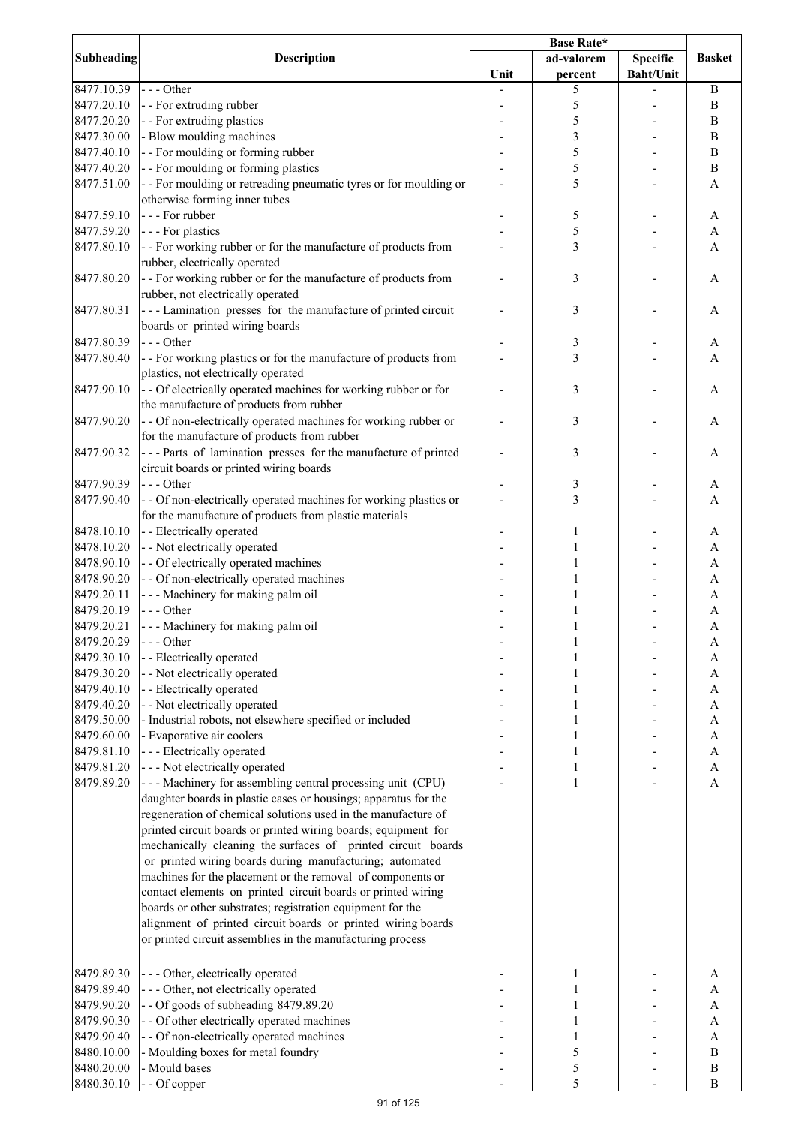| <b>Subheading</b> | Description                                                                                                                |      | ad-valorem | <b>Specific</b>  | <b>Basket</b>             |
|-------------------|----------------------------------------------------------------------------------------------------------------------------|------|------------|------------------|---------------------------|
|                   |                                                                                                                            | Unit | percent    | <b>Baht/Unit</b> |                           |
| 8477.10.39        | --- Other                                                                                                                  |      | 5          |                  | $\bf{B}$                  |
| 8477.20.10        | - - For extruding rubber                                                                                                   |      | 5          |                  | $\, {\bf B}$              |
| 8477.20.20        | - - For extruding plastics                                                                                                 |      | 5          |                  | $\, {\bf B}$              |
| 8477.30.00        | - Blow moulding machines                                                                                                   |      | 3          |                  | $\, {\bf B}$              |
| 8477.40.10        | - - For moulding or forming rubber                                                                                         |      | 5          |                  | $\, {\bf B}$              |
| 8477.40.20        | - - For moulding or forming plastics                                                                                       |      | 5          |                  | $\, {\bf B}$              |
| 8477.51.00        | - - For moulding or retreading pneumatic tyres or for moulding or                                                          |      | 5          |                  | A                         |
|                   | otherwise forming inner tubes                                                                                              |      |            |                  |                           |
| 8477.59.10        | --- For rubber                                                                                                             |      | 5          |                  | A                         |
| 8477.59.20        | - - - For plastics                                                                                                         |      | 5          |                  | A                         |
| 8477.80.10        | - - For working rubber or for the manufacture of products from                                                             |      | 3          |                  | A                         |
|                   | rubber, electrically operated                                                                                              |      |            |                  |                           |
| 8477.80.20        | - - For working rubber or for the manufacture of products from                                                             |      | 3          |                  | A                         |
|                   | rubber, not electrically operated                                                                                          |      |            |                  |                           |
| 8477.80.31        | --- Lamination presses for the manufacture of printed circuit                                                              |      | 3          |                  | A                         |
|                   | boards or printed wiring boards                                                                                            |      |            |                  |                           |
| 8477.80.39        | --- Other                                                                                                                  |      | 3          |                  | A                         |
| 8477.80.40        | - - For working plastics or for the manufacture of products from                                                           |      | 3          |                  | A                         |
|                   | plastics, not electrically operated                                                                                        |      |            |                  |                           |
| 8477.90.10        | - - Of electrically operated machines for working rubber or for                                                            |      | 3          |                  | A                         |
|                   | the manufacture of products from rubber                                                                                    |      |            |                  |                           |
| 8477.90.20        | - - Of non-electrically operated machines for working rubber or                                                            |      | 3          |                  | A                         |
|                   | for the manufacture of products from rubber                                                                                |      |            |                  |                           |
| 8477.90.32        | --- Parts of lamination presses for the manufacture of printed                                                             |      | 3          |                  | Α                         |
|                   | circuit boards or printed wiring boards                                                                                    |      |            |                  |                           |
| 8477.90.39        | --- Other                                                                                                                  |      | 3          |                  | A                         |
| 8477.90.40        | - - Of non-electrically operated machines for working plastics or                                                          |      | 3          |                  | A                         |
|                   | for the manufacture of products from plastic materials                                                                     |      |            |                  |                           |
| 8478.10.10        | - - Electrically operated                                                                                                  |      | 1          |                  | A                         |
| 8478.10.20        | - - Not electrically operated                                                                                              |      | 1          |                  | A                         |
| 8478.90.10        | - - Of electrically operated machines                                                                                      |      | 1          |                  | A                         |
| 8478.90.20        | - - Of non-electrically operated machines                                                                                  |      |            |                  | A                         |
| 8479.20.11        | --- Machinery for making palm oil                                                                                          |      | 1          |                  | A                         |
| 8479.20.19        | $--- Other$                                                                                                                |      |            |                  | A                         |
| 8479.20.21        | --- Machinery for making palm oil                                                                                          |      | 1          |                  | A                         |
| 8479.20.29        | $--$ Other                                                                                                                 |      | 1          |                  | A                         |
| 8479.30.10        | - - Electrically operated                                                                                                  |      | 1          |                  | A                         |
| 8479.30.20        | - - Not electrically operated                                                                                              |      | 1          |                  | A                         |
| 8479.40.10        | - - Electrically operated                                                                                                  |      | 1          |                  | A                         |
| 8479.40.20        | - - Not electrically operated                                                                                              |      | 1          |                  | A                         |
| 8479.50.00        | - Industrial robots, not elsewhere specified or included                                                                   |      | 1          |                  | A                         |
| 8479.60.00        | - Evaporative air coolers                                                                                                  |      | 1          |                  | A                         |
| 8479.81.10        | --- Electrically operated                                                                                                  |      | 1          |                  | $\boldsymbol{\rm{A}}$     |
| 8479.81.20        | --- Not electrically operated                                                                                              |      | 1          |                  | $\boldsymbol{\mathsf{A}}$ |
| 8479.89.20        | --- Machinery for assembling central processing unit (CPU)                                                                 |      | 1          |                  | $\boldsymbol{\mathsf{A}}$ |
|                   | daughter boards in plastic cases or housings; apparatus for the                                                            |      |            |                  |                           |
|                   | regeneration of chemical solutions used in the manufacture of                                                              |      |            |                  |                           |
|                   | printed circuit boards or printed wiring boards; equipment for                                                             |      |            |                  |                           |
|                   | mechanically cleaning the surfaces of printed circuit boards                                                               |      |            |                  |                           |
|                   |                                                                                                                            |      |            |                  |                           |
|                   | or printed wiring boards during manufacturing; automated                                                                   |      |            |                  |                           |
|                   | machines for the placement or the removal of components or                                                                 |      |            |                  |                           |
|                   | contact elements on printed circuit boards or printed wiring<br>boards or other substrates; registration equipment for the |      |            |                  |                           |
|                   | alignment of printed circuit boards or printed wiring boards                                                               |      |            |                  |                           |
|                   | or printed circuit assemblies in the manufacturing process                                                                 |      |            |                  |                           |
|                   |                                                                                                                            |      |            |                  |                           |
|                   |                                                                                                                            |      |            |                  |                           |
| 8479.89.30        | --- Other, electrically operated                                                                                           |      | 1          |                  | A                         |
| 8479.89.40        | - - - Other, not electrically operated                                                                                     |      | 1          |                  | A                         |
| 8479.90.20        | -- Of goods of subheading 8479.89.20                                                                                       |      | 1          |                  | A                         |
| 8479.90.30        | - - Of other electrically operated machines                                                                                |      | 1          |                  | A                         |
| 8479.90.40        | - - Of non-electrically operated machines                                                                                  |      | 1          |                  | A                         |
| 8480.10.00        | - Moulding boxes for metal foundry                                                                                         |      | 5          |                  | $\, {\bf B}$              |
| 8480.20.00        | - Mould bases                                                                                                              |      | 5          |                  | $\, {\bf B}$              |
| 8480.30.10        | - - Of copper                                                                                                              |      | 5          |                  | $\, {\bf B}$              |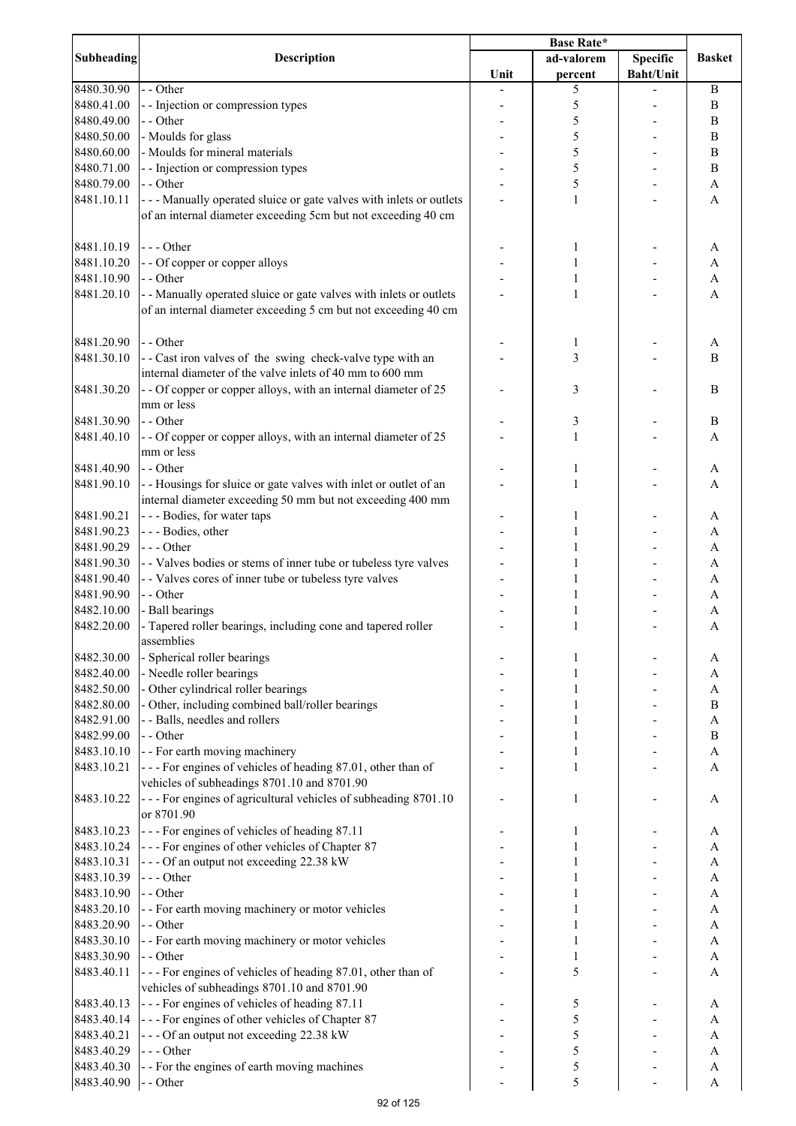|                          |                                                                                                                                     | <b>Base Rate*</b> |            |                  |                                |
|--------------------------|-------------------------------------------------------------------------------------------------------------------------------------|-------------------|------------|------------------|--------------------------------|
| <b>Subheading</b>        | Description                                                                                                                         |                   | ad-valorem | <b>Specific</b>  | <b>Basket</b>                  |
|                          |                                                                                                                                     | Unit              | percent    | <b>Baht/Unit</b> |                                |
| 8480.30.90               | - - Other                                                                                                                           |                   | 5          |                  | B                              |
| 8480.41.00               | - - Injection or compression types                                                                                                  |                   | 5          |                  | $\boldsymbol{B}$               |
| 8480.49.00               | - - Other                                                                                                                           |                   | 5          |                  | $\boldsymbol{B}$               |
| 8480.50.00               | - Moulds for glass                                                                                                                  |                   | 5          |                  | B                              |
| 8480.60.00               | - Moulds for mineral materials                                                                                                      |                   | 5          |                  | $\bf{B}$                       |
| 8480.71.00               | - - Injection or compression types                                                                                                  |                   | 5          |                  | B                              |
| 8480.79.00               | - - Other                                                                                                                           |                   | 5          |                  | A                              |
| 8481.10.11               | --- Manually operated sluice or gate valves with inlets or outlets<br>of an internal diameter exceeding 5cm but not exceeding 40 cm |                   | 1          |                  | A                              |
| 8481.10.19               | $--$ Other                                                                                                                          |                   |            |                  |                                |
| 8481.10.20               |                                                                                                                                     |                   | 1          |                  | A                              |
| 8481.10.90               | - - Of copper or copper alloys<br>- - Other                                                                                         |                   | 1<br>1     |                  | A<br>A                         |
| 8481.20.10               | - - Manually operated sluice or gate valves with inlets or outlets                                                                  |                   | 1          |                  | A                              |
|                          | of an internal diameter exceeding 5 cm but not exceeding 40 cm                                                                      |                   |            |                  |                                |
| 8481.20.90               | - - Other                                                                                                                           |                   |            |                  |                                |
| 8481.30.10               | - - Cast iron valves of the swing check-valve type with an                                                                          |                   | 1<br>3     |                  | A<br>B                         |
|                          | internal diameter of the valve inlets of 40 mm to 600 mm                                                                            |                   |            |                  |                                |
| 8481.30.20               | - - Of copper or copper alloys, with an internal diameter of 25                                                                     |                   | 3          |                  | B                              |
|                          | mm or less<br>- - Other                                                                                                             |                   |            |                  |                                |
| 8481.30.90<br>8481.40.10 | - - Of copper or copper alloys, with an internal diameter of 25                                                                     |                   | 3<br>1     |                  | $\, {\bf B}$<br>$\overline{A}$ |
|                          | mm or less                                                                                                                          |                   |            |                  |                                |
| 8481.40.90               | - - Other                                                                                                                           |                   |            |                  | A                              |
| 8481.90.10               | - - Housings for sluice or gate valves with inlet or outlet of an<br>internal diameter exceeding 50 mm but not exceeding 400 mm     |                   | 1          |                  | A                              |
| 8481.90.21               | --- Bodies, for water taps                                                                                                          |                   | 1          |                  | A                              |
| 8481.90.23               | --- Bodies, other                                                                                                                   |                   |            |                  | A                              |
| 8481.90.29               | --- Other                                                                                                                           |                   | 1          |                  | A                              |
| 8481.90.30               | - - Valves bodies or stems of inner tube or tubeless tyre valves                                                                    |                   | 1          |                  | A                              |
| 8481.90.40               | - - Valves cores of inner tube or tubeless tyre valves                                                                              |                   | 1          |                  | A                              |
| 8481.90.90               | - - Other                                                                                                                           |                   | 1          |                  | A                              |
| 8482.10.00               | - Ball bearings                                                                                                                     |                   |            |                  | A                              |
| 8482.20.00               | - Tapered roller bearings, including cone and tapered roller<br>assemblies                                                          |                   | 1          |                  | A                              |
| 8482.30.00               | - Spherical roller bearings                                                                                                         |                   | 1          |                  | A                              |
| 8482.40.00               | - Needle roller bearings                                                                                                            |                   |            |                  | A                              |
| 8482.50.00               | - Other cylindrical roller bearings                                                                                                 |                   |            |                  | A                              |
| 8482.80.00               | - Other, including combined ball/roller bearings                                                                                    |                   | 1          |                  | B                              |
| 8482.91.00               | - - Balls, needles and rollers                                                                                                      |                   | 1          |                  | A                              |
| 8482.99.00               | - - Other                                                                                                                           |                   | 1          |                  | $\, {\bf B}$                   |
| 8483.10.10               | - - For earth moving machinery                                                                                                      |                   | 1          |                  | A                              |
| 8483.10.21               | --- For engines of vehicles of heading 87.01, other than of<br>vehicles of subheadings 8701.10 and 8701.90                          |                   | 1          |                  | A                              |
| 8483.10.22               | --- For engines of agricultural vehicles of subheading 8701.10<br>or 8701.90                                                        |                   | 1          |                  | A                              |
| 8483.10.23               | --- For engines of vehicles of heading 87.11                                                                                        |                   | 1          |                  | A                              |
| 8483.10.24               | --- For engines of other vehicles of Chapter 87                                                                                     |                   |            |                  | A                              |
| 8483.10.31               | --- Of an output not exceeding 22.38 kW                                                                                             |                   |            |                  | $\mathbf{A}$                   |
| 8483.10.39               | --- Other                                                                                                                           |                   |            |                  | $\mathbf{A}$                   |
| 8483.10.90               | - - Other                                                                                                                           |                   |            |                  | $\mathbf{A}$                   |
| 8483.20.10               | - - For earth moving machinery or motor vehicles                                                                                    |                   |            |                  | A                              |
| 8483.20.90               | - - Other                                                                                                                           |                   |            |                  | A                              |
| 8483.30.10               | - - For earth moving machinery or motor vehicles                                                                                    |                   | 1          |                  | A                              |
| 8483.30.90               | - - Other                                                                                                                           |                   | 1          |                  | A                              |
| 8483.40.11               | --- For engines of vehicles of heading 87.01, other than of<br>vehicles of subheadings 8701.10 and 8701.90                          |                   | 5          |                  | A                              |
| 8483.40.13               | --- For engines of vehicles of heading 87.11                                                                                        |                   | 5          |                  | A                              |
| 8483.40.14               | --- For engines of other vehicles of Chapter 87                                                                                     |                   | 5          |                  | A                              |
| 8483.40.21               | --- Of an output not exceeding 22.38 kW                                                                                             |                   | 5          |                  | A                              |
| 8483.40.29               | --- Other                                                                                                                           |                   | 5          |                  | A                              |
| 8483.40.30               | - - For the engines of earth moving machines                                                                                        |                   | 5          |                  | A                              |
| 8483.40.90               | - - Other                                                                                                                           |                   | 5          |                  | A                              |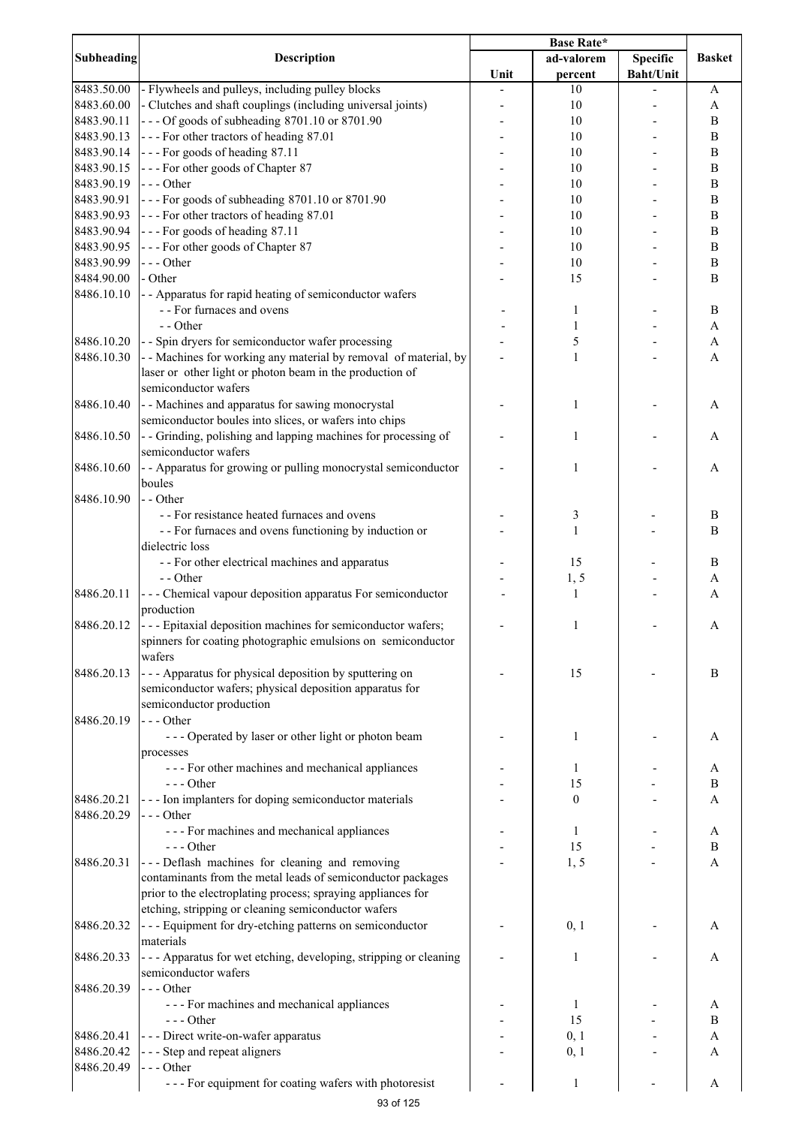|                   |                                                                    | <b>Base Rate*</b> |                  |                  |                  |
|-------------------|--------------------------------------------------------------------|-------------------|------------------|------------------|------------------|
| <b>Subheading</b> | <b>Description</b>                                                 |                   | ad-valorem       | <b>Specific</b>  | <b>Basket</b>    |
|                   |                                                                    | Unit              | percent          | <b>Baht/Unit</b> |                  |
| 8483.50.00        | - Flywheels and pulleys, including pulley blocks                   |                   | 10               |                  | A                |
| 8483.60.00        | - Clutches and shaft couplings (including universal joints)        |                   | 10               |                  | A                |
| 8483.90.11        | --- Of goods of subheading 8701.10 or 8701.90                      |                   | 10               |                  | B                |
| 8483.90.13        | --- For other tractors of heading 87.01                            |                   | 10               |                  | B                |
|                   |                                                                    |                   |                  |                  |                  |
| 8483.90.14        | --- For goods of heading 87.11                                     |                   | 10               |                  | $\, {\bf B}$     |
| 8483.90.15        | --- For other goods of Chapter 87                                  |                   | 10               |                  | B                |
| 8483.90.19        | $--$ Other                                                         |                   | 10               |                  | $\, {\bf B}$     |
| 8483.90.91        | --- For goods of subheading 8701.10 or 8701.90                     |                   | 10               |                  | $\, {\bf B}$     |
| 8483.90.93        | --- For other tractors of heading 87.01                            |                   | 10               |                  | $\, {\bf B}$     |
| 8483.90.94        | --- For goods of heading 87.11                                     |                   | 10               |                  | $\, {\bf B}$     |
| 8483.90.95        | --- For other goods of Chapter 87                                  |                   | 10               |                  | $\, {\bf B}$     |
| 8483.90.99        | --- Other                                                          |                   | 10               |                  | $\, {\bf B}$     |
| 8484.90.00        | - Other                                                            |                   | 15               |                  | B                |
| 8486.10.10        | - - Apparatus for rapid heating of semiconductor wafers            |                   |                  |                  |                  |
|                   | - - For furnaces and ovens                                         |                   | 1                |                  | B                |
|                   | - - Other                                                          |                   | 1                |                  | $\mathbf{A}$     |
| 8486.10.20        | - - Spin dryers for semiconductor wafer processing                 |                   | 5                |                  |                  |
|                   |                                                                    |                   |                  |                  | $\boldsymbol{A}$ |
| 8486.10.30        | - - Machines for working any material by removal of material, by   |                   | 1                |                  | $\mathbf{A}$     |
|                   | laser or other light or photon beam in the production of           |                   |                  |                  |                  |
|                   | semiconductor wafers                                               |                   |                  |                  |                  |
| 8486.10.40        | - - Machines and apparatus for sawing monocrystal                  |                   | 1                |                  | A                |
|                   | semiconductor boules into slices, or wafers into chips             |                   |                  |                  |                  |
| 8486.10.50        | - - Grinding, polishing and lapping machines for processing of     |                   | 1                |                  | Α                |
|                   | semiconductor wafers                                               |                   |                  |                  |                  |
| 8486.10.60        | - - Apparatus for growing or pulling monocrystal semiconductor     |                   | 1                |                  | A                |
|                   | boules                                                             |                   |                  |                  |                  |
| 8486.10.90        | - - Other                                                          |                   |                  |                  |                  |
|                   | - - For resistance heated furnaces and ovens                       |                   |                  |                  | B                |
|                   |                                                                    |                   | 3                |                  |                  |
|                   | - - For furnaces and ovens functioning by induction or             |                   | $\mathbf{1}$     |                  | B                |
|                   | dielectric loss                                                    |                   |                  |                  |                  |
|                   | - - For other electrical machines and apparatus                    |                   | 15               |                  | B                |
|                   | $-$ - Other                                                        |                   | 1, 5             |                  | A                |
| 8486.20.11        | --- Chemical vapour deposition apparatus For semiconductor         |                   | $\mathbf{1}$     |                  | A                |
|                   | production                                                         |                   |                  |                  |                  |
| 8486.20.12        | --- Epitaxial deposition machines for semiconductor wafers;        |                   | 1                |                  | A                |
|                   | spinners for coating photographic emulsions on semiconductor       |                   |                  |                  |                  |
|                   | wafers                                                             |                   |                  |                  |                  |
| 8486.20.13        | --- Apparatus for physical deposition by sputtering on             |                   | 15               |                  | B                |
|                   | semiconductor wafers; physical deposition apparatus for            |                   |                  |                  |                  |
|                   | semiconductor production                                           |                   |                  |                  |                  |
|                   |                                                                    |                   |                  |                  |                  |
| 8486.20.19        | $--$ Other                                                         |                   |                  |                  |                  |
|                   | --- Operated by laser or other light or photon beam                |                   | 1                |                  | A                |
|                   | processes                                                          |                   |                  |                  |                  |
|                   | --- For other machines and mechanical appliances                   |                   | 1                |                  | A                |
|                   | $--$ Other                                                         |                   | 15               |                  | B                |
| 8486.20.21        | --- Ion implanters for doping semiconductor materials              |                   | $\boldsymbol{0}$ |                  | A                |
| 8486.20.29        | $--$ Other                                                         |                   |                  |                  |                  |
|                   | - - - For machines and mechanical appliances                       |                   | 1                |                  | A                |
|                   | $--$ Other                                                         |                   | 15               |                  | $\, {\bf B}$     |
| 8486.20.31        | --- Deflash machines for cleaning and removing                     |                   | 1, 5             |                  | $\overline{A}$   |
|                   | contaminants from the metal leads of semiconductor packages        |                   |                  |                  |                  |
|                   | prior to the electroplating process; spraying appliances for       |                   |                  |                  |                  |
|                   |                                                                    |                   |                  |                  |                  |
|                   | etching, stripping or cleaning semiconductor wafers                |                   |                  |                  |                  |
| 8486.20.32        | - - - Equipment for dry-etching patterns on semiconductor          |                   | 0, 1             |                  | A                |
|                   | materials                                                          |                   |                  |                  |                  |
| 8486.20.33        | - - - Apparatus for wet etching, developing, stripping or cleaning |                   | 1                |                  | A                |
|                   | semiconductor wafers                                               |                   |                  |                  |                  |
| 8486.20.39        | $--$ Other                                                         |                   |                  |                  |                  |
|                   | - - - For machines and mechanical appliances                       |                   | 1                |                  | A                |
|                   | $--$ Other                                                         |                   | 15               |                  | B                |
| 8486.20.41        | --- Direct write-on-wafer apparatus                                |                   | 0, 1             |                  | A                |
| 8486.20.42        | - - - Step and repeat aligners                                     |                   | 0, 1             |                  | A                |
| 8486.20.49        | $--$ Other                                                         |                   |                  |                  |                  |
|                   |                                                                    |                   |                  |                  |                  |
|                   | --- For equipment for coating wafers with photoresist              |                   | 1                |                  | A                |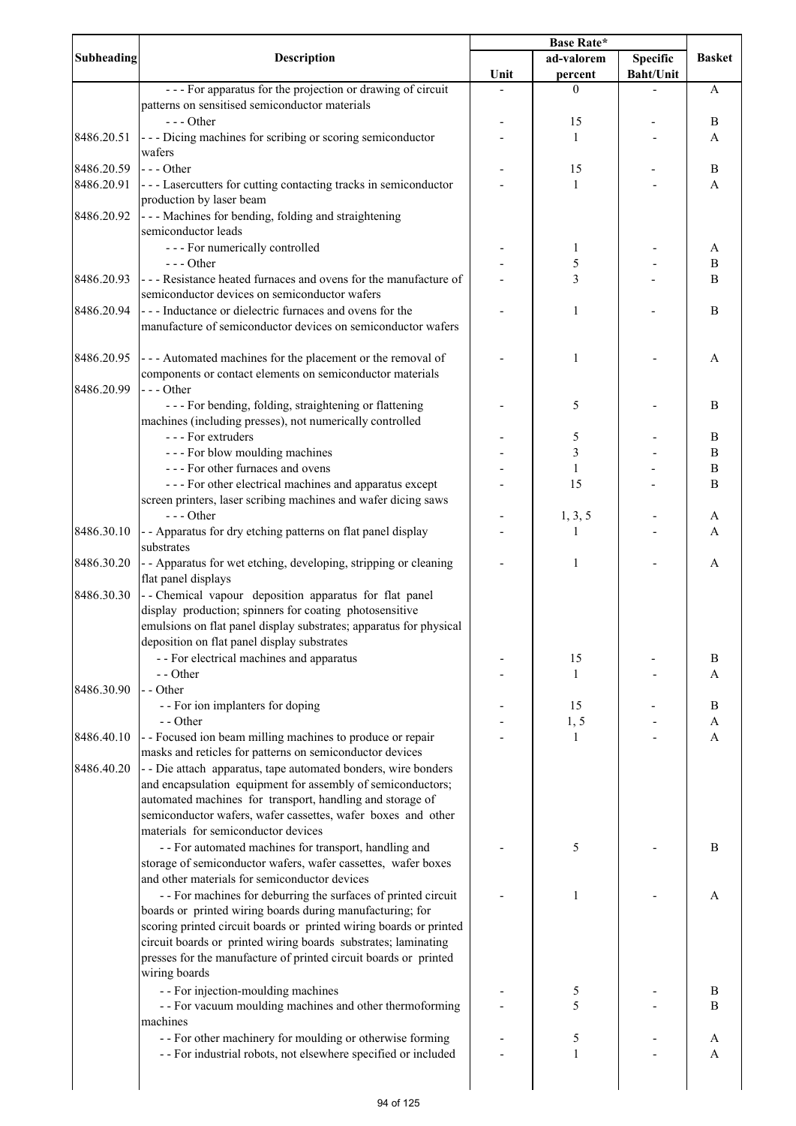|            |                                                                                                                             | Base Rate*                    |                   |                  |               |
|------------|-----------------------------------------------------------------------------------------------------------------------------|-------------------------------|-------------------|------------------|---------------|
| Subheading | Description                                                                                                                 | <b>Specific</b><br>ad-valorem |                   |                  | <b>Basket</b> |
|            |                                                                                                                             | Unit                          | percent           | <b>Baht/Unit</b> |               |
|            | --- For apparatus for the projection or drawing of circuit                                                                  |                               | $\theta$          |                  | A             |
|            | patterns on sensitised semiconductor materials                                                                              |                               |                   |                  |               |
|            | $--$ Other                                                                                                                  |                               | 15                |                  | B             |
| 8486.20.51 | --- Dicing machines for scribing or scoring semiconductor                                                                   |                               | 1                 |                  | A             |
|            | wafers                                                                                                                      |                               |                   |                  |               |
| 8486.20.59 | $--$ Other                                                                                                                  |                               | 15                |                  | B             |
| 8486.20.91 | --- Lasercutters for cutting contacting tracks in semiconductor                                                             |                               | 1                 |                  | A             |
|            | production by laser beam                                                                                                    |                               |                   |                  |               |
| 8486.20.92 | --- Machines for bending, folding and straightening<br>semiconductor leads                                                  |                               |                   |                  |               |
|            | --- For numerically controlled                                                                                              |                               | 1                 |                  | A             |
|            | $--$ Other                                                                                                                  |                               | 5                 |                  | B             |
| 8486.20.93 | --- Resistance heated furnaces and ovens for the manufacture of<br>semiconductor devices on semiconductor wafers            |                               | 3                 |                  | B             |
| 8486.20.94 | --- Inductance or dielectric furnaces and ovens for the                                                                     |                               | 1                 |                  | B             |
|            | manufacture of semiconductor devices on semiconductor wafers                                                                |                               |                   |                  |               |
|            |                                                                                                                             |                               |                   |                  |               |
| 8486.20.95 | --- Automated machines for the placement or the removal of                                                                  |                               | 1                 |                  | A             |
|            | components or contact elements on semiconductor materials                                                                   |                               |                   |                  |               |
| 8486.20.99 | --- Other                                                                                                                   |                               |                   |                  |               |
|            | - - - For bending, folding, straightening or flattening                                                                     |                               | 5                 |                  | B             |
|            | machines (including presses), not numerically controlled                                                                    |                               |                   |                  |               |
|            | --- For extruders                                                                                                           |                               | 5                 |                  | $\bf{B}$      |
|            | --- For blow moulding machines                                                                                              |                               | 3                 |                  | $\bf{B}$      |
|            | --- For other furnaces and ovens                                                                                            |                               | $\mathbf{1}$      |                  | $\, {\bf B}$  |
|            | - - - For other electrical machines and apparatus except                                                                    |                               | 15                |                  | B             |
|            | screen printers, laser scribing machines and wafer dicing saws                                                              |                               |                   |                  |               |
|            | $--$ Other                                                                                                                  |                               | 1, 3, 5           |                  | A             |
| 8486.30.10 | - - Apparatus for dry etching patterns on flat panel display                                                                |                               | 1                 |                  | A             |
|            | substrates                                                                                                                  |                               |                   |                  |               |
| 8486.30.20 | - - Apparatus for wet etching, developing, stripping or cleaning<br>flat panel displays                                     |                               | 1                 |                  | A             |
| 8486.30.30 | -- Chemical vapour deposition apparatus for flat panel                                                                      |                               |                   |                  |               |
|            |                                                                                                                             |                               |                   |                  |               |
|            | display production; spinners for coating photosensitive                                                                     |                               |                   |                  |               |
|            | emulsions on flat panel display substrates; apparatus for physical                                                          |                               |                   |                  |               |
|            | deposition on flat panel display substrates                                                                                 |                               |                   |                  |               |
|            | - - For electrical machines and apparatus                                                                                   |                               | 15                |                  | B             |
|            | - - Other                                                                                                                   |                               | 1                 |                  | A             |
| 8486.30.90 | - - Other                                                                                                                   |                               |                   |                  |               |
|            | - - For ion implanters for doping                                                                                           |                               | 15                |                  | B             |
|            | - - Other                                                                                                                   |                               | 1, 5              |                  | A             |
| 8486.40.10 | - - Focused ion beam milling machines to produce or repair                                                                  |                               | 1                 |                  | A             |
|            | masks and reticles for patterns on semiconductor devices                                                                    |                               |                   |                  |               |
| 8486.40.20 | - - Die attach apparatus, tape automated bonders, wire bonders                                                              |                               |                   |                  |               |
|            | and encapsulation equipment for assembly of semiconductors;                                                                 |                               |                   |                  |               |
|            | automated machines for transport, handling and storage of                                                                   |                               |                   |                  |               |
|            |                                                                                                                             |                               |                   |                  |               |
|            | semiconductor wafers, wafer cassettes, wafer boxes and other<br>materials for semiconductor devices                         |                               |                   |                  |               |
|            |                                                                                                                             |                               |                   |                  |               |
|            | - - For automated machines for transport, handling and                                                                      |                               | 5                 |                  | B             |
|            | storage of semiconductor wafers, wafer cassettes, wafer boxes                                                               |                               |                   |                  |               |
|            | and other materials for semiconductor devices                                                                               |                               |                   |                  |               |
|            | - - For machines for deburring the surfaces of printed circuit                                                              |                               | 1                 |                  | A             |
|            | boards or printed wiring boards during manufacturing; for                                                                   |                               |                   |                  |               |
|            | scoring printed circuit boards or printed wiring boards or printed                                                          |                               |                   |                  |               |
|            | circuit boards or printed wiring boards substrates; laminating                                                              |                               |                   |                  |               |
|            | presses for the manufacture of printed circuit boards or printed                                                            |                               |                   |                  |               |
|            | wiring boards                                                                                                               |                               |                   |                  |               |
|            | - - For injection-moulding machines                                                                                         |                               | 5                 |                  | B             |
|            | - - For vacuum moulding machines and other thermoforming                                                                    |                               | 5                 |                  | B             |
|            |                                                                                                                             |                               |                   |                  |               |
|            |                                                                                                                             |                               |                   |                  |               |
|            | machines                                                                                                                    |                               |                   |                  |               |
|            | - - For other machinery for moulding or otherwise forming<br>- - For industrial robots, not elsewhere specified or included |                               | 5<br>$\mathbf{1}$ |                  | A<br>A        |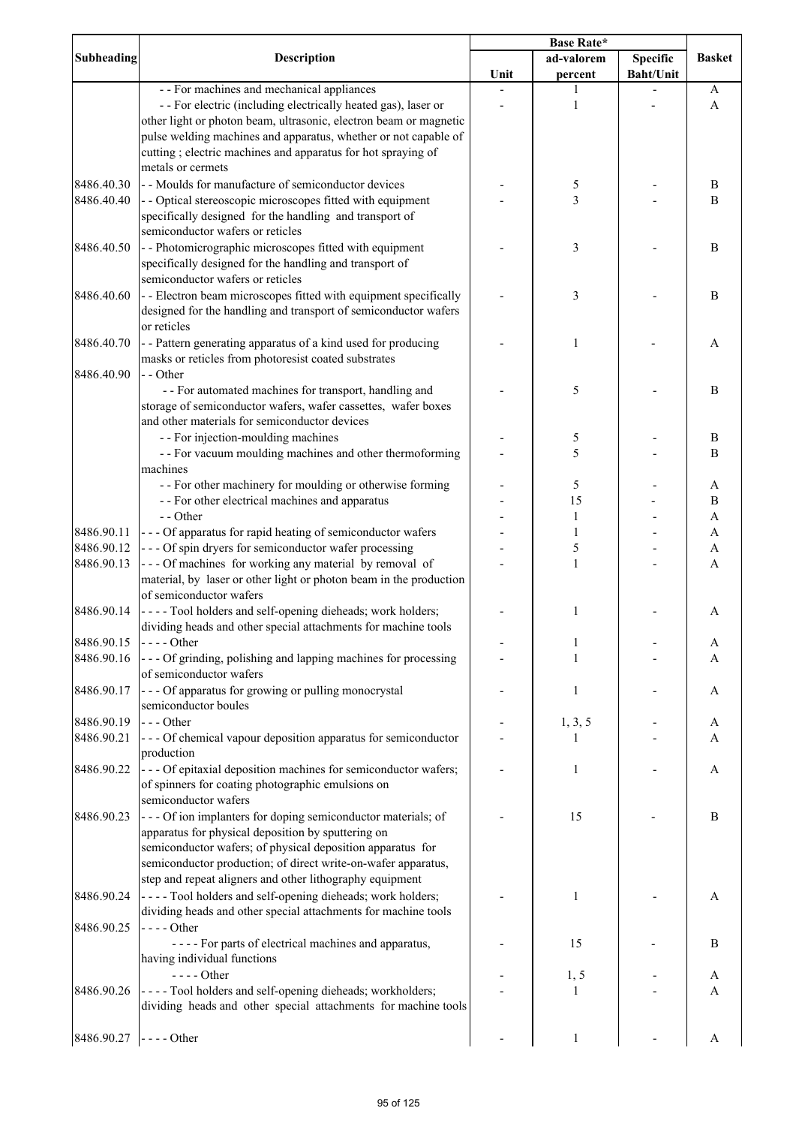|                   |                                                                                                  | Base Rate* |              |                  |                           |
|-------------------|--------------------------------------------------------------------------------------------------|------------|--------------|------------------|---------------------------|
| <b>Subheading</b> | <b>Description</b>                                                                               |            | ad-valorem   | <b>Specific</b>  | <b>Basket</b>             |
|                   |                                                                                                  | Unit       | percent      | <b>Baht/Unit</b> |                           |
|                   | - - For machines and mechanical appliances                                                       |            |              |                  | A                         |
|                   | - - For electric (including electrically heated gas), laser or                                   |            | 1            |                  | A                         |
|                   | other light or photon beam, ultrasonic, electron beam or magnetic                                |            |              |                  |                           |
|                   | pulse welding machines and apparatus, whether or not capable of                                  |            |              |                  |                           |
|                   | cutting ; electric machines and apparatus for hot spraying of                                    |            |              |                  |                           |
|                   | metals or cermets                                                                                |            |              |                  |                           |
| 8486.40.30        | - Moulds for manufacture of semiconductor devices                                                |            | 5            |                  | B                         |
| 8486.40.40        | - - Optical stereoscopic microscopes fitted with equipment                                       |            | 3            |                  | B                         |
|                   | specifically designed for the handling and transport of                                          |            |              |                  |                           |
|                   | semiconductor wafers or reticles                                                                 |            |              |                  |                           |
|                   |                                                                                                  |            |              |                  |                           |
| 8486.40.50        | - - Photomicrographic microscopes fitted with equipment                                          |            | 3            |                  | B                         |
|                   | specifically designed for the handling and transport of                                          |            |              |                  |                           |
|                   | semiconductor wafers or reticles                                                                 |            |              |                  |                           |
| 8486.40.60        | - - Electron beam microscopes fitted with equipment specifically                                 |            | 3            |                  | B                         |
|                   | designed for the handling and transport of semiconductor wafers                                  |            |              |                  |                           |
|                   | or reticles                                                                                      |            |              |                  |                           |
| 8486.40.70        | - - Pattern generating apparatus of a kind used for producing                                    |            | 1            |                  | A                         |
|                   | masks or reticles from photoresist coated substrates                                             |            |              |                  |                           |
| 8486.40.90        | - - Other                                                                                        |            |              |                  |                           |
|                   | - - For automated machines for transport, handling and                                           |            | 5            |                  | B                         |
|                   | storage of semiconductor wafers, wafer cassettes, wafer boxes                                    |            |              |                  |                           |
|                   | and other materials for semiconductor devices                                                    |            |              |                  |                           |
|                   | - - For injection-moulding machines                                                              |            | 5            |                  | B                         |
|                   | - - For vacuum moulding machines and other thermoforming                                         |            | 5            |                  | B                         |
|                   | machines                                                                                         |            |              |                  |                           |
|                   | - - For other machinery for moulding or otherwise forming                                        |            | 5            |                  | A                         |
|                   | - - For other electrical machines and apparatus                                                  |            | 15           |                  | $\, {\bf B}$              |
|                   | - - Other                                                                                        |            | $\mathbf{1}$ |                  | A                         |
| 8486.90.11        | - - - Of apparatus for rapid heating of semiconductor wafers                                     |            | $\mathbf{1}$ |                  | $\boldsymbol{\mathsf{A}}$ |
| 8486.90.12        | --- Of spin dryers for semiconductor wafer processing                                            |            | 5            |                  | $\boldsymbol{A}$          |
| 8486.90.13        | --- Of machines for working any material by removal of                                           |            | $\mathbf{1}$ |                  | A                         |
|                   | material, by laser or other light or photon beam in the production                               |            |              |                  |                           |
|                   | of semiconductor wafers                                                                          |            |              |                  |                           |
|                   |                                                                                                  |            |              |                  |                           |
| 8486.90.14        | - - - - Tool holders and self-opening dieheads; work holders;                                    |            | 1            |                  | A                         |
|                   | dividing heads and other special attachments for machine tools                                   |            |              |                  |                           |
| 8486.90.15        | $\left  \frac{1}{2} \right $ - $\left  \frac{1}{2} \right $ - $\left  \frac{1}{2} \right $ Other |            | 1            |                  | A                         |
| 8486.90.16        | --- Of grinding, polishing and lapping machines for processing                                   |            |              |                  | A                         |
|                   | of semiconductor wafers                                                                          |            |              |                  |                           |
| 8486.90.17        | --- Of apparatus for growing or pulling monocrystal                                              |            | 1            |                  | A                         |
|                   | semiconductor boules                                                                             |            |              |                  |                           |
| 8486.90.19        | $--$ Other                                                                                       |            | 1, 3, 5      |                  | A                         |
| 8486.90.21        | - - - Of chemical vapour deposition apparatus for semiconductor                                  |            | 1            |                  | A                         |
|                   | production                                                                                       |            |              |                  |                           |
| 8486.90.22        | - - - Of epitaxial deposition machines for semiconductor wafers;                                 |            | 1            |                  | A                         |
|                   | of spinners for coating photographic emulsions on                                                |            |              |                  |                           |
|                   | semiconductor wafers                                                                             |            |              |                  |                           |
| 8486.90.23        | --- Of ion implanters for doping semiconductor materials; of                                     |            | 15           |                  | B                         |
|                   | apparatus for physical deposition by sputtering on                                               |            |              |                  |                           |
|                   | semiconductor wafers; of physical deposition apparatus for                                       |            |              |                  |                           |
|                   | semiconductor production; of direct write-on-wafer apparatus,                                    |            |              |                  |                           |
|                   | step and repeat aligners and other lithography equipment                                         |            |              |                  |                           |
| 8486.90.24        | ---- Tool holders and self-opening dieheads; work holders;                                       |            | 1            |                  | A                         |
|                   | dividing heads and other special attachments for machine tools                                   |            |              |                  |                           |
| 8486.90.25        | $---Other$                                                                                       |            |              |                  |                           |
|                   | - - - - For parts of electrical machines and apparatus,                                          |            | 15           |                  | B                         |
|                   |                                                                                                  |            |              |                  |                           |
|                   | having individual functions                                                                      |            |              |                  |                           |
|                   | ---- Other                                                                                       |            | 1, 5         |                  | A                         |
| 8486.90.26        | ---- Tool holders and self-opening dieheads; workholders;                                        |            | 1            |                  | A                         |
|                   | dividing heads and other special attachments for machine tools                                   |            |              |                  |                           |
|                   |                                                                                                  |            |              |                  |                           |
| 8486.90.27        | $\left  - - \right $ - Other                                                                     |            | $\mathbf{1}$ |                  | A                         |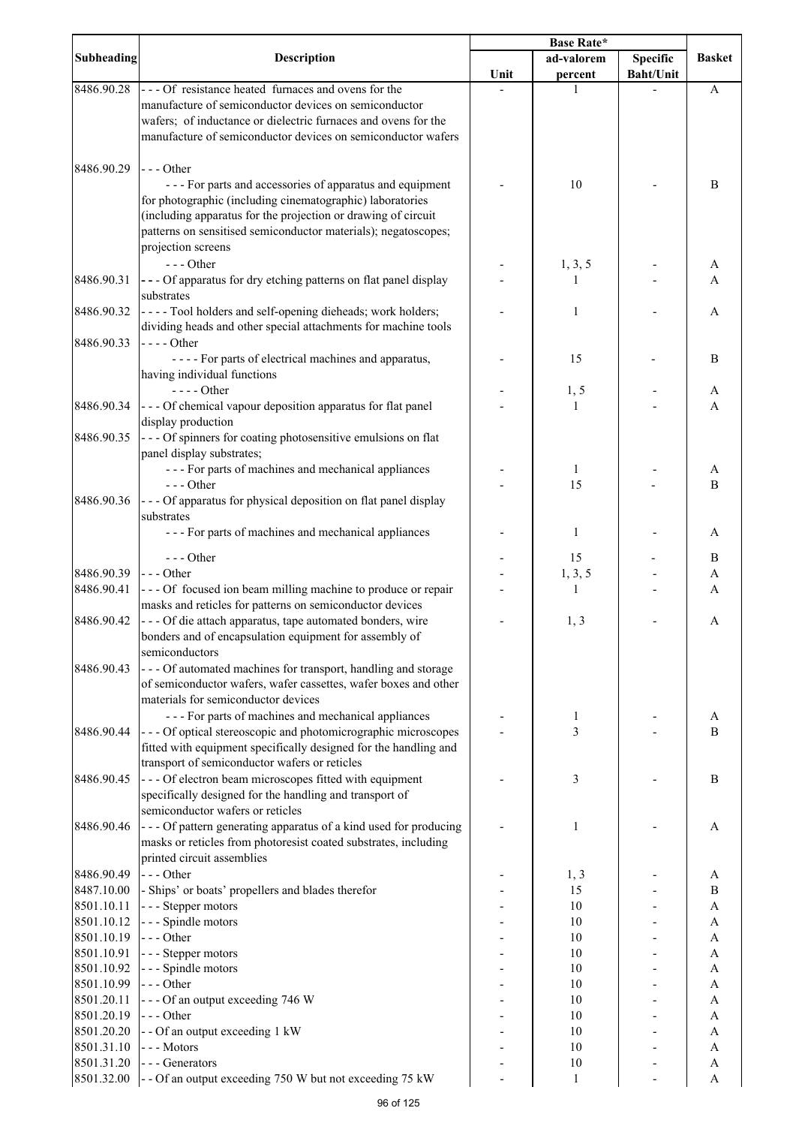| <b>Subheading</b> | <b>Description</b>                                                                                                               | <b>Base Rate*</b> |            |                  |               |
|-------------------|----------------------------------------------------------------------------------------------------------------------------------|-------------------|------------|------------------|---------------|
|                   |                                                                                                                                  |                   | ad-valorem | <b>Specific</b>  | <b>Basket</b> |
|                   |                                                                                                                                  | Unit              | percent    | <b>Baht/Unit</b> |               |
| 8486.90.28        | --- Of resistance heated furnaces and ovens for the                                                                              |                   | 1          |                  | A             |
|                   | manufacture of semiconductor devices on semiconductor                                                                            |                   |            |                  |               |
|                   | wafers; of inductance or dielectric furnaces and ovens for the                                                                   |                   |            |                  |               |
|                   | manufacture of semiconductor devices on semiconductor wafers                                                                     |                   |            |                  |               |
|                   |                                                                                                                                  |                   |            |                  |               |
| 8486.90.29        | $--$ Other                                                                                                                       |                   |            |                  |               |
|                   | --- For parts and accessories of apparatus and equipment                                                                         |                   | 10         |                  | $\, {\bf B}$  |
|                   | for photographic (including cinematographic) laboratories                                                                        |                   |            |                  |               |
|                   | (including apparatus for the projection or drawing of circuit                                                                    |                   |            |                  |               |
|                   | patterns on sensitised semiconductor materials); negatoscopes;                                                                   |                   |            |                  |               |
|                   | projection screens                                                                                                               |                   |            |                  |               |
|                   | $--$ Other                                                                                                                       |                   | 1, 3, 5    |                  | A             |
| 8486.90.31        | --- Of apparatus for dry etching patterns on flat panel display                                                                  |                   | 1          |                  | A             |
|                   | substrates                                                                                                                       |                   |            |                  |               |
| 8486.90.32        | ---- Tool holders and self-opening dieheads; work holders;                                                                       |                   | 1          |                  | A             |
| 8486.90.33        | dividing heads and other special attachments for machine tools                                                                   |                   |            |                  |               |
|                   | $---Other$<br>---- For parts of electrical machines and apparatus,                                                               |                   | 15         |                  | B             |
|                   | having individual functions                                                                                                      |                   |            |                  |               |
|                   | $--- Other$                                                                                                                      |                   | 1, 5       |                  | A             |
| 8486.90.34        | --- Of chemical vapour deposition apparatus for flat panel                                                                       |                   | 1          |                  | A             |
|                   | display production                                                                                                               |                   |            |                  |               |
| 8486.90.35        | --- Of spinners for coating photosensitive emulsions on flat                                                                     |                   |            |                  |               |
|                   | panel display substrates;                                                                                                        |                   |            |                  |               |
|                   | --- For parts of machines and mechanical appliances                                                                              |                   | 1          |                  | A             |
|                   | $--$ Other                                                                                                                       |                   | 15         |                  | B             |
| 8486.90.36        | --- Of apparatus for physical deposition on flat panel display                                                                   |                   |            |                  |               |
|                   | substrates                                                                                                                       |                   |            |                  |               |
|                   | --- For parts of machines and mechanical appliances                                                                              |                   | 1          |                  | A             |
|                   |                                                                                                                                  |                   |            |                  |               |
|                   | $--$ Other                                                                                                                       |                   | 15         |                  | B             |
| 8486.90.39        | $\left  - -$ Other                                                                                                               |                   | 1, 3, 5    |                  | A             |
| 8486.90.41        | --- Of focused ion beam milling machine to produce or repair                                                                     |                   | -1         |                  | A             |
|                   | masks and reticles for patterns on semiconductor devices                                                                         |                   |            |                  |               |
| 8486.90.42        | - - - Of die attach apparatus, tape automated bonders, wire                                                                      |                   | 1, 3       |                  | A             |
|                   | bonders and of encapsulation equipment for assembly of                                                                           |                   |            |                  |               |
| 8486.90.43        | semiconductors                                                                                                                   |                   |            |                  |               |
|                   | --- Of automated machines for transport, handling and storage<br>of semiconductor wafers, wafer cassettes, wafer boxes and other |                   |            |                  |               |
|                   | materials for semiconductor devices                                                                                              |                   |            |                  |               |
|                   | --- For parts of machines and mechanical appliances                                                                              |                   | 1          |                  | A             |
| 8486.90.44        | --- Of optical stereoscopic and photomicrographic microscopes                                                                    |                   | 3          |                  | B             |
|                   | fitted with equipment specifically designed for the handling and                                                                 |                   |            |                  |               |
|                   | transport of semiconductor wafers or reticles                                                                                    |                   |            |                  |               |
| 8486.90.45        | --- Of electron beam microscopes fitted with equipment                                                                           |                   | 3          |                  | B             |
|                   | specifically designed for the handling and transport of                                                                          |                   |            |                  |               |
|                   | semiconductor wafers or reticles                                                                                                 |                   |            |                  |               |
| 8486.90.46        | - - - Of pattern generating apparatus of a kind used for producing                                                               |                   | 1          |                  | A             |
|                   | masks or reticles from photoresist coated substrates, including                                                                  |                   |            |                  |               |
|                   | printed circuit assemblies                                                                                                       |                   |            |                  |               |
| 8486.90.49        | $--$ Other                                                                                                                       |                   | 1, 3       |                  | A             |
| 8487.10.00        | - Ships' or boats' propellers and blades therefor                                                                                |                   | 15         |                  | B             |
| 8501.10.11        | --- Stepper motors                                                                                                               |                   | 10         |                  | A             |
| 8501.10.12        | - - - Spindle motors                                                                                                             |                   | 10         |                  | A             |
| 8501.10.19        | $--$ Other                                                                                                                       |                   | 10         |                  | A             |
| 8501.10.91        | --- Stepper motors                                                                                                               |                   | 10         |                  | A             |
| 8501.10.92        | - - - Spindle motors                                                                                                             |                   | 10         |                  | A             |
| 8501.10.99        | --- Other                                                                                                                        |                   | 10         |                  | A             |
| 8501.20.11        | --- Of an output exceeding 746 W                                                                                                 |                   | 10         |                  | A             |
| 8501.20.19        | --- Other                                                                                                                        |                   | 10         |                  | A             |
| 8501.20.20        | - - Of an output exceeding 1 kW                                                                                                  |                   | 10         |                  | A             |
| 8501.31.10        | --- Motors                                                                                                                       |                   | 10         |                  | A             |
| 8501.31.20        | --- Generators                                                                                                                   |                   | 10         |                  | A             |
| 8501.32.00        | - - Of an output exceeding 750 W but not exceeding 75 kW                                                                         |                   | 1          |                  | A             |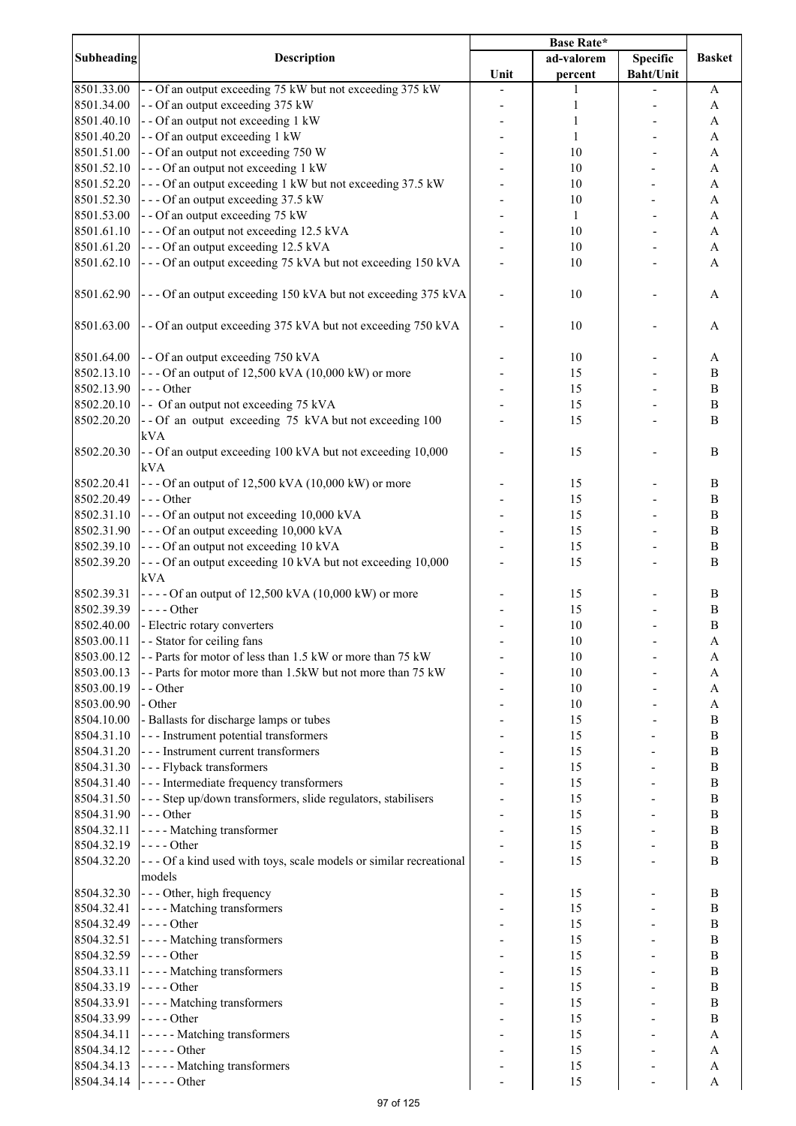|                   |                                                                              | <b>Base Rate*</b> |            |                  |                           |
|-------------------|------------------------------------------------------------------------------|-------------------|------------|------------------|---------------------------|
| <b>Subheading</b> | <b>Description</b>                                                           |                   | ad-valorem | <b>Specific</b>  | <b>Basket</b>             |
|                   |                                                                              | Unit              | percent    | <b>Baht/Unit</b> |                           |
| 8501.33.00        | - - Of an output exceeding 75 kW but not exceeding 375 kW                    |                   | L          |                  | A                         |
| 8501.34.00        | - - Of an output exceeding 375 kW                                            |                   | 1          |                  | A                         |
| 8501.40.10        | - - Of an output not exceeding 1 kW                                          |                   | 1          |                  | A                         |
| 8501.40.20        | - - Of an output exceeding 1 kW                                              |                   | 1          |                  | A                         |
| 8501.51.00        | - - Of an output not exceeding 750 W                                         |                   | 10         |                  | A                         |
| 8501.52.10        | --- Of an output not exceeding 1 kW                                          |                   | 10         |                  | A                         |
|                   |                                                                              |                   |            |                  |                           |
| 8501.52.20        | --- Of an output exceeding 1 kW but not exceeding 37.5 kW                    |                   | 10         |                  | A                         |
| 8501.52.30        | --- Of an output exceeding 37.5 kW                                           |                   | 10         |                  | A                         |
| 8501.53.00        | - - Of an output exceeding 75 kW                                             |                   | 1          |                  | A                         |
| 8501.61.10        | --- Of an output not exceeding 12.5 kVA                                      |                   | 10         |                  | A                         |
| 8501.61.20        | --- Of an output exceeding 12.5 kVA                                          |                   | 10         |                  | A                         |
| 8501.62.10        | --- Of an output exceeding 75 kVA but not exceeding 150 kVA                  |                   | 10         |                  | A                         |
|                   |                                                                              |                   |            |                  |                           |
| 8501.62.90        | --- Of an output exceeding 150 kVA but not exceeding 375 kVA                 |                   | 10         |                  | A                         |
| 8501.63.00        | - - Of an output exceeding 375 kVA but not exceeding 750 kVA                 |                   | 10         |                  | A                         |
| 8501.64.00        |                                                                              |                   |            |                  |                           |
|                   | - - Of an output exceeding 750 kVA                                           |                   | 10         |                  | A                         |
| 8502.13.10        | $--$ Of an output of 12,500 kVA (10,000 kW) or more                          |                   | 15         |                  | $\bf{B}$                  |
| 8502.13.90        | $--$ Other                                                                   |                   | 15         |                  | $\, {\bf B}$              |
| 8502.20.10        | - - Of an output not exceeding 75 kVA                                        |                   | 15         |                  | $\, {\bf B}$              |
| 8502.20.20        | -- Of an output exceeding 75 kVA but not exceeding 100<br>kVA                |                   | 15         |                  | $\bf{B}$                  |
| 8502.20.30        | - - Of an output exceeding 100 kVA but not exceeding 10,000<br>kVA           |                   | 15         |                  | $\bf{B}$                  |
| 8502.20.41        | $--$ Of an output of 12,500 kVA (10,000 kW) or more                          |                   | 15         |                  | B                         |
| 8502.20.49        | $--$ Other                                                                   |                   | 15         |                  | $\bf{B}$                  |
| 8502.31.10        | --- Of an output not exceeding 10,000 kVA                                    |                   | 15         |                  | $\bf{B}$                  |
|                   |                                                                              |                   |            |                  |                           |
| 8502.31.90        | --- Of an output exceeding 10,000 kVA                                        |                   | 15         |                  | $\, {\bf B}$              |
| 8502.39.10        | --- Of an output not exceeding 10 kVA                                        |                   | 15         |                  | $\bf{B}$                  |
| 8502.39.20        | --- Of an output exceeding 10 kVA but not exceeding 10,000                   |                   | 15         |                  | $\bf{B}$                  |
|                   | kVA                                                                          |                   |            |                  |                           |
| 8502.39.31        | $---$ Of an output of 12,500 kVA (10,000 kW) or more                         |                   | 15         |                  | B                         |
| 8502.39.39        | $--- Other$                                                                  |                   | 15         |                  | $\, {\bf B}$              |
| 8502.40.00        | - Electric rotary converters                                                 |                   | 10         |                  | $\, {\bf B}$              |
| 8503.00.11        | - - Stator for ceiling fans                                                  |                   | 10         |                  | A                         |
| 8503.00.12        | -- Parts for motor of less than 1.5 kW or more than 75 kW                    |                   | 10         |                  | A                         |
| 8503.00.13        | -- Parts for motor more than 1.5kW but not more than 75 kW                   |                   | 10         |                  | A                         |
| 8503.00.19        | - - Other                                                                    |                   | 10         |                  | A                         |
| 8503.00.90        | - Other                                                                      |                   | 10         |                  | A                         |
| 8504.10.00        | - Ballasts for discharge lamps or tubes                                      |                   | 15         |                  | $\, {\bf B}$              |
|                   |                                                                              |                   |            |                  |                           |
| 8504.31.10        | - - - Instrument potential transformers                                      |                   | 15         |                  | $\, {\bf B}$              |
| 8504.31.20        | --- Instrument current transformers                                          |                   | 15         |                  | $\bf{B}$                  |
| 8504.31.30        | --- Flyback transformers                                                     |                   | 15         |                  | $\, {\bf B}$              |
| 8504.31.40        | --- Intermediate frequency transformers                                      |                   | 15         |                  | $\, {\bf B}$              |
| 8504.31.50        | - - - Step up/down transformers, slide regulators, stabilisers               |                   | 15         |                  | $\, {\bf B}$              |
| 8504.31.90        | $--$ Other                                                                   |                   | 15         |                  | $\, {\bf B}$              |
| 8504.32.11        | - - - - Matching transformer                                                 |                   | 15         |                  | $\, {\bf B}$              |
| 8504.32.19        | $--- Other$                                                                  |                   | 15         |                  | $\, {\bf B}$              |
| 8504.32.20        | --- Of a kind used with toys, scale models or similar recreational<br>models |                   | 15         |                  | $\bf{B}$                  |
| 8504.32.30        | --- Other, high frequency                                                    |                   | 15         |                  | B                         |
| 8504.32.41        | - - - - Matching transformers                                                |                   | 15         |                  | $\bf{B}$                  |
|                   |                                                                              |                   |            |                  |                           |
| 8504.32.49        | $\left  \text{-- --Other} \right $                                           |                   | 15         |                  | $\bf{B}$                  |
| 8504.32.51        | - - - - Matching transformers                                                |                   | 15         |                  | B                         |
| 8504.32.59        | $--- Other$                                                                  |                   | 15         |                  | B                         |
| 8504.33.11        | - - - - Matching transformers                                                |                   | 15         |                  | B                         |
| 8504.33.19        | $\left  \text{---}$ Other                                                    |                   | 15         |                  | B                         |
| 8504.33.91        | - - - - Matching transformers                                                |                   | 15         |                  | $\bf{B}$                  |
| 8504.33.99        | $--$ Other                                                                   |                   | 15         |                  | $\bf{B}$                  |
| 8504.34.11        | - - - - - Matching transformers                                              |                   | 15         |                  | A                         |
| 8504.34.12        | $---Other$                                                                   |                   | 15         |                  | A                         |
| 8504.34.13        | - - - - - Matching transformers                                              |                   | 15         |                  | $\boldsymbol{A}$          |
|                   | 8504.34.14 $\vert \cdot \vert$ - - - - - Other                               |                   | 15         |                  | $\boldsymbol{\mathsf{A}}$ |
|                   |                                                                              |                   |            |                  |                           |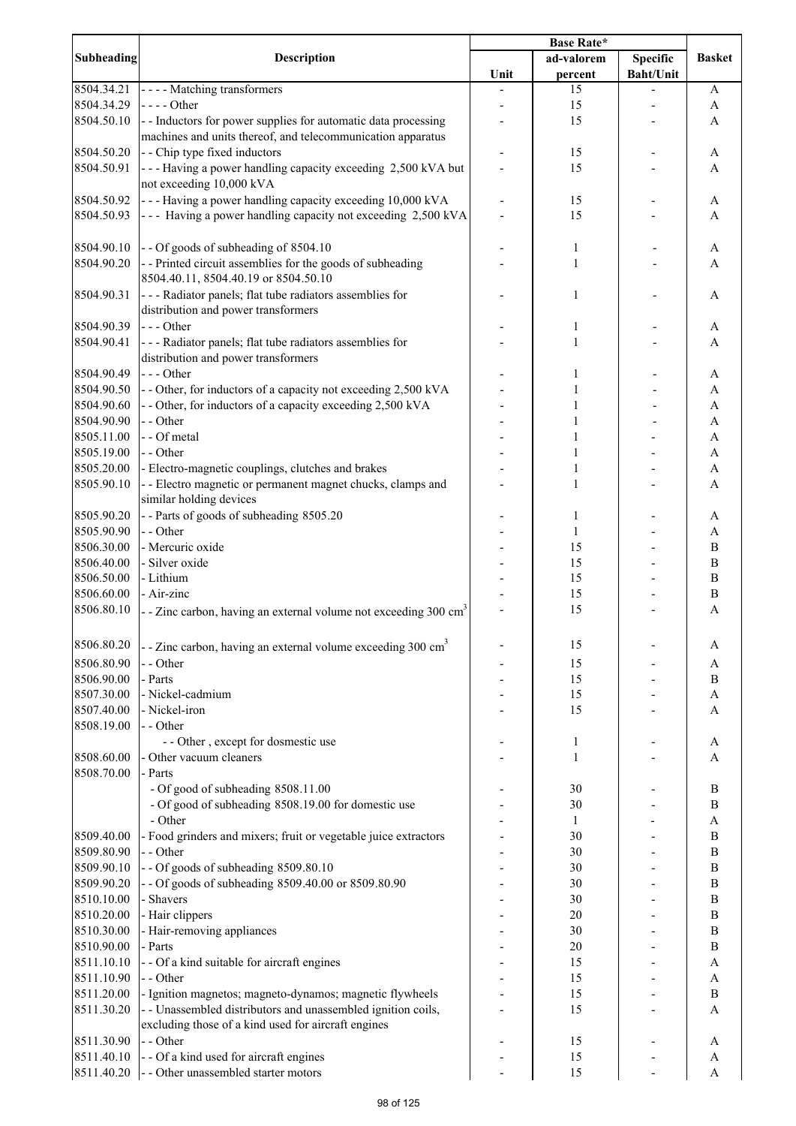|                          |                                                                                               | <b>Base Rate*</b> |              |                  |                   |
|--------------------------|-----------------------------------------------------------------------------------------------|-------------------|--------------|------------------|-------------------|
| <b>Subheading</b>        | <b>Description</b>                                                                            |                   | ad-valorem   | <b>Specific</b>  | <b>Basket</b>     |
|                          |                                                                                               | Unit              | percent      | <b>Baht/Unit</b> |                   |
| 8504.34.21               | - - - - Matching transformers                                                                 |                   | 15           |                  | A                 |
| 8504.34.29               | $\left  \text{---}$ Other                                                                     |                   | 15           |                  | A                 |
| 8504.50.10               | - - Inductors for power supplies for automatic data processing                                |                   | 15           |                  | A                 |
|                          | machines and units thereof, and telecommunication apparatus                                   |                   |              |                  |                   |
| 8504.50.20<br>8504.50.91 | - - Chip type fixed inductors<br>--- Having a power handling capacity exceeding 2,500 kVA but |                   | 15<br>15     |                  | A                 |
|                          | not exceeding 10,000 kVA                                                                      |                   |              |                  | A                 |
| 8504.50.92               | --- Having a power handling capacity exceeding 10,000 kVA                                     |                   | 15           |                  | A                 |
| 8504.50.93               | --- Having a power handling capacity not exceeding 2,500 kVA                                  |                   | 15           |                  | A                 |
|                          |                                                                                               |                   |              |                  |                   |
| 8504.90.10               | - - Of goods of subheading of 8504.10                                                         |                   | 1            |                  | A                 |
| 8504.90.20               | -- Printed circuit assemblies for the goods of subheading                                     |                   | 1            |                  | A                 |
|                          | 8504.40.11, 8504.40.19 or 8504.50.10                                                          |                   |              |                  |                   |
| 8504.90.31               | --- Radiator panels; flat tube radiators assemblies for                                       |                   | 1            |                  | A                 |
|                          | distribution and power transformers                                                           |                   |              |                  |                   |
| 8504.90.39               | $--$ Other                                                                                    |                   | 1            |                  | A                 |
| 8504.90.41               | - - - Radiator panels; flat tube radiators assemblies for                                     |                   | 1            |                  | A                 |
|                          | distribution and power transformers                                                           |                   |              |                  |                   |
| 8504.90.49               | $--$ Other                                                                                    |                   |              |                  | A                 |
| 8504.90.50               | - - Other, for inductors of a capacity not exceeding 2,500 kVA                                |                   |              |                  | A                 |
| 8504.90.60               | - - Other, for inductors of a capacity exceeding 2,500 kVA                                    |                   |              |                  | $\mathbf{A}$      |
| 8504.90.90               | - - Other                                                                                     |                   |              |                  | $\mathbf{A}$      |
| 8505.11.00               | - - Of metal                                                                                  |                   |              |                  | $\mathbf{A}$      |
| 8505.19.00               | - - Other                                                                                     |                   |              |                  | A                 |
| 8505.20.00               | - Electro-magnetic couplings, clutches and brakes                                             |                   |              |                  | $\mathbf{A}$      |
| 8505.90.10               | - - Electro magnetic or permanent magnet chucks, clamps and<br>similar holding devices        |                   | $\mathbf{1}$ |                  | A                 |
| 8505.90.20               | -- Parts of goods of subheading 8505.20                                                       |                   | 1            |                  | A                 |
| 8505.90.90               | - - Other                                                                                     |                   | 1            |                  | A                 |
| 8506.30.00               | - Mercuric oxide                                                                              |                   | 15           |                  | $\boldsymbol{B}$  |
| 8506.40.00               | - Silver oxide                                                                                |                   | 15           |                  | $\boldsymbol{B}$  |
| 8506.50.00               | - Lithium                                                                                     |                   | 15           |                  | $\boldsymbol{B}$  |
| 8506.60.00               | - Air-zinc                                                                                    |                   | 15           |                  | $\, {\bf B}$      |
| 8506.80.10               | - - Zinc carbon, having an external volume not exceeding 300 cm <sup>3</sup>                  |                   | 15           |                  | A                 |
|                          |                                                                                               |                   |              |                  |                   |
| 8506.80.20               | - - Zinc carbon, having an external volume exceeding $300 \text{ cm}^3$                       |                   | 15           |                  | A                 |
| 8506.80.90               | - - Other                                                                                     |                   | 15           |                  | A                 |
| 8506.90.00               | - Parts                                                                                       |                   | 15           |                  | B                 |
| 8507.30.00               | - Nickel-cadmium                                                                              |                   | 15           |                  | A                 |
| 8507.40.00               | - Nickel-iron                                                                                 |                   | 15           |                  | A                 |
| 8508.19.00               | - - Other                                                                                     |                   |              |                  |                   |
|                          | - - Other, except for dosmestic use                                                           |                   | 1            |                  | A                 |
| 8508.60.00               | - Other vacuum cleaners                                                                       |                   | 1            |                  | A                 |
| 8508.70.00               | - Parts                                                                                       |                   |              |                  |                   |
|                          | - Of good of subheading 8508.11.00                                                            |                   | 30           |                  | $\, {\bf B}$      |
|                          | - Of good of subheading 8508.19.00 for domestic use                                           |                   | 30           |                  | B                 |
|                          | - Other                                                                                       |                   | $\mathbf{1}$ |                  | A                 |
| 8509.40.00               | - Food grinders and mixers; fruit or vegetable juice extractors                               |                   | 30           |                  | B                 |
| 8509.80.90               | - - Other                                                                                     |                   | 30           |                  | $\bf{B}$          |
| 8509.90.10               | -- Of goods of subheading 8509.80.10                                                          |                   | 30           |                  | $\, {\bf B}$      |
| 8509.90.20               | - - Of goods of subheading 8509.40.00 or 8509.80.90                                           |                   | 30           |                  | $\boldsymbol{B}$  |
| 8510.10.00               | - Shavers                                                                                     |                   | 30           |                  | $\boldsymbol{B}$  |
| 8510.20.00               | - Hair clippers                                                                               |                   | 20           |                  | $\, {\bf B}$      |
| 8510.30.00               | - Hair-removing appliances<br>- Parts                                                         |                   | 30<br>20     |                  | $\, {\bf B}$<br>B |
| 8510.90.00               |                                                                                               |                   |              |                  |                   |
| 8511.10.10<br>8511.10.90 | - - Of a kind suitable for aircraft engines<br>- - Other                                      |                   | 15<br>15     |                  | A<br>A            |
| 8511.20.00               | - Ignition magnetos; magneto-dynamos; magnetic flywheels                                      |                   | 15           |                  | $\, {\bf B}$      |
| 8511.30.20               | - - Unassembled distributors and unassembled ignition coils,                                  |                   | 15           |                  | A                 |
|                          | excluding those of a kind used for aircraft engines                                           |                   |              |                  |                   |
| 8511.30.90               | - - Other                                                                                     |                   | 15           |                  | A                 |
| 8511.40.10               | - - Of a kind used for aircraft engines                                                       |                   | 15           |                  | A                 |
| 8511.40.20               | - - Other unassembled starter motors                                                          |                   | 15           |                  | A                 |
|                          |                                                                                               |                   |              |                  |                   |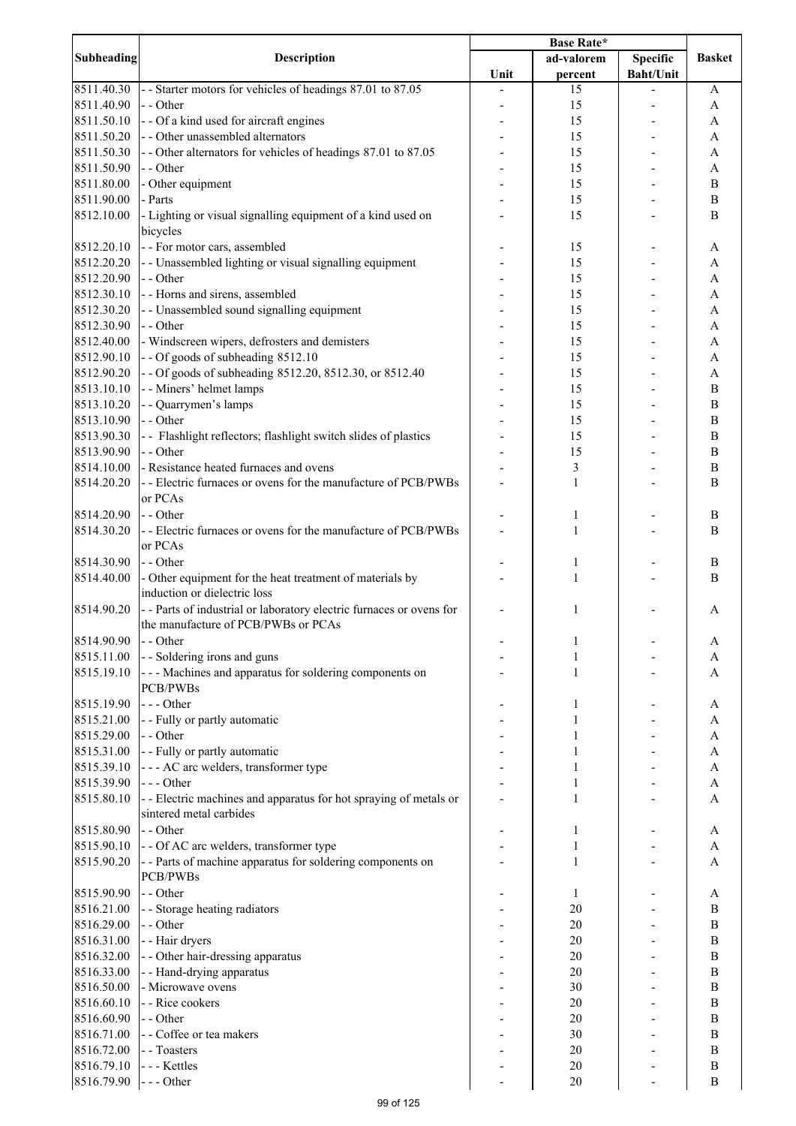|                   |                                                                      | Base Rate* |                |                  |                           |
|-------------------|----------------------------------------------------------------------|------------|----------------|------------------|---------------------------|
| <b>Subheading</b> | <b>Description</b>                                                   |            | ad-valorem     | Specific         | <b>Basket</b>             |
|                   |                                                                      | Unit       | percent        | <b>Baht/Unit</b> |                           |
| 8511.40.30        | - Starter motors for vehicles of headings 87.01 to 87.05             |            | 15             |                  | A                         |
| 8511.40.90        | - - Other                                                            |            | 15             |                  | A                         |
| 8511.50.10        | - - Of a kind used for aircraft engines                              |            | 15             |                  | A                         |
| 8511.50.20        | - - Other unassembled alternators                                    |            | 15             |                  | A                         |
| 8511.50.30        | -- Other alternators for vehicles of headings 87.01 to 87.05         |            | 15             |                  | A                         |
| 8511.50.90        | - - Other                                                            |            | 15             |                  | A                         |
| 8511.80.00        |                                                                      |            |                |                  |                           |
|                   | - Other equipment                                                    |            | 15             |                  | B                         |
| 8511.90.00        | - Parts                                                              |            | 15             |                  | B                         |
| 8512.10.00        | - Lighting or visual signalling equipment of a kind used on          |            | 15             |                  | B                         |
|                   | bicycles                                                             |            |                |                  |                           |
| 8512.20.10        | - - For motor cars, assembled                                        |            | 15             |                  | A                         |
| 8512.20.20        | - - Unassembled lighting or visual signalling equipment              |            | 15             |                  | A                         |
| 8512.20.90        | - - Other                                                            |            | 15             |                  | A                         |
| 8512.30.10        | - - Horns and sirens, assembled                                      |            | 15             |                  | A                         |
| 8512.30.20        | - - Unassembled sound signalling equipment                           |            | 15             |                  | A                         |
| 8512.30.90        | - - Other                                                            |            | 15             |                  | A                         |
| 8512.40.00        | - Windscreen wipers, defrosters and demisters                        |            | 15             |                  | $\mathbf{A}$              |
| 8512.90.10        | -- Of goods of subheading 8512.10                                    |            | 15             |                  | $\mathbf{A}$              |
|                   |                                                                      |            |                |                  |                           |
| 8512.90.20        | - - Of goods of subheading 8512.20, 8512.30, or 8512.40              |            | 15             |                  | A                         |
| 8513.10.10        | - - Miners' helmet lamps                                             |            | 15             |                  | $\, {\bf B}$              |
| 8513.10.20        | - - Quarrymen's lamps                                                |            | 15             |                  | $\, {\bf B}$              |
| 8513.10.90        | - - Other                                                            |            | 15             |                  | $\bf{B}$                  |
| 8513.90.30        | - - Flashlight reflectors; flashlight switch slides of plastics      |            | 15             |                  | $\bf{B}$                  |
| 8513.90.90        | - - Other                                                            |            | 15             |                  | $\bf{B}$                  |
| 8514.10.00        | - Resistance heated furnaces and ovens                               |            | $\mathfrak{Z}$ |                  | B                         |
| 8514.20.20        | - - Electric furnaces or ovens for the manufacture of PCB/PWBs       |            | 1              |                  | $\overline{B}$            |
|                   | or PCAs                                                              |            |                |                  |                           |
| 8514.20.90        | - - Other                                                            |            | 1              |                  | B                         |
| 8514.30.20        | - - Electric furnaces or ovens for the manufacture of PCB/PWBs       |            | 1              |                  | B                         |
|                   |                                                                      |            |                |                  |                           |
|                   | or PCAs                                                              |            |                |                  |                           |
| 8514.30.90        | - - Other                                                            |            | 1              |                  | B                         |
| 8514.40.00        | - Other equipment for the heat treatment of materials by             |            | 1              |                  | B                         |
|                   | induction or dielectric loss                                         |            |                |                  |                           |
| 8514.90.20        | - - Parts of industrial or laboratory electric furnaces or ovens for |            | 1              |                  | A                         |
|                   | the manufacture of PCB/PWBs or PCAs                                  |            |                |                  |                           |
| 8514.90.90        | - - Other                                                            |            |                |                  | A                         |
| 8515.11.00        | - - Soldering irons and guns                                         |            | 1              |                  | A                         |
| 8515.19.10        | --- Machines and apparatus for soldering components on               |            | 1              |                  | A                         |
|                   | <b>PCB/PWBs</b>                                                      |            |                |                  |                           |
| 8515.19.90        | $--$ Other                                                           |            | 1              |                  | A                         |
| 8515.21.00        | - - Fully or partly automatic                                        |            | 1              |                  | A                         |
|                   |                                                                      |            |                |                  |                           |
| 8515.29.00        | - - Other                                                            |            |                |                  | $\mathbf{A}$              |
| 8515.31.00        | - - Fully or partly automatic                                        |            |                |                  | A                         |
| 8515.39.10        | --- AC arc welders, transformer type                                 |            |                |                  | $\mathbf{A}$              |
| 8515.39.90        | $--- Other$                                                          |            |                |                  | $\mathbf{A}$              |
| 8515.80.10        | - - Electric machines and apparatus for hot spraying of metals or    |            | 1              |                  | $\mathbf{A}$              |
|                   | sintered metal carbides                                              |            |                |                  |                           |
| 8515.80.90        | - - Other                                                            |            | 1              |                  | A                         |
| 8515.90.10        | - - Of AC arc welders, transformer type                              |            | 1              |                  | $\boldsymbol{\mathsf{A}}$ |
| 8515.90.20        | - - Parts of machine apparatus for soldering components on           |            | 1              |                  | $\mathbf{A}$              |
|                   | <b>PCB/PWBs</b>                                                      |            |                |                  |                           |
| 8515.90.90        | - - Other                                                            |            | 1              |                  | A                         |
| 8516.21.00        | - - Storage heating radiators                                        |            | 20             |                  | $\, {\bf B}$              |
|                   | - - Other                                                            |            |                |                  |                           |
| 8516.29.00        |                                                                      |            | 20             |                  | $\bf{B}$                  |
| 8516.31.00        | - - Hair dryers                                                      |            | 20             |                  | B                         |
| 8516.32.00        | - - Other hair-dressing apparatus                                    |            | 20             |                  | $\bf{B}$                  |
| 8516.33.00        | - - Hand-drying apparatus                                            |            | 20             |                  | B                         |
| 8516.50.00        | - Microwave ovens                                                    |            | 30             |                  | $\bf{B}$                  |
| 8516.60.10        | - - Rice cookers                                                     |            | 20             |                  | $\, {\bf B}$              |
| 8516.60.90        | - - Other                                                            |            | 20             |                  | $\, {\bf B}$              |
| 8516.71.00        | - - Coffee or tea makers                                             |            | 30             |                  | $\, {\bf B}$              |
| 8516.72.00        | - - Toasters                                                         |            | 20             |                  | B                         |
| 8516.79.10        | --- Kettles                                                          |            | 20             |                  | $\, {\bf B}$              |
| 8516.79.90        | $--$ Other                                                           |            | 20             |                  | B                         |
|                   |                                                                      |            |                |                  |                           |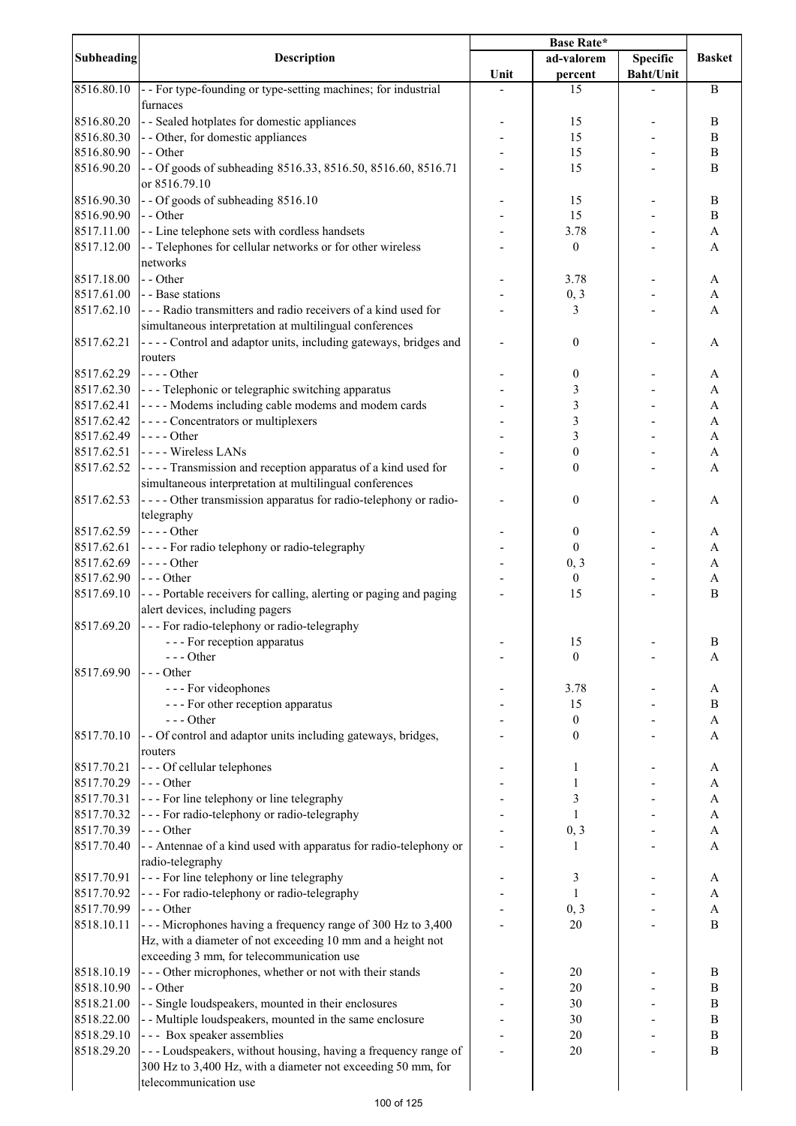|                   |                                                                    | <b>Base Rate*</b> |                                  |                  |               |
|-------------------|--------------------------------------------------------------------|-------------------|----------------------------------|------------------|---------------|
| <b>Subheading</b> | Description                                                        |                   | ad-valorem                       | <b>Specific</b>  | <b>Basket</b> |
|                   |                                                                    | Unit              | percent                          | <b>Baht/Unit</b> |               |
| 8516.80.10        | - For type-founding or type-setting machines; for industrial       |                   | 15                               |                  | $\bf{B}$      |
|                   | furnaces                                                           |                   |                                  |                  |               |
| 8516.80.20        | - - Sealed hotplates for domestic appliances                       |                   | 15                               |                  | B             |
| 8516.80.30        | - - Other, for domestic appliances                                 |                   | 15                               |                  | B             |
| 8516.80.90        | - - Other                                                          |                   | 15                               |                  | B             |
| 8516.90.20        | - - Of goods of subheading 8516.33, 8516.50, 8516.60, 8516.71      |                   | 15                               |                  | B             |
|                   | or 8516.79.10                                                      |                   |                                  |                  |               |
| 8516.90.30        | -- Of goods of subheading 8516.10                                  |                   | 15                               |                  | B             |
| 8516.90.90        | - - Other                                                          |                   | 15                               |                  | $\bf{B}$      |
| 8517.11.00        | - - Line telephone sets with cordless handsets                     |                   | 3.78                             |                  | A             |
| 8517.12.00        | - - Telephones for cellular networks or for other wireless         |                   | $\boldsymbol{0}$                 |                  | A             |
|                   | networks                                                           |                   |                                  |                  |               |
| 8517.18.00        | - - Other                                                          |                   | 3.78                             |                  | A             |
| 8517.61.00        | - - Base stations                                                  |                   | 0, 3                             |                  | A             |
| 8517.62.10        | --- Radio transmitters and radio receivers of a kind used for      |                   | 3                                |                  | A             |
|                   | simultaneous interpretation at multilingual conferences            |                   |                                  |                  |               |
| 8517.62.21        | - - - - Control and adaptor units, including gateways, bridges and |                   | $\mathbf{0}$                     |                  | A             |
|                   | routers                                                            |                   |                                  |                  |               |
| 8517.62.29        | $---Other$                                                         |                   | $\boldsymbol{0}$                 |                  | A             |
| 8517.62.30        | --- Telephonic or telegraphic switching apparatus                  |                   | 3                                |                  | A             |
| 8517.62.41        | - - - - Modems including cable modems and modem cards              |                   | $\overline{\mathbf{3}}$          |                  | A             |
| 8517.62.42        | - - - - Concentrators or multiplexers                              |                   | $\overline{\mathbf{3}}$          |                  | A             |
| 8517.62.49        | $---Other$                                                         |                   | $\overline{\mathbf{3}}$          |                  | A             |
| 8517.62.51        | ---- Wireless LANs                                                 |                   | $\boldsymbol{0}$                 |                  | A             |
| 8517.62.52        | ---- Transmission and reception apparatus of a kind used for       |                   | $\boldsymbol{0}$                 |                  | A             |
|                   | simultaneous interpretation at multilingual conferences            |                   |                                  |                  |               |
| 8517.62.53        | - - - - Other transmission apparatus for radio-telephony or radio- |                   | $\boldsymbol{0}$                 |                  | A             |
|                   | telegraphy                                                         |                   |                                  |                  |               |
| 8517.62.59        | $---Other$                                                         |                   | $\boldsymbol{0}$                 |                  | A             |
| 8517.62.61        | - - - - For radio telephony or radio-telegraphy                    |                   | $\boldsymbol{0}$                 |                  | A             |
| 8517.62.69        | $---Other$                                                         |                   | 0, 3                             |                  | A             |
| 8517.62.90        | $--$ Other                                                         |                   | $\boldsymbol{0}$                 |                  | A             |
| 8517.69.10        | --- Portable receivers for calling, alerting or paging and paging  |                   | 15                               |                  | B             |
|                   | alert devices, including pagers                                    |                   |                                  |                  |               |
| 8517.69.20        | --- For radio-telephony or radio-telegraphy                        |                   |                                  |                  |               |
|                   | - - - For reception apparatus                                      |                   | 15                               |                  | $\, {\bf B}$  |
|                   | --- Other                                                          |                   | $\mathbf{0}$                     |                  | A             |
| 8517.69.90        | --- Other                                                          |                   |                                  |                  |               |
|                   | - - - For videophones                                              |                   | 3.78<br>15                       |                  | A<br>B        |
|                   | --- For other reception apparatus<br>$--$ Other                    |                   |                                  |                  |               |
| 8517.70.10        | - - Of control and adaptor units including gateways, bridges,      |                   | $\boldsymbol{0}$<br>$\mathbf{0}$ |                  | A<br>A        |
|                   | routers                                                            |                   |                                  |                  |               |
| 8517.70.21        | --- Of cellular telephones                                         |                   | 1                                |                  |               |
| 8517.70.29        | --- Other                                                          |                   | 1                                |                  | A<br>A        |
| 8517.70.31        | - - - For line telephony or line telegraphy                        |                   | 3                                |                  | A             |
| 8517.70.32        | - - - For radio-telephony or radio-telegraphy                      |                   | $\mathbf{1}$                     |                  | A             |
| 8517.70.39        | $--$ Other                                                         |                   | 0, 3                             |                  | A             |
| 8517.70.40        | - - Antennae of a kind used with apparatus for radio-telephony or  |                   | 1                                |                  | A             |
|                   | radio-telegraphy                                                   |                   |                                  |                  |               |
| 8517.70.91        | --- For line telephony or line telegraphy                          |                   | 3                                |                  | A             |
| 8517.70.92        | - - - For radio-telephony or radio-telegraphy                      |                   | $\mathbf{1}$                     |                  | A             |
| 8517.70.99        | --- Other                                                          |                   | 0, 3                             |                  | A             |
| 8518.10.11        | --- Microphones having a frequency range of 300 Hz to 3,400        |                   | 20                               |                  | B             |
|                   | Hz, with a diameter of not exceeding 10 mm and a height not        |                   |                                  |                  |               |
|                   | exceeding 3 mm, for telecommunication use                          |                   |                                  |                  |               |
| 8518.10.19        | --- Other microphones, whether or not with their stands            |                   | 20                               |                  | B             |
| 8518.10.90        | - - Other                                                          |                   | 20                               |                  | $\, {\bf B}$  |
| 8518.21.00        | - - Single loudspeakers, mounted in their enclosures               |                   | 30                               |                  | $\, {\bf B}$  |
| 8518.22.00        | - - Multiple loudspeakers, mounted in the same enclosure           |                   | 30                               |                  | $\, {\bf B}$  |
| 8518.29.10        | --- Box speaker assemblies                                         |                   | 20                               |                  | B             |
| 8518.29.20        | --- Loudspeakers, without housing, having a frequency range of     |                   | 20                               |                  | B             |
|                   | 300 Hz to 3,400 Hz, with a diameter not exceeding 50 mm, for       |                   |                                  |                  |               |
|                   | telecommunication use                                              |                   |                                  |                  |               |
|                   |                                                                    |                   |                                  |                  |               |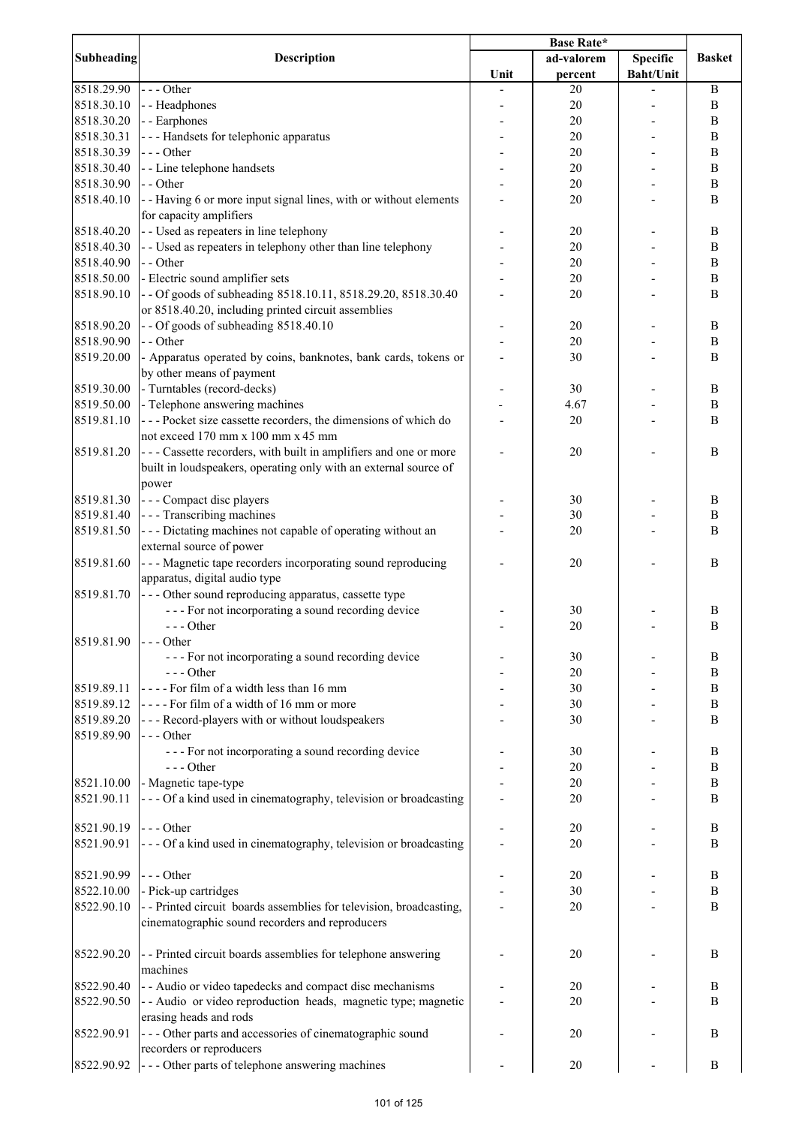|                   |                                                                    | <b>Base Rate*</b> |            |                  |                  |
|-------------------|--------------------------------------------------------------------|-------------------|------------|------------------|------------------|
| <b>Subheading</b> | Description                                                        |                   | ad-valorem | <b>Specific</b>  | <b>Basket</b>    |
|                   |                                                                    | Unit              | percent    | <b>Baht/Unit</b> |                  |
| 8518.29.90        | --- Other                                                          |                   | 20         |                  | $\bf{B}$         |
| 8518.30.10        | - - Headphones                                                     |                   | 20         |                  | $\bf{B}$         |
| 8518.30.20        | - - Earphones                                                      |                   | 20         |                  | B                |
| 8518.30.31        | --- Handsets for telephonic apparatus                              |                   | 20         |                  | $\bf{B}$         |
| 8518.30.39        | $--$ Other                                                         |                   | 20         |                  | $\bf{B}$         |
| 8518.30.40        | - - Line telephone handsets                                        |                   | 20         |                  | $\, {\bf B}$     |
| 8518.30.90        | - - Other                                                          |                   | 20         |                  | $\bf{B}$         |
|                   |                                                                    |                   |            |                  |                  |
| 8518.40.10        | - - Having 6 or more input signal lines, with or without elements  |                   | 20         |                  | $\bf{B}$         |
|                   | for capacity amplifiers                                            |                   |            |                  |                  |
| 8518.40.20        | - - Used as repeaters in line telephony                            |                   | 20         |                  | $\, {\bf B}$     |
| 8518.40.30        | - - Used as repeaters in telephony other than line telephony       |                   | 20         |                  | $\, {\bf B}$     |
| 8518.40.90        | - - Other                                                          |                   | 20         |                  | $\, {\bf B}$     |
| 8518.50.00        | - Electric sound amplifier sets                                    |                   | 20         |                  | $\bf{B}$         |
| 8518.90.10        | -- Of goods of subheading 8518.10.11, 8518.29.20, 8518.30.40       |                   | 20         |                  | $\bf{B}$         |
|                   | or 8518.40.20, including printed circuit assemblies                |                   |            |                  |                  |
| 8518.90.20        | -- Of goods of subheading 8518.40.10                               |                   | 20         |                  | $\, {\bf B}$     |
| 8518.90.90        | - - Other                                                          |                   | 20         |                  | $\bf{B}$         |
| 8519.20.00        | - Apparatus operated by coins, banknotes, bank cards, tokens or    |                   | 30         |                  | $\bf{B}$         |
|                   | by other means of payment                                          |                   |            |                  |                  |
| 8519.30.00        | - Turntables (record-decks)                                        |                   | 30         |                  | $\, {\bf B}$     |
| 8519.50.00        | - Telephone answering machines                                     |                   | 4.67       |                  | $\, {\bf B}$     |
| 8519.81.10        | --- Pocket size cassette recorders, the dimensions of which do     |                   | 20         |                  | B                |
|                   | not exceed 170 mm x 100 mm x 45 mm                                 |                   |            |                  |                  |
|                   |                                                                    |                   |            |                  |                  |
| 8519.81.20        | --- Cassette recorders, with built in amplifiers and one or more   |                   | 20         |                  | B                |
|                   | built in loudspeakers, operating only with an external source of   |                   |            |                  |                  |
|                   | power                                                              |                   |            |                  |                  |
| 8519.81.30        | --- Compact disc players                                           |                   | 30         |                  | B                |
| 8519.81.40        | - - - Transcribing machines                                        |                   | 30         |                  | $\, {\bf B}$     |
| 8519.81.50        | --- Dictating machines not capable of operating without an         |                   | 20         |                  | B                |
|                   | external source of power                                           |                   |            |                  |                  |
| 8519.81.60        | - - - Magnetic tape recorders incorporating sound reproducing      |                   | 20         |                  | B                |
|                   | apparatus, digital audio type                                      |                   |            |                  |                  |
| 8519.81.70        | --- Other sound reproducing apparatus, cassette type               |                   |            |                  |                  |
|                   | --- For not incorporating a sound recording device                 |                   | 30         |                  | B                |
|                   | $--- Other$                                                        |                   | 20         |                  | $\, {\bf B}$     |
| 8519.81.90        | $\vert$ - - Other                                                  |                   |            |                  |                  |
|                   | --- For not incorporating a sound recording device                 |                   | 30         |                  | B                |
|                   | $--- Other$                                                        |                   | 20         |                  | B                |
|                   |                                                                    |                   |            |                  |                  |
| 8519.89.11        | ---- For film of a width less than 16 mm                           |                   | 30         |                  | B                |
| 8519.89.12        | ---- For film of a width of 16 mm or more                          |                   | 30         |                  | $\boldsymbol{B}$ |
| 8519.89.20        | - - - Record-players with or without loudspeakers                  |                   | 30         |                  | $\boldsymbol{B}$ |
| 8519.89.90        | --- Other                                                          |                   |            |                  |                  |
|                   | --- For not incorporating a sound recording device                 |                   | 30         |                  | $\boldsymbol{B}$ |
|                   | $--$ Other                                                         |                   | 20         |                  | $\boldsymbol{B}$ |
| 8521.10.00        | - Magnetic tape-type                                               |                   | 20         |                  | $\, {\bf B}$     |
| 8521.90.11        | --- Of a kind used in cinematography, television or broadcasting   |                   | 20         |                  | B                |
|                   |                                                                    |                   |            |                  |                  |
| 8521.90.19        | $--$ Other                                                         |                   | 20         |                  | B                |
| 8521.90.91        | --- Of a kind used in cinematography, television or broadcasting   |                   | 20         |                  | B                |
|                   |                                                                    |                   |            |                  |                  |
| 8521.90.99        | --- Other                                                          |                   | 20         |                  | B                |
| 8522.10.00        | - Pick-up cartridges                                               |                   | 30         |                  | B                |
| 8522.90.10        | -- Printed circuit boards assemblies for television, broadcasting, |                   | 20         |                  | $\, {\bf B}$     |
|                   | cinematographic sound recorders and reproducers                    |                   |            |                  |                  |
|                   |                                                                    |                   |            |                  |                  |
| 8522.90.20        | - - Printed circuit boards assemblies for telephone answering      |                   | 20         |                  | B                |
|                   |                                                                    |                   |            |                  |                  |
|                   | machines                                                           |                   |            |                  |                  |
| 8522.90.40        | - - Audio or video tapedecks and compact disc mechanisms           |                   | 20         |                  | B                |
| 8522.90.50        | -- Audio or video reproduction heads, magnetic type; magnetic      |                   | 20         |                  | B                |
|                   | erasing heads and rods                                             |                   |            |                  |                  |
| 8522.90.91        | --- Other parts and accessories of cinematographic sound           |                   | 20         |                  | B                |
|                   | recorders or reproducers                                           |                   |            |                  |                  |
| 8522.90.92        | --- Other parts of telephone answering machines                    |                   | 20         |                  | $\, {\bf B}$     |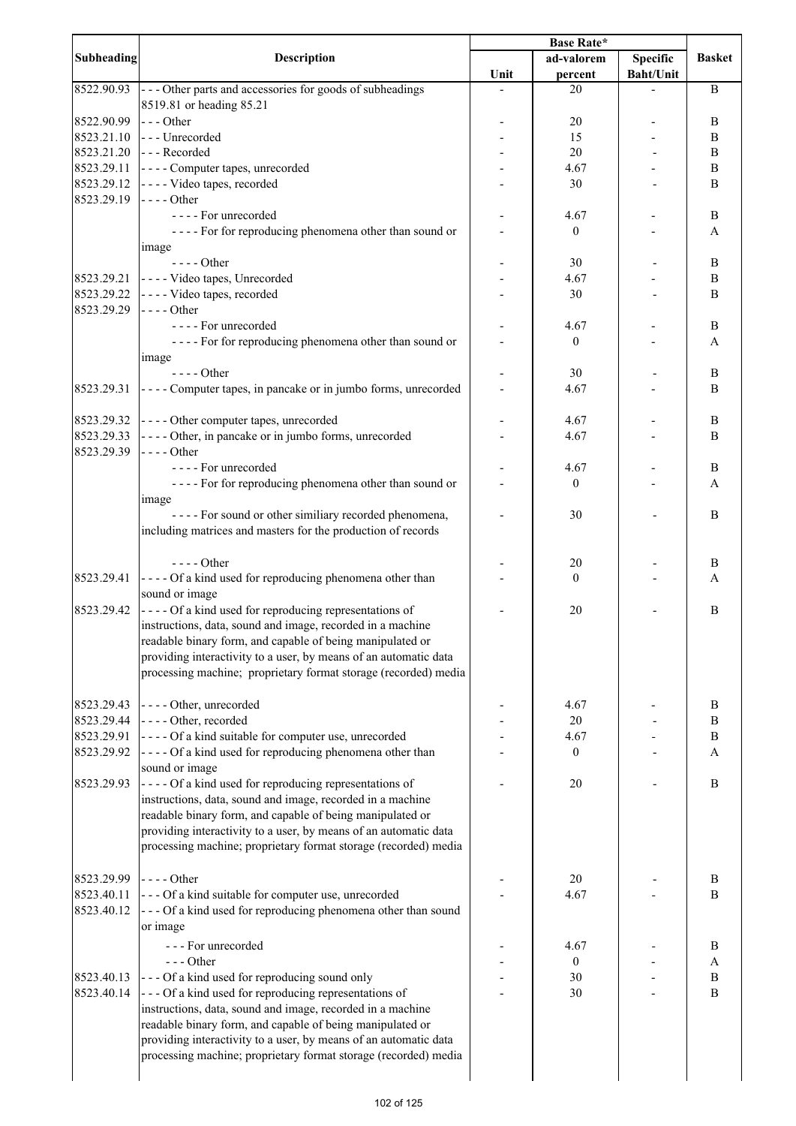|            |                                                                                                  | <b>Base Rate*</b> |                  |                  |               |
|------------|--------------------------------------------------------------------------------------------------|-------------------|------------------|------------------|---------------|
| Subheading | <b>Description</b>                                                                               |                   | ad-valorem       | <b>Specific</b>  | <b>Basket</b> |
|            |                                                                                                  | Unit              | percent          | <b>Baht/Unit</b> |               |
| 8522.90.93 | --- Other parts and accessories for goods of subheadings                                         |                   | 20               |                  | B             |
|            | 8519.81 or heading 85.21                                                                         |                   |                  |                  |               |
| 8522.90.99 | --- Other                                                                                        |                   | 20               |                  | B             |
| 8523.21.10 | --- Unrecorded                                                                                   |                   | 15               |                  | B             |
| 8523.21.20 | --- Recorded                                                                                     |                   | 20               |                  | B             |
| 8523.29.11 | - - - - Computer tapes, unrecorded                                                               |                   | 4.67             |                  | B             |
|            |                                                                                                  |                   |                  |                  |               |
| 8523.29.12 | ---- Video tapes, recorded                                                                       |                   | 30               |                  | B             |
| 8523.29.19 | $---$ Other                                                                                      |                   |                  |                  |               |
|            | ---- For unrecorded                                                                              |                   | 4.67             |                  | B             |
|            | ---- For for reproducing phenomena other than sound or                                           |                   | $\mathbf{0}$     |                  | A             |
|            | image                                                                                            |                   |                  |                  |               |
|            | - - - - Other                                                                                    |                   | 30               |                  | B             |
| 8523.29.21 | - - - - Video tapes, Unrecorded                                                                  |                   | 4.67             |                  | $\, {\bf B}$  |
| 8523.29.22 | - - - - Video tapes, recorded                                                                    |                   | 30               |                  | $\mathbf B$   |
| 8523.29.29 | $---Other$                                                                                       |                   |                  |                  |               |
|            | - - - - For unrecorded                                                                           |                   | 4.67             |                  | $\bf{B}$      |
|            | ---- For for reproducing phenomena other than sound or                                           |                   | $\boldsymbol{0}$ |                  | A             |
|            | image                                                                                            |                   |                  |                  |               |
|            | $---Other$                                                                                       |                   | 30               |                  | B             |
| 8523.29.31 | ---- Computer tapes, in pancake or in jumbo forms, unrecorded                                    |                   | 4.67             |                  | B             |
|            |                                                                                                  |                   |                  |                  |               |
|            |                                                                                                  |                   |                  |                  |               |
| 8523.29.32 | ---- Other computer tapes, unrecorded                                                            |                   | 4.67             |                  | B             |
| 8523.29.33 | - - - - Other, in pancake or in jumbo forms, unrecorded                                          |                   | 4.67             |                  | B             |
| 8523.29.39 | $--- Other$                                                                                      |                   |                  |                  |               |
|            | - - - - For unrecorded                                                                           |                   | 4.67             |                  | B             |
|            | ---- For for reproducing phenomena other than sound or                                           |                   | $\boldsymbol{0}$ |                  | A             |
|            | image                                                                                            |                   |                  |                  |               |
|            | ---- For sound or other similiary recorded phenomena,                                            |                   | 30               |                  | B             |
|            | including matrices and masters for the production of records                                     |                   |                  |                  |               |
|            |                                                                                                  |                   |                  |                  |               |
|            | $---$ Other                                                                                      |                   | 20               |                  | B             |
| 8523.29.41 | ---- Of a kind used for reproducing phenomena other than                                         |                   | $\overline{0}$   |                  | A             |
|            | sound or image                                                                                   |                   |                  |                  |               |
| 8523.29.42 | ---- Of a kind used for reproducing representations of                                           |                   | 20               |                  | B             |
|            | instructions, data, sound and image, recorded in a machine                                       |                   |                  |                  |               |
|            | readable binary form, and capable of being manipulated or                                        |                   |                  |                  |               |
|            | providing interactivity to a user, by means of an automatic data                                 |                   |                  |                  |               |
|            | processing machine; proprietary format storage (recorded) media                                  |                   |                  |                  |               |
|            |                                                                                                  |                   |                  |                  |               |
|            |                                                                                                  |                   |                  |                  |               |
| 8523.29.43 | ---- Other, unrecorded                                                                           |                   | 4.67             |                  | B             |
| 8523.29.44 | - - - - Other, recorded                                                                          |                   | 20               |                  | B             |
| 8523.29.91 | ---- Of a kind suitable for computer use, unrecorded                                             |                   | 4.67             |                  | B             |
| 8523.29.92 | - - - - Of a kind used for reproducing phenomena other than                                      |                   | $\boldsymbol{0}$ |                  | A             |
|            | sound or image                                                                                   |                   |                  |                  |               |
| 8523.29.93 | ---- Of a kind used for reproducing representations of                                           |                   | 20               |                  | B             |
|            | instructions, data, sound and image, recorded in a machine                                       |                   |                  |                  |               |
|            | readable binary form, and capable of being manipulated or                                        |                   |                  |                  |               |
|            | providing interactivity to a user, by means of an automatic data                                 |                   |                  |                  |               |
|            | processing machine; proprietary format storage (recorded) media                                  |                   |                  |                  |               |
|            |                                                                                                  |                   |                  |                  |               |
| 8523.29.99 | $\left  \frac{1}{2} \right $ - $\left  \frac{1}{2} \right $ - $\left  \frac{1}{2} \right $ Other |                   | 20               |                  | B             |
| 8523.40.11 |                                                                                                  |                   | 4.67             |                  | B             |
|            | --- Of a kind suitable for computer use, unrecorded                                              |                   |                  |                  |               |
| 8523.40.12 | --- Of a kind used for reproducing phenomena other than sound                                    |                   |                  |                  |               |
|            | or image                                                                                         |                   |                  |                  |               |
|            | --- For unrecorded                                                                               |                   | 4.67             |                  | B             |
|            | $- -$ Other                                                                                      |                   | $\mathbf{0}$     |                  | A             |
| 8523.40.13 | --- Of a kind used for reproducing sound only                                                    |                   | 30               |                  | $\bf{B}$      |
| 8523.40.14 | --- Of a kind used for reproducing representations of                                            |                   | 30               |                  | $\bf{B}$      |
|            | instructions, data, sound and image, recorded in a machine                                       |                   |                  |                  |               |
|            | readable binary form, and capable of being manipulated or                                        |                   |                  |                  |               |
|            | providing interactivity to a user, by means of an automatic data                                 |                   |                  |                  |               |
|            | processing machine; proprietary format storage (recorded) media                                  |                   |                  |                  |               |
|            |                                                                                                  |                   |                  |                  |               |
|            |                                                                                                  |                   |                  |                  |               |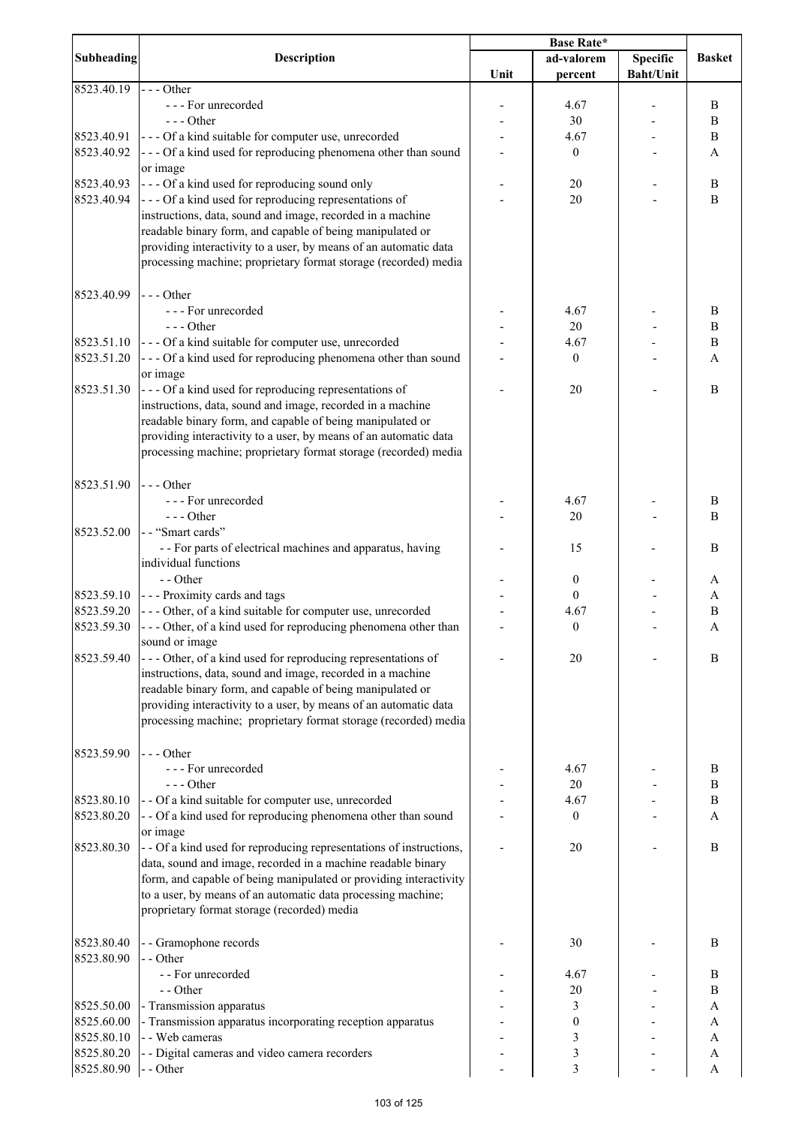|                   |                                                                     | <b>Base Rate*</b> |                  |                  |               |
|-------------------|---------------------------------------------------------------------|-------------------|------------------|------------------|---------------|
| <b>Subheading</b> | <b>Description</b>                                                  |                   | ad-valorem       | <b>Specific</b>  | <b>Basket</b> |
|                   |                                                                     | Unit              | percent          | <b>Baht/Unit</b> |               |
| 8523.40.19        | $--$ Other                                                          |                   |                  |                  |               |
|                   | --- For unrecorded                                                  |                   | 4.67             |                  | B             |
|                   | $--$ Other                                                          |                   | 30               |                  | B             |
| 8523.40.91        | --- Of a kind suitable for computer use, unrecorded                 |                   | 4.67             |                  | B             |
| 8523.40.92        | --- Of a kind used for reproducing phenomena other than sound       |                   | $\boldsymbol{0}$ |                  | A             |
|                   | or image                                                            |                   |                  |                  |               |
| 8523.40.93        | --- Of a kind used for reproducing sound only                       |                   | 20               |                  | B             |
| 8523.40.94        | --- Of a kind used for reproducing representations of               |                   | 20               |                  | $\, {\bf B}$  |
|                   | instructions, data, sound and image, recorded in a machine          |                   |                  |                  |               |
|                   | readable binary form, and capable of being manipulated or           |                   |                  |                  |               |
|                   | providing interactivity to a user, by means of an automatic data    |                   |                  |                  |               |
|                   | processing machine; proprietary format storage (recorded) media     |                   |                  |                  |               |
|                   |                                                                     |                   |                  |                  |               |
| 8523.40.99        | $--$ Other                                                          |                   |                  |                  |               |
|                   | --- For unrecorded                                                  |                   | 4.67             |                  | B             |
|                   | $--$ Other                                                          |                   | 20               |                  | B             |
| 8523.51.10        | --- Of a kind suitable for computer use, unrecorded                 |                   | 4.67             |                  | $\, {\bf B}$  |
| 8523.51.20        | --- Of a kind used for reproducing phenomena other than sound       |                   | $\boldsymbol{0}$ |                  |               |
|                   |                                                                     |                   |                  |                  | A             |
| 8523.51.30        | or image                                                            |                   |                  |                  | B             |
|                   | --- Of a kind used for reproducing representations of               |                   | 20               |                  |               |
|                   | instructions, data, sound and image, recorded in a machine          |                   |                  |                  |               |
|                   | readable binary form, and capable of being manipulated or           |                   |                  |                  |               |
|                   | providing interactivity to a user, by means of an automatic data    |                   |                  |                  |               |
|                   | processing machine; proprietary format storage (recorded) media     |                   |                  |                  |               |
|                   |                                                                     |                   |                  |                  |               |
| 8523.51.90        | $--$ Other                                                          |                   |                  |                  |               |
|                   | --- For unrecorded                                                  |                   | 4.67             |                  | B             |
|                   | $--- Other$                                                         |                   | $20\,$           |                  | B             |
| 8523.52.00        | -- "Smart cards"                                                    |                   |                  |                  |               |
|                   | - - For parts of electrical machines and apparatus, having          |                   | 15               |                  | B             |
|                   | individual functions                                                |                   |                  |                  |               |
|                   | - - Other                                                           |                   | $\boldsymbol{0}$ |                  | A             |
| 8523.59.10        | --- Proximity cards and tags                                        |                   | $\boldsymbol{0}$ |                  | A             |
| 8523.59.20        | --- Other, of a kind suitable for computer use, unrecorded          |                   | 4.67             |                  | B             |
| 8523.59.30        | --- Other, of a kind used for reproducing phenomena other than      |                   | $\boldsymbol{0}$ |                  | A             |
|                   | sound or image                                                      |                   |                  |                  |               |
| 8523.59.40        | --- Other, of a kind used for reproducing representations of        |                   | 20               |                  | B             |
|                   | instructions, data, sound and image, recorded in a machine          |                   |                  |                  |               |
|                   | readable binary form, and capable of being manipulated or           |                   |                  |                  |               |
|                   | providing interactivity to a user, by means of an automatic data    |                   |                  |                  |               |
|                   | processing machine; proprietary format storage (recorded) media     |                   |                  |                  |               |
|                   |                                                                     |                   |                  |                  |               |
| 8523.59.90        | $--$ Other                                                          |                   |                  |                  |               |
|                   | --- For unrecorded                                                  |                   | 4.67             |                  | B             |
|                   | $--$ Other                                                          |                   | 20               |                  | B             |
| 8523.80.10        | - - Of a kind suitable for computer use, unrecorded                 |                   | 4.67             |                  | B             |
| 8523.80.20        | - - Of a kind used for reproducing phenomena other than sound       |                   | $\boldsymbol{0}$ |                  | А             |
|                   | or image                                                            |                   |                  |                  |               |
| 8523.80.30        | - - Of a kind used for reproducing representations of instructions, |                   | 20               |                  | B             |
|                   | data, sound and image, recorded in a machine readable binary        |                   |                  |                  |               |
|                   |                                                                     |                   |                  |                  |               |
|                   | form, and capable of being manipulated or providing interactivity   |                   |                  |                  |               |
|                   | to a user, by means of an automatic data processing machine;        |                   |                  |                  |               |
|                   | proprietary format storage (recorded) media                         |                   |                  |                  |               |
|                   |                                                                     |                   |                  |                  |               |
| 8523.80.40        | - - Gramophone records                                              |                   | 30               |                  | B             |
| 8523.80.90        | - - Other                                                           |                   |                  |                  |               |
|                   | - - For unrecorded                                                  |                   | 4.67             |                  | B             |
|                   | - - Other                                                           |                   | 20               |                  | B             |
| 8525.50.00        | - Transmission apparatus                                            |                   | 3                |                  | A             |
| 8525.60.00        | - Transmission apparatus incorporating reception apparatus          |                   | $\boldsymbol{0}$ |                  | A             |
| 8525.80.10        | - - Web cameras                                                     |                   | $\mathfrak{Z}$   |                  | A             |
| 8525.80.20        | - - Digital cameras and video camera recorders                      |                   | $\sqrt{3}$       |                  | A             |
| 8525.80.90        | - - Other                                                           |                   | 3                |                  | A             |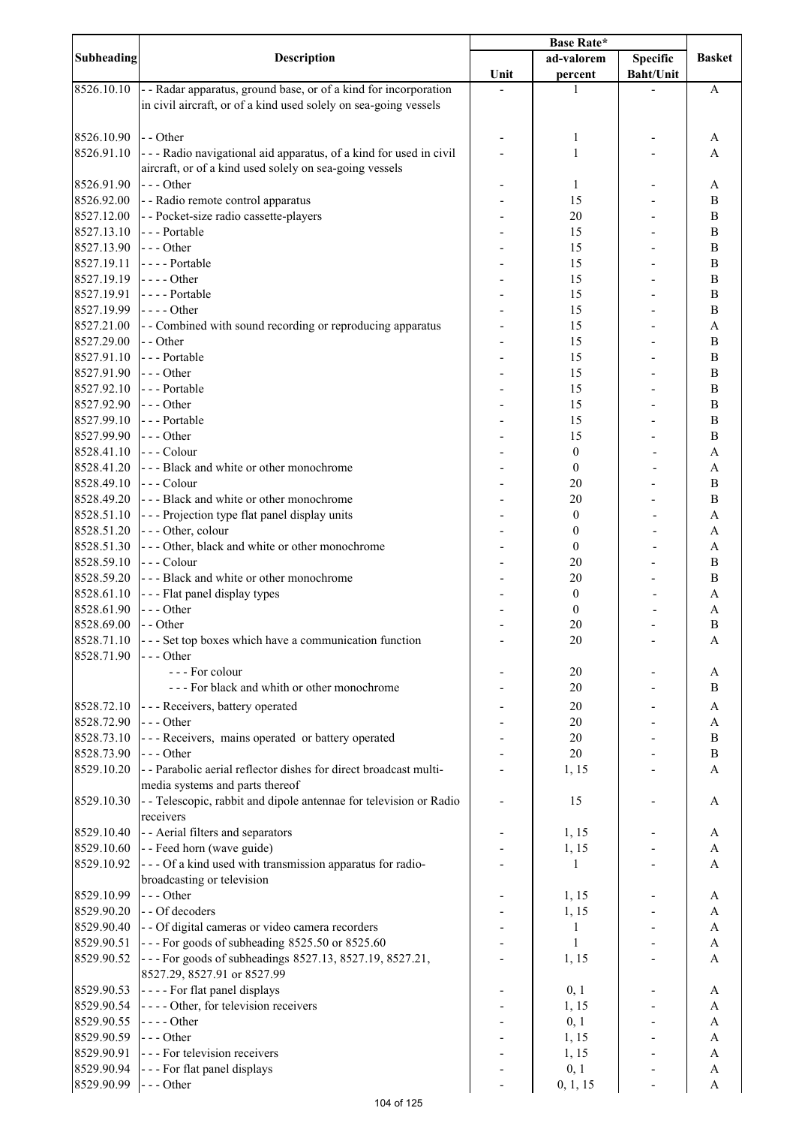|                          |                                                                                        | <b>Base Rate*</b> |                  |                  |                           |
|--------------------------|----------------------------------------------------------------------------------------|-------------------|------------------|------------------|---------------------------|
| <b>Subheading</b>        | <b>Description</b>                                                                     |                   | ad-valorem       | <b>Specific</b>  | <b>Basket</b>             |
|                          |                                                                                        | Unit              | percent          | <b>Baht/Unit</b> |                           |
| 8526.10.10               | - - Radar apparatus, ground base, or of a kind for incorporation                       |                   | 1                |                  | A                         |
|                          | in civil aircraft, or of a kind used solely on sea-going vessels                       |                   |                  |                  |                           |
|                          |                                                                                        |                   |                  |                  |                           |
| 8526.10.90               | - - Other                                                                              |                   | 1                |                  | A                         |
| 8526.91.10               | --- Radio navigational aid apparatus, of a kind for used in civil                      |                   | 1                |                  | A                         |
|                          | aircraft, or of a kind used solely on sea-going vessels                                |                   |                  |                  |                           |
| 8526.91.90               | $--$ Other                                                                             |                   | 1                |                  | A                         |
| 8526.92.00               | - - Radio remote control apparatus                                                     |                   | 15               |                  | B                         |
| 8527.12.00               | - - Pocket-size radio cassette-players                                                 |                   | 20               |                  | $\boldsymbol{B}$          |
| 8527.13.10               | --- Portable                                                                           |                   | 15               |                  | $\, {\bf B}$              |
| 8527.13.90               | $--$ Other                                                                             |                   | 15               |                  | $\, {\bf B}$              |
| 8527.19.11               | ---- Portable                                                                          |                   | 15               |                  | $\bf{B}$                  |
| 8527.19.19               | $--- Other$                                                                            |                   | 15               |                  | $\, {\bf B}$              |
| 8527.19.91               | - - - - Portable                                                                       |                   | 15               |                  | $\, {\bf B}$              |
| 8527.19.99               | $---Other$                                                                             |                   | 15               |                  | $\, {\bf B}$              |
| 8527.21.00               | - Combined with sound recording or reproducing apparatus                               |                   | 15               |                  | $\boldsymbol{\mathsf{A}}$ |
| 8527.29.00<br>8527.91.10 | - - Other<br>--- Portable                                                              |                   | 15               |                  | $\, {\bf B}$              |
| 8527.91.90               | --- Other                                                                              |                   | 15               |                  | $\, {\bf B}$              |
| 8527.92.10               | --- Portable                                                                           |                   | 15               |                  | $\bf{B}$<br>$\bf{B}$      |
|                          | --- Other                                                                              |                   | 15               |                  |                           |
| 8527.92.90<br>8527.99.10 | --- Portable                                                                           |                   | 15<br>15         |                  | $\bf{B}$<br>$\, {\bf B}$  |
| 8527.99.90               | $--$ Other                                                                             |                   | 15               |                  | $\, {\bf B}$              |
| 8528.41.10               | --- Colour                                                                             |                   | $\boldsymbol{0}$ |                  | $\boldsymbol{\mathsf{A}}$ |
| 8528.41.20               | --- Black and white or other monochrome                                                |                   | $\boldsymbol{0}$ |                  | $\boldsymbol{\mathsf{A}}$ |
| 8528.49.10               | --- Colour                                                                             |                   | 20               |                  | $\, {\bf B}$              |
| 8528.49.20               | --- Black and white or other monochrome                                                |                   | 20               |                  | $\, {\bf B}$              |
| 8528.51.10               | --- Projection type flat panel display units                                           |                   | $\boldsymbol{0}$ |                  | A                         |
| 8528.51.20               | --- Other, colour                                                                      |                   | $\boldsymbol{0}$ |                  | $\boldsymbol{\rm{A}}$     |
| 8528.51.30               | --- Other, black and white or other monochrome                                         |                   | $\boldsymbol{0}$ |                  | A                         |
| 8528.59.10               | --- Colour                                                                             |                   | 20               |                  | $\bf{B}$                  |
| 8528.59.20               | --- Black and white or other monochrome                                                |                   | 20               |                  | B                         |
| 8528.61.10               | - - - Flat panel display types                                                         |                   | $\boldsymbol{0}$ |                  | A                         |
| 8528.61.90               | $--- Other$                                                                            |                   | $\boldsymbol{0}$ |                  | A                         |
| 8528.69.00               | - - Other                                                                              |                   | 20               |                  | $\mathbf B$               |
|                          | $8528.71.10$ - - Set top boxes which have a communication function                     |                   | 20               |                  | A                         |
| 8528.71.90               | $\left  - \right $ - - Other                                                           |                   |                  |                  |                           |
|                          | --- For colour                                                                         |                   | 20               |                  | A                         |
|                          | --- For black and whith or other monochrome                                            |                   | 20               |                  | B                         |
| 8528.72.10               | - - - Receivers, battery operated                                                      |                   | 20               |                  | A                         |
| 8528.72.90               | --- Other                                                                              |                   | 20               |                  | A                         |
| 8528.73.10               | --- Receivers, mains operated or battery operated                                      |                   | 20               |                  | $\boldsymbol{B}$          |
| 8528.73.90               | --- Other                                                                              |                   | 20               |                  | $\boldsymbol{B}$          |
| 8529.10.20               | -- Parabolic aerial reflector dishes for direct broadcast multi-                       |                   | 1, 15            |                  | A                         |
|                          | media systems and parts thereof                                                        |                   |                  |                  |                           |
| 8529.10.30               | - - Telescopic, rabbit and dipole antennae for television or Radio                     |                   | 15               |                  | A                         |
|                          | receivers                                                                              |                   |                  |                  |                           |
| 8529.10.40               | - - Aerial filters and separators                                                      |                   | 1, 15            |                  | A                         |
| 8529.10.60               | - - Feed horn (wave guide)                                                             |                   | 1, 15            |                  | A                         |
| 8529.10.92               | --- Of a kind used with transmission apparatus for radio-                              |                   | 1                |                  | A                         |
|                          | broadcasting or television                                                             |                   |                  |                  |                           |
| 8529.10.99               | --- Other                                                                              |                   | 1, 15            |                  | A                         |
| 8529.90.20               | - - Of decoders                                                                        |                   | 1, 15            |                  | A                         |
| 8529.90.40               | - - Of digital cameras or video camera recorders                                       |                   | 1                |                  | A                         |
| 8529.90.51               | --- For goods of subheading 8525.50 or 8525.60                                         |                   | 1                |                  | A                         |
| 8529.90.52               | --- For goods of subheadings 8527.13, 8527.19, 8527.21,<br>8527.29, 8527.91 or 8527.99 |                   | 1, 15            |                  | A                         |
| 8529.90.53               | ---- For flat panel displays                                                           |                   | 0, 1             |                  | A                         |
| 8529.90.54               | ---- Other, for television receivers                                                   |                   | 1, 15            |                  | $\boldsymbol{\mathsf{A}}$ |
| 8529.90.55               | - - - - Other                                                                          |                   | 0, 1             |                  | $\boldsymbol{\rm{A}}$     |
| 8529.90.59               | --- Other                                                                              |                   | 1, 15            |                  | A                         |
| 8529.90.91               | --- For television receivers                                                           |                   | 1, 15            |                  | A                         |
| 8529.90.94               | - - - For flat panel displays                                                          |                   | 0, 1             |                  | A                         |
| 8529.90.99               | --- Other                                                                              |                   | 0, 1, 15         |                  | A                         |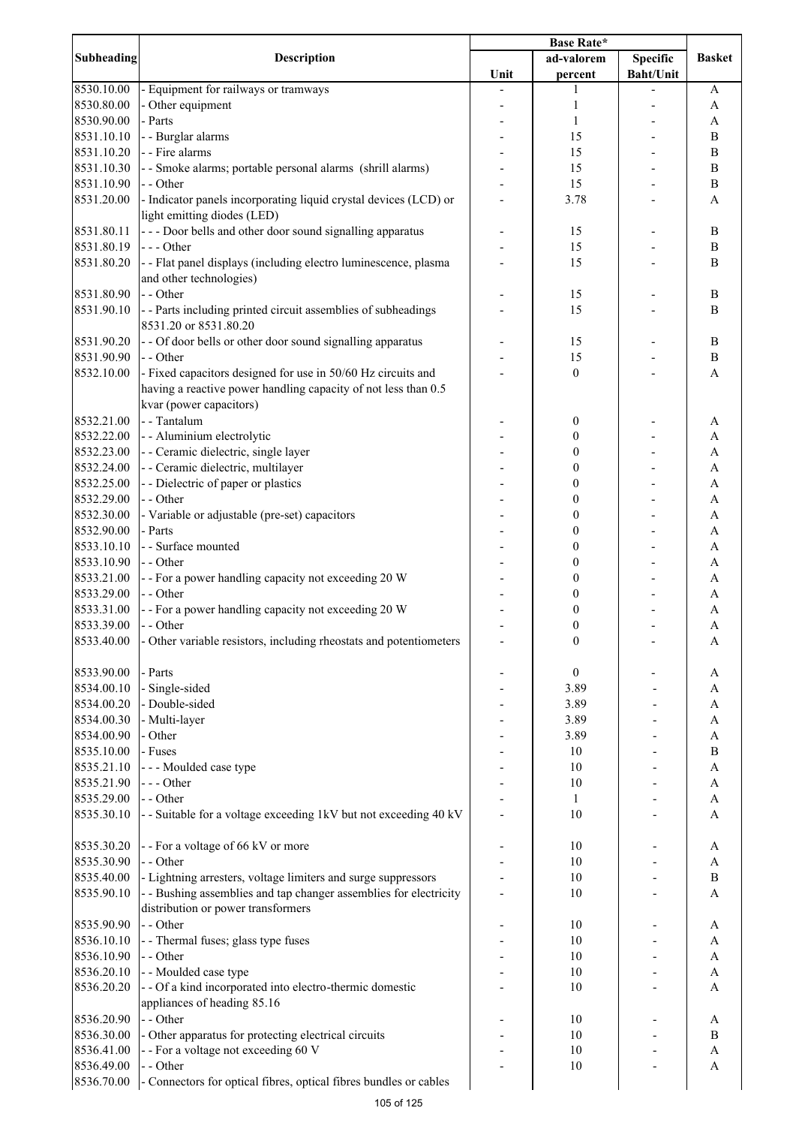|            |                                                                    | Base Rate* |                  |                  |                           |
|------------|--------------------------------------------------------------------|------------|------------------|------------------|---------------------------|
| Subheading | <b>Description</b>                                                 |            | ad-valorem       | <b>Specific</b>  | <b>Basket</b>             |
|            |                                                                    | Unit       | percent          | <b>Baht/Unit</b> |                           |
| 8530.10.00 | - Equipment for railways or tramways                               |            | 1                |                  | A                         |
| 8530.80.00 | - Other equipment                                                  |            | 1                |                  | A                         |
| 8530.90.00 | - Parts                                                            |            | 1                |                  | A                         |
| 8531.10.10 | - - Burglar alarms                                                 |            | 15               |                  | $\, {\bf B}$              |
| 8531.10.20 | - - Fire alarms                                                    |            | 15               |                  | $\, {\bf B}$              |
| 8531.10.30 | - - Smoke alarms; portable personal alarms (shrill alarms)         |            | 15               |                  | $\, {\bf B}$              |
| 8531.10.90 | - - Other                                                          |            | 15               |                  | $\boldsymbol{B}$          |
| 8531.20.00 | - Indicator panels incorporating liquid crystal devices (LCD) or   |            | 3.78             |                  | A                         |
|            | light emitting diodes (LED)                                        |            |                  |                  |                           |
| 8531.80.11 | - - - Door bells and other door sound signalling apparatus         |            | 15               |                  | $\, {\bf B}$              |
| 8531.80.19 | --- Other                                                          |            | 15               |                  | $\, {\bf B}$              |
| 8531.80.20 | - - Flat panel displays (including electro luminescence, plasma    |            | 15               |                  | $\boldsymbol{B}$          |
|            | and other technologies)                                            |            |                  |                  |                           |
| 8531.80.90 | - - Other                                                          |            | 15               |                  | $\, {\bf B}$              |
| 8531.90.10 | - - Parts including printed circuit assemblies of subheadings      |            | 15               |                  | B                         |
|            | 8531.20 or 8531.80.20                                              |            |                  |                  |                           |
| 8531.90.20 | - - Of door bells or other door sound signalling apparatus         |            | 15               |                  | $\, {\bf B}$              |
| 8531.90.90 | - - Other                                                          |            | 15               |                  | $\, {\bf B}$              |
| 8532.10.00 | - Fixed capacitors designed for use in 50/60 Hz circuits and       |            | $\boldsymbol{0}$ |                  | $\mathbf{A}$              |
|            | having a reactive power handling capacity of not less than 0.5     |            |                  |                  |                           |
|            | kvar (power capacitors)                                            |            |                  |                  |                           |
| 8532.21.00 | - - Tantalum                                                       |            | 0                |                  | A                         |
| 8532.22.00 | - - Aluminium electrolytic                                         |            | $\boldsymbol{0}$ |                  | $\boldsymbol{\mathsf{A}}$ |
| 8532.23.00 | - - Ceramic dielectric, single layer                               |            | $\boldsymbol{0}$ |                  | $\boldsymbol{\rm{A}}$     |
| 8532.24.00 | - - Ceramic dielectric, multilayer                                 |            | $\boldsymbol{0}$ |                  | $\boldsymbol{\rm{A}}$     |
| 8532.25.00 | - - Dielectric of paper or plastics                                |            | $\boldsymbol{0}$ |                  | $\boldsymbol{\rm{A}}$     |
| 8532.29.00 | - - Other                                                          |            | $\boldsymbol{0}$ |                  | $\boldsymbol{\mathsf{A}}$ |
| 8532.30.00 | - Variable or adjustable (pre-set) capacitors                      |            | $\boldsymbol{0}$ |                  | A                         |
| 8532.90.00 | - Parts                                                            |            | $\boldsymbol{0}$ |                  | $\boldsymbol{\rm{A}}$     |
| 8533.10.10 | - - Surface mounted                                                |            | $\boldsymbol{0}$ |                  | A                         |
| 8533.10.90 | - - Other                                                          |            | $\boldsymbol{0}$ |                  | A                         |
| 8533.21.00 | - - For a power handling capacity not exceeding 20 W               |            | $\boldsymbol{0}$ |                  | A                         |
| 8533.29.00 | - - Other                                                          |            | $\boldsymbol{0}$ |                  | A                         |
| 8533.31.00 | - - For a power handling capacity not exceeding 20 W               |            | $\boldsymbol{0}$ |                  | $\boldsymbol{\mathsf{A}}$ |
| 8533.39.00 | - - Other                                                          |            | $\boldsymbol{0}$ |                  | $\mathbf{A}$              |
| 8533.40.00 | - Other variable resistors, including rheostats and potentiometers |            | $\boldsymbol{0}$ |                  | A                         |
| 8533.90.00 | - Parts                                                            |            | $\boldsymbol{0}$ |                  | A                         |
| 8534.00.10 | - Single-sided                                                     |            | 3.89             |                  | A                         |
| 8534.00.20 | - Double-sided                                                     |            | 3.89             |                  | A                         |
| 8534.00.30 | - Multi-layer                                                      |            | 3.89             |                  | A                         |
| 8534.00.90 | - Other                                                            |            | 3.89             |                  | A                         |
| 8535.10.00 | - Fuses                                                            |            | 10               |                  | $\, {\bf B}$              |
| 8535.21.10 | --- Moulded case type                                              |            | 10               |                  | $\boldsymbol{\rm{A}}$     |
| 8535.21.90 | --- Other                                                          |            | 10               |                  | $\boldsymbol{\rm{A}}$     |
| 8535.29.00 | - - Other                                                          |            | 1                |                  | $\boldsymbol{\mathsf{A}}$ |
| 8535.30.10 | - - Suitable for a voltage exceeding 1kV but not exceeding 40 kV   |            | 10               |                  | A                         |
|            |                                                                    |            |                  |                  |                           |
| 8535.30.20 | -- For a voltage of 66 kV or more                                  |            | 10               |                  | A                         |
| 8535.30.90 | - - Other                                                          |            | 10               |                  | $\boldsymbol{\mathsf{A}}$ |
| 8535.40.00 | - Lightning arresters, voltage limiters and surge suppressors      |            | 10               |                  | $\, {\bf B}$              |
| 8535.90.10 | - - Bushing assemblies and tap changer assemblies for electricity  |            | 10               |                  | A                         |
|            | distribution or power transformers                                 |            |                  |                  |                           |
| 8535.90.90 | - - Other                                                          |            | 10               |                  | A                         |
| 8536.10.10 | - - Thermal fuses; glass type fuses                                |            | 10               |                  | A                         |
| 8536.10.90 | - - Other                                                          |            | 10               |                  | A                         |
| 8536.20.10 | - - Moulded case type                                              |            | 10               |                  | A                         |
| 8536.20.20 | - - Of a kind incorporated into electro-thermic domestic           |            | 10               |                  | A                         |
|            | appliances of heading 85.16                                        |            |                  |                  |                           |
| 8536.20.90 | - - Other                                                          |            | 10               |                  | A                         |
| 8536.30.00 | - Other apparatus for protecting electrical circuits               |            | 10               |                  | $\, {\bf B}$              |
| 8536.41.00 | -- For a voltage not exceeding 60 V                                |            | 10               |                  | A                         |
| 8536.49.00 | - - Other                                                          |            | 10               |                  | A                         |
| 8536.70.00 | - Connectors for optical fibres, optical fibres bundles or cables  |            |                  |                  |                           |
|            |                                                                    |            |                  |                  |                           |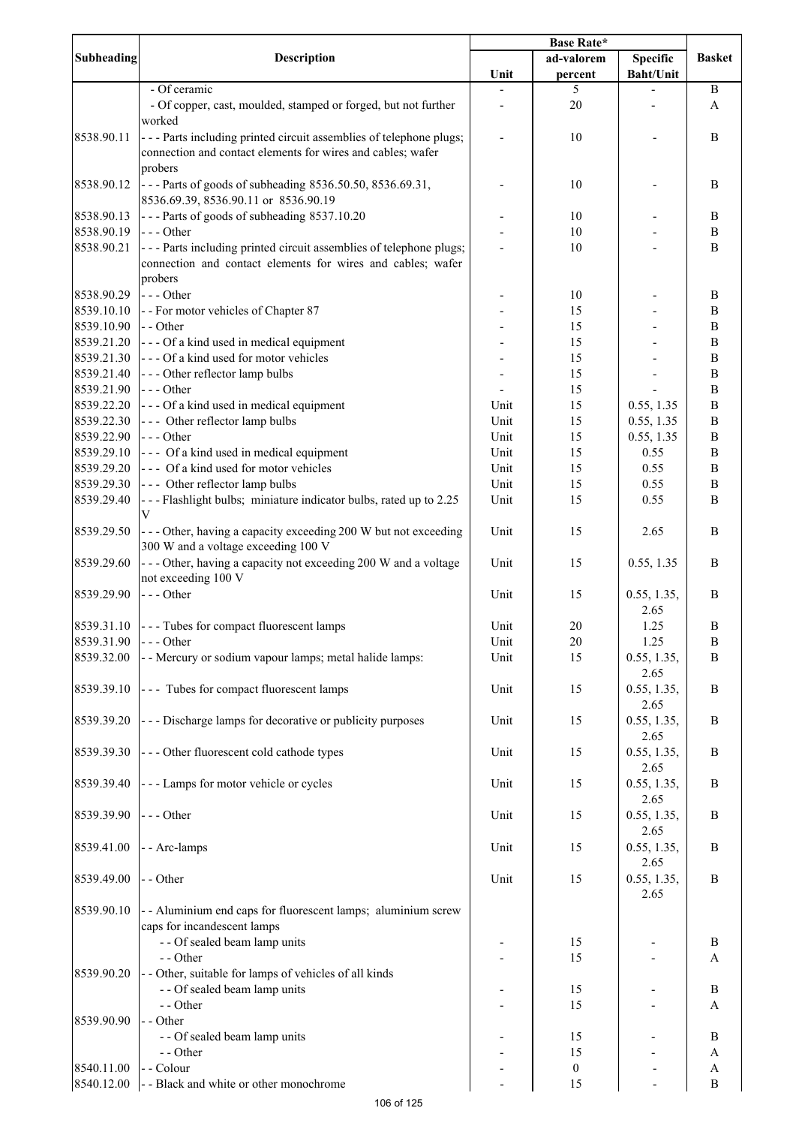|                          |                                                                                                                                               | <b>Base Rate*</b> |                        |                                    |                                  |
|--------------------------|-----------------------------------------------------------------------------------------------------------------------------------------------|-------------------|------------------------|------------------------------------|----------------------------------|
| <b>Subheading</b>        | <b>Description</b>                                                                                                                            | Unit              | ad-valorem<br>percent  | Specific<br><b>Baht/Unit</b>       | <b>Basket</b>                    |
|                          | - Of ceramic<br>- Of copper, cast, moulded, stamped or forged, but not further                                                                |                   | 5<br>20                |                                    | $\, {\bf B}$<br>A                |
| 8538.90.11               | worked<br>- - - Parts including printed circuit assemblies of telephone plugs;<br>connection and contact elements for wires and cables; wafer |                   | 10                     |                                    | $\, {\bf B}$                     |
| 8538.90.12               | probers<br>--- Parts of goods of subheading 8536.50.50, 8536.69.31,                                                                           |                   | 10                     |                                    | B                                |
| 8538.90.13               | 8536.69.39, 8536.90.11 or 8536.90.19<br>--- Parts of goods of subheading 8537.10.20                                                           |                   | 10                     |                                    | $\, {\bf B}$                     |
| 8538.90.19               | $--$ Other                                                                                                                                    |                   | 10                     |                                    | $\, {\bf B}$                     |
| 8538.90.21               | --- Parts including printed circuit assemblies of telephone plugs;<br>connection and contact elements for wires and cables; wafer<br>probers  |                   | 10                     |                                    | B                                |
| 8538.90.29               | $--$ Other                                                                                                                                    |                   | 10                     |                                    | B                                |
| 8539.10.10               | - - For motor vehicles of Chapter 87                                                                                                          |                   | 15                     |                                    | $\, {\bf B}$                     |
| 8539.10.90               | - - Other                                                                                                                                     |                   | 15                     |                                    | $\, {\bf B}$                     |
| 8539.21.20               | --- Of a kind used in medical equipment                                                                                                       |                   | 15                     |                                    | $\, {\bf B}$                     |
| 8539.21.30               | --- Of a kind used for motor vehicles                                                                                                         |                   | 15                     |                                    | $\, {\bf B}$                     |
| 8539.21.40               | --- Other reflector lamp bulbs<br>$--$ Other                                                                                                  |                   | 15                     |                                    | $\, {\bf B}$<br>$\, {\bf B}$     |
| 8539.21.90<br>8539.22.20 | --- Of a kind used in medical equipment                                                                                                       | Unit              | 15<br>15               | 0.55, 1.35                         | $\, {\bf B}$                     |
| 8539.22.30               | --- Other reflector lamp bulbs                                                                                                                | Unit              | 15                     | 0.55, 1.35                         | $\, {\bf B}$                     |
| 8539.22.90               | $--$ Other                                                                                                                                    | Unit              | 15                     | 0.55, 1.35                         | $\, {\bf B}$                     |
| 8539.29.10               | --- Of a kind used in medical equipment                                                                                                       | Unit              | 15                     | 0.55                               | $\, {\bf B}$                     |
| 8539.29.20               | --- Of a kind used for motor vehicles                                                                                                         | Unit              | 15                     | 0.55                               | $\, {\bf B}$                     |
| 8539.29.30               | --- Other reflector lamp bulbs                                                                                                                | Unit              | 15                     | 0.55                               | $\, {\bf B}$                     |
| 8539.29.40               | ---Flashlight bulbs; miniature indicator bulbs, rated up to 2.25<br>V                                                                         | Unit              | 15                     | 0.55                               | $\mathbf B$                      |
| 8539.29.50               | --- Other, having a capacity exceeding 200 W but not exceeding<br>300 W and a voltage exceeding 100 V                                         | Unit              | 15                     | 2.65                               | $\boldsymbol{B}$                 |
| 8539.29.60               | --- Other, having a capacity not exceeding 200 W and a voltage<br>not exceeding 100 V                                                         | Unit              | 15                     | 0.55, 1.35                         | $\boldsymbol{B}$                 |
| 8539.29.90               | --- Other                                                                                                                                     | Unit              | 15                     | 0.55, 1.35,<br>2.65                | B                                |
|                          | 8539.31.10 --- Tubes for compact fluorescent lamps                                                                                            | Unit              | 20                     | 1.25                               | $\mathbf B$                      |
| 8539.31.90               | $\vert$ - - - Other                                                                                                                           | Unit              | $20\,$                 | 1.25                               | B                                |
| 8539.32.00               | - - Mercury or sodium vapour lamps; metal halide lamps:                                                                                       | Unit              | 15                     | 0.55, 1.35,<br>2.65                | B                                |
| 8539.39.10               | --- Tubes for compact fluorescent lamps                                                                                                       | Unit              | 15                     | 0.55, 1.35,<br>2.65                | $\mathbf B$                      |
| 8539.39.20               | --- Discharge lamps for decorative or publicity purposes                                                                                      | Unit              | 15                     | 0.55, 1.35,<br>2.65                | B                                |
| 8539.39.30               | --- Other fluorescent cold cathode types                                                                                                      | Unit              | 15                     | 0.55, 1.35,<br>2.65                | $\, {\bf B}$                     |
| 8539.39.40               | --- Lamps for motor vehicle or cycles                                                                                                         | Unit              | 15                     | 0.55, 1.35,<br>2.65                | B                                |
| 8539.39.90<br>8539.41.00 | $--- Other$<br>- - Arc-lamps                                                                                                                  | Unit<br>Unit      | 15<br>15               | 0.55, 1.35,<br>2.65<br>0.55, 1.35, | B<br>B                           |
| 8539.49.00               | - - Other                                                                                                                                     | Unit              | 15                     | 2.65<br>0.55, 1.35,                | B                                |
| 8539.90.10               | - - Aluminium end caps for fluorescent lamps; aluminium screw                                                                                 |                   |                        | 2.65                               |                                  |
|                          | caps for incandescent lamps<br>- - Of sealed beam lamp units                                                                                  |                   | 15                     |                                    | $\, {\bf B}$                     |
|                          | - - Other                                                                                                                                     |                   | 15                     |                                    | $\mathbf{A}$                     |
| 8539.90.20               | - - Other, suitable for lamps of vehicles of all kinds<br>- - Of sealed beam lamp units                                                       |                   | 15                     |                                    | $\, {\bf B}$                     |
|                          | - - Other                                                                                                                                     |                   | 15                     |                                    | A                                |
| 8539.90.90               | - - Other                                                                                                                                     |                   |                        |                                    |                                  |
|                          | - - Of sealed beam lamp units                                                                                                                 |                   | 15                     |                                    | $\mathbf B$                      |
| 8540.11.00               | - - Other<br>- - Colour                                                                                                                       |                   | 15<br>$\boldsymbol{0}$ |                                    | A                                |
| 8540.12.00               | - - Black and white or other monochrome                                                                                                       |                   | 15                     |                                    | $\boldsymbol{A}$<br>$\, {\bf B}$ |
|                          |                                                                                                                                               |                   |                        |                                    |                                  |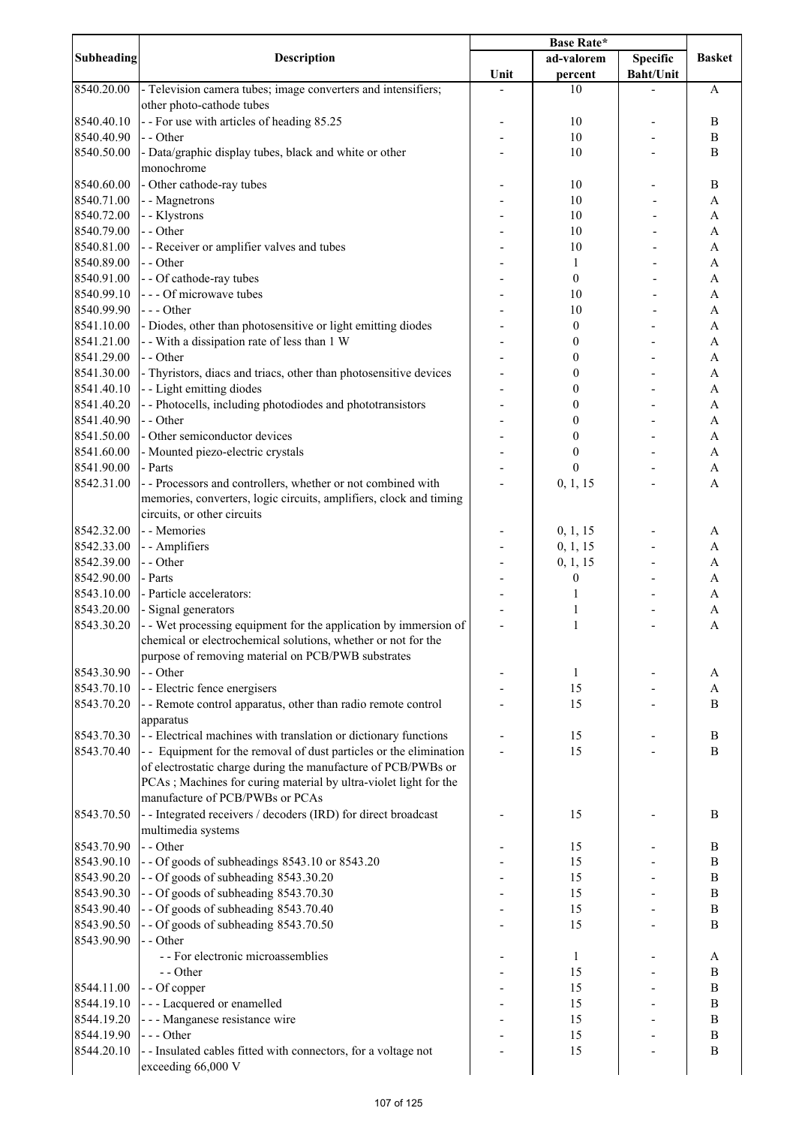|                   |                                                                    | <b>Base Rate*</b> |                  |                  |               |
|-------------------|--------------------------------------------------------------------|-------------------|------------------|------------------|---------------|
| <b>Subheading</b> | <b>Description</b>                                                 |                   | ad-valorem       | Specific         | <b>Basket</b> |
|                   |                                                                    | Unit              | percent          | <b>Baht/Unit</b> |               |
| 8540.20.00        | - Television camera tubes; image converters and intensifiers;      |                   | 10               |                  | A             |
|                   | other photo-cathode tubes                                          |                   |                  |                  |               |
| 8540.40.10        | -- For use with articles of heading 85.25                          |                   | 10               |                  | B             |
| 8540.40.90        | - - Other                                                          |                   |                  |                  |               |
|                   |                                                                    |                   | 10               |                  | $\, {\bf B}$  |
| 8540.50.00        | - Data/graphic display tubes, black and white or other             |                   | 10               |                  | B             |
|                   | monochrome                                                         |                   |                  |                  |               |
| 8540.60.00        | - Other cathode-ray tubes                                          |                   | 10               |                  | B             |
| 8540.71.00        | - - Magnetrons                                                     |                   | 10               |                  | A             |
| 8540.72.00        | - - Klystrons                                                      |                   | 10               |                  | A             |
| 8540.79.00        | - - Other                                                          |                   | 10               |                  | $\mathbf{A}$  |
| 8540.81.00        | - - Receiver or amplifier valves and tubes                         |                   | 10               |                  | $\mathbf{A}$  |
| 8540.89.00        | - - Other                                                          |                   | 1                |                  | $\mathbf{A}$  |
| 8540.91.00        | - - Of cathode-ray tubes                                           |                   |                  |                  | $\mathbf{A}$  |
|                   |                                                                    |                   | $\boldsymbol{0}$ |                  |               |
| 8540.99.10        | --- Of microwave tubes                                             |                   | 10               |                  | A             |
| 8540.99.90        | --- Other                                                          |                   | 10               |                  | A             |
| 8541.10.00        | - Diodes, other than photosensitive or light emitting diodes       |                   | $\boldsymbol{0}$ |                  | A             |
| 8541.21.00        | - - With a dissipation rate of less than 1 W                       |                   | $\boldsymbol{0}$ |                  | A             |
| 8541.29.00        | - - Other                                                          |                   | $\boldsymbol{0}$ |                  | A             |
| 8541.30.00        | - Thyristors, diacs and triacs, other than photosensitive devices  |                   | $\boldsymbol{0}$ |                  | A             |
| 8541.40.10        | - - Light emitting diodes                                          |                   | $\boldsymbol{0}$ |                  | A             |
| 8541.40.20        | - - Photocells, including photodiodes and phototransistors         |                   | $\boldsymbol{0}$ |                  | A             |
| 8541.40.90        | - - Other                                                          |                   | $\boldsymbol{0}$ |                  | A             |
|                   | - Other semiconductor devices                                      |                   |                  |                  |               |
| 8541.50.00        |                                                                    |                   | 0                |                  | A             |
| 8541.60.00        | - Mounted piezo-electric crystals                                  |                   | $\boldsymbol{0}$ |                  | A             |
| 8541.90.00        | - Parts                                                            |                   | $\boldsymbol{0}$ |                  | A             |
| 8542.31.00        | - - Processors and controllers, whether or not combined with       |                   | 0, 1, 15         |                  | A             |
|                   | memories, converters, logic circuits, amplifiers, clock and timing |                   |                  |                  |               |
|                   | circuits, or other circuits                                        |                   |                  |                  |               |
| 8542.32.00        | - - Memories                                                       |                   | 0, 1, 15         |                  | A             |
| 8542.33.00        | - - Amplifiers                                                     |                   | 0, 1, 15         |                  | A             |
| 8542.39.00        | - - Other                                                          |                   | 0, 1, 15         |                  | A             |
|                   |                                                                    |                   |                  |                  |               |
| 8542.90.00        | - Parts                                                            |                   | 0                |                  | A             |
| 8543.10.00        | - Particle accelerators:                                           |                   | 1                |                  | A             |
| 8543.20.00        | - Signal generators                                                |                   | 1                |                  | A             |
| 8543.30.20        | - Wet processing equipment for the application by immersion of     |                   | $\mathbf{1}$     |                  | A             |
|                   | chemical or electrochemical solutions, whether or not for the      |                   |                  |                  |               |
|                   | purpose of removing material on PCB/PWB substrates                 |                   |                  |                  |               |
| 8543.30.90        | - - Other                                                          |                   | 1                |                  | A             |
| 8543.70.10        | - - Electric fence energisers                                      |                   | 15               |                  | A             |
| 8543.70.20        | - - Remote control apparatus, other than radio remote control      |                   | 15               |                  | $\mathbf B$   |
|                   |                                                                    |                   |                  |                  |               |
|                   | apparatus                                                          |                   |                  |                  |               |
| 8543.70.30        | - - Electrical machines with translation or dictionary functions   |                   | 15               |                  | $\, {\bf B}$  |
| 8543.70.40        | - Equipment for the removal of dust particles or the elimination   |                   | 15               |                  | $\mathbf B$   |
|                   | of electrostatic charge during the manufacture of PCB/PWBs or      |                   |                  |                  |               |
|                   | PCAs; Machines for curing material by ultra-violet light for the   |                   |                  |                  |               |
|                   | manufacture of PCB/PWBs or PCAs                                    |                   |                  |                  |               |
| 8543.70.50        | - - Integrated receivers / decoders (IRD) for direct broadcast     |                   | 15               |                  | B             |
|                   | multimedia systems                                                 |                   |                  |                  |               |
| 8543.70.90        | - - Other                                                          |                   | 15               |                  | $\, {\bf B}$  |
|                   |                                                                    |                   |                  |                  |               |
| 8543.90.10        | - - Of goods of subheadings 8543.10 or 8543.20                     |                   | 15               |                  | $\, {\bf B}$  |
| 8543.90.20        | -- Of goods of subheading 8543.30.20                               |                   | 15               |                  | $\bf{B}$      |
| 8543.90.30        | -- Of goods of subheading 8543.70.30                               |                   | 15               |                  | $\bf{B}$      |
| 8543.90.40        | - - Of goods of subheading 8543.70.40                              |                   | 15               |                  | $\, {\bf B}$  |
| 8543.90.50        | -- Of goods of subheading 8543.70.50                               |                   | 15               |                  | $\, {\bf B}$  |
| 8543.90.90        | - - Other                                                          |                   |                  |                  |               |
|                   | - - For electronic microassemblies                                 |                   | 1                |                  | A             |
|                   | - - Other                                                          |                   | 15               |                  | $\, {\bf B}$  |
| 8544.11.00        | - - Of copper                                                      |                   | 15               |                  | $\, {\bf B}$  |
|                   |                                                                    |                   |                  |                  |               |
| 8544.19.10        | --- Lacquered or enamelled                                         |                   | 15               |                  | $\, {\bf B}$  |
| 8544.19.20        | --- Manganese resistance wire                                      |                   | 15               |                  | $\, {\bf B}$  |
| 8544.19.90        | --- Other                                                          |                   | 15               |                  | $\, {\bf B}$  |
| 8544.20.10        | - - Insulated cables fitted with connectors, for a voltage not     |                   | 15               |                  | B             |
|                   | exceeding 66,000 V                                                 |                   |                  |                  |               |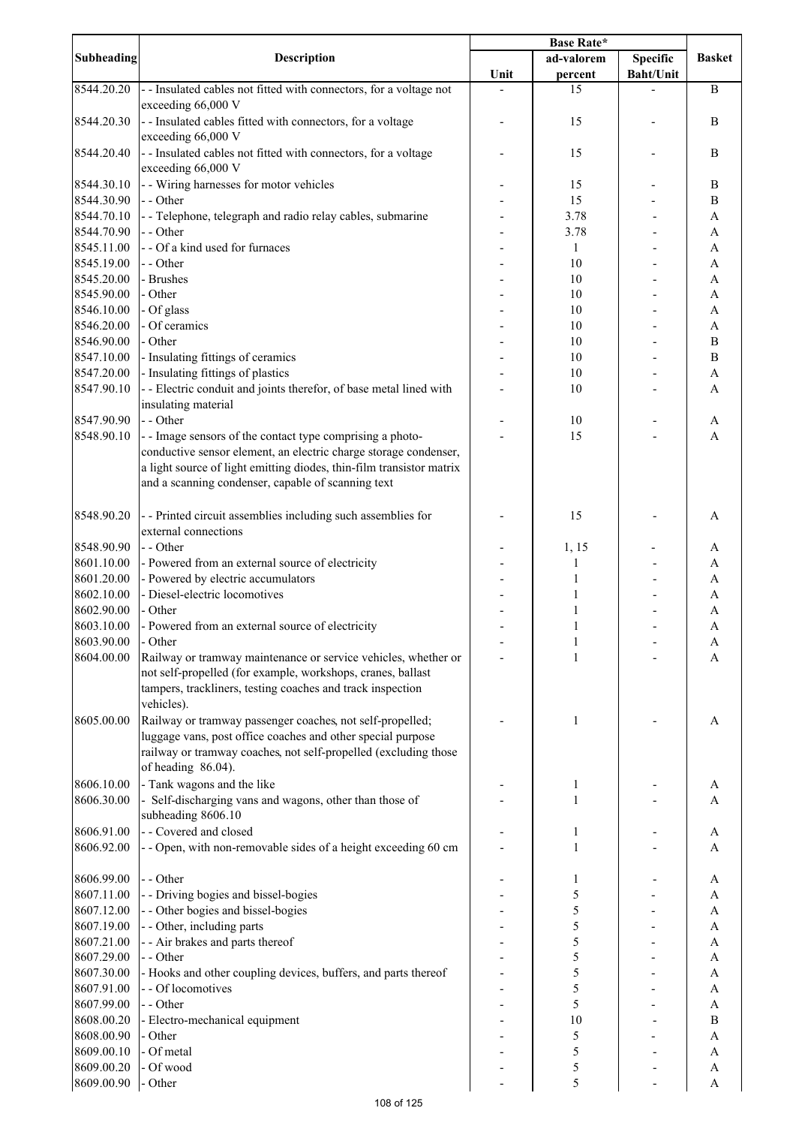|                          |                                                                                      | <b>Base Rate*</b> |              |                  |                           |
|--------------------------|--------------------------------------------------------------------------------------|-------------------|--------------|------------------|---------------------------|
| <b>Subheading</b>        | <b>Description</b>                                                                   |                   | ad-valorem   | Specific         | <b>Basket</b>             |
|                          |                                                                                      | Unit              | percent      | <b>Baht/Unit</b> |                           |
| 8544.20.20               | - - Insulated cables not fitted with connectors, for a voltage not                   |                   | 15           |                  | $\bf{B}$                  |
|                          | exceeding 66,000 V                                                                   |                   |              |                  |                           |
| 8544.20.30               | - - Insulated cables fitted with connectors, for a voltage                           |                   | 15           |                  | $\bf{B}$                  |
| 8544.20.40               | exceeding 66,000 V                                                                   |                   |              |                  | $\, {\bf B}$              |
|                          | - - Insulated cables not fitted with connectors, for a voltage<br>exceeding 66,000 V |                   | 15           |                  |                           |
| 8544.30.10               | - - Wiring harnesses for motor vehicles                                              |                   | 15           |                  | $\bf{B}$                  |
| 8544.30.90               | - - Other                                                                            |                   | 15           |                  | $\bf{B}$                  |
| 8544.70.10               | - - Telephone, telegraph and radio relay cables, submarine                           |                   | 3.78         |                  | A                         |
| 8544.70.90               | - - Other                                                                            |                   | 3.78         |                  | A                         |
| 8545.11.00               | - - Of a kind used for furnaces                                                      |                   | 1            |                  | A                         |
| 8545.19.00               | - - Other                                                                            |                   | 10           |                  | A                         |
| 8545.20.00               | - Brushes                                                                            |                   | 10           |                  | A                         |
| 8545.90.00               | - Other                                                                              |                   | 10           |                  | A                         |
| 8546.10.00               | - Of glass                                                                           |                   | 10           |                  | A                         |
| 8546.20.00               | - Of ceramics                                                                        |                   | 10           |                  | $\boldsymbol{\mathsf{A}}$ |
| 8546.90.00               | - Other                                                                              |                   | 10           |                  | $\, {\bf B}$              |
| 8547.10.00               | - Insulating fittings of ceramics                                                    |                   | 10           |                  | $\, {\bf B}$              |
| 8547.20.00               | - Insulating fittings of plastics                                                    |                   | 10           |                  | $\boldsymbol{\rm{A}}$     |
| 8547.90.10               | - - Electric conduit and joints therefor, of base metal lined with                   |                   | 10           |                  | A                         |
|                          | insulating material                                                                  |                   |              |                  |                           |
| 8547.90.90               | - - Other                                                                            |                   | 10           |                  | A                         |
| 8548.90.10               | - - Image sensors of the contact type comprising a photo-                            |                   | 15           |                  | $\mathbf{A}$              |
|                          | conductive sensor element, an electric charge storage condenser,                     |                   |              |                  |                           |
|                          | a light source of light emitting diodes, thin-film transistor matrix                 |                   |              |                  |                           |
|                          | and a scanning condenser, capable of scanning text                                   |                   |              |                  |                           |
|                          |                                                                                      |                   |              |                  |                           |
| 8548.90.20               | - - Printed circuit assemblies including such assemblies for                         |                   | 15           |                  | A                         |
|                          | external connections                                                                 |                   |              |                  |                           |
| 8548.90.90               | - - Other                                                                            |                   | 1, 15        |                  | A                         |
| 8601.10.00               | - Powered from an external source of electricity                                     |                   | 1            |                  | $\boldsymbol{\mathsf{A}}$ |
| 8601.20.00               | - Powered by electric accumulators                                                   |                   | 1            |                  | $\mathbf{A}$              |
| 8602.10.00               | - Diesel-electric locomotives                                                        |                   | 1            |                  | A                         |
| 8602.90.00               | - Other                                                                              |                   | 1            |                  | A                         |
| 8603.10.00<br>8603.90.00 | - Powered from an external source of electricity<br>- Other                          |                   | $\mathbf{1}$ |                  | $\mathbf{A}$              |
| 8604.00.00               | Railway or tramway maintenance or service vehicles, whether or                       |                   | 1            |                  | A<br>A                    |
|                          | not self-propelled (for example, workshops, cranes, ballast                          |                   |              |                  |                           |
|                          | tampers, trackliners, testing coaches and track inspection                           |                   |              |                  |                           |
|                          | vehicles).                                                                           |                   |              |                  |                           |
| 8605.00.00               | Railway or tramway passenger coaches, not self-propelled;                            |                   | 1            |                  | A                         |
|                          | luggage vans, post office coaches and other special purpose                          |                   |              |                  |                           |
|                          | railway or tramway coaches, not self-propelled (excluding those                      |                   |              |                  |                           |
|                          | of heading 86.04).                                                                   |                   |              |                  |                           |
| 8606.10.00               | - Tank wagons and the like                                                           |                   | 1            |                  | A                         |
| 8606.30.00               | - Self-discharging vans and wagons, other than those of                              |                   | 1            |                  | A                         |
|                          | subheading 8606.10                                                                   |                   |              |                  |                           |
| 8606.91.00               | - - Covered and closed                                                               |                   | 1            |                  | A                         |
| 8606.92.00               | - - Open, with non-removable sides of a height exceeding 60 cm                       |                   | 1            |                  | A                         |
|                          |                                                                                      |                   |              |                  |                           |
| 8606.99.00               | - - Other                                                                            |                   | 1            |                  | A                         |
| 8607.11.00               | - - Driving bogies and bissel-bogies                                                 |                   | 5            |                  | A                         |
| 8607.12.00               | - - Other bogies and bissel-bogies                                                   |                   | 5            |                  | $\boldsymbol{\mathsf{A}}$ |
| 8607.19.00               | - - Other, including parts                                                           |                   | 5            |                  | $\boldsymbol{\mathsf{A}}$ |
| 8607.21.00               | - - Air brakes and parts thereof                                                     |                   | 5            |                  | $\boldsymbol{\mathsf{A}}$ |
| 8607.29.00               | - - Other                                                                            |                   | 5            |                  | A                         |
| 8607.30.00               | - Hooks and other coupling devices, buffers, and parts thereof                       |                   | 5            |                  | $\boldsymbol{\mathsf{A}}$ |
| 8607.91.00               | - - Of locomotives                                                                   |                   | 5            |                  | A                         |
| 8607.99.00               | - - Other                                                                            |                   | 5            |                  | A                         |
| 8608.00.20<br>8608.00.90 | - Electro-mechanical equipment<br>- Other                                            |                   | 10<br>5      |                  | $\bf{B}$<br>A             |
| 8609.00.10               | - Of metal                                                                           |                   | 5            |                  | A                         |
| 8609.00.20               | - Of wood                                                                            |                   | 5            |                  | $\mathbf{A}$              |
| 8609.00.90               | - Other                                                                              |                   | 5            |                  | A                         |
|                          |                                                                                      |                   |              |                  |                           |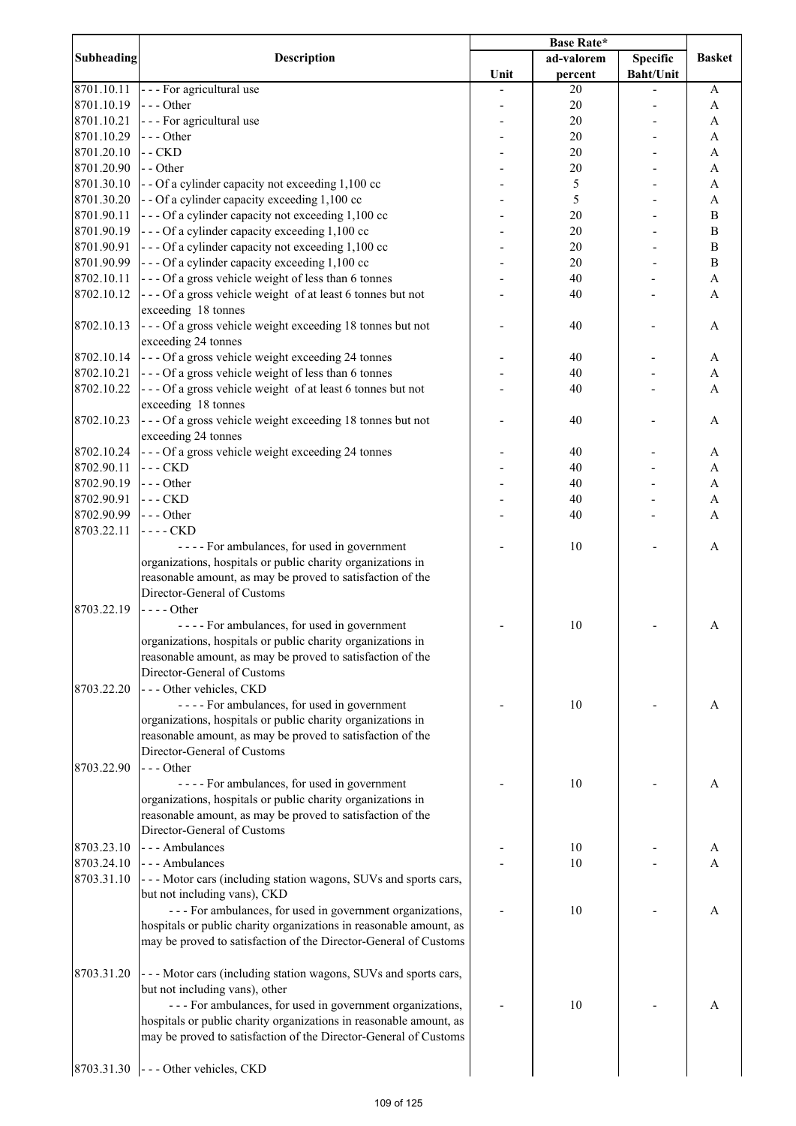|            | Description                                                                                               | <b>Base Rate*</b> |            |                  |               |
|------------|-----------------------------------------------------------------------------------------------------------|-------------------|------------|------------------|---------------|
| Subheading |                                                                                                           |                   | ad-valorem | <b>Specific</b>  | <b>Basket</b> |
|            |                                                                                                           | Unit              | percent    | <b>Baht/Unit</b> |               |
| 8701.10.11 | --- For agricultural use                                                                                  |                   | 20         |                  | A             |
| 8701.10.19 | $--$ Other                                                                                                |                   | 20         |                  | A             |
| 8701.10.21 | --- For agricultural use                                                                                  |                   | 20         |                  | A             |
| 8701.10.29 | $--$ Other                                                                                                |                   | 20         |                  | A             |
| 8701.20.10 | $-$ CKD                                                                                                   |                   | 20         |                  | A             |
| 8701.20.90 | - - Other                                                                                                 |                   | 20         |                  | A             |
| 8701.30.10 | - - Of a cylinder capacity not exceeding 1,100 cc                                                         |                   | 5          |                  | A             |
| 8701.30.20 | - - Of a cylinder capacity exceeding 1,100 cc                                                             |                   | 5          |                  | A             |
| 8701.90.11 | --- Of a cylinder capacity not exceeding 1,100 cc                                                         |                   | 20         |                  | $\mathbf B$   |
| 8701.90.19 | $\vert$ - - - Of a cylinder capacity exceeding 1,100 cc                                                   |                   | 20         |                  | $\mathbf B$   |
| 8701.90.91 | $\vert$ - - - Of a cylinder capacity not exceeding 1,100 cc                                               |                   | 20         |                  | $\, {\bf B}$  |
| 8701.90.99 | $\left  \frac{1}{2} \right $ - - Of a cylinder capacity exceeding 1,100 cc                                |                   | 20         |                  | $\, {\bf B}$  |
| 8702.10.11 | --- Of a gross vehicle weight of less than 6 tonnes                                                       |                   | 40         |                  | $\mathbf{A}$  |
| 8702.10.12 | --- Of a gross vehicle weight of at least 6 tonnes but not                                                |                   | 40         |                  | $\mathbf{A}$  |
|            | exceeding 18 tonnes                                                                                       |                   |            |                  |               |
| 8702.10.13 | --- Of a gross vehicle weight exceeding 18 tonnes but not<br>exceeding 24 tonnes                          |                   | 40         |                  | A             |
| 8702.10.14 | $\left  \frac{1}{2} \right $ - $\left  \frac{1}{2} \right $ of a gross vehicle weight exceeding 24 tonnes |                   | 40         |                  | A             |
| 8702.10.21 | --- Of a gross vehicle weight of less than 6 tonnes                                                       |                   | 40         |                  | A             |
| 8702.10.22 | --- Of a gross vehicle weight of at least 6 tonnes but not                                                |                   | 40         |                  | A             |
|            | exceeding 18 tonnes                                                                                       |                   |            |                  |               |
| 8702.10.23 | --- Of a gross vehicle weight exceeding 18 tonnes but not                                                 |                   | 40         |                  | A             |
|            | exceeding 24 tonnes                                                                                       |                   |            |                  |               |
| 8702.10.24 | --- Of a gross vehicle weight exceeding 24 tonnes                                                         |                   | 40         |                  | A             |
| 8702.90.11 | $- - CKD$                                                                                                 |                   | 40         |                  | A             |
| 8702.90.19 | $\left  - \right $ - - Other                                                                              |                   | 40         |                  | A             |
| 8702.90.91 | $- - CKD$                                                                                                 |                   | 40         |                  | $\mathbf{A}$  |
| 8702.90.99 | $\left  - -$ Other                                                                                        |                   | 40         |                  | A             |
| 8703.22.11 | $---$ CKD                                                                                                 |                   |            |                  |               |
|            | ---- For ambulances, for used in government                                                               |                   | 10         |                  | A             |
|            | organizations, hospitals or public charity organizations in                                               |                   |            |                  |               |
|            | reasonable amount, as may be proved to satisfaction of the                                                |                   |            |                  |               |
|            | Director-General of Customs                                                                               |                   |            |                  |               |
| 8703.22.19 | $---Other$                                                                                                |                   |            |                  |               |
|            | ---- For ambulances, for used in government                                                               |                   | 10         |                  | A             |
|            | organizations, hospitals or public charity organizations in                                               |                   |            |                  |               |
|            | reasonable amount, as may be proved to satisfaction of the                                                |                   |            |                  |               |
|            | Director-General of Customs                                                                               |                   |            |                  |               |
| 8703.22.20 | --- Other vehicles, CKD                                                                                   |                   |            |                  |               |
|            | ---- For ambulances, for used in government                                                               |                   | 10         |                  | A             |
|            | organizations, hospitals or public charity organizations in                                               |                   |            |                  |               |
|            | reasonable amount, as may be proved to satisfaction of the                                                |                   |            |                  |               |
|            | Director-General of Customs                                                                               |                   |            |                  |               |
| 8703.22.90 | $--- Other$                                                                                               |                   |            |                  |               |
|            | ---- For ambulances, for used in government                                                               |                   | 10         |                  | A             |
|            | organizations, hospitals or public charity organizations in                                               |                   |            |                  |               |
|            | reasonable amount, as may be proved to satisfaction of the                                                |                   |            |                  |               |
|            | Director-General of Customs                                                                               |                   |            |                  |               |
| 8703.23.10 | --- Ambulances                                                                                            |                   | 10         |                  | A             |
| 8703.24.10 | --- Ambulances                                                                                            |                   | 10         |                  | A             |
| 8703.31.10 | --- Motor cars (including station wagons, SUVs and sports cars,<br>but not including vans), CKD           |                   |            |                  |               |
|            | --- For ambulances, for used in government organizations,                                                 |                   | 10         |                  | A             |
|            | hospitals or public charity organizations in reasonable amount, as                                        |                   |            |                  |               |
|            | may be proved to satisfaction of the Director-General of Customs                                          |                   |            |                  |               |
| 8703.31.20 | --- Motor cars (including station wagons, SUVs and sports cars,                                           |                   |            |                  |               |
|            | but not including vans), other                                                                            |                   |            |                  |               |
|            | --- For ambulances, for used in government organizations,                                                 |                   | 10         |                  | A             |
|            | hospitals or public charity organizations in reasonable amount, as                                        |                   |            |                  |               |
|            | may be proved to satisfaction of the Director-General of Customs                                          |                   |            |                  |               |
|            |                                                                                                           |                   |            |                  |               |
|            | $\left 8703.31.30\right $ - - - Other vehicles, CKD                                                       |                   |            |                  |               |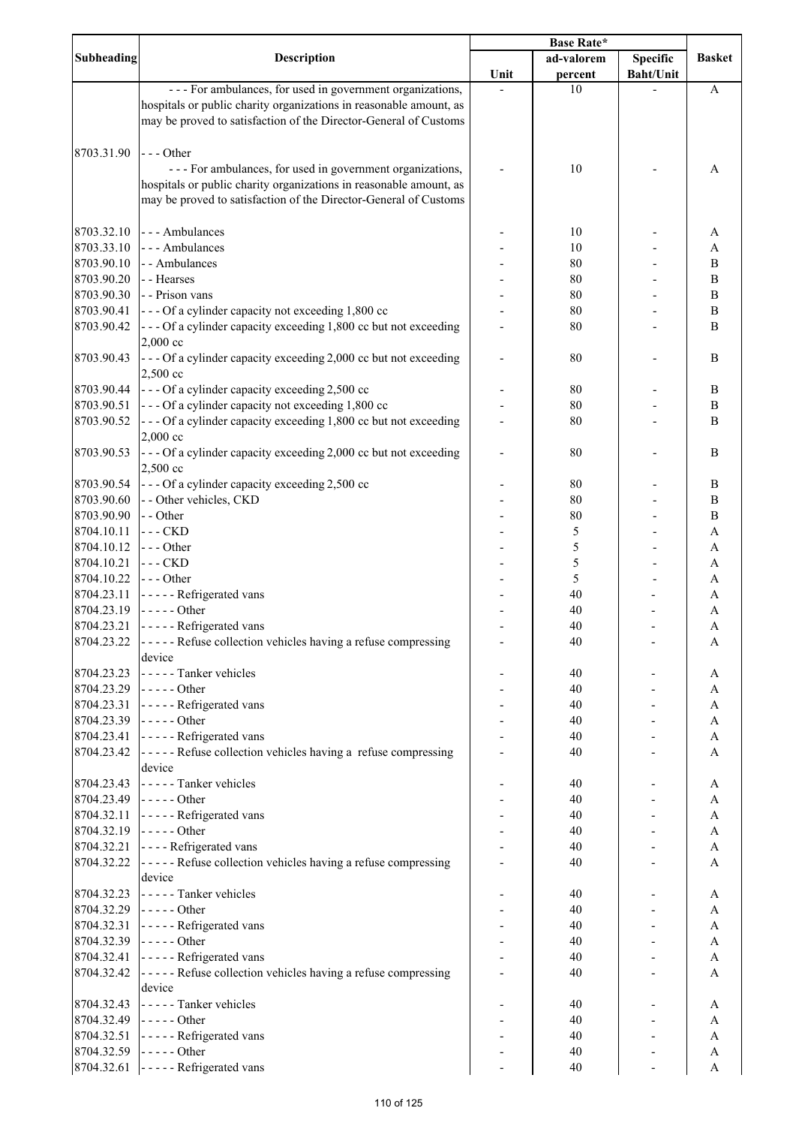|                          |                                                                                                     | Base Rate* |            |                  |                              |
|--------------------------|-----------------------------------------------------------------------------------------------------|------------|------------|------------------|------------------------------|
| Subheading               | <b>Description</b>                                                                                  |            | ad-valorem | <b>Specific</b>  | <b>Basket</b>                |
|                          |                                                                                                     | Unit       | percent    | <b>Baht/Unit</b> |                              |
|                          | --- For ambulances, for used in government organizations,                                           |            | 10         |                  | A                            |
|                          | hospitals or public charity organizations in reasonable amount, as                                  |            |            |                  |                              |
|                          | may be proved to satisfaction of the Director-General of Customs                                    |            |            |                  |                              |
|                          |                                                                                                     |            |            |                  |                              |
| 8703.31.90               | $--$ Other                                                                                          |            |            |                  |                              |
|                          | --- For ambulances, for used in government organizations,                                           |            | 10         |                  | A                            |
|                          | hospitals or public charity organizations in reasonable amount, as                                  |            |            |                  |                              |
|                          | may be proved to satisfaction of the Director-General of Customs                                    |            |            |                  |                              |
|                          |                                                                                                     |            |            |                  |                              |
| 8703.32.10               | --- Ambulances                                                                                      |            | 10         |                  | A                            |
| 8703.33.10               | --- Ambulances                                                                                      |            | 10         |                  | A                            |
| 8703.90.10<br>8703.90.20 | - - Ambulances                                                                                      |            | 80         |                  | $\, {\bf B}$                 |
| 8703.90.30               | - - Hearses<br>- - Prison vans                                                                      |            | 80<br>80   |                  | $\, {\bf B}$<br>$\, {\bf B}$ |
| 8703.90.41               | --- Of a cylinder capacity not exceeding 1,800 cc                                                   |            | 80         |                  | $\, {\bf B}$                 |
| 8703.90.42               | --- Of a cylinder capacity exceeding 1,800 cc but not exceeding                                     |            | 80         |                  | $\, {\bf B}$                 |
|                          | 2,000 cc                                                                                            |            |            |                  |                              |
| 8703.90.43               | --- Of a cylinder capacity exceeding 2,000 cc but not exceeding                                     |            | 80         |                  | $\, {\bf B}$                 |
|                          | 2,500 cc                                                                                            |            |            |                  |                              |
| 8703.90.44               | --- Of a cylinder capacity exceeding 2,500 cc                                                       |            | 80         |                  | $\, {\bf B}$                 |
| 8703.90.51               | --- Of a cylinder capacity not exceeding 1,800 cc                                                   |            | 80         |                  | $\, {\bf B}$                 |
| 8703.90.52               | --- Of a cylinder capacity exceeding 1,800 cc but not exceeding                                     |            | 80         |                  | $\bf{B}$                     |
|                          | 2,000 cc                                                                                            |            |            |                  |                              |
| 8703.90.53               | --- Of a cylinder capacity exceeding 2,000 cc but not exceeding                                     |            | 80         |                  | $\, {\bf B}$                 |
|                          | 2,500 cc                                                                                            |            |            |                  |                              |
| 8703.90.54               | --- Of a cylinder capacity exceeding 2,500 cc                                                       |            | 80         |                  | $\, {\bf B}$                 |
| 8703.90.60               | - - Other vehicles, CKD                                                                             |            | 80         |                  | $\, {\bf B}$                 |
| 8703.90.90               | - - Other                                                                                           |            | 80         |                  | $\, {\bf B}$                 |
| 8704.10.11               | $- CKD$                                                                                             |            | 5          |                  | $\boldsymbol{\mathsf{A}}$    |
| 8704.10.12               | --- Other                                                                                           |            | 5          |                  | A                            |
| 8704.10.21               | $---$ CKD                                                                                           |            | 5          |                  | A                            |
| 8704.10.22               | --- Other                                                                                           |            | 5          |                  | A                            |
| 8704.23.11               | - - - - - Refrigerated vans                                                                         |            | 40         |                  | A                            |
| 8704.23.19               | $---Other$                                                                                          |            | 40         |                  | $\mathbf{A}$                 |
| 8704.23.21               | ----- Refrigerated vans                                                                             |            | 40         |                  | $\boldsymbol{\mathsf{A}}$    |
| 8704.23.22               | ----- Refuse collection vehicles having a refuse compressing                                        |            | 40         |                  | A                            |
|                          | device                                                                                              |            |            |                  |                              |
| 8704.23.23               | ----- Tanker vehicles                                                                               |            | 40         |                  | A                            |
| 8704.23.29               | $\left  \dots \right $ - $\left  \dots \right $ - $\left  \dots \right $                            |            | 40         |                  | A                            |
| 8704.23.31               | $\left  \dots \right $ - $\left  \dots \right $ - Refrigerated vans                                 |            | 40         |                  | A                            |
| 8704.23.39               | $\left  \dots \right $ - $\left  \dots \right $ - $\left  \dots \right $                            |            | 40         |                  | A                            |
| 8704.23.41               | ----- Refrigerated vans                                                                             |            | 40         |                  | A                            |
| 8704.23.42               | ----- Refuse collection vehicles having a refuse compressing                                        |            | 40         |                  | A                            |
|                          | device                                                                                              |            |            |                  |                              |
| 8704.23.43               | - - - - - Tanker vehicles                                                                           |            | 40         |                  | A                            |
| 8704.23.49               | $--- Other$                                                                                         |            | 40         |                  | A                            |
| 8704.32.11               | ----- Refrigerated vans                                                                             |            | 40         |                  | A                            |
| 8704.32.19               | $---Other$                                                                                          |            | 40         |                  | $\boldsymbol{\mathsf{A}}$    |
| 8704.32.21               | - - - - Refrigerated vans                                                                           |            | 40         |                  | $\boldsymbol{\mathsf{A}}$    |
| 8704.32.22               | ----- Refuse collection vehicles having a refuse compressing                                        |            | 40         |                  | A                            |
|                          | device                                                                                              |            |            |                  |                              |
| 8704.32.23               | ----- Tanker vehicles<br>$\left  \dots \right $ - $\left  \dots \right $ - $\left  \dots \right $   |            | 40         |                  | A                            |
| 8704.32.29               |                                                                                                     |            | 40         |                  | A                            |
| 8704.32.31<br>8704.32.39 | ----- Refrigerated vans<br>$\left  \dots \right $ - $\left  \dots \right $ - $\left  \dots \right $ |            | 40         |                  | A<br>A                       |
| 8704.32.41               | ----- Refrigerated vans                                                                             |            | 40         |                  | A                            |
| 8704.32.42               |                                                                                                     |            | 40<br>40   |                  | A                            |
|                          | ----- Refuse collection vehicles having a refuse compressing<br>device                              |            |            |                  |                              |
| 8704.32.43               | ----- Tanker vehicles                                                                               |            | 40         |                  | A                            |
| 8704.32.49               | $\left  \dots \right $ - $\left  \dots \right $ - $\left  \dots \right $                            |            | 40         |                  | A                            |
| 8704.32.51               | ----- Refrigerated vans                                                                             |            | 40         |                  | A                            |
| 8704.32.59               | $\left  \dots \right $ - $\left  \dots \right $ - $\left  \dots \right $                            |            | 40         |                  | A                            |
| 8704.32.61               | ----- Refrigerated vans                                                                             |            | 40         |                  | A                            |
|                          |                                                                                                     |            |            |                  |                              |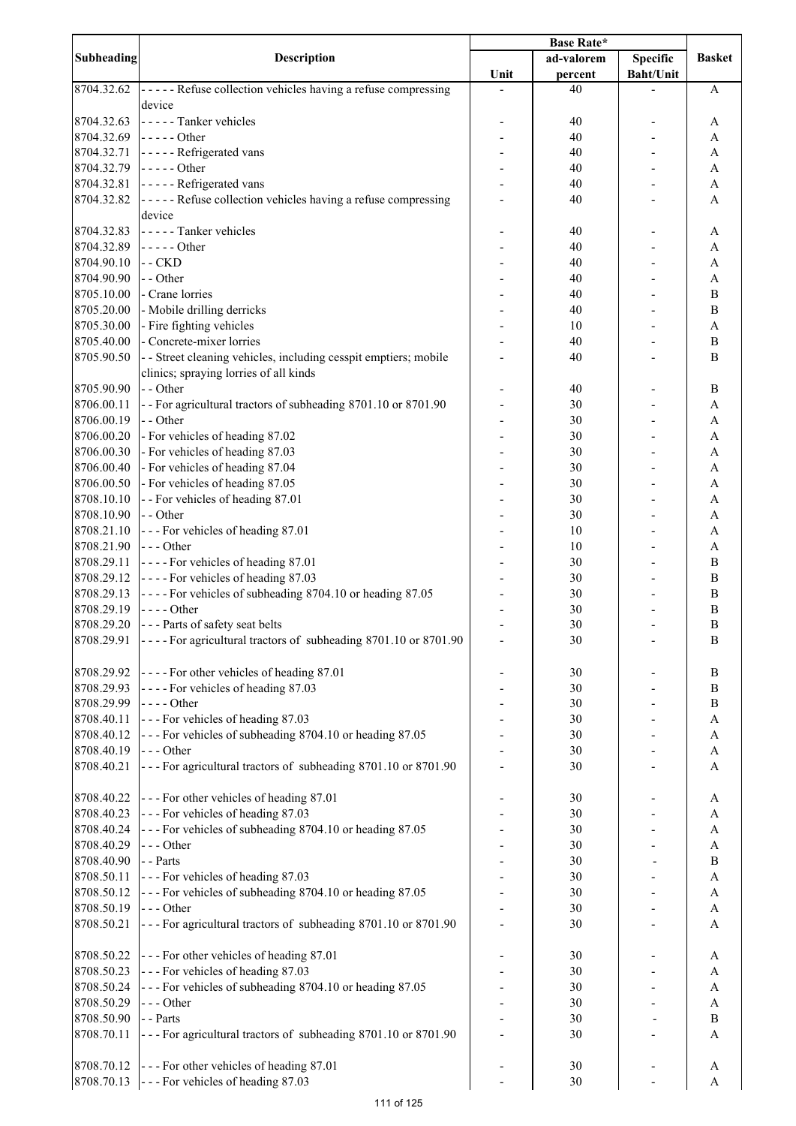|                   | <b>Description</b>                                                       | <b>Base Rate*</b> |            |                  |                           |
|-------------------|--------------------------------------------------------------------------|-------------------|------------|------------------|---------------------------|
| <b>Subheading</b> |                                                                          |                   | ad-valorem | <b>Specific</b>  | <b>Basket</b>             |
|                   |                                                                          | Unit              | percent    | <b>Baht/Unit</b> |                           |
| 8704.32.62        | ----- Refuse collection vehicles having a refuse compressing             |                   | 40         |                  | A                         |
|                   | device                                                                   |                   |            |                  |                           |
| 8704.32.63        | ----- Tanker vehicles                                                    |                   | 40         |                  | A                         |
| 8704.32.69        | $\left  \dots \right $ - $\left  \dots \right $ - $\left  \dots \right $ |                   | 40         |                  | A                         |
| 8704.32.71        | ----- Refrigerated vans                                                  |                   | 40         |                  | $\boldsymbol{\rm{A}}$     |
| 8704.32.79        | $\left  \dots \right $ - $\left  \dots \right $ - $\left  \dots \right $ |                   | 40         |                  | A                         |
|                   |                                                                          |                   |            |                  |                           |
| 8704.32.81        | ----- Refrigerated vans                                                  |                   | 40         |                  | $\boldsymbol{\mathsf{A}}$ |
| 8704.32.82        | ----- Refuse collection vehicles having a refuse compressing             |                   | 40         |                  | A                         |
|                   | device                                                                   |                   |            |                  |                           |
| 8704.32.83        | ----- Tanker vehicles                                                    |                   | 40         |                  | A                         |
| 8704.32.89        | $---Other$                                                               |                   | 40         |                  | A                         |
| 8704.90.10        | $-$ CKD                                                                  |                   | 40         |                  | A                         |
| 8704.90.90        | - - Other                                                                |                   | 40         |                  | A                         |
| 8705.10.00        | - Crane lorries                                                          |                   | 40         |                  | $\, {\bf B}$              |
| 8705.20.00        | - Mobile drilling derricks                                               |                   | 40         |                  | $\, {\bf B}$              |
| 8705.30.00        | - Fire fighting vehicles                                                 |                   | 10         |                  | $\mathbf{A}$              |
| 8705.40.00        | - Concrete-mixer lorries                                                 |                   | 40         |                  | $\, {\bf B}$              |
| 8705.90.50        |                                                                          |                   |            |                  | $\mathbf B$               |
|                   | - - Street cleaning vehicles, including cesspit emptiers; mobile         |                   | 40         |                  |                           |
|                   | clinics; spraying lorries of all kinds                                   |                   |            |                  |                           |
| 8705.90.90        | - - Other                                                                |                   | 40         |                  | B                         |
| 8706.00.11        | -- For agricultural tractors of subheading 8701.10 or 8701.90            |                   | 30         |                  | $\mathbf{A}$              |
| 8706.00.19        | - - Other                                                                |                   | 30         |                  | A                         |
| 8706.00.20        | - For vehicles of heading 87.02                                          |                   | 30         |                  | A                         |
| 8706.00.30        | - For vehicles of heading 87.03                                          |                   | 30         |                  | A                         |
| 8706.00.40        | - For vehicles of heading 87.04                                          |                   | 30         |                  | A                         |
| 8706.00.50        | - For vehicles of heading 87.05                                          |                   | 30         |                  | A                         |
| 8708.10.10        | - - For vehicles of heading 87.01                                        |                   | 30         |                  | A                         |
| 8708.10.90        | - - Other                                                                |                   | 30         |                  | A                         |
| 8708.21.10        |                                                                          |                   | 10         |                  | A                         |
|                   | --- For vehicles of heading 87.01                                        |                   |            |                  |                           |
| 8708.21.90        | $--$ Other                                                               |                   | 10         |                  | $\mathbf{A}$              |
| 8708.29.11        | ---- For vehicles of heading 87.01                                       |                   | 30         |                  | B                         |
| 8708.29.12        | ---- For vehicles of heading 87.03                                       |                   | 30         |                  | B                         |
| 8708.29.13        | ---- For vehicles of subheading 8704.10 or heading 87.05                 |                   | 30         |                  | B                         |
| 8708.29.19        | $--$ Other                                                               |                   | 30         |                  | $\, {\bf B}$              |
| 8708.29.20        | --- Parts of safety seat belts                                           |                   | 30         |                  | $\mathbf B$               |
| 8708.29.91        | ----For agricultural tractors of subheading 8701.10 or 8701.90           |                   | 30         |                  | $\, {\bf B}$              |
|                   |                                                                          |                   |            |                  |                           |
| 8708.29.92        | ---- For other vehicles of heading 87.01                                 |                   | 30         |                  | B                         |
| 8708.29.93        | ---- For vehicles of heading 87.03                                       |                   | 30         |                  | $\, {\bf B}$              |
| 8708.29.99        | $--- Other$                                                              |                   | 30         |                  | $\, {\bf B}$              |
|                   |                                                                          |                   |            |                  |                           |
| 8708.40.11        | --- For vehicles of heading 87.03                                        |                   | 30         |                  | $\boldsymbol{\rm{A}}$     |
| 8708.40.12        | --- For vehicles of subheading 8704.10 or heading 87.05                  |                   | 30         |                  | $\boldsymbol{\rm{A}}$     |
| 8708.40.19        | $--$ Other                                                               |                   | 30         |                  | $\mathbf{A}$              |
| 8708.40.21        | --- For agricultural tractors of subheading 8701.10 or 8701.90           |                   | 30         |                  | $\overline{A}$            |
|                   |                                                                          |                   |            |                  |                           |
| 8708.40.22        | --- For other vehicles of heading 87.01                                  |                   | 30         |                  | A                         |
| 8708.40.23        | --- For vehicles of heading 87.03                                        |                   | 30         |                  | $\mathbf{A}$              |
| 8708.40.24        | --- For vehicles of subheading 8704.10 or heading 87.05                  |                   | 30         |                  | A                         |
| 8708.40.29        | --- Other                                                                |                   | 30         |                  | $\boldsymbol{\mathsf{A}}$ |
| 8708.40.90        | - - Parts                                                                |                   | 30         |                  | B                         |
| 8708.50.11        | --- For vehicles of heading 87.03                                        |                   | 30         |                  | $\boldsymbol{\mathsf{A}}$ |
| 8708.50.12        | --- For vehicles of subheading 8704.10 or heading 87.05                  |                   |            |                  | $\boldsymbol{\mathsf{A}}$ |
|                   |                                                                          |                   | 30         |                  |                           |
| 8708.50.19        | $--$ Other                                                               |                   | 30         |                  | A                         |
| 8708.50.21        | --- For agricultural tractors of subheading 8701.10 or 8701.90           |                   | 30         |                  | A                         |
|                   |                                                                          |                   |            |                  |                           |
| 8708.50.22        | --- For other vehicles of heading 87.01                                  |                   | 30         |                  | A                         |
| 8708.50.23        | --- For vehicles of heading 87.03                                        |                   | 30         |                  | A                         |
| 8708.50.24        | --- For vehicles of subheading 8704.10 or heading 87.05                  |                   | 30         |                  | A                         |
| 8708.50.29        | $--$ Other                                                               |                   | 30         |                  | A                         |
| 8708.50.90        | - - Parts                                                                |                   | 30         |                  | $\, {\bf B}$              |
| 8708.70.11        | --- For agricultural tractors of subheading 8701.10 or 8701.90           |                   | 30         |                  | A                         |
|                   |                                                                          |                   |            |                  |                           |
| 8708.70.12        | --- For other vehicles of heading 87.01                                  |                   | 30         |                  | A                         |
|                   |                                                                          |                   |            |                  |                           |
| 8708.70.13        | --- For vehicles of heading 87.03                                        |                   | 30         |                  | A                         |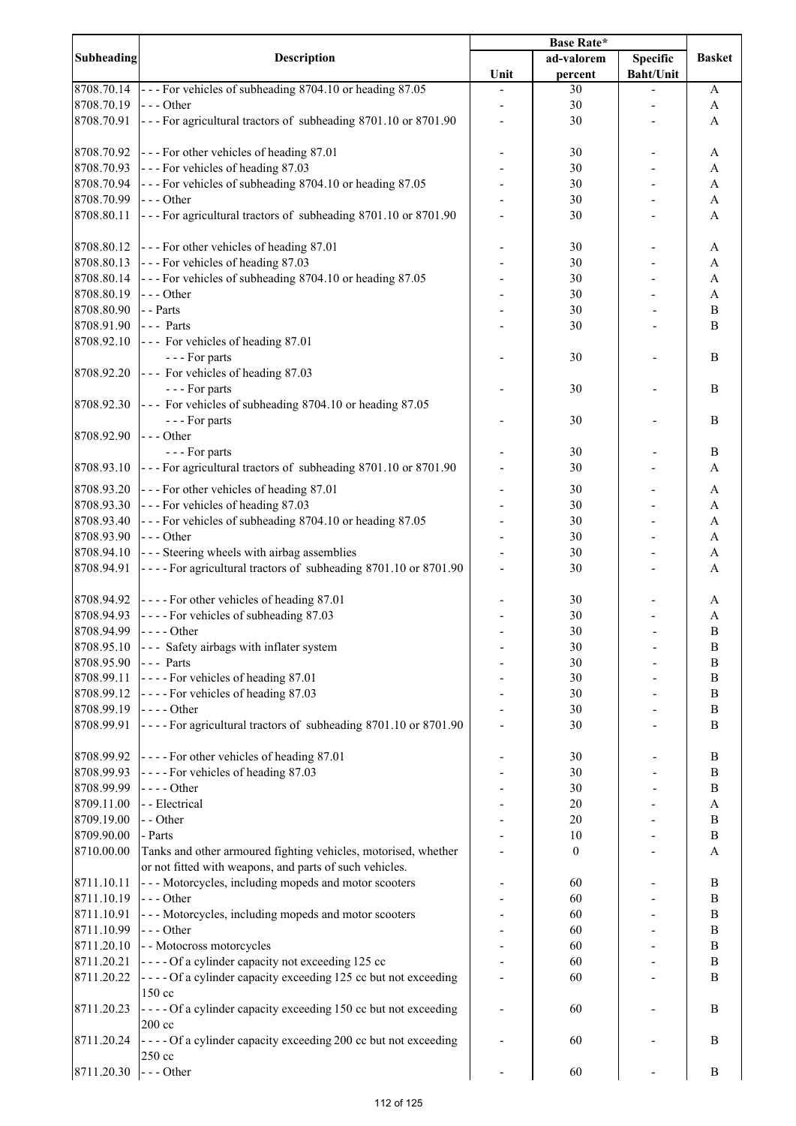|                   |                                                                 | <b>Base Rate*</b> |                  |                  |                       |
|-------------------|-----------------------------------------------------------------|-------------------|------------------|------------------|-----------------------|
| <b>Subheading</b> | <b>Description</b>                                              |                   | ad-valorem       | <b>Specific</b>  | <b>Basket</b>         |
|                   |                                                                 | Unit              | percent          | <b>Baht/Unit</b> |                       |
| 8708.70.14        | --- For vehicles of subheading 8704.10 or heading 87.05         |                   | 30               |                  | A                     |
| 8708.70.19        | $--$ Other                                                      |                   | 30               |                  | A                     |
|                   |                                                                 |                   |                  |                  |                       |
| 8708.70.91        | --- For agricultural tractors of subheading 8701.10 or 8701.90  |                   | 30               |                  | A                     |
|                   |                                                                 |                   |                  |                  |                       |
| 8708.70.92        | --- For other vehicles of heading 87.01                         |                   | 30               |                  | A                     |
| 8708.70.93        | --- For vehicles of heading 87.03                               |                   | 30               |                  | A                     |
| 8708.70.94        | --- For vehicles of subheading 8704.10 or heading 87.05         |                   | 30               |                  | A                     |
| 8708.70.99        | $--$ Other                                                      |                   | 30               |                  | A                     |
|                   |                                                                 |                   |                  |                  |                       |
| 8708.80.11        | --- For agricultural tractors of subheading 8701.10 or 8701.90  |                   | 30               |                  | A                     |
|                   |                                                                 |                   |                  |                  |                       |
| 8708.80.12        | --- For other vehicles of heading 87.01                         |                   | 30               |                  | A                     |
| 8708.80.13        | --- For vehicles of heading 87.03                               |                   | 30               |                  | A                     |
| 8708.80.14        | --- For vehicles of subheading 8704.10 or heading 87.05         |                   | 30               |                  | A                     |
| 8708.80.19        | $--- Other$                                                     |                   | 30               |                  | $\boldsymbol{\rm{A}}$ |
| 8708.80.90        | - - Parts                                                       |                   | 30               |                  | $\, {\bf B}$          |
|                   |                                                                 |                   |                  |                  |                       |
| 8708.91.90        | $--$ Parts                                                      |                   | 30               |                  | $\mathbf B$           |
| 8708.92.10        | --- For vehicles of heading 87.01                               |                   |                  |                  |                       |
|                   | --- For parts                                                   |                   | 30               |                  | B                     |
| 8708.92.20        | --- For vehicles of heading 87.03                               |                   |                  |                  |                       |
|                   | --- For parts                                                   |                   | 30               |                  | B                     |
| 8708.92.30        | --- For vehicles of subheading 8704.10 or heading 87.05         |                   |                  |                  |                       |
|                   |                                                                 |                   |                  |                  |                       |
|                   | --- For parts                                                   |                   | 30               |                  | B                     |
| 8708.92.90        | $--$ Other                                                      |                   |                  |                  |                       |
|                   | --- For parts                                                   |                   | 30               |                  | B                     |
| 8708.93.10        | --- For agricultural tractors of subheading 8701.10 or 8701.90  |                   | 30               |                  | A                     |
|                   |                                                                 |                   |                  |                  |                       |
| 8708.93.20        | --- For other vehicles of heading 87.01                         |                   | 30               |                  | A                     |
| 8708.93.30        | --- For vehicles of heading 87.03                               |                   | 30               |                  | A                     |
| 8708.93.40        | --- For vehicles of subheading 8704.10 or heading 87.05         |                   | 30               |                  | A                     |
| 8708.93.90        | $--$ Other                                                      |                   | 30               |                  | A                     |
| 8708.94.10        | --- Steering wheels with airbag assemblies                      |                   | 30               |                  | A                     |
| 8708.94.91        | ---- For agricultural tractors of subheading 8701.10 or 8701.90 |                   | 30               |                  | A                     |
|                   |                                                                 |                   |                  |                  |                       |
|                   |                                                                 |                   |                  |                  |                       |
| 8708.94.92        | ---- For other vehicles of heading 87.01                        |                   | 30               |                  | A                     |
| 8708.94.93        | ---- For vehicles of subheading 87.03                           |                   | 30               |                  | $\boldsymbol{A}$      |
| 8708.94.99        | $--- Other$                                                     |                   | 30               |                  | $\overline{B}$        |
| 8708.95.10        | --- Safety airbags with inflater system                         |                   | 30               |                  | B                     |
| 8708.95.90        | --- Parts                                                       |                   | 30               |                  | B                     |
| 8708.99.11        | ---- For vehicles of heading 87.01                              |                   | 30               |                  | $\bf{B}$              |
|                   |                                                                 |                   |                  |                  |                       |
| 8708.99.12        | ---- For vehicles of heading 87.03                              |                   | 30               |                  | $\bf{B}$              |
| 8708.99.19        | $---Other$                                                      |                   | 30               |                  | $\, {\bf B}$          |
| 8708.99.91        | ----For agricultural tractors of subheading 8701.10 or 8701.90  |                   | 30               |                  | $\bf{B}$              |
|                   |                                                                 |                   |                  |                  |                       |
| 8708.99.92        | ---- For other vehicles of heading 87.01                        |                   | 30               |                  | $\bf{B}$              |
| 8708.99.93        | ---- For vehicles of heading 87.03                              |                   | 30               |                  | $\, {\bf B}$          |
|                   |                                                                 |                   |                  |                  |                       |
| 8708.99.99        | $--- Other$                                                     |                   | 30               |                  | $\bf{B}$              |
| 8709.11.00        | - - Electrical                                                  |                   | 20               |                  | A                     |
| 8709.19.00        | - - Other                                                       |                   | 20               |                  | $\bf{B}$              |
| 8709.90.00        | - Parts                                                         |                   | 10               |                  | B                     |
| 8710.00.00        | Tanks and other armoured fighting vehicles, motorised, whether  |                   | $\boldsymbol{0}$ |                  | A                     |
|                   | or not fitted with weapons, and parts of such vehicles.         |                   |                  |                  |                       |
|                   |                                                                 |                   |                  |                  |                       |
| 8711.10.11        | --- Motorcycles, including mopeds and motor scooters            |                   | 60               |                  | $\, {\bf B}$          |
| 8711.10.19        | $--$ Other                                                      |                   | 60               |                  | B                     |
| 8711.10.91        | --- Motorcycles, including mopeds and motor scooters            |                   | 60               |                  | $\, {\bf B}$          |
| 8711.10.99        | $--- Other$                                                     |                   | 60               |                  | $\, {\bf B}$          |
| 8711.20.10        | - - Motocross motorcycles                                       |                   | 60               |                  | $\, {\bf B}$          |
| 8711.20.21        | ---- Of a cylinder capacity not exceeding 125 cc                |                   | 60               |                  | $\, {\bf B}$          |
|                   |                                                                 |                   |                  |                  |                       |
| 8711.20.22        | ---- Of a cylinder capacity exceeding 125 cc but not exceeding  |                   | 60               |                  | B                     |
|                   | 150 cc                                                          |                   |                  |                  |                       |
| 8711.20.23        | ---- Of a cylinder capacity exceeding 150 cc but not exceeding  |                   | 60               |                  | B                     |
|                   | $200 \text{ cc}$                                                |                   |                  |                  |                       |
| 8711.20.24        | ---- Of a cylinder capacity exceeding 200 cc but not exceeding  |                   | 60               |                  | B                     |
|                   | 250 cc                                                          |                   |                  |                  |                       |
| 8711.20.30        | $--$ Other                                                      |                   | 60               |                  | B                     |
|                   |                                                                 |                   |                  |                  |                       |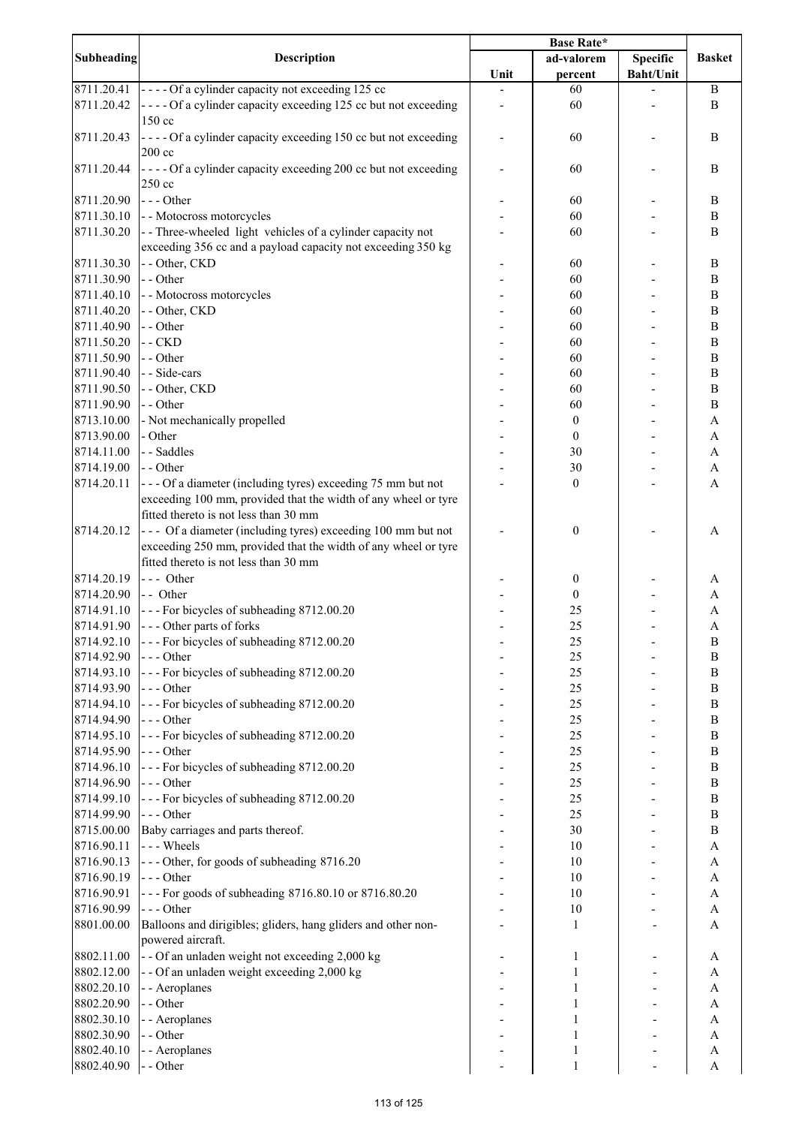|                   |                                                                | Base Rate* |                  |                  |                       |
|-------------------|----------------------------------------------------------------|------------|------------------|------------------|-----------------------|
| <b>Subheading</b> | <b>Description</b>                                             |            | ad-valorem       | <b>Specific</b>  | <b>Basket</b>         |
|                   |                                                                | Unit       | percent          | <b>Baht/Unit</b> |                       |
| 8711.20.41        | ---- Of a cylinder capacity not exceeding 125 cc               |            | 60               |                  | B                     |
| 8711.20.42        | ---- Of a cylinder capacity exceeding 125 cc but not exceeding |            | 60               |                  | B                     |
|                   | 150 cc                                                         |            |                  |                  |                       |
| 8711.20.43        | ---- Of a cylinder capacity exceeding 150 cc but not exceeding |            | 60               |                  | B                     |
|                   | $200 \text{ cc}$                                               |            |                  |                  |                       |
| 8711.20.44        | ---- Of a cylinder capacity exceeding 200 cc but not exceeding |            | 60               |                  | B                     |
|                   | 250 cc                                                         |            |                  |                  |                       |
| 8711.20.90        | $--$ Other                                                     |            | 60               |                  | $\, {\bf B}$          |
| 8711.30.10        | - - Motocross motorcycles                                      |            | 60               |                  | $\, {\bf B}$          |
| 8711.30.20        | -- Three-wheeled light vehicles of a cylinder capacity not     |            | 60               |                  | $\bf{B}$              |
|                   | exceeding 356 cc and a payload capacity not exceeding 350 kg   |            |                  |                  |                       |
| 8711.30.30        | - - Other, CKD                                                 |            | 60               |                  | $\bf{B}$              |
| 8711.30.90        | - - Other                                                      |            | 60               |                  | $\, {\bf B}$          |
| 8711.40.10        | - - Motocross motorcycles                                      |            | 60               |                  | $\, {\bf B}$          |
| 8711.40.20        | - - Other, CKD                                                 |            | 60               |                  | $\, {\bf B}$          |
| 8711.40.90        | - - Other                                                      |            | 60               |                  | $\, {\bf B}$          |
| 8711.50.20        | $-$ CKD                                                        |            | 60               |                  | $\, {\bf B}$          |
| 8711.50.90        | - - Other                                                      |            | 60               |                  | $\, {\bf B}$          |
| 8711.90.40        | - - Side-cars                                                  |            | 60               |                  | $\, {\bf B}$          |
| 8711.90.50        | - - Other, CKD                                                 |            | 60               |                  | $\, {\bf B}$          |
| 8711.90.90        | - - Other                                                      |            | 60               |                  | $\, {\bf B}$          |
| 8713.10.00        | - Not mechanically propelled                                   |            | $\boldsymbol{0}$ |                  | $\mathbf{A}$          |
| 8713.90.00        | - Other                                                        |            | $\boldsymbol{0}$ |                  | $\mathbf{A}$          |
| 8714.11.00        | - - Saddles                                                    |            | 30               |                  | $\mathbf{A}$          |
| 8714.19.00        | - - Other                                                      |            | 30               |                  | $\boldsymbol{\rm{A}}$ |
| 8714.20.11        | --- Of a diameter (including tyres) exceeding 75 mm but not    |            | $\boldsymbol{0}$ |                  | A                     |
|                   | exceeding 100 mm, provided that the width of any wheel or tyre |            |                  |                  |                       |
|                   | fitted thereto is not less than 30 mm                          |            |                  |                  |                       |
| 8714.20.12        | --- Of a diameter (including tyres) exceeding 100 mm but not   |            |                  |                  |                       |
|                   |                                                                |            | $\boldsymbol{0}$ |                  | A                     |
|                   | exceeding 250 mm, provided that the width of any wheel or tyre |            |                  |                  |                       |
|                   | fitted thereto is not less than 30 mm                          |            |                  |                  |                       |
| 8714.20.19        | $--$ Other                                                     |            | $\boldsymbol{0}$ |                  | A                     |
| 8714.20.90        | $-$ Other                                                      |            | $\boldsymbol{0}$ |                  | A                     |
| 8714.91.10        | --- For bicycles of subheading 8712.00.20                      |            | 25               |                  | A                     |
| 8714.91.90        | --- Other parts of forks                                       |            | 25               |                  | A                     |
| 8714.92.10        | --- For bicycles of subheading 8712.00.20                      |            | 25               |                  | $\, {\bf B}$          |
| 8714.92.90        | $--$ Other                                                     |            | 25               |                  | B                     |
| 8714.93.10        | --- For bicycles of subheading 8712.00.20                      |            | 25               |                  | B                     |
| 8714.93.90        | $--$ Other                                                     |            | 25               |                  | $\, {\bf B}$          |
| 8714.94.10        | --- For bicycles of subheading 8712.00.20                      |            | 25               |                  | $\, {\bf B}$          |
| 8714.94.90        | $--- Other$                                                    |            | 25               |                  | $\, {\bf B}$          |
| 8714.95.10        | --- For bicycles of subheading 8712.00.20                      |            | $25\,$           |                  | $\, {\bf B}$          |
| 8714.95.90        | $--$ Other                                                     |            | 25               |                  | $\, {\bf B}$          |
| 8714.96.10        | --- For bicycles of subheading 8712.00.20                      |            | 25               |                  | $\, {\bf B}$          |
| 8714.96.90        | $--- Other$                                                    |            | $25\,$           |                  | $\, {\bf B}$          |
| 8714.99.10        | --- For bicycles of subheading 8712.00.20                      |            | $25\,$           |                  | $\, {\bf B}$          |
| 8714.99.90        | $--- Other$                                                    |            | 25               |                  | $\, {\bf B}$          |
| 8715.00.00        | Baby carriages and parts thereof.                              |            | 30               |                  | $\, {\bf B}$          |
| 8716.90.11        | --- Wheels                                                     |            | 10               |                  | $\mathbf{A}$          |
| 8716.90.13        | --- Other, for goods of subheading 8716.20                     |            | 10               |                  | $\mathbf{A}$          |
| 8716.90.19        | --- Other                                                      |            | 10               |                  | $\mathbf{A}$          |
| 8716.90.91        | --- For goods of subheading 8716.80.10 or 8716.80.20           |            | 10               |                  | $\mathbf{A}$          |
| 8716.90.99        | --- Other                                                      |            | $10\,$           |                  | $\mathbf A$           |
| 8801.00.00        | Balloons and dirigibles; gliders, hang gliders and other non-  |            | $\mathbf{1}$     |                  | A                     |
|                   | powered aircraft.                                              |            |                  |                  |                       |
| 8802.11.00        | - - Of an unladen weight not exceeding 2,000 kg                |            | 1                |                  | A                     |
| 8802.12.00        | - - Of an unladen weight exceeding 2,000 kg                    |            | $\mathbf{1}$     |                  | A                     |
| 8802.20.10        | - - Aeroplanes                                                 |            | 1                |                  | A                     |
| 8802.20.90        | - - Other                                                      |            |                  |                  | A                     |
| 8802.30.10        | - - Aeroplanes                                                 |            |                  |                  | A                     |
| 8802.30.90        | - - Other                                                      |            | 1                |                  | A                     |
| 8802.40.10        | - - Aeroplanes                                                 |            | 1                |                  | A                     |
| 8802.40.90        | - - Other                                                      |            | 1                |                  | $\mathbf{A}$          |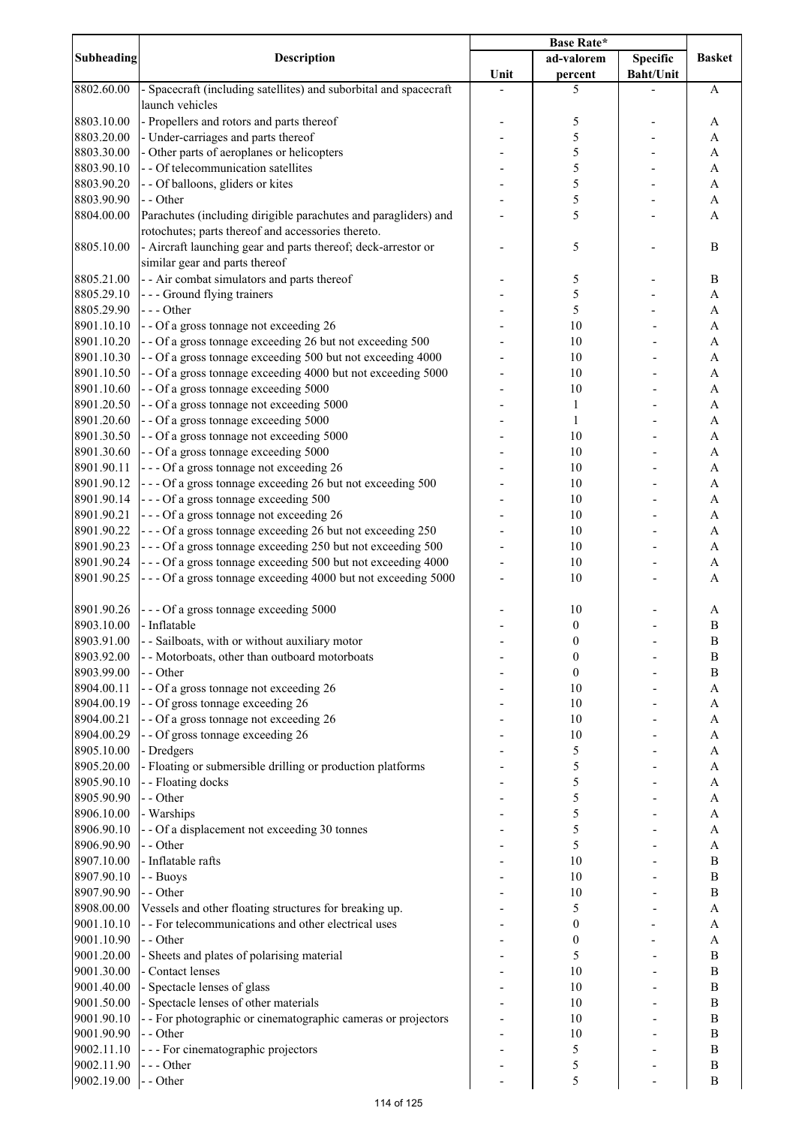|            |                                                                   | Base Rate* |                  |                  |                  |
|------------|-------------------------------------------------------------------|------------|------------------|------------------|------------------|
| Subheading | <b>Description</b>                                                |            | ad-valorem       | <b>Specific</b>  | <b>Basket</b>    |
|            |                                                                   | Unit       | percent          | <b>Baht/Unit</b> |                  |
| 8802.60.00 | - Spacecraft (including satellites) and suborbital and spacecraft |            | 5                |                  | A                |
|            | launch vehicles                                                   |            |                  |                  |                  |
| 8803.10.00 | - Propellers and rotors and parts thereof                         |            | 5                |                  | A                |
| 8803.20.00 | - Under-carriages and parts thereof                               |            | 5                |                  |                  |
|            |                                                                   |            |                  |                  | A                |
| 8803.30.00 | - Other parts of aeroplanes or helicopters                        |            | 5                |                  | A                |
| 8803.90.10 | - - Of telecommunication satellites                               |            | 5                |                  | A                |
| 8803.90.20 | - - Of balloons, gliders or kites                                 |            | 5                |                  | A                |
| 8803.90.90 | - - Other                                                         |            | 5                |                  | A                |
| 8804.00.00 | Parachutes (including dirigible parachutes and paragliders) and   |            | 5                |                  | A                |
|            | rotochutes; parts thereof and accessories thereto.                |            |                  |                  |                  |
| 8805.10.00 | - Aircraft launching gear and parts thereof; deck-arrestor or     |            | 5                |                  | B                |
|            | similar gear and parts thereof                                    |            |                  |                  |                  |
|            |                                                                   |            |                  |                  |                  |
| 8805.21.00 | - - Air combat simulators and parts thereof                       |            | 5                |                  | B                |
| 8805.29.10 | --- Ground flying trainers                                        |            | 5                |                  | A                |
| 8805.29.90 | --- Other                                                         |            | 5                |                  | A                |
| 8901.10.10 | - - Of a gross tonnage not exceeding 26                           |            | 10               |                  | $\mathbf{A}$     |
| 8901.10.20 | - - Of a gross tonnage exceeding 26 but not exceeding 500         |            | 10               |                  | $\mathbf{A}$     |
| 8901.10.30 | - - Of a gross tonnage exceeding 500 but not exceeding 4000       |            | 10               |                  | $\mathbf{A}$     |
| 8901.10.50 | - - Of a gross tonnage exceeding 4000 but not exceeding 5000      |            | 10               |                  | $\mathbf{A}$     |
| 8901.10.60 | - - Of a gross tonnage exceeding 5000                             |            | 10               |                  | A                |
|            |                                                                   |            |                  |                  |                  |
| 8901.20.50 | - - Of a gross tonnage not exceeding 5000                         |            | $\mathbf{1}$     |                  | A                |
| 8901.20.60 | - - Of a gross tonnage exceeding 5000                             |            | $\mathbf{1}$     |                  | A                |
| 8901.30.50 | - - Of a gross tonnage not exceeding 5000                         |            | 10               |                  | A                |
| 8901.30.60 | - - Of a gross tonnage exceeding 5000                             |            | 10               |                  | A                |
| 8901.90.11 | --- Of a gross tonnage not exceeding 26                           |            | 10               |                  | A                |
| 8901.90.12 | --- Of a gross tonnage exceeding 26 but not exceeding 500         |            | 10               |                  | A                |
| 8901.90.14 | --- Of a gross tonnage exceeding 500                              |            | 10               |                  | A                |
| 8901.90.21 | --- Of a gross tonnage not exceeding 26                           |            | 10               |                  |                  |
|            |                                                                   |            |                  |                  | A                |
| 8901.90.22 | --- Of a gross tonnage exceeding 26 but not exceeding 250         |            | 10               |                  | A                |
| 8901.90.23 | --- Of a gross tonnage exceeding 250 but not exceeding 500        |            | 10               |                  | A                |
| 8901.90.24 | --- Of a gross tonnage exceeding 500 but not exceeding 4000       |            | 10               |                  | A                |
| 8901.90.25 | --- Of a gross tonnage exceeding 4000 but not exceeding 5000      |            | 10               |                  | A                |
|            |                                                                   |            |                  |                  |                  |
| 8901.90.26 | --- Of a gross tonnage exceeding 5000                             |            | 10               |                  | A                |
| 8903.10.00 | - Inflatable                                                      |            | $\boldsymbol{0}$ |                  | $\boldsymbol{B}$ |
|            |                                                                   |            |                  |                  |                  |
| 8903.91.00 | - - Sailboats, with or without auxiliary motor                    |            | 0                |                  | $\, {\bf B}$     |
| 8903.92.00 | - - Motorboats, other than outboard motorboats                    |            | 0                |                  | B                |
| 8903.99.00 | - - Other                                                         |            | 0                |                  | B                |
| 8904.00.11 | - - Of a gross tonnage not exceeding 26                           |            | 10               |                  | A                |
| 8904.00.19 | - - Of gross tonnage exceeding 26                                 |            | 10               |                  | A                |
| 8904.00.21 | - - Of a gross tonnage not exceeding 26                           |            | 10               |                  | A                |
| 8904.00.29 | - - Of gross tonnage exceeding 26                                 |            | 10               |                  | A                |
| 8905.10.00 |                                                                   |            | 5                |                  | $\mathbf{A}$     |
|            | - Dredgers                                                        |            |                  |                  |                  |
| 8905.20.00 | - Floating or submersible drilling or production platforms        |            | 5                |                  | A                |
| 8905.90.10 | - - Floating docks                                                |            | 5                |                  | A                |
| 8905.90.90 | - - Other                                                         |            | 5                |                  | A                |
| 8906.10.00 | - Warships                                                        |            | 5                |                  | A                |
| 8906.90.10 | - - Of a displacement not exceeding 30 tonnes                     |            | 5                |                  | A                |
| 8906.90.90 | - - Other                                                         |            | 5                |                  | A                |
| 8907.10.00 | - Inflatable rafts                                                |            | 10               |                  | B                |
| 8907.90.10 |                                                                   |            | 10               |                  | $\boldsymbol{B}$ |
|            | - - Buoys                                                         |            |                  |                  |                  |
| 8907.90.90 | - - Other                                                         |            | 10               |                  | $\bf{B}$         |
| 8908.00.00 | Vessels and other floating structures for breaking up.            |            | 5                |                  | A                |
| 9001.10.10 | - - For telecommunications and other electrical uses              |            | $\boldsymbol{0}$ |                  | A                |
| 9001.10.90 | - - Other                                                         |            | 0                |                  | A                |
| 9001.20.00 | - Sheets and plates of polarising material                        |            | 5                |                  | $\bf{B}$         |
| 9001.30.00 | - Contact lenses                                                  |            | 10               |                  | B                |
| 9001.40.00 | - Spectacle lenses of glass                                       |            | 10               |                  | $\, {\bf B}$     |
|            |                                                                   |            |                  |                  |                  |
| 9001.50.00 | - Spectacle lenses of other materials                             |            | 10               |                  | $\, {\bf B}$     |
| 9001.90.10 | - - For photographic or cinematographic cameras or projectors     |            | 10               |                  | B                |
| 9001.90.90 | - - Other                                                         |            | 10               |                  | $\, {\bf B}$     |
| 9002.11.10 | - - - For cinematographic projectors                              |            | 5                |                  | B                |
| 9002.11.90 | --- Other                                                         |            | 5                |                  | $\boldsymbol{B}$ |
| 9002.19.00 | - - Other                                                         |            | 5                |                  | B                |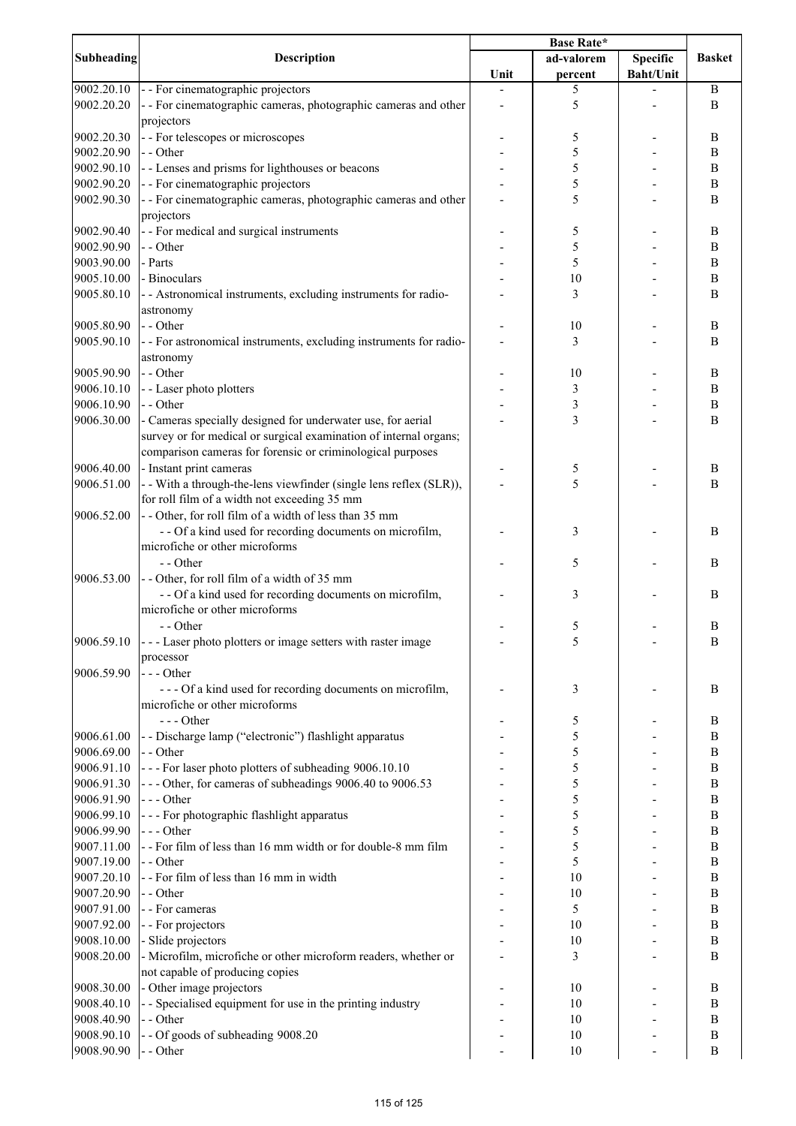| Subheading | Description                                                        | <b>Base Rate*</b> |            |                  |                  |
|------------|--------------------------------------------------------------------|-------------------|------------|------------------|------------------|
|            |                                                                    |                   | ad-valorem | <b>Specific</b>  | <b>Basket</b>    |
|            |                                                                    | Unit              | percent    | <b>Baht/Unit</b> |                  |
| 9002.20.10 | - - For cinematographic projectors                                 |                   | 5          |                  | $\bf{B}$         |
| 9002.20.20 | - - For cinematographic cameras, photographic cameras and other    |                   | 5          |                  | B                |
|            | projectors                                                         |                   |            |                  |                  |
| 9002.20.30 | - - For telescopes or microscopes                                  |                   | 5          |                  | B                |
| 9002.20.90 | - - Other                                                          |                   | 5          |                  | B                |
| 9002.90.10 | - - Lenses and prisms for lighthouses or beacons                   |                   | 5          |                  | B                |
| 9002.90.20 | - - For cinematographic projectors                                 |                   | 5          |                  | B                |
| 9002.90.30 | - - For cinematographic cameras, photographic cameras and other    |                   | 5          |                  | B                |
|            | projectors                                                         |                   |            |                  |                  |
|            |                                                                    |                   |            |                  |                  |
| 9002.90.40 | - - For medical and surgical instruments                           |                   | 5          |                  | B                |
| 9002.90.90 | - - Other                                                          |                   | 5          |                  | $\, {\bf B}$     |
| 9003.90.00 | - Parts                                                            |                   | 5          |                  | B                |
| 9005.10.00 | - Binoculars                                                       |                   | 10         |                  | B                |
| 9005.80.10 | - - Astronomical instruments, excluding instruments for radio-     |                   | 3          |                  | B                |
|            | astronomy                                                          |                   |            |                  |                  |
| 9005.80.90 | - - Other                                                          |                   | 10         |                  | B                |
| 9005.90.10 | - - For astronomical instruments, excluding instruments for radio- |                   | 3          |                  | B                |
|            | astronomy                                                          |                   |            |                  |                  |
| 9005.90.90 | - - Other                                                          |                   | 10         |                  | $\boldsymbol{B}$ |
| 9006.10.10 | - - Laser photo plotters                                           |                   | 3          |                  | B                |
| 9006.10.90 | - - Other                                                          |                   | 3          |                  | $\, {\bf B}$     |
| 9006.30.00 | - Cameras specially designed for underwater use, for aerial        |                   | 3          |                  | $\mathbf B$      |
|            | survey or for medical or surgical examination of internal organs;  |                   |            |                  |                  |
|            | comparison cameras for forensic or criminological purposes         |                   |            |                  |                  |
| 9006.40.00 | - Instant print cameras                                            |                   | 5          |                  | B                |
| 9006.51.00 | - - With a through-the-lens viewfinder (single lens reflex (SLR)), |                   | 5          |                  | B                |
|            | for roll film of a width not exceeding 35 mm                       |                   |            |                  |                  |
|            |                                                                    |                   |            |                  |                  |
| 9006.52.00 | -- Other, for roll film of a width of less than 35 mm              |                   |            |                  |                  |
|            | - - Of a kind used for recording documents on microfilm,           |                   | 3          |                  | B                |
|            | microfiche or other microforms                                     |                   |            |                  |                  |
|            | - - Other                                                          |                   | 5          |                  | B                |
| 9006.53.00 | -- Other, for roll film of a width of 35 mm                        |                   |            |                  |                  |
|            | - - Of a kind used for recording documents on microfilm,           |                   | 3          |                  | B                |
|            | microfiche or other microforms                                     |                   |            |                  |                  |
|            | - - Other                                                          |                   | 5          |                  | $\boldsymbol{B}$ |
| 9006.59.10 |                                                                    |                   | 5          |                  | B                |
|            | processor                                                          |                   |            |                  |                  |
| 9006.59.90 | $--$ Other                                                         |                   |            |                  |                  |
|            | --- Of a kind used for recording documents on microfilm,           |                   | 3          |                  | B                |
|            | microfiche or other microforms                                     |                   |            |                  |                  |
|            | $--- Other$                                                        |                   | 5          |                  | B                |
| 9006.61.00 | - - Discharge lamp ("electronic") flashlight apparatus             |                   | 5          |                  | B                |
| 9006.69.00 | - - Other                                                          |                   | 5          |                  | B                |
| 9006.91.10 | --- For laser photo plotters of subheading 9006.10.10              |                   | 5          |                  | $\, {\bf B}$     |
| 9006.91.30 | - - - Other, for cameras of subheadings 9006.40 to 9006.53         |                   | 5          |                  | $\, {\bf B}$     |
| 9006.91.90 | --- Other                                                          |                   | 5          |                  | $\bf{B}$         |
| 9006.99.10 | - - - For photographic flashlight apparatus                        |                   | 5          |                  | $\bf{B}$         |
| 9006.99.90 | --- Other                                                          |                   | 5          |                  | $\bf{B}$         |
| 9007.11.00 | -- For film of less than 16 mm width or for double-8 mm film       |                   | 5          |                  | $\bf{B}$         |
| 9007.19.00 | - - Other                                                          |                   | 5          |                  | $\, {\bf B}$     |
| 9007.20.10 | -- For film of less than 16 mm in width                            |                   | 10         |                  | $\, {\bf B}$     |
| 9007.20.90 | - - Other                                                          |                   |            |                  | $\, {\bf B}$     |
|            |                                                                    |                   | 10         |                  |                  |
| 9007.91.00 | - - For cameras                                                    |                   | 5          |                  | B                |
| 9007.92.00 | - - For projectors                                                 |                   | 10         |                  | $\, {\bf B}$     |
| 9008.10.00 | - Slide projectors                                                 |                   | 10         |                  | $\, {\bf B}$     |
| 9008.20.00 | - Microfilm, microfiche or other microform readers, whether or     |                   | 3          |                  | B                |
|            | not capable of producing copies                                    |                   |            |                  |                  |
| 9008.30.00 | - Other image projectors                                           |                   | 10         |                  | B                |
| 9008.40.10 | - - Specialised equipment for use in the printing industry         |                   | 10         |                  | $\, {\bf B}$     |
| 9008.40.90 | - - Other                                                          |                   | 10         |                  | B                |
| 9008.90.10 | -- Of goods of subheading 9008.20                                  |                   | 10         |                  | $\, {\bf B}$     |
| 9008.90.90 | - - Other                                                          |                   | 10         |                  | $\bf{B}$         |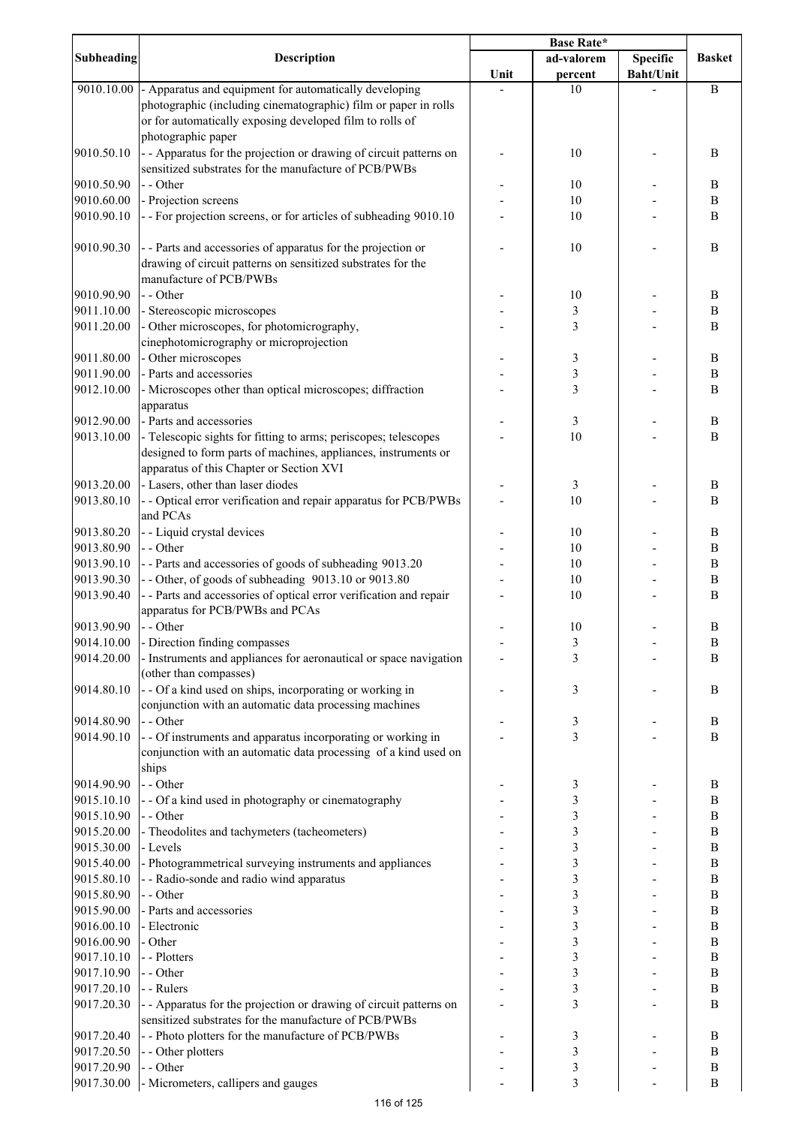|                   |                                                                    | <b>Base Rate*</b> |                |                  |                  |
|-------------------|--------------------------------------------------------------------|-------------------|----------------|------------------|------------------|
| <b>Subheading</b> | Description                                                        |                   | ad-valorem     | Specific         | <b>Basket</b>    |
|                   |                                                                    | Unit              | percent        | <b>Baht/Unit</b> |                  |
|                   | 9010.10.00 - Apparatus and equipment for automatically developing  |                   | 10             |                  | B                |
|                   | photographic (including cinematographic) film or paper in rolls    |                   |                |                  |                  |
|                   | or for automatically exposing developed film to rolls of           |                   |                |                  |                  |
|                   | photographic paper                                                 |                   |                |                  |                  |
| 9010.50.10        | - - Apparatus for the projection or drawing of circuit patterns on |                   | 10             |                  | B                |
|                   | sensitized substrates for the manufacture of PCB/PWBs              |                   |                |                  |                  |
| 9010.50.90        | - - Other                                                          |                   | 10             |                  | B                |
| 9010.60.00        | - Projection screens                                               |                   | 10             |                  | $\, {\bf B}$     |
| 9010.90.10        | - - For projection screens, or for articles of subheading 9010.10  |                   | 10             |                  | B                |
|                   |                                                                    |                   |                |                  |                  |
| 9010.90.30        | - - Parts and accessories of apparatus for the projection or       |                   | 10             |                  | B                |
|                   |                                                                    |                   |                |                  |                  |
|                   | drawing of circuit patterns on sensitized substrates for the       |                   |                |                  |                  |
|                   | manufacture of PCB/PWBs                                            |                   |                |                  |                  |
| 9010.90.90        | - - Other                                                          |                   | 10             |                  | B                |
| 9011.10.00        | - Stereoscopic microscopes                                         |                   | 3              |                  | $\boldsymbol{B}$ |
| 9011.20.00        | - Other microscopes, for photomicrography,                         |                   | 3              |                  | B                |
|                   | cinephotomicrography or microprojection                            |                   |                |                  |                  |
| 9011.80.00        | - Other microscopes                                                |                   | 3              |                  | $\boldsymbol{B}$ |
| 9011.90.00        | - Parts and accessories                                            |                   | 3              |                  | $\, {\bf B}$     |
| 9012.10.00        | - Microscopes other than optical microscopes; diffraction          |                   | 3              |                  | $\, {\bf B}$     |
|                   | apparatus                                                          |                   |                |                  |                  |
| 9012.90.00        | - Parts and accessories                                            |                   | 3              |                  | $\, {\bf B}$     |
| 9013.10.00        | - Telescopic sights for fitting to arms; periscopes; telescopes    |                   | 10             |                  | B                |
|                   | designed to form parts of machines, appliances, instruments or     |                   |                |                  |                  |
|                   | apparatus of this Chapter or Section XVI                           |                   |                |                  |                  |
| 9013.20.00        | - Lasers, other than laser diodes                                  |                   | 3              |                  | $\, {\bf B}$     |
| 9013.80.10        | - - Optical error verification and repair apparatus for PCB/PWBs   |                   | 10             |                  | B                |
|                   | and PCAs                                                           |                   |                |                  |                  |
| 9013.80.20        | - - Liquid crystal devices                                         |                   | 10             |                  | B                |
| 9013.80.90        | - - Other                                                          |                   | 10             |                  | $\, {\bf B}$     |
| 9013.90.10        | -- Parts and accessories of goods of subheading 9013.20            |                   | 10             |                  | $\boldsymbol{B}$ |
| 9013.90.30        | -- Other, of goods of subheading 9013.10 or 9013.80                |                   | 10             |                  | $\boldsymbol{B}$ |
|                   |                                                                    |                   |                |                  | B                |
| 9013.90.40        | - - Parts and accessories of optical error verification and repair |                   | 10             |                  |                  |
|                   | apparatus for PCB/PWBs and PCAs                                    |                   |                |                  |                  |
| 9013.90.90        | - - Other                                                          |                   | 10             |                  | B                |
| 9014.10.00        | - Direction finding compasses                                      |                   | $\mathfrak{Z}$ |                  | B                |
| 9014.20.00        | - Instruments and appliances for aeronautical or space navigation  |                   | 3              |                  | B                |
|                   | (other than compasses)                                             |                   |                |                  |                  |
| 9014.80.10        | - - Of a kind used on ships, incorporating or working in           |                   | 3              |                  | B                |
|                   | conjunction with an automatic data processing machines             |                   |                |                  |                  |
| 9014.80.90        | - - Other                                                          |                   | 3              |                  | $\, {\bf B}$     |
| 9014.90.10        | - - Of instruments and apparatus incorporating or working in       |                   | 3              |                  | B                |
|                   | conjunction with an automatic data processing of a kind used on    |                   |                |                  |                  |
|                   | ships                                                              |                   |                |                  |                  |
| 9014.90.90        | - - Other                                                          |                   | 3              |                  | B                |
| 9015.10.10        | - - Of a kind used in photography or cinematography                |                   | 3              |                  | $\, {\bf B}$     |
| 9015.10.90        | - - Other                                                          |                   | 3              |                  | $\, {\bf B}$     |
| 9015.20.00        | - Theodolites and tachymeters (tacheometers)                       |                   | 3              |                  | $\, {\bf B}$     |
| 9015.30.00        | - Levels                                                           |                   | 3              |                  | $\, {\bf B}$     |
| 9015.40.00        | - Photogrammetrical surveying instruments and appliances           |                   | 3              |                  | $\, {\bf B}$     |
| 9015.80.10        | - - Radio-sonde and radio wind apparatus                           |                   | 3              |                  | $\, {\bf B}$     |
| 9015.80.90        | - - Other                                                          |                   | 3              |                  | $\bf{B}$         |
| 9015.90.00        | - Parts and accessories                                            |                   | 3              |                  | $\, {\bf B}$     |
| 9016.00.10        | - Electronic                                                       |                   | 3              |                  | $\bf{B}$         |
| 9016.00.90        | - Other                                                            |                   | 3              |                  | $\bf{B}$         |
| 9017.10.10        | - - Plotters                                                       |                   | 3              |                  | $\, {\bf B}$     |
| 9017.10.90        | - - Other                                                          |                   | 3              |                  | $\bf{B}$         |
|                   | - - Rulers                                                         |                   |                |                  |                  |
| 9017.20.10        |                                                                    |                   | 3              |                  | $\boldsymbol{B}$ |
| 9017.20.30        | - - Apparatus for the projection or drawing of circuit patterns on |                   | 3              |                  | B                |
|                   | sensitized substrates for the manufacture of PCB/PWBs              |                   |                |                  |                  |
| 9017.20.40        | - - Photo plotters for the manufacture of PCB/PWBs                 |                   | 3              |                  | $\, {\bf B}$     |
| 9017.20.50        | - - Other plotters                                                 |                   | 3              |                  | $\, {\bf B}$     |
| 9017.20.90        | - - Other                                                          |                   | 3              |                  | $\, {\bf B}$     |
| 9017.30.00        | - Micrometers, callipers and gauges                                |                   | 3              |                  | $\, {\bf B}$     |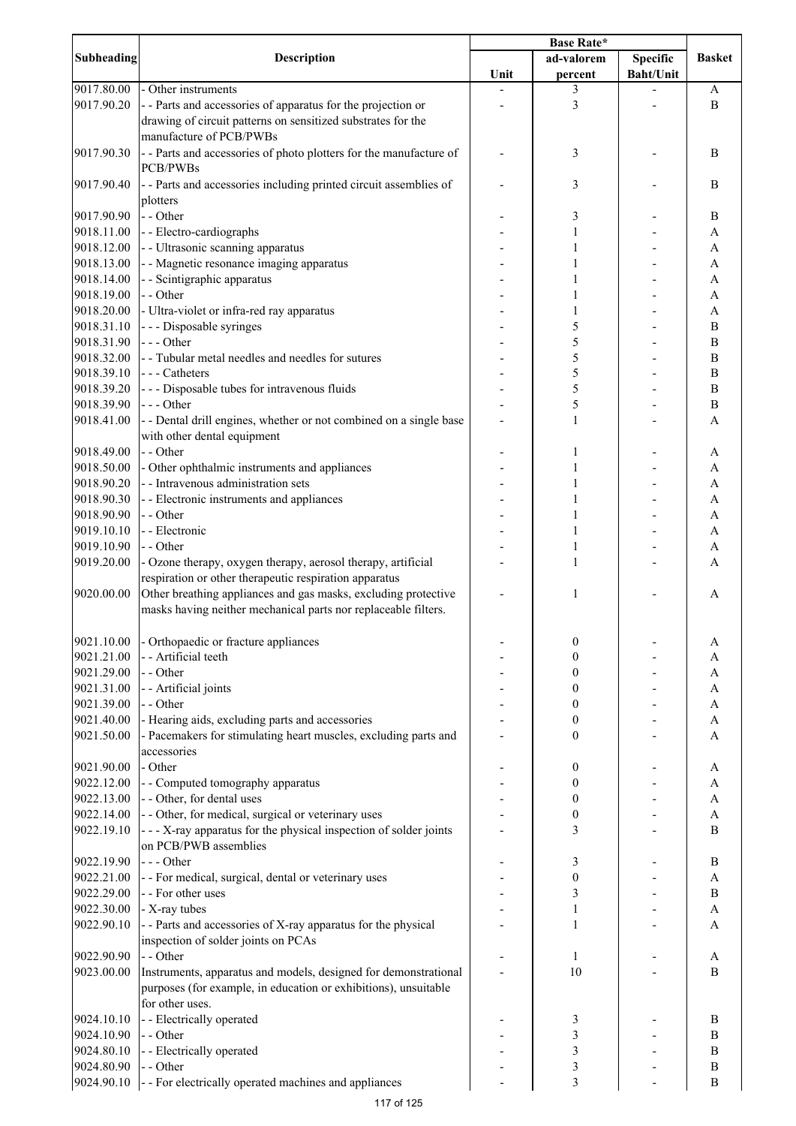|            |                                                                    | Base Rate* |                         |                  |                       |
|------------|--------------------------------------------------------------------|------------|-------------------------|------------------|-----------------------|
| Subheading | <b>Description</b>                                                 |            | ad-valorem              | <b>Specific</b>  | <b>Basket</b>         |
|            |                                                                    | Unit       | percent                 | <b>Baht/Unit</b> |                       |
| 9017.80.00 | - Other instruments                                                |            | 3                       |                  | A                     |
| 9017.90.20 | - - Parts and accessories of apparatus for the projection or       |            | 3                       |                  | B                     |
|            | drawing of circuit patterns on sensitized substrates for the       |            |                         |                  |                       |
|            | manufacture of PCB/PWBs                                            |            |                         |                  |                       |
| 9017.90.30 | - - Parts and accessories of photo plotters for the manufacture of |            | 3                       |                  | B                     |
|            | <b>PCB/PWBs</b>                                                    |            |                         |                  |                       |
| 9017.90.40 | - - Parts and accessories including printed circuit assemblies of  |            | 3                       |                  | B                     |
|            | plotters                                                           |            |                         |                  |                       |
| 9017.90.90 | - - Other                                                          |            | 3                       |                  | B                     |
| 9018.11.00 | - - Electro-cardiographs                                           |            |                         |                  | A                     |
| 9018.12.00 | - - Ultrasonic scanning apparatus                                  |            |                         |                  | A                     |
| 9018.13.00 | - - Magnetic resonance imaging apparatus                           |            |                         |                  | A                     |
| 9018.14.00 | - - Scintigraphic apparatus                                        |            |                         |                  | A                     |
| 9018.19.00 | - - Other                                                          |            |                         |                  | A                     |
| 9018.20.00 | - Ultra-violet or infra-red ray apparatus                          |            | 1                       |                  | A                     |
| 9018.31.10 | - - - Disposable syringes                                          |            | 5                       |                  | B                     |
| 9018.31.90 | $--$ Other                                                         |            | 5                       |                  | B                     |
| 9018.32.00 | - - Tubular metal needles and needles for sutures                  |            | 5                       |                  | B                     |
| 9018.39.10 | $--$ Catheters                                                     |            | 5                       |                  | $\, {\bf B}$          |
| 9018.39.20 | --- Disposable tubes for intravenous fluids                        |            | 5                       |                  | $\, {\bf B}$          |
| 9018.39.90 | $--$ Other                                                         |            | 5                       |                  | $\, {\bf B}$          |
| 9018.41.00 | - - Dental drill engines, whether or not combined on a single base |            | $\mathbf{1}$            |                  | $\overline{A}$        |
|            | with other dental equipment                                        |            |                         |                  |                       |
|            |                                                                    |            |                         |                  |                       |
| 9018.49.00 | - - Other                                                          |            |                         |                  | A                     |
| 9018.50.00 | - Other ophthalmic instruments and appliances                      |            |                         |                  | A                     |
| 9018.90.20 | - - Intravenous administration sets                                |            |                         |                  | A                     |
| 9018.90.30 | - - Electronic instruments and appliances                          |            |                         |                  | A                     |
| 9018.90.90 | - - Other                                                          |            |                         |                  | A                     |
| 9019.10.10 | - - Electronic                                                     |            | 1                       |                  | A                     |
| 9019.10.90 | - - Other                                                          |            | 1                       |                  | A                     |
| 9019.20.00 | - Ozone therapy, oxygen therapy, aerosol therapy, artificial       |            | 1                       |                  | A                     |
|            | respiration or other therapeutic respiration apparatus             |            |                         |                  |                       |
| 9020.00.00 | Other breathing appliances and gas masks, excluding protective     |            | 1                       |                  | A                     |
|            | masks having neither mechanical parts nor replaceable filters.     |            |                         |                  |                       |
|            |                                                                    |            |                         |                  |                       |
| 9021.10.00 | - Orthopaedic or fracture appliances                               |            | 0                       |                  | A                     |
| 9021.21.00 | - - Artificial teeth                                               |            | $\boldsymbol{0}$        |                  | A                     |
| 9021.29.00 | - - Other                                                          |            | 0                       |                  | A                     |
| 9021.31.00 | - - Artificial joints                                              |            | 0                       |                  | A                     |
| 9021.39.00 | - - Other                                                          |            | 0                       |                  | A                     |
| 9021.40.00 | - Hearing aids, excluding parts and accessories                    |            | 0                       |                  | A                     |
| 9021.50.00 | - Pacemakers for stimulating heart muscles, excluding parts and    |            | 0                       |                  | A                     |
|            | accessories                                                        |            |                         |                  |                       |
| 9021.90.00 | - Other                                                            |            | 0                       |                  | A                     |
| 9022.12.00 | - - Computed tomography apparatus                                  |            | 0                       |                  | A                     |
| 9022.13.00 | - - Other, for dental uses                                         |            | 0                       |                  | A                     |
| 9022.14.00 | - - Other, for medical, surgical or veterinary uses                |            | 0                       |                  | A                     |
| 9022.19.10 | - - - X-ray apparatus for the physical inspection of solder joints |            | 3                       |                  | $\bf{B}$              |
|            | on PCB/PWB assemblies                                              |            |                         |                  |                       |
| 9022.19.90 | --- Other                                                          |            |                         |                  | B                     |
|            |                                                                    |            | 3                       |                  |                       |
| 9022.21.00 | - - For medical, surgical, dental or veterinary uses               |            | $\boldsymbol{0}$        |                  | $\boldsymbol{\rm{A}}$ |
| 9022.29.00 | - - For other uses                                                 |            | $\mathfrak{Z}$          |                  | $\, {\bf B}$          |
| 9022.30.00 | - X-ray tubes                                                      |            | 1                       |                  | $\mathbf{A}$          |
| 9022.90.10 | - - Parts and accessories of X-ray apparatus for the physical      |            | $\mathbf{1}$            |                  | A                     |
|            | inspection of solder joints on PCAs                                |            |                         |                  |                       |
| 9022.90.90 | - - Other                                                          |            | $\mathbf{1}$            |                  | A                     |
| 9023.00.00 | Instruments, apparatus and models, designed for demonstrational    |            | 10                      |                  | $\bf{B}$              |
|            | purposes (for example, in education or exhibitions), unsuitable    |            |                         |                  |                       |
|            | for other uses.                                                    |            |                         |                  |                       |
| 9024.10.10 | - - Electrically operated                                          |            | 3                       |                  | B                     |
| 9024.10.90 | - - Other                                                          |            | 3                       |                  | B                     |
| 9024.80.10 | - - Electrically operated                                          |            | 3                       |                  | $\, {\bf B}$          |
| 9024.80.90 | - - Other                                                          |            | $\mathfrak{Z}$          |                  | $\, {\bf B}$          |
| 9024.90.10 | - - For electrically operated machines and appliances              |            | $\overline{\mathbf{3}}$ |                  | $\, {\bf B}$          |
|            |                                                                    |            |                         |                  |                       |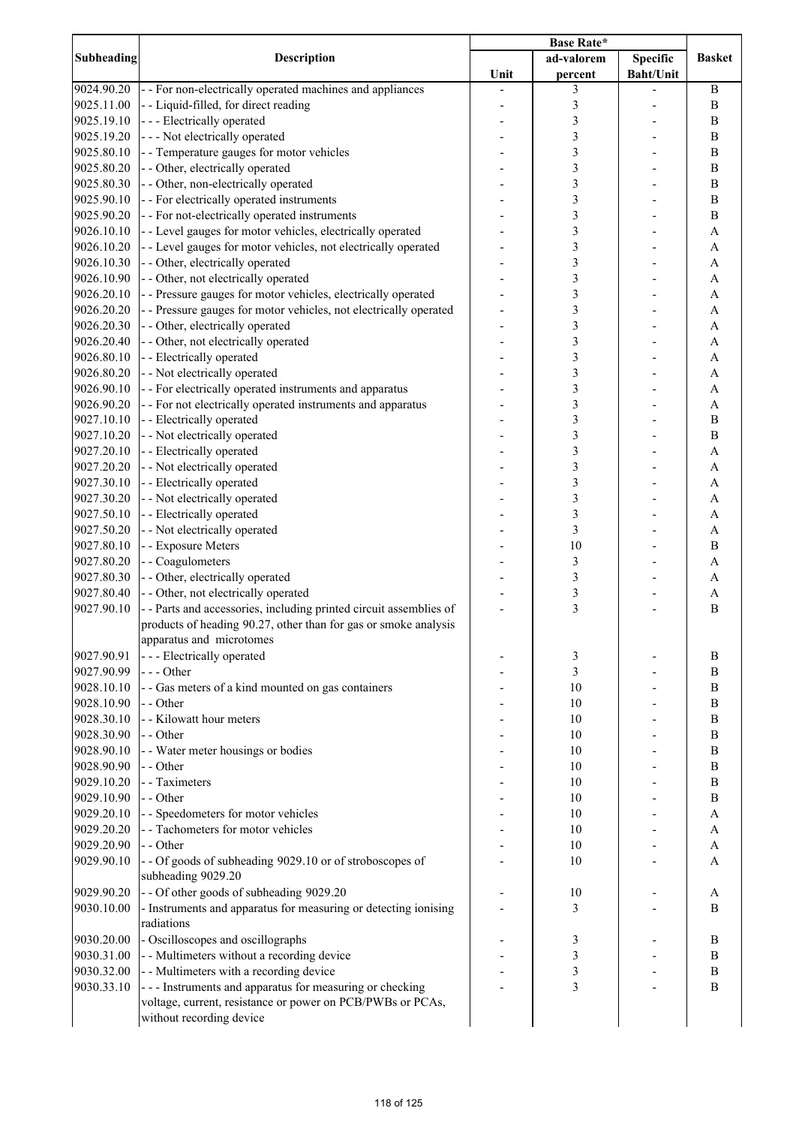|                   |                                                                    | <b>Base Rate*</b> |                         |                  |                |
|-------------------|--------------------------------------------------------------------|-------------------|-------------------------|------------------|----------------|
| <b>Subheading</b> | <b>Description</b>                                                 |                   | ad-valorem              | <b>Specific</b>  | <b>Basket</b>  |
|                   |                                                                    | Unit              | percent                 | <b>Baht/Unit</b> |                |
| 9024.90.20        | - - For non-electrically operated machines and appliances          |                   | 3                       |                  | $\, {\bf B}$   |
| 9025.11.00        | - - Liquid-filled, for direct reading                              |                   | 3                       |                  | $\bf{B}$       |
| 9025.19.10        | --- Electrically operated                                          |                   | 3                       |                  | $\bf{B}$       |
| 9025.19.20        | - - - Not electrically operated                                    |                   | 3                       |                  | $\bf{B}$       |
| 9025.80.10        | - - Temperature gauges for motor vehicles                          |                   | 3                       |                  | B              |
|                   |                                                                    |                   |                         |                  |                |
| 9025.80.20        | - - Other, electrically operated                                   |                   | 3                       |                  | B              |
| 9025.80.30        | - - Other, non-electrically operated                               |                   | 3                       |                  | $\bf{B}$       |
| 9025.90.10        | - - For electrically operated instruments                          |                   | 3                       |                  | $\, {\bf B}$   |
| 9025.90.20        | - - For not-electrically operated instruments                      |                   | 3                       |                  | $\bf{B}$       |
| 9026.10.10        | - - Level gauges for motor vehicles, electrically operated         |                   | 3                       |                  | $\overline{A}$ |
| 9026.10.20        | - - Level gauges for motor vehicles, not electrically operated     |                   | $\overline{\mathbf{3}}$ |                  | $\mathbf{A}$   |
| 9026.10.30        | - - Other, electrically operated                                   |                   | 3                       |                  | $\overline{A}$ |
| 9026.10.90        | - - Other, not electrically operated                               |                   | 3                       |                  | $\mathbf{A}$   |
| 9026.20.10        | - - Pressure gauges for motor vehicles, electrically operated      |                   | 3                       |                  | $\mathbf{A}$   |
| 9026.20.20        | - - Pressure gauges for motor vehicles, not electrically operated  |                   | 3                       |                  | A              |
| 9026.20.30        | - - Other, electrically operated                                   |                   | 3                       |                  | A              |
| 9026.20.40        | - - Other, not electrically operated                               |                   | 3                       |                  | $\mathbf{A}$   |
|                   | - - Electrically operated                                          |                   |                         |                  |                |
| 9026.80.10        |                                                                    |                   | 3                       |                  | A              |
| 9026.80.20        | - - Not electrically operated                                      |                   | 3                       |                  | A              |
| 9026.90.10        | - - For electrically operated instruments and apparatus            |                   | 3                       |                  | A              |
| 9026.90.20        | - - For not electrically operated instruments and apparatus        |                   | 3                       |                  | A              |
| 9027.10.10        | - - Electrically operated                                          |                   | 3                       |                  | B              |
| 9027.10.20        | - - Not electrically operated                                      |                   | 3                       |                  | B              |
| 9027.20.10        | - - Electrically operated                                          |                   | 3                       |                  | $\mathbf{A}$   |
| 9027.20.20        | - - Not electrically operated                                      |                   | 3                       |                  | $\mathbf{A}$   |
| 9027.30.10        | - - Electrically operated                                          |                   | 3                       |                  | A              |
|                   |                                                                    |                   | 3                       |                  |                |
| 9027.30.20        | - - Not electrically operated                                      |                   |                         |                  | A              |
| 9027.50.10        | - - Electrically operated                                          |                   | 3                       |                  | A              |
| 9027.50.20        | - - Not electrically operated                                      |                   | 3                       |                  | A              |
| 9027.80.10        | - - Exposure Meters                                                |                   | 10                      |                  | $\, {\bf B}$   |
| 9027.80.20        | - - Coagulometers                                                  |                   | $\mathfrak{Z}$          |                  | A              |
| 9027.80.30        | - - Other, electrically operated                                   |                   | $\mathfrak{Z}$          |                  | A              |
| 9027.80.40        | - - Other, not electrically operated                               |                   | $\mathfrak{Z}$          |                  | A              |
| 9027.90.10        | - - Parts and accessories, including printed circuit assemblies of |                   | $\overline{\mathbf{3}}$ |                  | B              |
|                   | products of heading 90.27, other than for gas or smoke analysis    |                   |                         |                  |                |
|                   | apparatus and microtomes                                           |                   |                         |                  |                |
| 9027.90.91        | --- Electrically operated                                          |                   |                         |                  | B              |
|                   |                                                                    |                   | 3                       |                  |                |
| 9027.90.99        | --- Other                                                          |                   | 3                       |                  | B              |
| 9028.10.10        | - - Gas meters of a kind mounted on gas containers                 |                   | 10                      |                  | $\bf{B}$       |
| 9028.10.90        | - - Other                                                          |                   | 10                      |                  | $\bf{B}$       |
| 9028.30.10        | - - Kilowatt hour meters                                           |                   | 10                      |                  | $\, {\bf B}$   |
| 9028.30.90        | - - Other                                                          |                   | 10                      |                  | $\, {\bf B}$   |
| 9028.90.10        | - - Water meter housings or bodies                                 |                   | 10                      |                  | $\, {\bf B}$   |
| 9028.90.90        | - - Other                                                          |                   | 10                      |                  | $\, {\bf B}$   |
| 9029.10.20        | - - Taximeters                                                     |                   | 10                      |                  | $\bf{B}$       |
| 9029.10.90        | - - Other                                                          |                   | 10                      |                  | $\bf{B}$       |
| 9029.20.10        | - - Speedometers for motor vehicles                                |                   | 10                      |                  | A              |
| 9029.20.20        | - - Tachometers for motor vehicles                                 |                   | 10                      |                  | A              |
|                   |                                                                    |                   |                         |                  |                |
| 9029.20.90        | - - Other                                                          |                   | 10                      |                  | A              |
| 9029.90.10        | - - Of goods of subheading 9029.10 or of stroboscopes of           |                   | 10                      |                  | A              |
|                   | subheading 9029.20                                                 |                   |                         |                  |                |
| 9029.90.20        | -- Of other goods of subheading 9029.20                            |                   | 10                      |                  | A              |
| 9030.10.00        | - Instruments and apparatus for measuring or detecting ionising    |                   | 3                       |                  | B              |
|                   | radiations                                                         |                   |                         |                  |                |
| 9030.20.00        | - Oscilloscopes and oscillographs                                  |                   | 3                       |                  | B              |
| 9030.31.00        | - - Multimeters without a recording device                         |                   | 3                       |                  | $\, {\bf B}$   |
| 9030.32.00        | - - Multimeters with a recording device                            |                   | $\mathfrak{Z}$          |                  | $\, {\bf B}$   |
| 9030.33.10        | --- Instruments and apparatus for measuring or checking            |                   | $\overline{\mathbf{3}}$ |                  | $\, {\bf B}$   |
|                   |                                                                    |                   |                         |                  |                |
|                   | voltage, current, resistance or power on PCB/PWBs or PCAs,         |                   |                         |                  |                |
|                   | without recording device                                           |                   |                         |                  |                |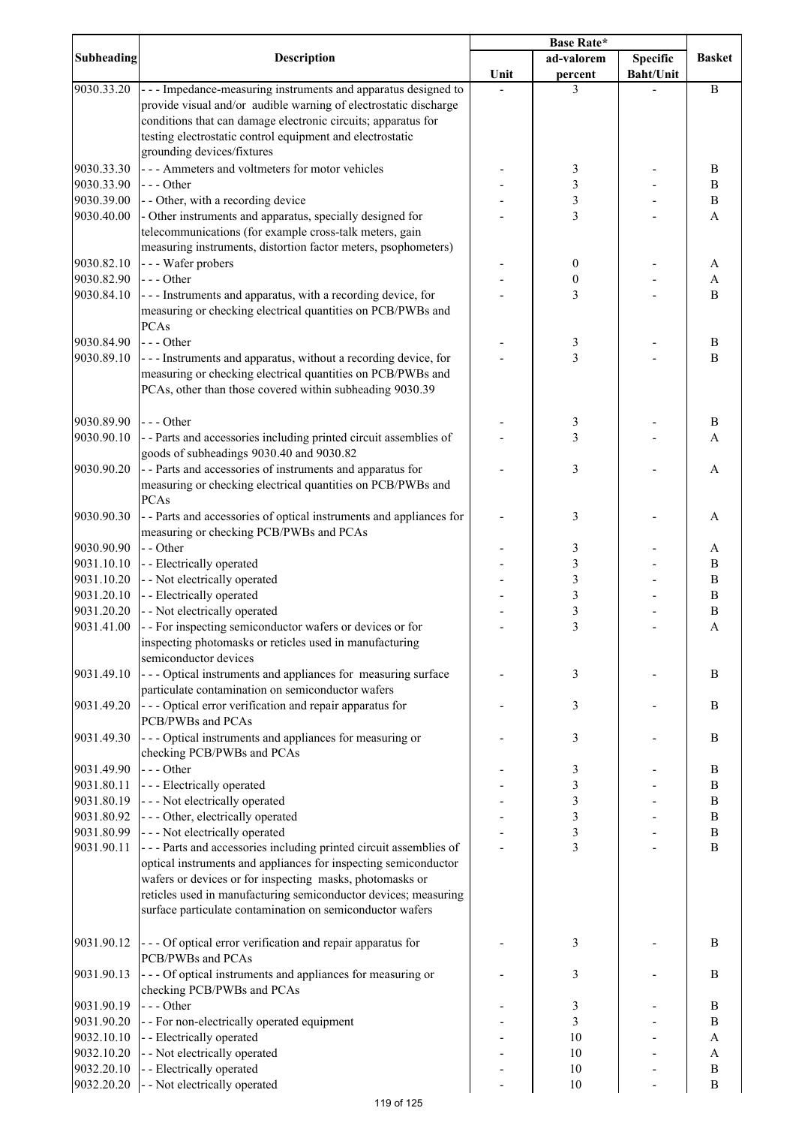|                   |                                                                     | <b>Base Rate*</b> |                         |                  |                  |
|-------------------|---------------------------------------------------------------------|-------------------|-------------------------|------------------|------------------|
| <b>Subheading</b> | <b>Description</b>                                                  |                   | ad-valorem              | <b>Specific</b>  | <b>Basket</b>    |
|                   |                                                                     | Unit              | percent                 | <b>Baht/Unit</b> |                  |
| 9030.33.20        | --- Impedance-measuring instruments and apparatus designed to       |                   | 3                       |                  | $\bf{B}$         |
|                   | provide visual and/or audible warning of electrostatic discharge    |                   |                         |                  |                  |
|                   | conditions that can damage electronic circuits; apparatus for       |                   |                         |                  |                  |
|                   | testing electrostatic control equipment and electrostatic           |                   |                         |                  |                  |
|                   | grounding devices/fixtures                                          |                   |                         |                  |                  |
|                   |                                                                     |                   |                         |                  |                  |
| 9030.33.30        | --- Ammeters and voltmeters for motor vehicles                      |                   | 3                       |                  | B                |
| 9030.33.90        | $--$ Other                                                          |                   | 3                       |                  | $\, {\bf B}$     |
| 9030.39.00        | - - Other, with a recording device                                  |                   | 3                       |                  | $\, {\bf B}$     |
| 9030.40.00        | - Other instruments and apparatus, specially designed for           |                   | $\overline{\mathbf{3}}$ |                  | A                |
|                   | telecommunications (for example cross-talk meters, gain             |                   |                         |                  |                  |
|                   | measuring instruments, distortion factor meters, psophometers)      |                   |                         |                  |                  |
| 9030.82.10        | --- Wafer probers                                                   |                   | 0                       |                  | A                |
| 9030.82.90        | $--$ Other                                                          |                   | 0                       |                  | A                |
| 9030.84.10        | --- Instruments and apparatus, with a recording device, for         |                   | 3                       |                  | B                |
|                   | measuring or checking electrical quantities on PCB/PWBs and         |                   |                         |                  |                  |
|                   | PCAs                                                                |                   |                         |                  |                  |
|                   |                                                                     |                   |                         |                  |                  |
| 9030.84.90        | $--$ Other                                                          |                   | 3                       |                  | B                |
| 9030.89.10        | --- Instruments and apparatus, without a recording device, for      |                   | $\overline{3}$          |                  | $\, {\bf B}$     |
|                   | measuring or checking electrical quantities on PCB/PWBs and         |                   |                         |                  |                  |
|                   | PCAs, other than those covered within subheading 9030.39            |                   |                         |                  |                  |
|                   |                                                                     |                   |                         |                  |                  |
| 9030.89.90        | $--$ Other                                                          |                   | 3                       |                  | B                |
| 9030.90.10        | - - Parts and accessories including printed circuit assemblies of   |                   | 3                       |                  | A                |
|                   | goods of subheadings 9030.40 and 9030.82                            |                   |                         |                  |                  |
| 9030.90.20        | - - Parts and accessories of instruments and apparatus for          |                   | 3                       |                  | A                |
|                   |                                                                     |                   |                         |                  |                  |
|                   | measuring or checking electrical quantities on PCB/PWBs and         |                   |                         |                  |                  |
|                   | <b>PCAs</b>                                                         |                   |                         |                  |                  |
| 9030.90.30        | - - Parts and accessories of optical instruments and appliances for |                   | 3                       |                  | A                |
|                   | measuring or checking PCB/PWBs and PCAs                             |                   |                         |                  |                  |
| 9030.90.90        | - - Other                                                           |                   | 3                       |                  | A                |
| 9031.10.10        | - - Electrically operated                                           |                   | 3                       |                  | B                |
| 9031.10.20        | - - Not electrically operated                                       |                   | 3                       |                  | B                |
| 9031.20.10        | - - Electrically operated                                           |                   | 3                       |                  | B                |
| 9031.20.20        | - - Not electrically operated                                       |                   | 3                       |                  | $\boldsymbol{B}$ |
| 9031.41.00        | - - For inspecting semiconductor wafers or devices or for           |                   | $\overline{\mathbf{3}}$ |                  | $\mathbf{A}$     |
|                   | inspecting photomasks or reticles used in manufacturing             |                   |                         |                  |                  |
|                   | semiconductor devices                                               |                   |                         |                  |                  |
|                   |                                                                     |                   |                         |                  |                  |
| 9031.49.10        | --- Optical instruments and appliances for measuring surface        |                   | 3                       |                  | B                |
|                   | particulate contamination on semiconductor wafers                   |                   |                         |                  |                  |
| 9031.49.20        | - - - Optical error verification and repair apparatus for           |                   | 3                       |                  | B                |
|                   | PCB/PWBs and PCAs                                                   |                   |                         |                  |                  |
| 9031.49.30        | --- Optical instruments and appliances for measuring or             |                   | 3                       |                  | $\bf{B}$         |
|                   | checking PCB/PWBs and PCAs                                          |                   |                         |                  |                  |
| 9031.49.90        | --- Other                                                           |                   | 3                       |                  | $\, {\bf B}$     |
| 9031.80.11        | --- Electrically operated                                           |                   | 3                       |                  | $\, {\bf B}$     |
| 9031.80.19        | --- Not electrically operated                                       |                   | $\overline{\mathbf{3}}$ |                  | $\, {\bf B}$     |
| 9031.80.92        | --- Other, electrically operated                                    |                   |                         |                  | $\, {\bf B}$     |
| 9031.80.99        |                                                                     |                   | $\frac{3}{3}$           |                  |                  |
|                   | --- Not electrically operated                                       |                   |                         |                  | $\, {\bf B}$     |
| 9031.90.11        | --- Parts and accessories including printed circuit assemblies of   |                   | $\overline{\mathbf{3}}$ |                  | $\, {\bf B}$     |
|                   | optical instruments and appliances for inspecting semiconductor     |                   |                         |                  |                  |
|                   | wafers or devices or for inspecting masks, photomasks or            |                   |                         |                  |                  |
|                   | reticles used in manufacturing semiconductor devices; measuring     |                   |                         |                  |                  |
|                   | surface particulate contamination on semiconductor wafers           |                   |                         |                  |                  |
|                   |                                                                     |                   |                         |                  |                  |
| 9031.90.12        | - - - Of optical error verification and repair apparatus for        |                   | 3                       |                  | B                |
|                   | PCB/PWBs and PCAs                                                   |                   |                         |                  |                  |
| 9031.90.13        | - - - Of optical instruments and appliances for measuring or        |                   | 3                       |                  | B                |
|                   |                                                                     |                   |                         |                  |                  |
|                   | checking PCB/PWBs and PCAs                                          |                   |                         |                  |                  |
| 9031.90.19        | --- Other                                                           |                   | 3                       |                  | $\, {\bf B}$     |
| 9031.90.20        | - - For non-electrically operated equipment                         |                   | $\mathfrak{Z}$          |                  | $\, {\bf B}$     |
| 9032.10.10        | - - Electrically operated                                           |                   | 10                      |                  | A                |
| 9032.10.20        | - - Not electrically operated                                       |                   | 10                      |                  | A                |
| 9032.20.10        | - - Electrically operated                                           |                   | 10                      |                  | $\, {\bf B}$     |
| 9032.20.20        | - - Not electrically operated                                       |                   | 10                      |                  | $\, {\bf B}$     |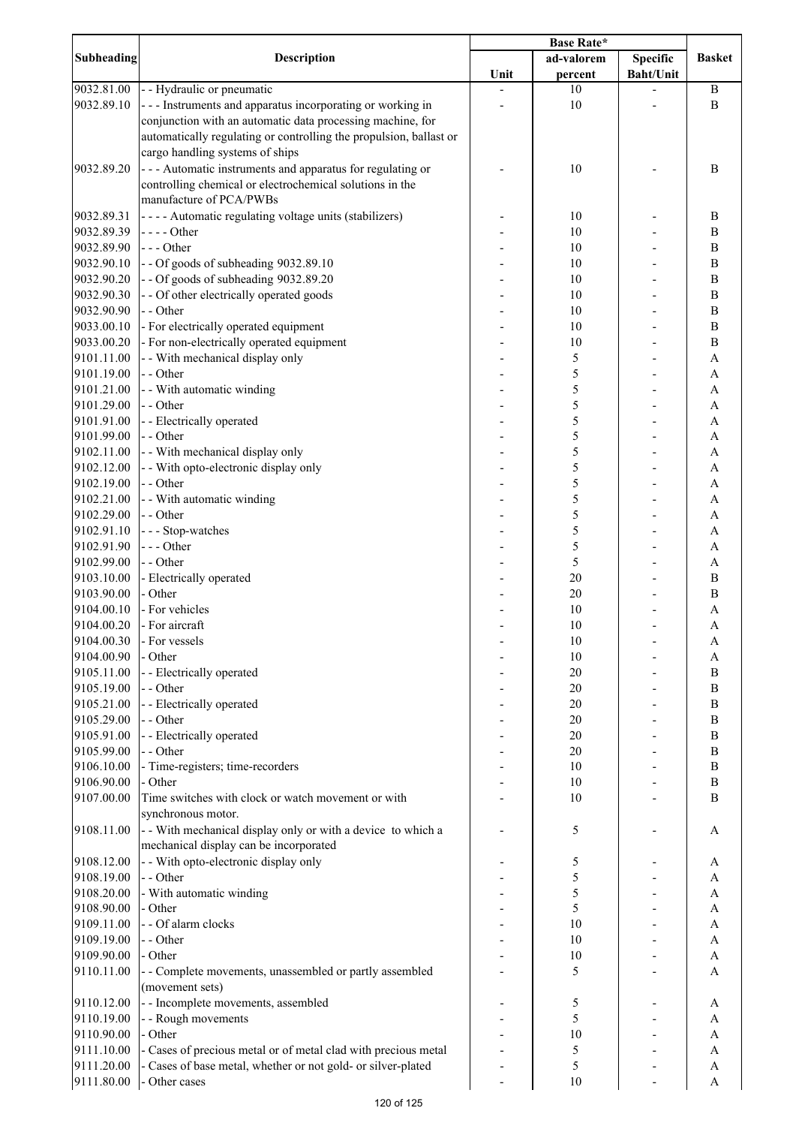|            |                                                                    | <b>Base Rate*</b> |            |                  |                           |
|------------|--------------------------------------------------------------------|-------------------|------------|------------------|---------------------------|
| Subheading | <b>Description</b>                                                 |                   | ad-valorem | <b>Specific</b>  | <b>Basket</b>             |
|            |                                                                    | Unit              | percent    | <b>Baht/Unit</b> |                           |
| 9032.81.00 | - - Hydraulic or pneumatic                                         |                   | 10         |                  | $\, {\bf B}$              |
| 9032.89.10 | --- Instruments and apparatus incorporating or working in          |                   | 10         |                  | $\bf{B}$                  |
|            | conjunction with an automatic data processing machine, for         |                   |            |                  |                           |
|            | automatically regulating or controlling the propulsion, ballast or |                   |            |                  |                           |
|            | cargo handling systems of ships                                    |                   |            |                  |                           |
| 9032.89.20 | --- Automatic instruments and apparatus for regulating or          |                   | 10         |                  | $\, {\bf B}$              |
|            | controlling chemical or electrochemical solutions in the           |                   |            |                  |                           |
|            | manufacture of PCA/PWBs                                            |                   |            |                  |                           |
| 9032.89.31 | ---- Automatic regulating voltage units (stabilizers)              |                   | 10         |                  | $\, {\bf B}$              |
| 9032.89.39 | $---Other$                                                         |                   | 10         |                  | $\, {\bf B}$              |
| 9032.89.90 | $--$ Other                                                         |                   | 10         |                  | $\, {\bf B}$              |
| 9032.90.10 | - - Of goods of subheading 9032.89.10                              |                   | 10         |                  | $\, {\bf B}$              |
| 9032.90.20 | -- Of goods of subheading 9032.89.20                               |                   | 10         |                  | $\, {\bf B}$              |
| 9032.90.30 | - - Of other electrically operated goods                           |                   | 10         |                  | $\, {\bf B}$              |
| 9032.90.90 | - - Other                                                          |                   | 10         |                  | $\, {\bf B}$              |
| 9033.00.10 | - For electrically operated equipment                              |                   | 10         |                  | $\, {\bf B}$              |
| 9033.00.20 | - For non-electrically operated equipment                          |                   | 10         |                  | $\, {\bf B}$              |
| 9101.11.00 | - - With mechanical display only                                   |                   | 5          |                  | $\boldsymbol{\rm{A}}$     |
| 9101.19.00 | - - Other                                                          |                   | 5          |                  | $\boldsymbol{\mathsf{A}}$ |
| 9101.21.00 | - - With automatic winding                                         |                   | 5          |                  | $\boldsymbol{\mathsf{A}}$ |
| 9101.29.00 | - - Other                                                          |                   | 5          |                  | $\boldsymbol{\mathsf{A}}$ |
| 9101.91.00 | - - Electrically operated                                          |                   | 5          |                  | $\boldsymbol{\mathsf{A}}$ |
| 9101.99.00 | - - Other                                                          |                   | 5          |                  | $\mathbf{A}$              |
| 9102.11.00 | - - With mechanical display only                                   |                   | 5          |                  | $\boldsymbol{\mathsf{A}}$ |
|            |                                                                    |                   |            |                  |                           |
| 9102.12.00 | - - With opto-electronic display only                              |                   | 5          |                  | $\boldsymbol{\mathsf{A}}$ |
| 9102.19.00 | - - Other                                                          |                   | 5          |                  | A                         |
| 9102.21.00 | - - With automatic winding                                         |                   | 5          |                  | $\boldsymbol{\rm{A}}$     |
| 9102.29.00 | - - Other                                                          |                   | 5          |                  | A                         |
| 9102.91.10 | --- Stop-watches                                                   |                   | 5          |                  | $\boldsymbol{\rm{A}}$     |
| 9102.91.90 | $--$ Other                                                         |                   | 5          |                  | $\boldsymbol{\mathsf{A}}$ |
| 9102.99.00 | - - Other                                                          |                   | 5          |                  | A                         |
| 9103.10.00 | - Electrically operated                                            |                   | 20         |                  | $\, {\bf B}$              |
| 9103.90.00 | - Other                                                            |                   | 20         |                  | $\bf{B}$                  |
| 9104.00.10 | - For vehicles                                                     |                   | 10         |                  | $\boldsymbol{\mathsf{A}}$ |
| 9104.00.20 | - For aircraft                                                     |                   | 10         |                  | $\mathbf{A}$              |
| 9104.00.30 | - For vessels                                                      |                   | 10         |                  | A                         |
| 9104.00.90 | - Other                                                            |                   | 10         |                  | A                         |
| 9105.11.00 | - - Electrically operated                                          |                   | 20         |                  | $\bf{B}$                  |
| 9105.19.00 | - - Other                                                          |                   | 20         |                  | $\, {\bf B}$              |
| 9105.21.00 | - - Electrically operated                                          |                   | 20         |                  | $\, {\bf B}$              |
| 9105.29.00 | - - Other                                                          |                   | 20         |                  | $\bf{B}$                  |
| 9105.91.00 | - - Electrically operated                                          |                   | 20         |                  | $\, {\bf B}$              |
| 9105.99.00 | - - Other                                                          |                   | 20         |                  | $\, {\bf B}$              |
| 9106.10.00 | - Time-registers; time-recorders                                   |                   | 10         |                  | $\, {\bf B}$              |
| 9106.90.00 | - Other                                                            |                   | 10         |                  | $\, {\bf B}$              |
| 9107.00.00 | Time switches with clock or watch movement or with                 |                   | 10         |                  | $\bf{B}$                  |
|            | synchronous motor.                                                 |                   |            |                  |                           |
| 9108.11.00 | - - With mechanical display only or with a device to which a       |                   | 5          |                  | A                         |
|            | mechanical display can be incorporated                             |                   |            |                  |                           |
|            |                                                                    |                   |            |                  |                           |
| 9108.12.00 | - - With opto-electronic display only                              |                   | 5          |                  | A                         |
| 9108.19.00 | - - Other                                                          |                   | 5          |                  | A                         |
| 9108.20.00 | - With automatic winding                                           |                   | 5          |                  | A                         |
| 9108.90.00 | - Other                                                            |                   | 5          |                  | A                         |
| 9109.11.00 | - - Of alarm clocks                                                |                   | 10         |                  | A                         |
| 9109.19.00 | - - Other                                                          |                   | 10         |                  | A                         |
| 9109.90.00 | - Other                                                            |                   | 10         |                  | A                         |
| 9110.11.00 | - - Complete movements, unassembled or partly assembled            |                   | 5          |                  | A                         |
|            | (movement sets)                                                    |                   |            |                  |                           |
| 9110.12.00 | - - Incomplete movements, assembled                                |                   | 5          |                  | A                         |
| 9110.19.00 | - - Rough movements                                                |                   | 5          |                  | A                         |
| 9110.90.00 | - Other                                                            |                   | 10         |                  | A                         |
| 9111.10.00 | - Cases of precious metal or of metal clad with precious metal     |                   | 5          |                  | A                         |
| 9111.20.00 | - Cases of base metal, whether or not gold- or silver-plated       |                   | 5          |                  | A                         |
| 9111.80.00 | - Other cases                                                      |                   | 10         |                  | $\boldsymbol{\mathsf{A}}$ |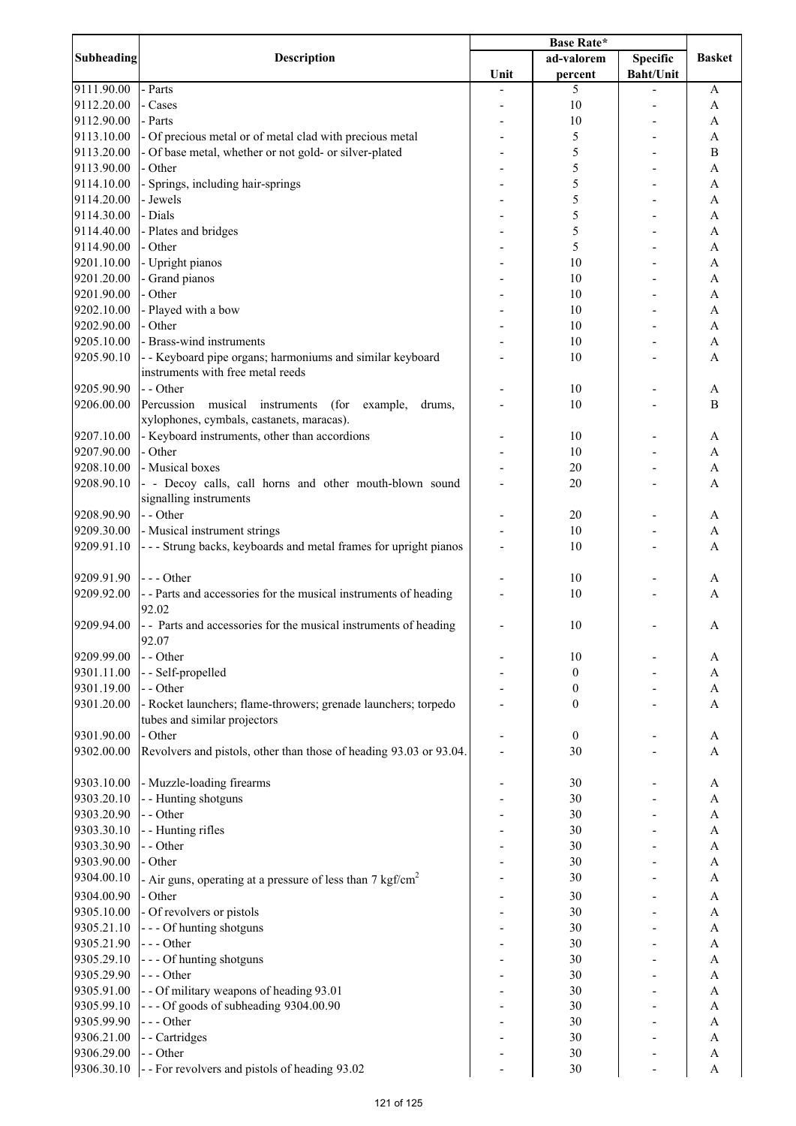| <b>Subheading</b> |                                                                        |      | <b>Base Rate*</b> |                  |               |
|-------------------|------------------------------------------------------------------------|------|-------------------|------------------|---------------|
|                   | Description                                                            |      | ad-valorem        | Specific         | <b>Basket</b> |
|                   |                                                                        | Unit | percent           | <b>Baht/Unit</b> |               |
| 9111.90.00        | - Parts                                                                |      | 5                 |                  | A             |
| 9112.20.00        | - Cases                                                                |      | 10                |                  | A             |
| 9112.90.00        | - Parts                                                                | ٠    | 10                |                  | A             |
| 9113.10.00        | - Of precious metal or of metal clad with precious metal               |      | 5                 |                  | A             |
| 9113.20.00        | - Of base metal, whether or not gold- or silver-plated                 |      | 5                 |                  | B             |
| 9113.90.00        | - Other                                                                |      | 5                 |                  | A             |
| 9114.10.00        | - Springs, including hair-springs                                      |      | 5                 |                  | A             |
| 9114.20.00        | - Jewels                                                               |      | 5                 |                  | A             |
|                   | - Dials                                                                |      | 5                 |                  |               |
| 9114.30.00        |                                                                        |      |                   |                  | A             |
| 9114.40.00        | - Plates and bridges                                                   |      | 5                 |                  | A             |
| 9114.90.00        | - Other                                                                |      | 5                 |                  | A             |
| 9201.10.00        | - Upright pianos                                                       |      | 10                |                  | A             |
| 9201.20.00        | - Grand pianos                                                         |      | 10                |                  | A             |
| 9201.90.00        | - Other                                                                |      | 10                |                  | A             |
| 9202.10.00        | - Played with a bow                                                    |      | 10                |                  | $\mathbf{A}$  |
| 9202.90.00        | - Other                                                                |      | 10                |                  | A             |
| 9205.10.00        | - Brass-wind instruments                                               |      | 10                |                  | A             |
| 9205.90.10        | - - Keyboard pipe organs; harmoniums and similar keyboard              |      | 10                |                  | $\mathbf{A}$  |
|                   | instruments with free metal reeds                                      |      |                   |                  |               |
| 9205.90.90        | - - Other                                                              |      | 10                |                  | A             |
| 9206.00.00        | Percussion musical instruments<br>(for example,<br>drums,              |      | 10                |                  | B             |
|                   | xylophones, cymbals, castanets, maracas).                              |      |                   |                  |               |
| 9207.10.00        | - Keyboard instruments, other than accordions                          |      | 10                |                  | A             |
| 9207.90.00        | - Other                                                                |      | 10                |                  | A             |
|                   | - Musical boxes                                                        |      |                   |                  |               |
| 9208.10.00        |                                                                        |      | 20                |                  | A             |
| 9208.90.10        | - - Decoy calls, call horns and other mouth-blown sound                |      | 20                |                  | A             |
|                   | signalling instruments                                                 |      |                   |                  |               |
| 9208.90.90        | - - Other                                                              |      | 20                |                  | A             |
| 9209.30.00        | - Musical instrument strings                                           |      | 10                |                  | A             |
| 9209.91.10        | - - - Strung backs, keyboards and metal frames for upright pianos      |      | 10                |                  | A             |
|                   |                                                                        |      |                   |                  |               |
| 9209.91.90        | $--$ Other                                                             |      | 10                |                  | A             |
| 9209.92.00        | - - Parts and accessories for the musical instruments of heading       |      | 10                |                  | A             |
|                   | 92.02                                                                  |      |                   |                  |               |
| 9209.94.00        | - Parts and accessories for the musical instruments of heading         |      | 10                |                  | A             |
|                   | 92.07                                                                  |      |                   |                  |               |
| 9209.99.00        | - - Other                                                              |      | 10                |                  | A             |
| 9301.11.00        | -- Self-propelled                                                      |      | $\boldsymbol{0}$  |                  | A             |
| 9301.19.00        | - - Other                                                              |      | 0                 |                  | A             |
| 9301.20.00        | - Rocket launchers; flame-throwers; grenade launchers; torpedo         |      | $\boldsymbol{0}$  |                  | A             |
|                   | tubes and similar projectors                                           |      |                   |                  |               |
| 9301.90.00        | - Other                                                                |      | $\boldsymbol{0}$  |                  | A             |
| 9302.00.00        | Revolvers and pistols, other than those of heading 93.03 or 93.04.     |      | 30                |                  | $\mathbf{A}$  |
|                   |                                                                        |      |                   |                  |               |
|                   |                                                                        |      |                   |                  |               |
| 9303.10.00        | - Muzzle-loading firearms                                              |      | 30                |                  | A             |
| 9303.20.10        | - - Hunting shotguns                                                   |      | 30                |                  | A             |
| 9303.20.90        | - - Other                                                              |      | 30                |                  | A             |
| 9303.30.10        | - - Hunting rifles                                                     |      | 30                |                  | A             |
| 9303.30.90        | - - Other                                                              |      | 30                |                  | $\mathbf{A}$  |
| 9303.90.00        | - Other                                                                |      | 30                |                  | A             |
| 9304.00.10        | - Air guns, operating at a pressure of less than 7 kgf/cm <sup>2</sup> |      | 30                |                  | A             |
| 9304.00.90        | - Other                                                                |      | 30                |                  | A             |
| 9305.10.00        | - Of revolvers or pistols                                              |      | 30                |                  | A             |
| 9305.21.10        | --- Of hunting shotguns                                                |      | 30                |                  | $\mathbf{A}$  |
| 9305.21.90        | $--$ Other                                                             |      | 30                |                  | A             |
| 9305.29.10        | --- Of hunting shotguns                                                |      | 30                |                  | $\mathbf{A}$  |
| 9305.29.90        | $--- Other$                                                            |      | 30                |                  | A             |
| 9305.91.00        | - - Of military weapons of heading 93.01                               |      | 30                |                  | A             |
| 9305.99.10        | --- Of goods of subheading 9304.00.90                                  |      | 30                |                  | A             |
| 9305.99.90        | --- Other                                                              |      | 30                |                  |               |
|                   |                                                                        |      | 30                |                  | A<br>A        |
| 9306.21.00        | - - Cartridges                                                         |      |                   |                  |               |
| 9306.29.00        | - - Other                                                              |      | 30                |                  | A             |
| 9306.30.10        | - - For revolvers and pistols of heading 93.02                         |      | 30                |                  | $\mathbf{A}$  |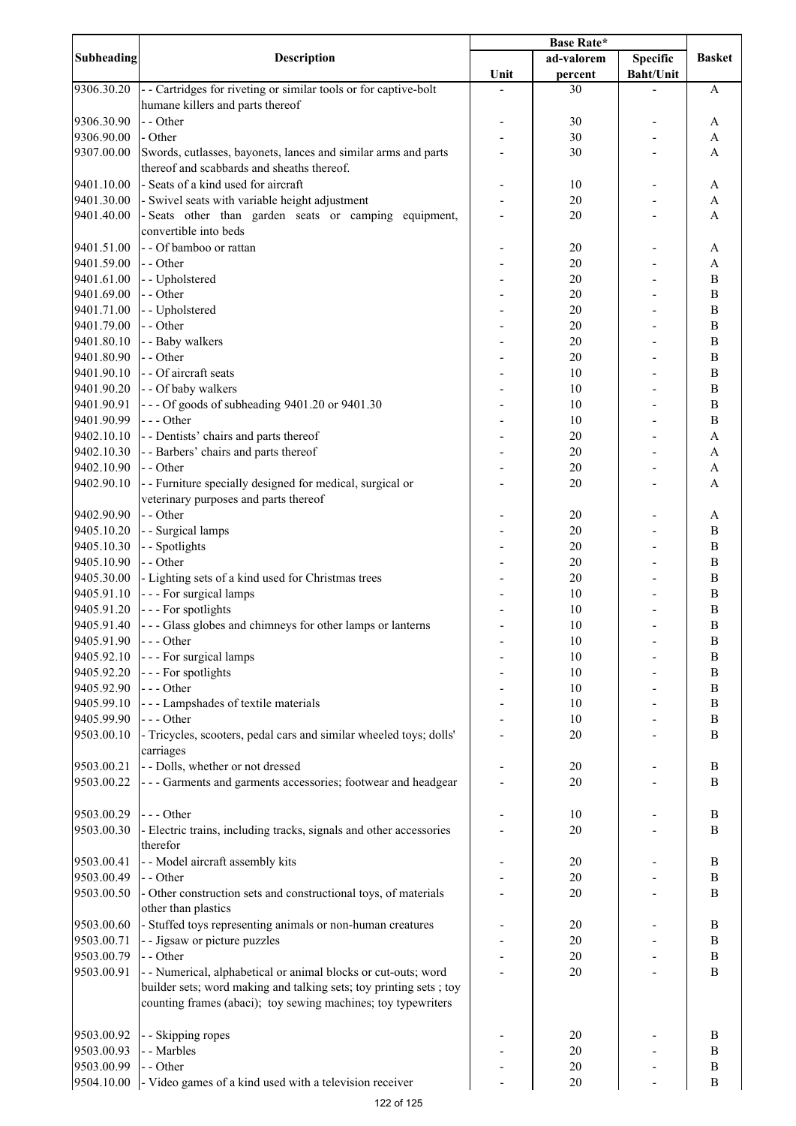|                   |                                                                    | Base Rate* |            |                  |                  |
|-------------------|--------------------------------------------------------------------|------------|------------|------------------|------------------|
| <b>Subheading</b> | <b>Description</b>                                                 |            | ad-valorem | <b>Specific</b>  | <b>Basket</b>    |
|                   |                                                                    | Unit       | percent    | <b>Baht/Unit</b> |                  |
| 9306.30.20        | - - Cartridges for riveting or similar tools or for captive-bolt   |            | 30         |                  | A                |
|                   | humane killers and parts thereof                                   |            |            |                  |                  |
| 9306.30.90        | - - Other                                                          |            | 30         |                  | A                |
| 9306.90.00        | - Other                                                            |            | 30         |                  | A                |
| 9307.00.00        | Swords, cutlasses, bayonets, lances and similar arms and parts     |            | 30         |                  | A                |
|                   | thereof and scabbards and sheaths thereof.                         |            |            |                  |                  |
| 9401.10.00        | - Seats of a kind used for aircraft                                |            | 10         |                  | A                |
| 9401.30.00        | - Swivel seats with variable height adjustment                     |            | 20         |                  | A                |
| 9401.40.00        | - Seats other than garden seats or camping equipment,              |            | 20         |                  | A                |
|                   | convertible into beds                                              |            |            |                  |                  |
| 9401.51.00        | - - Of bamboo or rattan                                            |            | 20         |                  | A                |
| 9401.59.00        | - - Other                                                          |            | 20         |                  | A                |
| 9401.61.00        | - - Upholstered                                                    |            | 20         |                  | B                |
| 9401.69.00        | - - Other                                                          |            | 20         |                  | $\bf{B}$         |
| 9401.71.00        | - - Upholstered                                                    |            | 20         |                  | $\overline{B}$   |
| 9401.79.00        | - - Other                                                          |            | 20         |                  | $\bf{B}$         |
| 9401.80.10        | - - Baby walkers                                                   |            | 20         |                  | $\overline{B}$   |
| 9401.80.90        | - - Other                                                          |            | 20         |                  | $\overline{B}$   |
| 9401.90.10        | - - Of aircraft seats                                              |            | 10         |                  | $\overline{B}$   |
| 9401.90.20        | - - Of baby walkers                                                |            | 10         |                  | $\, {\bf B}$     |
| 9401.90.91        | --- Of goods of subheading 9401.20 or 9401.30                      |            | 10         |                  | $\overline{B}$   |
| 9401.90.99        | --- Other                                                          |            | 10         |                  | $\, {\bf B}$     |
| 9402.10.10        | - - Dentists' chairs and parts thereof                             |            | 20         |                  | A                |
| 9402.10.30        | - - Barbers' chairs and parts thereof                              |            | 20         |                  | A                |
| 9402.10.90        | - - Other                                                          |            | 20         |                  | A                |
| 9402.90.10        | - - Furniture specially designed for medical, surgical or          |            | 20         |                  | A                |
|                   | veterinary purposes and parts thereof                              |            |            |                  |                  |
| 9402.90.90        | - - Other                                                          |            | 20         |                  | A                |
| 9405.10.20        | - - Surgical lamps                                                 |            | 20         |                  | B                |
| 9405.10.30        | - - Spotlights                                                     |            | 20         |                  | B                |
| 9405.10.90        | - - Other                                                          |            | $20\,$     |                  | B                |
| 9405.30.00        | - Lighting sets of a kind used for Christmas trees                 |            | 20         |                  | B                |
| 9405.91.10        | - - - For surgical lamps                                           |            | 10         |                  | $\boldsymbol{B}$ |
| 9405.91.20        | - - - For spotlights                                               |            | 10         |                  | $\boldsymbol{B}$ |
| 9405.91.40        | --- Glass globes and chimneys for other lamps or lanterns          |            | 10         |                  | $\bf{B}$         |
| 9405.91.90        | $--$ Other                                                         |            | 10         |                  | $\, {\bf B}$     |
| 9405.92.10        | - - - For surgical lamps                                           |            | 10         |                  | $\, {\bf B}$     |
| 9405.92.20        | --- For spotlights                                                 |            | 10         |                  | $\, {\bf B}$     |
| 9405.92.90        | --- Other                                                          |            | 10         |                  | $\, {\bf B}$     |
| 9405.99.10        | --- Lampshades of textile materials                                |            | 10         |                  | $\, {\bf B}$     |
| 9405.99.90        | $--- Other$                                                        |            | 10         |                  | $\, {\bf B}$     |
| 9503.00.10        | - Tricycles, scooters, pedal cars and similar wheeled toys; dolls' |            | $20\,$     |                  | $\, {\bf B}$     |
|                   | carriages                                                          |            |            |                  |                  |
| 9503.00.21        | - - Dolls, whether or not dressed                                  |            | $20\,$     |                  | $\, {\bf B}$     |
| 9503.00.22        | - - - Garments and garments accessories; footwear and headgear     |            | 20         |                  | B                |
|                   |                                                                    |            |            |                  |                  |
|                   | $--- Other$                                                        |            | 10         |                  | B                |
| 9503.00.29        |                                                                    |            |            |                  | B                |
| 9503.00.30        | - Electric trains, including tracks, signals and other accessories |            | 20         |                  |                  |
|                   | therefor                                                           |            |            |                  |                  |
| 9503.00.41        | - - Model aircraft assembly kits                                   |            | 20         |                  | B                |
| 9503.00.49        | - - Other                                                          |            | 20         |                  | $\, {\bf B}$     |
| 9503.00.50        | - Other construction sets and constructional toys, of materials    |            | 20         |                  | B                |
|                   | other than plastics                                                |            |            |                  |                  |
| 9503.00.60        | - Stuffed toys representing animals or non-human creatures         |            | 20         |                  | B                |
| 9503.00.71        | - - Jigsaw or picture puzzles                                      |            | 20         |                  | $\, {\bf B}$     |
| 9503.00.79        | - - Other                                                          |            | $20\,$     |                  | $\, {\bf B}$     |
| 9503.00.91        | - - Numerical, alphabetical or animal blocks or cut-outs; word     |            | 20         |                  | B                |
|                   | builder sets; word making and talking sets; toy printing sets; toy |            |            |                  |                  |
|                   | counting frames (abaci); toy sewing machines; toy typewriters      |            |            |                  |                  |
|                   |                                                                    |            |            |                  |                  |
| 9503.00.92        | - - Skipping ropes                                                 |            | 20         |                  | B                |
| 9503.00.93        | - - Marbles                                                        |            | 20         |                  | B                |
| 9503.00.99        | - - Other                                                          |            | 20         |                  | $\, {\bf B}$     |
| 9504.10.00        | - Video games of a kind used with a television receiver            |            | $20\,$     |                  | B                |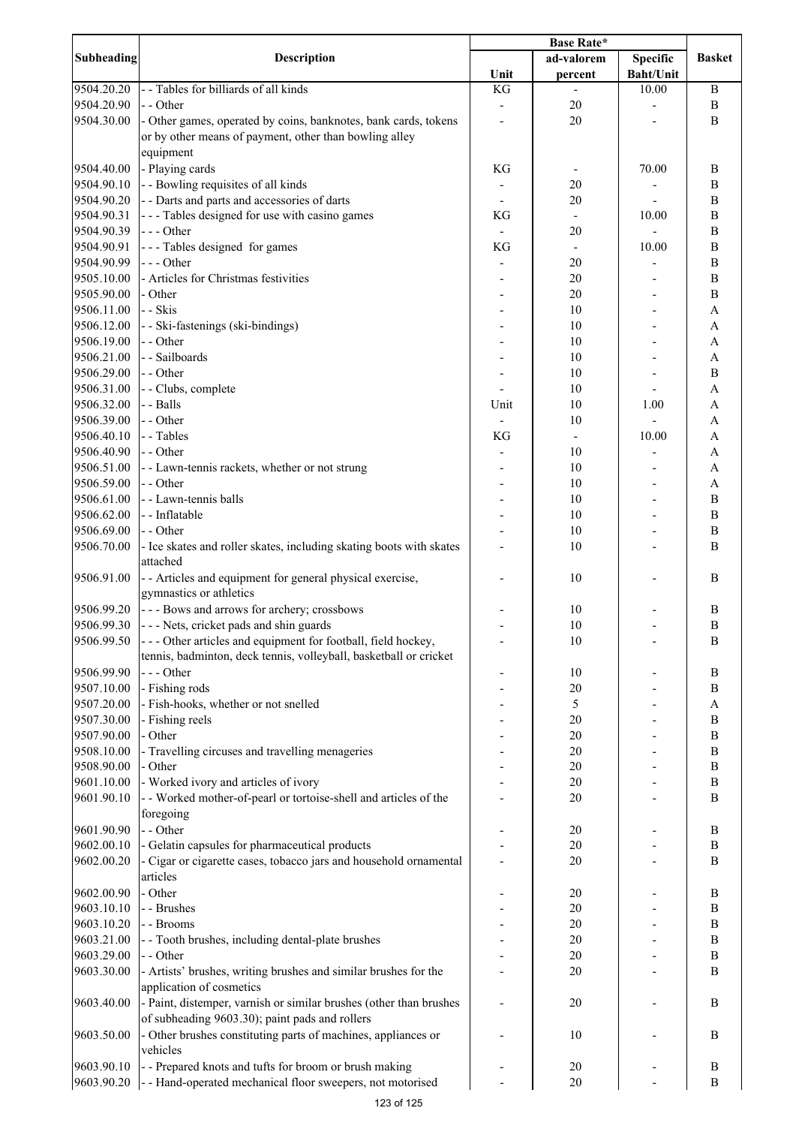| <b>Subheading</b>        | <b>Description</b>                                                                                                        | Base Rate*               |                          |                  |                              |
|--------------------------|---------------------------------------------------------------------------------------------------------------------------|--------------------------|--------------------------|------------------|------------------------------|
|                          |                                                                                                                           |                          | ad-valorem               | <b>Specific</b>  | <b>Basket</b>                |
|                          |                                                                                                                           | Unit                     | percent                  | <b>Baht/Unit</b> |                              |
| 9504.20.20               | - - Tables for billiards of all kinds                                                                                     | KG                       |                          | 10.00            | B                            |
| 9504.20.90               | - - Other                                                                                                                 |                          | 20                       |                  | $\, {\bf B}$                 |
| 9504.30.00               | - Other games, operated by coins, banknotes, bank cards, tokens<br>or by other means of payment, other than bowling alley |                          | 20                       |                  | $\bf{B}$                     |
|                          | equipment                                                                                                                 |                          |                          |                  |                              |
| 9504.40.00               | - Playing cards                                                                                                           | KG                       |                          | 70.00            | B                            |
| 9504.90.10               | - - Bowling requisites of all kinds                                                                                       |                          | 20                       |                  | $\bf{B}$                     |
| 9504.90.20               | - - Darts and parts and accessories of darts                                                                              |                          | 20                       |                  | $\bf{B}$                     |
| 9504.90.31               | --- Tables designed for use with casino games                                                                             | KG                       | $\overline{\phantom{a}}$ | 10.00            | $\, {\bf B}$                 |
| 9504.90.39               | --- Other                                                                                                                 | $\overline{\phantom{a}}$ | 20                       |                  | $\bf{B}$                     |
| 9504.90.91               | --- Tables designed for games                                                                                             | KG                       | $\overline{\phantom{a}}$ | 10.00            | B                            |
| 9504.90.99               | $--$ Other                                                                                                                |                          | 20                       |                  | $\, {\bf B}$                 |
| 9505.10.00               | - Articles for Christmas festivities                                                                                      |                          | 20                       |                  | B                            |
| 9505.90.00               | - Other                                                                                                                   |                          | 20                       |                  | $\, {\bf B}$                 |
| 9506.11.00               | - - Skis                                                                                                                  |                          | 10                       |                  | $\boldsymbol{\rm{A}}$        |
| 9506.12.00               | - - Ski-fastenings (ski-bindings)                                                                                         |                          | 10                       |                  | A                            |
| 9506.19.00               | - - Other                                                                                                                 |                          | 10                       |                  | $\boldsymbol{\mathsf{A}}$    |
| 9506.21.00               | - - Sailboards                                                                                                            |                          | 10                       |                  | $\boldsymbol{\rm{A}}$        |
| 9506.29.00               | - - Other                                                                                                                 |                          | 10                       |                  | $\, {\bf B}$                 |
| 9506.31.00               | - - Clubs, complete                                                                                                       |                          | 10                       |                  | $\mathbf{A}$                 |
| 9506.32.00               | - - Balls                                                                                                                 | Unit                     | 10                       | 1.00             | $\mathbf{A}$                 |
| 9506.39.00               | - - Other                                                                                                                 |                          | 10                       |                  | $\boldsymbol{\mathsf{A}}$    |
| 9506.40.10               | - - Tables                                                                                                                | KG                       | $\overline{\phantom{a}}$ | 10.00            | $\mathbf{A}$                 |
| 9506.40.90               | - - Other                                                                                                                 |                          | 10                       |                  | $\boldsymbol{\mathsf{A}}$    |
| 9506.51.00               | - - Lawn-tennis rackets, whether or not strung                                                                            |                          | 10                       |                  | A                            |
| 9506.59.00               | - - Other                                                                                                                 |                          | 10                       |                  | $\boldsymbol{\mathsf{A}}$    |
| 9506.61.00               | - - Lawn-tennis balls                                                                                                     |                          | 10                       |                  | $\, {\bf B}$                 |
| 9506.62.00               | - - Inflatable                                                                                                            |                          | 10                       |                  | $\, {\bf B}$                 |
| 9506.69.00               | - - Other                                                                                                                 |                          | 10                       |                  | $\, {\bf B}$<br>B            |
| 9506.70.00               | - Ice skates and roller skates, including skating boots with skates<br>attached                                           |                          | 10                       |                  |                              |
| 9506.91.00               | - - Articles and equipment for general physical exercise,                                                                 |                          | 10                       |                  | B                            |
|                          | gymnastics or athletics                                                                                                   |                          |                          |                  |                              |
| 9506.99.20               | --- Bows and arrows for archery; crossbows                                                                                |                          | 10                       |                  | $\, {\bf B}$                 |
| 9506.99.30               | --- Nets, cricket pads and shin guards                                                                                    |                          | 10                       |                  | $\mathbf B$                  |
| 9506.99.50               | --- Other articles and equipment for football, field hockey,                                                              |                          | 10                       |                  | B                            |
|                          | tennis, badminton, deck tennis, volleyball, basketball or cricket                                                         |                          |                          |                  |                              |
| 9506.99.90               | --- Other                                                                                                                 |                          | 10                       |                  | B                            |
| 9507.10.00               | - Fishing rods                                                                                                            |                          | 20                       |                  | $\, {\bf B}$                 |
| 9507.20.00               | - Fish-hooks, whether or not snelled                                                                                      |                          | 5                        |                  | $\boldsymbol{A}$             |
| 9507.30.00               | - Fishing reels                                                                                                           |                          | 20                       |                  | $\, {\bf B}$                 |
| 9507.90.00               | - Other                                                                                                                   |                          | 20                       |                  | $\, {\bf B}$                 |
| 9508.10.00               | - Travelling circuses and travelling menageries                                                                           |                          | 20                       |                  | $\, {\bf B}$                 |
| 9508.90.00               | - Other                                                                                                                   |                          | 20                       |                  | $\, {\bf B}$                 |
| 9601.10.00               | - Worked ivory and articles of ivory                                                                                      |                          | 20                       |                  | $\, {\bf B}$                 |
| 9601.90.10               | - Worked mother-of-pearl or tortoise-shell and articles of the                                                            |                          | 20                       |                  | $\bf{B}$                     |
|                          | foregoing                                                                                                                 |                          |                          |                  |                              |
| 9601.90.90               | - - Other                                                                                                                 |                          | 20                       |                  | B                            |
| 9602.00.10               | - Gelatin capsules for pharmaceutical products                                                                            |                          | 20                       |                  | $\, {\bf B}$                 |
| 9602.00.20               | - Cigar or cigarette cases, tobacco jars and household ornamental                                                         |                          | 20                       |                  | $\bf{B}$                     |
|                          | articles                                                                                                                  |                          |                          |                  |                              |
| 9602.00.90               | - Other                                                                                                                   |                          | 20                       |                  | B                            |
| 9603.10.10               | - - Brushes                                                                                                               |                          | 20                       |                  | $\, {\bf B}$                 |
| 9603.10.20               | - - Brooms                                                                                                                |                          | 20<br>20                 |                  | $\, {\bf B}$<br>$\, {\bf B}$ |
| 9603.21.00<br>9603.29.00 | - - Tooth brushes, including dental-plate brushes                                                                         |                          |                          |                  |                              |
| 9603.30.00               | - - Other<br>- Artists' brushes, writing brushes and similar brushes for the                                              |                          | 20<br>20                 |                  | $\, {\bf B}$<br>$\bf{B}$     |
|                          | application of cosmetics                                                                                                  |                          |                          |                  |                              |
| 9603.40.00               | - Paint, distemper, varnish or similar brushes (other than brushes                                                        |                          | 20                       |                  | B                            |
|                          | of subheading 9603.30); paint pads and rollers                                                                            |                          |                          |                  |                              |
| 9603.50.00               | - Other brushes constituting parts of machines, appliances or                                                             |                          | 10                       |                  | B                            |
|                          | vehicles                                                                                                                  |                          |                          |                  |                              |
| 9603.90.10               | - - Prepared knots and tufts for broom or brush making                                                                    |                          | 20                       |                  | $\, {\bf B}$                 |
| 9603.90.20               | - - Hand-operated mechanical floor sweepers, not motorised                                                                |                          | 20                       |                  | $\, {\bf B}$                 |
|                          |                                                                                                                           |                          |                          |                  |                              |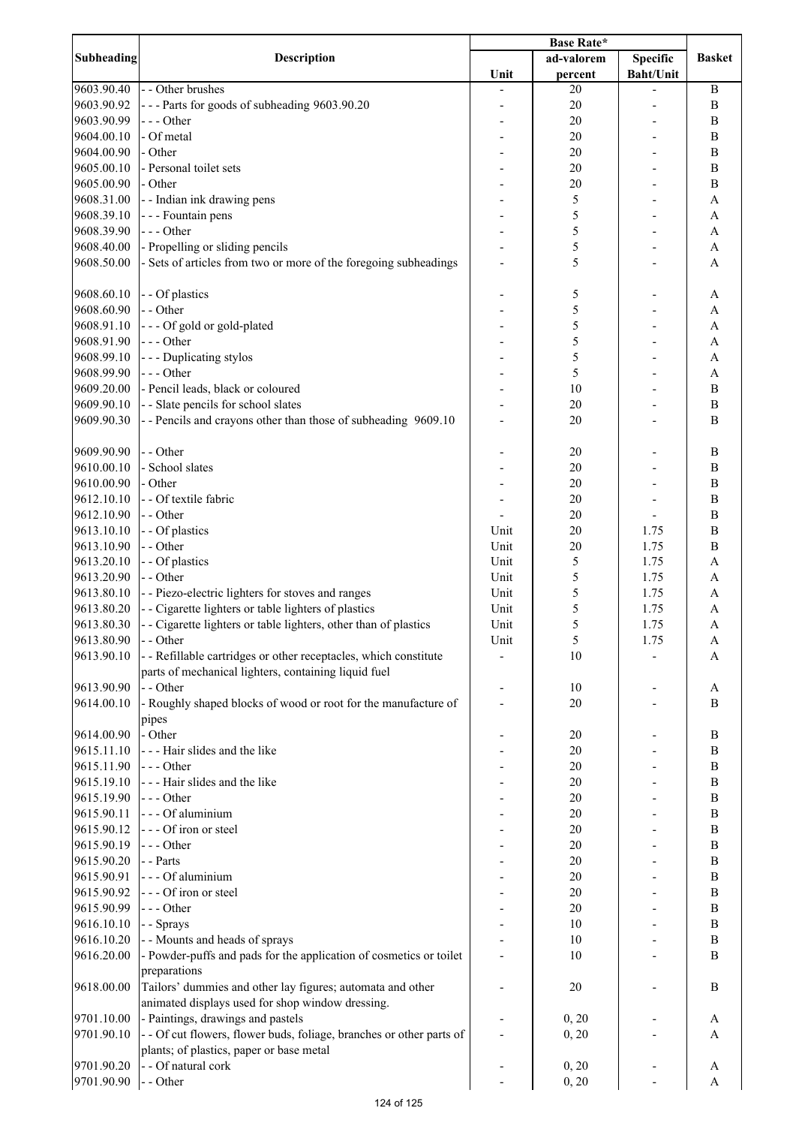|                   |                                                                      | <b>Base Rate*</b> |            |                  |               |
|-------------------|----------------------------------------------------------------------|-------------------|------------|------------------|---------------|
| <b>Subheading</b> | <b>Description</b>                                                   |                   | ad-valorem | <b>Specific</b>  | <b>Basket</b> |
|                   |                                                                      | Unit              | percent    | <b>Baht/Unit</b> |               |
| 9603.90.40        | - - Other brushes                                                    |                   | 20         |                  | $\bf{B}$      |
| 9603.90.92        | --- Parts for goods of subheading 9603.90.20                         |                   | 20         |                  | B             |
| 9603.90.99        | --- Other                                                            |                   | 20         |                  | B             |
| 9604.00.10        | - Of metal                                                           |                   | 20         |                  | B             |
| 9604.00.90        | - Other                                                              |                   | 20         |                  | B             |
|                   |                                                                      |                   |            |                  |               |
| 9605.00.10        | - Personal toilet sets                                               |                   | 20         |                  | B             |
| 9605.00.90        | - Other                                                              |                   | 20         |                  | B             |
| 9608.31.00        | - - Indian ink drawing pens                                          |                   | 5          |                  | A             |
| 9608.39.10        | - - - Fountain pens                                                  |                   | 5          |                  | A             |
| 9608.39.90        | $--$ Other                                                           |                   | 5          |                  | A             |
| 9608.40.00        | - Propelling or sliding pencils                                      |                   | 5          |                  | A             |
| 9608.50.00        | - Sets of articles from two or more of the foregoing subheadings     |                   | 5          |                  | A             |
|                   |                                                                      |                   |            |                  |               |
| 9608.60.10        | - - Of plastics                                                      |                   | 5          |                  | A             |
| 9608.60.90        | - - Other                                                            |                   | 5          |                  | A             |
| 9608.91.10        | --- Of gold or gold-plated                                           |                   | 5          |                  | $\mathbf{A}$  |
|                   |                                                                      |                   |            |                  |               |
| 9608.91.90        | $--- Other$                                                          |                   | 5          |                  | $\mathbf{A}$  |
| 9608.99.10        | --- Duplicating stylos                                               |                   | 5          |                  | $\mathbf{A}$  |
| 9608.99.90        | $--- Other$                                                          |                   | 5          |                  | $\mathbf{A}$  |
| 9609.20.00        | - Pencil leads, black or coloured                                    |                   | 10         |                  | $\, {\bf B}$  |
| 9609.90.10        | - - Slate pencils for school slates                                  |                   | 20         |                  | $\, {\bf B}$  |
| 9609.90.30        | -- Pencils and crayons other than those of subheading 9609.10        |                   | 20         |                  | $\mathbf B$   |
|                   |                                                                      |                   |            |                  |               |
| 9609.90.90        | - - Other                                                            |                   | 20         |                  | B             |
| 9610.00.10        | - School slates                                                      |                   | 20         |                  | B             |
| 9610.00.90        | - Other                                                              |                   | 20         |                  | $\bf{B}$      |
|                   |                                                                      |                   |            |                  |               |
| 9612.10.10        | - - Of textile fabric                                                |                   | 20         |                  | B             |
| 9612.10.90        | - - Other                                                            |                   | 20         |                  | $\bf{B}$      |
| 9613.10.10        | - - Of plastics                                                      | Unit              | 20         | 1.75             | B             |
| 9613.10.90        | - - Other                                                            | Unit              | 20         | 1.75             | B             |
| 9613.20.10        | - - Of plastics                                                      | Unit              | 5          | 1.75             | A             |
| 9613.20.90        | - - Other                                                            | Unit              | 5          | 1.75             | A             |
| 9613.80.10        | - - Piezo-electric lighters for stoves and ranges                    | Unit              | 5          | 1.75             | A             |
| 9613.80.20        | - - Cigarette lighters or table lighters of plastics                 | Unit              | 5          | 1.75             | A             |
| 9613.80.30        | - - Cigarette lighters or table lighters, other than of plastics     | Unit              | 5          | 1.75             | A             |
|                   |                                                                      |                   |            |                  |               |
| 9613.80.90        | - - Other                                                            | Unit              | 5          | 1.75             | A             |
| 9613.90.10        | - - Refillable cartridges or other receptacles, which constitute     |                   | 10         |                  | A             |
|                   | parts of mechanical lighters, containing liquid fuel                 |                   |            |                  |               |
| 9613.90.90        | - - Other                                                            |                   | 10         |                  | A             |
| 9614.00.10        | - Roughly shaped blocks of wood or root for the manufacture of       |                   | 20         |                  | B             |
|                   | pipes                                                                |                   |            |                  |               |
| 9614.00.90        | - Other                                                              |                   | 20         |                  | $\mathbf B$   |
| 9615.11.10        | - - - Hair slides and the like                                       |                   | $20\,$     |                  | $\, {\bf B}$  |
| 9615.11.90        | $--$ Other                                                           |                   | $20\,$     |                  | $\, {\bf B}$  |
| 9615.19.10        | --- Hair slides and the like                                         |                   | $20\,$     |                  | $\, {\bf B}$  |
| 9615.19.90        | $--$ Other                                                           |                   | $20\,$     |                  | $\, {\bf B}$  |
| 9615.90.11        | - - - Of aluminium                                                   |                   | $20\,$     |                  | $\, {\bf B}$  |
|                   |                                                                      |                   |            |                  |               |
| 9615.90.12        | --- Of iron or steel                                                 |                   | 20         |                  | $\, {\bf B}$  |
| 9615.90.19        | $--- Other$                                                          |                   | $20\,$     |                  | $\, {\bf B}$  |
| 9615.90.20        | - - Parts                                                            |                   | $20\,$     |                  | $\, {\bf B}$  |
| 9615.90.91        | - - - Of aluminium                                                   |                   | $20\,$     |                  | B             |
| 9615.90.92        | --- Of iron or steel                                                 |                   | 20         |                  | $\, {\bf B}$  |
| 9615.90.99        | $--- Other$                                                          |                   | 20         |                  | B             |
| 9616.10.10        | - - Sprays                                                           |                   | 10         |                  | $\, {\bf B}$  |
| 9616.10.20        | - - Mounts and heads of sprays                                       |                   | 10         |                  | B             |
| 9616.20.00        | - Powder-puffs and pads for the application of cosmetics or toilet   |                   | 10         |                  | $\mathbf B$   |
|                   | preparations                                                         |                   |            |                  |               |
| 9618.00.00        | Tailors' dummies and other lay figures; automata and other           |                   |            |                  | B             |
|                   |                                                                      |                   | 20         |                  |               |
|                   | animated displays used for shop window dressing.                     |                   |            |                  |               |
| 9701.10.00        | - Paintings, drawings and pastels                                    |                   | 0, 20      |                  | A             |
| 9701.90.10        | - - Of cut flowers, flower buds, foliage, branches or other parts of |                   | 0, 20      |                  | A             |
|                   | plants; of plastics, paper or base metal                             |                   |            |                  |               |
| 9701.90.20        | - - Of natural cork                                                  |                   | 0, 20      |                  | A             |
| 9701.90.90        | - - Other                                                            |                   | 0, 20      |                  | A             |
|                   |                                                                      |                   |            |                  |               |